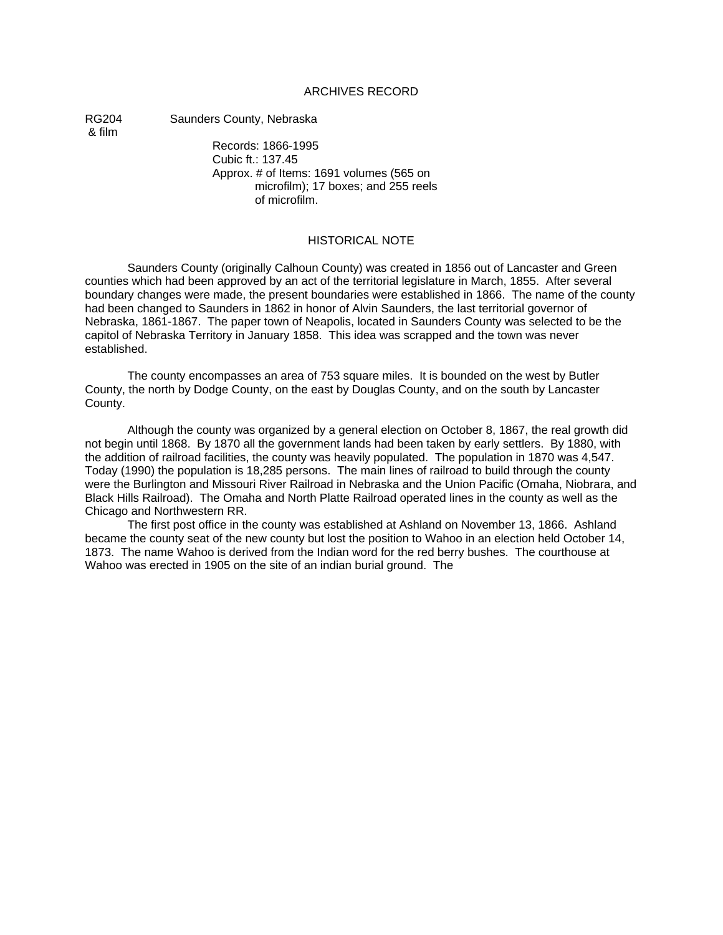#### ARCHIVES RECORD

& film

RG204 Saunders County, Nebraska

Records: 1866-1995 Cubic ft.: 137.45 Approx. # of Items: 1691 volumes (565 on microfilm); 17 boxes; and 255 reels of microfilm.

#### HISTORICAL NOTE

Saunders County (originally Calhoun County) was created in 1856 out of Lancaster and Green counties which had been approved by an act of the territorial legislature in March, 1855. After several boundary changes were made, the present boundaries were established in 1866. The name of the county had been changed to Saunders in 1862 in honor of Alvin Saunders, the last territorial governor of Nebraska, 1861-1867. The paper town of Neapolis, located in Saunders County was selected to be the capitol of Nebraska Territory in January 1858. This idea was scrapped and the town was never established.

The county encompasses an area of 753 square miles. It is bounded on the west by Butler County, the north by Dodge County, on the east by Douglas County, and on the south by Lancaster County.

Although the county was organized by a general election on October 8, 1867, the real growth did not begin until 1868. By 1870 all the government lands had been taken by early settlers. By 1880, with the addition of railroad facilities, the county was heavily populated. The population in 1870 was 4,547. Today (1990) the population is 18,285 persons. The main lines of railroad to build through the county were the Burlington and Missouri River Railroad in Nebraska and the Union Pacific (Omaha, Niobrara, and Black Hills Railroad). The Omaha and North Platte Railroad operated lines in the county as well as the Chicago and Northwestern RR.

The first post office in the county was established at Ashland on November 13, 1866. Ashland became the county seat of the new county but lost the position to Wahoo in an election held October 14, 1873. The name Wahoo is derived from the Indian word for the red berry bushes. The courthouse at Wahoo was erected in 1905 on the site of an indian burial ground. The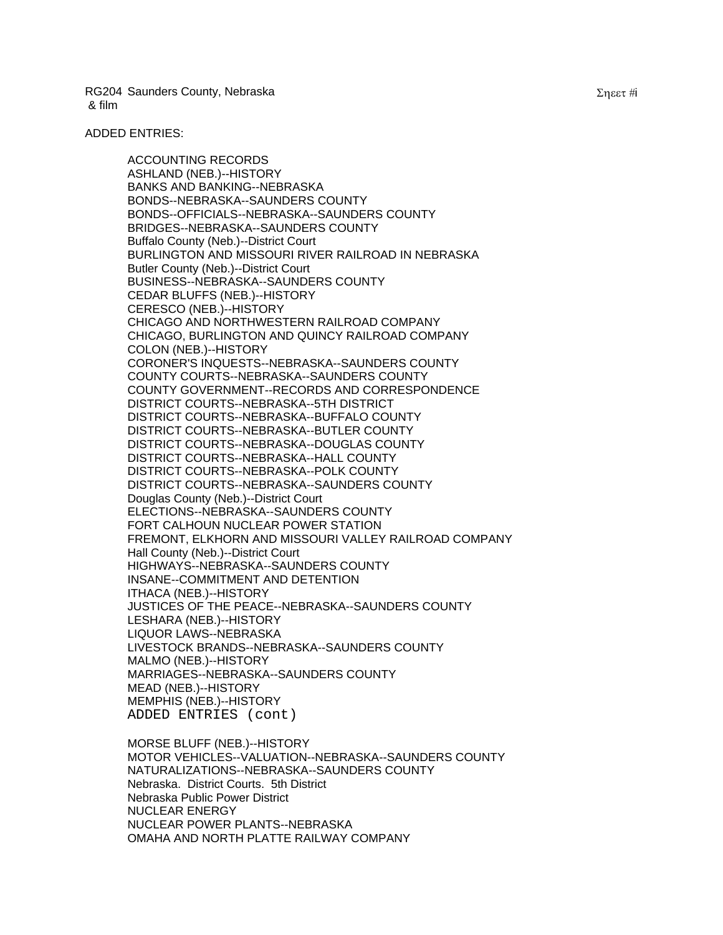#### ADDED ENTRIES:

ACCOUNTING RECORDS ASHLAND (NEB.)--HISTORY BANKS AND BANKING--NEBRASKA BONDS--NEBRASKA--SAUNDERS COUNTY BONDS--OFFICIALS--NEBRASKA--SAUNDERS COUNTY BRIDGES--NEBRASKA--SAUNDERS COUNTY Buffalo County (Neb.)--District Court BURLINGTON AND MISSOURI RIVER RAILROAD IN NEBRASKA Butler County (Neb.)--District Court BUSINESS--NEBRASKA--SAUNDERS COUNTY CEDAR BLUFFS (NEB.)--HISTORY CERESCO (NEB.)--HISTORY CHICAGO AND NORTHWESTERN RAILROAD COMPANY CHICAGO, BURLINGTON AND QUINCY RAILROAD COMPANY COLON (NEB.)--HISTORY CORONER'S INQUESTS--NEBRASKA--SAUNDERS COUNTY COUNTY COURTS--NEBRASKA--SAUNDERS COUNTY COUNTY GOVERNMENT--RECORDS AND CORRESPONDENCE DISTRICT COURTS--NEBRASKA--5TH DISTRICT DISTRICT COURTS--NEBRASKA--BUFFALO COUNTY DISTRICT COURTS--NEBRASKA--BUTLER COUNTY DISTRICT COURTS--NEBRASKA--DOUGLAS COUNTY DISTRICT COURTS--NEBRASKA--HALL COUNTY DISTRICT COURTS--NEBRASKA--POLK COUNTY DISTRICT COURTS--NEBRASKA--SAUNDERS COUNTY Douglas County (Neb.)--District Court ELECTIONS--NEBRASKA--SAUNDERS COUNTY FORT CALHOUN NUCLEAR POWER STATION FREMONT, ELKHORN AND MISSOURI VALLEY RAILROAD COMPANY Hall County (Neb.)--District Court HIGHWAYS--NEBRASKA--SAUNDERS COUNTY INSANE--COMMITMENT AND DETENTION ITHACA (NEB.)--HISTORY JUSTICES OF THE PEACE--NEBRASKA--SAUNDERS COUNTY LESHARA (NEB.)--HISTORY LIQUOR LAWS--NEBRASKA LIVESTOCK BRANDS--NEBRASKA--SAUNDERS COUNTY MALMO (NEB.)--HISTORY MARRIAGES--NEBRASKA--SAUNDERS COUNTY MEAD (NEB.)--HISTORY MEMPHIS (NEB.)--HISTORY ADDED ENTRIES (cont)

MORSE BLUFF (NEB.)--HISTORY MOTOR VEHICLES--VALUATION--NEBRASKA--SAUNDERS COUNTY NATURALIZATIONS--NEBRASKA--SAUNDERS COUNTY Nebraska. District Courts. 5th District Nebraska Public Power District NUCLEAR ENERGY NUCLEAR POWER PLANTS--NEBRASKA OMAHA AND NORTH PLATTE RAILWAY COMPANY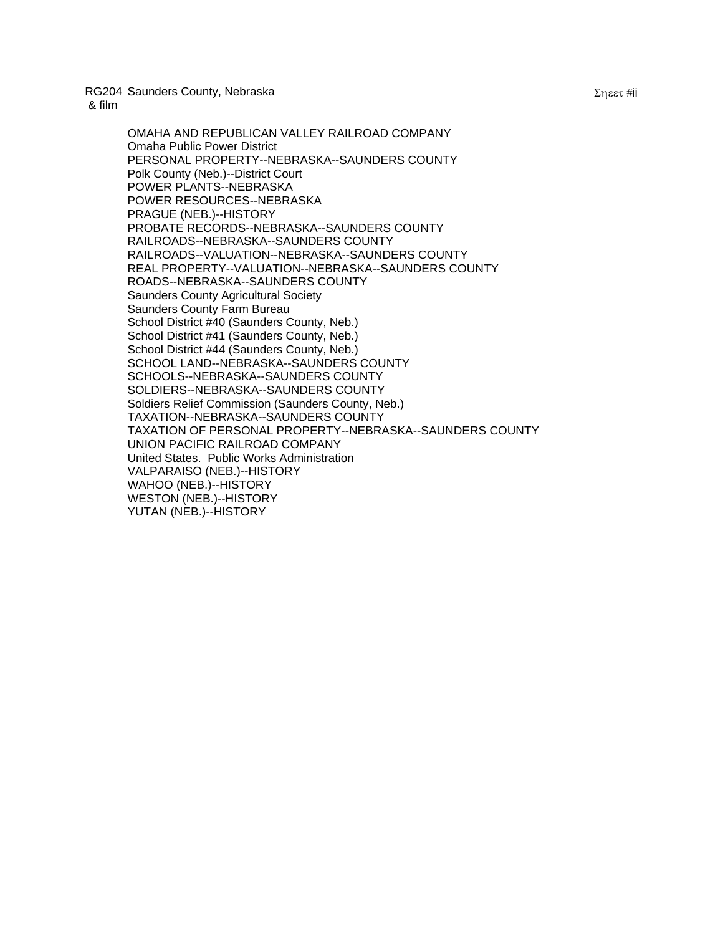> OMAHA AND REPUBLICAN VALLEY RAILROAD COMPANY Omaha Public Power District PERSONAL PROPERTY--NEBRASKA--SAUNDERS COUNTY Polk County (Neb.)--District Court POWER PLANTS--NEBRASKA POWER RESOURCES--NEBRASKA PRAGUE (NEB.)--HISTORY PROBATE RECORDS--NEBRASKA--SAUNDERS COUNTY RAILROADS--NEBRASKA--SAUNDERS COUNTY RAILROADS--VALUATION--NEBRASKA--SAUNDERS COUNTY REAL PROPERTY--VALUATION--NEBRASKA--SAUNDERS COUNTY ROADS--NEBRASKA--SAUNDERS COUNTY Saunders County Agricultural Society Saunders County Farm Bureau School District #40 (Saunders County, Neb.) School District #41 (Saunders County, Neb.) School District #44 (Saunders County, Neb.) SCHOOL LAND--NEBRASKA--SAUNDERS COUNTY SCHOOLS--NEBRASKA--SAUNDERS COUNTY SOLDIERS--NEBRASKA--SAUNDERS COUNTY Soldiers Relief Commission (Saunders County, Neb.) TAXATION--NEBRASKA--SAUNDERS COUNTY TAXATION OF PERSONAL PROPERTY--NEBRASKA--SAUNDERS COUNTY UNION PACIFIC RAILROAD COMPANY United States. Public Works Administration VALPARAISO (NEB.)--HISTORY WAHOO (NEB.)--HISTORY WESTON (NEB.)--HISTORY YUTAN (NEB.)--HISTORY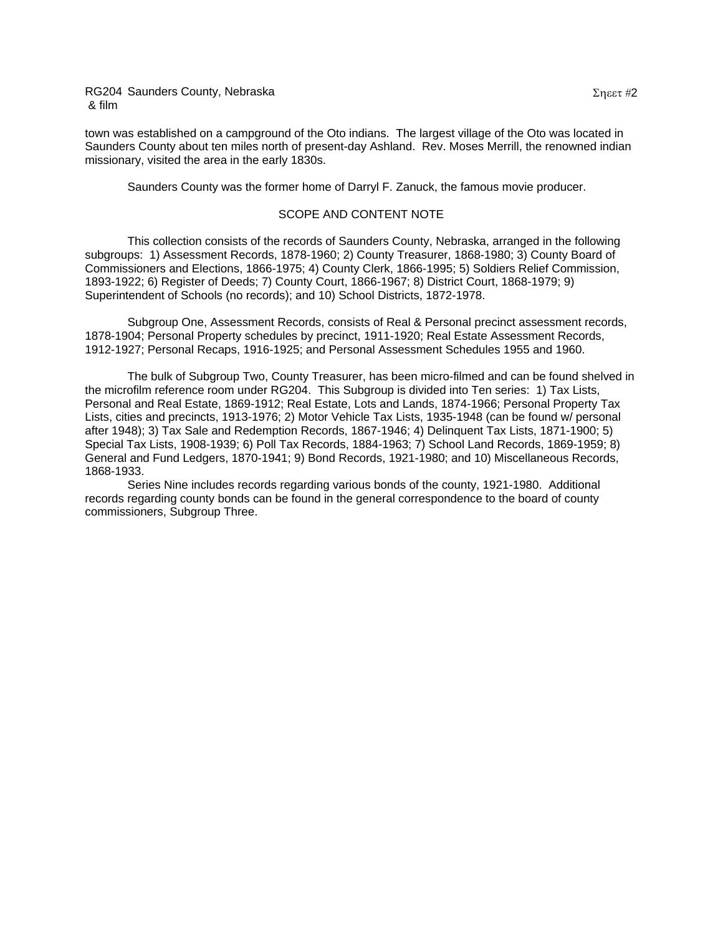town was established on a campground of the Oto indians. The largest village of the Oto was located in Saunders County about ten miles north of present-day Ashland. Rev. Moses Merrill, the renowned indian missionary, visited the area in the early 1830s.

Saunders County was the former home of Darryl F. Zanuck, the famous movie producer.

#### SCOPE AND CONTENT NOTE

This collection consists of the records of Saunders County, Nebraska, arranged in the following subgroups: 1) Assessment Records, 1878-1960; 2) County Treasurer, 1868-1980; 3) County Board of Commissioners and Elections, 1866-1975; 4) County Clerk, 1866-1995; 5) Soldiers Relief Commission, 1893-1922; 6) Register of Deeds; 7) County Court, 1866-1967; 8) District Court, 1868-1979; 9) Superintendent of Schools (no records); and 10) School Districts, 1872-1978.

Subgroup One, Assessment Records, consists of Real & Personal precinct assessment records, 1878-1904; Personal Property schedules by precinct, 1911-1920; Real Estate Assessment Records, 1912-1927; Personal Recaps, 1916-1925; and Personal Assessment Schedules 1955 and 1960.

The bulk of Subgroup Two, County Treasurer, has been micro-filmed and can be found shelved in the microfilm reference room under RG204. This Subgroup is divided into Ten series: 1) Tax Lists, Personal and Real Estate, 1869-1912; Real Estate, Lots and Lands, 1874-1966; Personal Property Tax Lists, cities and precincts, 1913-1976; 2) Motor Vehicle Tax Lists, 1935-1948 (can be found w/ personal after 1948); 3) Tax Sale and Redemption Records, 1867-1946; 4) Delinquent Tax Lists, 1871-1900; 5) Special Tax Lists, 1908-1939; 6) Poll Tax Records, 1884-1963; 7) School Land Records, 1869-1959; 8) General and Fund Ledgers, 1870-1941; 9) Bond Records, 1921-1980; and 10) Miscellaneous Records, 1868-1933.

Series Nine includes records regarding various bonds of the county, 1921-1980. Additional records regarding county bonds can be found in the general correspondence to the board of county commissioners, Subgroup Three.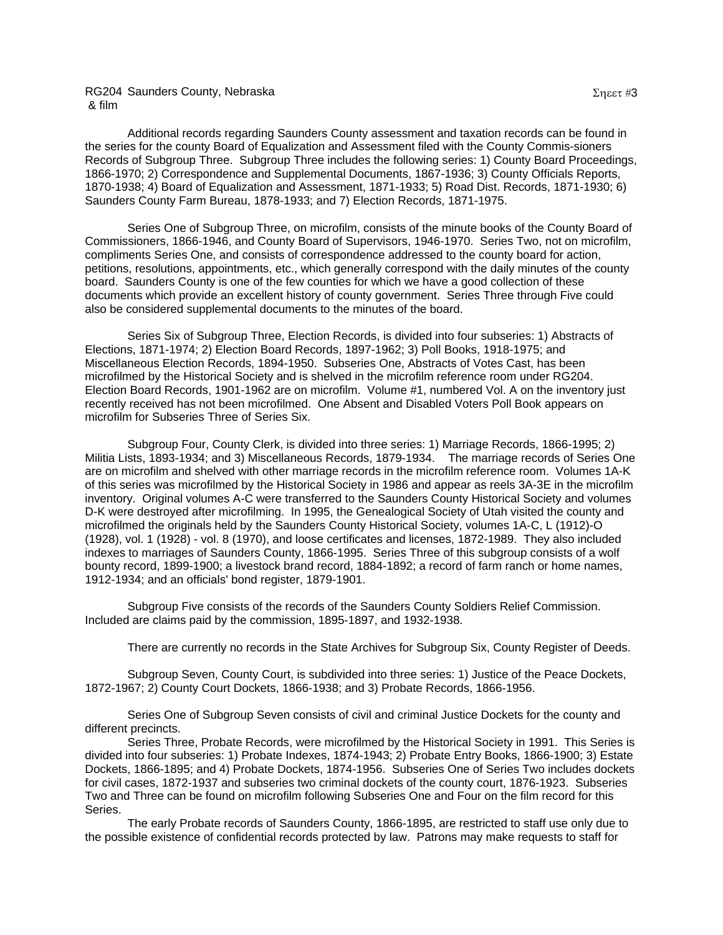Additional records regarding Saunders County assessment and taxation records can be found in the series for the county Board of Equalization and Assessment filed with the County Commis-sioners Records of Subgroup Three. Subgroup Three includes the following series: 1) County Board Proceedings, 1866-1970; 2) Correspondence and Supplemental Documents, 1867-1936; 3) County Officials Reports, 1870-1938; 4) Board of Equalization and Assessment, 1871-1933; 5) Road Dist. Records, 1871-1930; 6) Saunders County Farm Bureau, 1878-1933; and 7) Election Records, 1871-1975.

Series One of Subgroup Three, on microfilm, consists of the minute books of the County Board of Commissioners, 1866-1946, and County Board of Supervisors, 1946-1970. Series Two, not on microfilm, compliments Series One, and consists of correspondence addressed to the county board for action, petitions, resolutions, appointments, etc., which generally correspond with the daily minutes of the county board. Saunders County is one of the few counties for which we have a good collection of these documents which provide an excellent history of county government. Series Three through Five could also be considered supplemental documents to the minutes of the board.

Series Six of Subgroup Three, Election Records, is divided into four subseries: 1) Abstracts of Elections, 1871-1974; 2) Election Board Records, 1897-1962; 3) Poll Books, 1918-1975; and Miscellaneous Election Records, 1894-1950. Subseries One, Abstracts of Votes Cast, has been microfilmed by the Historical Society and is shelved in the microfilm reference room under RG204. Election Board Records, 1901-1962 are on microfilm. Volume #1, numbered Vol. A on the inventory just recently received has not been microfilmed. One Absent and Disabled Voters Poll Book appears on microfilm for Subseries Three of Series Six.

Subgroup Four, County Clerk, is divided into three series: 1) Marriage Records, 1866-1995; 2) Militia Lists, 1893-1934; and 3) Miscellaneous Records, 1879-1934. The marriage records of Series One are on microfilm and shelved with other marriage records in the microfilm reference room. Volumes 1A-K of this series was microfilmed by the Historical Society in 1986 and appear as reels 3A-3E in the microfilm inventory. Original volumes A-C were transferred to the Saunders County Historical Society and volumes D-K were destroyed after microfilming. In 1995, the Genealogical Society of Utah visited the county and microfilmed the originals held by the Saunders County Historical Society, volumes 1A-C, L (1912)-O (1928), vol. 1 (1928) - vol. 8 (1970), and loose certificates and licenses, 1872-1989. They also included indexes to marriages of Saunders County, 1866-1995. Series Three of this subgroup consists of a wolf bounty record, 1899-1900; a livestock brand record, 1884-1892; a record of farm ranch or home names, 1912-1934; and an officials' bond register, 1879-1901.

Subgroup Five consists of the records of the Saunders County Soldiers Relief Commission. Included are claims paid by the commission, 1895-1897, and 1932-1938.

There are currently no records in the State Archives for Subgroup Six, County Register of Deeds.

Subgroup Seven, County Court, is subdivided into three series: 1) Justice of the Peace Dockets, 1872-1967; 2) County Court Dockets, 1866-1938; and 3) Probate Records, 1866-1956.

Series One of Subgroup Seven consists of civil and criminal Justice Dockets for the county and different precincts.

Series Three, Probate Records, were microfilmed by the Historical Society in 1991. This Series is divided into four subseries: 1) Probate Indexes, 1874-1943; 2) Probate Entry Books, 1866-1900; 3) Estate Dockets, 1866-1895; and 4) Probate Dockets, 1874-1956. Subseries One of Series Two includes dockets for civil cases, 1872-1937 and subseries two criminal dockets of the county court, 1876-1923. Subseries Two and Three can be found on microfilm following Subseries One and Four on the film record for this Series.

The early Probate records of Saunders County, 1866-1895, are restricted to staff use only due to the possible existence of confidential records protected by law. Patrons may make requests to staff for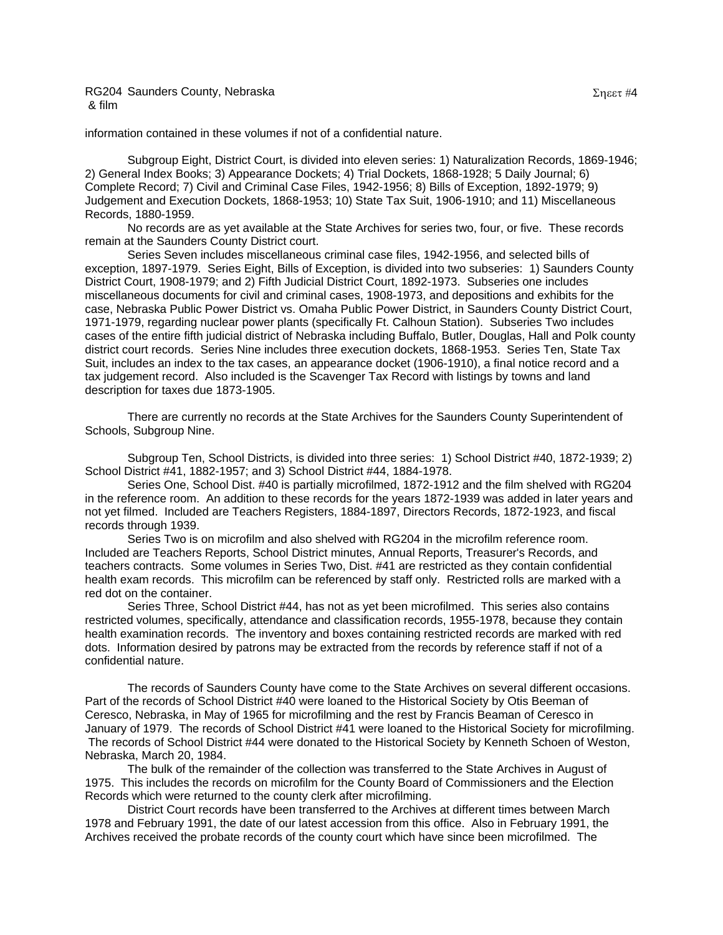information contained in these volumes if not of a confidential nature.

Subgroup Eight, District Court, is divided into eleven series: 1) Naturalization Records, 1869-1946; 2) General Index Books; 3) Appearance Dockets; 4) Trial Dockets, 1868-1928; 5 Daily Journal; 6) Complete Record; 7) Civil and Criminal Case Files, 1942-1956; 8) Bills of Exception, 1892-1979; 9) Judgement and Execution Dockets, 1868-1953; 10) State Tax Suit, 1906-1910; and 11) Miscellaneous Records, 1880-1959.

No records are as yet available at the State Archives for series two, four, or five. These records remain at the Saunders County District court.

Series Seven includes miscellaneous criminal case files, 1942-1956, and selected bills of exception, 1897-1979. Series Eight, Bills of Exception, is divided into two subseries: 1) Saunders County District Court, 1908-1979; and 2) Fifth Judicial District Court, 1892-1973. Subseries one includes miscellaneous documents for civil and criminal cases, 1908-1973, and depositions and exhibits for the case, Nebraska Public Power District vs. Omaha Public Power District, in Saunders County District Court, 1971-1979, regarding nuclear power plants (specifically Ft. Calhoun Station). Subseries Two includes cases of the entire fifth judicial district of Nebraska including Buffalo, Butler, Douglas, Hall and Polk county district court records. Series Nine includes three execution dockets, 1868-1953. Series Ten, State Tax Suit, includes an index to the tax cases, an appearance docket (1906-1910), a final notice record and a tax judgement record. Also included is the Scavenger Tax Record with listings by towns and land description for taxes due 1873-1905.

There are currently no records at the State Archives for the Saunders County Superintendent of Schools, Subgroup Nine.

Subgroup Ten, School Districts, is divided into three series: 1) School District #40, 1872-1939; 2) School District #41, 1882-1957; and 3) School District #44, 1884-1978.

Series One, School Dist. #40 is partially microfilmed, 1872-1912 and the film shelved with RG204 in the reference room. An addition to these records for the years 1872-1939 was added in later years and not yet filmed. Included are Teachers Registers, 1884-1897, Directors Records, 1872-1923, and fiscal records through 1939.

Series Two is on microfilm and also shelved with RG204 in the microfilm reference room. Included are Teachers Reports, School District minutes, Annual Reports, Treasurer's Records, and teachers contracts. Some volumes in Series Two, Dist. #41 are restricted as they contain confidential health exam records. This microfilm can be referenced by staff only. Restricted rolls are marked with a red dot on the container.

Series Three, School District #44, has not as yet been microfilmed. This series also contains restricted volumes, specifically, attendance and classification records, 1955-1978, because they contain health examination records. The inventory and boxes containing restricted records are marked with red dots. Information desired by patrons may be extracted from the records by reference staff if not of a confidential nature.

The records of Saunders County have come to the State Archives on several different occasions. Part of the records of School District #40 were loaned to the Historical Society by Otis Beeman of Ceresco, Nebraska, in May of 1965 for microfilming and the rest by Francis Beaman of Ceresco in January of 1979. The records of School District #41 were loaned to the Historical Society for microfilming. The records of School District #44 were donated to the Historical Society by Kenneth Schoen of Weston, Nebraska, March 20, 1984.

The bulk of the remainder of the collection was transferred to the State Archives in August of 1975. This includes the records on microfilm for the County Board of Commissioners and the Election Records which were returned to the county clerk after microfilming.

District Court records have been transferred to the Archives at different times between March 1978 and February 1991, the date of our latest accession from this office. Also in February 1991, the Archives received the probate records of the county court which have since been microfilmed. The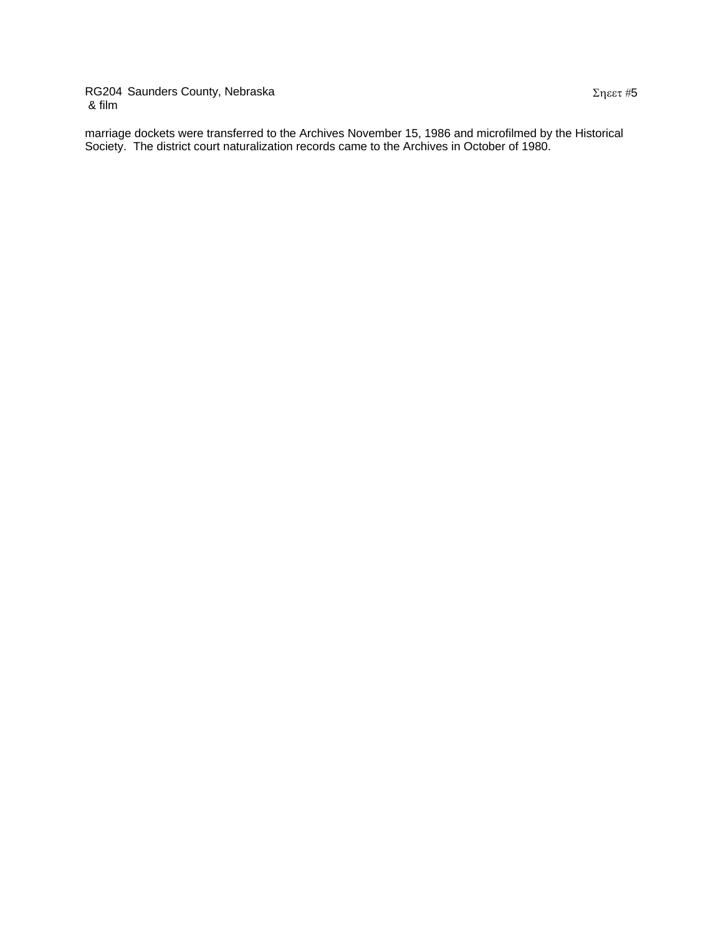marriage dockets were transferred to the Archives November 15, 1986 and microfilmed by the Historical Society. The district court naturalization records came to the Archives in October of 1980.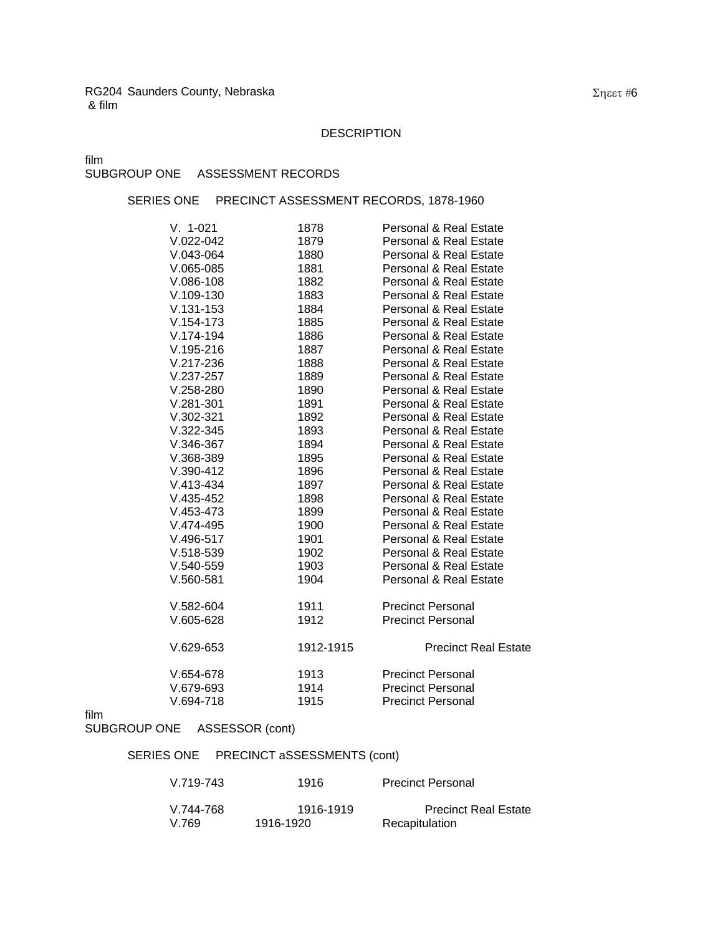### DESCRIPTION

film

# SUBGROUP ONE ASSESSMENT RECORDS

### SERIES ONE PRECINCT ASSESSMENT RECORDS, 1878-1960

| $V. 1-021$    | 1878      | <b>Personal &amp; Real Estate</b> |
|---------------|-----------|-----------------------------------|
| $V.022 - 042$ | 1879      | <b>Personal &amp; Real Estate</b> |
| $V.043-064$   | 1880      | Personal & Real Estate            |
| $V.065-085$   | 1881      | <b>Personal &amp; Real Estate</b> |
| $V.086-108$   | 1882      | Personal & Real Estate            |
| $V.109 - 130$ | 1883      | Personal & Real Estate            |
| $V.131 - 153$ | 1884      | <b>Personal &amp; Real Estate</b> |
| $V.154 - 173$ | 1885      | Personal & Real Estate            |
| V.174-194     | 1886      | Personal & Real Estate            |
| $V.195 - 216$ | 1887      | <b>Personal &amp; Real Estate</b> |
| V.217-236     | 1888      | Personal & Real Estate            |
| $V.237-257$   | 1889      | <b>Personal &amp; Real Estate</b> |
| $V.258 - 280$ | 1890      | Personal & Real Estate            |
| $V.281 - 301$ | 1891      | <b>Personal &amp; Real Estate</b> |
| $V.302 - 321$ | 1892      | Personal & Real Estate            |
| $V.322 - 345$ | 1893      | <b>Personal &amp; Real Estate</b> |
| $V.346-367$   | 1894      | Personal & Real Estate            |
| $V.368-389$   | 1895      | Personal & Real Estate            |
| $V.390-412$   | 1896      | Personal & Real Estate            |
| $V.413 - 434$ | 1897      | <b>Personal &amp; Real Estate</b> |
| $V.435 - 452$ | 1898      | Personal & Real Estate            |
| $V.453 - 473$ | 1899      | Personal & Real Estate            |
| $V.474-495$   | 1900      | Personal & Real Estate            |
| $V.496 - 517$ | 1901      | <b>Personal &amp; Real Estate</b> |
| $V.518-539$   | 1902      | Personal & Real Estate            |
| $V.540 - 559$ | 1903      | <b>Personal &amp; Real Estate</b> |
| $V.560 - 581$ | 1904      | <b>Personal &amp; Real Estate</b> |
| $V.582-604$   | 1911      | <b>Precinct Personal</b>          |
| $V.605-628$   | 1912      | <b>Precinct Personal</b>          |
| $V.629-653$   | 1912-1915 | <b>Precinct Real Estate</b>       |
| $V.654-678$   | 1913      | <b>Precinct Personal</b>          |
| $V.679-693$   | 1914      | <b>Precinct Personal</b>          |
| $V.694 - 718$ | 1915      | <b>Precinct Personal</b>          |

film

# SUBGROUP ONE ASSESSOR (cont)

# SERIES ONE PRECINCT aSSESSMENTS (cont)

| V.719-743 | 1916      | <b>Precinct Personal</b>    |
|-----------|-----------|-----------------------------|
| V.744-768 | 1916-1919 | <b>Precinct Real Estate</b> |
| V.769     | 1916-1920 | Recapitulation              |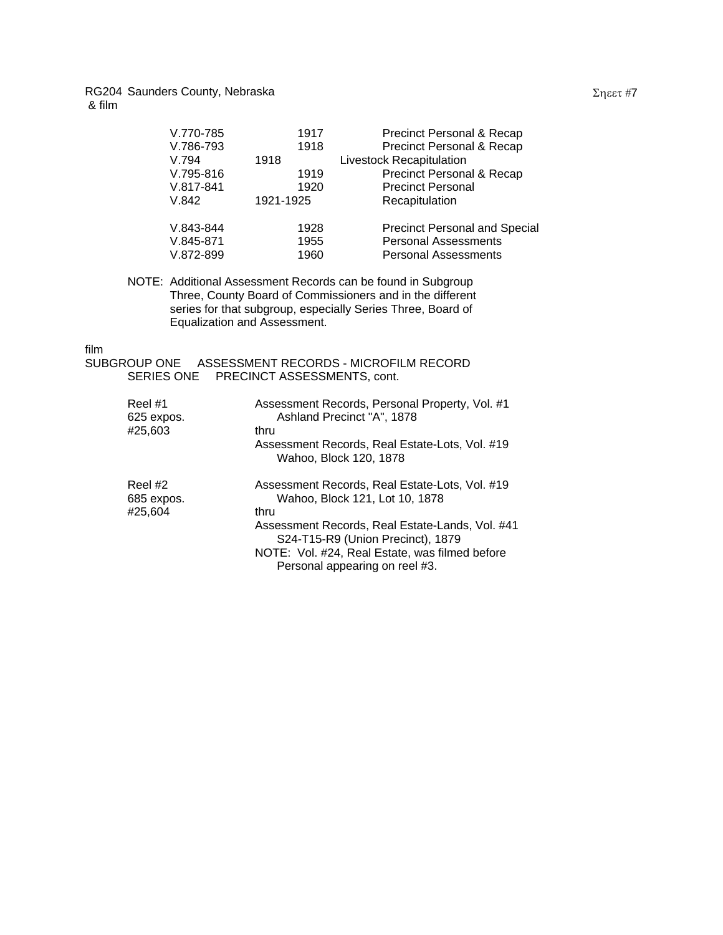| V.770-785                             | 1917                 | Precinct Personal & Recap                                                                          |
|---------------------------------------|----------------------|----------------------------------------------------------------------------------------------------|
| V.786-793                             | 1918                 | Precinct Personal & Recap                                                                          |
| V.794                                 | 1918                 | Livestock Recapitulation                                                                           |
| V.795-816                             | 1919                 | Precinct Personal & Recap                                                                          |
| $V.817 - 841$                         | 1920                 | <b>Precinct Personal</b>                                                                           |
| V.842                                 | 1921-1925            | Recapitulation                                                                                     |
| V.843-844<br>$V.845-871$<br>V.872-899 | 1928<br>1955<br>1960 | <b>Precinct Personal and Special</b><br><b>Personal Assessments</b><br><b>Personal Assessments</b> |
|                                       |                      |                                                                                                    |

NOTE: Additional Assessment Records can be found in Subgroup Three, County Board of Commissioners and in the different series for that subgroup, especially Series Three, Board of Equalization and Assessment.

#### film

```
SUBGROUP ONE ASSESSMENT RECORDS - MICROFILM RECORD 
SERIES ONE PRECINCT ASSESSMENTS, cont.
```

| Reel#1<br>625 expos.<br>#25,603  | Assessment Records, Personal Property, Vol. #1<br>Ashland Precinct "A", 1878<br>thru<br>Assessment Records, Real Estate-Lots, Vol. #19<br>Wahoo, Block 120, 1878                                                                                                     |
|----------------------------------|----------------------------------------------------------------------------------------------------------------------------------------------------------------------------------------------------------------------------------------------------------------------|
| Reel #2<br>685 expos.<br>#25,604 | Assessment Records, Real Estate-Lots, Vol. #19<br>Wahoo, Block 121, Lot 10, 1878<br>thru<br>Assessment Records, Real Estate-Lands, Vol. #41<br>S24-T15-R9 (Union Precinct), 1879<br>NOTE: Vol. #24, Real Estate, was filmed before<br>Personal appearing on reel #3. |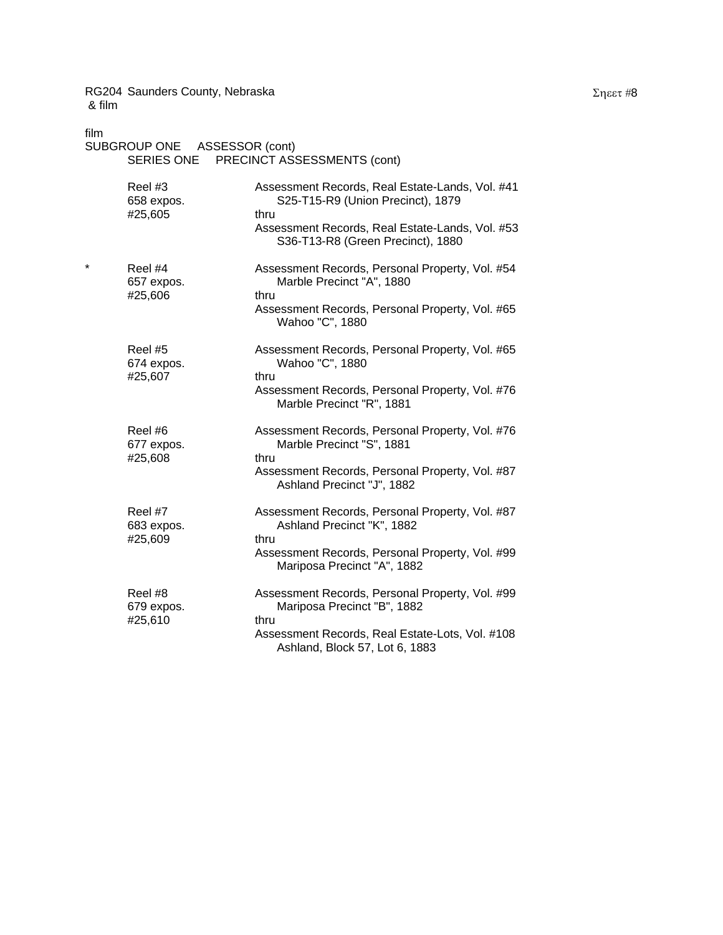| film | SUBGROUP ONE ASSESSOR (cont)<br>SERIES ONE | PRECINCT ASSESSMENTS (cont)                                                                                                                                                          |
|------|--------------------------------------------|--------------------------------------------------------------------------------------------------------------------------------------------------------------------------------------|
|      | Reel #3<br>658 expos.<br>#25,605           | Assessment Records, Real Estate-Lands, Vol. #41<br>S25-T15-R9 (Union Precinct), 1879<br>thru<br>Assessment Records, Real Estate-Lands, Vol. #53<br>S36-T13-R8 (Green Precinct), 1880 |
| *    | Reel #4<br>657 expos.<br>#25,606           | Assessment Records, Personal Property, Vol. #54<br>Marble Precinct "A", 1880<br>thru<br>Assessment Records, Personal Property, Vol. #65<br>Wahoo "C", 1880                           |
|      | Reel #5<br>674 expos.<br>#25,607           | Assessment Records, Personal Property, Vol. #65<br>Wahoo "C", 1880<br>thru<br>Assessment Records, Personal Property, Vol. #76<br>Marble Precinct "R", 1881                           |
|      | Reel #6<br>677 expos.<br>#25,608           | Assessment Records, Personal Property, Vol. #76<br>Marble Precinct "S", 1881<br>thru<br>Assessment Records, Personal Property, Vol. #87<br>Ashland Precinct "J", 1882                |
|      | Reel #7<br>683 expos.<br>#25,609           | Assessment Records, Personal Property, Vol. #87<br>Ashland Precinct "K", 1882<br>thru<br>Assessment Records, Personal Property, Vol. #99<br>Mariposa Precinct "A", 1882              |
|      | Reel #8<br>679 expos.<br>#25,610           | Assessment Records, Personal Property, Vol. #99<br>Mariposa Precinct "B", 1882<br>thru<br>Assessment Records, Real Estate-Lots, Vol. #108<br>Ashland, Block 57, Lot 6, 1883          |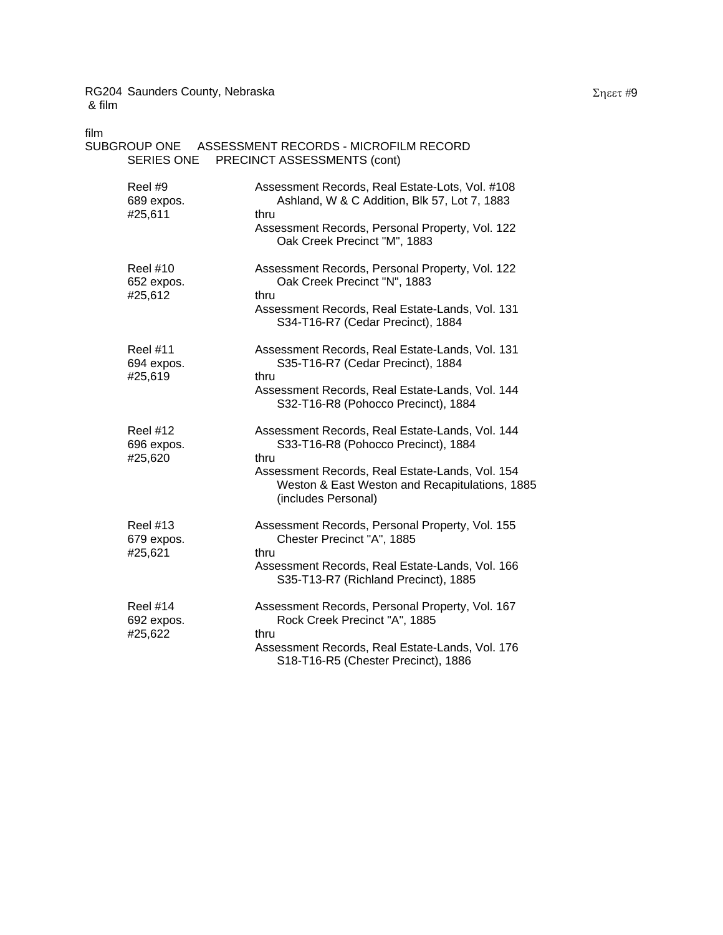| film                                     | SUBGROUP ONE ASSESSMENT RECORDS - MICROFILM RECORD<br>SERIES ONE PRECINCT ASSESSMENTS (cont)                                                                                                                               |
|------------------------------------------|----------------------------------------------------------------------------------------------------------------------------------------------------------------------------------------------------------------------------|
| Reel #9<br>689 expos.<br>#25,611         | Assessment Records, Real Estate-Lots, Vol. #108<br>Ashland, W & C Addition, Blk 57, Lot 7, 1883<br>thru<br>Assessment Records, Personal Property, Vol. 122                                                                 |
| <b>Reel #10</b><br>652 expos.<br>#25,612 | Oak Creek Precinct "M", 1883<br>Assessment Records, Personal Property, Vol. 122<br>Oak Creek Precinct "N", 1883<br>thru<br>Assessment Records, Real Estate-Lands, Vol. 131<br>S34-T16-R7 (Cedar Precinct), 1884            |
| <b>Reel #11</b><br>694 expos.<br>#25,619 | Assessment Records, Real Estate-Lands, Vol. 131<br>S35-T16-R7 (Cedar Precinct), 1884<br>thru<br>Assessment Records, Real Estate-Lands, Vol. 144<br>S32-T16-R8 (Pohocco Precinct), 1884                                     |
| <b>Reel #12</b><br>696 expos.<br>#25,620 | Assessment Records, Real Estate-Lands, Vol. 144<br>S33-T16-R8 (Pohocco Precinct), 1884<br>thru<br>Assessment Records, Real Estate-Lands, Vol. 154<br>Weston & East Weston and Recapitulations, 1885<br>(includes Personal) |
| <b>Reel #13</b><br>679 expos.<br>#25,621 | Assessment Records, Personal Property, Vol. 155<br>Chester Precinct "A", 1885<br>thru<br>Assessment Records, Real Estate-Lands, Vol. 166<br>S35-T13-R7 (Richland Precinct), 1885                                           |
| <b>Reel #14</b><br>692 expos.<br>#25,622 | Assessment Records, Personal Property, Vol. 167<br>Rock Creek Precinct "A", 1885<br>thru<br>Assessment Records, Real Estate-Lands, Vol. 176<br>S18-T16-R5 (Chester Precinct), 1886                                         |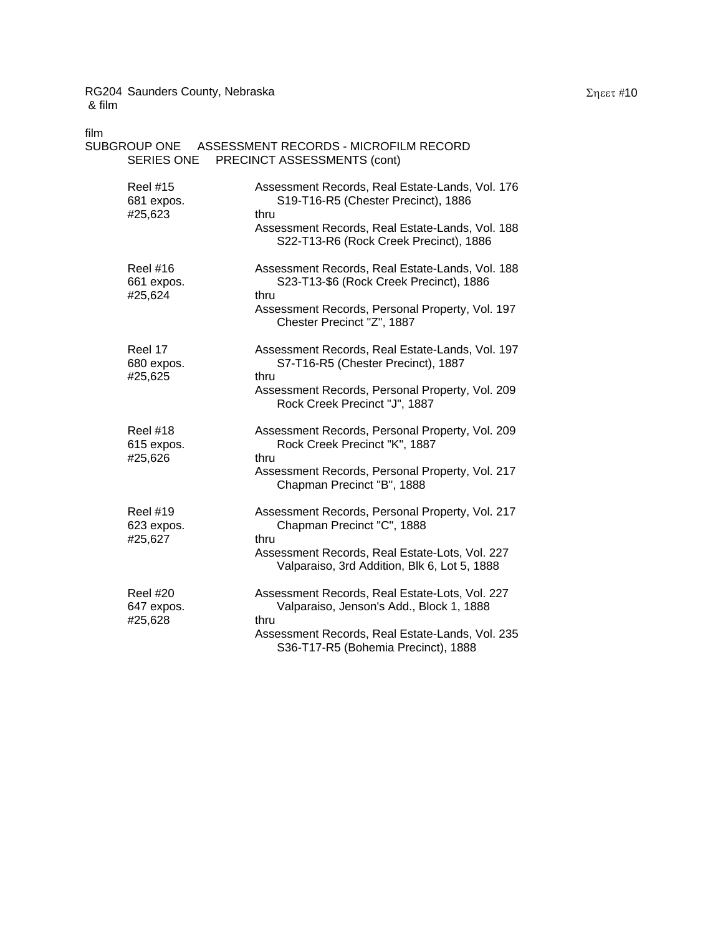| film                                     | SUBGROUP ONE ASSESSMENT RECORDS - MICROFILM RECORD<br>SERIES ONE PRECINCT ASSESSMENTS (cont)                                                                                                 |
|------------------------------------------|----------------------------------------------------------------------------------------------------------------------------------------------------------------------------------------------|
| <b>Reel #15</b><br>681 expos.<br>#25,623 | Assessment Records, Real Estate-Lands, Vol. 176<br>S19-T16-R5 (Chester Precinct), 1886<br>thru<br>Assessment Records, Real Estate-Lands, Vol. 188<br>S22-T13-R6 (Rock Creek Precinct), 1886  |
| <b>Reel #16</b><br>661 expos.<br>#25,624 | Assessment Records, Real Estate-Lands, Vol. 188<br>S23-T13-\$6 (Rock Creek Precinct), 1886<br>thru<br>Assessment Records, Personal Property, Vol. 197<br>Chester Precinct "Z", 1887          |
| Reel 17<br>680 expos.<br>#25,625         | Assessment Records, Real Estate-Lands, Vol. 197<br>S7-T16-R5 (Chester Precinct), 1887<br>thru<br>Assessment Records, Personal Property, Vol. 209<br>Rock Creek Precinct "J", 1887            |
| <b>Reel #18</b><br>615 expos.<br>#25,626 | Assessment Records, Personal Property, Vol. 209<br>Rock Creek Precinct "K", 1887<br>thru<br>Assessment Records, Personal Property, Vol. 217<br>Chapman Precinct "B", 1888                    |
| <b>Reel #19</b><br>623 expos.<br>#25,627 | Assessment Records, Personal Property, Vol. 217<br>Chapman Precinct "C", 1888<br>thru<br>Assessment Records, Real Estate-Lots, Vol. 227<br>Valparaiso, 3rd Addition, Blk 6, Lot 5, 1888      |
| <b>Reel #20</b><br>647 expos.<br>#25,628 | Assessment Records, Real Estate-Lots, Vol. 227<br>Valparaiso, Jenson's Add., Block 1, 1888<br>thru<br>Assessment Records, Real Estate-Lands, Vol. 235<br>S36-T17-R5 (Bohemia Precinct), 1888 |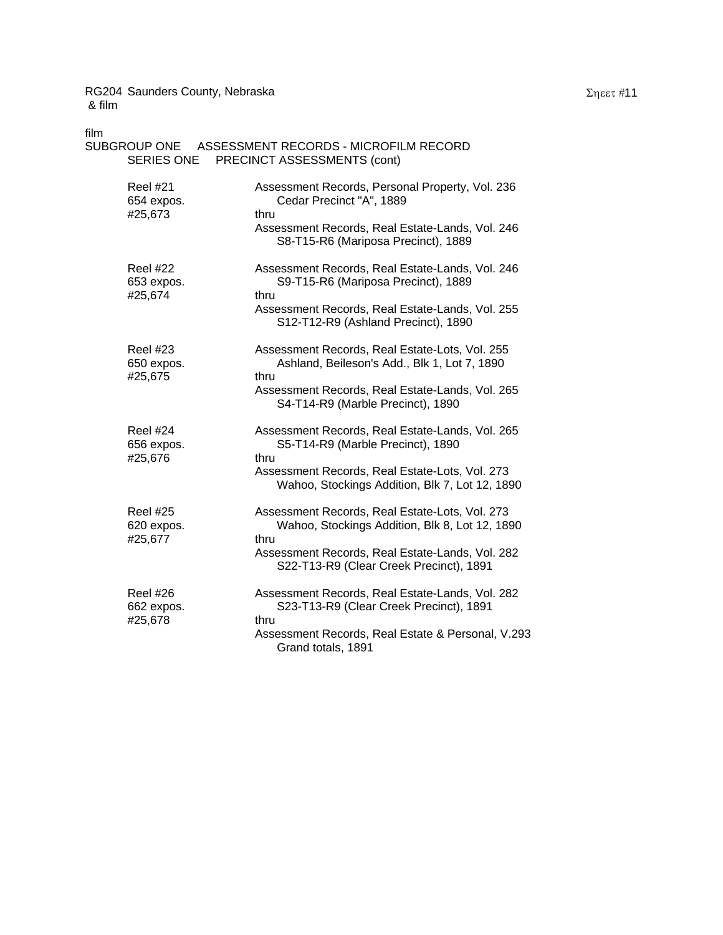| film<br><b>SERIES ONE</b>                | SUBGROUP ONE ASSESSMENT RECORDS - MICROFILM RECORD<br>PRECINCT ASSESSMENTS (cont)                                                                                                                      |
|------------------------------------------|--------------------------------------------------------------------------------------------------------------------------------------------------------------------------------------------------------|
| <b>Reel #21</b><br>654 expos.<br>#25,673 | Assessment Records, Personal Property, Vol. 236<br>Cedar Precinct "A", 1889<br>thru<br>Assessment Records, Real Estate-Lands, Vol. 246<br>S8-T15-R6 (Mariposa Precinct), 1889                          |
| <b>Reel #22</b><br>653 expos.<br>#25,674 | Assessment Records, Real Estate-Lands, Vol. 246<br>S9-T15-R6 (Mariposa Precinct), 1889<br>thru<br>Assessment Records, Real Estate-Lands, Vol. 255<br>S12-T12-R9 (Ashland Precinct), 1890               |
| <b>Reel #23</b><br>650 expos.<br>#25,675 | Assessment Records, Real Estate-Lots, Vol. 255<br>Ashland, Beileson's Add., Blk 1, Lot 7, 1890<br>thru<br>Assessment Records, Real Estate-Lands, Vol. 265<br>S4-T14-R9 (Marble Precinct), 1890         |
| <b>Reel #24</b><br>656 expos.<br>#25,676 | Assessment Records, Real Estate-Lands, Vol. 265<br>S5-T14-R9 (Marble Precinct), 1890<br>thru<br>Assessment Records, Real Estate-Lots, Vol. 273<br>Wahoo, Stockings Addition, Blk 7, Lot 12, 1890       |
| <b>Reel #25</b><br>620 expos.<br>#25,677 | Assessment Records, Real Estate-Lots, Vol. 273<br>Wahoo, Stockings Addition, Blk 8, Lot 12, 1890<br>thru<br>Assessment Records, Real Estate-Lands, Vol. 282<br>S22-T13-R9 (Clear Creek Precinct), 1891 |
| <b>Reel #26</b><br>662 expos.<br>#25,678 | Assessment Records, Real Estate-Lands, Vol. 282<br>S23-T13-R9 (Clear Creek Precinct), 1891<br>thru<br>Assessment Records, Real Estate & Personal, V.293<br>Grand totals, 1891                          |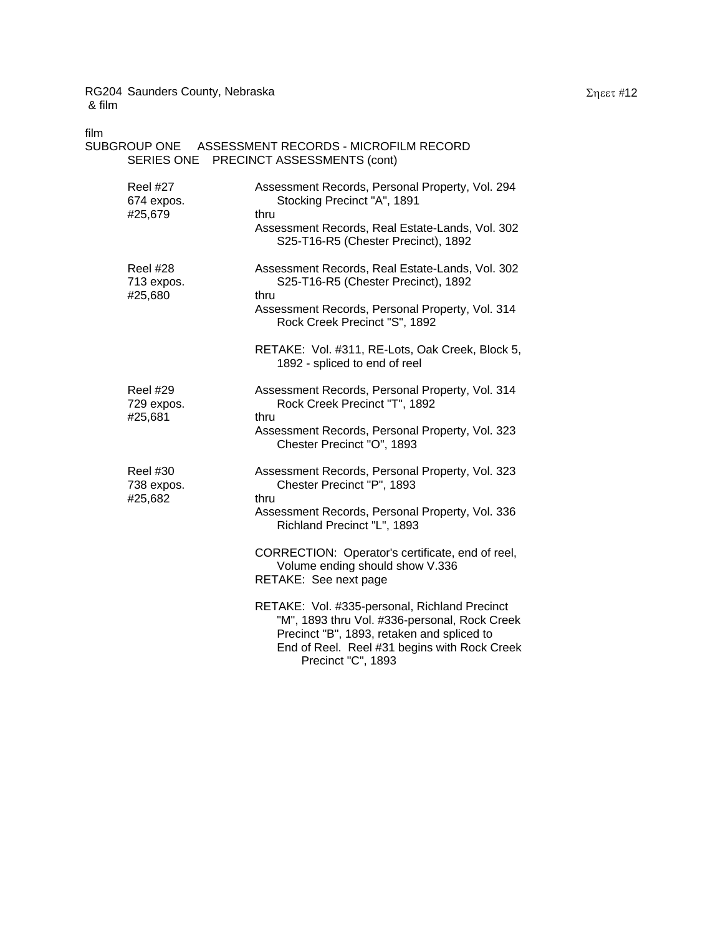| film                                     | SUBGROUP ONE ASSESSMENT RECORDS - MICROFILM RECORD<br>SERIES ONE PRECINCT ASSESSMENTS (cont)                                                                                                                       |
|------------------------------------------|--------------------------------------------------------------------------------------------------------------------------------------------------------------------------------------------------------------------|
| <b>Reel #27</b><br>674 expos.<br>#25,679 | Assessment Records, Personal Property, Vol. 294<br>Stocking Precinct "A", 1891<br>thru<br>Assessment Records, Real Estate-Lands, Vol. 302<br>S25-T16-R5 (Chester Precinct), 1892                                   |
| Reel #28<br>713 expos.<br>#25,680        | Assessment Records, Real Estate-Lands, Vol. 302<br>S25-T16-R5 (Chester Precinct), 1892<br>thru<br>Assessment Records, Personal Property, Vol. 314<br>Rock Creek Precinct "S", 1892                                 |
|                                          | RETAKE: Vol. #311, RE-Lots, Oak Creek, Block 5,<br>1892 - spliced to end of reel                                                                                                                                   |
| <b>Reel #29</b><br>729 expos.<br>#25,681 | Assessment Records, Personal Property, Vol. 314<br>Rock Creek Precinct "T", 1892<br>thru<br>Assessment Records, Personal Property, Vol. 323<br>Chester Precinct "O", 1893                                          |
| <b>Reel #30</b><br>738 expos.<br>#25,682 | Assessment Records, Personal Property, Vol. 323<br>Chester Precinct "P", 1893<br>thru<br>Assessment Records, Personal Property, Vol. 336<br>Richland Precinct "L", 1893                                            |
|                                          | CORRECTION: Operator's certificate, end of reel,<br>Volume ending should show V.336<br>RETAKE: See next page                                                                                                       |
|                                          | RETAKE: Vol. #335-personal, Richland Precinct<br>"M", 1893 thru Vol. #336-personal, Rock Creek<br>Precinct "B", 1893, retaken and spliced to<br>End of Reel. Reel #31 begins with Rock Creek<br>Precinct "C", 1893 |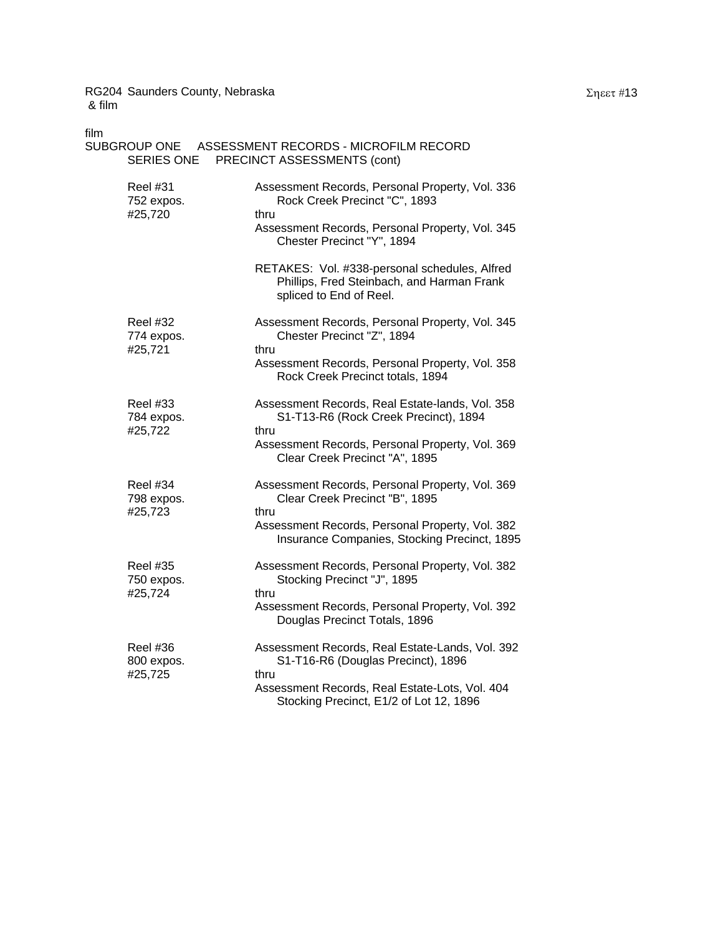| film<br>SUBGROUP ONE<br>SERIES ONE       | ASSESSMENT RECORDS - MICROFILM RECORD<br>PRECINCT ASSESSMENTS (cont)                                                                                                                                                                                                     |
|------------------------------------------|--------------------------------------------------------------------------------------------------------------------------------------------------------------------------------------------------------------------------------------------------------------------------|
| Reel #31<br>752 expos.<br>#25,720        | Assessment Records, Personal Property, Vol. 336<br>Rock Creek Precinct "C", 1893<br>thru<br>Assessment Records, Personal Property, Vol. 345<br>Chester Precinct "Y", 1894<br>RETAKES: Vol. #338-personal schedules, Alfred<br>Phillips, Fred Steinbach, and Harman Frank |
| Reel #32<br>774 expos.<br>#25,721        | spliced to End of Reel.<br>Assessment Records, Personal Property, Vol. 345<br>Chester Precinct "Z", 1894<br>thru<br>Assessment Records, Personal Property, Vol. 358<br>Rock Creek Precinct totals, 1894                                                                  |
| <b>Reel #33</b><br>784 expos.<br>#25,722 | Assessment Records, Real Estate-lands, Vol. 358<br>S1-T13-R6 (Rock Creek Precinct), 1894<br>thru<br>Assessment Records, Personal Property, Vol. 369<br>Clear Creek Precinct "A", 1895                                                                                    |
| <b>Reel #34</b><br>798 expos.<br>#25,723 | Assessment Records, Personal Property, Vol. 369<br>Clear Creek Precinct "B", 1895<br>thru<br>Assessment Records, Personal Property, Vol. 382<br>Insurance Companies, Stocking Precinct, 1895                                                                             |
| <b>Reel #35</b><br>750 expos.<br>#25,724 | Assessment Records, Personal Property, Vol. 382<br>Stocking Precinct "J", 1895<br>thru<br>Assessment Records, Personal Property, Vol. 392<br>Douglas Precinct Totals, 1896                                                                                               |
| <b>Reel #36</b><br>800 expos.<br>#25,725 | Assessment Records, Real Estate-Lands, Vol. 392<br>S1-T16-R6 (Douglas Precinct), 1896<br>thru<br>Assessment Records, Real Estate-Lots, Vol. 404<br>Stocking Precinct, E1/2 of Lot 12, 1896                                                                               |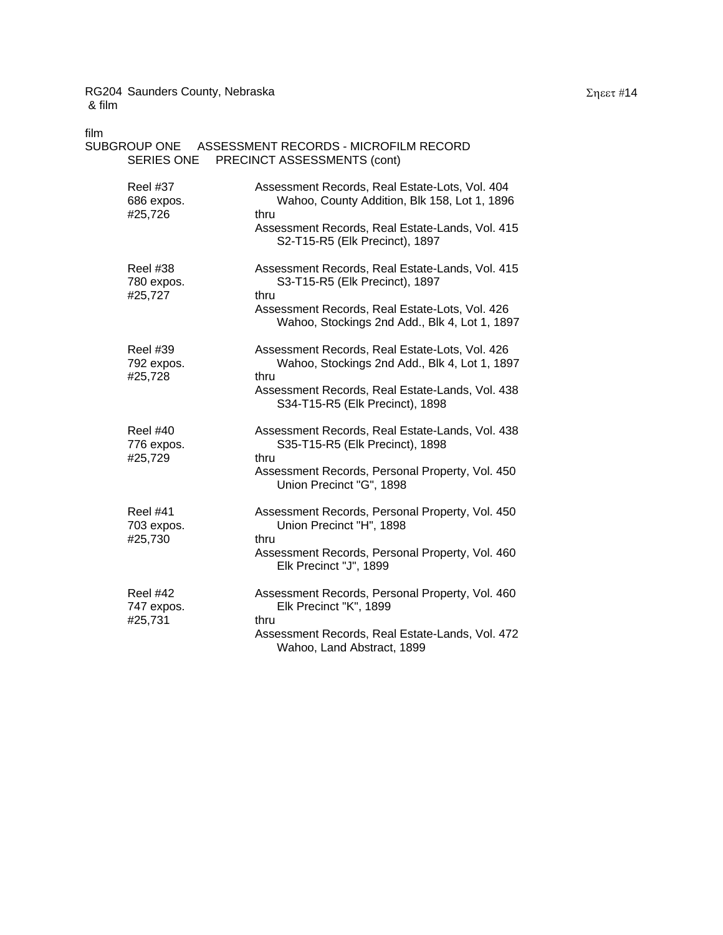| film<br>SERIES ONE                       | SUBGROUP ONE ASSESSMENT RECORDS - MICROFILM RECORD<br>PRECINCT ASSESSMENTS (cont)                                                                                                             |
|------------------------------------------|-----------------------------------------------------------------------------------------------------------------------------------------------------------------------------------------------|
| <b>Reel #37</b><br>686 expos.<br>#25,726 | Assessment Records, Real Estate-Lots, Vol. 404<br>Wahoo, County Addition, Blk 158, Lot 1, 1896<br>thru<br>Assessment Records, Real Estate-Lands, Vol. 415<br>S2-T15-R5 (Elk Precinct), 1897   |
| Reel #38<br>780 expos.<br>#25,727        | Assessment Records, Real Estate-Lands, Vol. 415<br>S3-T15-R5 (Elk Precinct), 1897<br>thru<br>Assessment Records, Real Estate-Lots, Vol. 426<br>Wahoo, Stockings 2nd Add., Blk 4, Lot 1, 1897  |
| <b>Reel #39</b><br>792 expos.<br>#25,728 | Assessment Records, Real Estate-Lots, Vol. 426<br>Wahoo, Stockings 2nd Add., Blk 4, Lot 1, 1897<br>thru<br>Assessment Records, Real Estate-Lands, Vol. 438<br>S34-T15-R5 (Elk Precinct), 1898 |
| <b>Reel #40</b><br>776 expos.<br>#25,729 | Assessment Records, Real Estate-Lands, Vol. 438<br>S35-T15-R5 (Elk Precinct), 1898<br>thru<br>Assessment Records, Personal Property, Vol. 450<br>Union Precinct "G", 1898                     |
| <b>Reel #41</b><br>703 expos.<br>#25,730 | Assessment Records, Personal Property, Vol. 450<br>Union Precinct "H", 1898<br>thru<br>Assessment Records, Personal Property, Vol. 460<br>Elk Precinct "J", 1899                              |
| <b>Reel #42</b><br>747 expos.<br>#25,731 | Assessment Records, Personal Property, Vol. 460<br>Elk Precinct "K", 1899<br>thru<br>Assessment Records, Real Estate-Lands, Vol. 472<br>Wahoo, Land Abstract, 1899                            |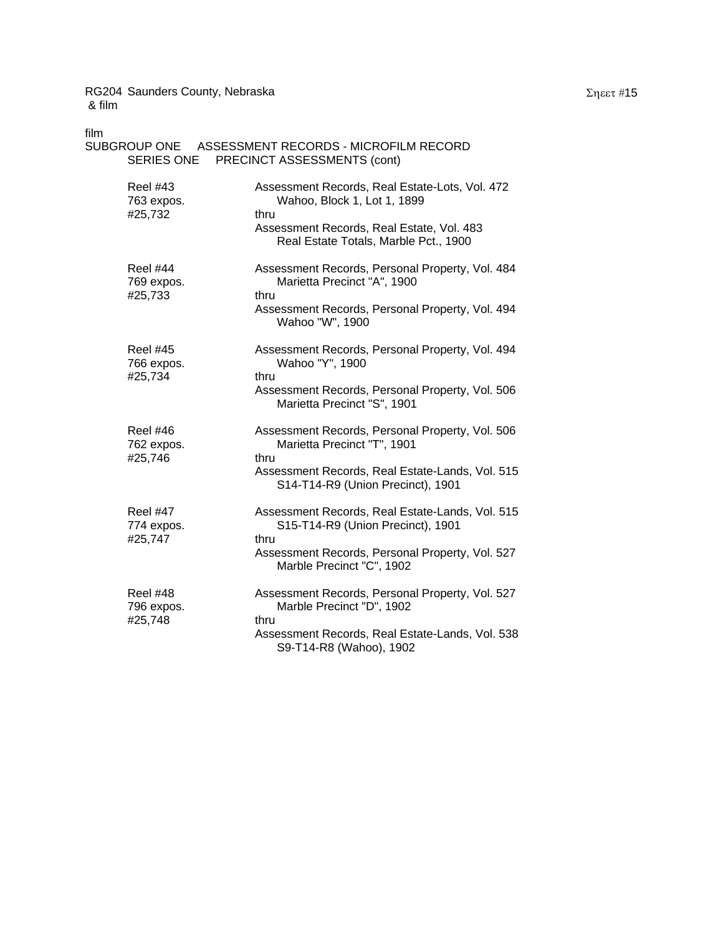| film                                     |                                                                                              |
|------------------------------------------|----------------------------------------------------------------------------------------------|
|                                          | SUBGROUP ONE ASSESSMENT RECORDS - MICROFILM RECORD<br>SERIES ONE PRECINCT ASSESSMENTS (cont) |
| <b>Reel #43</b><br>763 expos.<br>#25,732 | Assessment Records, Real Estate-Lots, Vol. 472<br>Wahoo, Block 1, Lot 1, 1899<br>thru        |
|                                          | Assessment Records, Real Estate, Vol. 483<br>Real Estate Totals, Marble Pct., 1900           |
| Reel #44<br>769 expos.<br>#25,733        | Assessment Records, Personal Property, Vol. 484<br>Marietta Precinct "A", 1900<br>thru       |
|                                          | Assessment Records, Personal Property, Vol. 494<br>Wahoo "W", 1900                           |
| <b>Reel #45</b><br>766 expos.<br>#25,734 | Assessment Records, Personal Property, Vol. 494<br>Wahoo "Y", 1900<br>thru                   |
|                                          | Assessment Records, Personal Property, Vol. 506<br>Marietta Precinct "S", 1901               |
| <b>Reel #46</b><br>762 expos.<br>#25,746 | Assessment Records, Personal Property, Vol. 506<br>Marietta Precinct "T", 1901<br>thru       |
|                                          | Assessment Records, Real Estate-Lands, Vol. 515<br>S14-T14-R9 (Union Precinct), 1901         |
| Reel #47<br>774 expos.<br>#25,747        | Assessment Records, Real Estate-Lands, Vol. 515<br>S15-T14-R9 (Union Precinct), 1901<br>thru |
|                                          | Assessment Records, Personal Property, Vol. 527<br>Marble Precinct "C", 1902                 |
| <b>Reel #48</b><br>796 expos.            | Assessment Records, Personal Property, Vol. 527<br>Marble Precinct "D", 1902                 |
| #25,748                                  | thru<br>Assessment Records, Real Estate-Lands, Vol. 538<br>S9-T14-R8 (Wahoo), 1902           |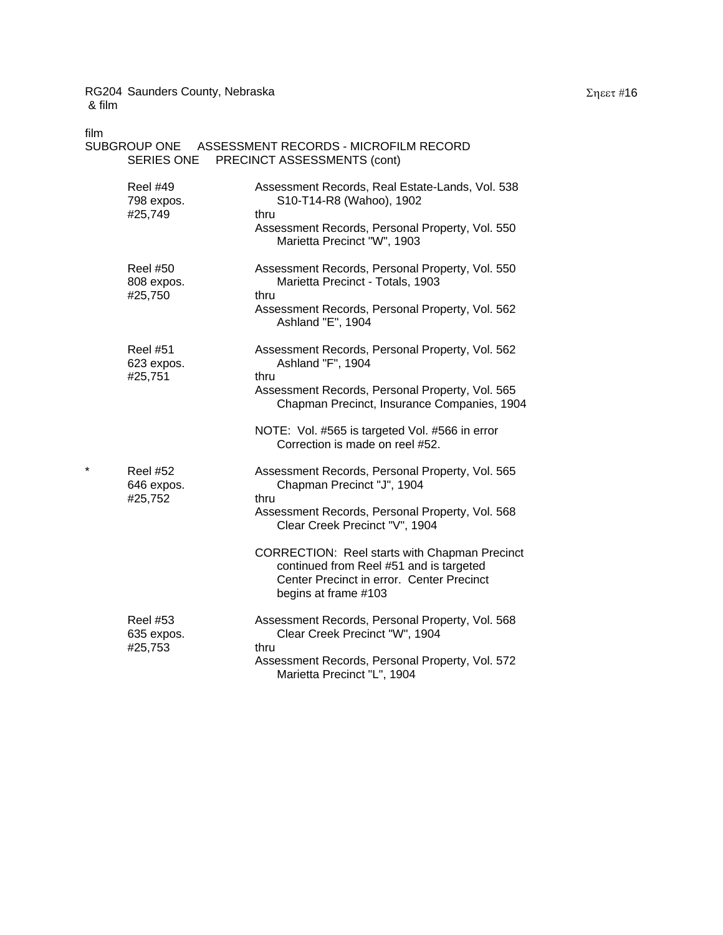| film    | SERIES ONE                               | SUBGROUP ONE ASSESSMENT RECORDS - MICROFILM RECORD<br>PRECINCT ASSESSMENTS (cont)                                                                                              |
|---------|------------------------------------------|--------------------------------------------------------------------------------------------------------------------------------------------------------------------------------|
|         | <b>Reel #49</b><br>798 expos.<br>#25,749 | Assessment Records, Real Estate-Lands, Vol. 538<br>S10-T14-R8 (Wahoo), 1902<br>thru<br>Assessment Records, Personal Property, Vol. 550<br>Marietta Precinct "W", 1903          |
|         | <b>Reel #50</b><br>808 expos.<br>#25,750 | Assessment Records, Personal Property, Vol. 550<br>Marietta Precinct - Totals, 1903<br>thru<br>Assessment Records, Personal Property, Vol. 562<br>Ashland "E", 1904            |
|         | <b>Reel #51</b><br>623 expos.<br>#25,751 | Assessment Records, Personal Property, Vol. 562<br>Ashland "F", 1904<br>thru<br>Assessment Records, Personal Property, Vol. 565<br>Chapman Precinct, Insurance Companies, 1904 |
|         |                                          | NOTE: Vol. #565 is targeted Vol. #566 in error<br>Correction is made on reel #52.                                                                                              |
| $\star$ | <b>Reel #52</b><br>646 expos.<br>#25,752 | Assessment Records, Personal Property, Vol. 565<br>Chapman Precinct "J", 1904<br>thru<br>Assessment Records, Personal Property, Vol. 568<br>Clear Creek Precinct "V", 1904     |
|         |                                          | CORRECTION: Reel starts with Chapman Precinct<br>continued from Reel #51 and is targeted<br>Center Precinct in error. Center Precinct<br>begins at frame #103                  |
|         | <b>Reel #53</b><br>635 expos.<br>#25,753 | Assessment Records, Personal Property, Vol. 568<br>Clear Creek Precinct "W", 1904<br>thru<br>Assessment Records, Personal Property, Vol. 572<br>Marietta Precinct "L", 1904    |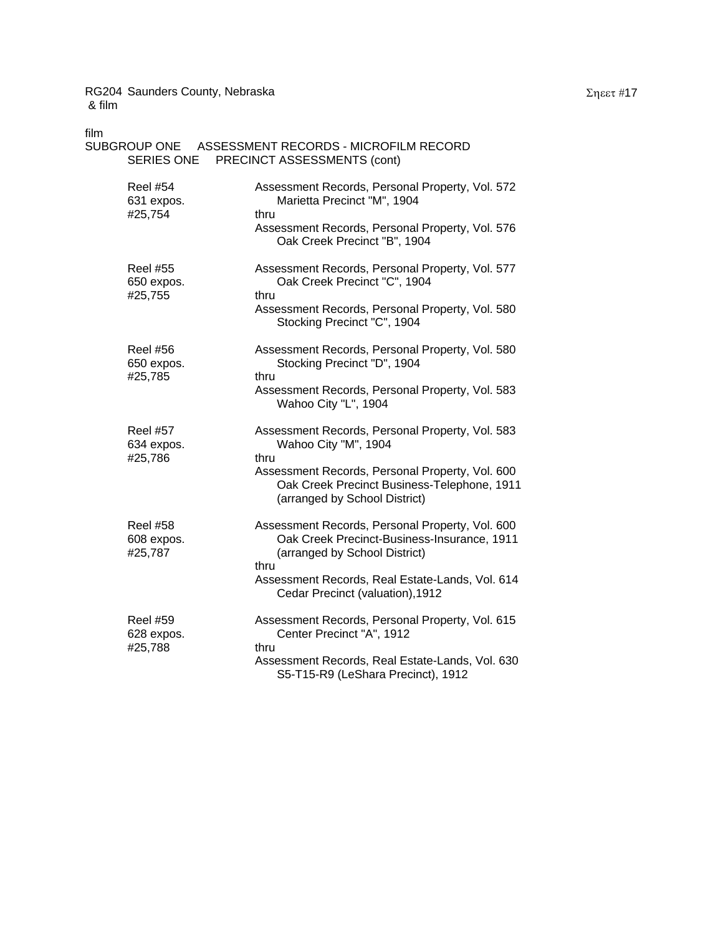| film<br>SERIES ONE                       | SUBGROUP ONE ASSESSMENT RECORDS - MICROFILM RECORD<br>PRECINCT ASSESSMENTS (cont)                                                                                                                                              |
|------------------------------------------|--------------------------------------------------------------------------------------------------------------------------------------------------------------------------------------------------------------------------------|
| <b>Reel #54</b><br>631 expos.<br>#25,754 | Assessment Records, Personal Property, Vol. 572<br>Marietta Precinct "M", 1904<br>thru<br>Assessment Records, Personal Property, Vol. 576<br>Oak Creek Precinct "B", 1904                                                      |
| <b>Reel #55</b><br>650 expos.<br>#25,755 | Assessment Records, Personal Property, Vol. 577<br>Oak Creek Precinct "C", 1904<br>thru<br>Assessment Records, Personal Property, Vol. 580<br>Stocking Precinct "C", 1904                                                      |
| <b>Reel #56</b><br>650 expos.<br>#25,785 | Assessment Records, Personal Property, Vol. 580<br>Stocking Precinct "D", 1904<br>thru<br>Assessment Records, Personal Property, Vol. 583<br>Wahoo City "L", 1904                                                              |
| <b>Reel #57</b><br>634 expos.<br>#25,786 | Assessment Records, Personal Property, Vol. 583<br>Wahoo City "M", 1904<br>thru<br>Assessment Records, Personal Property, Vol. 600<br>Oak Creek Precinct Business-Telephone, 1911<br>(arranged by School District)             |
| <b>Reel #58</b><br>608 expos.<br>#25,787 | Assessment Records, Personal Property, Vol. 600<br>Oak Creek Precinct-Business-Insurance, 1911<br>(arranged by School District)<br>thru<br>Assessment Records, Real Estate-Lands, Vol. 614<br>Cedar Precinct (valuation), 1912 |
| <b>Reel #59</b><br>628 expos.<br>#25,788 | Assessment Records, Personal Property, Vol. 615<br>Center Precinct "A", 1912<br>thru<br>Assessment Records, Real Estate-Lands, Vol. 630<br>S5-T15-R9 (LeShara Precinct), 1912                                                  |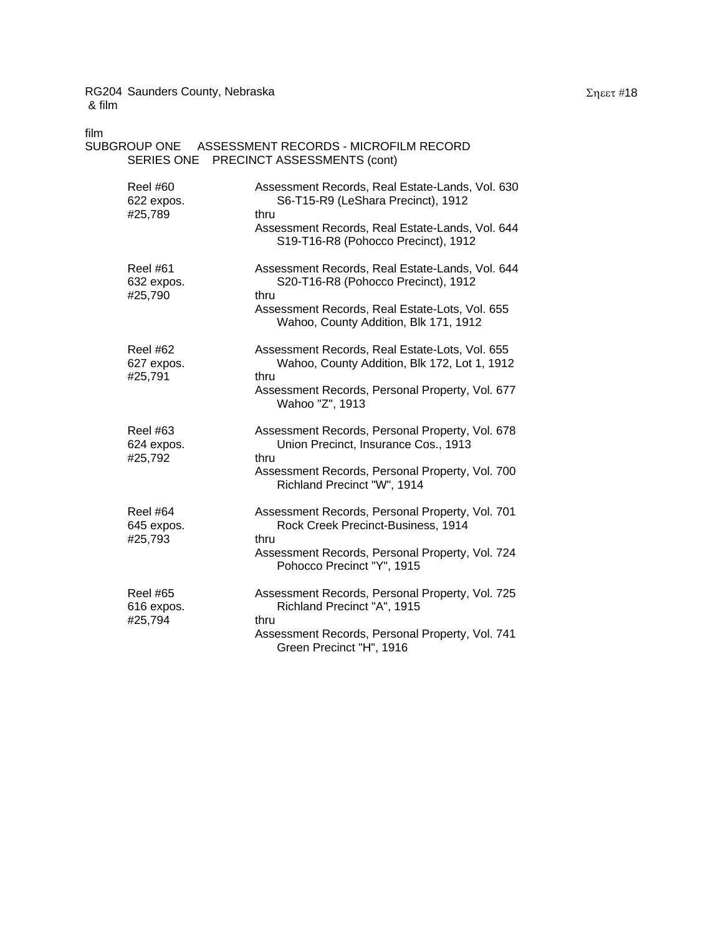| film                                     | SUBGROUP ONE ASSESSMENT RECORDS - MICROFILM RECORD<br>SERIES ONE PRECINCT ASSESSMENTS (cont)                                                                                              |
|------------------------------------------|-------------------------------------------------------------------------------------------------------------------------------------------------------------------------------------------|
| Reel #60<br>622 expos.<br>#25,789        | Assessment Records, Real Estate-Lands, Vol. 630<br>S6-T15-R9 (LeShara Precinct), 1912<br>thru<br>Assessment Records, Real Estate-Lands, Vol. 644<br>S19-T16-R8 (Pohocco Precinct), 1912   |
| <b>Reel #61</b><br>632 expos.<br>#25,790 | Assessment Records, Real Estate-Lands, Vol. 644<br>S20-T16-R8 (Pohocco Precinct), 1912<br>thru<br>Assessment Records, Real Estate-Lots, Vol. 655<br>Wahoo, County Addition, Blk 171, 1912 |
| Reel #62<br>627 expos.<br>#25,791        | Assessment Records, Real Estate-Lots, Vol. 655<br>Wahoo, County Addition, Blk 172, Lot 1, 1912<br>thru<br>Assessment Records, Personal Property, Vol. 677<br>Wahoo "Z", 1913              |
| <b>Reel #63</b><br>624 expos.<br>#25,792 | Assessment Records, Personal Property, Vol. 678<br>Union Precinct, Insurance Cos., 1913<br>thru<br>Assessment Records, Personal Property, Vol. 700<br>Richland Precinct "W", 1914         |
| <b>Reel #64</b><br>645 expos.<br>#25,793 | Assessment Records, Personal Property, Vol. 701<br>Rock Creek Precinct-Business, 1914<br>thru<br>Assessment Records, Personal Property, Vol. 724<br>Pohocco Precinct "Y", 1915            |
| <b>Reel #65</b><br>616 expos.<br>#25,794 | Assessment Records, Personal Property, Vol. 725<br>Richland Precinct "A", 1915<br>thru<br>Assessment Records, Personal Property, Vol. 741<br>Green Precinct "H", 1916                     |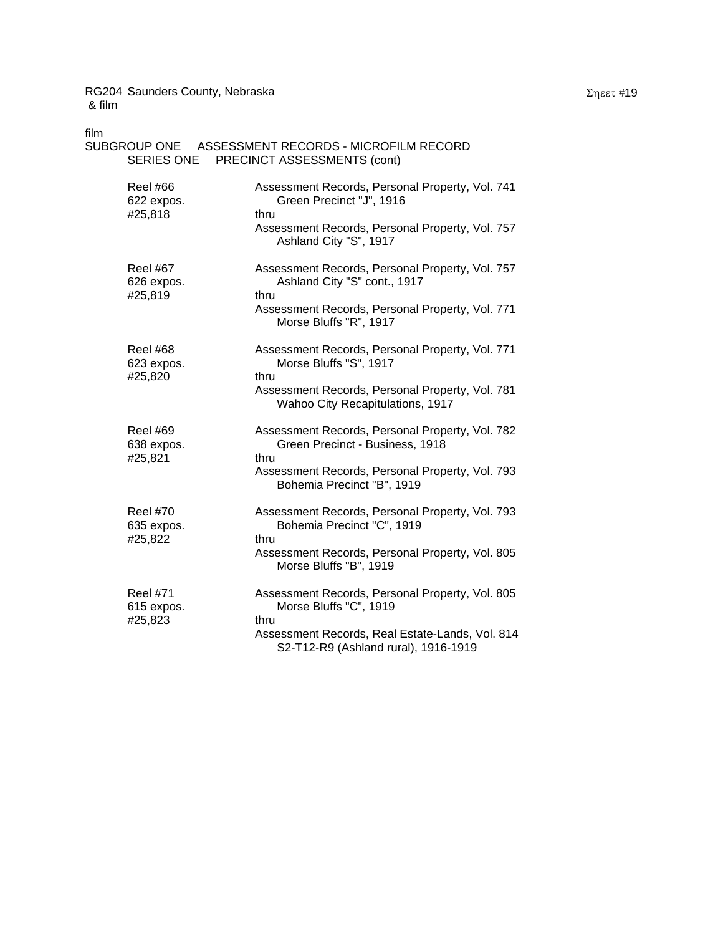| film<br>SERIES ONE                       | SUBGROUP ONE ASSESSMENT RECORDS - MICROFILM RECORD<br>PRECINCT ASSESSMENTS (cont)                                                                                           |
|------------------------------------------|-----------------------------------------------------------------------------------------------------------------------------------------------------------------------------|
| <b>Reel #66</b><br>622 expos.<br>#25,818 | Assessment Records, Personal Property, Vol. 741<br>Green Precinct "J", 1916<br>thru<br>Assessment Records, Personal Property, Vol. 757<br>Ashland City "S", 1917            |
| <b>Reel #67</b><br>626 expos.<br>#25,819 | Assessment Records, Personal Property, Vol. 757<br>Ashland City "S" cont., 1917<br>thru<br>Assessment Records, Personal Property, Vol. 771<br>Morse Bluffs "R", 1917        |
| Reel #68<br>623 expos.<br>#25,820        | Assessment Records, Personal Property, Vol. 771<br>Morse Bluffs "S", 1917<br>thru<br>Assessment Records, Personal Property, Vol. 781<br>Wahoo City Recapitulations, 1917    |
| <b>Reel #69</b><br>638 expos.<br>#25,821 | Assessment Records, Personal Property, Vol. 782<br>Green Precinct - Business, 1918<br>thru<br>Assessment Records, Personal Property, Vol. 793<br>Bohemia Precinct "B", 1919 |
| <b>Reel #70</b><br>635 expos.<br>#25,822 | Assessment Records, Personal Property, Vol. 793<br>Bohemia Precinct "C", 1919<br>thru<br>Assessment Records, Personal Property, Vol. 805<br>Morse Bluffs "B", 1919          |
| <b>Reel #71</b><br>615 expos.<br>#25,823 | Assessment Records, Personal Property, Vol. 805<br>Morse Bluffs "C", 1919<br>thru<br>Assessment Records, Real Estate-Lands, Vol. 814                                        |

S2-T12-R9 (Ashland rural), 1916-1919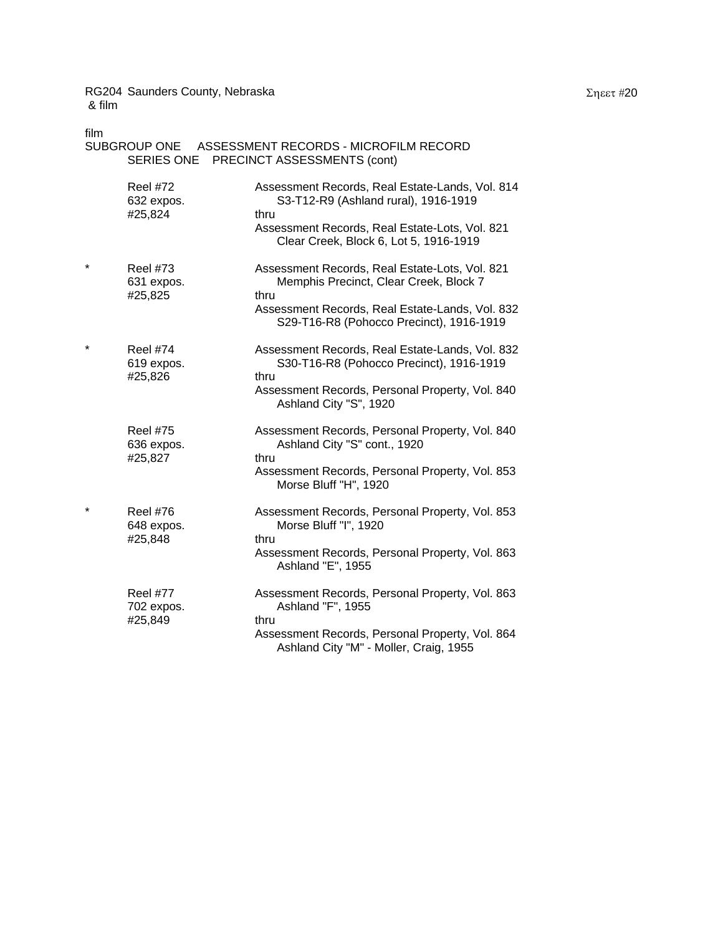| film       |                                          | SUBGROUP ONE ASSESSMENT RECORDS - MICROFILM RECORD<br>SERIES ONE PRECINCT ASSESSMENTS (cont)                                                                                                    |
|------------|------------------------------------------|-------------------------------------------------------------------------------------------------------------------------------------------------------------------------------------------------|
|            | <b>Reel #72</b><br>632 expos.<br>#25,824 | Assessment Records, Real Estate-Lands, Vol. 814<br>S3-T12-R9 (Ashland rural), 1916-1919<br>thru<br>Assessment Records, Real Estate-Lots, Vol. 821<br>Clear Creek, Block 6, Lot 5, 1916-1919     |
| $\star$    | <b>Reel #73</b><br>631 expos.<br>#25,825 | Assessment Records, Real Estate-Lots, Vol. 821<br>Memphis Precinct, Clear Creek, Block 7<br>thru<br>Assessment Records, Real Estate-Lands, Vol. 832<br>S29-T16-R8 (Pohocco Precinct), 1916-1919 |
| $\star$    | <b>Reel #74</b><br>619 expos.<br>#25,826 | Assessment Records, Real Estate-Lands, Vol. 832<br>S30-T16-R8 (Pohocco Precinct), 1916-1919<br>thru<br>Assessment Records, Personal Property, Vol. 840<br>Ashland City "S", 1920                |
|            | <b>Reel #75</b><br>636 expos.<br>#25,827 | Assessment Records, Personal Property, Vol. 840<br>Ashland City "S" cont., 1920<br>thru<br>Assessment Records, Personal Property, Vol. 853<br>Morse Bluff "H", 1920                             |
| $^{\star}$ | <b>Reel #76</b><br>648 expos.<br>#25,848 | Assessment Records, Personal Property, Vol. 853<br>Morse Bluff "I", 1920<br>thru<br>Assessment Records, Personal Property, Vol. 863<br>Ashland "E", 1955                                        |
|            | <b>Reel #77</b><br>702 expos.<br>#25,849 | Assessment Records, Personal Property, Vol. 863<br>Ashland "F", 1955<br>thru<br>Assessment Records, Personal Property, Vol. 864<br>Ashland City "M" - Moller, Craig, 1955                       |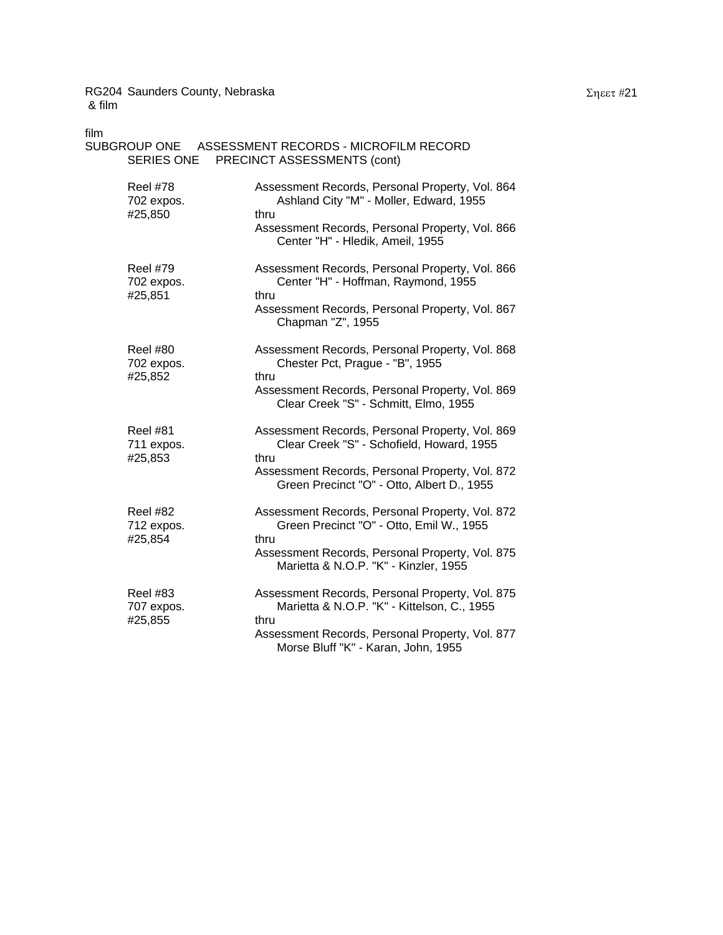| film<br>SERIES ONE                       | SUBGROUP ONE ASSESSMENT RECORDS - MICROFILM RECORD<br>PRECINCT ASSESSMENTS (cont)                                                                                                                     |
|------------------------------------------|-------------------------------------------------------------------------------------------------------------------------------------------------------------------------------------------------------|
| Reel #78<br>702 expos.<br>#25,850        | Assessment Records, Personal Property, Vol. 864<br>Ashland City "M" - Moller, Edward, 1955<br>thru<br>Assessment Records, Personal Property, Vol. 866<br>Center "H" - Hledik, Ameil, 1955             |
| <b>Reel #79</b><br>702 expos.<br>#25,851 | Assessment Records, Personal Property, Vol. 866<br>Center "H" - Hoffman, Raymond, 1955<br>thru<br>Assessment Records, Personal Property, Vol. 867<br>Chapman "Z", 1955                                |
| <b>Reel #80</b><br>702 expos.<br>#25,852 | Assessment Records, Personal Property, Vol. 868<br>Chester Pct, Prague - "B", 1955<br>thru<br>Assessment Records, Personal Property, Vol. 869<br>Clear Creek "S" - Schmitt, Elmo, 1955                |
| <b>Reel #81</b><br>711 expos.<br>#25,853 | Assessment Records, Personal Property, Vol. 869<br>Clear Creek "S" - Schofield, Howard, 1955<br>thru<br>Assessment Records, Personal Property, Vol. 872<br>Green Precinct "O" - Otto, Albert D., 1955 |
| <b>Reel #82</b><br>712 expos.<br>#25,854 | Assessment Records, Personal Property, Vol. 872<br>Green Precinct "O" - Otto, Emil W., 1955<br>thru<br>Assessment Records, Personal Property, Vol. 875<br>Marietta & N.O.P. "K" - Kinzler, 1955       |
| <b>Reel #83</b><br>707 expos.<br>#25,855 | Assessment Records, Personal Property, Vol. 875<br>Marietta & N.O.P. "K" - Kittelson, C., 1955<br>thru<br>Assessment Records, Personal Property, Vol. 877<br>Morse Bluff "K" - Karan, John, 1955      |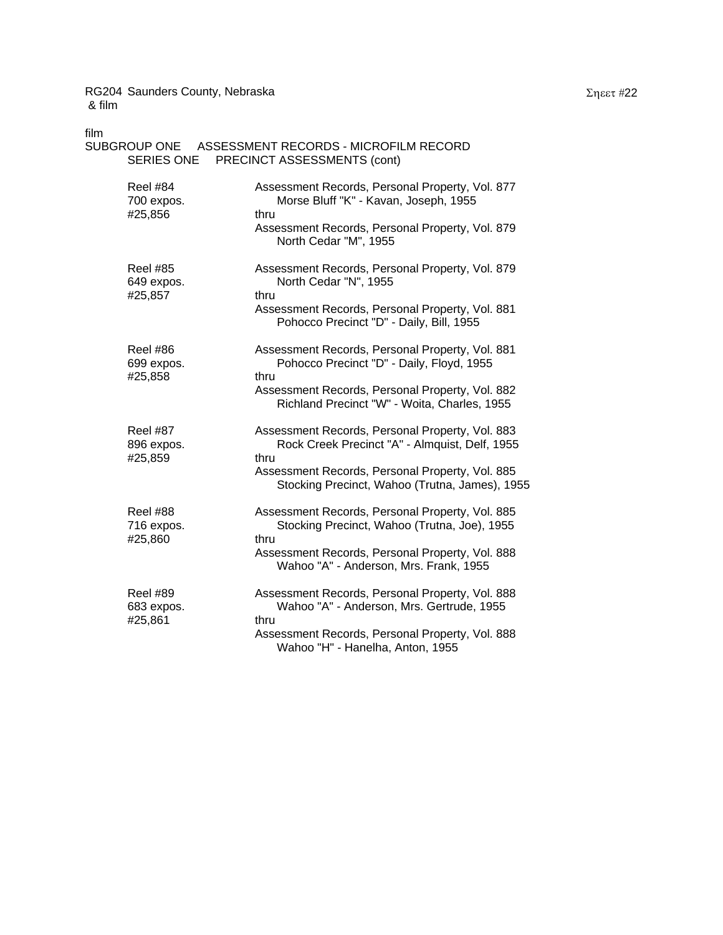| film<br>SERIES ONE                       | SUBGROUP ONE ASSESSMENT RECORDS - MICROFILM RECORD<br>PRECINCT ASSESSMENTS (cont)                                                                   |  |  |
|------------------------------------------|-----------------------------------------------------------------------------------------------------------------------------------------------------|--|--|
| <b>Reel #84</b><br>700 expos.<br>#25,856 | Assessment Records, Personal Property, Vol. 877<br>Morse Bluff "K" - Kavan, Joseph, 1955<br>thru<br>Assessment Records, Personal Property, Vol. 879 |  |  |
|                                          | North Cedar "M", 1955                                                                                                                               |  |  |
| <b>Reel #85</b><br>649 expos.<br>#25,857 | Assessment Records, Personal Property, Vol. 879<br>North Cedar "N", 1955<br>thru                                                                    |  |  |
|                                          | Assessment Records, Personal Property, Vol. 881<br>Pohocco Precinct "D" - Daily, Bill, 1955                                                         |  |  |
| <b>Reel #86</b><br>699 expos.<br>#25,858 | Assessment Records, Personal Property, Vol. 881<br>Pohocco Precinct "D" - Daily, Floyd, 1955<br>thru                                                |  |  |
|                                          | Assessment Records, Personal Property, Vol. 882<br>Richland Precinct "W" - Woita, Charles, 1955                                                     |  |  |
| <b>Reel #87</b><br>896 expos.<br>#25,859 | Assessment Records, Personal Property, Vol. 883<br>Rock Creek Precinct "A" - Almquist, Delf, 1955<br>thru                                           |  |  |
|                                          | Assessment Records, Personal Property, Vol. 885<br>Stocking Precinct, Wahoo (Trutna, James), 1955                                                   |  |  |
| Reel #88<br>716 expos.<br>#25,860        | Assessment Records, Personal Property, Vol. 885<br>Stocking Precinct, Wahoo (Trutna, Joe), 1955<br>thru                                             |  |  |
|                                          | Assessment Records, Personal Property, Vol. 888<br>Wahoo "A" - Anderson, Mrs. Frank, 1955                                                           |  |  |
| <b>Reel #89</b><br>683 expos.<br>#25,861 | Assessment Records, Personal Property, Vol. 888<br>Wahoo "A" - Anderson, Mrs. Gertrude, 1955<br>thru                                                |  |  |
|                                          | $\blacksquare$                                                                                                                                      |  |  |

Assessment Records, Personal Property, Vol. 888 Wahoo "H" - Hanelha, Anton, 1955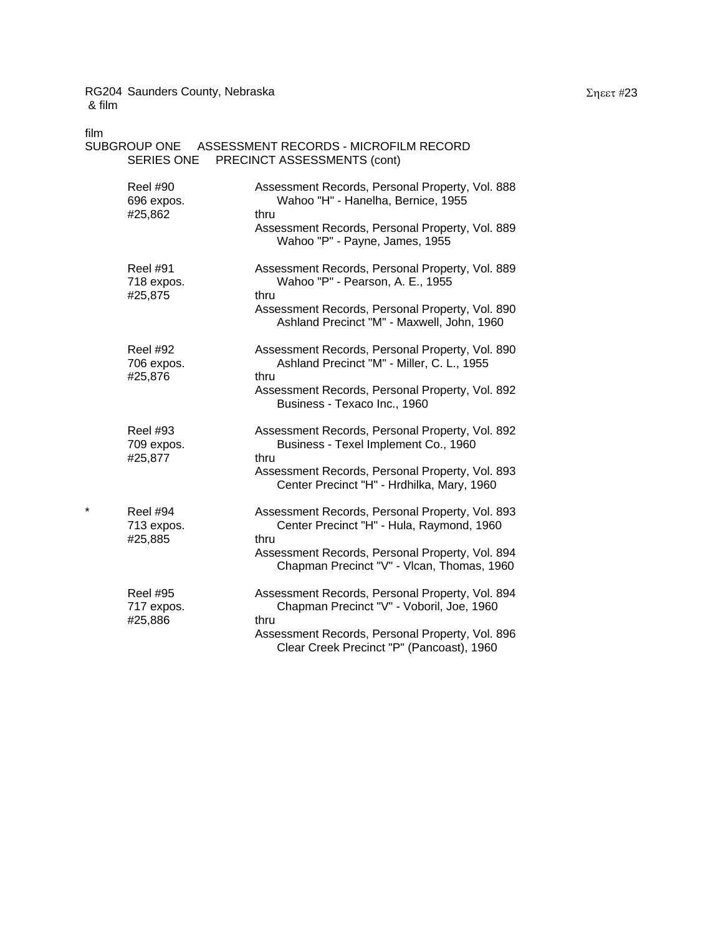| film | <b>SERIES ONE</b>                        | SUBGROUP ONE ASSESSMENT RECORDS - MICROFILM RECORD<br>PRECINCT ASSESSMENTS (cont)                     |
|------|------------------------------------------|-------------------------------------------------------------------------------------------------------|
|      | <b>Reel #90</b><br>696 expos.<br>#25,862 | Assessment Records, Personal Property, Vol. 888<br>Wahoo "H" - Hanelha, Bernice, 1955<br>thru         |
|      |                                          | Assessment Records, Personal Property, Vol. 889<br>Wahoo "P" - Payne, James, 1955                     |
|      | <b>Reel #91</b><br>718 expos.<br>#25,875 | Assessment Records, Personal Property, Vol. 889<br>Wahoo "P" - Pearson, A. E., 1955<br>thru           |
|      |                                          | Assessment Records, Personal Property, Vol. 890<br>Ashland Precinct "M" - Maxwell, John, 1960         |
|      | <b>Reel #92</b><br>706 expos.<br>#25,876 | Assessment Records, Personal Property, Vol. 890<br>Ashland Precinct "M" - Miller, C. L., 1955<br>thru |
|      |                                          | Assessment Records, Personal Property, Vol. 892<br>Business - Texaco Inc., 1960                       |
|      | <b>Reel #93</b><br>709 expos.<br>#25,877 | Assessment Records, Personal Property, Vol. 892<br>Business - Texel Implement Co., 1960<br>thru       |
|      |                                          | Assessment Records, Personal Property, Vol. 893<br>Center Precinct "H" - Hrdhilka, Mary, 1960         |
| *    | <b>Reel #94</b><br>713 expos.<br>#25,885 | Assessment Records, Personal Property, Vol. 893<br>Center Precinct "H" - Hula, Raymond, 1960<br>thru  |
|      |                                          | Assessment Records, Personal Property, Vol. 894<br>Chapman Precinct "V" - Vlcan, Thomas, 1960         |
|      | <b>Reel #95</b><br>717 expos.<br>#25,886 | Assessment Records, Personal Property, Vol. 894<br>Chapman Precinct "V" - Voboril, Joe, 1960<br>thru  |
|      |                                          | Assessment Records, Personal Property, Vol. 896<br>Clear Creek Precinct "P" (Pancoast), 1960          |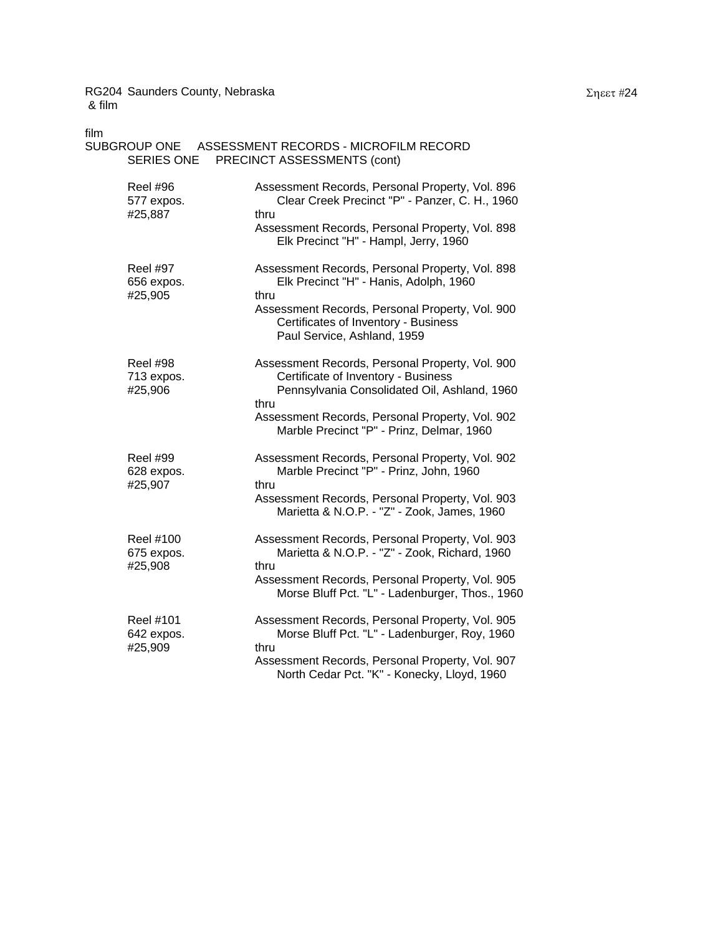| film<br>SUBGROUP ONE<br>SERIES ONE        | ASSESSMENT RECORDS - MICROFILM RECORD<br>PRECINCT ASSESSMENTS (cont)                                                                                                                                                                           |
|-------------------------------------------|------------------------------------------------------------------------------------------------------------------------------------------------------------------------------------------------------------------------------------------------|
| <b>Reel #96</b><br>577 expos.<br>#25,887  | Assessment Records, Personal Property, Vol. 896<br>Clear Creek Precinct "P" - Panzer, C. H., 1960<br>thru<br>Assessment Records, Personal Property, Vol. 898<br>Elk Precinct "H" - Hampl, Jerry, 1960                                          |
| <b>Reel #97</b><br>656 expos.<br>#25,905  | Assessment Records, Personal Property, Vol. 898<br>Elk Precinct "H" - Hanis, Adolph, 1960<br>thru<br>Assessment Records, Personal Property, Vol. 900<br>Certificates of Inventory - Business<br>Paul Service, Ashland, 1959                    |
| <b>Reel #98</b><br>713 expos.<br>#25,906  | Assessment Records, Personal Property, Vol. 900<br>Certificate of Inventory - Business<br>Pennsylvania Consolidated Oil, Ashland, 1960<br>thru<br>Assessment Records, Personal Property, Vol. 902<br>Marble Precinct "P" - Prinz, Delmar, 1960 |
| <b>Reel #99</b><br>628 expos.<br>#25,907  | Assessment Records, Personal Property, Vol. 902<br>Marble Precinct "P" - Prinz, John, 1960<br>thru<br>Assessment Records, Personal Property, Vol. 903<br>Marietta & N.O.P. - "Z" - Zook, James, 1960                                           |
| <b>Reel #100</b><br>675 expos.<br>#25,908 | Assessment Records, Personal Property, Vol. 903<br>Marietta & N.O.P. - "Z" - Zook, Richard, 1960<br>thru<br>Assessment Records, Personal Property, Vol. 905<br>Morse Bluff Pct. "L" - Ladenburger, Thos., 1960                                 |
| <b>Reel #101</b><br>642 expos.<br>#25,909 | Assessment Records, Personal Property, Vol. 905<br>Morse Bluff Pct. "L" - Ladenburger, Roy, 1960<br>thru<br>Assessment Records, Personal Property, Vol. 907<br>North Cedar Pct. "K" - Konecky, Lloyd, 1960                                     |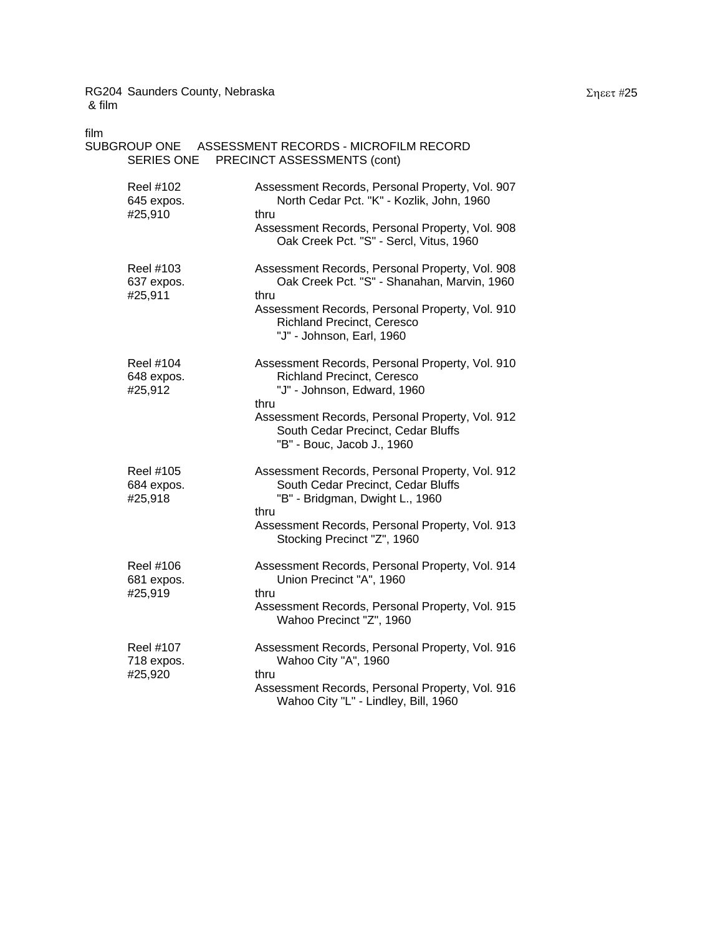| film                                      | SUBGROUP ONE ASSESSMENT RECORDS - MICROFILM RECORD                                                                                                                                                 |  |  |
|-------------------------------------------|----------------------------------------------------------------------------------------------------------------------------------------------------------------------------------------------------|--|--|
| SERIES ONE<br>PRECINCT ASSESSMENTS (cont) |                                                                                                                                                                                                    |  |  |
| Reel #102<br>645 expos.<br>#25,910        | Assessment Records, Personal Property, Vol. 907<br>North Cedar Pct. "K" - Kozlik, John, 1960<br>thru<br>Assessment Records, Personal Property, Vol. 908<br>Oak Creek Pct. "S" - Sercl, Vitus, 1960 |  |  |
| Reel #103<br>637 expos.<br>#25,911        | Assessment Records, Personal Property, Vol. 908<br>Oak Creek Pct. "S" - Shanahan, Marvin, 1960<br>thru<br>Assessment Records, Personal Property, Vol. 910                                          |  |  |
|                                           | <b>Richland Precinct, Ceresco</b><br>"J" - Johnson, Earl, 1960                                                                                                                                     |  |  |
| Reel #104<br>648 expos.<br>#25,912        | Assessment Records, Personal Property, Vol. 910<br><b>Richland Precinct, Ceresco</b><br>"J" - Johnson, Edward, 1960<br>thru                                                                        |  |  |
|                                           | Assessment Records, Personal Property, Vol. 912<br>South Cedar Precinct, Cedar Bluffs<br>"B" - Bouc, Jacob J., 1960                                                                                |  |  |
| Reel #105<br>684 expos.<br>#25,918        | Assessment Records, Personal Property, Vol. 912<br>South Cedar Precinct, Cedar Bluffs<br>"B" - Bridgman, Dwight L., 1960<br>thru                                                                   |  |  |
|                                           | Assessment Records, Personal Property, Vol. 913<br>Stocking Precinct "Z", 1960                                                                                                                     |  |  |
| Reel #106<br>681 expos.<br>#25,919        | Assessment Records, Personal Property, Vol. 914<br>Union Precinct "A", 1960<br>thru                                                                                                                |  |  |

Assessment Records, Personal Property, Vol. 915

Assessment Records, Personal Property, Vol. 916 Wahoo City "L" - Lindley, Bill, 1960

Wahoo Precinct "Z", 1960

Reel #107 Assessment Records, Personal Property, Vol. 916

718 expos. Wahoo City "A", 1960

#25,920 thru

## Σηεετ #25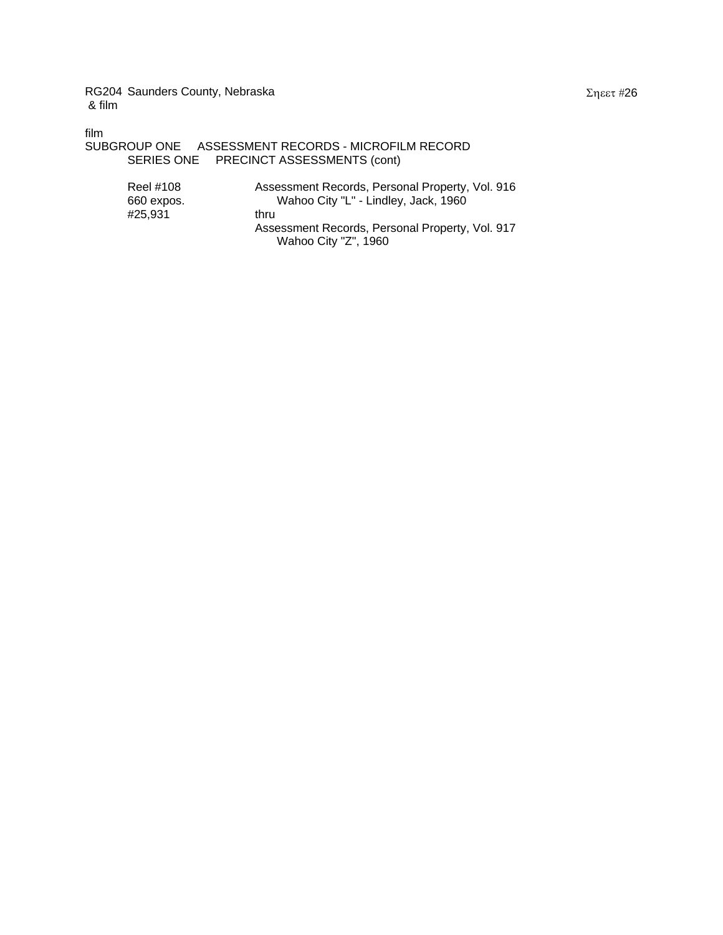film

```
SUBGROUP ONE ASSESSMENT RECORDS - MICROFILM RECORD 
SERIES ONE PRECINCT ASSESSMENTS (cont)
```

| Reel #108  | Assessment Records, Personal Property, Vol. 916 |
|------------|-------------------------------------------------|
| 660 expos. | Wahoo City "L" - Lindley, Jack, 1960            |
| #25.931    | thru                                            |
|            | Assessment Records, Personal Property, Vol. 917 |
|            | Wahoo City "Z", 1960                            |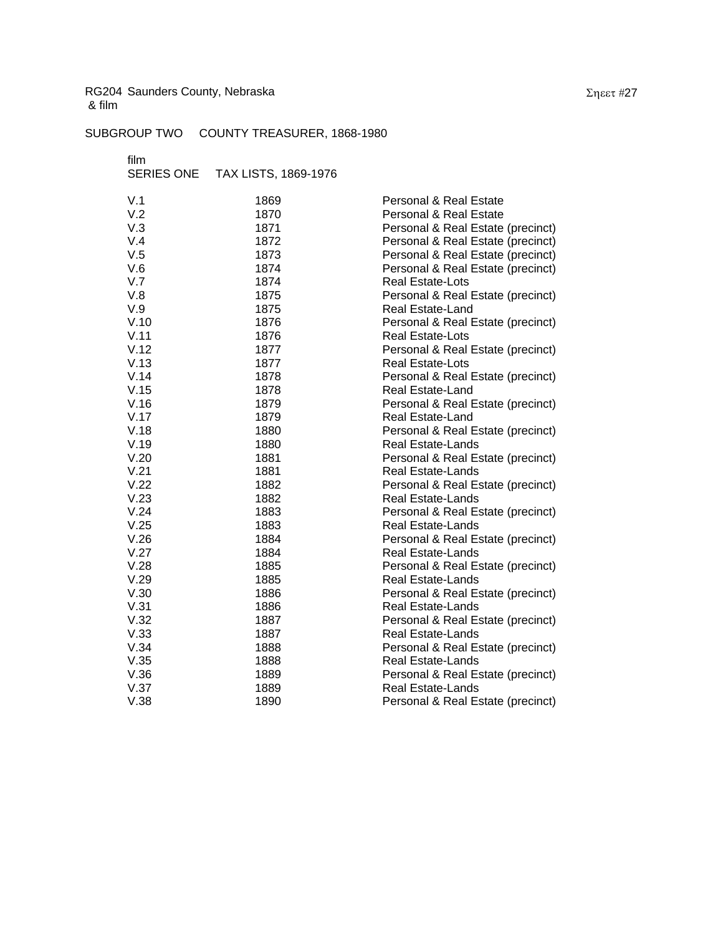SUBGROUP TWO COUNTY TREASURER, 1868-1980

film

SERIES ONE TAX LISTS, 1869-1976

| V.1  | 1869 | <b>Personal &amp; Real Estate</b> |
|------|------|-----------------------------------|
| V.2  | 1870 | <b>Personal &amp; Real Estate</b> |
| V.3  | 1871 | Personal & Real Estate (precinct) |
| V.4  | 1872 | Personal & Real Estate (precinct) |
| V.5  | 1873 | Personal & Real Estate (precinct) |
| V.6  | 1874 | Personal & Real Estate (precinct) |
| V.7  | 1874 | Real Estate-Lots                  |
| V.8  | 1875 | Personal & Real Estate (precinct) |
| V.9  | 1875 | Real Estate-Land                  |
| V.10 | 1876 | Personal & Real Estate (precinct) |
| V.11 | 1876 | Real Estate-Lots                  |
| V.12 | 1877 | Personal & Real Estate (precinct) |
| V.13 | 1877 | Real Estate-Lots                  |
| V.14 | 1878 | Personal & Real Estate (precinct) |
| V.15 | 1878 | Real Estate-Land                  |
| V.16 | 1879 | Personal & Real Estate (precinct) |
| V.17 | 1879 | Real Estate-Land                  |
| V.18 | 1880 | Personal & Real Estate (precinct) |
| V.19 | 1880 | Real Estate-Lands                 |
| V.20 | 1881 | Personal & Real Estate (precinct) |
| V.21 | 1881 | Real Estate-Lands                 |
| V.22 | 1882 | Personal & Real Estate (precinct) |
| V.23 | 1882 | <b>Real Estate-Lands</b>          |
| V.24 | 1883 | Personal & Real Estate (precinct) |
| V.25 | 1883 | <b>Real Estate-Lands</b>          |
| V.26 | 1884 | Personal & Real Estate (precinct) |
| V.27 | 1884 | <b>Real Estate-Lands</b>          |
| V.28 | 1885 | Personal & Real Estate (precinct) |
| V.29 | 1885 | <b>Real Estate-Lands</b>          |
| V.30 | 1886 | Personal & Real Estate (precinct) |
| V.31 | 1886 | <b>Real Estate-Lands</b>          |
| V.32 | 1887 | Personal & Real Estate (precinct) |
| V.33 | 1887 | <b>Real Estate-Lands</b>          |
| V.34 | 1888 | Personal & Real Estate (precinct) |
| V.35 | 1888 | Real Estate-Lands                 |
| V.36 | 1889 | Personal & Real Estate (precinct) |
| V.37 | 1889 | <b>Real Estate-Lands</b>          |
| V.38 | 1890 | Personal & Real Estate (precinct) |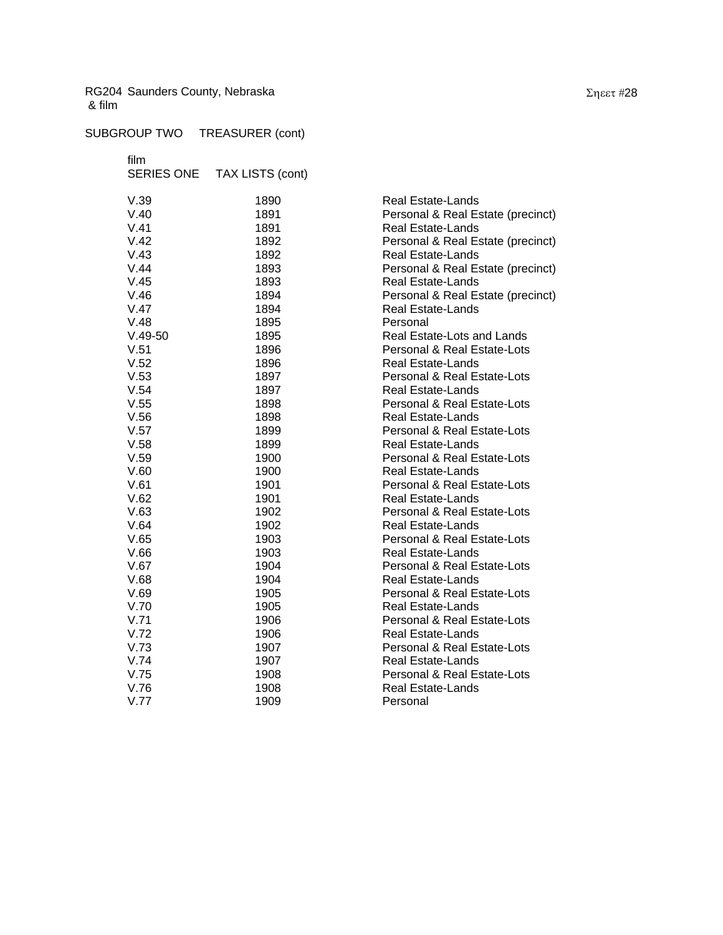# SUBGROUP TWO TREASURER (cont)

film

| <b>SERIES ONE</b> | TAX LISTS (cont) |                                   |
|-------------------|------------------|-----------------------------------|
| V.39              | 1890             | <b>Real Estate-Lands</b>          |
| V.40              | 1891             | Personal & Real Estate (precinct) |
| V.41              | 1891             | <b>Real Estate-Lands</b>          |
| V.42              | 1892             | Personal & Real Estate (precinct) |
| V.43              | 1892             | <b>Real Estate-Lands</b>          |
| V.44              | 1893             | Personal & Real Estate (precinct) |
| V.45              | 1893             | <b>Real Estate-Lands</b>          |
| V.46              | 1894             | Personal & Real Estate (precinct) |
| V.47              | 1894             | <b>Real Estate-Lands</b>          |
| V.48              | 1895             | Personal                          |
| $V.49-50$         | 1895             | Real Estate-Lots and Lands        |
| V.51              | 1896             | Personal & Real Estate-Lots       |
| V.52              | 1896             | <b>Real Estate-Lands</b>          |
| V.53              | 1897             | Personal & Real Estate-Lots       |
| V.54              | 1897             | <b>Real Estate-Lands</b>          |
| V.55              | 1898             | Personal & Real Estate-Lots       |
| V.56              | 1898             | <b>Real Estate-Lands</b>          |
| V.57              | 1899             | Personal & Real Estate-Lots       |
| V.58              | 1899             | <b>Real Estate-Lands</b>          |
| V.59              | 1900             | Personal & Real Estate-Lots       |
| V.60              | 1900             | <b>Real Estate-Lands</b>          |
| V.61              | 1901             | Personal & Real Estate-Lots       |
| V.62              | 1901             | <b>Real Estate-Lands</b>          |
| V.63              | 1902             | Personal & Real Estate-Lots       |
| V.64              | 1902             | <b>Real Estate-Lands</b>          |
| V.65              | 1903             | Personal & Real Estate-Lots       |
| V.66              | 1903             | <b>Real Estate-Lands</b>          |
| V.67              | 1904             | Personal & Real Estate-Lots       |
| V.68              | 1904             | <b>Real Estate-Lands</b>          |
| V.69              | 1905             | Personal & Real Estate-Lots       |
| V.70              | 1905             | <b>Real Estate-Lands</b>          |
| V.71              | 1906             | Personal & Real Estate-Lots       |
| V.72              | 1906             | <b>Real Estate-Lands</b>          |
| V.73              | 1907             | Personal & Real Estate-Lots       |
| V.74              | 1907             | <b>Real Estate-Lands</b>          |
| V.75              | 1908             | Personal & Real Estate-Lots       |
| V.76              | 1908             | <b>Real Estate-Lands</b>          |
| V.77              | 1909             | Personal                          |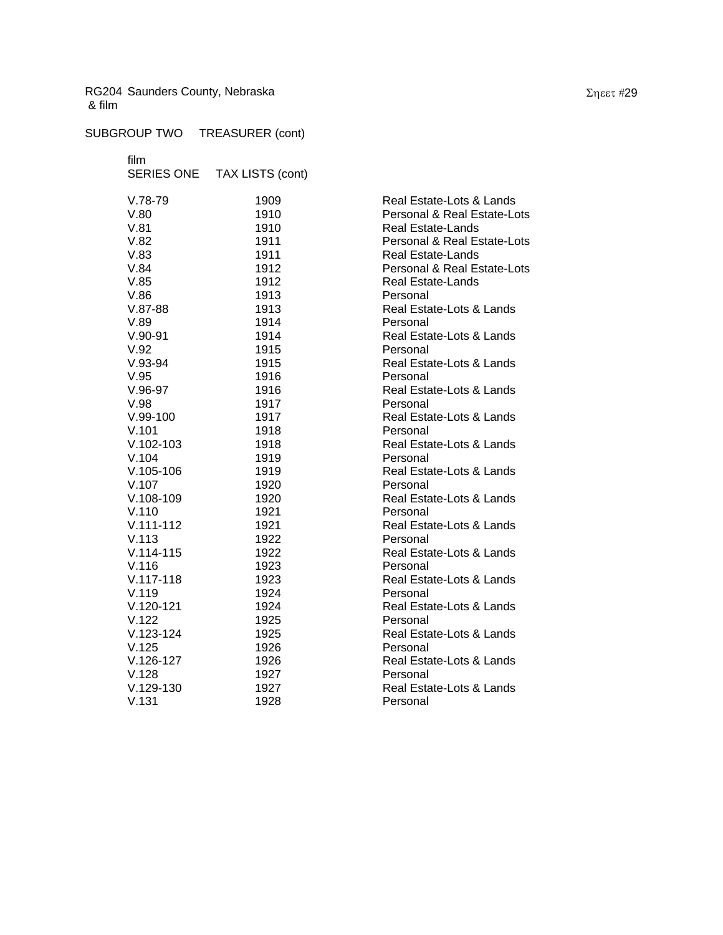# SUBGROUP TWO TREASURER (cont)

film

|               | SERIES ONE TAX LISTS (cont) |                             |
|---------------|-----------------------------|-----------------------------|
| $V.78-79$     | 1909                        | Real Estate-Lots & Lands    |
| V.80          | 1910                        | Personal & Real Estate-Lots |
| V.81          | 1910                        | <b>Real Estate-Lands</b>    |
| V.82          | 1911                        | Personal & Real Estate-Lots |
| V.83          | 1911                        | Real Estate-Lands           |
| V.84          | 1912                        | Personal & Real Estate-Lots |
| V.85          | 1912                        | <b>Real Estate-Lands</b>    |
| V.86          | 1913                        | Personal                    |
| $V.87-88$     | 1913                        | Real Estate-Lots & Lands    |
| V.89          | 1914                        | Personal                    |
| $V.90-91$     | 1914                        | Real Estate-Lots & Lands    |
| V.92          | 1915                        | Personal                    |
| $V.93-94$     | 1915                        | Real Estate-Lots & Lands    |
| V.95          | 1916                        | Personal                    |
| $V.96-97$     | 1916                        | Real Estate-Lots & Lands    |
| V.98          | 1917                        | Personal                    |
| $V.99-100$    | 1917                        | Real Estate-Lots & Lands    |
| V.101         | 1918                        | Personal                    |
| $V.102 - 103$ | 1918                        | Real Estate-Lots & Lands    |
| V.104         | 1919                        | Personal                    |
| $V.105-106$   | 1919                        | Real Estate-Lots & Lands    |
| V.107         | 1920                        | Personal                    |
| $V.108-109$   | 1920                        | Real Estate-Lots & Lands    |
| V.110         | 1921                        | Personal                    |
| $V.111 - 112$ | 1921                        | Real Estate-Lots & Lands    |
| V.113         | 1922                        | Personal                    |
| $V.114 - 115$ | 1922                        | Real Estate-Lots & Lands    |
| V.116         | 1923                        | Personal                    |
| $V.117 - 118$ | 1923                        | Real Estate-Lots & Lands    |
| V.119         | 1924                        | Personal                    |
| $V.120-121$   | 1924                        | Real Estate-Lots & Lands    |
| V.122         | 1925                        | Personal                    |
| $V.123 - 124$ | 1925                        | Real Estate-Lots & Lands    |
| V.125         | 1926                        | Personal                    |
| $V.126-127$   | 1926                        | Real Estate-Lots & Lands    |
| V.128         | 1927                        | Personal                    |
| $V.129-130$   | 1927                        | Real Estate-Lots & Lands    |
| V.131         | 1928                        | Personal                    |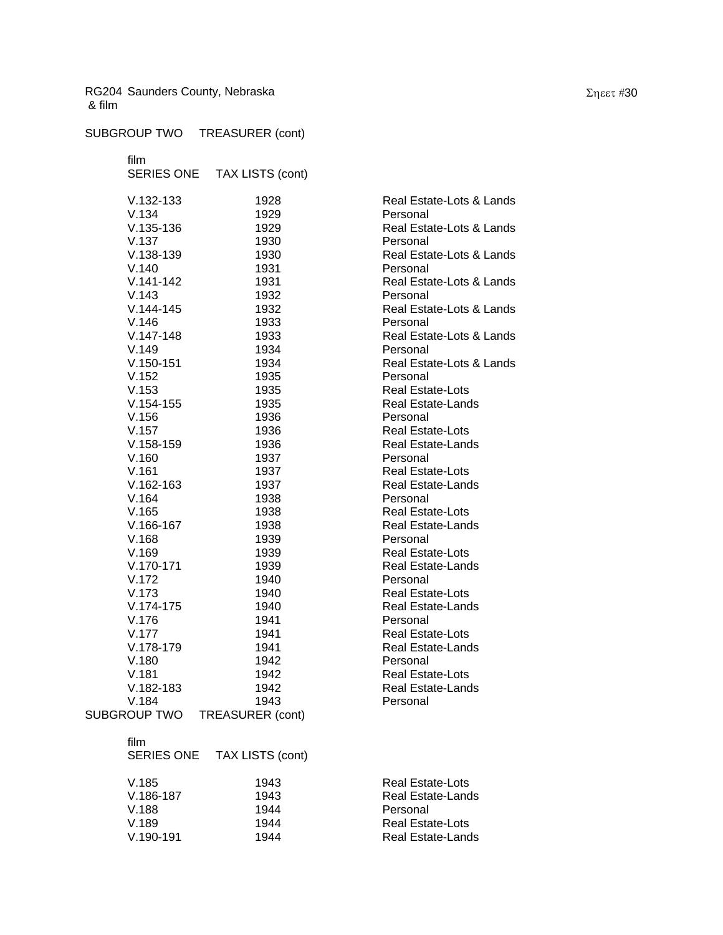### SUBGROUP TWO TREASURER (cont)

film

|                   | SERIES ONE TAX LISTS (cont) |                          |
|-------------------|-----------------------------|--------------------------|
| $V.132 - 133$     | 1928                        | Real Estate-Lots &       |
| V.134             | 1929                        | Personal                 |
| $V.135-136$       | 1929                        | Real Estate-Lots &       |
| V.137             | 1930                        | Personal                 |
| $V.138-139$       | 1930                        | Real Estate-Lots &       |
| V.140             | 1931                        | Personal                 |
| $V.141 - 142$     | 1931                        | Real Estate-Lots &       |
| V.143             | 1932                        | Personal                 |
| $V.144 - 145$     | 1932                        | Real Estate-Lots &       |
| V.146             | 1933                        | Personal                 |
| $V.147-148$       | 1933                        | Real Estate-Lots &       |
| V.149             | 1934                        | Personal                 |
| $V.150-151$       | 1934                        | Real Estate-Lots &       |
| V.152             | 1935                        | Personal                 |
| V.153             | 1935                        | Real Estate-Lots         |
| $V.154-155$       | 1935                        | Real Estate-Lands        |
| V.156             | 1936                        | Personal                 |
| V.157             | 1936                        | Real Estate-Lots         |
| $V.158 - 159$     | 1936                        | Real Estate-Lands        |
| V.160             | 1937                        | Personal                 |
| V.161             | 1937                        | Real Estate-Lots         |
| $V.162 - 163$     | 1937                        | <b>Real Estate-Lands</b> |
| V.164             | 1938                        | Personal                 |
| V.165             | 1938                        | Real Estate-Lots         |
| $V.166-167$       | 1938                        | Real Estate-Lands        |
| V.168             | 1939                        | Personal                 |
| V.169             | 1939                        | Real Estate-Lots         |
| $V.170-171$       | 1939                        | Real Estate-Lands        |
| V.172             | 1940                        | Personal                 |
| V.173             | 1940                        | Real Estate-Lots         |
| $V.174-175$       | 1940                        | Real Estate-Lands        |
| V.176             | 1941                        | Personal                 |
| V.177             | 1941                        | Real Estate-Lots         |
| $V.178-179$       | 1941                        | <b>Real Estate-Lands</b> |
| V.180             | 1942                        | Personal                 |
| V.181             | 1942                        | Real Estate-Lots         |
| $V.182 - 183$     | 1942                        | Real Estate-Lands        |
| V.184             | 1943                        | Personal                 |
| SUBGROUP TWO      | <b>TREASURER (cont)</b>     |                          |
| film              |                             |                          |
| <b>SERIES ONE</b> | TAX LISTS (cont)            |                          |
| V.185             | 1943                        | <b>Real Estate-Lots</b>  |
| $V.186-187$       | 1943                        | Real Estate-Lands        |
| V.188             | 1944                        | Personal                 |
| V.189             | 1944                        | Real Estate-Lots         |
| $V.190-191$       | 1944                        | Real Estate-Lands        |

Real Estate-Lots & Lands Personal Real Estate-Lots & Lands Personal Real Estate-Lots & Lands Personal Real Estate-Lots & Lands Personal Real Estate-Lots & Lands Personal Real Estate-Lots & Lands Personal Real Estate-Lots & Lands Personal Real Estate-Lots Real Estate-Lands Personal **Real Estate-Lots** Real Estate-Lands Personal **Real Estate-Lots** Real Estate-Lands Personal Real Estate-Lots Real Estate-Lands Personal Real Estate-Lots Real Estate-Lands Personal Real Estate-Lots Real Estate-Lands Personal **Real Estate-Lots** Real Estate-Lands Personal Real Estate-Lots Real Estate-Lands Personal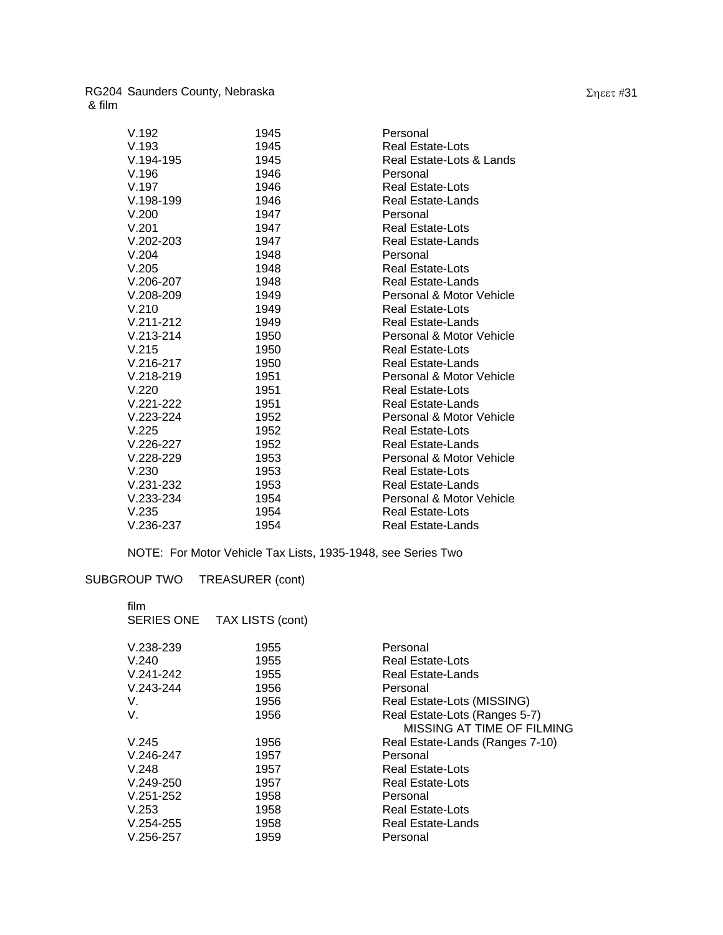| V.192         | 1945 | Personal                 |
|---------------|------|--------------------------|
| V.193         | 1945 | Real Estate-Lots         |
| $V.194-195$   | 1945 | Real Estate-Lots & Lands |
| V.196         | 1946 | Personal                 |
| V.197         | 1946 | Real Estate-Lots         |
| $V.198-199$   | 1946 | Real Estate-Lands        |
| V.200         | 1947 | Personal                 |
| V.201         | 1947 | Real Estate-Lots         |
| $V.202 - 203$ | 1947 | <b>Real Estate-Lands</b> |
| V.204         | 1948 | Personal                 |
| V.205         | 1948 | Real Estate-Lots         |
| $V.206 - 207$ | 1948 | Real Estate-Lands        |
| $V.208 - 209$ | 1949 | Personal & Motor Vehicle |
| V.210         | 1949 | <b>Real Estate-Lots</b>  |
| $V.211 - 212$ | 1949 | <b>Real Estate-Lands</b> |
| $V.213 - 214$ | 1950 | Personal & Motor Vehicle |
| V.215         | 1950 | <b>Real Estate-Lots</b>  |
| $V.216-217$   | 1950 | Real Estate-Lands        |
| $V.218 - 219$ | 1951 | Personal & Motor Vehicle |
| V.220         | 1951 | <b>Real Estate-Lots</b>  |
| $V.221 - 222$ | 1951 | <b>Real Estate-Lands</b> |
| $V.223 - 224$ | 1952 | Personal & Motor Vehicle |
| V.225         | 1952 | <b>Real Estate-Lots</b>  |
| $V.226 - 227$ | 1952 | Real Estate-Lands        |
| $V.228 - 229$ | 1953 | Personal & Motor Vehicle |
| V.230         | 1953 | Real Estate-Lots         |
| $V.231 - 232$ | 1953 | <b>Real Estate-Lands</b> |
| $V.233 - 234$ | 1954 | Personal & Motor Vehicle |
| V.235         | 1954 | <b>Real Estate-Lots</b>  |
| $V.236-237$   | 1954 | <b>Real Estate-Lands</b> |

NOTE: For Motor Vehicle Tax Lists, 1935-1948, see Series Two

# SUBGROUP TWO TREASURER (cont)

| film              |                  |                                 |
|-------------------|------------------|---------------------------------|
| <b>SERIES ONE</b> | TAX LISTS (cont) |                                 |
| $V.238 - 239$     | 1955             | Personal                        |
| V.240             | 1955             | <b>Real Estate-Lots</b>         |
| V.241-242         | 1955             | Real Estate-Lands               |
| $V.243 - 244$     | 1956             | Personal                        |
| V.                | 1956             | Real Estate-Lots (MISSING)      |
| V.                | 1956             | Real Estate-Lots (Ranges 5-7)   |
|                   |                  | MISSING AT TIME OF FILMING      |
| V.245             | 1956             | Real Estate-Lands (Ranges 7-10) |
| V.246-247         | 1957             | Personal                        |
| V.248             | 1957             | Real Estate-Lots                |
| V.249-250         | 1957             | Real Estate-Lots                |
| $V.251 - 252$     | 1958             | Personal                        |
| V.253             | 1958             | Real Estate-Lots                |
| V.254-255         | 1958             | Real Estate-Lands               |
| $V.256 - 257$     | 1959             | Personal                        |
|                   |                  |                                 |

Σηεετ #31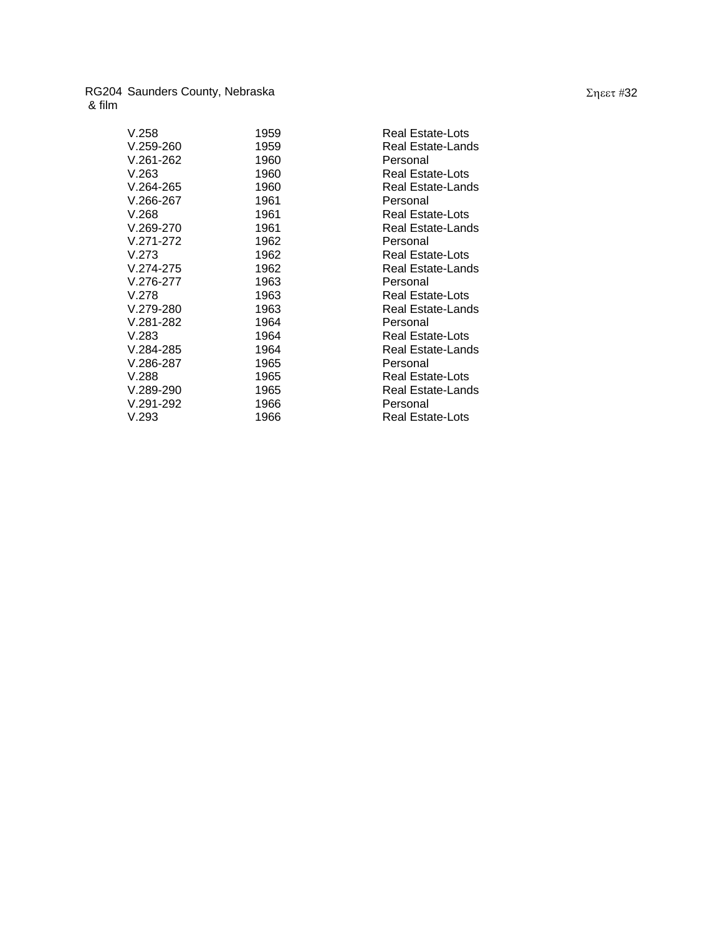| V.258         | 1959 | Real Estate-Lots        |
|---------------|------|-------------------------|
| V.259-260     | 1959 | Real Estate-Lands       |
| V.261-262     | 1960 | Personal                |
| V.263         | 1960 | Real Estate-Lots        |
| V.264-265     | 1960 | Real Estate-Lands       |
| $V.266 - 267$ | 1961 | Personal                |
| V.268         | 1961 | <b>Real Estate-Lots</b> |
| $V.269-270$   | 1961 | Real Estate-Lands       |
| V.271-272     | 1962 | Personal                |
| V.273         | 1962 | Real Estate-Lots        |
| V.274-275     | 1962 | Real Estate-Lands       |
| V.276-277     | 1963 | Personal                |
| V.278         | 1963 | Real Estate-Lots        |
| V.279-280     | 1963 | Real Estate-Lands       |
| V.281-282     | 1964 | Personal                |
| V.283         | 1964 | <b>Real Estate-Lots</b> |
| V.284-285     | 1964 | Real Estate-Lands       |
| V.286-287     | 1965 | Personal                |
| V.288         | 1965 | <b>Real Estate-Lots</b> |
| $V.289-290$   | 1965 | Real Estate-Lands       |
| V.291-292     | 1966 | Personal                |
| V.293         | 1966 | Real Estate-Lots        |
|               |      |                         |

Σηεετ #32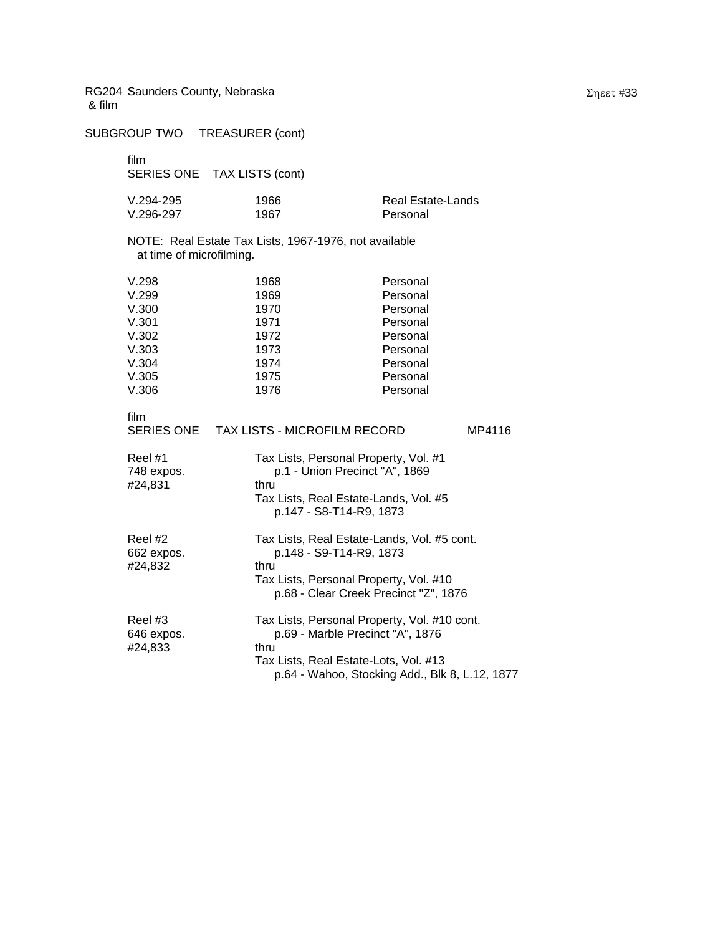SUBGROUP TWO TREASURER (cont) film SERIES ONE TAX LISTS (cont) V.294-295 1966 Real Estate-Lands V.296-297 1967 Personal NOTE: Real Estate Tax Lists, 1967-1976, not available at time of microfilming. V.298 1968 Personal V.299 1969 Personal V.300 1970 Personal V.301 1971 Personal V.302 1972 Personal V.303 1973 Personal V.304 1974 Personal V.305 1975 Personal V.306 1976 Personal film SERIES ONE TAX LISTS - MICROFILM RECORD MP4116 Reel #1 Tax Lists, Personal Property, Vol. #1 748 expos. p.1 - Union Precinct "A", 1869 #24,831 thru Tax Lists, Real Estate-Lands, Vol. #5 p.147 - S8-T14-R9, 1873 Reel #2 Tax Lists, Real Estate-Lands, Vol. #5 cont. 662 expos. p.148 - S9-T14-R9, 1873 #24,832 thru Tax Lists, Personal Property, Vol. #10 p.68 - Clear Creek Precinct "Z", 1876 Reel #3 Tax Lists, Personal Property, Vol. #10 cont. 646 expos. p.69 - Marble Precinct "A", 1876 #24,833 thru Tax Lists, Real Estate-Lots, Vol. #13 p.64 - Wahoo, Stocking Add., Blk 8, L.12, 1877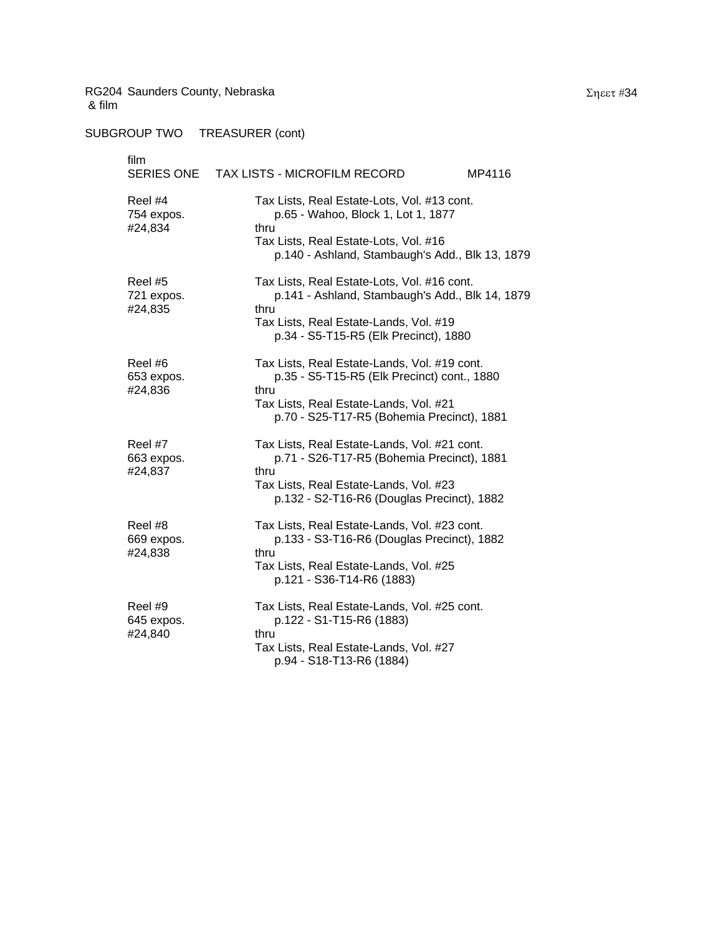SUBGROUP TWO TREASURER (cont)

| film<br>SERIES ONE               | TAX LISTS - MICROFILM RECORD<br>MP4116                                                                                                                                                      |
|----------------------------------|---------------------------------------------------------------------------------------------------------------------------------------------------------------------------------------------|
| Reel #4<br>754 expos.<br>#24,834 | Tax Lists, Real Estate-Lots, Vol. #13 cont.<br>p.65 - Wahoo, Block 1, Lot 1, 1877<br>thru<br>Tax Lists, Real Estate-Lots, Vol. #16<br>p.140 - Ashland, Stambaugh's Add., Blk 13, 1879       |
| Reel #5<br>721 expos.<br>#24,835 | Tax Lists, Real Estate-Lots, Vol. #16 cont.<br>p.141 - Ashland, Stambaugh's Add., Blk 14, 1879<br>thru<br>Tax Lists, Real Estate-Lands, Vol. #19<br>p.34 - S5-T15-R5 (Elk Precinct), 1880   |
| Reel #6<br>653 expos.<br>#24,836 | Tax Lists, Real Estate-Lands, Vol. #19 cont.<br>p.35 - S5-T15-R5 (Elk Precinct) cont., 1880<br>thru<br>Tax Lists, Real Estate-Lands, Vol. #21<br>p.70 - S25-T17-R5 (Bohemia Precinct), 1881 |
| Reel #7<br>663 expos.<br>#24,837 | Tax Lists, Real Estate-Lands, Vol. #21 cont.<br>p.71 - S26-T17-R5 (Bohemia Precinct), 1881<br>thru<br>Tax Lists, Real Estate-Lands, Vol. #23<br>p.132 - S2-T16-R6 (Douglas Precinct), 1882  |
| Reel #8<br>669 expos.<br>#24,838 | Tax Lists, Real Estate-Lands, Vol. #23 cont.<br>p.133 - S3-T16-R6 (Douglas Precinct), 1882<br>thru<br>Tax Lists, Real Estate-Lands, Vol. #25<br>p.121 - S36-T14-R6 (1883)                   |
| Reel #9<br>645 expos.<br>#24,840 | Tax Lists, Real Estate-Lands, Vol. #25 cont.<br>p.122 - S1-T15-R6 (1883)<br>thru<br>Tax Lists, Real Estate-Lands, Vol. #27<br>p.94 - S18-T13-R6 (1884)                                      |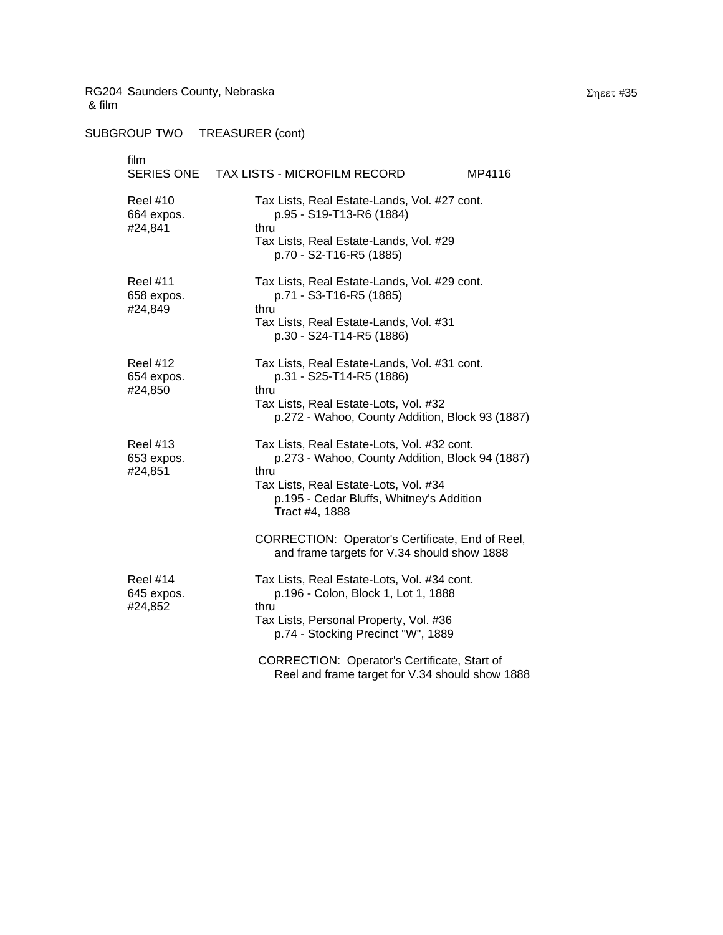SUBGROUP TWO TREASURER (cont)

| film<br>SERIES ONE                       | TAX LISTS - MICROFILM RECORD<br>MP4116                                                                                                                                                                                                                            |
|------------------------------------------|-------------------------------------------------------------------------------------------------------------------------------------------------------------------------------------------------------------------------------------------------------------------|
| <b>Reel #10</b><br>664 expos.<br>#24,841 | Tax Lists, Real Estate-Lands, Vol. #27 cont.<br>p.95 - S19-T13-R6 (1884)<br>thru<br>Tax Lists, Real Estate-Lands, Vol. #29<br>p.70 - S2-T16-R5 (1885)                                                                                                             |
| <b>Reel #11</b><br>658 expos.<br>#24,849 | Tax Lists, Real Estate-Lands, Vol. #29 cont.<br>p.71 - S3-T16-R5 (1885)<br>thru<br>Tax Lists, Real Estate-Lands, Vol. #31<br>p.30 - S24-T14-R5 (1886)                                                                                                             |
| <b>Reel #12</b><br>654 expos.<br>#24,850 | Tax Lists, Real Estate-Lands, Vol. #31 cont.<br>p.31 - S25-T14-R5 (1886)<br>thru<br>Tax Lists, Real Estate-Lots, Vol. #32<br>p.272 - Wahoo, County Addition, Block 93 (1887)                                                                                      |
| <b>Reel #13</b><br>653 expos.<br>#24,851 | Tax Lists, Real Estate-Lots, Vol. #32 cont.<br>p.273 - Wahoo, County Addition, Block 94 (1887)<br>thru<br>Tax Lists, Real Estate-Lots, Vol. #34<br>p.195 - Cedar Bluffs, Whitney's Addition<br>Tract #4, 1888<br>CORRECTION: Operator's Certificate, End of Reel, |
| <b>Reel #14</b><br>645 expos.<br>#24,852 | and frame targets for V.34 should show 1888<br>Tax Lists, Real Estate-Lots, Vol. #34 cont.<br>p.196 - Colon, Block 1, Lot 1, 1888<br>thru<br>Tax Lists, Personal Property, Vol. #36<br>p.74 - Stocking Precinct "W", 1889                                         |
|                                          | CORRECTION: Operator's Certificate, Start of<br>Reel and frame target for V.34 should show 1888                                                                                                                                                                   |

Σηεετ #35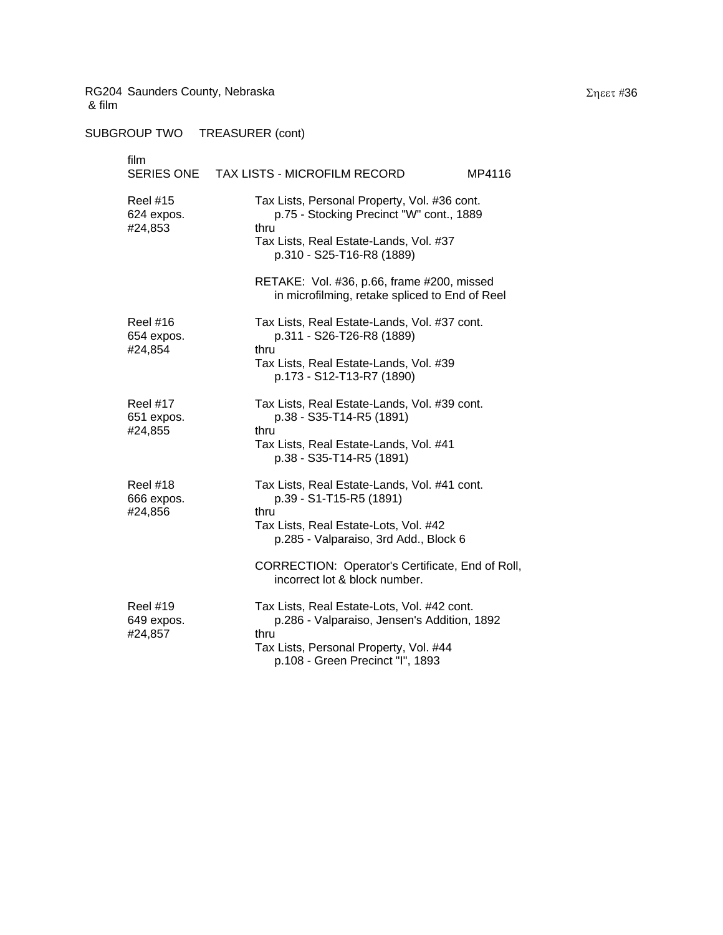SUBGROUP TWO TREASURER (cont)

# film SERIES ONE TAX LISTS - MICROFILM RECORD MP4116 Reel #15 Tax Lists, Personal Property, Vol. #36 cont. 624 expos. p.75 - Stocking Precinct "W" cont., 1889 #24,853 thru Tax Lists, Real Estate-Lands, Vol. #37 p.310 - S25-T16-R8 (1889) RETAKE: Vol. #36, p.66, frame #200, missed in microfilming, retake spliced to End of Reel Reel #16 Tax Lists, Real Estate-Lands, Vol. #37 cont. 654 expos. p.311 - S26-T26-R8 (1889) #24,854 thru Tax Lists, Real Estate-Lands, Vol. #39 p.173 - S12-T13-R7 (1890) Reel #17 Tax Lists, Real Estate-Lands, Vol. #39 cont. 651 expos. p.38 - S35-T14-R5 (1891) #24,855 thru Tax Lists, Real Estate-Lands, Vol. #41 p.38 - S35-T14-R5 (1891) Reel #18 Tax Lists, Real Estate-Lands, Vol. #41 cont. 666 expos. p.39 - S1-T15-R5 (1891) #24,856 thru Tax Lists, Real Estate-Lots, Vol. #42 p.285 - Valparaiso, 3rd Add., Block 6 CORRECTION: Operator's Certificate, End of Roll, incorrect lot & block number. Reel #19 Tax Lists, Real Estate-Lots, Vol. #42 cont. 649 expos. p.286 - Valparaiso, Jensen's Addition, 1892 #24,857 thru Tax Lists, Personal Property, Vol. #44 p.108 - Green Precinct "I", 1893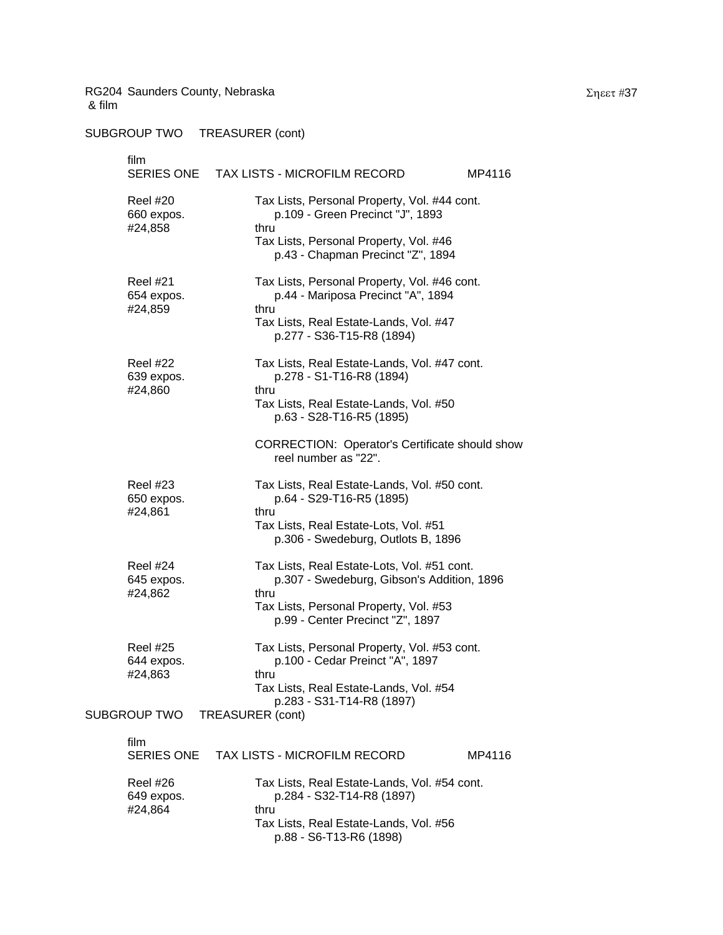SUBGROUP TWO TREASURER (cont)

film SERIES ONE TAX LISTS - MICROFILM RECORD MP4116 Reel #20 Tax Lists, Personal Property, Vol. #44 cont. 660 expos. p.109 - Green Precinct "J", 1893 #24,858 thru Tax Lists, Personal Property, Vol. #46 p.43 - Chapman Precinct "Z", 1894 Reel #21 Tax Lists, Personal Property, Vol. #46 cont. 654 expos. p.44 - Mariposa Precinct "A", 1894 #24,859 thru Tax Lists, Real Estate-Lands, Vol. #47 p.277 - S36-T15-R8 (1894) Reel #22 Tax Lists, Real Estate-Lands, Vol. #47 cont. 639 expos. p.278 - S1-T16-R8 (1894) #24,860 thru Tax Lists, Real Estate-Lands, Vol. #50 p.63 - S28-T16-R5 (1895) CORRECTION: Operator's Certificate should show reel number as "22". Reel #23 Tax Lists, Real Estate-Lands, Vol. #50 cont. 650 expos. p.64 - S29-T16-R5 (1895) #24,861 thru Tax Lists, Real Estate-Lots, Vol. #51 p.306 - Swedeburg, Outlots B, 1896 Reel #24 Tax Lists, Real Estate-Lots, Vol. #51 cont. 645 expos. p.307 - Swedeburg, Gibson's Addition, 1896 #24,862 thru Tax Lists, Personal Property, Vol. #53 p.99 - Center Precinct "Z", 1897 Reel #25 Tax Lists, Personal Property, Vol. #53 cont. 644 expos. p.100 - Cedar Preinct "A", 1897 #24,863 thru Tax Lists, Real Estate-Lands, Vol. #54 p.283 - S31-T14-R8 (1897) SUBGROUP TWO TREASURER (cont) film SERIES ONE TAX LISTS - MICROFILM RECORD MP4116 Reel #26 Tax Lists, Real Estate-Lands, Vol. #54 cont. 649 expos. p.284 - S32-T14-R8 (1897) #24,864 thru

> Tax Lists, Real Estate-Lands, Vol. #56 p.88 - S6-T13-R6 (1898)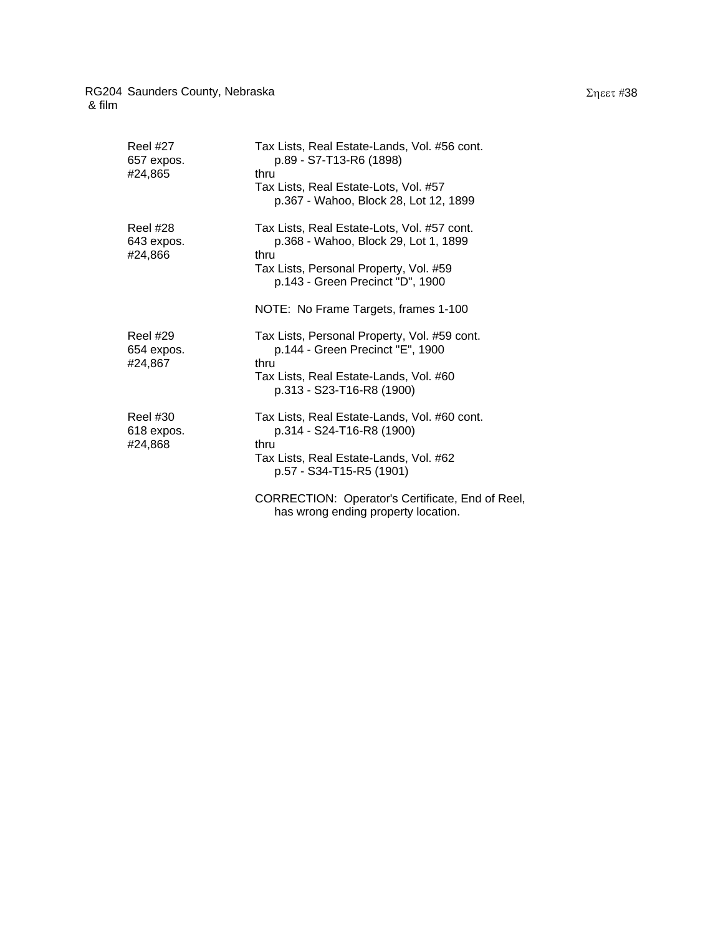| Reel #27<br>657 expos.<br>#24,865 | Tax Lists, Real Estate-Lands, Vol. #56 cont.<br>p.89 - S7-T13-R6 (1898)<br>thru<br>Tax Lists, Real Estate-Lots, Vol. #57<br>p.367 - Wahoo, Block 28, Lot 12, 1899                                                 |
|-----------------------------------|-------------------------------------------------------------------------------------------------------------------------------------------------------------------------------------------------------------------|
| Reel #28<br>643 expos.<br>#24,866 | Tax Lists, Real Estate-Lots, Vol. #57 cont.<br>p.368 - Wahoo, Block 29, Lot 1, 1899<br>thru<br>Tax Lists, Personal Property, Vol. #59<br>p.143 - Green Precinct "D", 1900<br>NOTE: No Frame Targets, frames 1-100 |
| Reel #29<br>654 expos.<br>#24,867 | Tax Lists, Personal Property, Vol. #59 cont.<br>p.144 - Green Precinct "E", 1900<br>thru<br>Tax Lists, Real Estate-Lands, Vol. #60<br>p.313 - S23-T16-R8 (1900)                                                   |
| Reel #30<br>618 expos.<br>#24,868 | Tax Lists, Real Estate-Lands, Vol. #60 cont.<br>p.314 - S24-T16-R8 (1900)<br>thru<br>Tax Lists, Real Estate-Lands, Vol. #62<br>p.57 - S34-T15-R5 (1901)                                                           |
|                                   | CORRECTION: Operator's Certificate, End of Reel,<br>has wrong ending property location.                                                                                                                           |

#### Σηεετ #38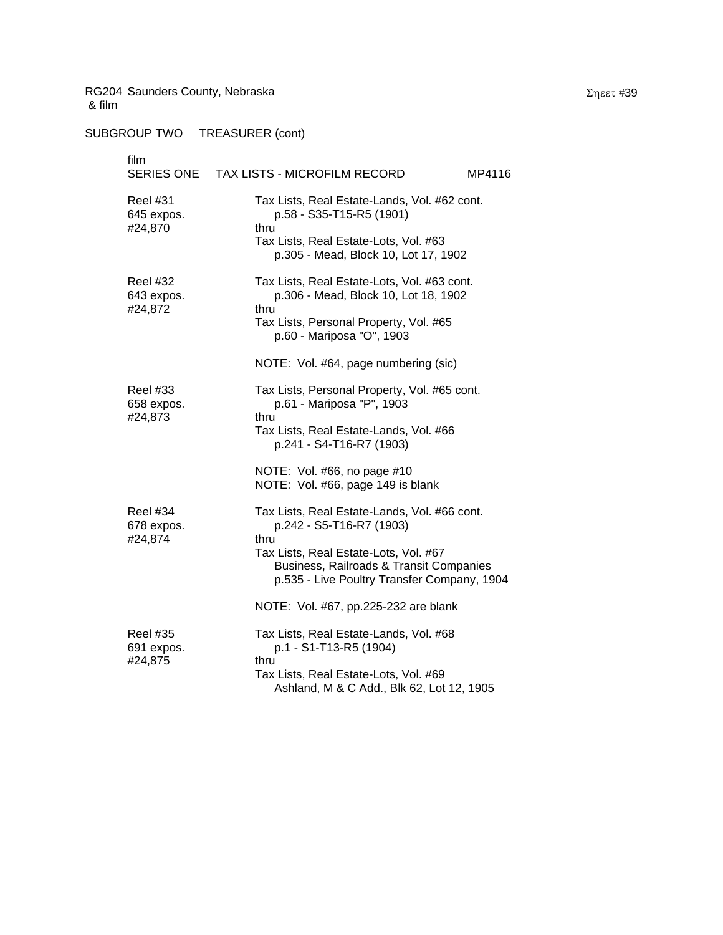| film                                     | SERIES ONE TAX LISTS - MICROFILM RECORD<br>MP4116                                                                                                                                                                   |  |
|------------------------------------------|---------------------------------------------------------------------------------------------------------------------------------------------------------------------------------------------------------------------|--|
| <b>Reel #31</b><br>645 expos.<br>#24,870 | Tax Lists, Real Estate-Lands, Vol. #62 cont.<br>p.58 - S35-T15-R5 (1901)<br>thru<br>Tax Lists, Real Estate-Lots, Vol. #63<br>p.305 - Mead, Block 10, Lot 17, 1902                                                   |  |
| <b>Reel #32</b><br>643 expos.<br>#24,872 | Tax Lists, Real Estate-Lots, Vol. #63 cont.<br>p.306 - Mead, Block 10, Lot 18, 1902<br>thru<br>Tax Lists, Personal Property, Vol. #65<br>p.60 - Mariposa "O", 1903                                                  |  |
| <b>Reel #33</b><br>658 expos.<br>#24,873 | NOTE: Vol. #64, page numbering (sic)<br>Tax Lists, Personal Property, Vol. #65 cont.<br>p.61 - Mariposa "P", 1903<br>thru<br>Tax Lists, Real Estate-Lands, Vol. #66<br>p.241 - S4-T16-R7 (1903)                     |  |
|                                          | NOTE: Vol. #66, no page #10<br>NOTE: Vol. #66, page 149 is blank                                                                                                                                                    |  |
| <b>Reel #34</b><br>678 expos.<br>#24,874 | Tax Lists, Real Estate-Lands, Vol. #66 cont.<br>p.242 - S5-T16-R7 (1903)<br>thru<br>Tax Lists, Real Estate-Lots, Vol. #67<br>Business, Railroads & Transit Companies<br>p.535 - Live Poultry Transfer Company, 1904 |  |
|                                          | NOTE: Vol. #67, pp.225-232 are blank                                                                                                                                                                                |  |
| <b>Reel #35</b><br>691 expos.<br>#24,875 | Tax Lists, Real Estate-Lands, Vol. #68<br>p.1 - S1-T13-R5 (1904)<br>thru<br>Tax Lists, Real Estate-Lots, Vol. #69<br>Ashland, M & C Add., Blk 62, Lot 12, 1905                                                      |  |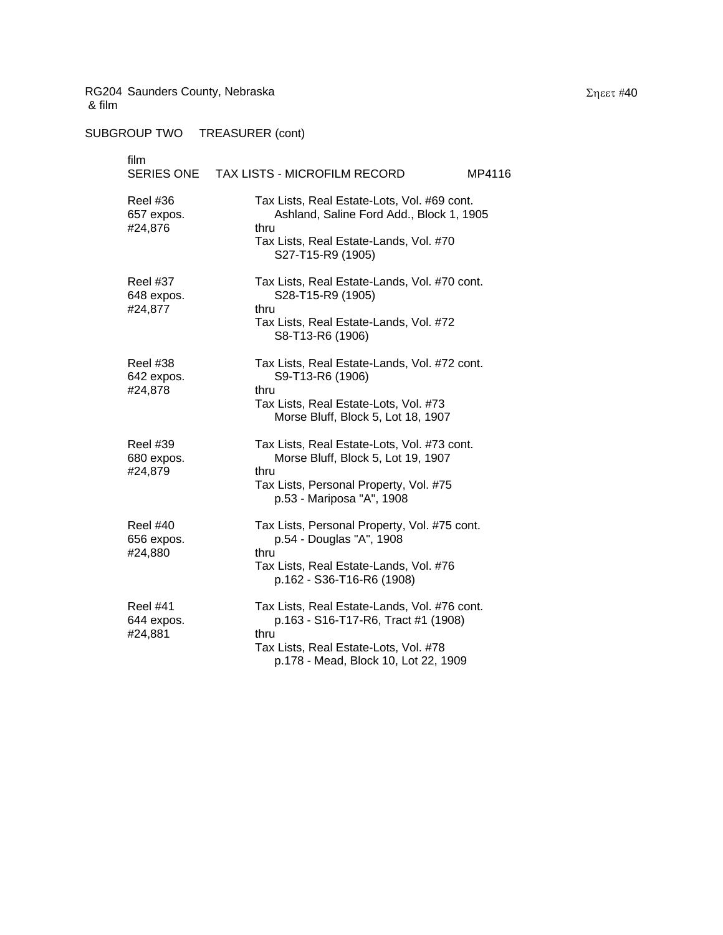| film<br>SERIES ONE                       | TAX LISTS - MICROFILM RECORD<br>MP4116                                                                                                                                       |
|------------------------------------------|------------------------------------------------------------------------------------------------------------------------------------------------------------------------------|
| <b>Reel #36</b><br>657 expos.<br>#24,876 | Tax Lists, Real Estate-Lots, Vol. #69 cont.<br>Ashland, Saline Ford Add., Block 1, 1905<br>thru<br>Tax Lists, Real Estate-Lands, Vol. #70<br>S27-T15-R9 (1905)               |
| <b>Reel #37</b><br>648 expos.<br>#24,877 | Tax Lists, Real Estate-Lands, Vol. #70 cont.<br>S28-T15-R9 (1905)<br>thru<br>Tax Lists, Real Estate-Lands, Vol. #72<br>S8-T13-R6 (1906)                                      |
| Reel #38<br>642 expos.<br>#24,878        | Tax Lists, Real Estate-Lands, Vol. #72 cont.<br>S9-T13-R6 (1906)<br>thru<br>Tax Lists, Real Estate-Lots, Vol. #73<br>Morse Bluff, Block 5, Lot 18, 1907                      |
| <b>Reel #39</b><br>680 expos.<br>#24,879 | Tax Lists, Real Estate-Lots, Vol. #73 cont.<br>Morse Bluff, Block 5, Lot 19, 1907<br>thru<br>Tax Lists, Personal Property, Vol. #75<br>p.53 - Mariposa "A", 1908             |
| <b>Reel #40</b><br>656 expos.<br>#24,880 | Tax Lists, Personal Property, Vol. #75 cont.<br>p.54 - Douglas "A", 1908<br>thru<br>Tax Lists, Real Estate-Lands, Vol. #76<br>p.162 - S36-T16-R6 (1908)                      |
| <b>Reel #41</b><br>644 expos.<br>#24,881 | Tax Lists, Real Estate-Lands, Vol. #76 cont.<br>p.163 - S16-T17-R6, Tract #1 (1908)<br>thru<br>Tax Lists, Real Estate-Lots, Vol. #78<br>p.178 - Mead, Block 10, Lot 22, 1909 |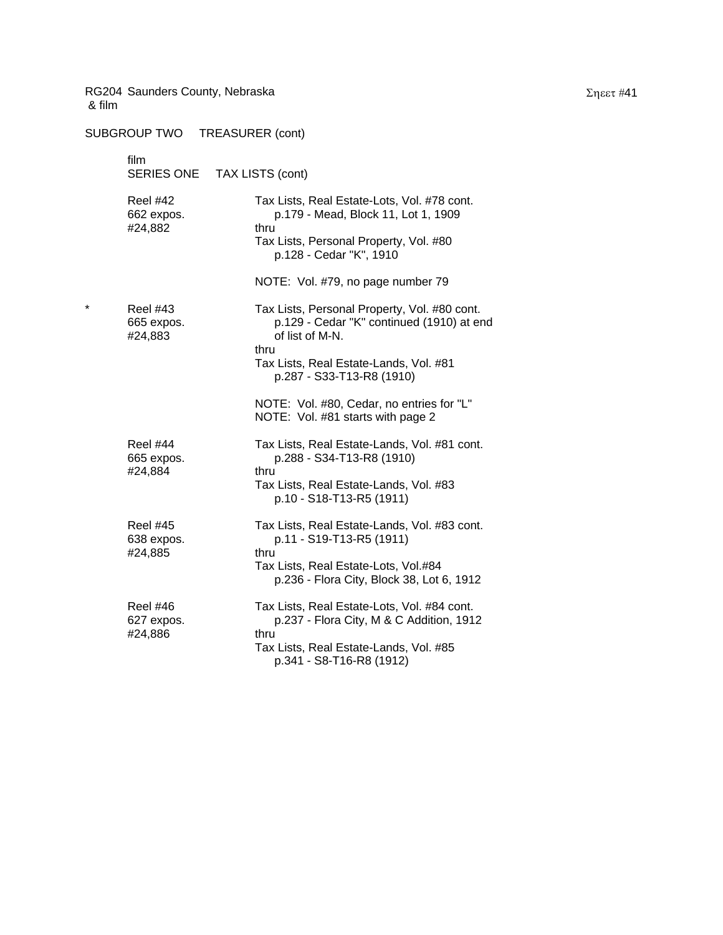| & film  | RG204 Saunders County, Nebraska          |                                                                                                                      |
|---------|------------------------------------------|----------------------------------------------------------------------------------------------------------------------|
|         | SUBGROUP TWO                             | <b>TREASURER (cont)</b>                                                                                              |
|         | film<br>SERIES ONE                       | TAX LISTS (cont)                                                                                                     |
|         | <b>Reel #42</b><br>662 expos.            | Tax Lists, Real Estate-Lots, Vol. #78 cont.<br>p.179 - Mead, Block 11, Lot 1, 1909                                   |
|         | #24,882                                  | thru<br>Tax Lists, Personal Property, Vol. #80<br>p.128 - Cedar "K", 1910                                            |
|         |                                          | NOTE: Vol. #79, no page number 79                                                                                    |
| $\star$ | <b>Reel #43</b><br>665 expos.<br>#24,883 | Tax Lists, Personal Property, Vol. #80 cont.<br>p.129 - Cedar "K" continued (1910) at end<br>of list of M-N.<br>thru |
|         |                                          | Tax Lists, Real Estate-Lands, Vol. #81<br>p.287 - S33-T13-R8 (1910)                                                  |
|         |                                          | NOTE: Vol. #80, Cedar, no entries for "L"<br>NOTE: Vol. #81 starts with page 2                                       |
|         | <b>Reel #44</b><br>665 expos.<br>#24,884 | Tax Lists, Real Estate-Lands, Vol. #81 cont.<br>p.288 - S34-T13-R8 (1910)<br>thru                                    |
|         |                                          | Tax Lists, Real Estate-Lands, Vol. #83<br>p.10 - S18-T13-R5 (1911)                                                   |
|         | <b>Reel #45</b><br>638 expos.<br>#24,885 | Tax Lists, Real Estate-Lands, Vol. #83 cont.<br>p.11 - S19-T13-R5 (1911)<br>thru                                     |
|         |                                          | Tax Lists, Real Estate-Lots, Vol.#84<br>p.236 - Flora City, Block 38, Lot 6, 1912                                    |
|         | Reel #46<br>627 expos.                   | Tax Lists, Real Estate-Lots, Vol. #84 cont.<br>p.237 - Flora City, M & C Addition, 1912                              |
|         | #24,886                                  | thru<br>Tax Lists, Real Estate-Lands, Vol. #85<br>p.341 - S8-T16-R8 (1912)                                           |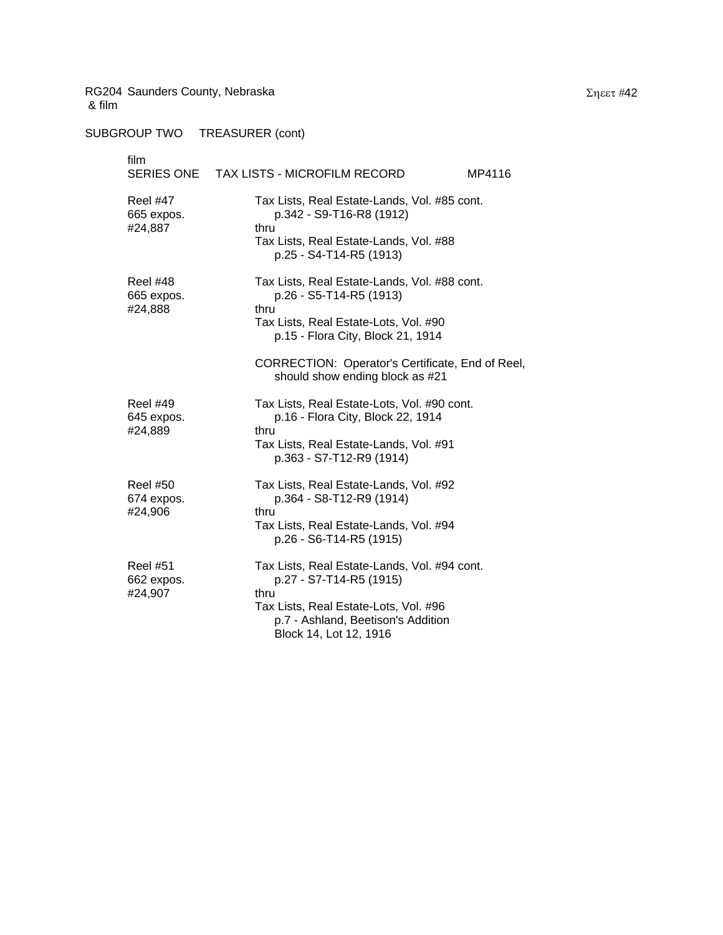SUBGROUP TWO TREASURER (cont)

film SERIES ONE TAX LISTS - MICROFILM RECORD MP4116 Reel #47 Tax Lists, Real Estate-Lands, Vol. #85 cont. 665 expos. p.342 - S9-T16-R8 (1912) #24,887 thru Tax Lists, Real Estate-Lands, Vol. #88 p.25 - S4-T14-R5 (1913) Reel #48 Tax Lists, Real Estate-Lands, Vol. #88 cont. 665 expos. p.26 - S5-T14-R5 (1913) #24,888 thru Tax Lists, Real Estate-Lots, Vol. #90 p.15 - Flora City, Block 21, 1914 CORRECTION: Operator's Certificate, End of Reel, should show ending block as #21 Reel #49 Tax Lists, Real Estate-Lots, Vol. #90 cont. 645 expos. p.16 - Flora City, Block 22, 1914 #24,889 thru Tax Lists, Real Estate-Lands, Vol. #91 p.363 - S7-T12-R9 (1914) Reel #50 Tax Lists, Real Estate-Lands, Vol. #92 674 expos. p.364 - S8-T12-R9 (1914) #24,906 thru Tax Lists, Real Estate-Lands, Vol. #94 p.26 - S6-T14-R5 (1915) Reel #51 Tax Lists, Real Estate-Lands, Vol. #94 cont. 662 expos. p.27 - S7-T14-R5 (1915) #24,907 thru Tax Lists, Real Estate-Lots, Vol. #96 p.7 - Ashland, Beetison's Addition Block 14, Lot 12, 1916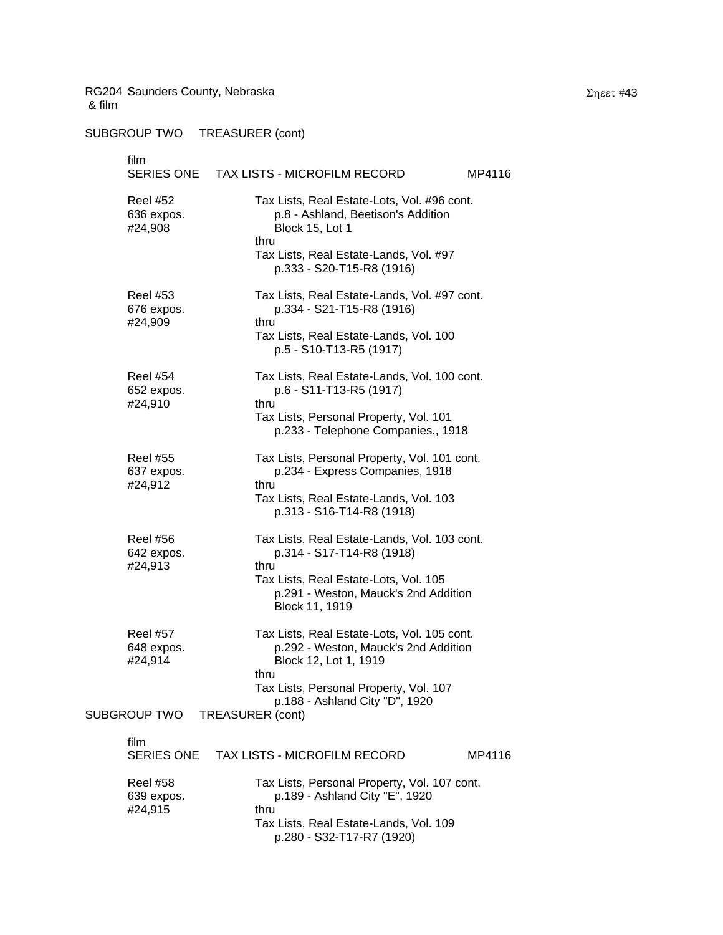# SUBGROUP TWO TREASURER (cont)

| film<br>SERIES ONE                       | TAX LISTS - MICROFILM RECORD                                                                                                                                  | MP4116 |
|------------------------------------------|---------------------------------------------------------------------------------------------------------------------------------------------------------------|--------|
| <b>Reel #52</b><br>636 expos.<br>#24,908 | Tax Lists, Real Estate-Lots, Vol. #96 cont.<br>p.8 - Ashland, Beetison's Addition<br>Block 15, Lot 1<br>thru                                                  |        |
|                                          | Tax Lists, Real Estate-Lands, Vol. #97<br>p.333 - S20-T15-R8 (1916)                                                                                           |        |
| <b>Reel #53</b><br>676 expos.<br>#24,909 | Tax Lists, Real Estate-Lands, Vol. #97 cont.<br>p.334 - S21-T15-R8 (1916)<br>thru                                                                             |        |
|                                          | Tax Lists, Real Estate-Lands, Vol. 100<br>p.5 - S10-T13-R5 (1917)                                                                                             |        |
| <b>Reel #54</b><br>652 expos.<br>#24,910 | Tax Lists, Real Estate-Lands, Vol. 100 cont.<br>p.6 - S11-T13-R5 (1917)<br>thru                                                                               |        |
|                                          | Tax Lists, Personal Property, Vol. 101<br>p.233 - Telephone Companies., 1918                                                                                  |        |
| <b>Reel #55</b><br>637 expos.<br>#24,912 | Tax Lists, Personal Property, Vol. 101 cont.<br>p.234 - Express Companies, 1918<br>thru                                                                       |        |
|                                          | Tax Lists, Real Estate-Lands, Vol. 103<br>p.313 - S16-T14-R8 (1918)                                                                                           |        |
| <b>Reel #56</b><br>642 expos.<br>#24,913 | Tax Lists, Real Estate-Lands, Vol. 103 cont.<br>p.314 - S17-T14-R8 (1918)<br>thru                                                                             |        |
|                                          | Tax Lists, Real Estate-Lots, Vol. 105<br>p.291 - Weston, Mauck's 2nd Addition<br>Block 11, 1919                                                               |        |
| <b>Reel #57</b><br>648 expos.<br>#24,914 | Tax Lists, Real Estate-Lots, Vol. 105 cont.<br>p.292 - Weston, Mauck's 2nd Addition<br>Block 12, Lot 1, 1919                                                  |        |
|                                          | thru<br>Tax Lists, Personal Property, Vol. 107<br>p.188 - Ashland City "D", 1920                                                                              |        |
| SUBGROUP TWO                             | <b>TREASURER (cont)</b>                                                                                                                                       |        |
| film<br><b>SERIES ONE</b>                | TAX LISTS - MICROFILM RECORD                                                                                                                                  | MP4116 |
| <b>Reel #58</b><br>639 expos.<br>#24,915 | Tax Lists, Personal Property, Vol. 107 cont.<br>p.189 - Ashland City "E", 1920<br>thru<br>Tax Lists, Real Estate-Lands, Vol. 109<br>p.280 - S32-T17-R7 (1920) |        |

Σηεετ #43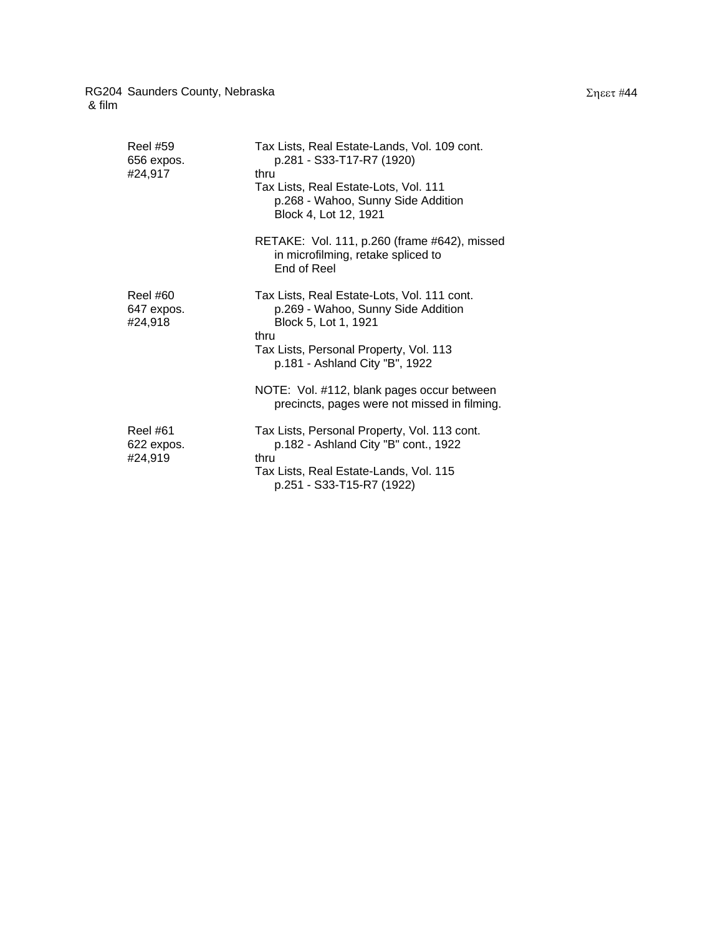| <b>Reel #59</b><br>656 expos.<br>#24,917 | Tax Lists, Real Estate-Lands, Vol. 109 cont.<br>p.281 - S33-T17-R7 (1920)<br>thru<br>Tax Lists, Real Estate-Lots, Vol. 111<br>p.268 - Wahoo, Sunny Side Addition<br>Block 4, Lot 12, 1921<br>RETAKE: Vol. 111, p.260 (frame #642), missed |
|------------------------------------------|-------------------------------------------------------------------------------------------------------------------------------------------------------------------------------------------------------------------------------------------|
|                                          | in microfilming, retake spliced to<br>End of Reel                                                                                                                                                                                         |
| Reel #60<br>647 expos.<br>#24,918        | Tax Lists, Real Estate-Lots, Vol. 111 cont.<br>p.269 - Wahoo, Sunny Side Addition<br>Block 5, Lot 1, 1921<br>thru<br>Tax Lists, Personal Property, Vol. 113<br>p.181 - Ashland City "B", 1922                                             |
|                                          | NOTE: Vol. #112, blank pages occur between<br>precincts, pages were not missed in filming.                                                                                                                                                |
| Reel #61<br>622 expos.<br>#24,919        | Tax Lists, Personal Property, Vol. 113 cont.<br>p.182 - Ashland City "B" cont., 1922<br>thru<br>Tax Lists, Real Estate-Lands, Vol. 115<br>p.251 - S33-T15-R7 (1922)                                                                       |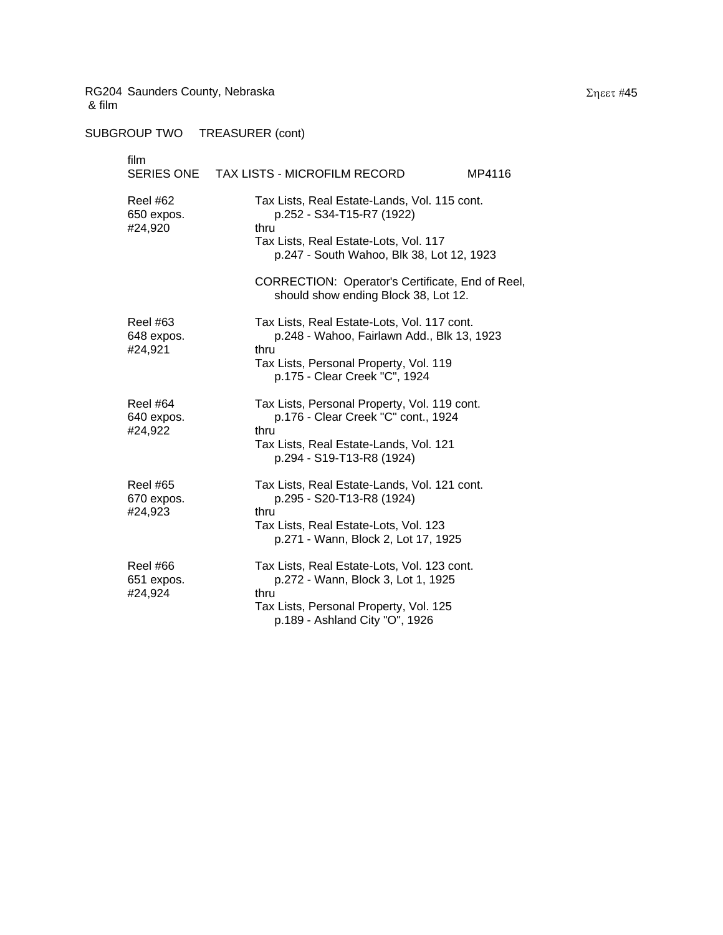SUBGROUP TWO TREASURER (cont)

### film SERIES ONE TAX LISTS - MICROFILM RECORD MP4116 Reel #62 Tax Lists, Real Estate-Lands, Vol. 115 cont. 650 expos. p.252 - S34-T15-R7 (1922) #24,920 thru Tax Lists, Real Estate-Lots, Vol. 117 p.247 - South Wahoo, Blk 38, Lot 12, 1923 CORRECTION: Operator's Certificate, End of Reel, should show ending Block 38, Lot 12. Reel #63 Tax Lists, Real Estate-Lots, Vol. 117 cont. 648 expos. p.248 - Wahoo, Fairlawn Add., Blk 13, 1923 #24,921 thru Tax Lists, Personal Property, Vol. 119 p.175 - Clear Creek "C", 1924 Reel #64 Tax Lists, Personal Property, Vol. 119 cont. 640 expos. p.176 - Clear Creek "C" cont., 1924 #24,922 thru Tax Lists, Real Estate-Lands, Vol. 121 p.294 - S19-T13-R8 (1924) Reel #65 Tax Lists, Real Estate-Lands, Vol. 121 cont. 670 expos. p.295 - S20-T13-R8 (1924) #24,923 thru Tax Lists, Real Estate-Lots, Vol. 123 p.271 - Wann, Block 2, Lot 17, 1925 Reel #66 Tax Lists, Real Estate-Lots, Vol. 123 cont. 651 expos. p.272 - Wann, Block 3, Lot 1, 1925 #24,924 thru Tax Lists, Personal Property, Vol. 125 p.189 - Ashland City "O", 1926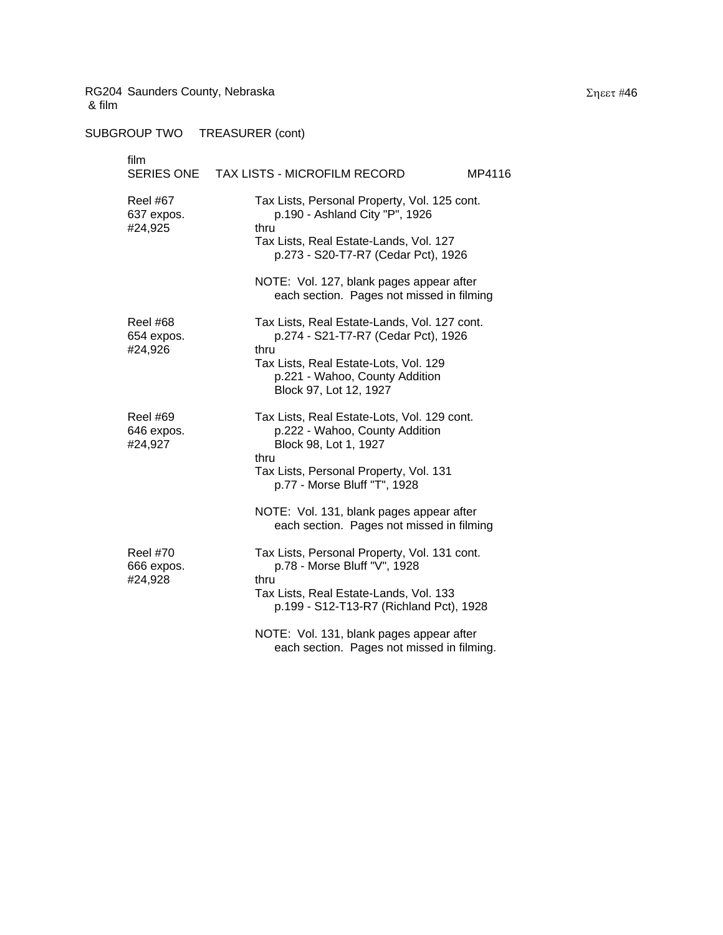SUBGROUP TWO TREASURER (cont)

# film SERIES ONE TAX LISTS - MICROFILM RECORD MP4116 Reel #67 Tax Lists, Personal Property, Vol. 125 cont. 637 expos. p.190 - Ashland City "P", 1926 #24,925 thru Tax Lists, Real Estate-Lands, Vol. 127 p.273 - S20-T7-R7 (Cedar Pct), 1926 NOTE: Vol. 127, blank pages appear after each section. Pages not missed in filming Reel #68 Tax Lists, Real Estate-Lands, Vol. 127 cont. 654 expos. p.274 - S21-T7-R7 (Cedar Pct), 1926 #24,926 thru Tax Lists, Real Estate-Lots, Vol. 129 p.221 - Wahoo, County Addition Block 97, Lot 12, 1927 Reel #69 Tax Lists, Real Estate-Lots, Vol. 129 cont. 646 expos. p.222 - Wahoo, County Addition #24,927 Block 98, Lot 1, 1927 thru Tax Lists, Personal Property, Vol. 131 p.77 - Morse Bluff "T", 1928 NOTE: Vol. 131, blank pages appear after each section. Pages not missed in filming Reel #70 Tax Lists, Personal Property, Vol. 131 cont. 666 expos. p.78 - Morse Bluff "V", 1928 #24,928 thru Tax Lists, Real Estate-Lands, Vol. 133 p.199 - S12-T13-R7 (Richland Pct), 1928

NOTE: Vol. 131, blank pages appear after each section. Pages not missed in filming.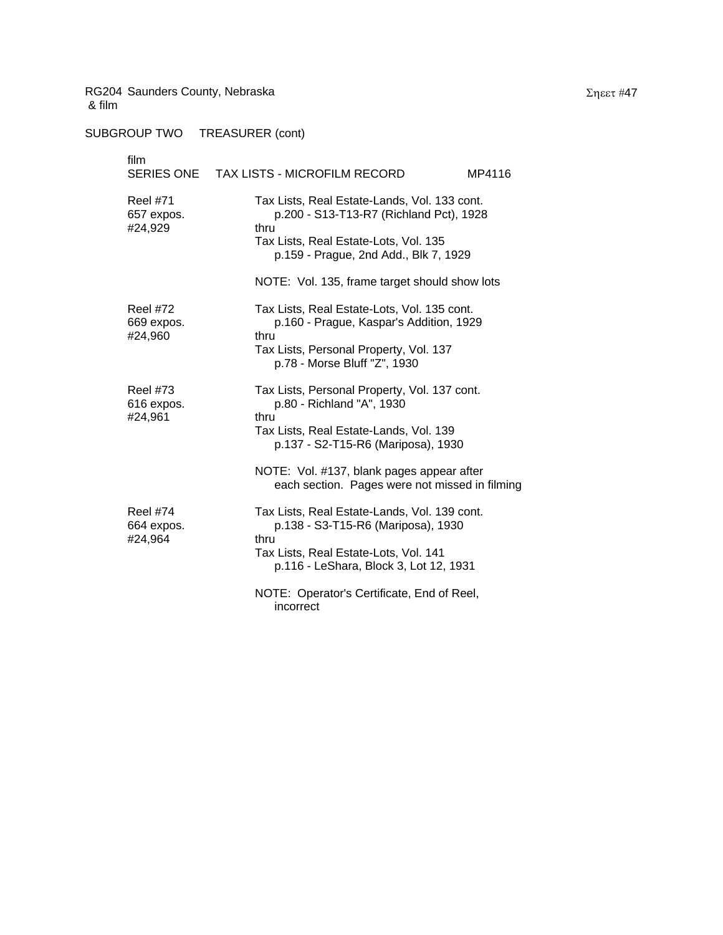| film                                     | SERIES ONE TAX LISTS - MICROFILM RECORD<br>MP4116                                                                                                                                                                                        |
|------------------------------------------|------------------------------------------------------------------------------------------------------------------------------------------------------------------------------------------------------------------------------------------|
| <b>Reel #71</b><br>657 expos.<br>#24,929 | Tax Lists, Real Estate-Lands, Vol. 133 cont.<br>p.200 - S13-T13-R7 (Richland Pct), 1928<br>thru<br>Tax Lists, Real Estate-Lots, Vol. 135<br>p.159 - Prague, 2nd Add., Blk 7, 1929<br>NOTE: Vol. 135, frame target should show lots       |
| <b>Reel #72</b><br>669 expos.<br>#24,960 | Tax Lists, Real Estate-Lots, Vol. 135 cont.<br>p.160 - Prague, Kaspar's Addition, 1929<br>thru<br>Tax Lists, Personal Property, Vol. 137<br>p.78 - Morse Bluff "Z", 1930                                                                 |
| <b>Reel #73</b><br>616 expos.<br>#24,961 | Tax Lists, Personal Property, Vol. 137 cont.<br>p.80 - Richland "A", 1930<br>thru<br>Tax Lists, Real Estate-Lands, Vol. 139<br>p.137 - S2-T15-R6 (Mariposa), 1930                                                                        |
|                                          | NOTE: Vol. #137, blank pages appear after<br>each section. Pages were not missed in filming                                                                                                                                              |
| <b>Reel #74</b><br>664 expos.<br>#24,964 | Tax Lists, Real Estate-Lands, Vol. 139 cont.<br>p.138 - S3-T15-R6 (Mariposa), 1930<br>thru<br>Tax Lists, Real Estate-Lots, Vol. 141<br>p.116 - LeShara, Block 3, Lot 12, 1931<br>NOTE: Operator's Certificate, End of Reel,<br>incorrect |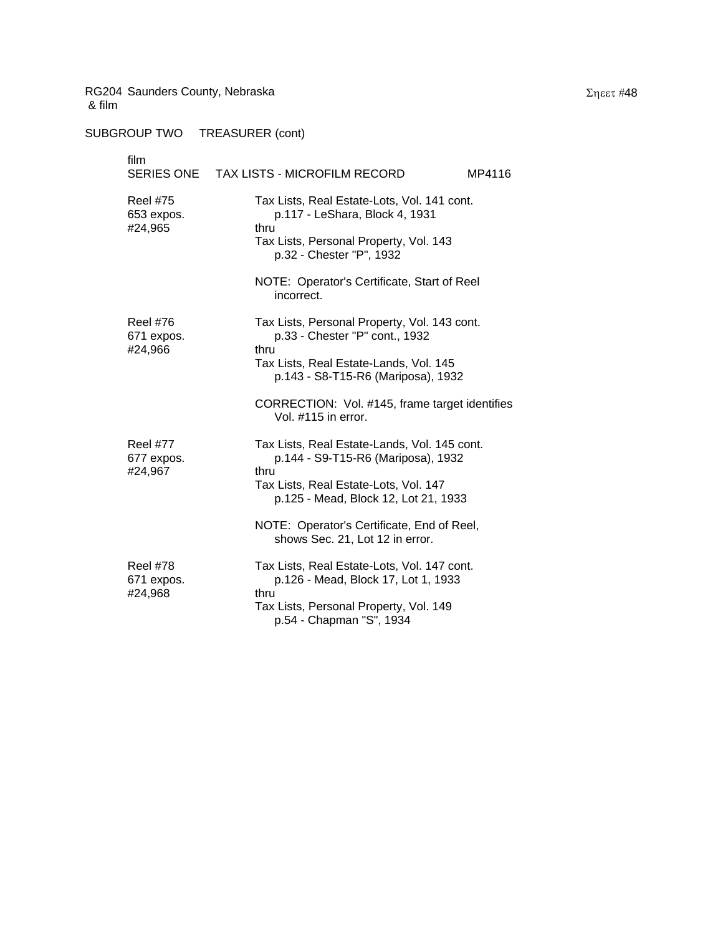SUBGROUP TWO TREASURER (cont)

| film<br>SERIES ONE                       | TAX LISTS - MICROFILM RECORD<br>MP4116                                                                                                                                                                     |  |
|------------------------------------------|------------------------------------------------------------------------------------------------------------------------------------------------------------------------------------------------------------|--|
| <b>Reel #75</b><br>653 expos.<br>#24,965 | Tax Lists, Real Estate-Lots, Vol. 141 cont.<br>p.117 - LeShara, Block 4, 1931<br>thru<br>Tax Lists, Personal Property, Vol. 143<br>p.32 - Chester "P", 1932<br>NOTE: Operator's Certificate, Start of Reel |  |
| <b>Reel #76</b><br>671 expos.            | incorrect.<br>Tax Lists, Personal Property, Vol. 143 cont.<br>p.33 - Chester "P" cont., 1932                                                                                                               |  |
| #24,966                                  | thru<br>Tax Lists, Real Estate-Lands, Vol. 145<br>p.143 - S8-T15-R6 (Mariposa), 1932                                                                                                                       |  |
|                                          | CORRECTION: Vol. #145, frame target identifies<br>Vol. #115 in error.                                                                                                                                      |  |
| <b>Reel #77</b><br>677 expos.<br>#24,967 | Tax Lists, Real Estate-Lands, Vol. 145 cont.<br>p.144 - S9-T15-R6 (Mariposa), 1932<br>thru<br>Tax Lists, Real Estate-Lots, Vol. 147                                                                        |  |
|                                          | p.125 - Mead, Block 12, Lot 21, 1933<br>NOTE: Operator's Certificate, End of Reel,                                                                                                                         |  |
|                                          | shows Sec. 21, Lot 12 in error.                                                                                                                                                                            |  |
| <b>Reel #78</b><br>671 expos.<br>#24,968 | Tax Lists, Real Estate-Lots, Vol. 147 cont.<br>p.126 - Mead, Block 17, Lot 1, 1933<br>thru                                                                                                                 |  |
|                                          | Tax Lists, Personal Property, Vol. 149                                                                                                                                                                     |  |

p.54 - Chapman "S", 1934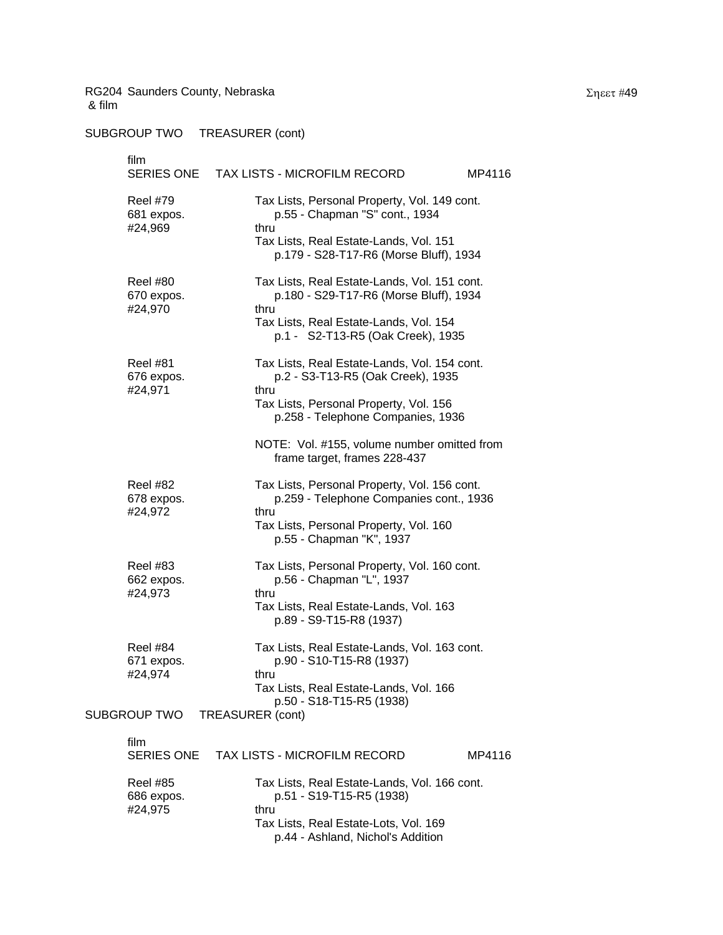SUBGROUP TWO TREASURER (cont)

film SERIES ONE TAX LISTS - MICROFILM RECORD MP4116 Reel #79 Tax Lists, Personal Property, Vol. 149 cont. 681 expos. p.55 - Chapman "S" cont., 1934 #24,969 thru Tax Lists, Real Estate-Lands, Vol. 151 p.179 - S28-T17-R6 (Morse Bluff), 1934 Reel #80 Tax Lists, Real Estate-Lands, Vol. 151 cont. 670 expos. p.180 - S29-T17-R6 (Morse Bluff), 1934 #24,970 thru Tax Lists, Real Estate-Lands, Vol. 154 p.1 - S2-T13-R5 (Oak Creek), 1935 Reel #81 Tax Lists, Real Estate-Lands, Vol. 154 cont. 676 expos. p.2 - S3-T13-R5 (Oak Creek), 1935 #24,971 thru Tax Lists, Personal Property, Vol. 156 p.258 - Telephone Companies, 1936 NOTE: Vol. #155, volume number omitted from frame target, frames 228-437 Reel #82 Tax Lists, Personal Property, Vol. 156 cont. 678 expos. p.259 - Telephone Companies cont., 1936 #24,972 thru Tax Lists, Personal Property, Vol. 160 p.55 - Chapman "K", 1937 Reel #83 Tax Lists, Personal Property, Vol. 160 cont. 662 expos. p.56 - Chapman "L", 1937 #24,973 thru Tax Lists, Real Estate-Lands, Vol. 163 p.89 - S9-T15-R8 (1937) Reel #84 Tax Lists, Real Estate-Lands, Vol. 163 cont. 671 expos. p.90 - S10-T15-R8 (1937) #24,974 thru Tax Lists, Real Estate-Lands, Vol. 166 p.50 - S18-T15-R5 (1938) SUBGROUP TWO TREASURER (cont) film SERIES ONE TAX LISTS - MICROFILM RECORD MP4116

| Reel #85<br>686 expos. | Tax Lists, Real Estate-Lands, Vol. 166 cont.<br>p.51 - S19-T15-R5 (1938) |
|------------------------|--------------------------------------------------------------------------|
| #24.975                | thru                                                                     |
|                        | Tax Lists, Real Estate-Lots, Vol. 169                                    |
|                        | p.44 - Ashland, Nichol's Addition                                        |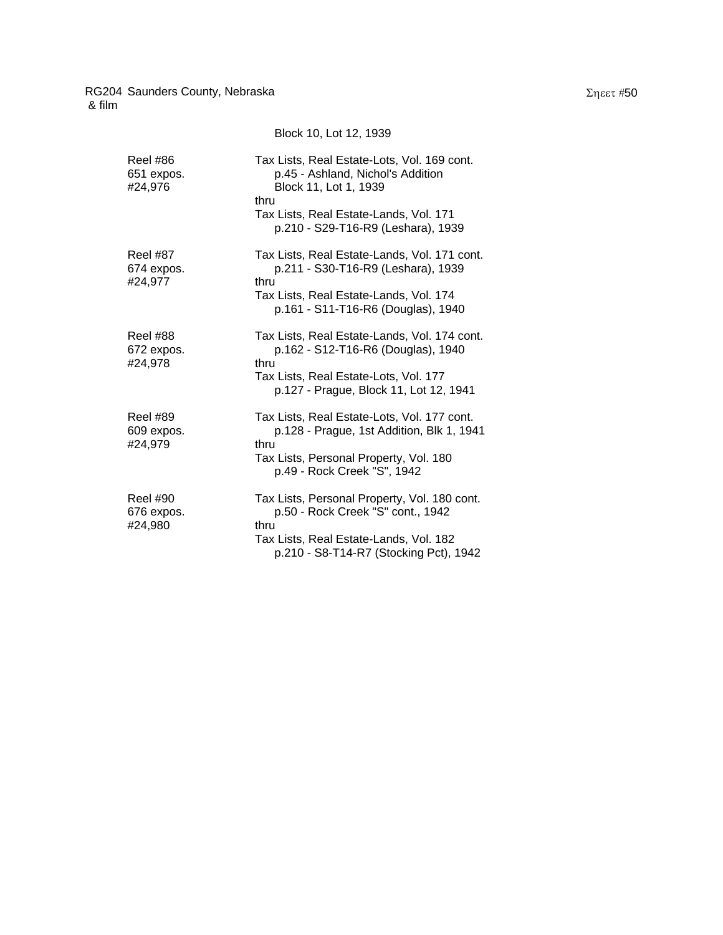|                                          | Block 10, Lot 12, 1939                                                                                                                                      |
|------------------------------------------|-------------------------------------------------------------------------------------------------------------------------------------------------------------|
| <b>Reel #86</b><br>651 expos.<br>#24,976 | Tax Lists, Real Estate-Lots, Vol. 169 cont.<br>p.45 - Ashland, Nichol's Addition<br>Block 11, Lot 1, 1939<br>thru<br>Tax Lists, Real Estate-Lands, Vol. 171 |
|                                          | p.210 - S29-T16-R9 (Leshara), 1939                                                                                                                          |
| <b>Reel #87</b><br>674 expos.<br>#24,977 | Tax Lists, Real Estate-Lands, Vol. 171 cont.<br>p.211 - S30-T16-R9 (Leshara), 1939<br>thru                                                                  |
|                                          | Tax Lists, Real Estate-Lands, Vol. 174<br>p.161 - S11-T16-R6 (Douglas), 1940                                                                                |
| <b>Reel #88</b><br>672 expos.<br>#24,978 | Tax Lists, Real Estate-Lands, Vol. 174 cont.<br>p.162 - S12-T16-R6 (Douglas), 1940<br>thru                                                                  |
|                                          | Tax Lists, Real Estate-Lots, Vol. 177<br>p.127 - Prague, Block 11, Lot 12, 1941                                                                             |
| <b>Reel #89</b><br>609 expos.            | Tax Lists, Real Estate-Lots, Vol. 177 cont.<br>p.128 - Prague, 1st Addition, Blk 1, 1941<br>thru                                                            |
| #24,979                                  | Tax Lists, Personal Property, Vol. 180<br>p.49 - Rock Creek "S", 1942                                                                                       |
| <b>Reel #90</b><br>676 expos.<br>#24,980 | Tax Lists, Personal Property, Vol. 180 cont.<br>p.50 - Rock Creek "S" cont., 1942<br>thru                                                                   |
|                                          | Tax Lists, Real Estate-Lands, Vol. 182<br>p.210 - S8-T14-R7 (Stocking Pct), 1942                                                                            |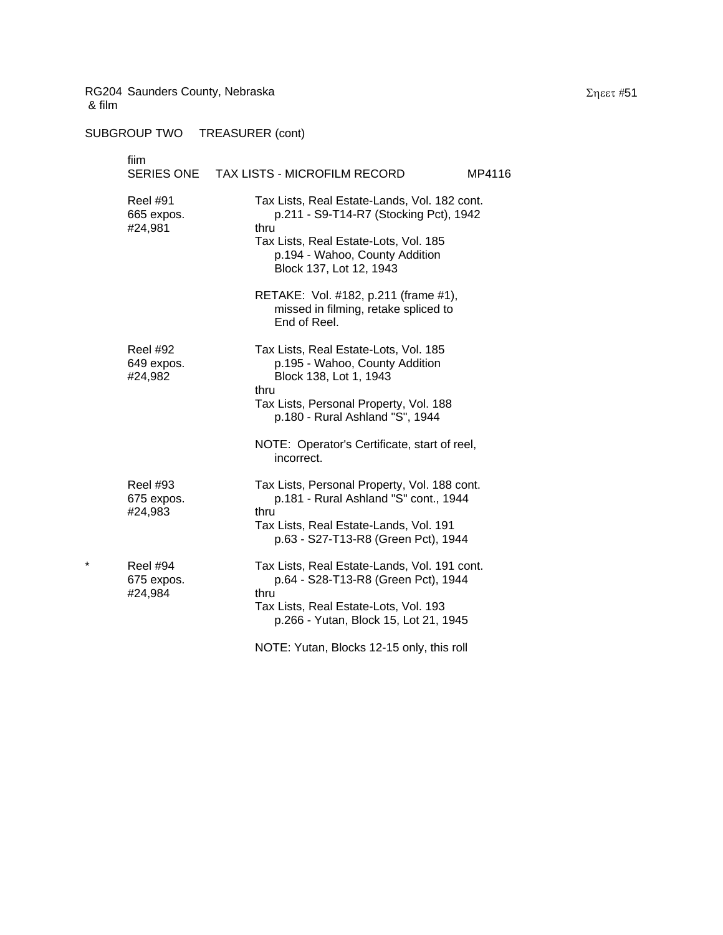|   | fiim<br>SERIES ONE                       | TAX LISTS - MICROFILM RECORD<br>MP4116                                                                                                                                                               |
|---|------------------------------------------|------------------------------------------------------------------------------------------------------------------------------------------------------------------------------------------------------|
|   | <b>Reel #91</b><br>665 expos.<br>#24,981 | Tax Lists, Real Estate-Lands, Vol. 182 cont.<br>p.211 - S9-T14-R7 (Stocking Pct), 1942<br>thru<br>Tax Lists, Real Estate-Lots, Vol. 185<br>p.194 - Wahoo, County Addition<br>Block 137, Lot 12, 1943 |
|   |                                          | RETAKE: Vol. #182, p.211 (frame #1),<br>missed in filming, retake spliced to<br>End of Reel.                                                                                                         |
|   | <b>Reel #92</b><br>649 expos.<br>#24,982 | Tax Lists, Real Estate-Lots, Vol. 185<br>p.195 - Wahoo, County Addition<br>Block 138, Lot 1, 1943<br>thru<br>Tax Lists, Personal Property, Vol. 188<br>p.180 - Rural Ashland "S", 1944               |
|   |                                          | NOTE: Operator's Certificate, start of reel,<br>incorrect.                                                                                                                                           |
|   | <b>Reel #93</b><br>675 expos.<br>#24,983 | Tax Lists, Personal Property, Vol. 188 cont.<br>p.181 - Rural Ashland "S" cont., 1944<br>thru<br>Tax Lists, Real Estate-Lands, Vol. 191<br>p.63 - S27-T13-R8 (Green Pct), 1944                       |
| * | <b>Reel #94</b><br>675 expos.<br>#24,984 | Tax Lists, Real Estate-Lands, Vol. 191 cont.<br>p.64 - S28-T13-R8 (Green Pct), 1944<br>thru<br>Tax Lists, Real Estate-Lots, Vol. 193<br>p.266 - Yutan, Block 15, Lot 21, 1945                        |
|   |                                          | NOTE: Yutan, Blocks 12-15 only, this roll                                                                                                                                                            |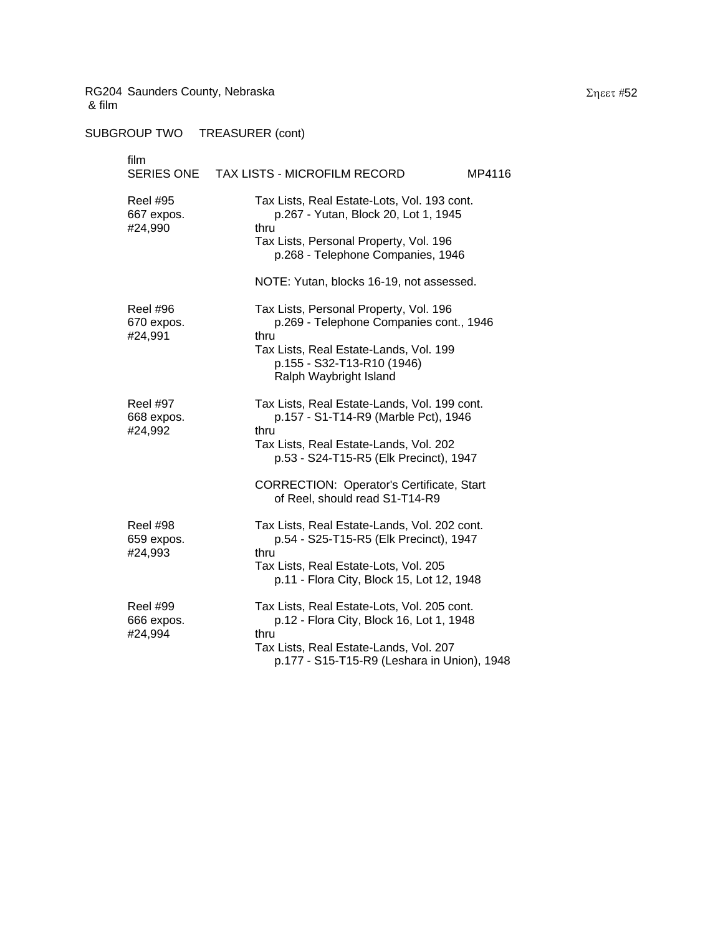| film                                     | SERIES ONE TAX LISTS - MICROFILM RECORD<br>MP4116                                                                                                                                                                                    |
|------------------------------------------|--------------------------------------------------------------------------------------------------------------------------------------------------------------------------------------------------------------------------------------|
| <b>Reel #95</b><br>667 expos.<br>#24,990 | Tax Lists, Real Estate-Lots, Vol. 193 cont.<br>p.267 - Yutan, Block 20, Lot 1, 1945<br>thru<br>Tax Lists, Personal Property, Vol. 196<br>p.268 - Telephone Companies, 1946                                                           |
|                                          | NOTE: Yutan, blocks 16-19, not assessed.                                                                                                                                                                                             |
| <b>Reel #96</b><br>670 expos.<br>#24,991 | Tax Lists, Personal Property, Vol. 196<br>p.269 - Telephone Companies cont., 1946<br>thru<br>Tax Lists, Real Estate-Lands, Vol. 199<br>p.155 - S32-T13-R10 (1946)<br>Ralph Waybright Island                                          |
| <b>Reel #97</b><br>668 expos.<br>#24,992 | Tax Lists, Real Estate-Lands, Vol. 199 cont.<br>p.157 - S1-T14-R9 (Marble Pct), 1946<br>thru<br>Tax Lists, Real Estate-Lands, Vol. 202<br>p.53 - S24-T15-R5 (Elk Precinct), 1947<br><b>CORRECTION: Operator's Certificate, Start</b> |
|                                          | of Reel, should read S1-T14-R9                                                                                                                                                                                                       |
| <b>Reel #98</b><br>659 expos.<br>#24,993 | Tax Lists, Real Estate-Lands, Vol. 202 cont.<br>p.54 - S25-T15-R5 (Elk Precinct), 1947<br>thru<br>Tax Lists, Real Estate-Lots, Vol. 205<br>p.11 - Flora City, Block 15, Lot 12, 1948                                                 |
| <b>Reel #99</b><br>666 expos.<br>#24,994 | Tax Lists, Real Estate-Lots, Vol. 205 cont.<br>p.12 - Flora City, Block 16, Lot 1, 1948<br>thru<br>Tax Lists, Real Estate-Lands, Vol. 207<br>p.177 - S15-T15-R9 (Leshara in Union), 1948                                             |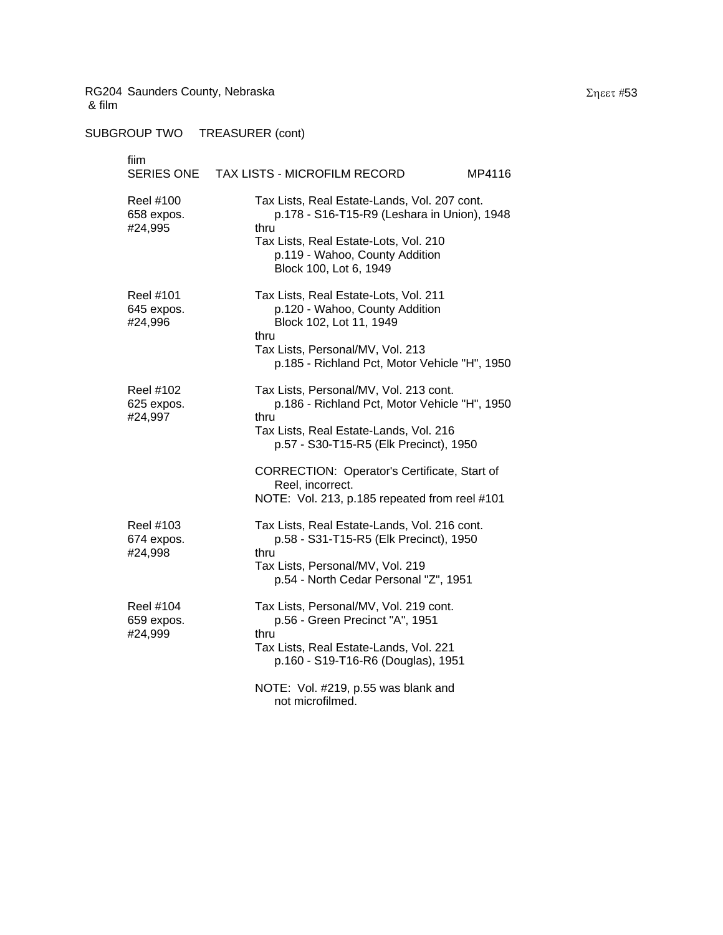SUBGROUP TWO TREASURER (cont)

fiim SERIES ONE TAX LISTS - MICROFILM RECORD MP4116 Reel #100 Tax Lists, Real Estate-Lands, Vol. 207 cont. 658 expos. p.178 - S16-T15-R9 (Leshara in Union), 1948 #24,995 thru Tax Lists, Real Estate-Lots, Vol. 210 p.119 - Wahoo, County Addition Block 100, Lot 6, 1949 Reel #101 Tax Lists, Real Estate-Lots, Vol. 211 645 expos. p.120 - Wahoo, County Addition #24,996 Block 102, Lot 11, 1949 thru Tax Lists, Personal/MV, Vol. 213 p.185 - Richland Pct, Motor Vehicle "H", 1950 Reel #102 Tax Lists, Personal/MV, Vol. 213 cont. 625 expos. p.186 - Richland Pct, Motor Vehicle "H", 1950 #24,997 thru Tax Lists, Real Estate-Lands, Vol. 216 p.57 - S30-T15-R5 (Elk Precinct), 1950 CORRECTION: Operator's Certificate, Start of Reel, incorrect. NOTE: Vol. 213, p.185 repeated from reel #101 Reel #103 Tax Lists, Real Estate-Lands, Vol. 216 cont. 674 expos. p.58 - S31-T15-R5 (Elk Precinct), 1950 #24,998 thru Tax Lists, Personal/MV, Vol. 219 p.54 - North Cedar Personal "Z", 1951 Reel #104 Tax Lists, Personal/MV, Vol. 219 cont. 659 expos. p.56 - Green Precinct "A", 1951 #24,999 thru Tax Lists, Real Estate-Lands, Vol. 221 p.160 - S19-T16-R6 (Douglas), 1951 NOTE: Vol. #219, p.55 was blank and not microfilmed.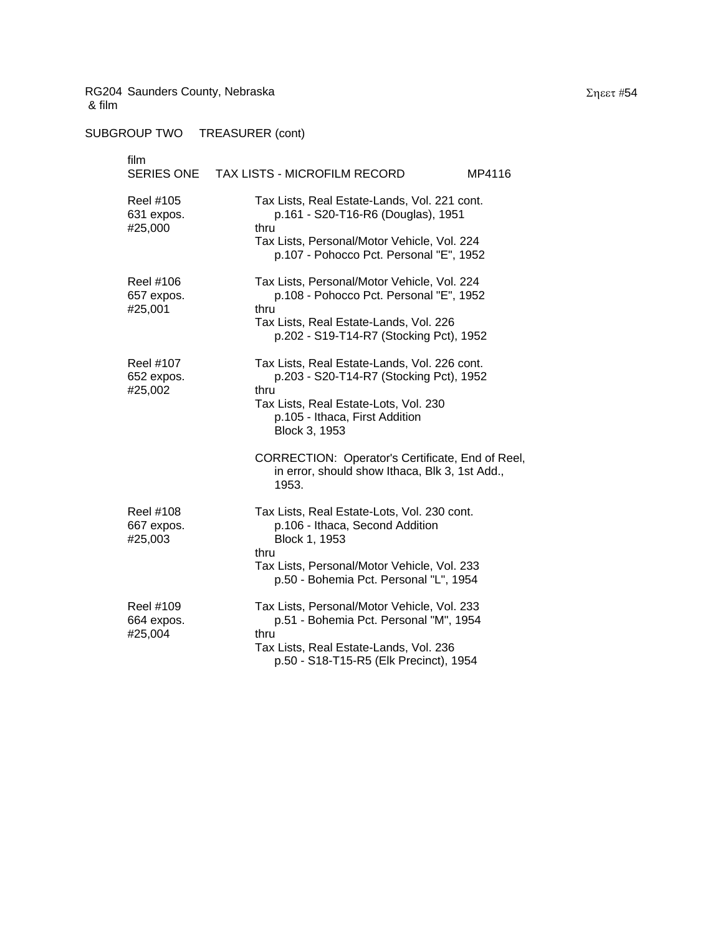| film<br>SERIES ONE                        | TAX LISTS - MICROFILM RECORD<br>MP4116                                                                                                                                                           |
|-------------------------------------------|--------------------------------------------------------------------------------------------------------------------------------------------------------------------------------------------------|
| Reel #105<br>631 expos.<br>#25,000        | Tax Lists, Real Estate-Lands, Vol. 221 cont.<br>p.161 - S20-T16-R6 (Douglas), 1951<br>thru<br>Tax Lists, Personal/Motor Vehicle, Vol. 224<br>p.107 - Pohocco Pct. Personal "E", 1952             |
| <b>Reel #106</b><br>657 expos.<br>#25,001 | Tax Lists, Personal/Motor Vehicle, Vol. 224<br>p.108 - Pohocco Pct. Personal "E", 1952<br>thru<br>Tax Lists, Real Estate-Lands, Vol. 226<br>p.202 - S19-T14-R7 (Stocking Pct), 1952              |
| <b>Reel #107</b><br>652 expos.<br>#25,002 | Tax Lists, Real Estate-Lands, Vol. 226 cont.<br>p.203 - S20-T14-R7 (Stocking Pct), 1952<br>thru<br>Tax Lists, Real Estate-Lots, Vol. 230<br>p.105 - Ithaca, First Addition<br>Block 3, 1953      |
|                                           | CORRECTION: Operator's Certificate, End of Reel,<br>in error, should show Ithaca, Blk 3, 1st Add.,<br>1953.                                                                                      |
| Reel #108<br>667 expos.<br>#25,003        | Tax Lists, Real Estate-Lots, Vol. 230 cont.<br>p.106 - Ithaca, Second Addition<br>Block 1, 1953<br>thru<br>Tax Lists, Personal/Motor Vehicle, Vol. 233<br>p.50 - Bohemia Pct. Personal "L", 1954 |
| Reel #109<br>664 expos.<br>#25,004        | Tax Lists, Personal/Motor Vehicle, Vol. 233<br>p.51 - Bohemia Pct. Personal "M", 1954<br>thru<br>Tax Lists, Real Estate-Lands, Vol. 236<br>p.50 - S18-T15-R5 (Elk Precinct), 1954                |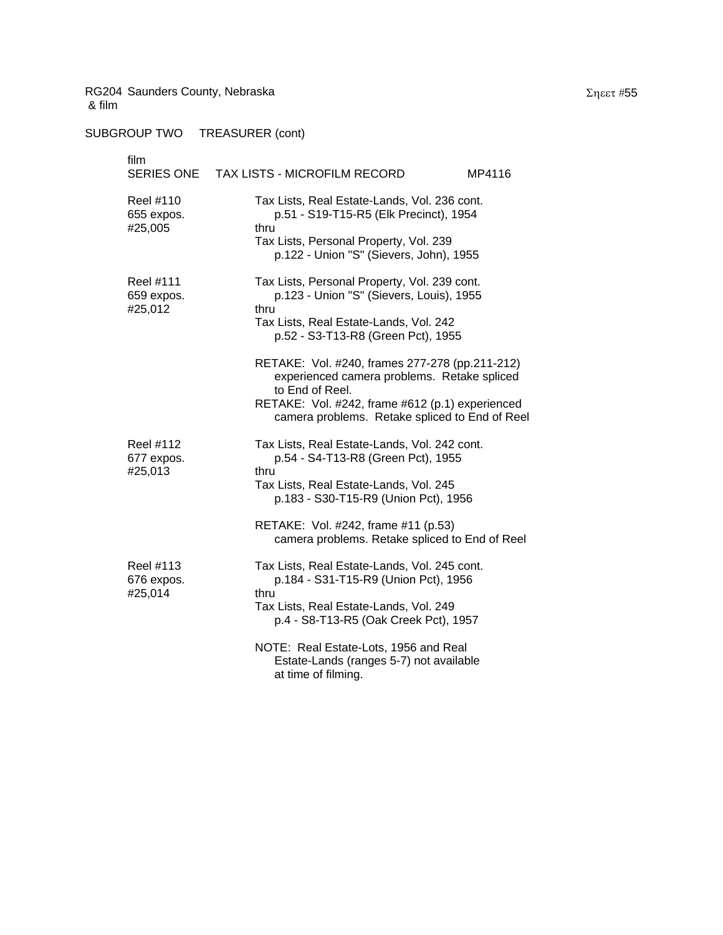| film<br>SERIES ONE                        | TAX LISTS - MICROFILM RECORD<br>MP4116                                                                                                                                                                                |
|-------------------------------------------|-----------------------------------------------------------------------------------------------------------------------------------------------------------------------------------------------------------------------|
| Reel #110<br>655 expos.<br>#25,005        | Tax Lists, Real Estate-Lands, Vol. 236 cont.<br>p.51 - S19-T15-R5 (Elk Precinct), 1954<br>thru<br>Tax Lists, Personal Property, Vol. 239<br>p.122 - Union "S" (Sievers, John), 1955                                   |
| <b>Reel #111</b><br>659 expos.<br>#25,012 | Tax Lists, Personal Property, Vol. 239 cont.<br>p.123 - Union "S" (Sievers, Louis), 1955<br>thru<br>Tax Lists, Real Estate-Lands, Vol. 242<br>p.52 - S3-T13-R8 (Green Pct), 1955                                      |
|                                           | RETAKE: Vol. #240, frames 277-278 (pp.211-212)<br>experienced camera problems. Retake spliced<br>to End of Reel.<br>RETAKE: Vol. #242, frame #612 (p.1) experienced<br>camera problems. Retake spliced to End of Reel |
| Reel #112<br>677 expos.<br>#25,013        | Tax Lists, Real Estate-Lands, Vol. 242 cont.<br>p.54 - S4-T13-R8 (Green Pct), 1955<br>thru<br>Tax Lists, Real Estate-Lands, Vol. 245<br>p.183 - S30-T15-R9 (Union Pct), 1956                                          |
|                                           | RETAKE: Vol. #242, frame #11 (p.53)<br>camera problems. Retake spliced to End of Reel                                                                                                                                 |
| Reel #113<br>676 expos.<br>#25,014        | Tax Lists, Real Estate-Lands, Vol. 245 cont.<br>p.184 - S31-T15-R9 (Union Pct), 1956<br>thru<br>Tax Lists, Real Estate-Lands, Vol. 249<br>p.4 - S8-T13-R5 (Oak Creek Pct), 1957                                       |
|                                           | NOTE: Real Estate-Lots, 1956 and Real<br>Estate-Lands (ranges 5-7) not available<br>at time of filming.                                                                                                               |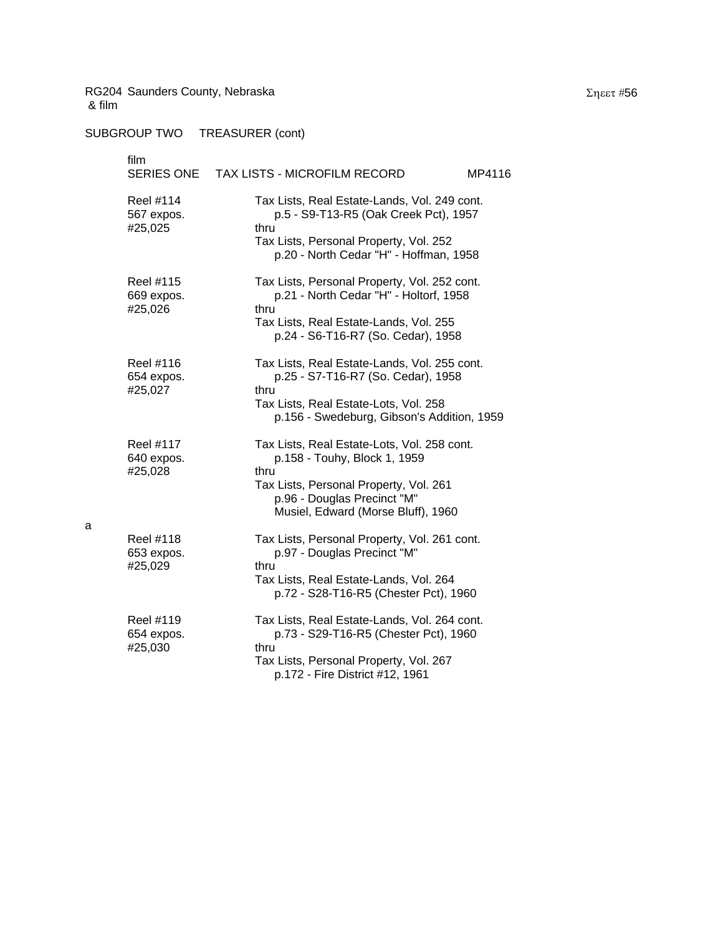a

| film<br>SERIES ONE                        | <b>TAX LISTS - MICROFILM RECORD</b><br>MP4116                                                                                                                                                      |
|-------------------------------------------|----------------------------------------------------------------------------------------------------------------------------------------------------------------------------------------------------|
| <b>Reel #114</b><br>567 expos.<br>#25,025 | Tax Lists, Real Estate-Lands, Vol. 249 cont.<br>p.5 - S9-T13-R5 (Oak Creek Pct), 1957<br>thru<br>Tax Lists, Personal Property, Vol. 252<br>p.20 - North Cedar "H" - Hoffman, 1958                  |
| Reel #115<br>669 expos.<br>#25,026        | Tax Lists, Personal Property, Vol. 252 cont.<br>p.21 - North Cedar "H" - Holtorf, 1958<br>thru<br>Tax Lists, Real Estate-Lands, Vol. 255<br>p.24 - S6-T16-R7 (So. Cedar), 1958                     |
| Reel #116<br>654 expos.<br>#25,027        | Tax Lists, Real Estate-Lands, Vol. 255 cont.<br>p.25 - S7-T16-R7 (So. Cedar), 1958<br>thru<br>Tax Lists, Real Estate-Lots, Vol. 258<br>p.156 - Swedeburg, Gibson's Addition, 1959                  |
| <b>Reel #117</b><br>640 expos.<br>#25,028 | Tax Lists, Real Estate-Lots, Vol. 258 cont.<br>p.158 - Touhy, Block 1, 1959<br>thru<br>Tax Lists, Personal Property, Vol. 261<br>p.96 - Douglas Precinct "M"<br>Musiel, Edward (Morse Bluff), 1960 |
| Reel #118<br>653 expos.<br>#25,029        | Tax Lists, Personal Property, Vol. 261 cont.<br>p.97 - Douglas Precinct "M"<br>thru<br>Tax Lists, Real Estate-Lands, Vol. 264<br>p.72 - S28-T16-R5 (Chester Pct), 1960                             |
| Reel #119<br>654 expos.<br>#25,030        | Tax Lists, Real Estate-Lands, Vol. 264 cont.<br>p.73 - S29-T16-R5 (Chester Pct), 1960<br>thru<br>Tax Lists, Personal Property, Vol. 267<br>p.172 - Fire District #12, 1961                         |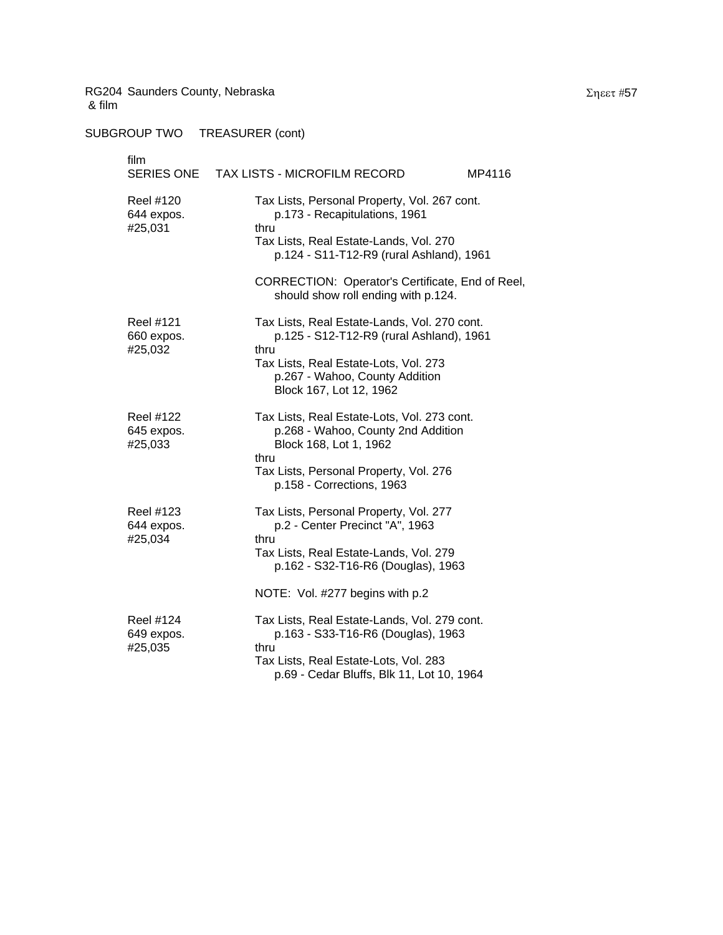SUBGROUP TWO TREASURER (cont)

# film SERIES ONE TAX LISTS - MICROFILM RECORD MP4116 Reel #120 Tax Lists, Personal Property, Vol. 267 cont. 644 expos. p.173 - Recapitulations, 1961 #25,031 thru Tax Lists, Real Estate-Lands, Vol. 270 p.124 - S11-T12-R9 (rural Ashland), 1961 CORRECTION: Operator's Certificate, End of Reel, should show roll ending with p.124. Reel #121 Tax Lists, Real Estate-Lands, Vol. 270 cont. 660 expos. p.125 - S12-T12-R9 (rural Ashland), 1961 #25,032 thru Tax Lists, Real Estate-Lots, Vol. 273 p.267 - Wahoo, County Addition Block 167, Lot 12, 1962 Reel #122 Tax Lists, Real Estate-Lots, Vol. 273 cont. 645 expos. p.268 - Wahoo, County 2nd Addition #25,033 Block 168, Lot 1, 1962 thru Tax Lists, Personal Property, Vol. 276 p.158 - Corrections, 1963 Reel #123 Tax Lists, Personal Property, Vol. 277 644 expos. p.2 - Center Precinct "A", 1963 #25,034 thru Tax Lists, Real Estate-Lands, Vol. 279 p.162 - S32-T16-R6 (Douglas), 1963 NOTE: Vol. #277 begins with p.2 Reel #124 Tax Lists, Real Estate-Lands, Vol. 279 cont. 649 expos. p.163 - S33-T16-R6 (Douglas), 1963 #25,035 thru Tax Lists, Real Estate-Lots, Vol. 283 p.69 - Cedar Bluffs, Blk 11, Lot 10, 1964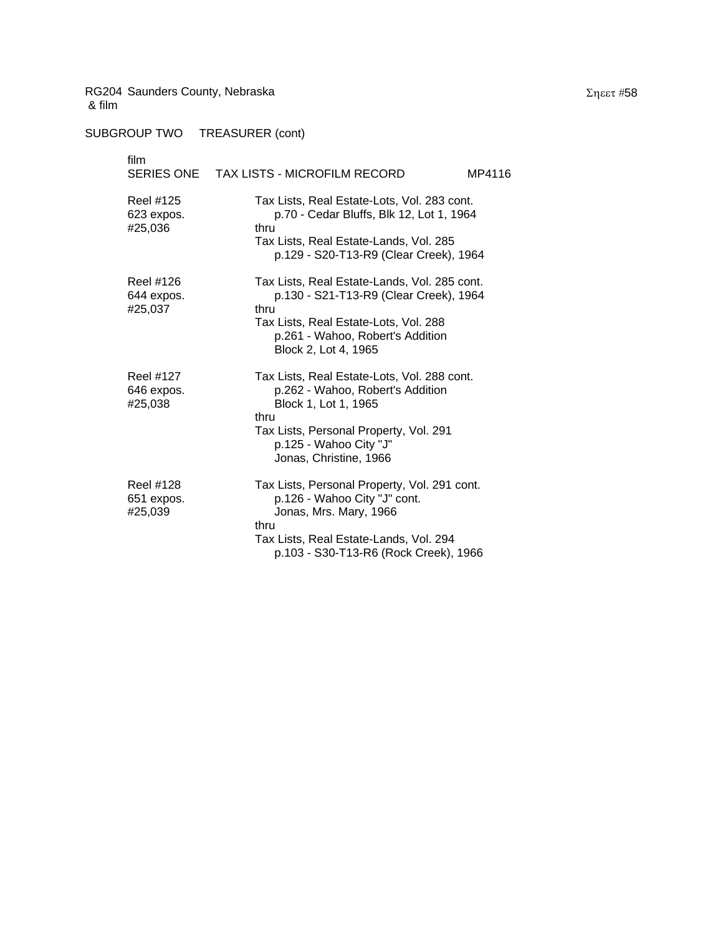| film<br><b>SERIES ONE</b>                 | TAX LISTS - MICROFILM RECORD<br>MP4116                                                                                                                                                                        |
|-------------------------------------------|---------------------------------------------------------------------------------------------------------------------------------------------------------------------------------------------------------------|
| Reel #125<br>623 expos.<br>#25,036        | Tax Lists, Real Estate-Lots, Vol. 283 cont.<br>p.70 - Cedar Bluffs, Blk 12, Lot 1, 1964<br>thru<br>Tax Lists, Real Estate-Lands, Vol. 285<br>p.129 - S20-T13-R9 (Clear Creek), 1964                           |
| Reel #126<br>644 expos.<br>#25,037        | Tax Lists, Real Estate-Lands, Vol. 285 cont.<br>p.130 - S21-T13-R9 (Clear Creek), 1964<br>thru<br>Tax Lists, Real Estate-Lots, Vol. 288<br>p.261 - Wahoo, Robert's Addition<br>Block 2, Lot 4, 1965           |
| <b>Reel #127</b><br>646 expos.<br>#25,038 | Tax Lists, Real Estate-Lots, Vol. 288 cont.<br>p.262 - Wahoo, Robert's Addition<br>Block 1, Lot 1, 1965<br>thru<br>Tax Lists, Personal Property, Vol. 291<br>p.125 - Wahoo City "J"<br>Jonas, Christine, 1966 |
| Reel #128<br>651 expos.<br>#25,039        | Tax Lists, Personal Property, Vol. 291 cont.<br>p.126 - Wahoo City "J" cont.<br>Jonas, Mrs. Mary, 1966<br>thru<br>Tax Lists, Real Estate-Lands, Vol. 294<br>p.103 - S30-T13-R6 (Rock Creek), 1966             |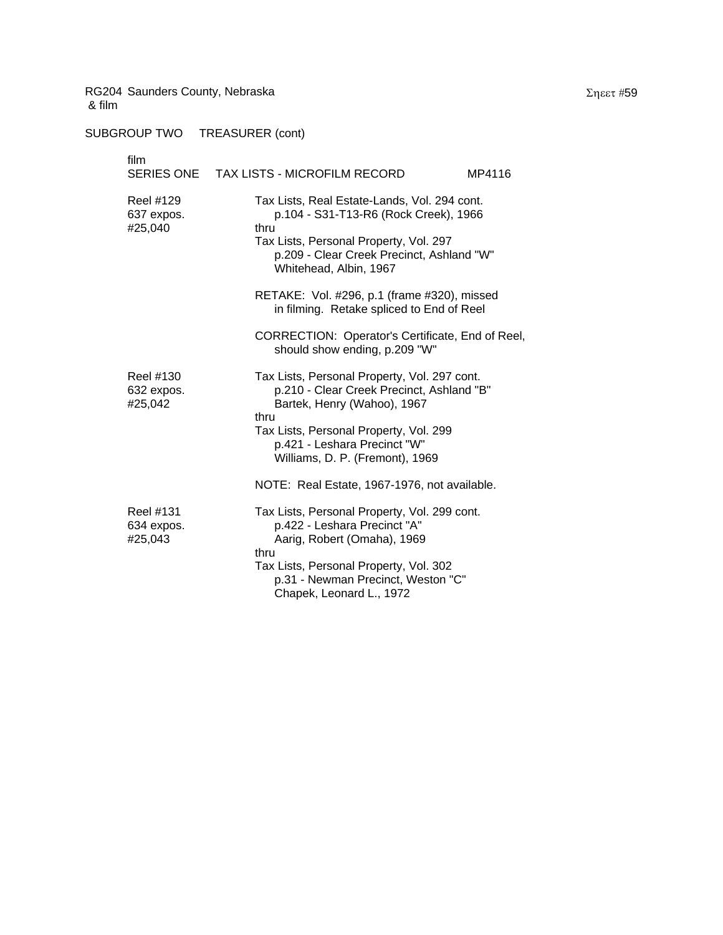| film                               | SERIES ONE TAX LISTS - MICROFILM RECORD<br>MP4116                                                                                                                                                                                             |
|------------------------------------|-----------------------------------------------------------------------------------------------------------------------------------------------------------------------------------------------------------------------------------------------|
| Reel #129<br>637 expos.<br>#25,040 | Tax Lists, Real Estate-Lands, Vol. 294 cont.<br>p.104 - S31-T13-R6 (Rock Creek), 1966<br>thru<br>Tax Lists, Personal Property, Vol. 297<br>p.209 - Clear Creek Precinct, Ashland "W"<br>Whitehead, Albin, 1967                                |
|                                    | RETAKE: Vol. #296, p.1 (frame #320), missed<br>in filming. Retake spliced to End of Reel                                                                                                                                                      |
|                                    | CORRECTION: Operator's Certificate, End of Reel,<br>should show ending, p.209 "W"                                                                                                                                                             |
| Reel #130<br>632 expos.<br>#25,042 | Tax Lists, Personal Property, Vol. 297 cont.<br>p.210 - Clear Creek Precinct, Ashland "B"<br>Bartek, Henry (Wahoo), 1967<br>thru<br>Tax Lists, Personal Property, Vol. 299<br>p.421 - Leshara Precinct "W"<br>Williams, D. P. (Fremont), 1969 |
|                                    | NOTE: Real Estate, 1967-1976, not available.                                                                                                                                                                                                  |
| Reel #131<br>634 expos.<br>#25,043 | Tax Lists, Personal Property, Vol. 299 cont.<br>p.422 - Leshara Precinct "A"<br>Aarig, Robert (Omaha), 1969<br>thru<br>Tax Lists, Personal Property, Vol. 302<br>p.31 - Newman Precinct, Weston "C"<br>Chapek, Leonard L., 1972               |
|                                    |                                                                                                                                                                                                                                               |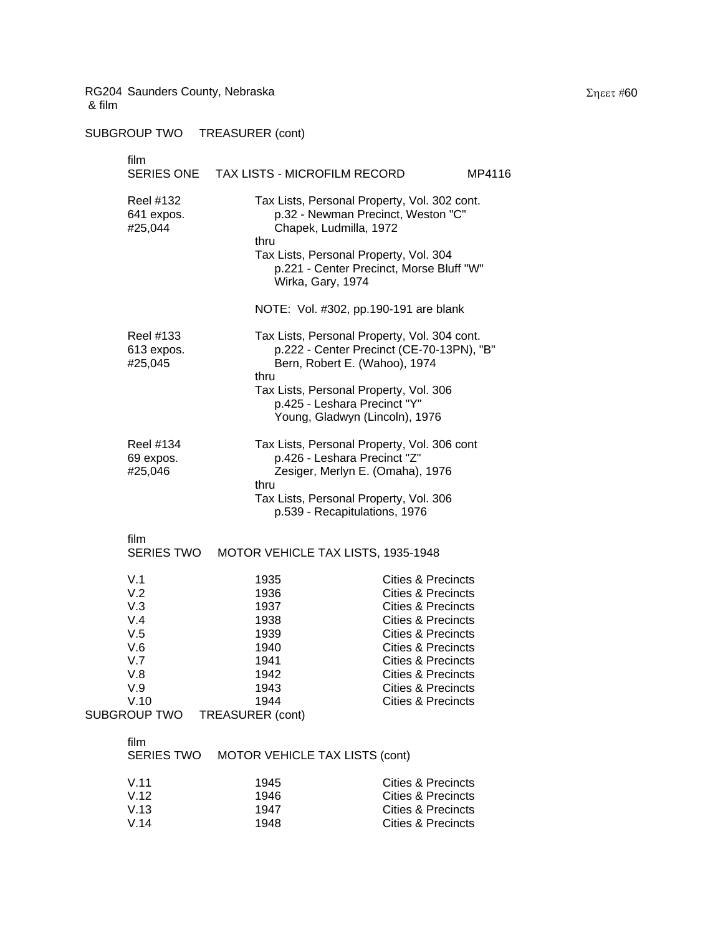| film<br><b>SERIES ONE</b>                     | TAX LISTS - MICROFILM RECORD                         |                                                                                                                                                                                                                                     | MP4116 |
|-----------------------------------------------|------------------------------------------------------|-------------------------------------------------------------------------------------------------------------------------------------------------------------------------------------------------------------------------------------|--------|
| <b>Reel #132</b><br>641 expos.<br>#25,044     | thru<br>Wirka, Gary, 1974                            | Tax Lists, Personal Property, Vol. 302 cont.<br>p.32 - Newman Precinct, Weston "C"<br>Chapek, Ludmilla, 1972<br>Tax Lists, Personal Property, Vol. 304<br>p.221 - Center Precinct, Morse Bluff "W"                                  |        |
|                                               |                                                      | NOTE: Vol. #302, pp.190-191 are blank                                                                                                                                                                                               |        |
| Reel #133<br>613 expos.<br>#25,045            | thru                                                 | Tax Lists, Personal Property, Vol. 304 cont.<br>p.222 - Center Precinct (CE-70-13PN), "B"<br>Bern, Robert E. (Wahoo), 1974                                                                                                          |        |
|                                               |                                                      | Tax Lists, Personal Property, Vol. 306<br>p.425 - Leshara Precinct "Y"<br>Young, Gladwyn (Lincoln), 1976                                                                                                                            |        |
| <b>Reel #134</b><br>69 expos.<br>#25,046      | thru                                                 | Tax Lists, Personal Property, Vol. 306 cont<br>p.426 - Leshara Precinct "Z"<br>Zesiger, Merlyn E. (Omaha), 1976                                                                                                                     |        |
|                                               |                                                      | Tax Lists, Personal Property, Vol. 306<br>p.539 - Recapitulations, 1976                                                                                                                                                             |        |
| film<br>SERIES TWO                            |                                                      | MOTOR VEHICLE TAX LISTS, 1935-1948                                                                                                                                                                                                  |        |
| V.1<br>V.2<br>V.3<br>V.4<br>V.5<br>V.6<br>V.7 | 1935<br>1936<br>1937<br>1938<br>1939<br>1940<br>1941 | <b>Cities &amp; Precincts</b><br><b>Cities &amp; Precincts</b><br><b>Cities &amp; Precincts</b><br><b>Cities &amp; Precincts</b><br><b>Cities &amp; Precincts</b><br><b>Cities &amp; Precincts</b><br><b>Cities &amp; Precincts</b> |        |
| V.8                                           | 1942                                                 | <b>Cities &amp; Precincts</b>                                                                                                                                                                                                       |        |

# SUBGROUP TWO TREASURER (cont)

| V.5                       | 1939                           | Cities & Precincts |
|---------------------------|--------------------------------|--------------------|
| V.6                       | 1940                           | Cities & Precincts |
| V.7                       | 1941                           | Cities & Precincts |
| V.8                       | 1942                           | Cities & Precincts |
| V.9                       | 1943                           | Cities & Precincts |
| V.10                      | 1944                           | Cities & Precincts |
| <b>SUBGROUP TWO</b>       | <b>TREASURER (cont)</b>        |                    |
| film<br><b>SERIES TWO</b> | MOTOR VEHICLE TAX LISTS (cont) |                    |
| V.11                      | 1945                           | Cities & Precincts |
| V.12                      | 1946                           | Cities & Precincts |
| V.13                      | 1947                           | Cities & Precincts |

V.14 1948 Cities & Precincts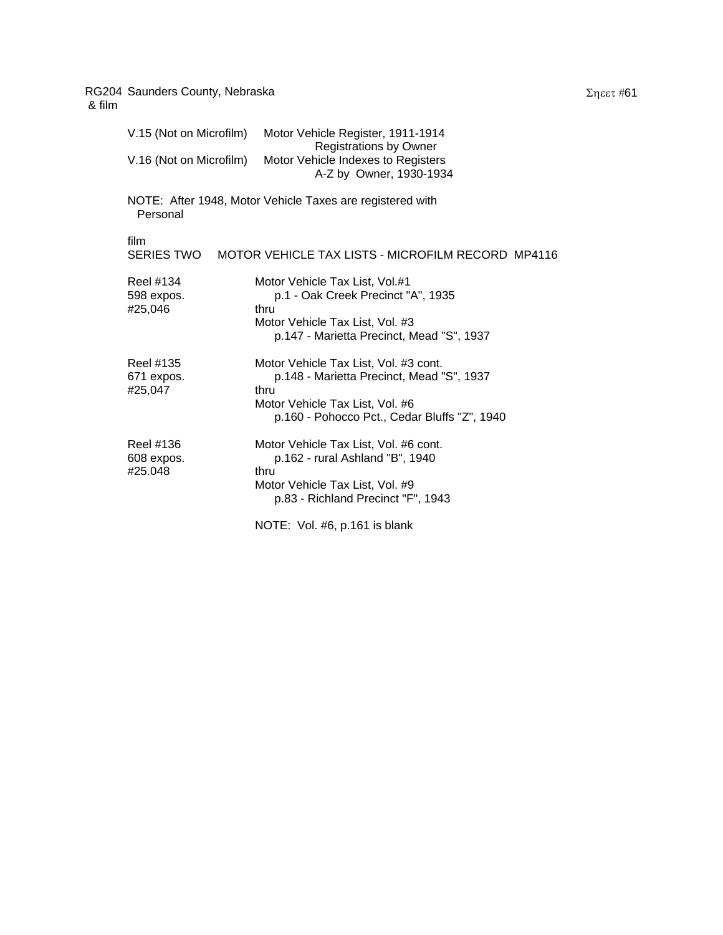| & film |                                    |                                                                                                                                                                               |
|--------|------------------------------------|-------------------------------------------------------------------------------------------------------------------------------------------------------------------------------|
|        | V.15 (Not on Microfilm)            | Motor Vehicle Register, 1911-1914<br><b>Registrations by Owner</b>                                                                                                            |
|        | V.16 (Not on Microfilm)            | Motor Vehicle Indexes to Registers<br>A-Z by Owner, 1930-1934                                                                                                                 |
|        | Personal                           | NOTE: After 1948, Motor Vehicle Taxes are registered with                                                                                                                     |
|        | film                               | SERIES TWO MOTOR VEHICLE TAX LISTS - MICROFILM RECORD MP4116                                                                                                                  |
|        | Reel #134<br>598 expos.<br>#25,046 | Motor Vehicle Tax List, Vol.#1<br>p.1 - Oak Creek Precinct "A", 1935<br>thru<br>Motor Vehicle Tax List, Vol. #3<br>p.147 - Marietta Precinct, Mead "S", 1937                  |
|        | Reel #135<br>671 expos.<br>#25,047 | Motor Vehicle Tax List, Vol. #3 cont.<br>p.148 - Marietta Precinct, Mead "S", 1937<br>thru<br>Motor Vehicle Tax List, Vol. #6<br>p.160 - Pohocco Pct., Cedar Bluffs "Z", 1940 |
|        | Reel #136<br>608 expos.<br>#25.048 | Motor Vehicle Tax List, Vol. #6 cont.<br>p.162 - rural Ashland "B", 1940<br>thru<br>Motor Vehicle Tax List, Vol. #9<br>p.83 - Richland Precinct "F", 1943                     |
|        |                                    | NOTE: Vol. #6, p.161 is blank                                                                                                                                                 |

Σηεετ #61

RG204 Saunders County, Nebraska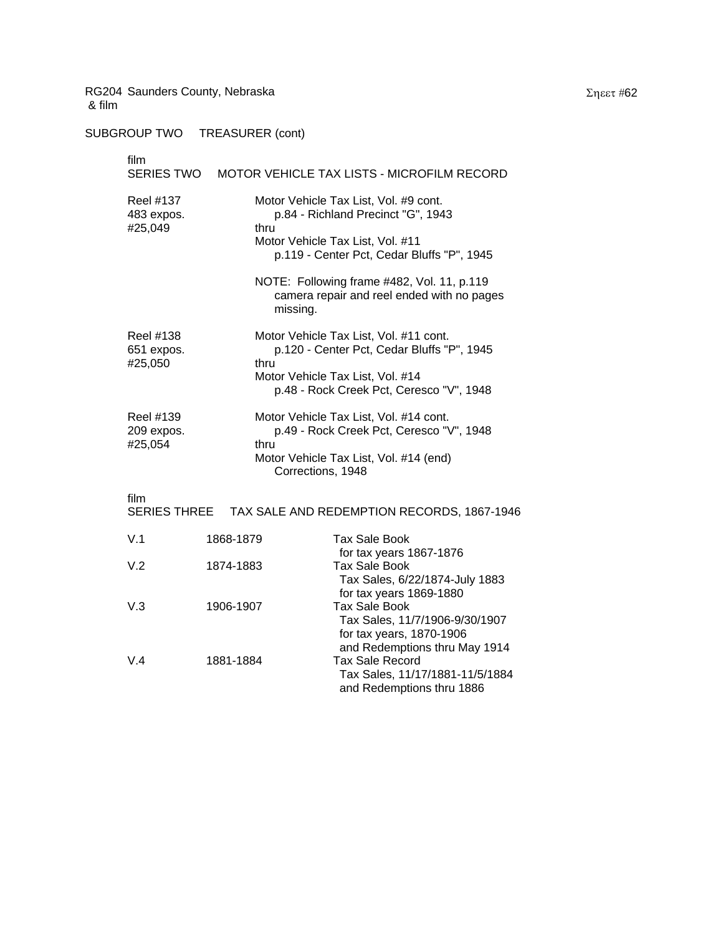#### SUBGROUP TWO TREASURER (cont)

| film<br>SERIES TWO                        |           | MOTOR VEHICLE TAX LISTS - MICROFILM RECORD                                                                                                                           |
|-------------------------------------------|-----------|----------------------------------------------------------------------------------------------------------------------------------------------------------------------|
| <b>Reel #137</b><br>483 expos.<br>#25,049 | thru      | Motor Vehicle Tax List, Vol. #9 cont.<br>p.84 - Richland Precinct "G", 1943<br>Motor Vehicle Tax List, Vol. #11<br>p.119 - Center Pct, Cedar Bluffs "P", 1945        |
|                                           | missing.  | NOTE: Following frame #482, Vol. 11, p.119<br>camera repair and reel ended with no pages                                                                             |
| Reel #138<br>651 expos.<br>#25,050        | thru      | Motor Vehicle Tax List, Vol. #11 cont.<br>p.120 - Center Pct, Cedar Bluffs "P", 1945<br>Motor Vehicle Tax List, Vol. #14<br>p.48 - Rock Creek Pct, Ceresco "V", 1948 |
| Reel #139<br>209 expos.<br>#25,054        | thru      | Motor Vehicle Tax List, Vol. #14 cont.<br>p.49 - Rock Creek Pct, Ceresco "V", 1948<br>Motor Vehicle Tax List, Vol. #14 (end)<br>Corrections, 1948                    |
| film<br><b>SERIES THREE</b>               |           | TAX SALE AND REDEMPTION RECORDS, 1867-1946                                                                                                                           |
| V.1                                       | 1868-1879 | <b>Tax Sale Book</b>                                                                                                                                                 |
| V.2                                       | 1874-1883 | for tax years 1867-1876<br><b>Tax Sale Book</b><br>Tax Sales, 6/22/1874-July 1883                                                                                    |

 Tax Sales, 6/22/1874-July 1883 for tax years 1869-1880 V.3 1906-1907 Tax Sale Book Tax Sales, 11/7/1906-9/30/1907 for tax years, 1870-1906 and Redemptions thru May 1914 V.4 1881-1884 Tax Sale Record Tax Sales, 11/17/1881-11/5/1884 and Redemptions thru 1886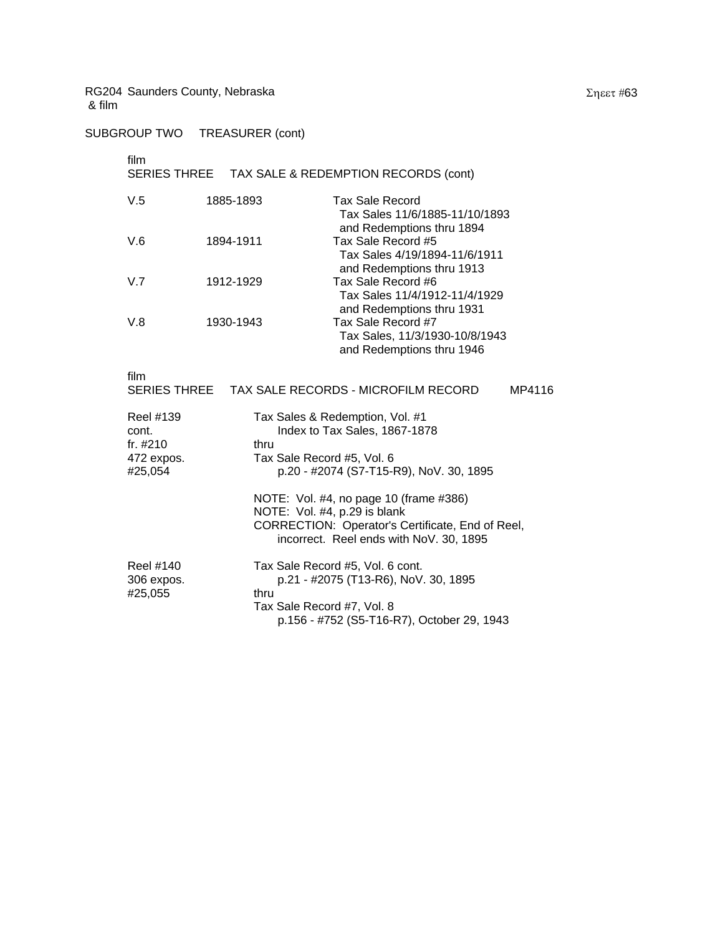# SUBGROUP TWO TREASURER (cont)

#### film

# SERIES THREE TAX SALE & REDEMPTION RECORDS (cont)

| V.5 | 1885-1893 | <b>Tax Sale Record</b><br>Tax Sales 11/6/1885-11/10/1893                          |
|-----|-----------|-----------------------------------------------------------------------------------|
| V.6 | 1894-1911 | and Redemptions thru 1894<br>Tax Sale Record #5                                   |
| V.7 | 1912-1929 | Tax Sales 4/19/1894-11/6/1911<br>and Redemptions thru 1913<br>Tax Sale Record #6  |
|     |           | Tax Sales 11/4/1912-11/4/1929<br>and Redemptions thru 1931                        |
| V.8 | 1930-1943 | Tax Sale Record #7<br>Tax Sales, 11/3/1930-10/8/1943<br>and Redemptions thru 1946 |

film

| ,,,,,,                                                     | SERIES THREE TAX SALE RECORDS - MICROFILM RECORD<br>MP4116                                                                                                            |
|------------------------------------------------------------|-----------------------------------------------------------------------------------------------------------------------------------------------------------------------|
| Reel #139<br>cont.<br>fr. $\#210$<br>472 expos.<br>#25,054 | Tax Sales & Redemption, Vol. #1<br>Index to Tax Sales, 1867-1878<br>thru<br>Tax Sale Record #5, Vol. 6<br>p.20 - #2074 (S7-T15-R9), NoV. 30, 1895                     |
|                                                            | NOTE: Vol. #4, no page 10 (frame #386)<br>NOTE: Vol. #4, p.29 is blank<br>CORRECTION: Operator's Certificate, End of Reel,<br>incorrect. Reel ends with NoV. 30, 1895 |
| Reel #140<br>306 expos.<br>#25,055                         | Tax Sale Record #5, Vol. 6 cont.<br>p.21 - #2075 (T13-R6), NoV. 30, 1895<br>thru<br>Tax Sale Record #7, Vol. 8<br>p.156 - #752 (S5-T16-R7), October 29, 1943          |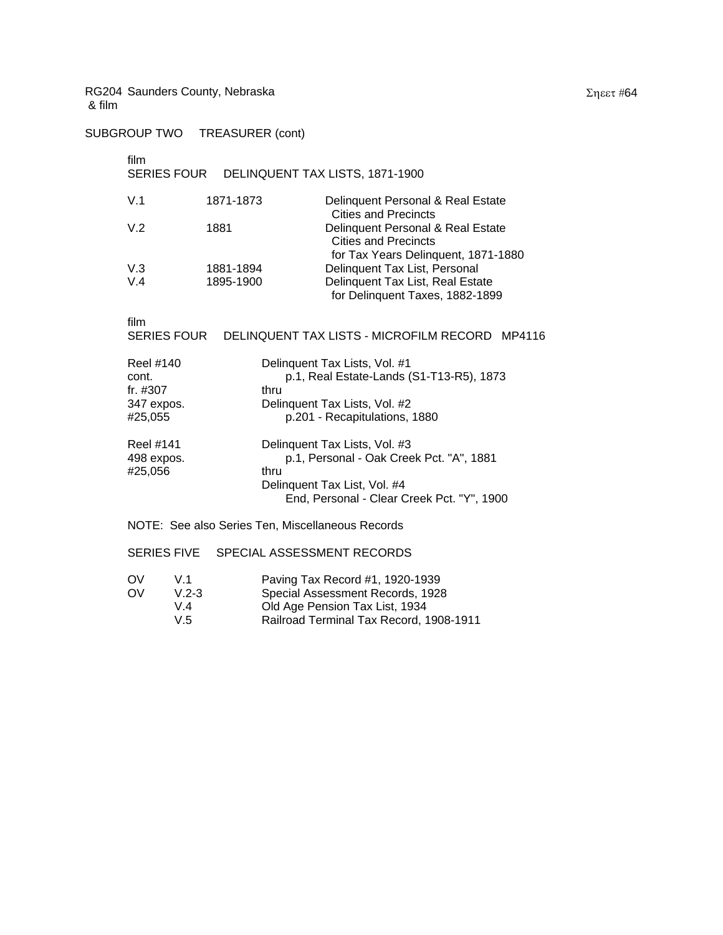SUBGROUP TWO TREASURER (cont)

#### film

#### SERIES FOUR DELINQUENT TAX LISTS, 1871-1900

| 1871-1873 | Delinquent Personal & Real Estate<br><b>Cities and Precincts</b>    |
|-----------|---------------------------------------------------------------------|
| 1881      | Delinquent Personal & Real Estate<br><b>Cities and Precincts</b>    |
|           | for Tax Years Delinquent, 1871-1880                                 |
| 1881-1894 | Delinquent Tax List, Personal                                       |
| 1895-1900 | Delinquent Tax List, Real Estate<br>for Delinquent Taxes, 1882-1899 |
|           |                                                                     |

film

| .                  |                                                |  |
|--------------------|------------------------------------------------|--|
| <b>SERIES FOUR</b> | DELINQUENT TAX LISTS - MICROFILM RECORD MP4116 |  |

| <b>Reel #140</b>                   | Delinquent Tax Lists, Vol. #1                                                     |
|------------------------------------|-----------------------------------------------------------------------------------|
| cont.                              | p.1, Real Estate-Lands (S1-T13-R5), 1873                                          |
| fr. #307                           | thru                                                                              |
| 347 expos.                         | Delinquent Tax Lists, Vol. #2                                                     |
| #25,055                            | p.201 - Recapitulations, 1880                                                     |
| Reel #141<br>498 expos.<br>#25.056 | Delinquent Tax Lists, Vol. #3<br>p.1, Personal - Oak Creek Pct. "A", 1881<br>thru |
|                                    | Delinquent Tax List, Vol. #4<br>End, Personal - Clear Creek Pct. "Y", 1900        |

#### NOTE: See also Series Ten, Miscellaneous Records

#### SERIES FIVE SPECIAL ASSESSMENT RECORDS

| ΩV | V 1       | Paving Tax Record #1, 1920-1939         |
|----|-----------|-----------------------------------------|
| OV | $V.2 - 3$ | Special Assessment Records, 1928        |
|    | V 4       | Old Age Pension Tax List, 1934          |
|    | V.5       | Railroad Terminal Tax Record, 1908-1911 |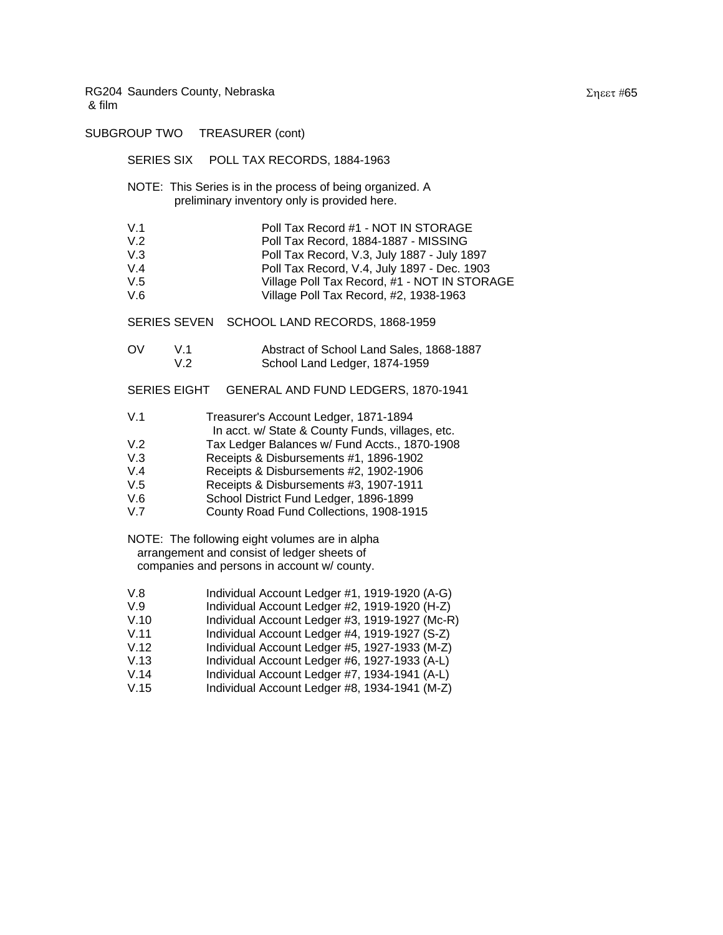SUBGROUP TWO TREASURER (cont) SERIES SIX POLL TAX RECORDS, 1884-1963 NOTE: This Series is in the process of being organized. A preliminary inventory only is provided here. V.1 Poll Tax Record #1 - NOT IN STORAGE<br>V.2 Poll Tax Record. 1884-1887 - MISSING V.2 Poll Tax Record, 1884-1887 - MISSING Poll Tax Record, V.3, July 1887 - July 1897 V.4 Poll Tax Record, V.4, July 1897 - Dec. 1903 V.5 Village Poll Tax Record, #1 - NOT IN STORAGE V.6 Village Poll Tax Record, #2, 1938-1963 SERIES SEVEN SCHOOL LAND RECORDS, 1868-1959 OV V.1 Abstract of School Land Sales, 1868-1887 V.2 School Land Ledger, 1874-1959 SERIES EIGHT GENERAL AND FUND LEDGERS, 1870-1941 V.1 Treasurer's Account Ledger, 1871-1894 In acct. w/ State & County Funds, villages, etc. V.2 Tax Ledger Balances w/ Fund Accts., 1870-1908 V.3 Receipts & Disbursements #1, 1896-1902 V.4 Receipts & Disbursements #2, 1902-1906 V.5 Receipts & Disbursements #3, 1907-1911 V.6 School District Fund Ledger, 1896-1899 V.7 County Road Fund Collections, 1908-1915 NOTE: The following eight volumes are in alpha arrangement and consist of ledger sheets of companies and persons in account w/ county. V.8 Individual Account Ledger #1, 1919-1920 (A-G)<br>V.9 Individual Account Ledger #2, 1919-1920 (H-Z) Individual Account Ledger #2, 1919-1920 (H-Z) V.10 Individual Account Ledger #3, 1919-1927 (Mc-R) V.11 Individual Account Ledger #4, 1919-1927 (S-Z) V.12 Individual Account Ledger #5, 1927-1933 (M-Z) V.13 Individual Account Ledger #6, 1927-1933 (A-L) V.14 Individual Account Ledger #7, 1934-1941 (A-L)

V.15 Individual Account Ledger #8, 1934-1941 (M-Z)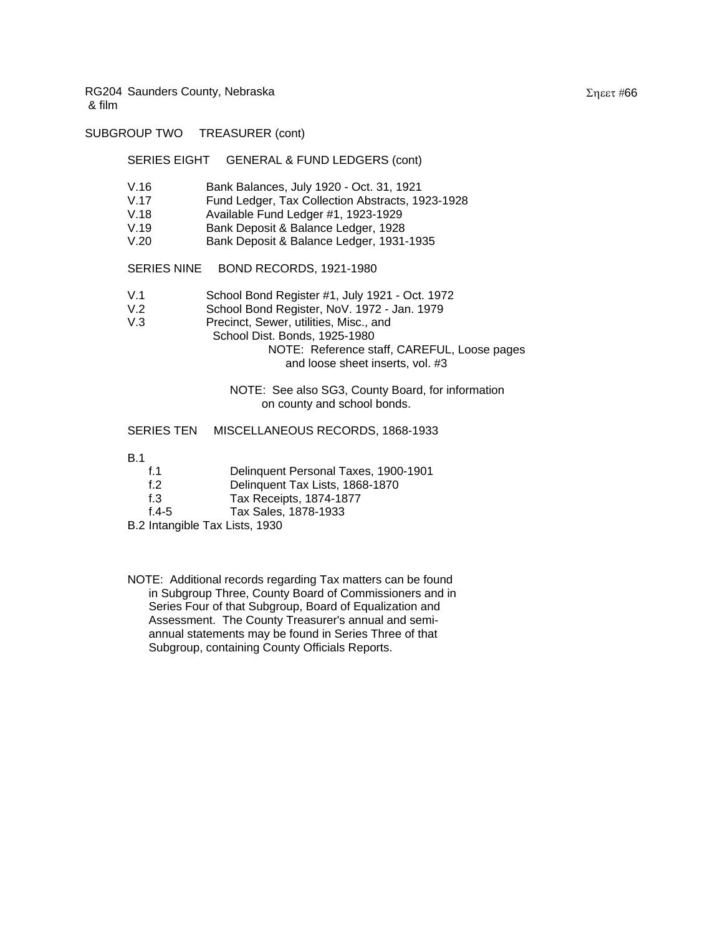#### SUBGROUP TWO TREASURER (cont)

#### SERIES EIGHT GENERAL & FUND LEDGERS (cont)

- V.16 Bank Balances, July 1920 Oct. 31, 1921
- V.17 Fund Ledger, Tax Collection Abstracts, 1923-1928
- V.18 Available Fund Ledger #1, 1923-1929
- V.19 Bank Deposit & Balance Ledger, 1928
- V.20 Bank Deposit & Balance Ledger, 1931-1935

#### SERIES NINE BOND RECORDS, 1921-1980

- V.1 School Bond Register #1, July 1921 Oct. 1972
- V.2 School Bond Register, NoV. 1972 Jan. 1979
- V.3 Precinct, Sewer, utilities, Misc., and
- School Dist. Bonds, 1925-1980
	- NOTE: Reference staff, CAREFUL, Loose pages and loose sheet inserts, vol. #3

#### NOTE: See also SG3, County Board, for information on county and school bonds.

#### SERIES TEN MISCELLANEOUS RECORDS, 1868-1933

B.1

- f.1 Delinquent Personal Taxes, 1900-1901 f.2 Delinquent Tax Lists, 1868-1870 f.3 Tax Receipts, 1874-1877 f.4-5 Tax Sales, 1878-1933
- B.2 Intangible Tax Lists, 1930
- NOTE: Additional records regarding Tax matters can be found in Subgroup Three, County Board of Commissioners and in Series Four of that Subgroup, Board of Equalization and Assessment. The County Treasurer's annual and semiannual statements may be found in Series Three of that Subgroup, containing County Officials Reports.

Σηεετ #66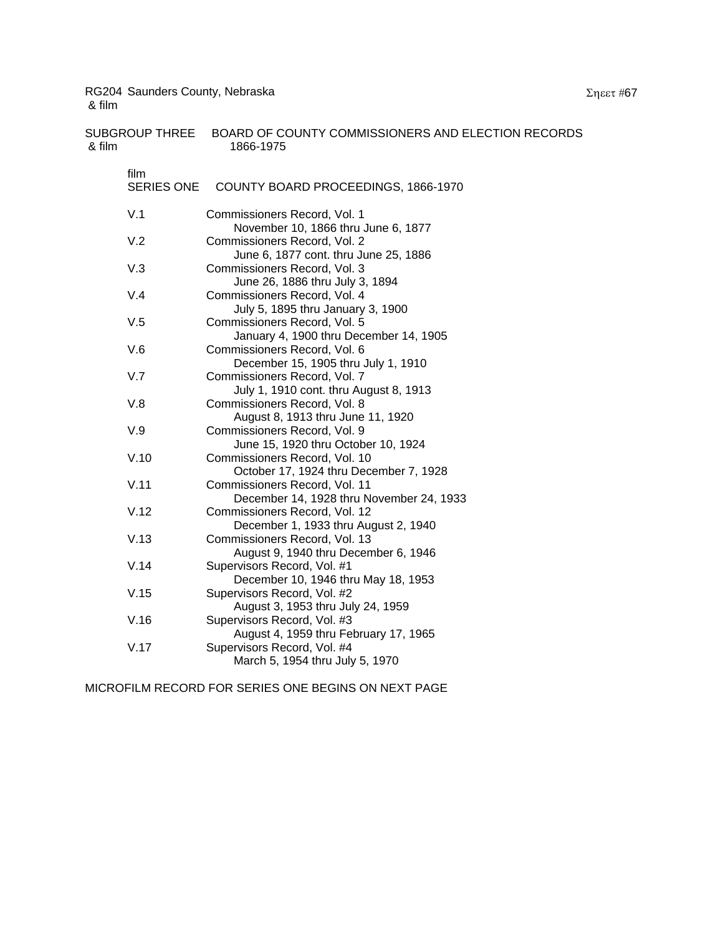| <b>SUBGROUP THREE</b><br>& film | BOARD OF COUNTY COMMISSIONERS AND ELECTION RECORDS<br>1866-1975           |
|---------------------------------|---------------------------------------------------------------------------|
| film<br><b>SERIES ONE</b>       | COUNTY BOARD PROCEEDINGS, 1866-1970                                       |
| V.1                             | Commissioners Record, Vol. 1<br>November 10, 1866 thru June 6, 1877       |
| V.2                             | Commissioners Record, Vol. 2<br>June 6, 1877 cont. thru June 25, 1886     |
| V.3                             | Commissioners Record, Vol. 3<br>June 26, 1886 thru July 3, 1894           |
| V.4                             | Commissioners Record, Vol. 4<br>July 5, 1895 thru January 3, 1900         |
| V.5                             | Commissioners Record, Vol. 5<br>January 4, 1900 thru December 14, 1905    |
| V.6                             | Commissioners Record, Vol. 6<br>December 15, 1905 thru July 1, 1910       |
| V.7                             | Commissioners Record, Vol. 7<br>July 1, 1910 cont. thru August 8, 1913    |
| V.8                             | Commissioners Record, Vol. 8<br>August 8, 1913 thru June 11, 1920         |
| V.9                             | Commissioners Record, Vol. 9<br>June 15, 1920 thru October 10, 1924       |
| V.10                            | Commissioners Record, Vol. 10<br>October 17, 1924 thru December 7, 1928   |
| V.11                            | Commissioners Record, Vol. 11<br>December 14, 1928 thru November 24, 1933 |
| V.12                            | Commissioners Record, Vol. 12<br>December 1, 1933 thru August 2, 1940     |
| V.13                            | Commissioners Record, Vol. 13<br>August 9, 1940 thru December 6, 1946     |
| V.14                            | Supervisors Record, Vol. #1<br>December 10, 1946 thru May 18, 1953        |
| V.15                            | Supervisors Record, Vol. #2<br>August 3, 1953 thru July 24, 1959          |
| V.16                            | Supervisors Record, Vol. #3<br>August 4, 1959 thru February 17, 1965      |
| V.17                            | Supervisors Record, Vol. #4<br>March 5, 1954 thru July 5, 1970            |

MICROFILM RECORD FOR SERIES ONE BEGINS ON NEXT PAGE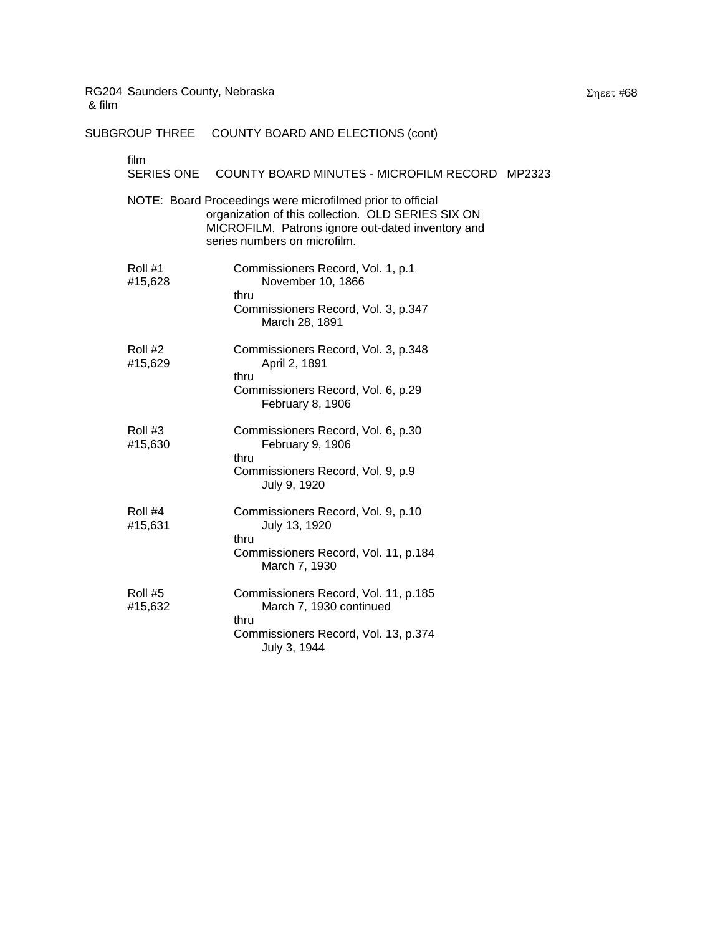|                           | SUBGROUP THREE COUNTY BOARD AND ELECTIONS (cont)                                                                                                                                                      |  |
|---------------------------|-------------------------------------------------------------------------------------------------------------------------------------------------------------------------------------------------------|--|
| film<br><b>SERIES ONE</b> | COUNTY BOARD MINUTES - MICROFILM RECORD MP2323                                                                                                                                                        |  |
|                           | NOTE: Board Proceedings were microfilmed prior to official<br>organization of this collection. OLD SERIES SIX ON<br>MICROFILM. Patrons ignore out-dated inventory and<br>series numbers on microfilm. |  |
| Roll #1<br>#15,628        | Commissioners Record, Vol. 1, p.1<br>November 10, 1866<br>thru<br>Commissioners Record, Vol. 3, p.347<br>March 28, 1891                                                                               |  |
| Roll #2<br>#15,629        | Commissioners Record, Vol. 3, p.348<br>April 2, 1891<br>thru<br>Commissioners Record, Vol. 6, p.29<br>February 8, 1906                                                                                |  |
| Roll #3<br>#15,630        | Commissioners Record, Vol. 6, p.30<br>February 9, 1906<br>thru<br>Commissioners Record, Vol. 9, p.9<br>July 9, 1920                                                                                   |  |
| Roll #4<br>#15,631        | Commissioners Record, Vol. 9, p.10<br>July 13, 1920<br>thru<br>Commissioners Record, Vol. 11, p.184<br>March 7, 1930                                                                                  |  |
| Roll #5<br>#15,632        | Commissioners Record, Vol. 11, p.185<br>March 7, 1930 continued                                                                                                                                       |  |

Commissioners Record, Vol. 13, p.374

July 3, 1944

thru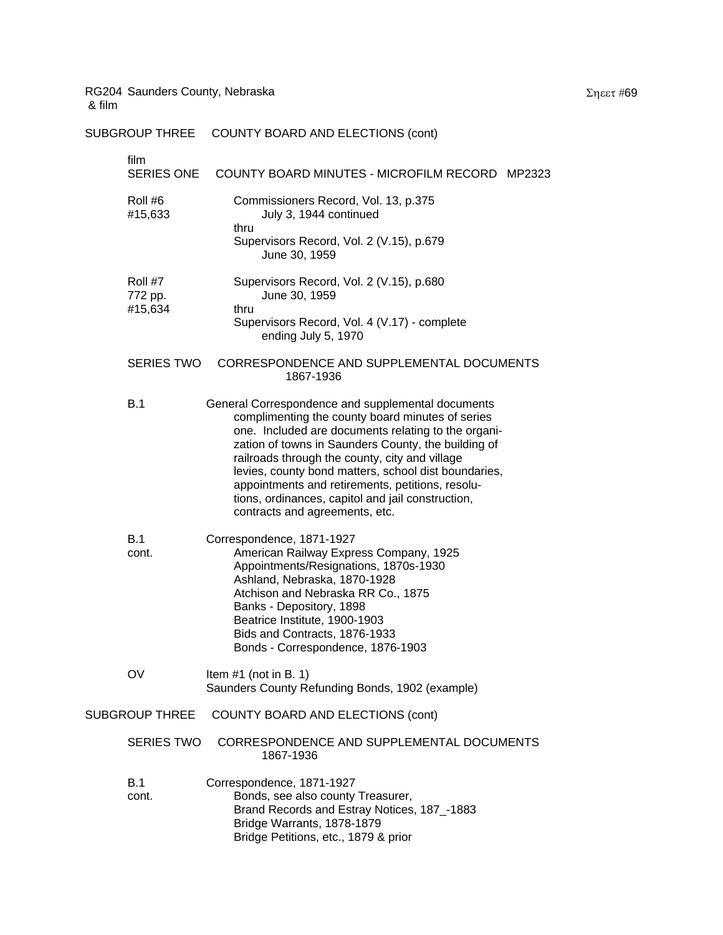| SUBGROUP THREE                | COUNTY BOARD AND ELECTIONS (cont)                                                                                                                                                                                                                                                                                                                                                                                                                                        |
|-------------------------------|--------------------------------------------------------------------------------------------------------------------------------------------------------------------------------------------------------------------------------------------------------------------------------------------------------------------------------------------------------------------------------------------------------------------------------------------------------------------------|
| film<br>SERIES ONE            | COUNTY BOARD MINUTES - MICROFILM RECORD MP2323                                                                                                                                                                                                                                                                                                                                                                                                                           |
| Roll #6<br>#15,633            | Commissioners Record, Vol. 13, p.375<br>July 3, 1944 continued                                                                                                                                                                                                                                                                                                                                                                                                           |
|                               | thru<br>Supervisors Record, Vol. 2 (V.15), p.679<br>June 30, 1959                                                                                                                                                                                                                                                                                                                                                                                                        |
| Roll #7<br>772 pp.<br>#15,634 | Supervisors Record, Vol. 2 (V.15), p.680<br>June 30, 1959<br>thru<br>Supervisors Record, Vol. 4 (V.17) - complete<br>ending July 5, 1970                                                                                                                                                                                                                                                                                                                                 |
| <b>SERIES TWO</b>             | CORRESPONDENCE AND SUPPLEMENTAL DOCUMENTS<br>1867-1936                                                                                                                                                                                                                                                                                                                                                                                                                   |
| B.1                           | General Correspondence and supplemental documents<br>complimenting the county board minutes of series<br>one. Included are documents relating to the organi-<br>zation of towns in Saunders County, the building of<br>railroads through the county, city and village<br>levies, county bond matters, school dist boundaries,<br>appointments and retirements, petitions, resolu-<br>tions, ordinances, capitol and jail construction,<br>contracts and agreements, etc. |
| <b>B.1</b><br>cont.           | Correspondence, 1871-1927<br>American Railway Express Company, 1925<br>Appointments/Resignations, 1870s-1930<br>Ashland, Nebraska, 1870-1928<br>Atchison and Nebraska RR Co., 1875<br>Banks - Depository, 1898<br>Beatrice Institute, 1900-1903<br>Bids and Contracts, 1876-1933<br>Bonds - Correspondence, 1876-1903                                                                                                                                                    |
| OV                            | Item $#1$ (not in B. 1)<br>Saunders County Refunding Bonds, 1902 (example)                                                                                                                                                                                                                                                                                                                                                                                               |
| <b>SUBGROUP THREE</b>         | <b>COUNTY BOARD AND ELECTIONS (cont)</b>                                                                                                                                                                                                                                                                                                                                                                                                                                 |
| <b>SERIES TWO</b>             | CORRESPONDENCE AND SUPPLEMENTAL DOCUMENTS<br>1867-1936                                                                                                                                                                                                                                                                                                                                                                                                                   |
| <b>B.1</b><br>cont.           | Correspondence, 1871-1927<br>Bonds, see also county Treasurer,<br>Brand Records and Estray Notices, 187_-1883<br>Bridge Warrants, 1878-1879<br>Bridge Petitions, etc., 1879 & prior                                                                                                                                                                                                                                                                                      |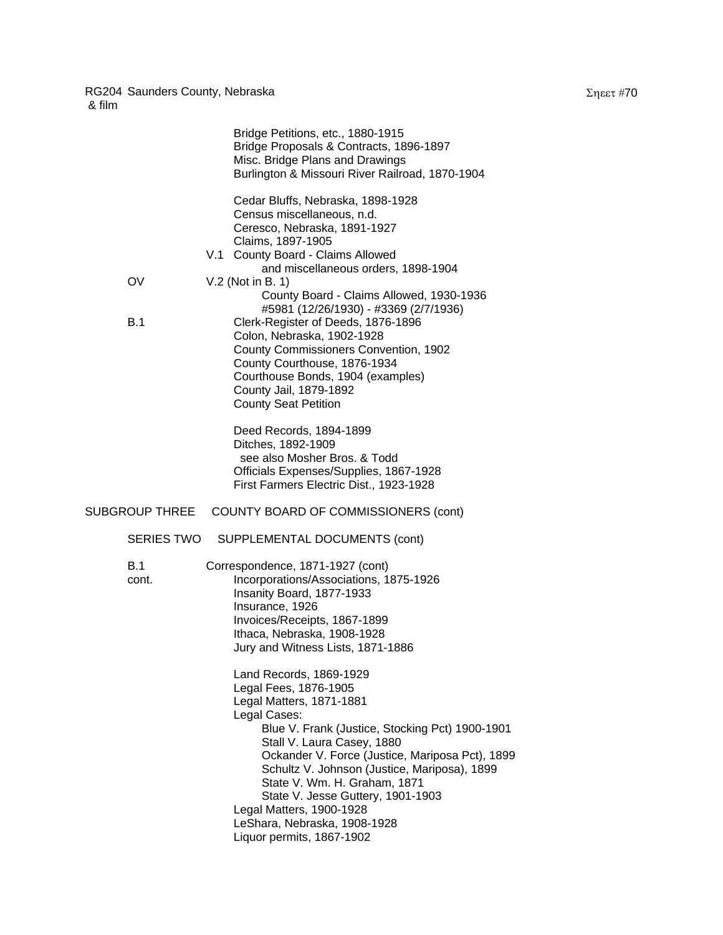|                | Bridge Petitions, etc., 1880-1915<br>Bridge Proposals & Contracts, 1896-1897<br>Misc. Bridge Plans and Drawings<br>Burlington & Missouri River Railroad, 1870-1904                                                                                                                                                                                                                                                                             |
|----------------|------------------------------------------------------------------------------------------------------------------------------------------------------------------------------------------------------------------------------------------------------------------------------------------------------------------------------------------------------------------------------------------------------------------------------------------------|
|                | Cedar Bluffs, Nebraska, 1898-1928<br>Census miscellaneous, n.d.<br>Ceresco, Nebraska, 1891-1927<br>Claims, 1897-1905<br>V.1 County Board - Claims Allowed<br>and miscellaneous orders, 1898-1904                                                                                                                                                                                                                                               |
| OV             | V.2 (Not in B. 1)<br>County Board - Claims Allowed, 1930-1936<br>#5981 (12/26/1930) - #3369 (2/7/1936)                                                                                                                                                                                                                                                                                                                                         |
| B.1            | Clerk-Register of Deeds, 1876-1896<br>Colon, Nebraska, 1902-1928<br>County Commissioners Convention, 1902<br>County Courthouse, 1876-1934<br>Courthouse Bonds, 1904 (examples)<br>County Jail, 1879-1892<br><b>County Seat Petition</b>                                                                                                                                                                                                        |
|                | Deed Records, 1894-1899<br>Ditches, 1892-1909<br>see also Mosher Bros. & Todd<br>Officials Expenses/Supplies, 1867-1928<br>First Farmers Electric Dist., 1923-1928                                                                                                                                                                                                                                                                             |
| SUBGROUP THREE | COUNTY BOARD OF COMMISSIONERS (cont)                                                                                                                                                                                                                                                                                                                                                                                                           |
| SERIES TWO     | SUPPLEMENTAL DOCUMENTS (cont)                                                                                                                                                                                                                                                                                                                                                                                                                  |
| B.1<br>cont.   | Correspondence, 1871-1927 (cont)<br>Incorporations/Associations, 1875-1926<br>Insanity Board, 1877-1933<br>Insurance, 1926<br>Invoices/Receipts, 1867-1899<br>Ithaca, Nebraska, 1908-1928<br>Jury and Witness Lists, 1871-1886                                                                                                                                                                                                                 |
|                | Land Records, 1869-1929<br>Legal Fees, 1876-1905<br>Legal Matters, 1871-1881<br>Legal Cases:<br>Blue V. Frank (Justice, Stocking Pct) 1900-1901<br>Stall V. Laura Casey, 1880<br>Ockander V. Force (Justice, Mariposa Pct), 1899<br>Schultz V. Johnson (Justice, Mariposa), 1899<br>State V. Wm. H. Graham, 1871<br>State V. Jesse Guttery, 1901-1903<br>Legal Matters, 1900-1928<br>LeShara, Nebraska, 1908-1928<br>Liquor permits, 1867-1902 |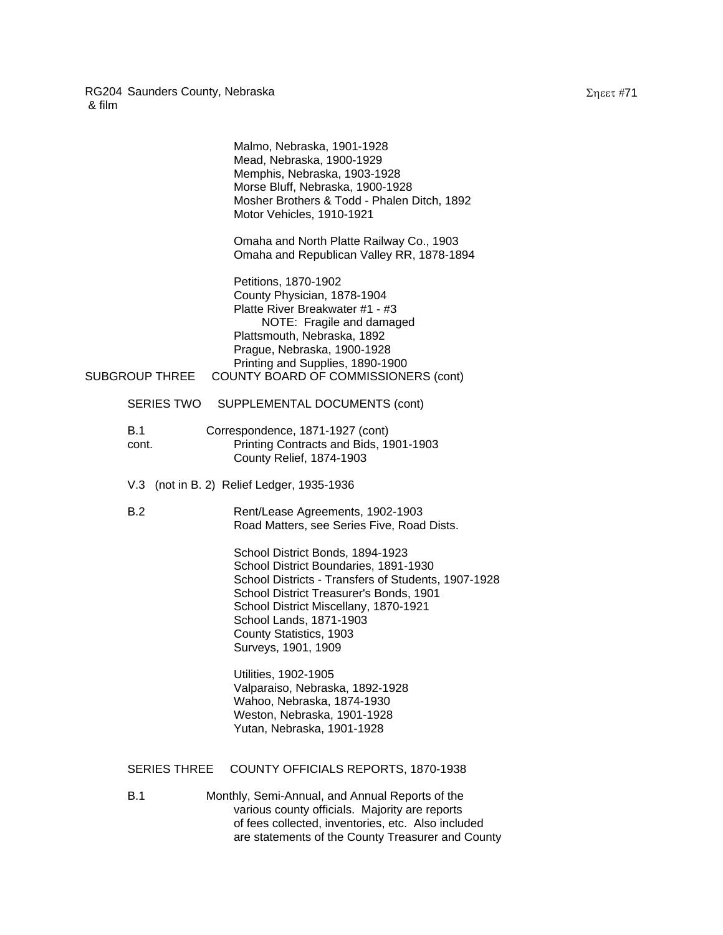|                       | Malmo, Nebraska, 1901-1928<br>Mead, Nebraska, 1900-1929<br>Memphis, Nebraska, 1903-1928<br>Morse Bluff, Nebraska, 1900-1928<br>Mosher Brothers & Todd - Phalen Ditch, 1892<br>Motor Vehicles, 1910-1921                                                                                           |  |
|-----------------------|---------------------------------------------------------------------------------------------------------------------------------------------------------------------------------------------------------------------------------------------------------------------------------------------------|--|
|                       | Omaha and North Platte Railway Co., 1903<br>Omaha and Republican Valley RR, 1878-1894                                                                                                                                                                                                             |  |
| <b>SUBGROUP THREE</b> | Petitions, 1870-1902<br>County Physician, 1878-1904<br>Platte River Breakwater #1 - #3<br>NOTE: Fragile and damaged<br>Plattsmouth, Nebraska, 1892<br>Prague, Nebraska, 1900-1928<br>Printing and Supplies, 1890-1900<br>COUNTY BOARD OF COMMISSIONERS (cont)                                     |  |
| SERIES TWO            | SUPPLEMENTAL DOCUMENTS (cont)                                                                                                                                                                                                                                                                     |  |
| B.1<br>cont.          | Correspondence, 1871-1927 (cont)<br>Printing Contracts and Bids, 1901-1903<br>County Relief, 1874-1903                                                                                                                                                                                            |  |
|                       | V.3 (not in B. 2) Relief Ledger, 1935-1936                                                                                                                                                                                                                                                        |  |
| B.2                   | Rent/Lease Agreements, 1902-1903<br>Road Matters, see Series Five, Road Dists.                                                                                                                                                                                                                    |  |
|                       | School District Bonds, 1894-1923<br>School District Boundaries, 1891-1930<br>School Districts - Transfers of Students, 1907-1928<br>School District Treasurer's Bonds, 1901<br>School District Miscellany, 1870-1921<br>School Lands, 1871-1903<br>County Statistics, 1903<br>Surveys, 1901, 1909 |  |
|                       | Utilities, 1902-1905<br>Valparaiso, Nebraska, 1892-1928<br>Wahoo, Nebraska, 1874-1930<br>Weston, Nebraska, 1901-1928<br>Yutan, Nebraska, 1901-1928                                                                                                                                                |  |
| <b>SERIES THREE</b>   | COUNTY OFFICIALS REPORTS, 1870-1938                                                                                                                                                                                                                                                               |  |
| B.1                   | Monthly, Semi-Annual, and Annual Reports of the<br>various county officials. Majority are reports<br>of fees collected, inventories, etc. Also included                                                                                                                                           |  |

are statements of the County Treasurer and County

Σηεετ #71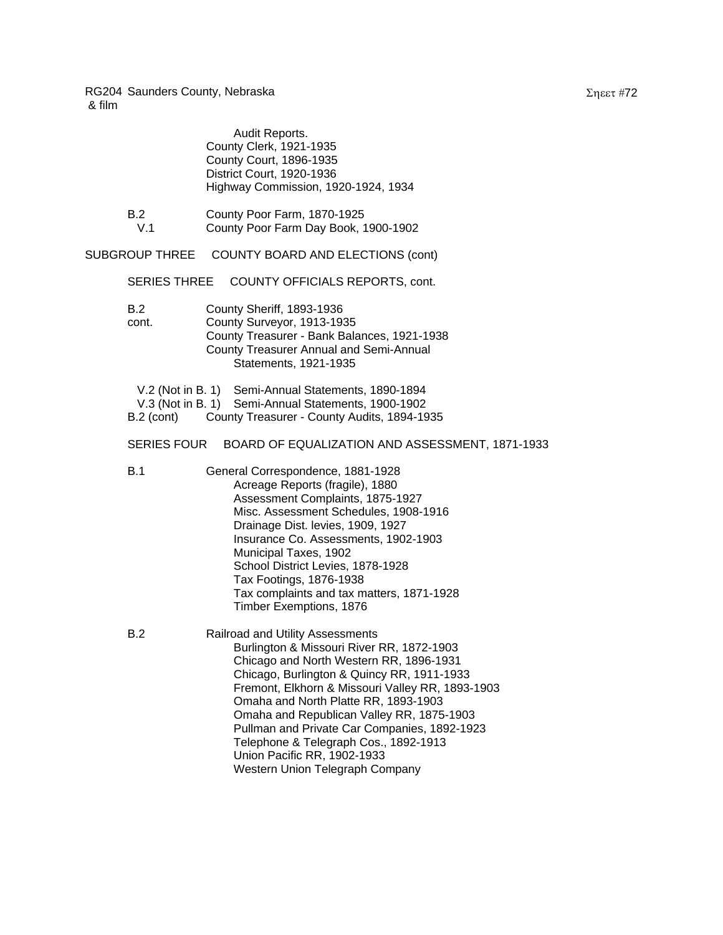|              | Audit Reports.<br>County Clerk, 1921-1935<br>County Court, 1896-1935<br>District Court, 1920-1936                          | Highway Commission, 1920-1924, 1934                                                                                                                                                                                                                                                                                                                                                                                                    |
|--------------|----------------------------------------------------------------------------------------------------------------------------|----------------------------------------------------------------------------------------------------------------------------------------------------------------------------------------------------------------------------------------------------------------------------------------------------------------------------------------------------------------------------------------------------------------------------------------|
| B.2<br>V.1   | County Poor Farm, 1870-1925                                                                                                | County Poor Farm Day Book, 1900-1902                                                                                                                                                                                                                                                                                                                                                                                                   |
|              | SUBGROUP THREE COUNTY BOARD AND ELECTIONS (cont)                                                                           |                                                                                                                                                                                                                                                                                                                                                                                                                                        |
|              | <b>SERIES THREE</b>                                                                                                        | COUNTY OFFICIALS REPORTS, cont.                                                                                                                                                                                                                                                                                                                                                                                                        |
| B.2<br>cont. | County Sheriff, 1893-1936<br>County Surveyor, 1913-1935<br>Statements, 1921-1935                                           | County Treasurer - Bank Balances, 1921-1938<br><b>County Treasurer Annual and Semi-Annual</b>                                                                                                                                                                                                                                                                                                                                          |
|              | V.2 (Not in B. 1) Semi-Annual Statements, 1890-1894<br>V.3 (Not in B. 1) Semi-Annual Statements, 1900-1902<br>$B.2$ (cont) | County Treasurer - County Audits, 1894-1935                                                                                                                                                                                                                                                                                                                                                                                            |
|              | <b>SERIES FOUR</b>                                                                                                         | BOARD OF EQUALIZATION AND ASSESSMENT, 1871-1933                                                                                                                                                                                                                                                                                                                                                                                        |
| B.1          | Municipal Taxes, 1902                                                                                                      | General Correspondence, 1881-1928<br>Acreage Reports (fragile), 1880<br>Assessment Complaints, 1875-1927<br>Misc. Assessment Schedules, 1908-1916<br>Drainage Dist. levies, 1909, 1927<br>Insurance Co. Assessments, 1902-1903<br>School District Levies, 1878-1928<br>Tax Footings, 1876-1938<br>Tax complaints and tax matters, 1871-1928<br>Timber Exemptions, 1876                                                                 |
| B.2          | Railroad and Utility Assessments                                                                                           | Burlington & Missouri River RR, 1872-1903<br>Chicago and North Western RR, 1896-1931<br>Chicago, Burlington & Quincy RR, 1911-1933<br>Fremont, Elkhorn & Missouri Valley RR, 1893-1903<br>Omaha and North Platte RR, 1893-1903<br>Omaha and Republican Valley RR, 1875-1903<br>Pullman and Private Car Companies, 1892-1923<br>Telephone & Telegraph Cos., 1892-1913<br>Union Pacific RR, 1902-1933<br>Western Union Telegraph Company |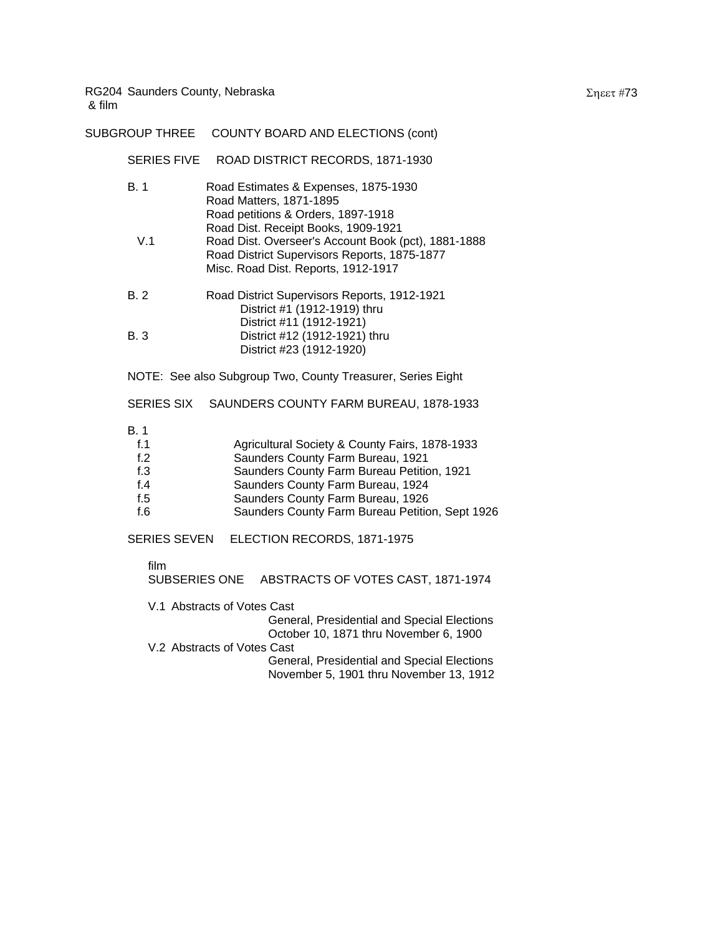| SUBGROUP THREE                                             | COUNTY BOARD AND ELECTIONS (cont)                                                                                                                                                                                                                              |
|------------------------------------------------------------|----------------------------------------------------------------------------------------------------------------------------------------------------------------------------------------------------------------------------------------------------------------|
| SERIES FIVE                                                | ROAD DISTRICT RECORDS, 1871-1930                                                                                                                                                                                                                               |
| B.1                                                        | Road Estimates & Expenses, 1875-1930<br>Road Matters, 1871-1895<br>Road petitions & Orders, 1897-1918                                                                                                                                                          |
| V.1                                                        | Road Dist. Receipt Books, 1909-1921<br>Road Dist. Overseer's Account Book (pct), 1881-1888<br>Road District Supervisors Reports, 1875-1877<br>Misc. Road Dist. Reports, 1912-1917                                                                              |
| <b>B.2</b>                                                 | Road District Supervisors Reports, 1912-1921<br>District #1 (1912-1919) thru                                                                                                                                                                                   |
| <b>B.3</b>                                                 | District #11 (1912-1921)<br>District #12 (1912-1921) thru<br>District #23 (1912-1920)                                                                                                                                                                          |
|                                                            | NOTE: See also Subgroup Two, County Treasurer, Series Eight                                                                                                                                                                                                    |
| <b>SERIES SIX</b>                                          | SAUNDERS COUNTY FARM BUREAU, 1878-1933                                                                                                                                                                                                                         |
| B.1<br>f.1<br>f <sub>1</sub> 2<br>f.3<br>f.4<br>f.5<br>f.6 | Agricultural Society & County Fairs, 1878-1933<br>Saunders County Farm Bureau, 1921<br>Saunders County Farm Bureau Petition, 1921<br>Saunders County Farm Bureau, 1924<br>Saunders County Farm Bureau, 1926<br>Saunders County Farm Bureau Petition, Sept 1926 |
| <b>SERIES SEVEN</b>                                        | ELECTION RECORDS, 1871-1975                                                                                                                                                                                                                                    |
| film                                                       | SUBSERIES ONE ABSTRACTS OF VOTES CAST, 1871-1974                                                                                                                                                                                                               |
|                                                            | $\mathcal{V}$ $\mathcal{A}$ Abstracts of $\mathcal{V}$ at $\Omega$ at $\mathcal{A}$                                                                                                                                                                            |

| V.1 Abstracts of Votes Cast                 |
|---------------------------------------------|
| General, Presidential and Special Elections |
| October 10, 1871 thru November 6, 1900      |
| V.2 Abstracts of Votes Cast                 |
| General, Presidential and Special Elections |
| November 5, 1901 thru November 13, 1912     |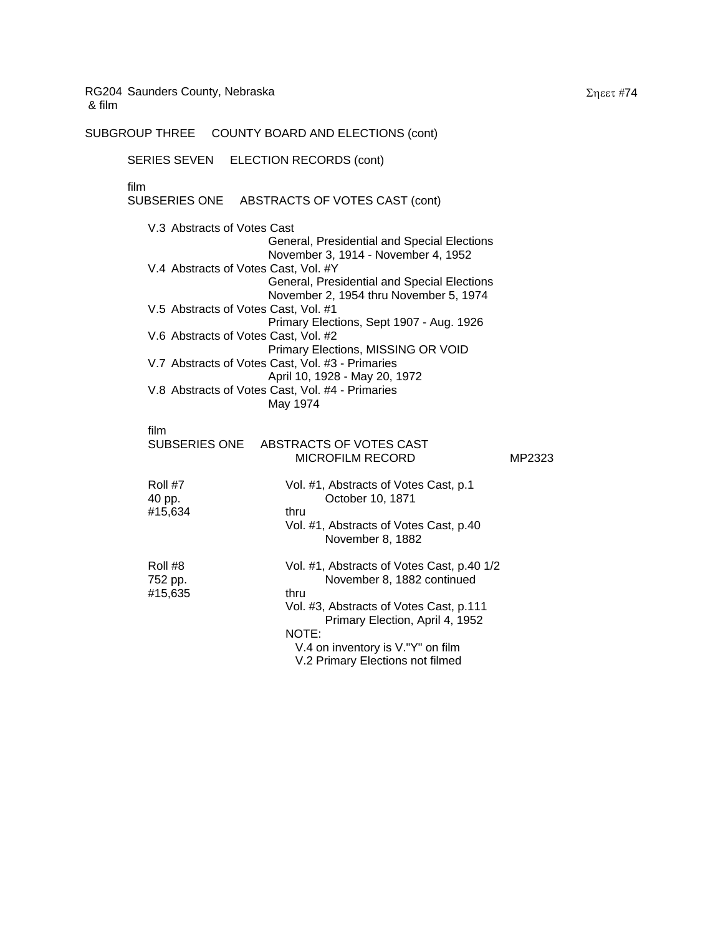SUBGROUP THREE COUNTY BOARD AND ELECTIONS (cont)

#### SERIES SEVEN ELECTION RECORDS (cont)

### film

SUBSERIES ONE ABSTRACTS OF VOTES CAST (cont)

V.3 Abstracts of Votes Cast General, Presidential and Special Elections November 3, 1914 - November 4, 1952 V.4 Abstracts of Votes Cast, Vol. #Y General, Presidential and Special Elections November 2, 1954 thru November 5, 1974 V.5 Abstracts of Votes Cast, Vol. #1 Primary Elections, Sept 1907 - Aug. 1926 V.6 Abstracts of Votes Cast, Vol. #2 Primary Elections, MISSING OR VOID V.7 Abstracts of Votes Cast, Vol. #3 - Primaries April 10, 1928 - May 20, 1972 V.8 Abstracts of Votes Cast, Vol. #4 - Primaries May 1974

# film<br>SUBSERIES ONE

|                               | SUBSERIES ONE ABSTRACTS OF VOTES CAST<br><b>MICROFILM RECORD</b>                                                                                                                                                                                 | MP2323 |
|-------------------------------|--------------------------------------------------------------------------------------------------------------------------------------------------------------------------------------------------------------------------------------------------|--------|
| Roll #7<br>40 pp.<br>#15,634  | Vol. #1, Abstracts of Votes Cast, p.1<br>October 10, 1871<br>thru<br>Vol. #1, Abstracts of Votes Cast, p.40<br>November 8, 1882                                                                                                                  |        |
| Roll #8<br>752 pp.<br>#15,635 | Vol. #1, Abstracts of Votes Cast, p.40 1/2<br>November 8, 1882 continued<br>thru<br>Vol. #3, Abstracts of Votes Cast, p.111<br>Primary Election, April 4, 1952<br>NOTE:<br>V.4 on inventory is V."Y" on film<br>V.2 Primary Elections not filmed |        |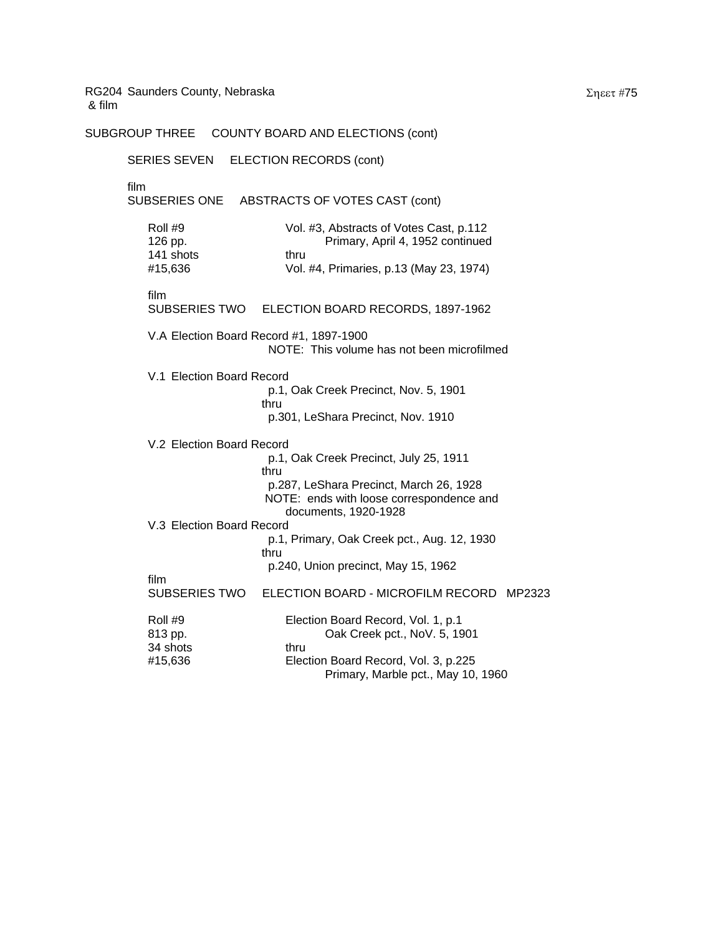SUBGROUP THREE COUNTY BOARD AND ELECTIONS (cont)

SERIES SEVEN ELECTION RECORDS (cont) film SUBSERIES ONE ABSTRACTS OF VOTES CAST (cont) Roll #9 Vol. #3, Abstracts of Votes Cast, p.112 126 pp. Primary, April 4, 1952 continued 141 shots thru #15,636 Vol. #4, Primaries, p.13 (May 23, 1974) film SUBSERIES TWO ELECTION BOARD RECORDS, 1897-1962 V.A Election Board Record #1, 1897-1900 NOTE: This volume has not been microfilmed V.1 Election Board Record p.1, Oak Creek Precinct, Nov. 5, 1901 thru p.301, LeShara Precinct, Nov. 1910 V.2 Election Board Record p.1, Oak Creek Precinct, July 25, 1911 thru p.287, LeShara Precinct, March 26, 1928 NOTE: ends with loose correspondence and documents, 1920-1928 V.3 Election Board Record p.1, Primary, Oak Creek pct., Aug. 12, 1930 thru p.240, Union precinct, May 15, 1962 film SUBSERIES TWO ELECTION BOARD - MICROFILM RECORD MP2323 Roll #9 **Election Board Record, Vol. 1, p.1** 813 pp. Oak Creek pct., NoV. 5, 1901 34 shots thru #15,636 Election Board Record, Vol. 3, p.225 Primary, Marble pct., May 10, 1960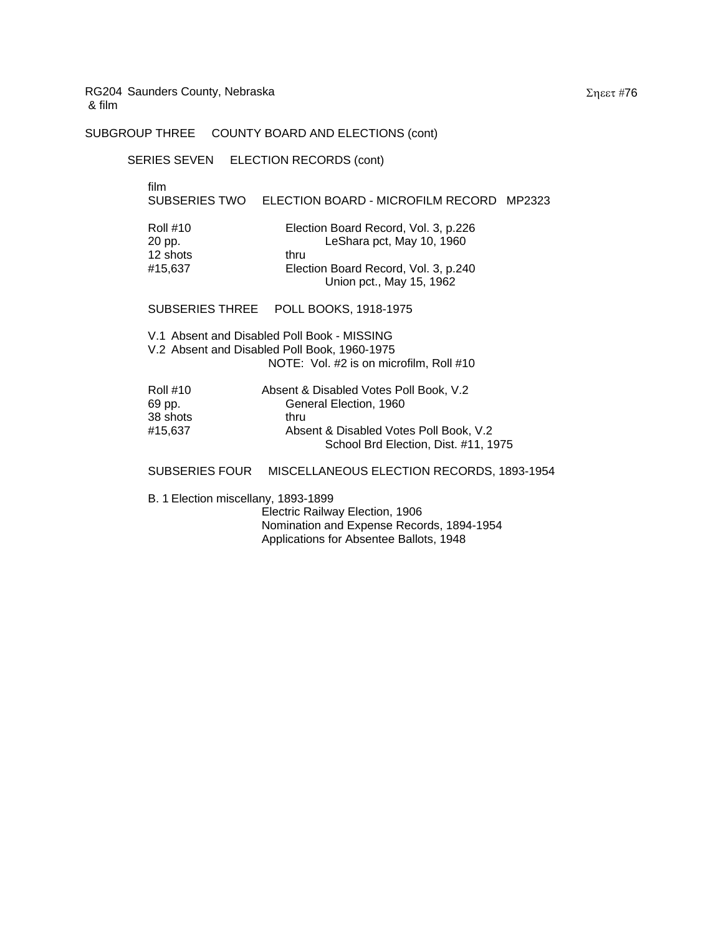# SUBGROUP THREE COUNTY BOARD AND ELECTIONS (cont)

#### SERIES SEVEN ELECTION RECORDS (cont)

film

# SUBSERIES TWO ELECTION BOARD - MICROFILM RECORD MP2323

| Roll #10 | Election Board Record, Vol. 3, p.226 |
|----------|--------------------------------------|
| 20 pp.   | LeShara pct, May 10, 1960            |
| 12 shots | thru                                 |
| #15.637  | Election Board Record, Vol. 3, p.240 |
|          | Union pct., May 15, 1962             |

#### SUBSERIES THREE POLL BOOKS, 1918-1975

V.1 Absent and Disabled Poll Book - MISSING V.2 Absent and Disabled Poll Book, 1960-1975 NOTE: Vol. #2 is on microfilm, Roll #10

| <b>Roll #10</b> | Absent & Disabled Votes Poll Book, V.2 |
|-----------------|----------------------------------------|
| 69 pp.          | General Election, 1960                 |
| 38 shots        | thru                                   |
| #15.637         | Absent & Disabled Votes Poll Book, V.2 |
|                 | School Brd Election, Dist. #11, 1975   |

#### SUBSERIES FOUR MISCELLANEOUS ELECTION RECORDS, 1893-1954

B. 1 Election miscellany, 1893-1899

Electric Railway Election, 1906 Nomination and Expense Records, 1894-1954 Applications for Absentee Ballots, 1948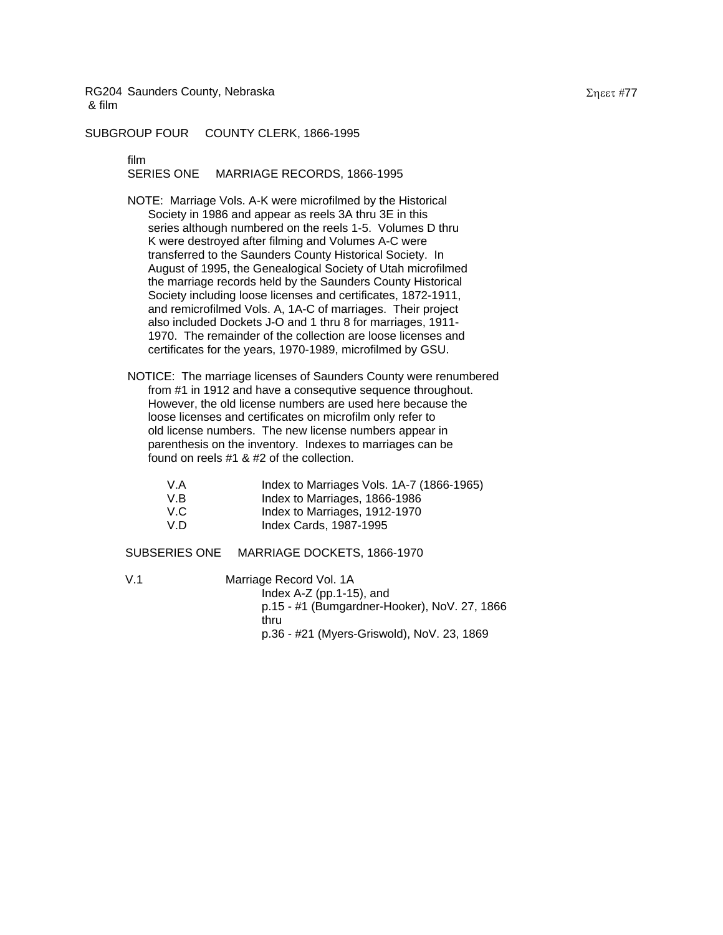SUBGROUP FOUR COUNTY CLERK, 1866-1995

film

SERIES ONE MARRIAGE RECORDS, 1866-1995

- NOTE: Marriage Vols. A-K were microfilmed by the Historical Society in 1986 and appear as reels 3A thru 3E in this series although numbered on the reels 1-5. Volumes D thru K were destroyed after filming and Volumes A-C were transferred to the Saunders County Historical Society. In August of 1995, the Genealogical Society of Utah microfilmed the marriage records held by the Saunders County Historical Society including loose licenses and certificates, 1872-1911, and remicrofilmed Vols. A, 1A-C of marriages. Their project also included Dockets J-O and 1 thru 8 for marriages, 1911- 1970. The remainder of the collection are loose licenses and certificates for the years, 1970-1989, microfilmed by GSU.
- NOTICE: The marriage licenses of Saunders County were renumbered from #1 in 1912 and have a consequtive sequence throughout. However, the old license numbers are used here because the loose licenses and certificates on microfilm only refer to old license numbers. The new license numbers appear in parenthesis on the inventory. Indexes to marriages can be found on reels #1 & #2 of the collection.

| V.A  | Index to Marriages Vols. 1A-7 (1866-1965) |
|------|-------------------------------------------|
| V.B  | Index to Marriages, 1866-1986             |
| V.C. | Index to Marriages, 1912-1970             |
| V.D  | Index Cards, 1987-1995                    |

SUBSERIES ONE MARRIAGE DOCKETS, 1866-1970

V.1 Marriage Record Vol. 1A Index A-Z (pp.1-15), and p.15 - #1 (Bumgardner-Hooker), NoV. 27, 1866 thru p.36 - #21 (Myers-Griswold), NoV. 23, 1869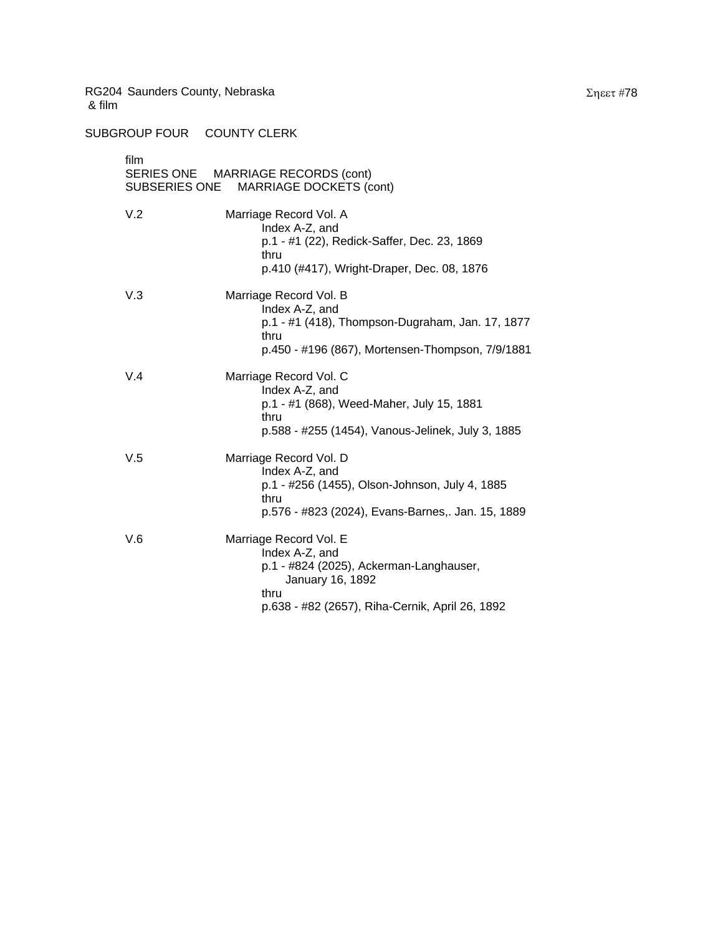SUBGROUP FOUR COUNTY CLERK

| film<br>SUBSERIES ONE | SERIES ONE MARRIAGE RECORDS (cont)<br><b>MARRIAGE DOCKETS (cont)</b>                                                                                               |
|-----------------------|--------------------------------------------------------------------------------------------------------------------------------------------------------------------|
| V.2                   | Marriage Record Vol. A<br>Index A-Z, and<br>p.1 - #1 (22), Redick-Saffer, Dec. 23, 1869<br>thru<br>p.410 (#417), Wright-Draper, Dec. 08, 1876                      |
| V.3                   | Marriage Record Vol. B<br>Index A-Z, and<br>p.1 - #1 (418), Thompson-Dugraham, Jan. 17, 1877<br>thru<br>p.450 - #196 (867), Mortensen-Thompson, 7/9/1881           |
| V.4                   | Marriage Record Vol. C<br>Index A-Z, and<br>p.1 - #1 (868), Weed-Maher, July 15, 1881<br>thru<br>p.588 - #255 (1454), Vanous-Jelinek, July 3, 1885                 |
| V.5                   | Marriage Record Vol. D<br>Index A-Z, and<br>p.1 - #256 (1455), Olson-Johnson, July 4, 1885<br>thru<br>p.576 - #823 (2024), Evans-Barnes,. Jan. 15, 1889            |
| V.6                   | Marriage Record Vol. E<br>Index A-Z, and<br>p.1 - #824 (2025), Ackerman-Langhauser,<br>January 16, 1892<br>thru<br>p.638 - #82 (2657), Riha-Cernik, April 26, 1892 |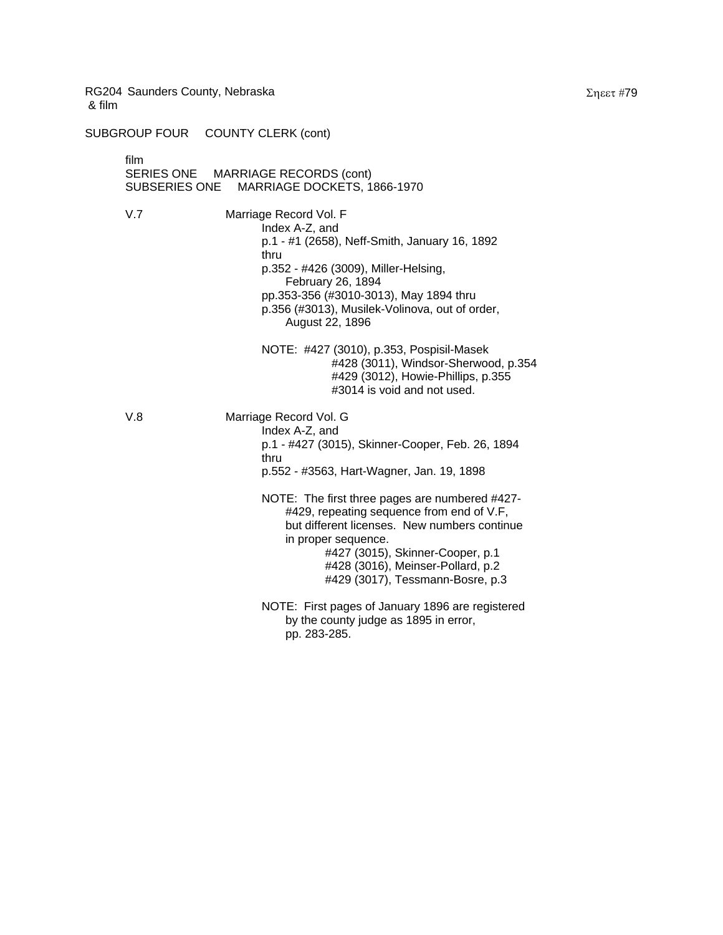SUBGROUP FOUR COUNTY CLERK (cont)

film SERIES ONE MARRIAGE RECORDS (cont) SUBSERIES ONE MARRIAGE DOCKETS, 1866-1970 V.7 Marriage Record Vol. F Index A-Z, and p.1 - #1 (2658), Neff-Smith, January 16, 1892 thru p.352 - #426 (3009), Miller-Helsing, February 26, 1894 pp.353-356 (#3010-3013), May 1894 thru p.356 (#3013), Musilek-Volinova, out of order, August 22, 1896 NOTE: #427 (3010), p.353, Pospisil-Masek #428 (3011), Windsor-Sherwood, p.354 #429 (3012), Howie-Phillips, p.355 #3014 is void and not used. V.8 Marriage Record Vol. G Index A-Z, and p.1 - #427 (3015), Skinner-Cooper, Feb. 26, 1894 thru p.552 - #3563, Hart-Wagner, Jan. 19, 1898 NOTE: The first three pages are numbered #427- #429, repeating sequence from end of V.F, but different licenses. New numbers continue in proper sequence. #427 (3015), Skinner-Cooper, p.1 #428 (3016), Meinser-Pollard, p.2 #429 (3017), Tessmann-Bosre, p.3 NOTE: First pages of January 1896 are registered by the county judge as 1895 in error, pp. 283-285.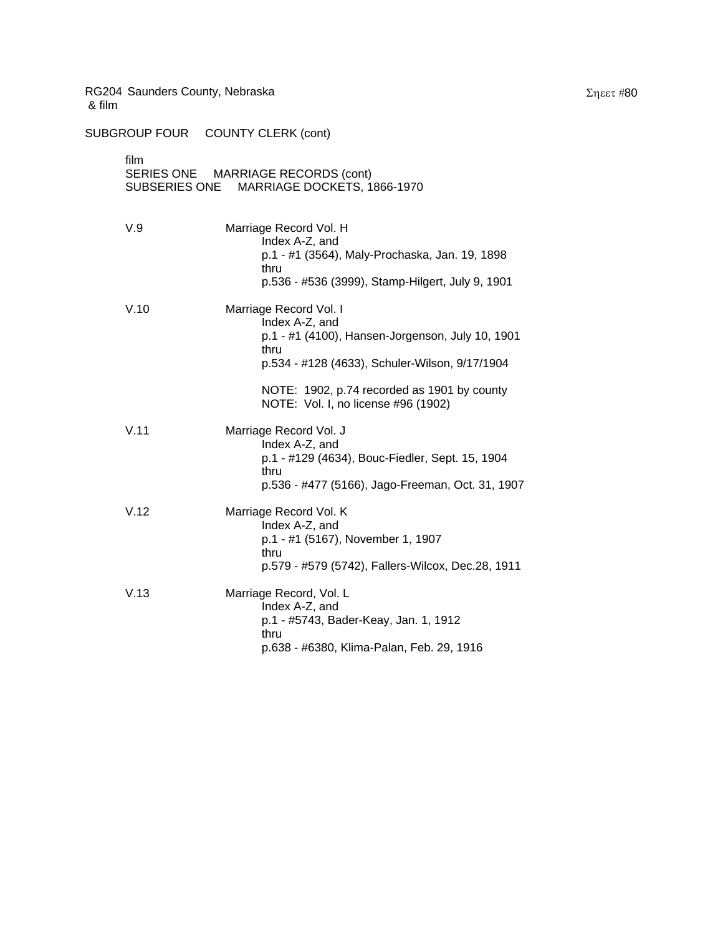| film<br>SERIES ONE MARRIAGE RECORDS (cont)<br>MARRIAGE DOCKETS, 1866-1970<br>SUBSERIES ONE |                                                                                                                                                         |  |
|--------------------------------------------------------------------------------------------|---------------------------------------------------------------------------------------------------------------------------------------------------------|--|
| V.9                                                                                        | Marriage Record Vol. H<br>Index A-Z, and<br>p.1 - #1 (3564), Maly-Prochaska, Jan. 19, 1898<br>thru<br>p.536 - #536 (3999), Stamp-Hilgert, July 9, 1901  |  |
| V.10                                                                                       | Marriage Record Vol. I<br>Index A-Z, and<br>p.1 - #1 (4100), Hansen-Jorgenson, July 10, 1901<br>thru<br>p.534 - #128 (4633), Schuler-Wilson, 9/17/1904  |  |
|                                                                                            | NOTE: 1902, p.74 recorded as 1901 by county<br>NOTE: Vol. I, no license #96 (1902)                                                                      |  |
| V.11                                                                                       | Marriage Record Vol. J<br>Index A-Z, and<br>p.1 - #129 (4634), Bouc-Fiedler, Sept. 15, 1904<br>thru<br>p.536 - #477 (5166), Jago-Freeman, Oct. 31, 1907 |  |
| V.12                                                                                       | Marriage Record Vol. K<br>Index A-Z, and<br>p.1 - #1 (5167), November 1, 1907<br>thru<br>p.579 - #579 (5742), Fallers-Wilcox, Dec.28, 1911              |  |
| V.13                                                                                       | Marriage Record, Vol. L<br>Index A-Z, and<br>p.1 - #5743, Bader-Keay, Jan. 1, 1912<br>thru<br>p.638 - #6380, Klima-Palan, Feb. 29, 1916                 |  |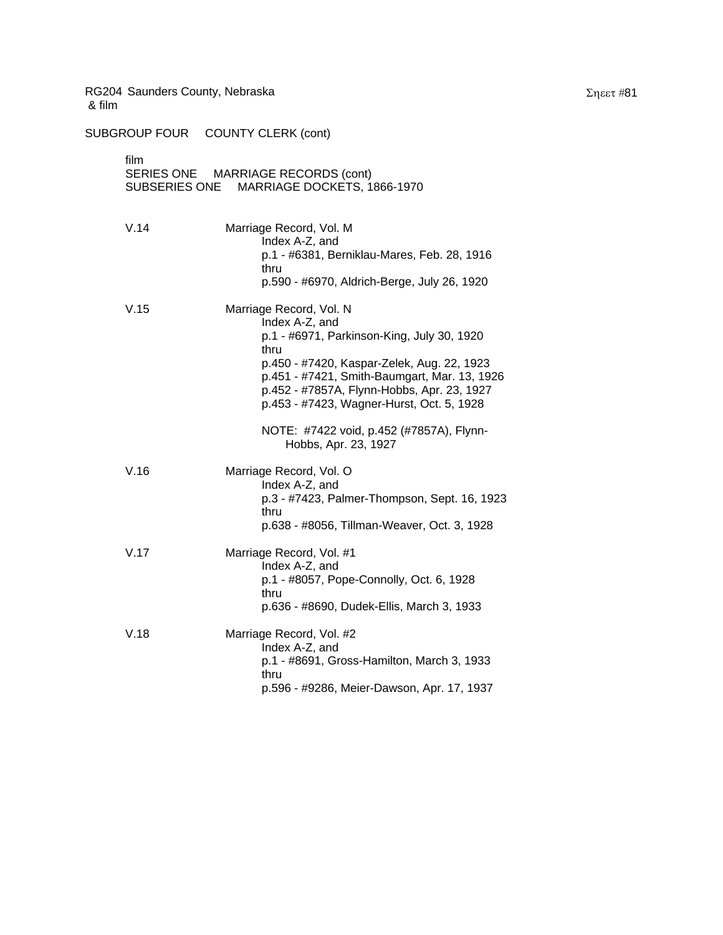| film<br>SERIES ONE MARRIAGE RECORDS (cont)<br>SUBSERIES ONE MARRIAGE DOCKETS, 1866-1970 |                                                                                                                                                                                                                                                                                          |  |
|-----------------------------------------------------------------------------------------|------------------------------------------------------------------------------------------------------------------------------------------------------------------------------------------------------------------------------------------------------------------------------------------|--|
| V.14                                                                                    | Marriage Record, Vol. M<br>Index A-Z, and<br>p.1 - #6381, Berniklau-Mares, Feb. 28, 1916<br>thru<br>p.590 - #6970, Aldrich-Berge, July 26, 1920                                                                                                                                          |  |
| V.15                                                                                    | Marriage Record, Vol. N<br>Index A-Z, and<br>p.1 - #6971, Parkinson-King, July 30, 1920<br>thru<br>p.450 - #7420, Kaspar-Zelek, Aug. 22, 1923<br>p.451 - #7421, Smith-Baumgart, Mar. 13, 1926<br>p.452 - #7857A, Flynn-Hobbs, Apr. 23, 1927<br>p.453 - #7423, Wagner-Hurst, Oct. 5, 1928 |  |
|                                                                                         | NOTE: #7422 void, p.452 (#7857A), Flynn-<br>Hobbs, Apr. 23, 1927                                                                                                                                                                                                                         |  |
| V.16                                                                                    | Marriage Record, Vol. O<br>Index A-Z, and<br>p.3 - #7423, Palmer-Thompson, Sept. 16, 1923<br>thru<br>p.638 - #8056, Tillman-Weaver, Oct. 3, 1928                                                                                                                                         |  |
| V.17                                                                                    | Marriage Record, Vol. #1<br>Index A-Z, and<br>p.1 - #8057, Pope-Connolly, Oct. 6, 1928<br>thru<br>p.636 - #8690, Dudek-Ellis, March 3, 1933                                                                                                                                              |  |
| V.18                                                                                    | Marriage Record, Vol. #2<br>Index A-Z, and<br>p.1 - #8691, Gross-Hamilton, March 3, 1933<br>thru<br>p.596 - #9286, Meier-Dawson, Apr. 17, 1937                                                                                                                                           |  |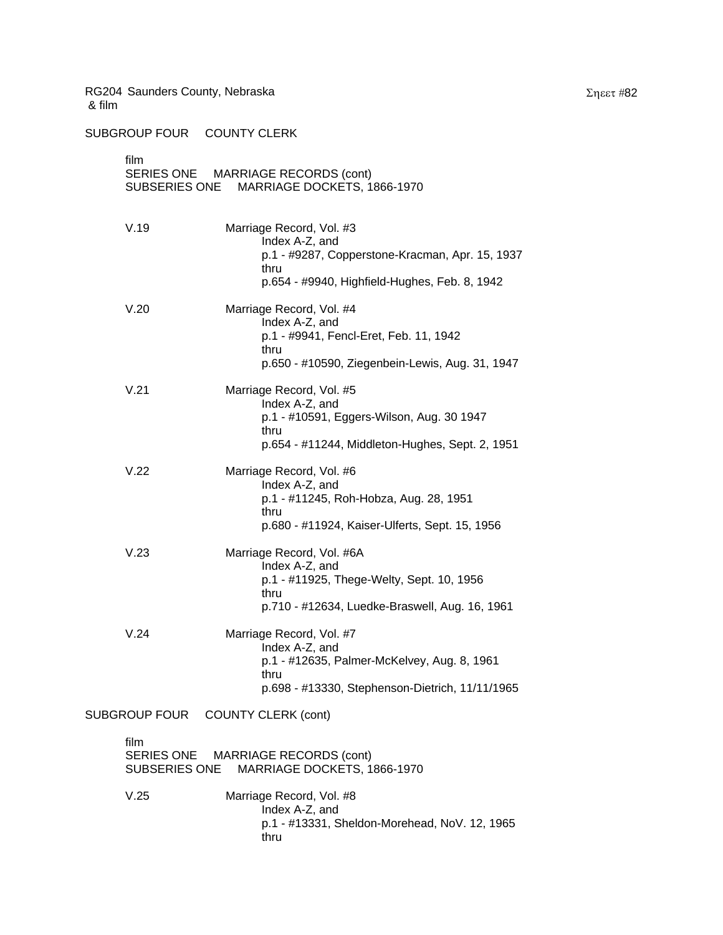SUBGROUP FOUR COUNTY CLERK

| film                                               | SUBSERIES ONE                             | SERIES ONE MARRIAGE RECORDS (cont)<br>MARRIAGE DOCKETS, 1866-1970                                                                                      |
|----------------------------------------------------|-------------------------------------------|--------------------------------------------------------------------------------------------------------------------------------------------------------|
|                                                    | V.19                                      | Marriage Record, Vol. #3<br>Index A-Z, and<br>p.1 - #9287, Copperstone-Kracman, Apr. 15, 1937<br>thru<br>p.654 - #9940, Highfield-Hughes, Feb. 8, 1942 |
|                                                    | V.20                                      | Marriage Record, Vol. #4<br>Index A-Z, and<br>p.1 - #9941, Fencl-Eret, Feb. 11, 1942<br>thru<br>p.650 - #10590, Ziegenbein-Lewis, Aug. 31, 1947        |
|                                                    | V.21                                      | Marriage Record, Vol. #5<br>Index A-Z, and<br>p.1 - #10591, Eggers-Wilson, Aug. 30 1947<br>thru<br>p.654 - #11244, Middleton-Hughes, Sept. 2, 1951     |
|                                                    | V.22                                      | Marriage Record, Vol. #6<br>Index A-Z, and<br>p.1 - #11245, Roh-Hobza, Aug. 28, 1951<br>thru<br>p.680 - #11924, Kaiser-Ulferts, Sept. 15, 1956         |
|                                                    | V.23                                      | Marriage Record, Vol. #6A<br>Index A-Z, and<br>p.1 - #11925, Thege-Welty, Sept. 10, 1956<br>thru<br>p.710 - #12634, Luedke-Braswell, Aug. 16, 1961     |
|                                                    | V.24                                      | Marriage Record, Vol. #7<br>Index A-Z, and<br>p.1 - #12635, Palmer-McKelvey, Aug. 8, 1961<br>thru<br>p.698 - #13330, Stephenson-Dietrich, 11/11/1965   |
| <b>SUBGROUP FOUR</b><br><b>COUNTY CLERK (cont)</b> |                                           |                                                                                                                                                        |
| film                                               | <b>SERIES ONE</b><br><b>SUBSERIES ONE</b> | <b>MARRIAGE RECORDS (cont)</b><br>MARRIAGE DOCKETS, 1866-1970                                                                                          |
|                                                    | V.25                                      | Marriage Record, Vol. #8<br>Index A-Z, and<br>p.1 - #13331, Sheldon-Morehead, NoV. 12, 1965<br>thru                                                    |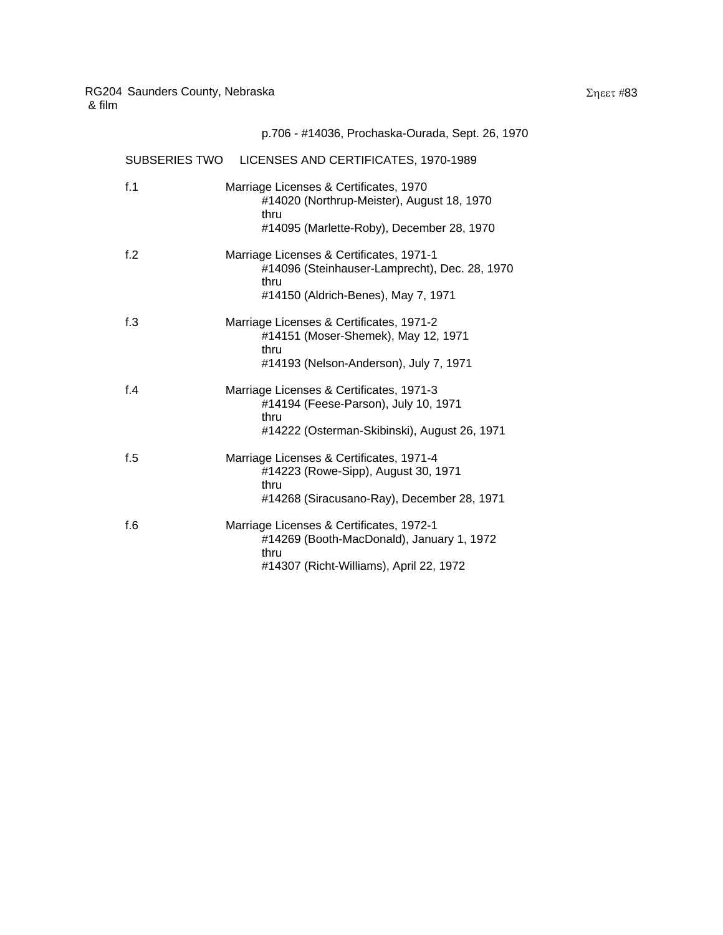|        | p.706 - #14036, Prochaska-Ourada, Sept. 26, 1970                                                                                          |
|--------|-------------------------------------------------------------------------------------------------------------------------------------------|
|        | SUBSERIES TWO LICENSES AND CERTIFICATES, 1970-1989                                                                                        |
| f.1    | Marriage Licenses & Certificates, 1970<br>#14020 (Northrup-Meister), August 18, 1970<br>thru<br>#14095 (Marlette-Roby), December 28, 1970 |
| f.2    | Marriage Licenses & Certificates, 1971-1<br>#14096 (Steinhauser-Lamprecht), Dec. 28, 1970<br>thru<br>#14150 (Aldrich-Benes), May 7, 1971  |
| f.3    | Marriage Licenses & Certificates, 1971-2<br>#14151 (Moser-Shemek), May 12, 1971<br>thru<br>#14193 (Nelson-Anderson), July 7, 1971         |
| f.4    | Marriage Licenses & Certificates, 1971-3<br>#14194 (Feese-Parson), July 10, 1971<br>thru<br>#14222 (Osterman-Skibinski), August 26, 1971  |
| f.5    | Marriage Licenses & Certificates, 1971-4<br>#14223 (Rowe-Sipp), August 30, 1971<br>thru<br>#14268 (Siracusano-Ray), December 28, 1971     |
| f. $6$ | Marriage Licenses & Certificates, 1972-1                                                                                                  |

thru

#14269 (Booth-MacDonald), January 1, 1972

#14307 (Richt-Williams), April 22, 1972

# Σηεετ #83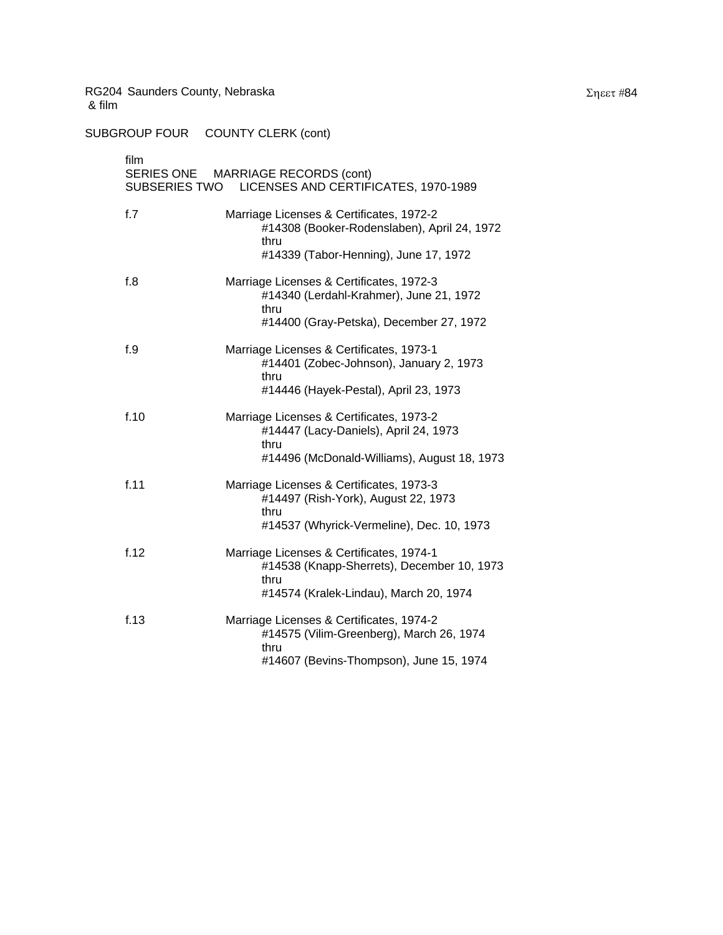| film<br>SERIES ONE MARRIAGE RECORDS (cont)<br>SUBSERIES TWO LICENSES AND CERTIFICATES, 1970-1989 |                                                                                                                                          |  |  |
|--------------------------------------------------------------------------------------------------|------------------------------------------------------------------------------------------------------------------------------------------|--|--|
| f.7                                                                                              | Marriage Licenses & Certificates, 1972-2<br>#14308 (Booker-Rodenslaben), April 24, 1972<br>thru                                          |  |  |
|                                                                                                  | #14339 (Tabor-Henning), June 17, 1972                                                                                                    |  |  |
| f.8                                                                                              | Marriage Licenses & Certificates, 1972-3<br>#14340 (Lerdahl-Krahmer), June 21, 1972<br>thru                                              |  |  |
|                                                                                                  | #14400 (Gray-Petska), December 27, 1972                                                                                                  |  |  |
| f.9                                                                                              | Marriage Licenses & Certificates, 1973-1<br>#14401 (Zobec-Johnson), January 2, 1973<br>thru<br>#14446 (Hayek-Pestal), April 23, 1973     |  |  |
|                                                                                                  |                                                                                                                                          |  |  |
| f.10                                                                                             | Marriage Licenses & Certificates, 1973-2<br>#14447 (Lacy-Daniels), April 24, 1973<br>thru                                                |  |  |
|                                                                                                  | #14496 (McDonald-Williams), August 18, 1973                                                                                              |  |  |
| f.11                                                                                             | Marriage Licenses & Certificates, 1973-3<br>#14497 (Rish-York), August 22, 1973<br>thru                                                  |  |  |
| #14537 (Whyrick-Vermeline), Dec. 10, 1973                                                        |                                                                                                                                          |  |  |
| f.12                                                                                             | Marriage Licenses & Certificates, 1974-1<br>#14538 (Knapp-Sherrets), December 10, 1973<br>thru<br>#14574 (Kralek-Lindau), March 20, 1974 |  |  |
| f.13                                                                                             | Marriage Licenses & Certificates, 1974-2<br>#14575 (Vilim-Greenberg), March 26, 1974<br>thru<br>#14607 (Bevins-Thompson), June 15, 1974  |  |  |
|                                                                                                  |                                                                                                                                          |  |  |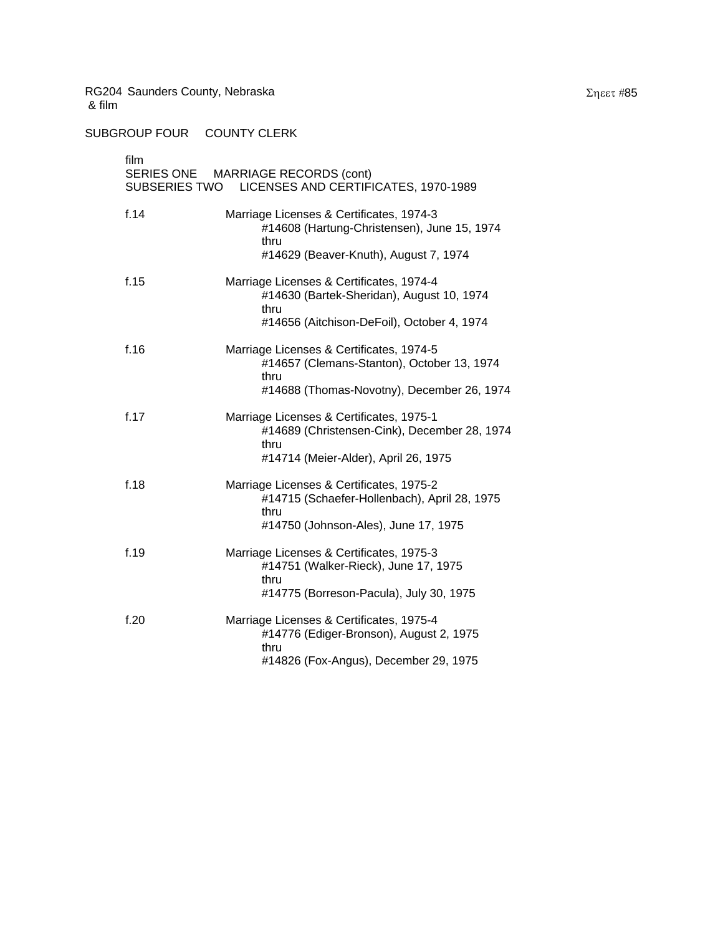SUBGROUP FOUR COUNTY CLERK

| film<br>SERIES ONE MARRIAGE RECORDS (cont)<br>LICENSES AND CERTIFICATES, 1970-1989<br>SUBSERIES TWO |                                                                                                                                              |  |
|-----------------------------------------------------------------------------------------------------|----------------------------------------------------------------------------------------------------------------------------------------------|--|
| f.14                                                                                                | Marriage Licenses & Certificates, 1974-3<br>#14608 (Hartung-Christensen), June 15, 1974<br>thru<br>#14629 (Beaver-Knuth), August 7, 1974     |  |
| f.15                                                                                                | Marriage Licenses & Certificates, 1974-4<br>#14630 (Bartek-Sheridan), August 10, 1974<br>thru<br>#14656 (Aitchison-DeFoil), October 4, 1974  |  |
| f.16                                                                                                | Marriage Licenses & Certificates, 1974-5<br>#14657 (Clemans-Stanton), October 13, 1974<br>thru<br>#14688 (Thomas-Novotny), December 26, 1974 |  |
| f.17                                                                                                | Marriage Licenses & Certificates, 1975-1<br>#14689 (Christensen-Cink), December 28, 1974<br>thru<br>#14714 (Meier-Alder), April 26, 1975     |  |
| f.18                                                                                                | Marriage Licenses & Certificates, 1975-2<br>#14715 (Schaefer-Hollenbach), April 28, 1975<br>thru<br>#14750 (Johnson-Ales), June 17, 1975     |  |
| f.19                                                                                                | Marriage Licenses & Certificates, 1975-3<br>#14751 (Walker-Rieck), June 17, 1975<br>thru<br>#14775 (Borreson-Pacula), July 30, 1975          |  |
| f.20                                                                                                | Marriage Licenses & Certificates, 1975-4<br>#14776 (Ediger-Bronson), August 2, 1975<br>thru<br>#14826 (Fox-Angus), December 29, 1975         |  |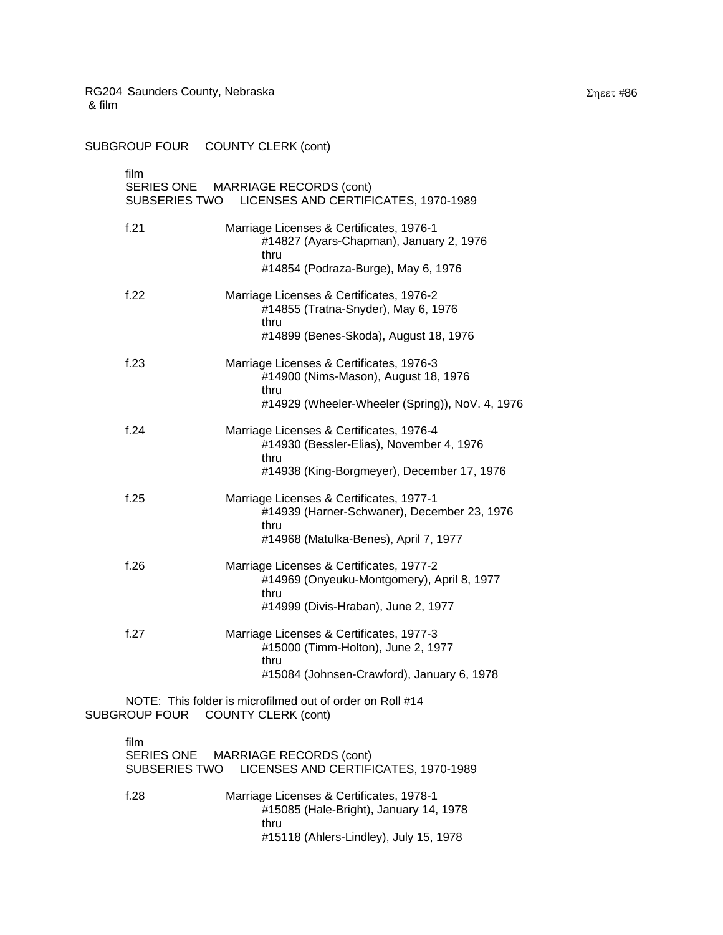SUBGROUP FOUR COUNTY CLERK (cont)

film SERIES ONE MARRIAGE RECORDS (cont) SUBSERIES TWO LICENSES AND CERTIFICATES, 1970-1989 f.21 Marriage Licenses & Certificates, 1976-1 #14827 (Ayars-Chapman), January 2, 1976 thru #14854 (Podraza-Burge), May 6, 1976 f.22 Marriage Licenses & Certificates, 1976-2 #14855 (Tratna-Snyder), May 6, 1976 thru #14899 (Benes-Skoda), August 18, 1976 f.23 Marriage Licenses & Certificates, 1976-3 #14900 (Nims-Mason), August 18, 1976 thru #14929 (Wheeler-Wheeler (Spring)), NoV. 4, 1976 f.24 Marriage Licenses & Certificates, 1976-4 #14930 (Bessler-Elias), November 4, 1976 thru #14938 (King-Borgmeyer), December 17, 1976 f.25 Marriage Licenses & Certificates, 1977-1 #14939 (Harner-Schwaner), December 23, 1976 thru #14968 (Matulka-Benes), April 7, 1977 f.26 Marriage Licenses & Certificates, 1977-2 #14969 (Onyeuku-Montgomery), April 8, 1977 thru #14999 (Divis-Hraban), June 2, 1977 f.27 Marriage Licenses & Certificates, 1977-3 #15000 (Timm-Holton), June 2, 1977 thru #15084 (Johnsen-Crawford), January 6, 1978

NOTE: This folder is microfilmed out of order on Roll #14 SUBGROUP FOUR COUNTY CLERK (cont)

| film | SERIES ONE MARRIAGE RECORDS (cont)<br>SUBSERIES TWO LICENSES AND CERTIFICATES, 1970-1989                                             |
|------|--------------------------------------------------------------------------------------------------------------------------------------|
| f.28 | Marriage Licenses & Certificates, 1978-1<br>#15085 (Hale-Bright), January 14, 1978<br>thru<br>#15118 (Ahlers-Lindley), July 15, 1978 |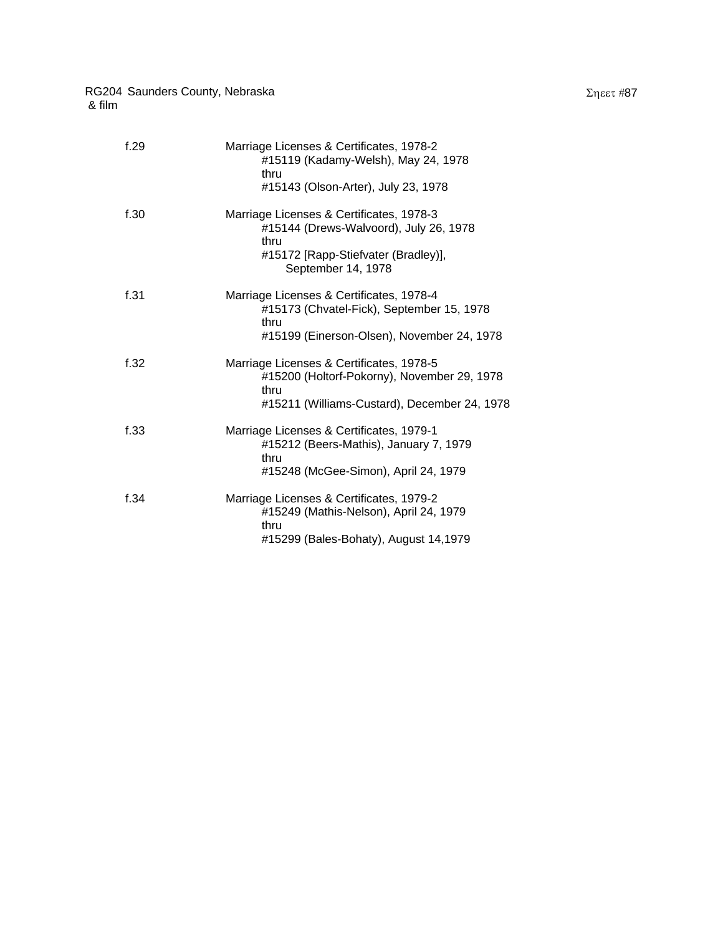| f.29 | Marriage Licenses & Certificates, 1978-2<br>#15119 (Kadamy-Welsh), May 24, 1978<br>thru<br>#15143 (Olson-Arter), July 23, 1978                          |
|------|---------------------------------------------------------------------------------------------------------------------------------------------------------|
| f.30 | Marriage Licenses & Certificates, 1978-3<br>#15144 (Drews-Walvoord), July 26, 1978<br>thru<br>#15172 [Rapp-Stiefvater (Bradley)],<br>September 14, 1978 |
| f.31 | Marriage Licenses & Certificates, 1978-4<br>#15173 (Chvatel-Fick), September 15, 1978<br>thru<br>#15199 (Einerson-Olsen), November 24, 1978             |
| f.32 | Marriage Licenses & Certificates, 1978-5<br>#15200 (Holtorf-Pokorny), November 29, 1978<br>thru<br>#15211 (Williams-Custard), December 24, 1978         |
| f.33 | Marriage Licenses & Certificates, 1979-1<br>#15212 (Beers-Mathis), January 7, 1979<br>thru<br>#15248 (McGee-Simon), April 24, 1979                      |
| f.34 | Marriage Licenses & Certificates, 1979-2<br>#15249 (Mathis-Nelson), April 24, 1979                                                                      |

#15299 (Bales-Bohaty), August 14,1979

thru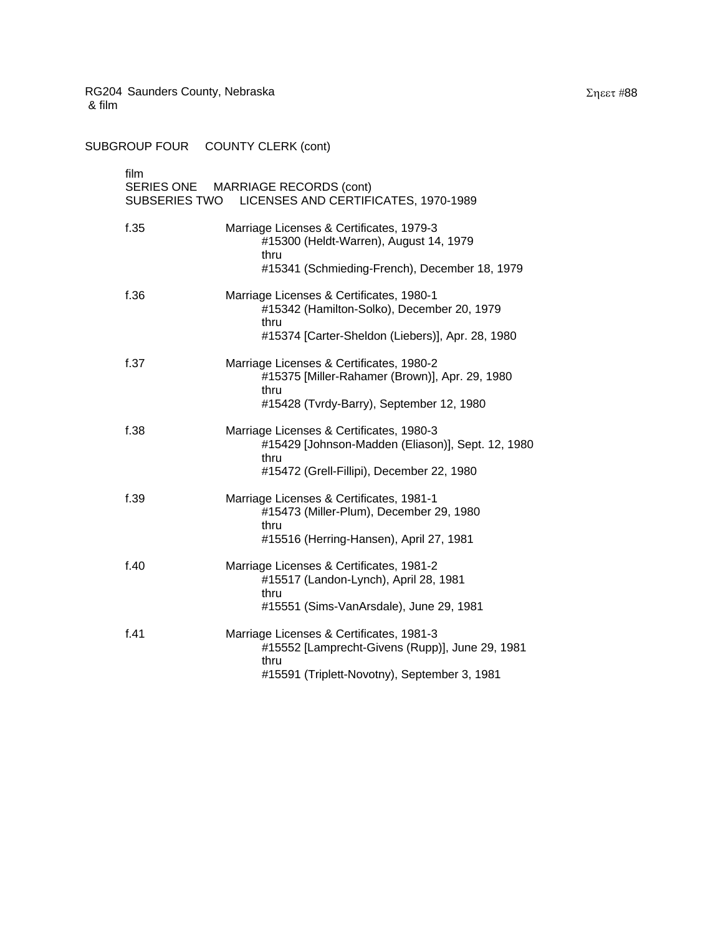SUBGROUP FOUR COUNTY CLERK (cont) film SERIES ONE MARRIAGE RECORDS (cont) SUBSERIES TWO LICENSES AND CERTIFICATES, 1970-1989

| f.35 | Marriage Licenses & Certificates, 1979-3                  |
|------|-----------------------------------------------------------|
|      | #15300 (Heldt-Warren), August 14, 1979                    |
|      | thru                                                      |
|      | #15341 (Schmieding-French), December 18, 1979             |
| f.36 | Marriage Licenses & Certificates, 1980-1                  |
|      | #15342 (Hamilton-Solko), December 20, 1979<br>thru        |
|      | #15374 [Carter-Sheldon (Liebers)], Apr. 28, 1980          |
| f.37 | Marriage Licenses & Certificates, 1980-2                  |
|      | #15375 [Miller-Rahamer (Brown)], Apr. 29, 1980<br>thru    |
|      | #15428 (Tvrdy-Barry), September 12, 1980                  |
| f.38 | Marriage Licenses & Certificates, 1980-3                  |
|      | #15429 [Johnson-Madden (Eliason)], Sept. 12, 1980<br>thru |
|      | #15472 (Grell-Fillipi), December 22, 1980                 |
| f.39 | Marriage Licenses & Certificates, 1981-1                  |
|      | #15473 (Miller-Plum), December 29, 1980<br>thru           |
|      | #15516 (Herring-Hansen), April 27, 1981                   |
| f.40 | Marriage Licenses & Certificates, 1981-2                  |
|      | #15517 (Landon-Lynch), April 28, 1981<br>thru             |
|      | #15551 (Sims-VanArsdale), June 29, 1981                   |
| f.41 | Marriage Licenses & Certificates, 1981-3                  |
|      | #15552 [Lamprecht-Givens (Rupp)], June 29, 1981<br>thru   |
|      | #15591 (Triplett-Novotny), September 3, 1981              |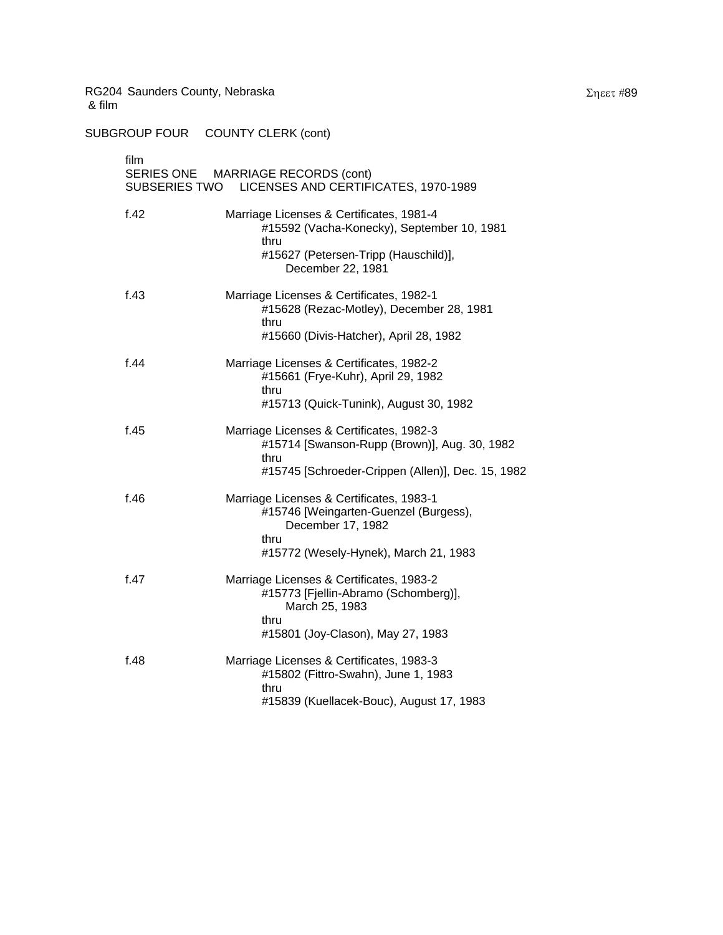| film<br>SERIES ONE MARRIAGE RECORDS (cont)<br>SUBSERIES TWO LICENSES AND CERTIFICATES, 1970-1989 |                                                                                                                                                             |  |
|--------------------------------------------------------------------------------------------------|-------------------------------------------------------------------------------------------------------------------------------------------------------------|--|
| f.42                                                                                             | Marriage Licenses & Certificates, 1981-4<br>#15592 (Vacha-Konecky), September 10, 1981<br>thru<br>#15627 (Petersen-Tripp (Hauschild)],<br>December 22, 1981 |  |
| f.43                                                                                             | Marriage Licenses & Certificates, 1982-1<br>#15628 (Rezac-Motley), December 28, 1981<br>thru<br>#15660 (Divis-Hatcher), April 28, 1982                      |  |
| f.44                                                                                             | Marriage Licenses & Certificates, 1982-2<br>#15661 (Frye-Kuhr), April 29, 1982<br>thru<br>#15713 (Quick-Tunink), August 30, 1982                            |  |
| f.45                                                                                             | Marriage Licenses & Certificates, 1982-3<br>#15714 [Swanson-Rupp (Brown)], Aug. 30, 1982<br>thru<br>#15745 [Schroeder-Crippen (Allen)], Dec. 15, 1982       |  |
| f.46                                                                                             | Marriage Licenses & Certificates, 1983-1<br>#15746 [Weingarten-Guenzel (Burgess),<br>December 17, 1982<br>thru<br>#15772 (Wesely-Hynek), March 21, 1983     |  |
| f.47                                                                                             | Marriage Licenses & Certificates, 1983-2<br>#15773 [Fjellin-Abramo (Schomberg)],<br>March 25, 1983<br>thru<br>#15801 (Joy-Clason), May 27, 1983             |  |
| f.48                                                                                             | Marriage Licenses & Certificates, 1983-3<br>#15802 (Fittro-Swahn), June 1, 1983<br>thru<br>#15839 (Kuellacek-Bouc), August 17, 1983                         |  |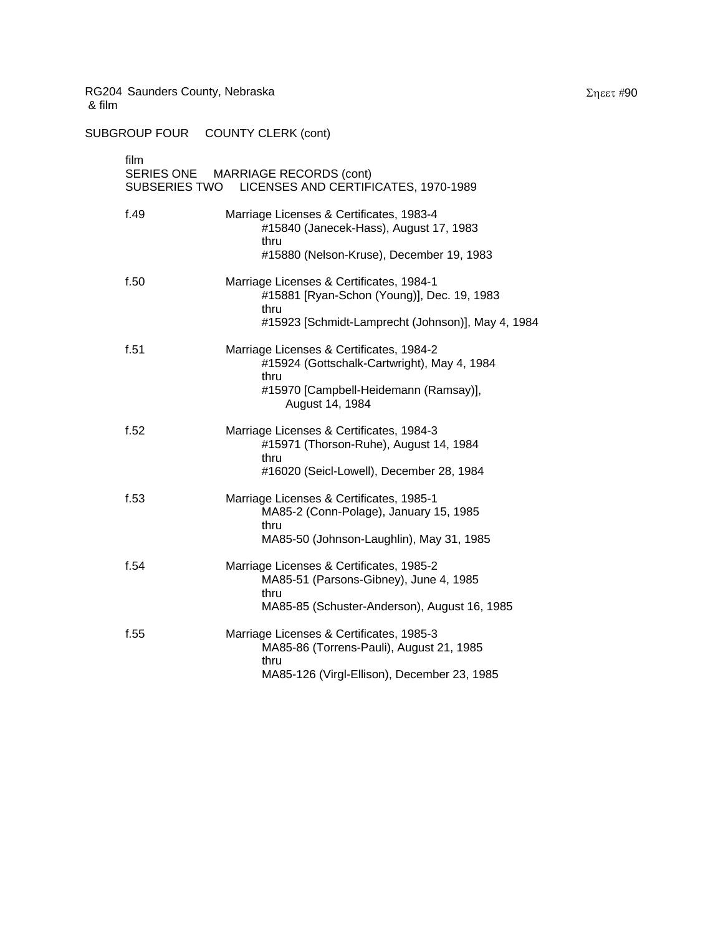| film<br>SUBSERIES TWO | SERIES ONE MARRIAGE RECORDS (cont)<br>LICENSES AND CERTIFICATES, 1970-1989                                                                                  |
|-----------------------|-------------------------------------------------------------------------------------------------------------------------------------------------------------|
| f.49                  | Marriage Licenses & Certificates, 1983-4<br>#15840 (Janecek-Hass), August 17, 1983<br>thru<br>#15880 (Nelson-Kruse), December 19, 1983                      |
| f.50                  | Marriage Licenses & Certificates, 1984-1<br>#15881 [Ryan-Schon (Young)], Dec. 19, 1983<br>thru<br>#15923 [Schmidt-Lamprecht (Johnson)], May 4, 1984         |
| f.51                  | Marriage Licenses & Certificates, 1984-2<br>#15924 (Gottschalk-Cartwright), May 4, 1984<br>thru<br>#15970 [Campbell-Heidemann (Ramsay)],<br>August 14, 1984 |
| f.52                  | Marriage Licenses & Certificates, 1984-3<br>#15971 (Thorson-Ruhe), August 14, 1984<br>thru<br>#16020 (Seicl-Lowell), December 28, 1984                      |
| f.53                  | Marriage Licenses & Certificates, 1985-1<br>MA85-2 (Conn-Polage), January 15, 1985<br>thru<br>MA85-50 (Johnson-Laughlin), May 31, 1985                      |
| f.54                  | Marriage Licenses & Certificates, 1985-2<br>MA85-51 (Parsons-Gibney), June 4, 1985<br>thru<br>MA85-85 (Schuster-Anderson), August 16, 1985                  |
| f.55                  | Marriage Licenses & Certificates, 1985-3<br>MA85-86 (Torrens-Pauli), August 21, 1985<br>thru<br>MA85-126 (Virgl-Ellison), December 23, 1985                 |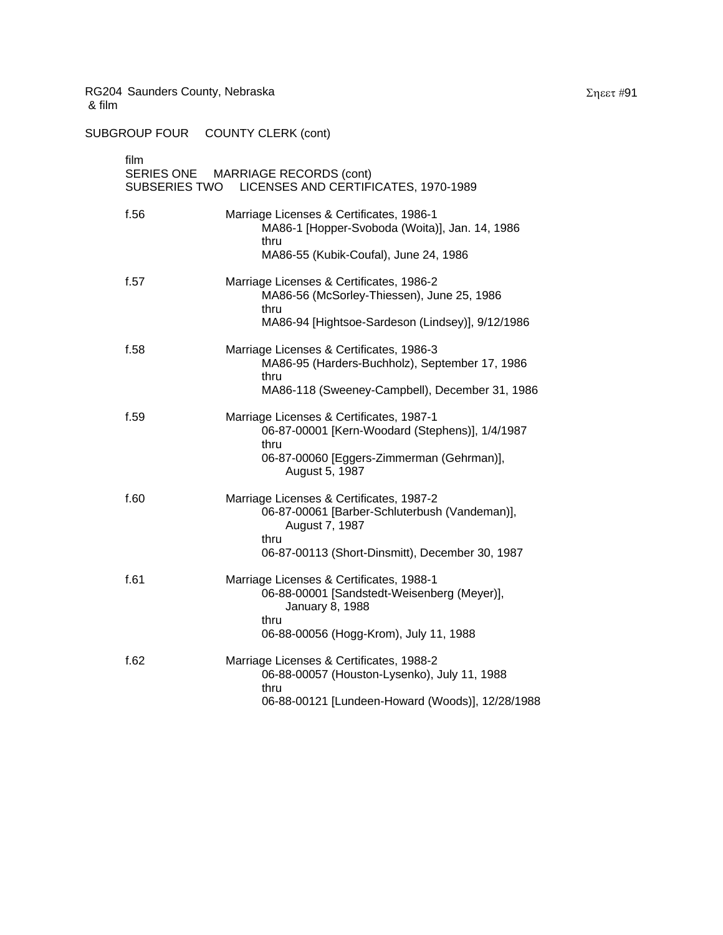| film | SERIES ONE MARRIAGE RECORDS (cont)<br>SUBSERIES TWO LICENSES AND CERTIFICATES, 1970-1989                                                                               |
|------|------------------------------------------------------------------------------------------------------------------------------------------------------------------------|
| f.56 | Marriage Licenses & Certificates, 1986-1<br>MA86-1 [Hopper-Svoboda (Woita)], Jan. 14, 1986<br>thru<br>MA86-55 (Kubik-Coufal), June 24, 1986                            |
| f.57 | Marriage Licenses & Certificates, 1986-2<br>MA86-56 (McSorley-Thiessen), June 25, 1986<br>thru<br>MA86-94 [Hightsoe-Sardeson (Lindsey)], 9/12/1986                     |
| f.58 | Marriage Licenses & Certificates, 1986-3<br>MA86-95 (Harders-Buchholz), September 17, 1986<br>thru<br>MA86-118 (Sweeney-Campbell), December 31, 1986                   |
| f.59 | Marriage Licenses & Certificates, 1987-1<br>06-87-00001 [Kern-Woodard (Stephens)], 1/4/1987<br>thru<br>06-87-00060 [Eggers-Zimmerman (Gehrman)],<br>August 5, 1987     |
| f.60 | Marriage Licenses & Certificates, 1987-2<br>06-87-00061 [Barber-Schluterbush (Vandeman)],<br>August 7, 1987<br>thru<br>06-87-00113 (Short-Dinsmitt), December 30, 1987 |
| f.61 | Marriage Licenses & Certificates, 1988-1<br>06-88-00001 [Sandstedt-Weisenberg (Meyer)],<br>January 8, 1988<br>thru<br>06-88-00056 (Hogg-Krom), July 11, 1988           |
| f.62 | Marriage Licenses & Certificates, 1988-2<br>06-88-00057 (Houston-Lysenko), July 11, 1988<br>thru<br>06-88-00121 [Lundeen-Howard (Woods)], 12/28/1988                   |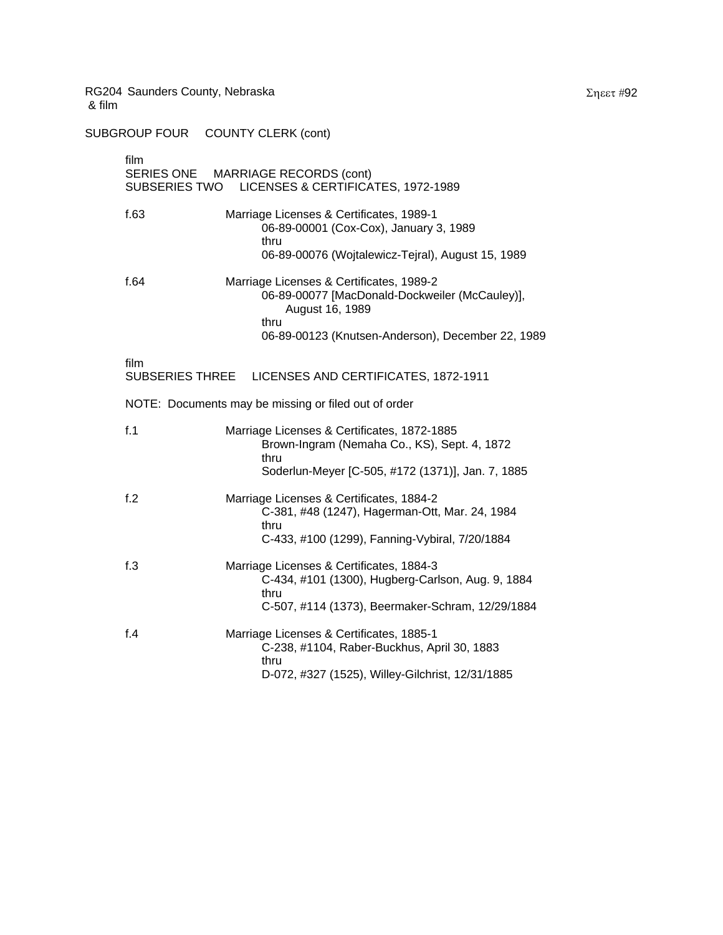| film<br>SERIES ONE MARRIAGE RECORDS (cont)<br>LICENSES & CERTIFICATES, 1972-1989<br>SUBSERIES TWO |                                                                                                               |  |
|---------------------------------------------------------------------------------------------------|---------------------------------------------------------------------------------------------------------------|--|
| f.63                                                                                              | Marriage Licenses & Certificates, 1989-1<br>06-89-00001 (Cox-Cox), January 3, 1989<br>thru                    |  |
|                                                                                                   | 06-89-00076 (Wojtalewicz-Tejral), August 15, 1989                                                             |  |
| f.64                                                                                              | Marriage Licenses & Certificates, 1989-2<br>06-89-00077 [MacDonald-Dockweiler (McCauley)],<br>August 16, 1989 |  |
|                                                                                                   | thru<br>06-89-00123 (Knutsen-Anderson), December 22, 1989                                                     |  |
| film<br>SUBSERIES THREE                                                                           | LICENSES AND CERTIFICATES, 1872-1911                                                                          |  |
| NOTE: Documents may be missing or filed out of order                                              |                                                                                                               |  |
| f.1                                                                                               | Marriage Licenses & Certificates, 1872-1885<br>Brown-Ingram (Nemaha Co., KS), Sept. 4, 1872<br>thru           |  |
|                                                                                                   | Soderlun-Meyer [C-505, #172 (1371)], Jan. 7, 1885                                                             |  |
| f.2                                                                                               | Marriage Licenses & Certificates, 1884-2<br>C-381, #48 (1247), Hagerman-Ott, Mar. 24, 1984<br>thru            |  |
|                                                                                                   | C-433, #100 (1299), Fanning-Vybiral, 7/20/1884                                                                |  |
| f.3                                                                                               | Marriage Licenses & Certificates, 1884-3<br>C-434, #101 (1300), Hugberg-Carlson, Aug. 9, 1884<br>thru         |  |
|                                                                                                   | C-507, #114 (1373), Beermaker-Schram, 12/29/1884                                                              |  |
| $f_4$                                                                                             | Marriage Licenses & Certificates, 1885-1<br>C-238, #1104, Raber-Buckhus, April 30, 1883<br>thru               |  |
|                                                                                                   | D-072, #327 (1525), Willey-Gilchrist, 12/31/1885                                                              |  |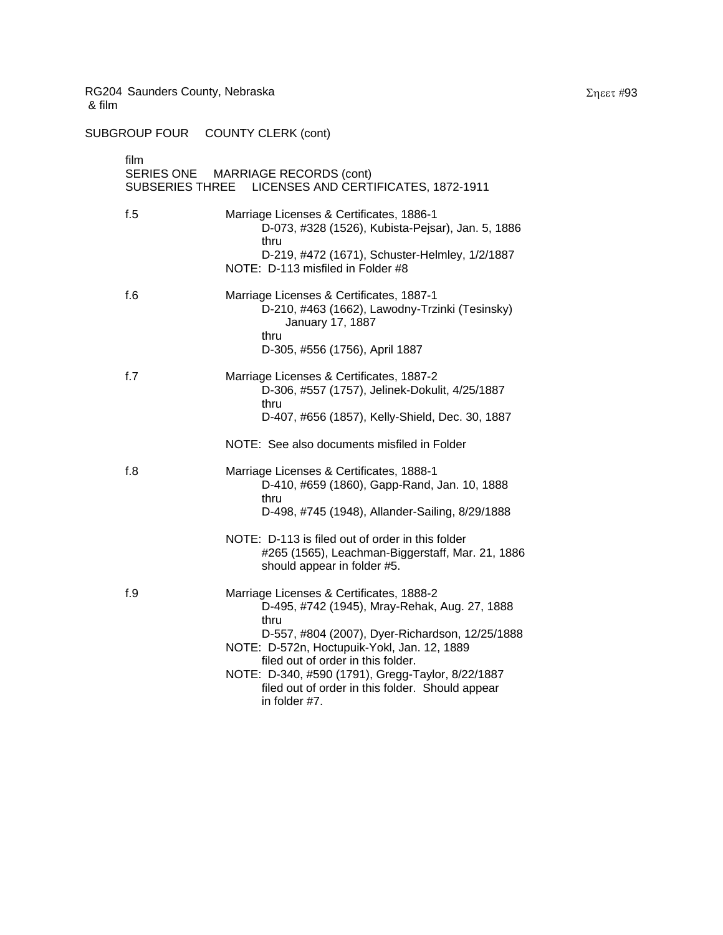SUBGROUP FOUR COUNTY CLERK (cont)

| film<br>SERIES ONE MARRIAGE RECORDS (cont)<br>SUBSERIES THREE LICENSES AND CERTIFICATES, 1872-1911 |                                                                                                                                                              |  |
|----------------------------------------------------------------------------------------------------|--------------------------------------------------------------------------------------------------------------------------------------------------------------|--|
| f.5                                                                                                | Marriage Licenses & Certificates, 1886-1<br>D-073, #328 (1526), Kubista-Pejsar), Jan. 5, 1886<br>thru<br>D-219, #472 (1671), Schuster-Helmley, 1/2/1887      |  |
|                                                                                                    | NOTE: D-113 misfiled in Folder #8                                                                                                                            |  |
| f.6                                                                                                | Marriage Licenses & Certificates, 1887-1<br>D-210, #463 (1662), Lawodny-Trzinki (Tesinsky)<br>January 17, 1887<br>thru                                       |  |
|                                                                                                    | D-305, #556 (1756), April 1887                                                                                                                               |  |
| f.7                                                                                                | Marriage Licenses & Certificates, 1887-2<br>D-306, #557 (1757), Jelinek-Dokulit, 4/25/1887<br>thru                                                           |  |
|                                                                                                    | D-407, #656 (1857), Kelly-Shield, Dec. 30, 1887                                                                                                              |  |
|                                                                                                    | NOTE: See also documents misfiled in Folder                                                                                                                  |  |
| f.8                                                                                                | Marriage Licenses & Certificates, 1888-1<br>D-410, #659 (1860), Gapp-Rand, Jan. 10, 1888<br>thru                                                             |  |
|                                                                                                    | D-498, #745 (1948), Allander-Sailing, 8/29/1888                                                                                                              |  |
|                                                                                                    | NOTE: D-113 is filed out of order in this folder<br>#265 (1565), Leachman-Biggerstaff, Mar. 21, 1886<br>should appear in folder #5.                          |  |
| f.9                                                                                                | Marriage Licenses & Certificates, 1888-2<br>D-495, #742 (1945), Mray-Rehak, Aug. 27, 1888<br>thru                                                            |  |
|                                                                                                    | D-557, #804 (2007), Dyer-Richardson, 12/25/1888<br>NOTE: D-572n, Hoctupuik-Yokl, Jan. 12, 1889                                                               |  |
|                                                                                                    | filed out of order in this folder.<br>NOTE: D-340, #590 (1791), Gregg-Taylor, 8/22/1887<br>filed out of order in this folder. Should appear<br>in folder #7. |  |

Σηεετ #93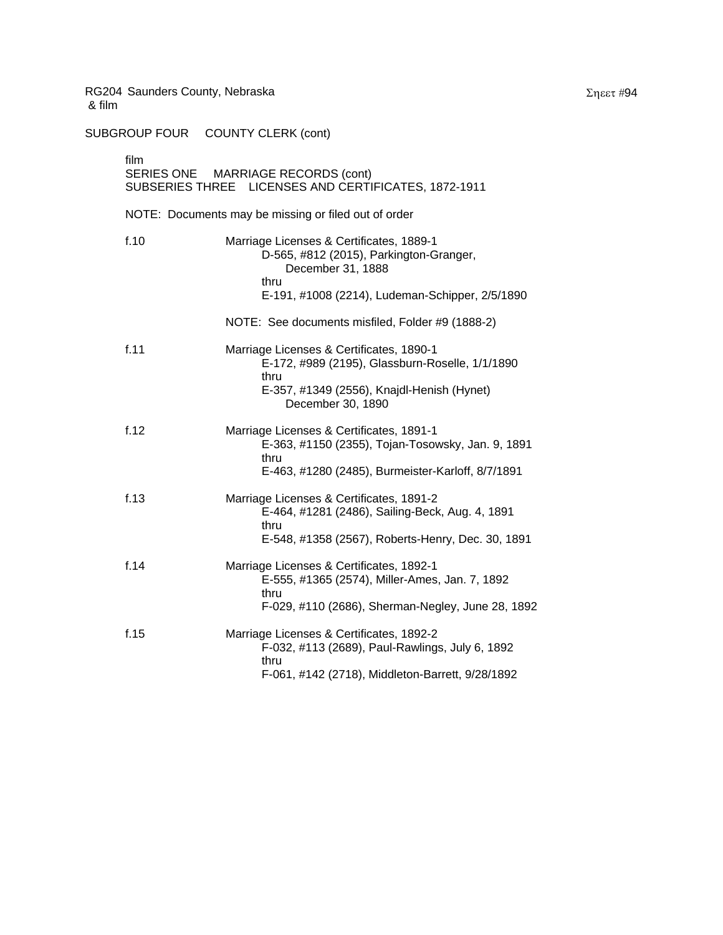| film | SERIES ONE MARRIAGE RECORDS (cont)<br>SUBSERIES THREE LICENSES AND CERTIFICATES, 1872-1911                                                                             |  |  |
|------|------------------------------------------------------------------------------------------------------------------------------------------------------------------------|--|--|
|      | NOTE: Documents may be missing or filed out of order                                                                                                                   |  |  |
| f.10 | Marriage Licenses & Certificates, 1889-1<br>D-565, #812 (2015), Parkington-Granger,<br>December 31, 1888<br>thru<br>E-191, #1008 (2214), Ludeman-Schipper, 2/5/1890    |  |  |
|      | NOTE: See documents misfiled, Folder #9 (1888-2)                                                                                                                       |  |  |
| f.11 | Marriage Licenses & Certificates, 1890-1<br>E-172, #989 (2195), Glassburn-Roselle, 1/1/1890<br>thru<br>E-357, #1349 (2556), Knajdl-Henish (Hynet)<br>December 30, 1890 |  |  |
| f.12 | Marriage Licenses & Certificates, 1891-1<br>E-363, #1150 (2355), Tojan-Tosowsky, Jan. 9, 1891<br>thru<br>E-463, #1280 (2485), Burmeister-Karloff, 8/7/1891             |  |  |
| f.13 | Marriage Licenses & Certificates, 1891-2<br>E-464, #1281 (2486), Sailing-Beck, Aug. 4, 1891<br>thru<br>E-548, #1358 (2567), Roberts-Henry, Dec. 30, 1891               |  |  |
| f.14 | Marriage Licenses & Certificates, 1892-1<br>E-555, #1365 (2574), Miller-Ames, Jan. 7, 1892<br>thru<br>F-029, #110 (2686), Sherman-Negley, June 28, 1892                |  |  |
| f.15 | Marriage Licenses & Certificates, 1892-2<br>F-032, #113 (2689), Paul-Rawlings, July 6, 1892<br>thru<br>F-061, #142 (2718), Middleton-Barrett, 9/28/1892                |  |  |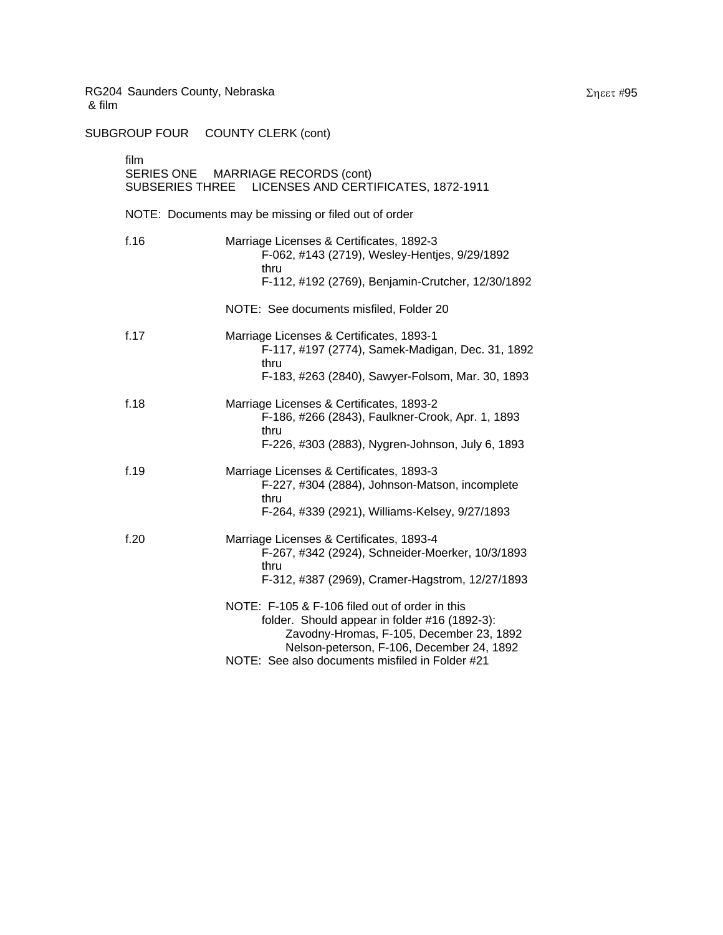SUBGROUP FOUR COUNTY CLERK (cont)

| film | SERIES ONE MARRIAGE RECORDS (cont)<br>SUBSERIES THREE LICENSES AND CERTIFICATES, 1872-1911                                                                                                                                                  |
|------|---------------------------------------------------------------------------------------------------------------------------------------------------------------------------------------------------------------------------------------------|
|      | NOTE: Documents may be missing or filed out of order                                                                                                                                                                                        |
| f.16 | Marriage Licenses & Certificates, 1892-3<br>F-062, #143 (2719), Wesley-Hentjes, 9/29/1892<br>thru<br>F-112, #192 (2769), Benjamin-Crutcher, 12/30/1892                                                                                      |
|      | NOTE: See documents misfiled, Folder 20                                                                                                                                                                                                     |
| f.17 | Marriage Licenses & Certificates, 1893-1<br>F-117, #197 (2774), Samek-Madigan, Dec. 31, 1892<br>thru<br>F-183, #263 (2840), Sawyer-Folsom, Mar. 30, 1893                                                                                    |
| f.18 | Marriage Licenses & Certificates, 1893-2<br>F-186, #266 (2843), Faulkner-Crook, Apr. 1, 1893<br>thru<br>F-226, #303 (2883), Nygren-Johnson, July 6, 1893                                                                                    |
| f.19 | Marriage Licenses & Certificates, 1893-3<br>F-227, #304 (2884), Johnson-Matson, incomplete<br>thru<br>F-264, #339 (2921), Williams-Kelsey, 9/27/1893                                                                                        |
| f.20 | Marriage Licenses & Certificates, 1893-4<br>F-267, #342 (2924), Schneider-Moerker, 10/3/1893<br>thru<br>F-312, #387 (2969), Cramer-Hagstrom, 12/27/1893                                                                                     |
|      | NOTE: F-105 & F-106 filed out of order in this<br>folder. Should appear in folder #16 (1892-3):<br>Zavodny-Hromas, F-105, December 23, 1892<br>Nelson-peterson, F-106, December 24, 1892<br>NOTE: See also documents misfiled in Folder #21 |

Σηεετ #95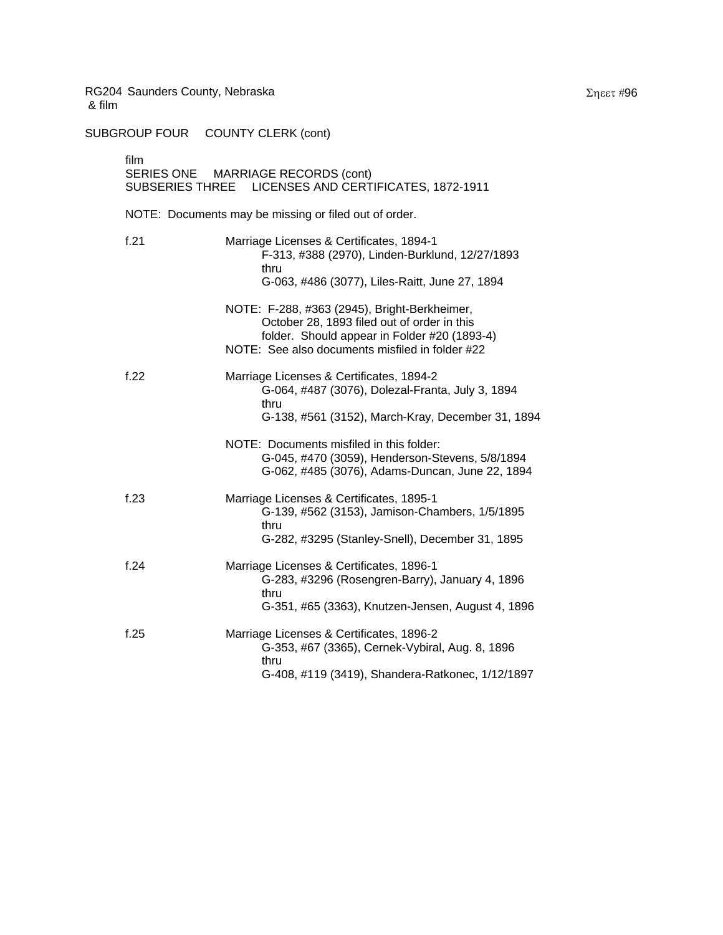| film | SERIES ONE MARRIAGE RECORDS (cont)<br>SUBSERIES THREE LICENSES AND CERTIFICATES, 1872-1911                                                                                                     |
|------|------------------------------------------------------------------------------------------------------------------------------------------------------------------------------------------------|
|      | NOTE: Documents may be missing or filed out of order.                                                                                                                                          |
| f.21 | Marriage Licenses & Certificates, 1894-1<br>F-313, #388 (2970), Linden-Burklund, 12/27/1893<br>thru<br>G-063, #486 (3077), Liles-Raitt, June 27, 1894                                          |
|      | NOTE: F-288, #363 (2945), Bright-Berkheimer,<br>October 28, 1893 filed out of order in this<br>folder. Should appear in Folder #20 (1893-4)<br>NOTE: See also documents misfiled in folder #22 |
| f.22 | Marriage Licenses & Certificates, 1894-2<br>G-064, #487 (3076), Dolezal-Franta, July 3, 1894<br>thru<br>G-138, #561 (3152), March-Kray, December 31, 1894                                      |
|      | NOTE: Documents misfiled in this folder:<br>G-045, #470 (3059), Henderson-Stevens, 5/8/1894<br>G-062, #485 (3076), Adams-Duncan, June 22, 1894                                                 |
| f.23 | Marriage Licenses & Certificates, 1895-1<br>G-139, #562 (3153), Jamison-Chambers, 1/5/1895<br>thru<br>G-282, #3295 (Stanley-Snell), December 31, 1895                                          |
| f.24 | Marriage Licenses & Certificates, 1896-1<br>G-283, #3296 (Rosengren-Barry), January 4, 1896<br>thru<br>G-351, #65 (3363), Knutzen-Jensen, August 4, 1896                                       |
| f.25 | Marriage Licenses & Certificates, 1896-2<br>G-353, #67 (3365), Cernek-Vybiral, Aug. 8, 1896<br>thru<br>G-408, #119 (3419), Shandera-Ratkonec, 1/12/1897                                        |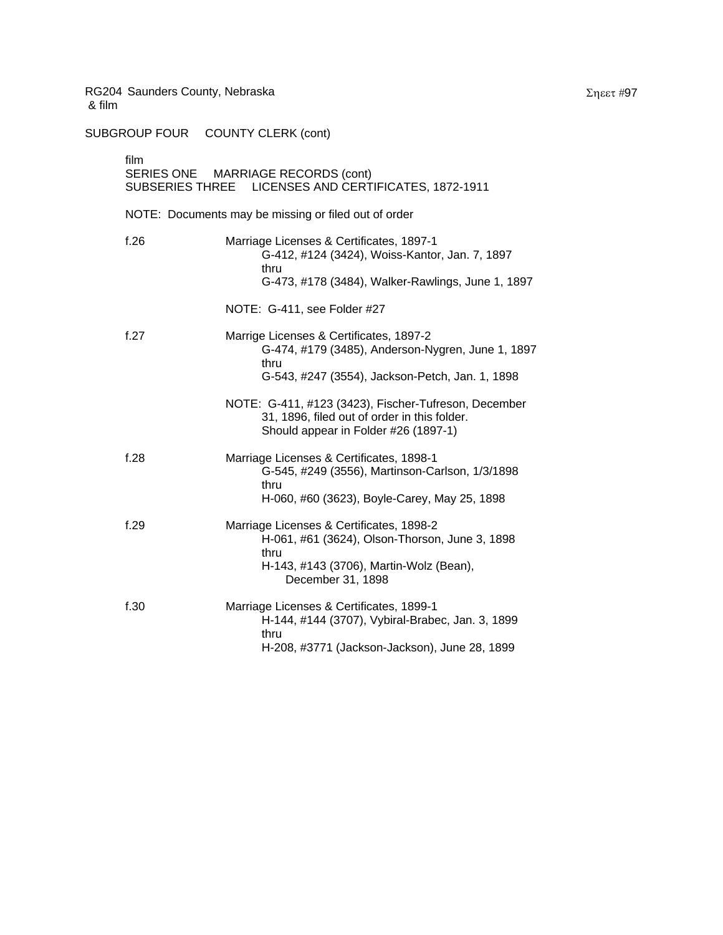| film | SERIES ONE MARRIAGE RECORDS (cont)<br>SUBSERIES THREE LICENSES AND CERTIFICATES, 1872-1911                                                                         |
|------|--------------------------------------------------------------------------------------------------------------------------------------------------------------------|
|      | NOTE: Documents may be missing or filed out of order                                                                                                               |
| f.26 | Marriage Licenses & Certificates, 1897-1<br>G-412, #124 (3424), Woiss-Kantor, Jan. 7, 1897<br>thru<br>G-473, #178 (3484), Walker-Rawlings, June 1, 1897            |
|      | NOTE: G-411, see Folder #27                                                                                                                                        |
| f.27 | Marrige Licenses & Certificates, 1897-2<br>G-474, #179 (3485), Anderson-Nygren, June 1, 1897<br>thru<br>G-543, #247 (3554), Jackson-Petch, Jan. 1, 1898            |
|      | NOTE: G-411, #123 (3423), Fischer-Tufreson, December<br>31, 1896, filed out of order in this folder.<br>Should appear in Folder #26 (1897-1)                       |
| f.28 | Marriage Licenses & Certificates, 1898-1<br>G-545, #249 (3556), Martinson-Carlson, 1/3/1898<br>thru<br>H-060, #60 (3623), Boyle-Carey, May 25, 1898                |
| f.29 | Marriage Licenses & Certificates, 1898-2<br>H-061, #61 (3624), Olson-Thorson, June 3, 1898<br>thru<br>H-143, #143 (3706), Martin-Wolz (Bean),<br>December 31, 1898 |
| f.30 | Marriage Licenses & Certificates, 1899-1<br>H-144, #144 (3707), Vybiral-Brabec, Jan. 3, 1899<br>thru<br>H-208, #3771 (Jackson-Jackson), June 28, 1899              |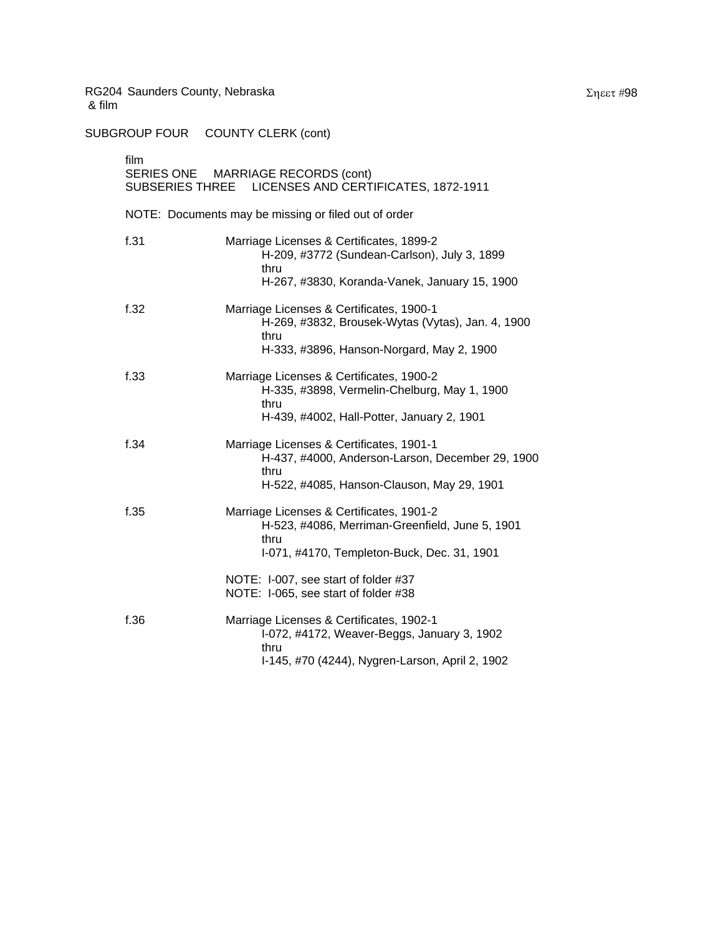| film | SERIES ONE MARRIAGE RECORDS (cont)<br>SUBSERIES THREE LICENSES AND CERTIFICATES, 1872-1911                                                         |
|------|----------------------------------------------------------------------------------------------------------------------------------------------------|
|      | NOTE: Documents may be missing or filed out of order                                                                                               |
| f.31 | Marriage Licenses & Certificates, 1899-2<br>H-209, #3772 (Sundean-Carlson), July 3, 1899<br>thru<br>H-267, #3830, Koranda-Vanek, January 15, 1900  |
| f.32 | Marriage Licenses & Certificates, 1900-1<br>H-269, #3832, Brousek-Wytas (Vytas), Jan. 4, 1900<br>thru<br>H-333, #3896, Hanson-Norgard, May 2, 1900 |
| f.33 | Marriage Licenses & Certificates, 1900-2<br>H-335, #3898, Vermelin-Chelburg, May 1, 1900<br>thru<br>H-439, #4002, Hall-Potter, January 2, 1901     |
| f.34 | Marriage Licenses & Certificates, 1901-1<br>H-437, #4000, Anderson-Larson, December 29, 1900<br>thru<br>H-522, #4085, Hanson-Clauson, May 29, 1901 |
| f.35 | Marriage Licenses & Certificates, 1901-2<br>H-523, #4086, Merriman-Greenfield, June 5, 1901<br>thru<br>I-071, #4170, Templeton-Buck, Dec. 31, 1901 |
|      | NOTE: I-007, see start of folder #37<br>NOTE: I-065, see start of folder #38                                                                       |
| f.36 | Marriage Licenses & Certificates, 1902-1<br>I-072, #4172, Weaver-Beggs, January 3, 1902<br>thru<br>I-145, #70 (4244), Nygren-Larson, April 2, 1902 |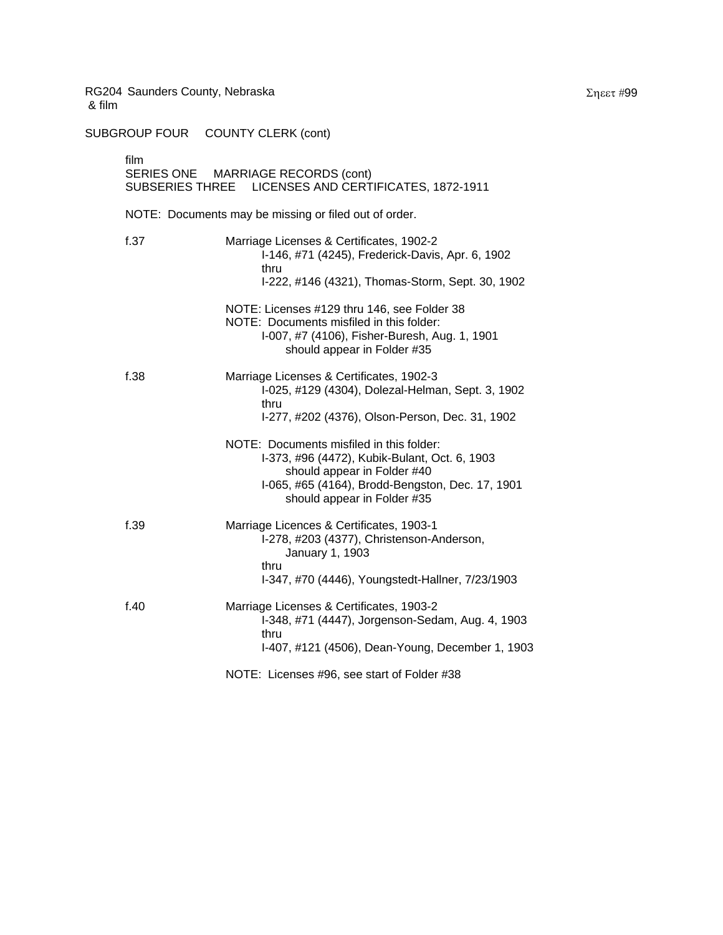| film | SERIES ONE MARRIAGE RECORDS (cont)<br>SUBSERIES THREE LICENSES AND CERTIFICATES, 1872-1911                                                                                                                  |
|------|-------------------------------------------------------------------------------------------------------------------------------------------------------------------------------------------------------------|
|      | NOTE: Documents may be missing or filed out of order.                                                                                                                                                       |
| f.37 | Marriage Licenses & Certificates, 1902-2<br>I-146, #71 (4245), Frederick-Davis, Apr. 6, 1902<br>thru<br>I-222, #146 (4321), Thomas-Storm, Sept. 30, 1902                                                    |
|      | NOTE: Licenses #129 thru 146, see Folder 38<br>NOTE: Documents misfiled in this folder:<br>I-007, #7 (4106), Fisher-Buresh, Aug. 1, 1901<br>should appear in Folder #35                                     |
| f.38 | Marriage Licenses & Certificates, 1902-3<br>I-025, #129 (4304), Dolezal-Helman, Sept. 3, 1902<br>thru<br>I-277, #202 (4376), Olson-Person, Dec. 31, 1902                                                    |
|      | NOTE: Documents misfiled in this folder:<br>I-373, #96 (4472), Kubik-Bulant, Oct. 6, 1903<br>should appear in Folder #40<br>I-065, #65 (4164), Brodd-Bengston, Dec. 17, 1901<br>should appear in Folder #35 |
| f.39 | Marriage Licences & Certificates, 1903-1<br>I-278, #203 (4377), Christenson-Anderson,<br>January 1, 1903<br>thru<br>I-347, #70 (4446), Youngstedt-Hallner, 7/23/1903                                        |
| f.40 | Marriage Licenses & Certificates, 1903-2<br>I-348, #71 (4447), Jorgenson-Sedam, Aug. 4, 1903<br>thru<br>I-407, #121 (4506), Dean-Young, December 1, 1903                                                    |
|      | NOTE: Licenses #96, see start of Folder #38                                                                                                                                                                 |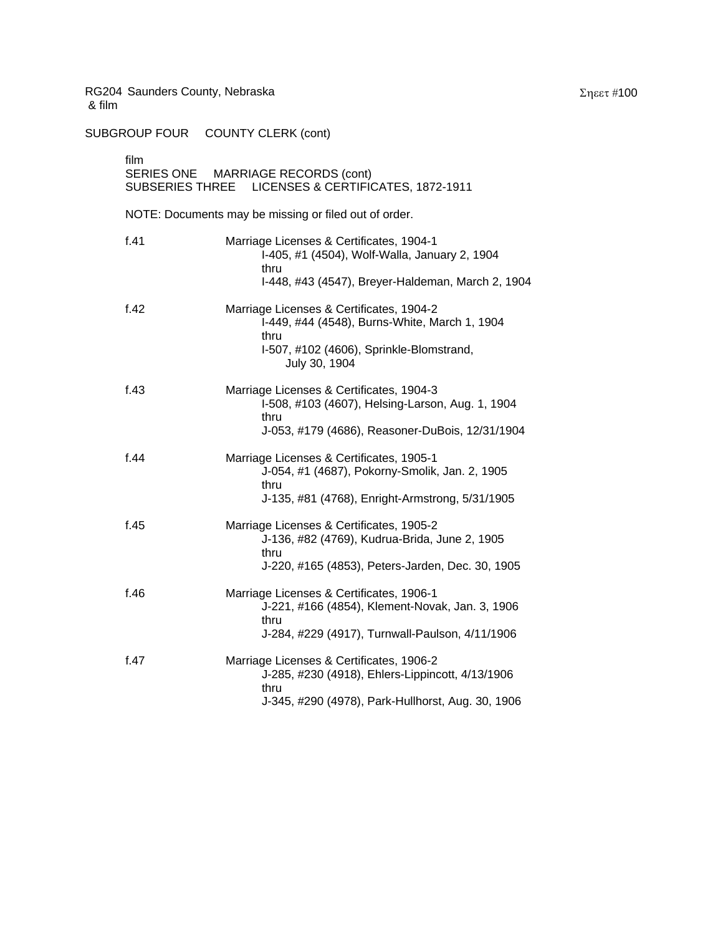| film | SERIES ONE MARRIAGE RECORDS (cont)<br>SUBSERIES THREE LICENSES & CERTIFICATES, 1872-1911                                                                       |
|------|----------------------------------------------------------------------------------------------------------------------------------------------------------------|
|      | NOTE: Documents may be missing or filed out of order.                                                                                                          |
| f.41 | Marriage Licenses & Certificates, 1904-1<br>I-405, #1 (4504), Wolf-Walla, January 2, 1904<br>thru<br>I-448, #43 (4547), Breyer-Haldeman, March 2, 1904         |
| f.42 | Marriage Licenses & Certificates, 1904-2<br>I-449, #44 (4548), Burns-White, March 1, 1904<br>thru<br>I-507, #102 (4606), Sprinkle-Blomstrand,<br>July 30, 1904 |
| f.43 | Marriage Licenses & Certificates, 1904-3<br>I-508, #103 (4607), Helsing-Larson, Aug. 1, 1904<br>thru<br>J-053, #179 (4686), Reasoner-DuBois, 12/31/1904        |
| f.44 | Marriage Licenses & Certificates, 1905-1<br>J-054, #1 (4687), Pokorny-Smolik, Jan. 2, 1905<br>thru<br>J-135, #81 (4768), Enright-Armstrong, 5/31/1905          |
| f.45 | Marriage Licenses & Certificates, 1905-2<br>J-136, #82 (4769), Kudrua-Brida, June 2, 1905<br>thru<br>J-220, #165 (4853), Peters-Jarden, Dec. 30, 1905          |
| f.46 | Marriage Licenses & Certificates, 1906-1<br>J-221, #166 (4854), Klement-Novak, Jan. 3, 1906<br>thru<br>J-284, #229 (4917), Turnwall-Paulson, 4/11/1906         |
| f.47 | Marriage Licenses & Certificates, 1906-2<br>J-285, #230 (4918), Ehlers-Lippincott, 4/13/1906<br>thru<br>J-345, #290 (4978), Park-Hullhorst, Aug. 30, 1906      |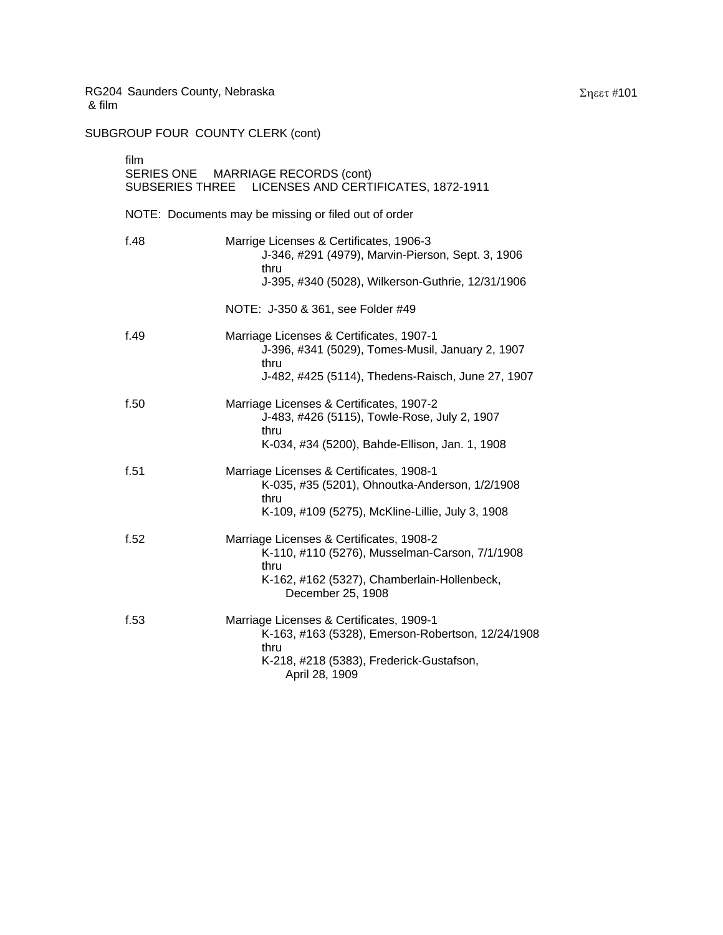SUBGROUP FOUR COUNTY CLERK (cont)

| film | SERIES ONE MARRIAGE RECORDS (cont)<br>LICENSES AND CERTIFICATES, 1872-1911<br><b>SUBSERIES THREE</b>                                                                   |
|------|------------------------------------------------------------------------------------------------------------------------------------------------------------------------|
|      | NOTE: Documents may be missing or filed out of order                                                                                                                   |
| f.48 | Marrige Licenses & Certificates, 1906-3<br>J-346, #291 (4979), Marvin-Pierson, Sept. 3, 1906<br>thru<br>J-395, #340 (5028), Wilkerson-Guthrie, 12/31/1906              |
|      | NOTE: J-350 & 361, see Folder #49                                                                                                                                      |
| f.49 | Marriage Licenses & Certificates, 1907-1<br>J-396, #341 (5029), Tomes-Musil, January 2, 1907<br>thru<br>J-482, #425 (5114), Thedens-Raisch, June 27, 1907              |
| f.50 | Marriage Licenses & Certificates, 1907-2<br>J-483, #426 (5115), Towle-Rose, July 2, 1907<br>thru<br>K-034, #34 (5200), Bahde-Ellison, Jan. 1, 1908                     |
| f.51 | Marriage Licenses & Certificates, 1908-1<br>K-035, #35 (5201), Ohnoutka-Anderson, 1/2/1908<br>thru<br>K-109, #109 (5275), McKline-Lillie, July 3, 1908                 |
| f.52 | Marriage Licenses & Certificates, 1908-2<br>K-110, #110 (5276), Musselman-Carson, 7/1/1908<br>thru<br>K-162, #162 (5327), Chamberlain-Hollenbeck,<br>December 25, 1908 |
| f.53 | Marriage Licenses & Certificates, 1909-1<br>K-163, #163 (5328), Emerson-Robertson, 12/24/1908<br>thru<br>K-218, #218 (5383), Frederick-Gustafson,<br>April 28, 1909    |

Σηεετ #101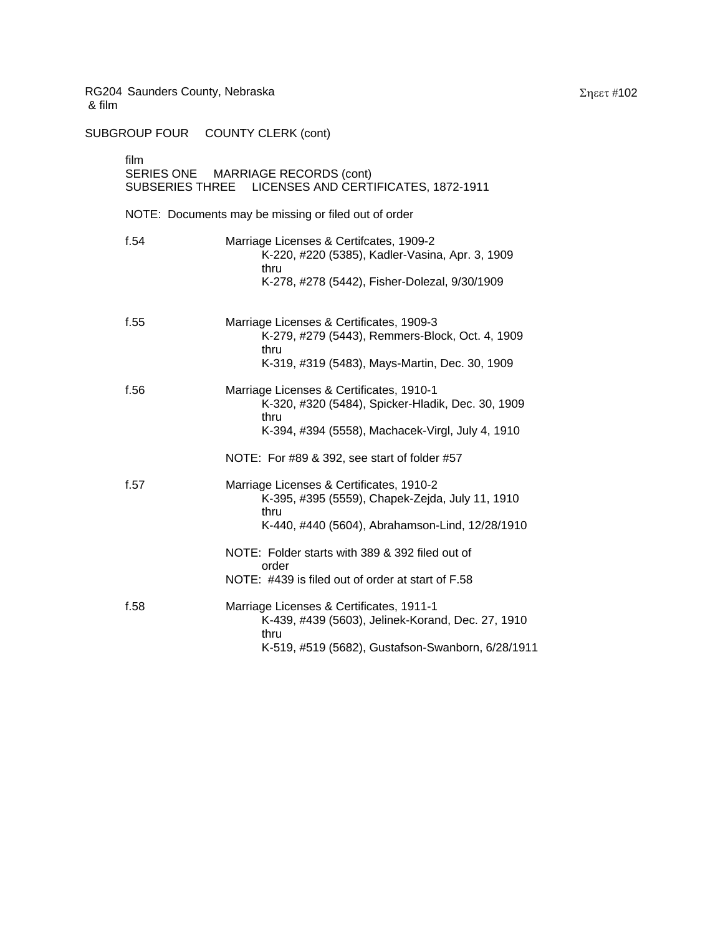| film | SERIES ONE MARRIAGE RECORDS (cont)<br>SUBSERIES THREE LICENSES AND CERTIFICATES, 1872-1911                                                                                                             |
|------|--------------------------------------------------------------------------------------------------------------------------------------------------------------------------------------------------------|
|      | NOTE: Documents may be missing or filed out of order                                                                                                                                                   |
| f.54 | Marriage Licenses & Certifcates, 1909-2<br>K-220, #220 (5385), Kadler-Vasina, Apr. 3, 1909<br>thru<br>K-278, #278 (5442), Fisher-Dolezal, 9/30/1909                                                    |
| f.55 | Marriage Licenses & Certificates, 1909-3<br>K-279, #279 (5443), Remmers-Block, Oct. 4, 1909<br>thru<br>K-319, #319 (5483), Mays-Martin, Dec. 30, 1909                                                  |
| f.56 | Marriage Licenses & Certificates, 1910-1<br>K-320, #320 (5484), Spicker-Hladik, Dec. 30, 1909<br>thru<br>K-394, #394 (5558), Machacek-Virgl, July 4, 1910                                              |
| f.57 | NOTE: For #89 & 392, see start of folder #57<br>Marriage Licenses & Certificates, 1910-2<br>K-395, #395 (5559), Chapek-Zejda, July 11, 1910<br>thru<br>K-440, #440 (5604), Abrahamson-Lind, 12/28/1910 |
|      | NOTE: Folder starts with 389 & 392 filed out of<br>order<br>NOTE: #439 is filed out of order at start of F.58                                                                                          |
| f.58 | Marriage Licenses & Certificates, 1911-1<br>K-439, #439 (5603), Jelinek-Korand, Dec. 27, 1910<br>thru<br>K-519, #519 (5682), Gustafson-Swanborn, 6/28/1911                                             |
|      |                                                                                                                                                                                                        |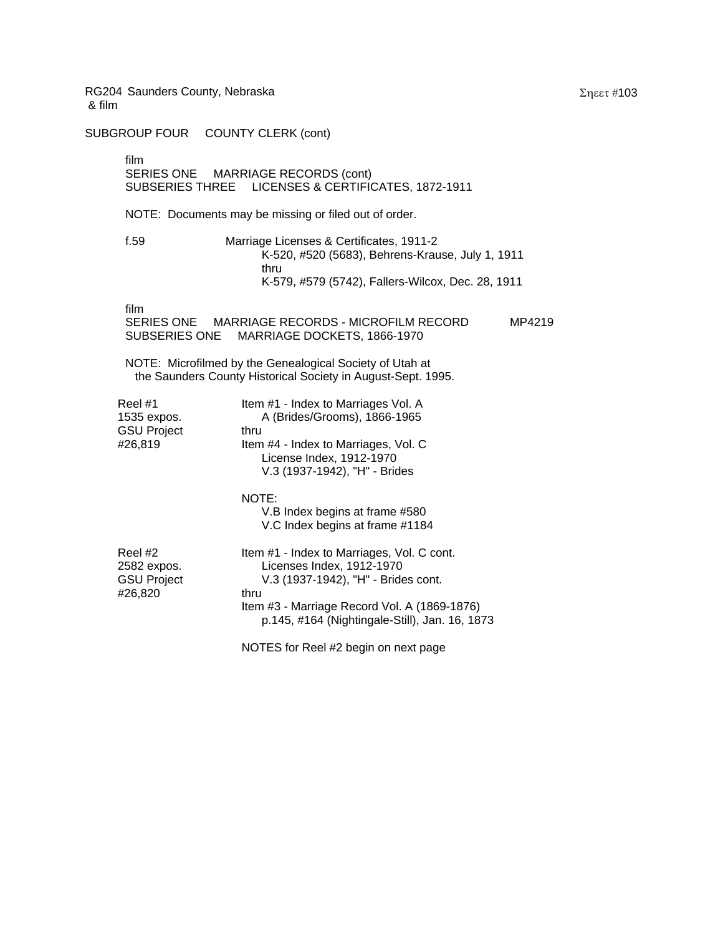SUBGROUP FOUR COUNTY CLERK (cont)

film

# SERIES ONE MARRIAGE RECORDS (cont) SUBSERIES THREE LICENSES & CERTIFICATES, 1872-1911

NOTE: Documents may be missing or filed out of order.

f.59 Marriage Licenses & Certificates, 1911-2 K-520, #520 (5683), Behrens-Krause, July 1, 1911 thru K-579, #579 (5742), Fallers-Wilcox, Dec. 28, 1911

|                                                         | K-579, #579 (5742), Fallers-Wilcox, Dec. 28, 1911                                                                                                                                                                        |        |
|---------------------------------------------------------|--------------------------------------------------------------------------------------------------------------------------------------------------------------------------------------------------------------------------|--------|
| film                                                    | SERIES ONE MARRIAGE RECORDS - MICROFILM RECORD<br>SUBSERIES ONE MARRIAGE DOCKETS, 1866-1970                                                                                                                              | MP4219 |
|                                                         | NOTE: Microfilmed by the Genealogical Society of Utah at<br>the Saunders County Historical Society in August-Sept. 1995.                                                                                                 |        |
| Reel #1<br>1535 expos.<br>GSU Project<br>#26,819        | Item #1 - Index to Marriages Vol. A<br>A (Brides/Grooms), 1866-1965<br>thru<br>Item #4 - Index to Marriages, Vol. C<br>License Index, 1912-1970<br>V.3 (1937-1942), "H" - Brides                                         |        |
|                                                         | NOTE:<br>V.B Index begins at frame #580<br>V.C Index begins at frame #1184                                                                                                                                               |        |
| Reel #2<br>2582 expos.<br><b>GSU Project</b><br>#26,820 | Item #1 - Index to Marriages, Vol. C cont.<br>Licenses Index, 1912-1970<br>V.3 (1937-1942), "H" - Brides cont.<br>thru<br>Item #3 - Marriage Record Vol. A (1869-1876)<br>p.145, #164 (Nightingale-Still), Jan. 16, 1873 |        |
|                                                         | NOTES for Reel #2 begin on next page                                                                                                                                                                                     |        |

Σηεετ #103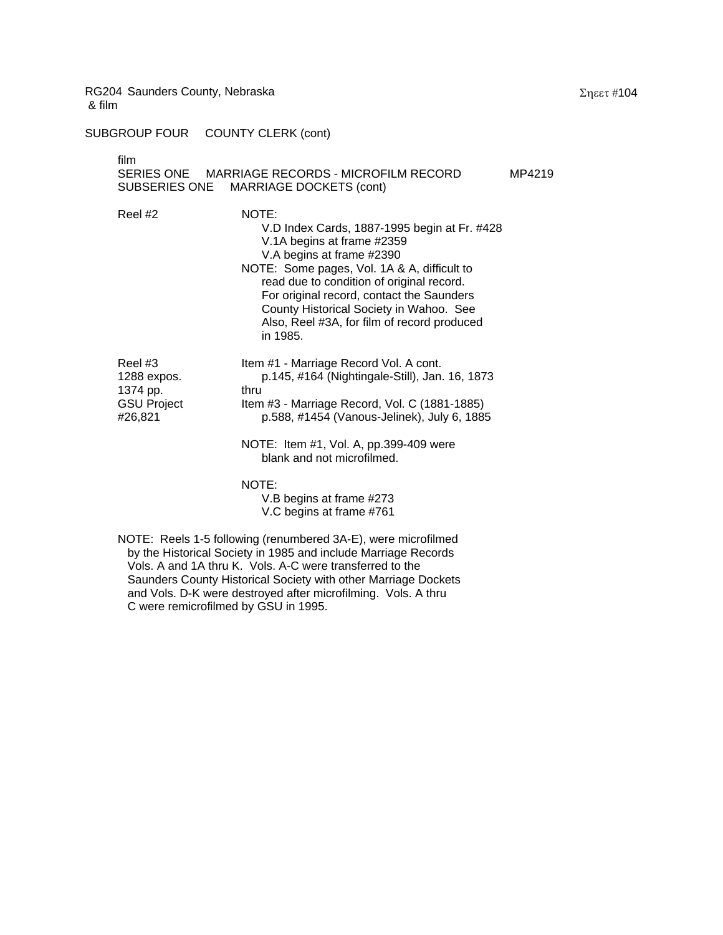SUBGROUP FOUR COUNTY CLERK (cont)

| film<br>SUBSERIES ONE                                                                                                                                                                                                                                        | SERIES ONE MARRIAGE RECORDS - MICROFILM RECORD<br>MARRIAGE DOCKETS (cont)                                                                                                                                                                                                                                                                                       | MP4219 |
|--------------------------------------------------------------------------------------------------------------------------------------------------------------------------------------------------------------------------------------------------------------|-----------------------------------------------------------------------------------------------------------------------------------------------------------------------------------------------------------------------------------------------------------------------------------------------------------------------------------------------------------------|--------|
| Reel #2                                                                                                                                                                                                                                                      | NOTE:<br>V.D Index Cards, 1887-1995 begin at Fr. #428<br>V.1A begins at frame #2359<br>V.A begins at frame #2390<br>NOTE: Some pages, Vol. 1A & A, difficult to<br>read due to condition of original record.<br>For original record, contact the Saunders<br>County Historical Society in Wahoo. See<br>Also, Reel #3A, for film of record produced<br>in 1985. |        |
| Reel #3<br>1288 expos.<br>1374 pp.<br><b>GSU Project</b><br>#26,821                                                                                                                                                                                          | Item #1 - Marriage Record Vol. A cont.<br>p.145, #164 (Nightingale-Still), Jan. 16, 1873<br>thru<br>Item #3 - Marriage Record, Vol. C (1881-1885)<br>p.588, #1454 (Vanous-Jelinek), July 6, 1885<br>NOTE: Item #1, Vol. A, pp.399-409 were<br>blank and not microfilmed.<br>NOTE:<br>V.B begins at frame #273<br>V.C begins at frame #761                       |        |
| NOTE: Reels 1-5 following (renumbered 3A-E), were microfilmed<br>$P_{\text{eff}}$ , $P_{\text{eff}}$ , $P_{\text{eff}}$ , $P_{\text{eff}}$ , $P_{\text{eff}}$ , $P_{\text{eff}}$ , $P_{\text{eff}}$ , $P_{\text{eff}}$ , $P_{\text{eff}}$ , $P_{\text{eff}}$ |                                                                                                                                                                                                                                                                                                                                                                 |        |

 by the Historical Society in 1985 and include Marriage Records Vols. A and 1A thru K. Vols. A-C were transferred to the Saunders County Historical Society with other Marriage Dockets and Vols. D-K were destroyed after microfilming. Vols. A thru C were remicrofilmed by GSU in 1995.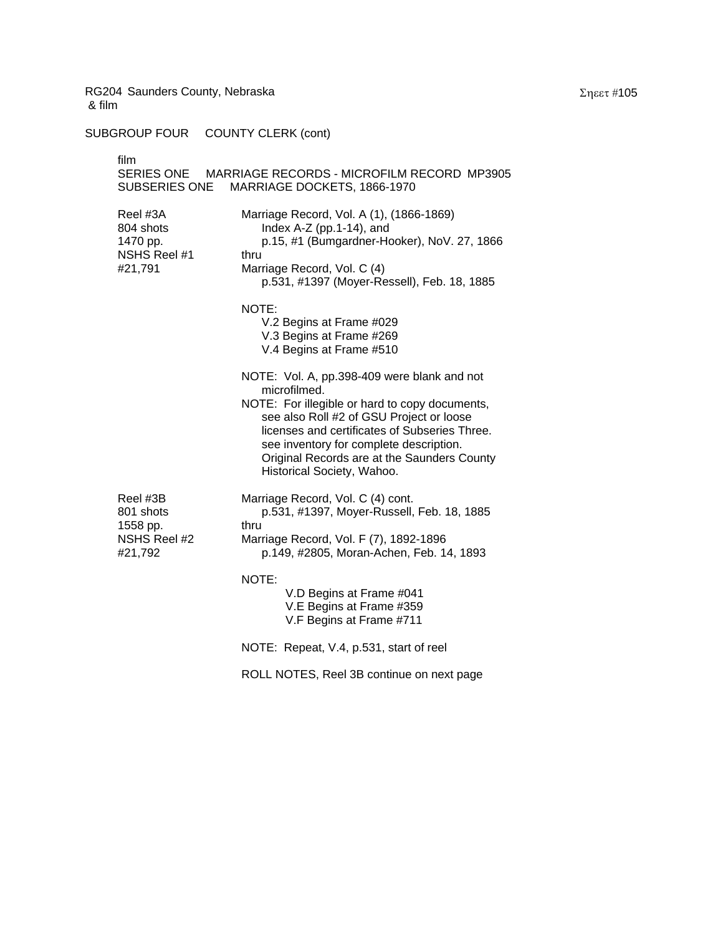| film<br>SUBSERIES ONE                                        | SERIES ONE MARRIAGE RECORDS - MICROFILM RECORD MP3905<br>MARRIAGE DOCKETS, 1866-1970                                                                                                                                                                                                                                               |
|--------------------------------------------------------------|------------------------------------------------------------------------------------------------------------------------------------------------------------------------------------------------------------------------------------------------------------------------------------------------------------------------------------|
| Reel #3A<br>804 shots<br>1470 pp.<br>NSHS Reel #1<br>#21,791 | Marriage Record, Vol. A (1), (1866-1869)<br>Index $A-Z$ (pp.1-14), and<br>p.15, #1 (Bumgardner-Hooker), NoV. 27, 1866<br>thru<br>Marriage Record, Vol. C (4)<br>p.531, #1397 (Moyer-Ressell), Feb. 18, 1885                                                                                                                        |
|                                                              | NOTE:<br>V.2 Begins at Frame #029<br>V.3 Begins at Frame #269<br>V.4 Begins at Frame #510                                                                                                                                                                                                                                          |
|                                                              | NOTE: Vol. A, pp.398-409 were blank and not<br>microfilmed.<br>NOTE: For illegible or hard to copy documents,<br>see also Roll #2 of GSU Project or loose<br>licenses and certificates of Subseries Three.<br>see inventory for complete description.<br>Original Records are at the Saunders County<br>Historical Society, Wahoo. |
| Reel #3B<br>801 shots<br>1558 pp.<br>NSHS Reel #2<br>#21,792 | Marriage Record, Vol. C (4) cont.<br>p.531, #1397, Moyer-Russell, Feb. 18, 1885<br>thru<br>Marriage Record, Vol. F (7), 1892-1896<br>p.149, #2805, Moran-Achen, Feb. 14, 1893                                                                                                                                                      |
|                                                              | NOTE:<br>V.D Begins at Frame #041<br>V.E Begins at Frame #359<br>V.F Begins at Frame #711                                                                                                                                                                                                                                          |
|                                                              | NOTE: Repeat, V.4, p.531, start of reel                                                                                                                                                                                                                                                                                            |
|                                                              | ROLL NOTES, Reel 3B continue on next page                                                                                                                                                                                                                                                                                          |
|                                                              |                                                                                                                                                                                                                                                                                                                                    |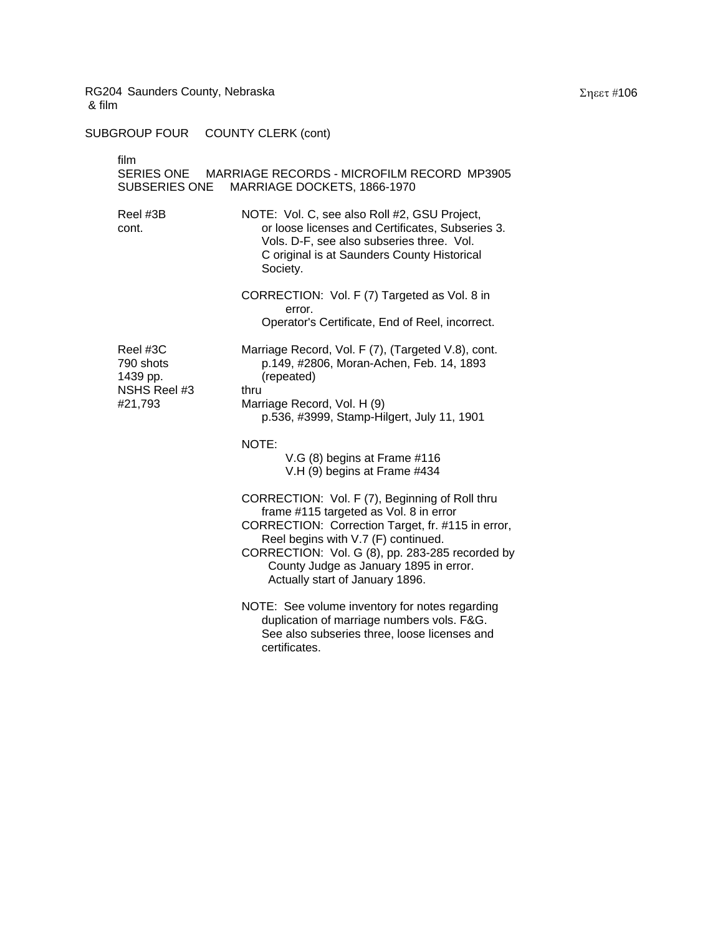| film<br>SUBSERIES ONE                                        | SERIES ONE MARRIAGE RECORDS - MICROFILM RECORD MP3905<br>MARRIAGE DOCKETS, 1866-1970                                                                                                                                                                                                                                 |
|--------------------------------------------------------------|----------------------------------------------------------------------------------------------------------------------------------------------------------------------------------------------------------------------------------------------------------------------------------------------------------------------|
| Reel #3B<br>cont.                                            | NOTE: Vol. C, see also Roll #2, GSU Project,<br>or loose licenses and Certificates, Subseries 3.<br>Vols. D-F, see also subseries three. Vol.<br>C original is at Saunders County Historical<br>Society.                                                                                                             |
|                                                              | CORRECTION: Vol. F (7) Targeted as Vol. 8 in<br>error.<br>Operator's Certificate, End of Reel, incorrect.                                                                                                                                                                                                            |
| Reel #3C<br>790 shots<br>1439 pp.<br>NSHS Reel #3<br>#21,793 | Marriage Record, Vol. F (7), (Targeted V.8), cont.<br>p.149, #2806, Moran-Achen, Feb. 14, 1893<br>(repeated)<br>thru<br>Marriage Record, Vol. H (9)<br>p.536, #3999, Stamp-Hilgert, July 11, 1901                                                                                                                    |
|                                                              | NOTE:<br>V.G (8) begins at Frame #116<br>V.H (9) begins at Frame #434                                                                                                                                                                                                                                                |
|                                                              | CORRECTION: Vol. F (7), Beginning of Roll thru<br>frame #115 targeted as Vol. 8 in error<br>CORRECTION: Correction Target, fr. #115 in error,<br>Reel begins with V.7 (F) continued.<br>CORRECTION: Vol. G (8), pp. 283-285 recorded by<br>County Judge as January 1895 in error.<br>Actually start of January 1896. |
|                                                              | NOTE: See volume inventory for notes regarding<br>duplication of marriage numbers vols. F&G.<br>See also subseries three, loose licenses and<br>certificates.                                                                                                                                                        |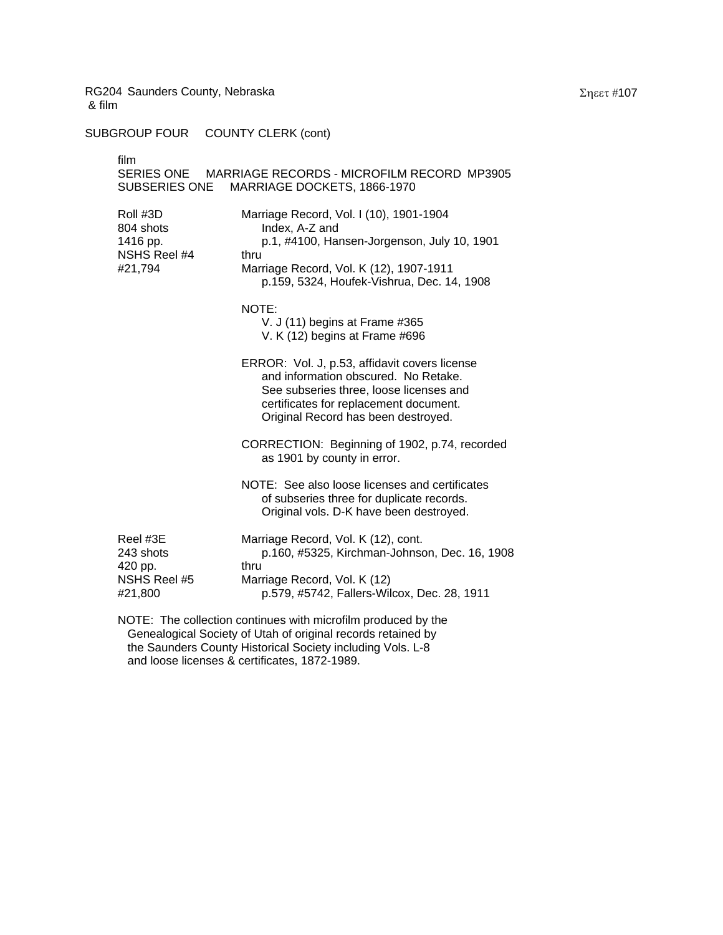SUBGROUP FOUR COUNTY CLERK (cont)

| film<br>SUBSERIES ONE                                                                                                         | SERIES ONE MARRIAGE RECORDS - MICROFILM RECORD MP3905<br>MARRIAGE DOCKETS, 1866-1970                                                                                                                              |
|-------------------------------------------------------------------------------------------------------------------------------|-------------------------------------------------------------------------------------------------------------------------------------------------------------------------------------------------------------------|
| Roll #3D<br>804 shots<br>1416 pp.<br>NSHS Reel #4<br>#21,794                                                                  | Marriage Record, Vol. I (10), 1901-1904<br>Index, A-Z and<br>p.1, #4100, Hansen-Jorgenson, July 10, 1901<br>thru<br>Marriage Record, Vol. K (12), 1907-1911<br>p.159, 5324, Houfek-Vishrua, Dec. 14, 1908         |
|                                                                                                                               | NOTE:<br>V. J (11) begins at Frame #365<br>V. K (12) begins at Frame #696                                                                                                                                         |
|                                                                                                                               | ERROR: Vol. J, p.53, affidavit covers license<br>and information obscured. No Retake.<br>See subseries three, loose licenses and<br>certificates for replacement document.<br>Original Record has been destroyed. |
|                                                                                                                               | CORRECTION: Beginning of 1902, p.74, recorded<br>as 1901 by county in error.                                                                                                                                      |
|                                                                                                                               | NOTE: See also loose licenses and certificates<br>of subseries three for duplicate records.<br>Original vols. D-K have been destroyed.                                                                            |
| Reel #3E<br>243 shots<br>420 pp.<br>NSHS Reel #5<br>#21,800                                                                   | Marriage Record, Vol. K (12), cont.<br>p.160, #5325, Kirchman-Johnson, Dec. 16, 1908<br>thru<br>Marriage Record, Vol. K (12)<br>p.579, #5742, Fallers-Wilcox, Dec. 28, 1911                                       |
| NOTE: The collection continues with microfilm produced by the<br>Genealogical Society of Utah of original records retained by |                                                                                                                                                                                                                   |

 the Saunders County Historical Society including Vols. L-8 and loose licenses & certificates, 1872-1989.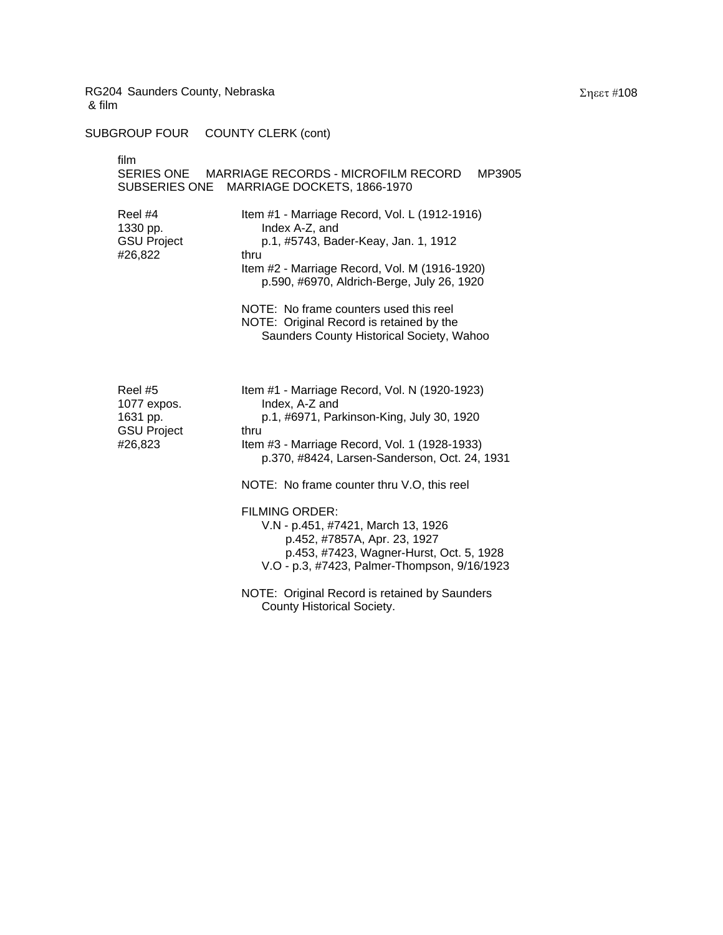SUBGROUP FOUR COUNTY CLERK (cont)

| film<br>SUBSERIES ONE                                                                                                                                                                                                                                                                                                                                                                                     | SERIES ONE MARRIAGE RECORDS - MICROFILM RECORD<br>MP3905<br>MARRIAGE DOCKETS, 1866-1970                                                                                                                                                                                                                                                                                                                                                                                                                          |
|-----------------------------------------------------------------------------------------------------------------------------------------------------------------------------------------------------------------------------------------------------------------------------------------------------------------------------------------------------------------------------------------------------------|------------------------------------------------------------------------------------------------------------------------------------------------------------------------------------------------------------------------------------------------------------------------------------------------------------------------------------------------------------------------------------------------------------------------------------------------------------------------------------------------------------------|
| Item #1 - Marriage Record, Vol. L (1912-1916)<br>Reel #4<br>1330 pp.<br>Index A-Z, and<br><b>GSU Project</b><br>p.1, #5743, Bader-Keay, Jan. 1, 1912<br>#26,822<br>thru<br>Item #2 - Marriage Record, Vol. M (1916-1920)<br>p.590, #6970, Aldrich-Berge, July 26, 1920<br>NOTE: No frame counters used this reel<br>NOTE: Original Record is retained by the<br>Saunders County Historical Society, Wahoo |                                                                                                                                                                                                                                                                                                                                                                                                                                                                                                                  |
| Reel #5<br>1077 expos.<br>1631 pp.<br><b>GSU Project</b><br>#26,823                                                                                                                                                                                                                                                                                                                                       | Item #1 - Marriage Record, Vol. N (1920-1923)<br>Index, A-Z and<br>p.1, #6971, Parkinson-King, July 30, 1920<br>thru<br>Item #3 - Marriage Record, Vol. 1 (1928-1933)<br>p.370, #8424, Larsen-Sanderson, Oct. 24, 1931<br>NOTE: No frame counter thru V.O, this reel<br><b>FILMING ORDER:</b><br>V.N - p.451, #7421, March 13, 1926<br>p.452, #7857A, Apr. 23, 1927<br>p.453, #7423, Wagner-Hurst, Oct. 5, 1928<br>V.O - p.3, #7423, Palmer-Thompson, 9/16/1923<br>NOTE: Original Record is retained by Saunders |
|                                                                                                                                                                                                                                                                                                                                                                                                           | County Historical Society.                                                                                                                                                                                                                                                                                                                                                                                                                                                                                       |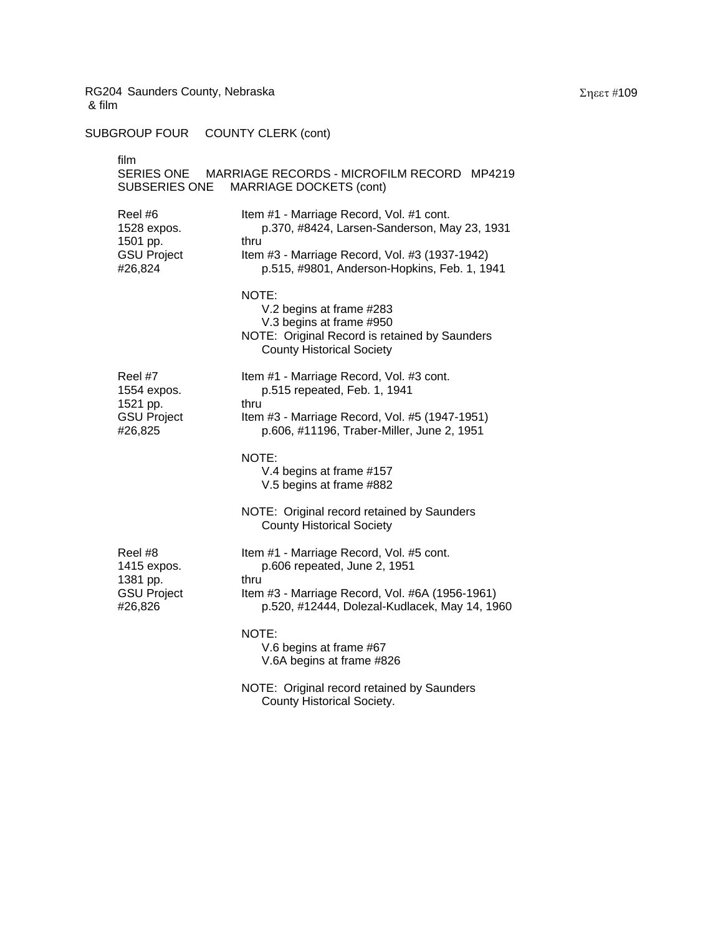SUBGROUP FOUR COUNTY CLERK (cont)

| film<br>SERIES ONE<br>MARRIAGE RECORDS - MICROFILM RECORD MP4219<br>SUBSERIES ONE<br><b>MARRIAGE DOCKETS (cont)</b>                                                                                                                                                       |                                                                                                                                                    |  |
|---------------------------------------------------------------------------------------------------------------------------------------------------------------------------------------------------------------------------------------------------------------------------|----------------------------------------------------------------------------------------------------------------------------------------------------|--|
| Reel #6<br>Item #1 - Marriage Record, Vol. #1 cont.<br>p.370, #8424, Larsen-Sanderson, May 23, 1931<br>1528 expos.<br>1501 pp.<br>thru<br><b>GSU Project</b><br>Item #3 - Marriage Record, Vol. #3 (1937-1942)<br>#26,824<br>p.515, #9801, Anderson-Hopkins, Feb. 1, 1941 |                                                                                                                                                    |  |
|                                                                                                                                                                                                                                                                           | NOTE:<br>V.2 begins at frame #283<br>V.3 begins at frame #950<br>NOTE: Original Record is retained by Saunders<br><b>County Historical Society</b> |  |
| Reel #7<br>1554 expos.<br>1521 pp.                                                                                                                                                                                                                                        | Item #1 - Marriage Record, Vol. #3 cont.<br>p.515 repeated, Feb. 1, 1941<br>thru                                                                   |  |
| <b>GSU Project</b><br>#26,825                                                                                                                                                                                                                                             | Item #3 - Marriage Record, Vol. #5 (1947-1951)<br>p.606, #11196, Traber-Miller, June 2, 1951                                                       |  |
|                                                                                                                                                                                                                                                                           | NOTE:<br>V.4 begins at frame #157<br>V.5 begins at frame #882                                                                                      |  |
|                                                                                                                                                                                                                                                                           | NOTE: Original record retained by Saunders<br><b>County Historical Society</b>                                                                     |  |
| Reel #8<br>1415 expos.                                                                                                                                                                                                                                                    | Item #1 - Marriage Record, Vol. #5 cont.<br>p.606 repeated, June 2, 1951<br>thru                                                                   |  |
| 1381 pp.<br><b>GSU Project</b><br>#26,826                                                                                                                                                                                                                                 | Item #3 - Marriage Record, Vol. #6A (1956-1961)<br>p.520, #12444, Dolezal-Kudlacek, May 14, 1960                                                   |  |
|                                                                                                                                                                                                                                                                           | NOTE:<br>V.6 begins at frame #67<br>V.6A begins at frame #826                                                                                      |  |
|                                                                                                                                                                                                                                                                           | NOTE: Original record retained by Saunders<br>County Historical Society.                                                                           |  |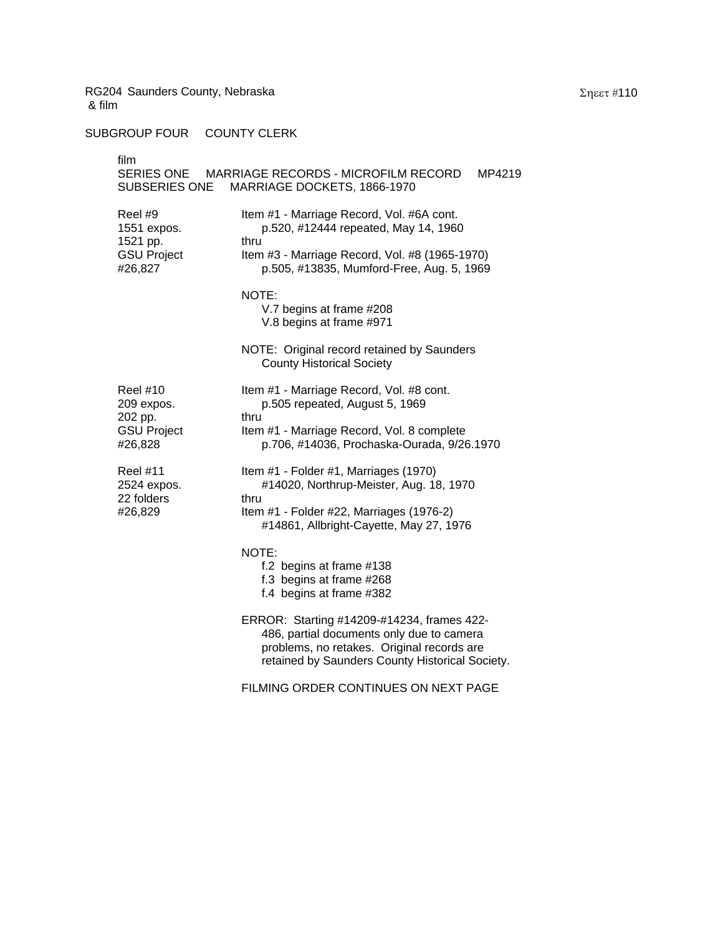SUBGROUP FOUR COUNTY CLERK

| film                                                                      | SERIES ONE MARRIAGE RECORDS - MICROFILM RECORD<br>MP4219                                                                                                                                 |
|---------------------------------------------------------------------------|------------------------------------------------------------------------------------------------------------------------------------------------------------------------------------------|
| SUBSERIES ONE                                                             | MARRIAGE DOCKETS, 1866-1970                                                                                                                                                              |
| Reel #9<br>1551 expos.<br>1521 pp.<br><b>GSU Project</b><br>#26,827       | Item #1 - Marriage Record, Vol. #6A cont.<br>p.520, #12444 repeated, May 14, 1960<br>thru<br>Item #3 - Marriage Record, Vol. #8 (1965-1970)<br>p.505, #13835, Mumford-Free, Aug. 5, 1969 |
|                                                                           | NOTE:<br>V.7 begins at frame #208<br>V.8 begins at frame #971                                                                                                                            |
|                                                                           | NOTE: Original record retained by Saunders<br><b>County Historical Society</b>                                                                                                           |
| <b>Reel #10</b><br>209 expos.<br>202 pp.<br><b>GSU Project</b><br>#26,828 | Item #1 - Marriage Record, Vol. #8 cont.<br>p.505 repeated, August 5, 1969<br>thru<br>Item #1 - Marriage Record, Vol. 8 complete<br>p.706, #14036, Prochaska-Ourada, 9/26.1970           |
| <b>Reel #11</b><br>2524 expos.<br>22 folders<br>#26,829                   | Item #1 - Folder #1, Marriages (1970)<br>#14020, Northrup-Meister, Aug. 18, 1970<br>thru<br>Item #1 - Folder #22, Marriages (1976-2)<br>#14861, Allbright-Cayette, May 27, 1976          |
|                                                                           | NOTE:<br>f.2 begins at frame #138<br>f.3 begins at frame #268<br>f.4 begins at frame #382                                                                                                |
|                                                                           | ERROR: Starting #14209-#14234, frames 422-<br>486, partial documents only due to camera<br>problems, no retakes. Original records are<br>retained by Saunders County Historical Society. |
|                                                                           | FILMING ORDER CONTINUES ON NEXT PAGE                                                                                                                                                     |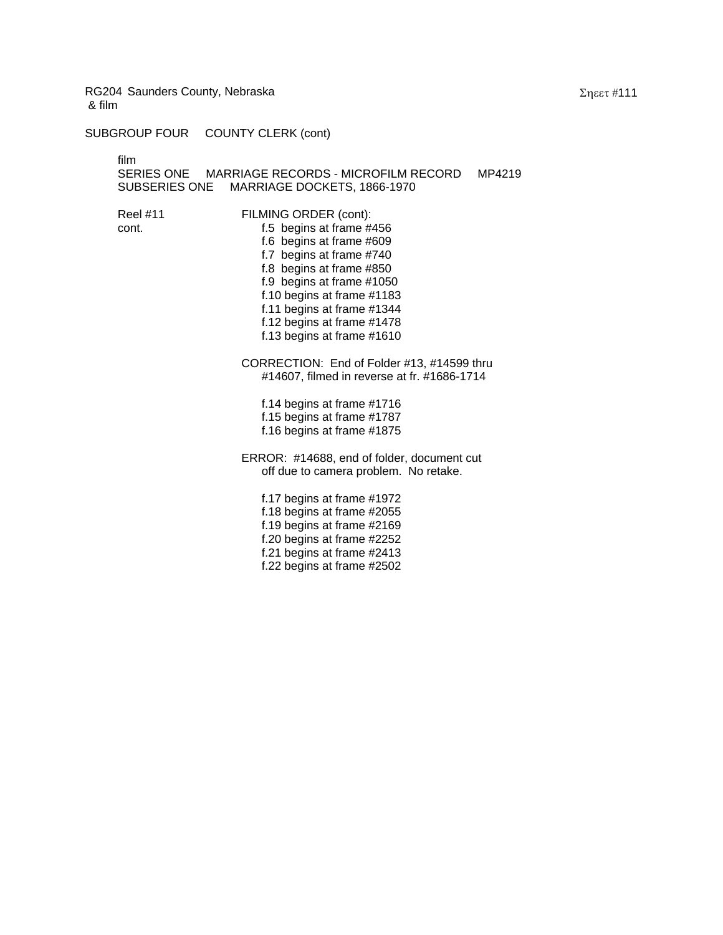SUBGROUP FOUR COUNTY CLERK (cont)

film

SERIES ONE MARRIAGE RECORDS - MICROFILM RECORD MP4219 SUBSERIES ONE MARRIAGE DOCKETS, 1866-1970

Reel #11 FILMING ORDER (cont): cont. **f.5** begins at frame #456 f.6 begins at frame #609 f.7 begins at frame #740 f.8 begins at frame #850 f.9 begins at frame #1050 f.10 begins at frame #1183 f.11 begins at frame #1344 f.12 begins at frame #1478 f.13 begins at frame #1610

> CORRECTION: End of Folder #13, #14599 thru #14607, filmed in reverse at fr. #1686-1714

f.14 begins at frame #1716 f.15 begins at frame #1787 f.16 begins at frame #1875

ERROR: #14688, end of folder, document cut off due to camera problem. No retake.

f.17 begins at frame #1972 f.18 begins at frame #2055 f.19 begins at frame #2169 f.20 begins at frame #2252 f.21 begins at frame #2413 f.22 begins at frame #2502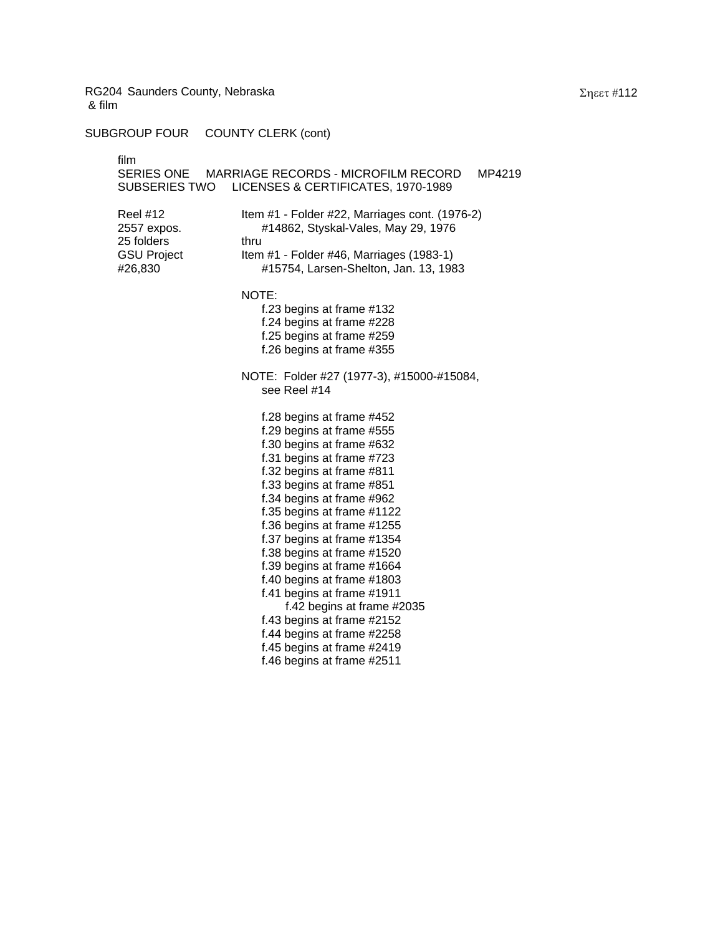SUBGROUP FOUR COUNTY CLERK (cont)

| film<br>SERIES ONE<br>SUBSERIES TWO                                           | <b>MARRIAGE RECORDS - MICROFILM RECORD</b><br>MP4219<br>LICENSES & CERTIFICATES, 1970-1989                                                                                                                                                                                                                                                                                                                                                                                                                                                                                      |
|-------------------------------------------------------------------------------|---------------------------------------------------------------------------------------------------------------------------------------------------------------------------------------------------------------------------------------------------------------------------------------------------------------------------------------------------------------------------------------------------------------------------------------------------------------------------------------------------------------------------------------------------------------------------------|
| <b>Reel #12</b><br>2557 expos.<br>25 folders<br><b>GSU Project</b><br>#26,830 | Item #1 - Folder #22, Marriages cont. (1976-2)<br>#14862, Styskal-Vales, May 29, 1976<br>thru<br>Item #1 - Folder #46, Marriages (1983-1)<br>#15754, Larsen-Shelton, Jan. 13, 1983                                                                                                                                                                                                                                                                                                                                                                                              |
|                                                                               | NOTE:<br>f.23 begins at frame #132<br>f.24 begins at frame #228<br>f.25 begins at frame #259<br>f.26 begins at frame #355                                                                                                                                                                                                                                                                                                                                                                                                                                                       |
|                                                                               | NOTE: Folder #27 (1977-3), #15000-#15084,<br>see Reel #14                                                                                                                                                                                                                                                                                                                                                                                                                                                                                                                       |
|                                                                               | f.28 begins at frame #452<br>f.29 begins at frame #555<br>f.30 begins at frame #632<br>f.31 begins at frame #723<br>f.32 begins at frame #811<br>f.33 begins at frame #851<br>f.34 begins at frame #962<br>f.35 begins at frame #1122<br>f.36 begins at frame #1255<br>f.37 begins at frame #1354<br>f.38 begins at frame #1520<br>f.39 begins at frame #1664<br>f.40 begins at frame #1803<br>f.41 begins at frame #1911<br>f.42 begins at frame #2035<br>f.43 begins at frame #2152<br>f.44 begins at frame #2258<br>f.45 begins at frame #2419<br>f.46 begins at frame #2511 |
|                                                                               |                                                                                                                                                                                                                                                                                                                                                                                                                                                                                                                                                                                 |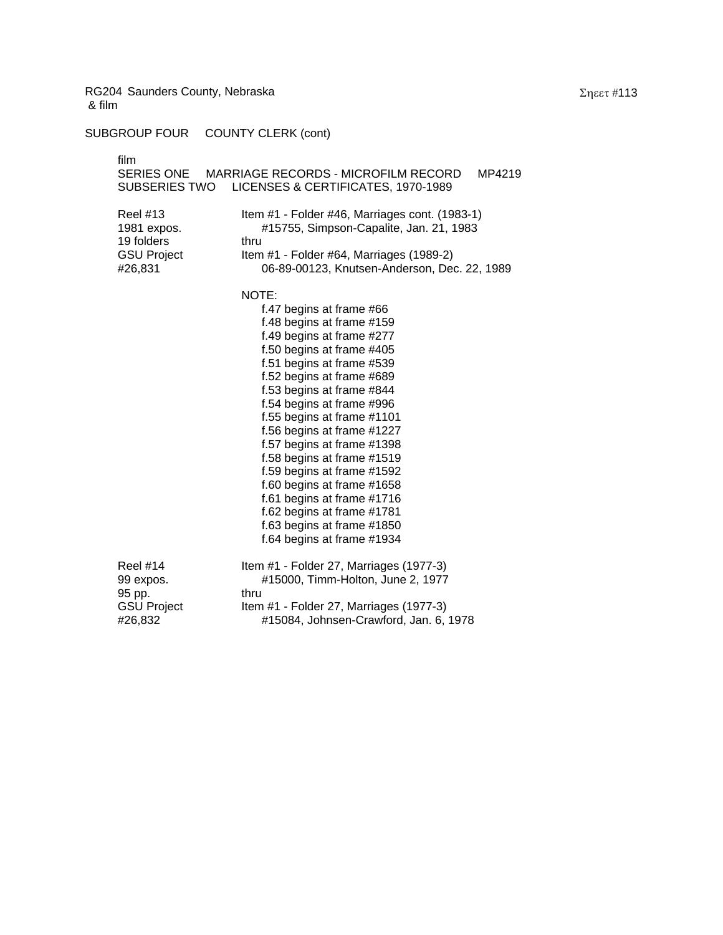SUBGROUP FOUR COUNTY CLERK (cont)

|                                                                                       | film<br><b>SUBSERIES TWO</b>                                            | SERIES ONE MARRIAGE RECORDS - MICROFILM RECORD<br>MP4219<br>LICENSES & CERTIFICATES, 1970-1989                                                                                                                                                                                                                                                                                                                                                                                                                                                           |
|---------------------------------------------------------------------------------------|-------------------------------------------------------------------------|----------------------------------------------------------------------------------------------------------------------------------------------------------------------------------------------------------------------------------------------------------------------------------------------------------------------------------------------------------------------------------------------------------------------------------------------------------------------------------------------------------------------------------------------------------|
| <b>Reel #13</b><br>1981 expos.<br>19 folders<br>thru<br><b>GSU Project</b><br>#26,831 |                                                                         | Item #1 - Folder #46, Marriages cont. (1983-1)<br>#15755, Simpson-Capalite, Jan. 21, 1983<br>Item #1 - Folder #64, Marriages (1989-2)<br>06-89-00123, Knutsen-Anderson, Dec. 22, 1989                                                                                                                                                                                                                                                                                                                                                                    |
|                                                                                       |                                                                         | NOTE:<br>f.47 begins at frame #66<br>f.48 begins at frame #159<br>f.49 begins at frame #277<br>f.50 begins at frame #405<br>f.51 begins at frame #539<br>f.52 begins at frame #689<br>f.53 begins at frame #844<br>f.54 begins at frame #996<br>f.55 begins at frame #1101<br>f.56 begins at frame #1227<br>f.57 begins at frame #1398<br>f.58 begins at frame #1519<br>f.59 begins at frame #1592<br>f.60 begins at frame #1658<br>f.61 begins at frame #1716<br>f.62 begins at frame #1781<br>f.63 begins at frame #1850<br>f.64 begins at frame #1934 |
|                                                                                       | <b>Reel #14</b><br>99 expos.<br>95 pp.<br><b>GSU Project</b><br>#26,832 | Item #1 - Folder 27, Marriages (1977-3)<br>#15000, Timm-Holton, June 2, 1977<br>thru<br>Item #1 - Folder 27, Marriages (1977-3)<br>#15084, Johnsen-Crawford, Jan. 6, 1978                                                                                                                                                                                                                                                                                                                                                                                |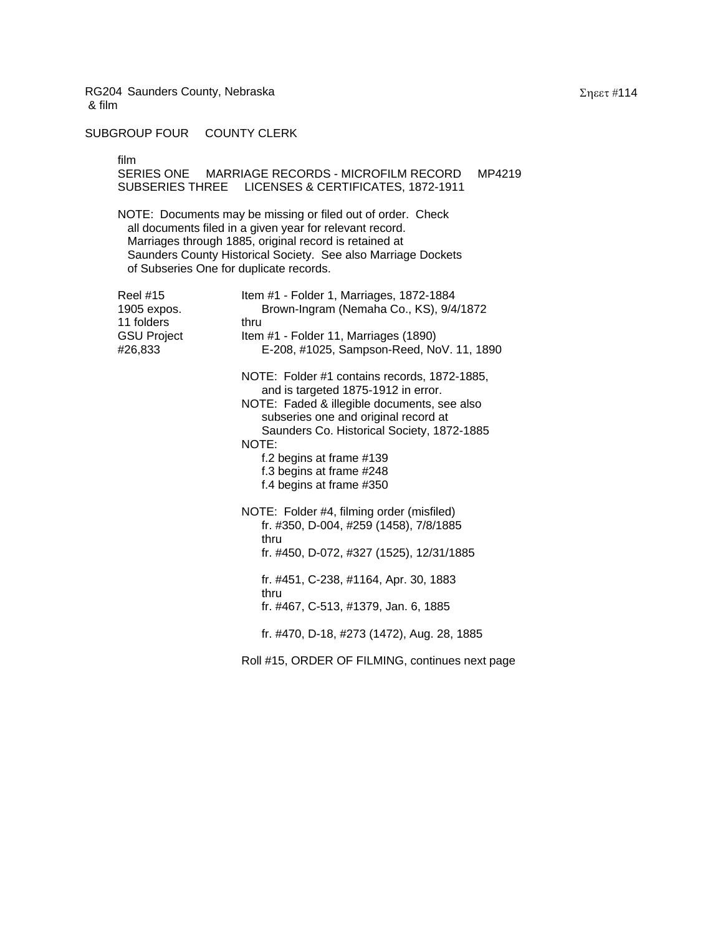## SUBGROUP FOUR COUNTY CLERK

film

SERIES ONE MARRIAGE RECORDS - MICROFILM RECORD MP4219 SUBSERIES THREE LICENSES & CERTIFICATES, 1872-1911

NOTE: Documents may be missing or filed out of order. Check all documents filed in a given year for relevant record. Marriages through 1885, original record is retained at Saunders County Historical Society. See also Marriage Dockets of Subseries One for duplicate records.

| Reel #15<br>1905 expos.<br>11 folders<br>GSU Project<br>#26,833 | Item #1 - Folder 1, Marriages, 1872-1884<br>Brown-Ingram (Nemaha Co., KS), 9/4/1872<br>thru<br>Item #1 - Folder 11, Marriages (1890)<br>E-208, #1025, Sampson-Reed, NoV. 11, 1890                                                                                                                                     |
|-----------------------------------------------------------------|-----------------------------------------------------------------------------------------------------------------------------------------------------------------------------------------------------------------------------------------------------------------------------------------------------------------------|
|                                                                 | NOTE: Folder #1 contains records, 1872-1885,<br>and is targeted 1875-1912 in error.<br>NOTE: Faded & illegible documents, see also<br>subseries one and original record at<br>Saunders Co. Historical Society, 1872-1885<br>NOTE:<br>f.2 begins at frame #139<br>f.3 begins at frame #248<br>f.4 begins at frame #350 |
|                                                                 | NOTE: Folder #4, filming order (misfiled)<br>fr. #350, D-004, #259 (1458), 7/8/1885<br>thru<br>fr. #450, D-072, #327 (1525), 12/31/1885<br>fr. #451, C-238, #1164, Apr. 30, 1883<br>thru<br>fr. #467, C-513, #1379, Jan. 6, 1885                                                                                      |
|                                                                 | fr. #470, D-18, #273 (1472), Aug. 28, 1885                                                                                                                                                                                                                                                                            |
|                                                                 | Roll #15, ORDER OF FILMING, continues next page                                                                                                                                                                                                                                                                       |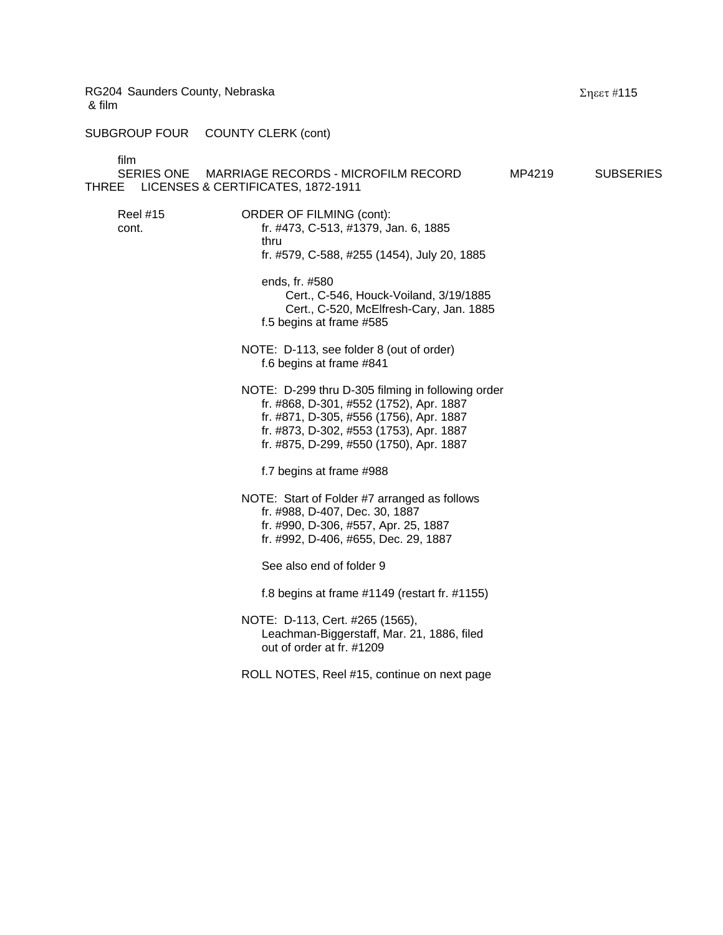SUBGROUP FOUR COUNTY CLERK (cont)

film

SERIES ONE MARRIAGE RECORDS - MICROFILM RECORD MP4219 SUBSERIES THREE LICENSES & CERTIFICATES, 1872-1911 Reel #15 **ORDER OF FILMING (cont):** cont. fr. #473, C-513, #1379, Jan. 6, 1885 thru fr. #579, C-588, #255 (1454), July 20, 1885 ends, fr. #580 Cert., C-546, Houck-Voiland, 3/19/1885 Cert., C-520, McElfresh-Cary, Jan. 1885 f.5 begins at frame #585 NOTE: D-113, see folder 8 (out of order) f.6 begins at frame #841 NOTE: D-299 thru D-305 filming in following order fr. #868, D-301, #552 (1752), Apr. 1887 fr. #871, D-305, #556 (1756), Apr. 1887 fr. #873, D-302, #553 (1753), Apr. 1887 fr. #875, D-299, #550 (1750), Apr. 1887 f.7 begins at frame #988 NOTE: Start of Folder #7 arranged as follows fr. #988, D-407, Dec. 30, 1887 fr. #990, D-306, #557, Apr. 25, 1887 fr. #992, D-406, #655, Dec. 29, 1887 See also end of folder 9 f.8 begins at frame #1149 (restart fr. #1155) NOTE: D-113, Cert. #265 (1565), Leachman-Biggerstaff, Mar. 21, 1886, filed out of order at fr. #1209 ROLL NOTES, Reel #15, continue on next page

Σηεετ #115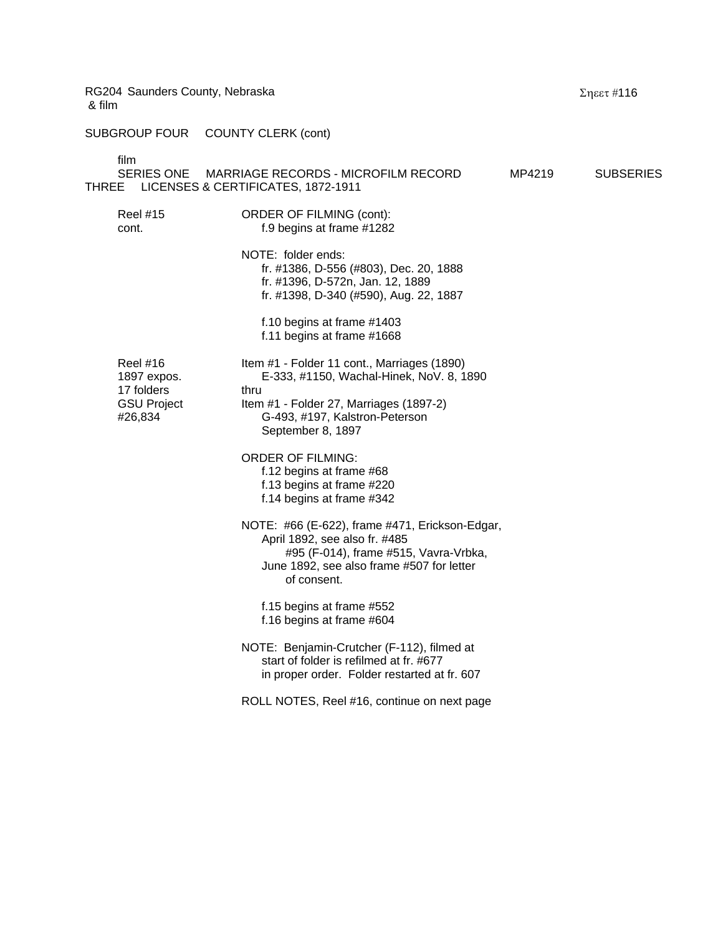SUBGROUP FOUR COUNTY CLERK (cont)

film

| <b>THREE</b> | шш<br><b>SERIES ONE</b>                                                       | MARRIAGE RECORDS - MICROFILM RECORD<br>LICENSES & CERTIFICATES, 1872-1911                                                                                                                         | MP4219 | <b>SUBSERIES</b> |
|--------------|-------------------------------------------------------------------------------|---------------------------------------------------------------------------------------------------------------------------------------------------------------------------------------------------|--------|------------------|
|              | <b>Reel #15</b><br>cont.                                                      | <b>ORDER OF FILMING (cont):</b><br>f.9 begins at frame #1282                                                                                                                                      |        |                  |
|              |                                                                               | NOTE: folder ends:<br>fr. #1386, D-556 (#803), Dec. 20, 1888<br>fr. #1396, D-572n, Jan. 12, 1889<br>fr. #1398, D-340 (#590), Aug. 22, 1887                                                        |        |                  |
|              |                                                                               | f.10 begins at frame #1403<br>f.11 begins at frame #1668                                                                                                                                          |        |                  |
|              | <b>Reel #16</b><br>1897 expos.<br>17 folders<br><b>GSU Project</b><br>#26,834 | Item #1 - Folder 11 cont., Marriages (1890)<br>E-333, #1150, Wachal-Hinek, NoV. 8, 1890<br>thru<br>Item #1 - Folder 27, Marriages (1897-2)<br>G-493, #197, Kalstron-Peterson<br>September 8, 1897 |        |                  |
|              |                                                                               | <b>ORDER OF FILMING:</b><br>f.12 begins at frame #68<br>f.13 begins at frame #220<br>f.14 begins at frame #342                                                                                    |        |                  |
|              |                                                                               | NOTE: #66 (E-622), frame #471, Erickson-Edgar,<br>April 1892, see also fr. #485<br>#95 (F-014), frame #515, Vavra-Vrbka,<br>June 1892, see also frame #507 for letter<br>of consent.              |        |                  |
|              |                                                                               | f.15 begins at frame #552<br>f.16 begins at frame #604                                                                                                                                            |        |                  |
|              |                                                                               | NOTE: Benjamin-Crutcher (F-112), filmed at<br>start of folder is refilmed at fr. #677<br>in proper order. Folder restarted at fr. 607                                                             |        |                  |
|              |                                                                               | ROLL NOTES, Reel #16, continue on next page                                                                                                                                                       |        |                  |

Σηεετ #116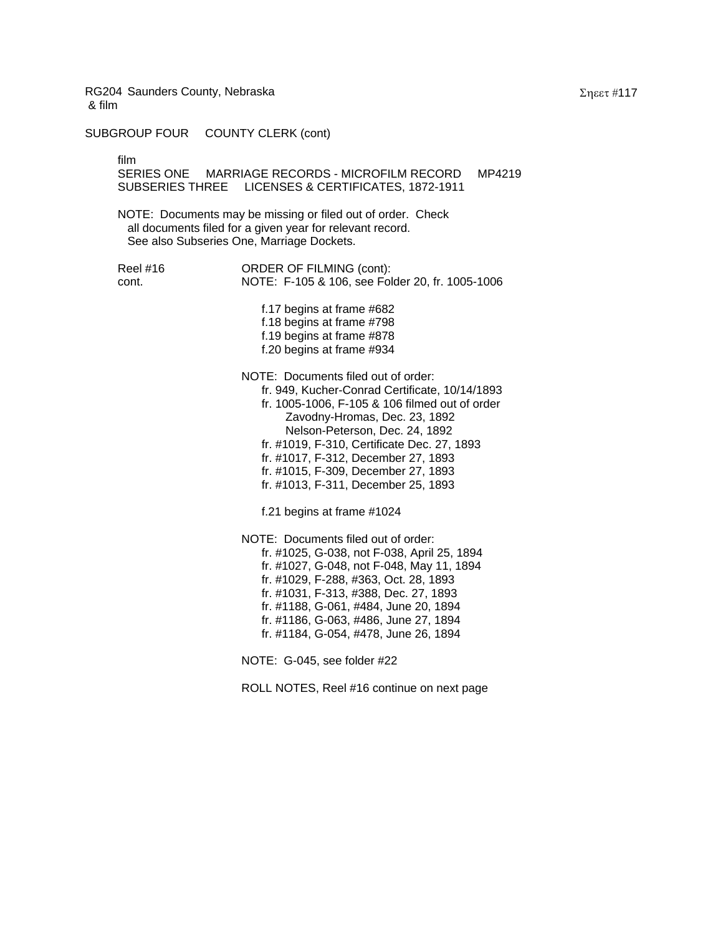SUBGROUP FOUR COUNTY CLERK (cont)

film

SERIES ONE MARRIAGE RECORDS - MICROFILM RECORD MP4219 SUBSERIES THREE LICENSES & CERTIFICATES, 1872-1911

NOTE: Documents may be missing or filed out of order. Check all documents filed for a given year for relevant record. See also Subseries One, Marriage Dockets.

Reel #16 **ORDER OF FILMING (cont):** cont. NOTE: F-105 & 106, see Folder 20, fr. 1005-1006

> f.17 begins at frame #682 f.18 begins at frame #798 f.19 begins at frame #878 f.20 begins at frame #934

NOTE: Documents filed out of order: fr. 949, Kucher-Conrad Certificate, 10/14/1893 fr. 1005-1006, F-105 & 106 filmed out of order Zavodny-Hromas, Dec. 23, 1892 Nelson-Peterson, Dec. 24, 1892 fr. #1019, F-310, Certificate Dec. 27, 1893 fr. #1017, F-312, December 27, 1893 fr. #1015, F-309, December 27, 1893 fr. #1013, F-311, December 25, 1893

f.21 begins at frame #1024

NOTE: Documents filed out of order: fr. #1025, G-038, not F-038, April 25, 1894 fr. #1027, G-048, not F-048, May 11, 1894 fr. #1029, F-288, #363, Oct. 28, 1893 fr. #1031, F-313, #388, Dec. 27, 1893 fr. #1188, G-061, #484, June 20, 1894 fr. #1186, G-063, #486, June 27, 1894 fr. #1184, G-054, #478, June 26, 1894

NOTE: G-045, see folder #22

ROLL NOTES, Reel #16 continue on next page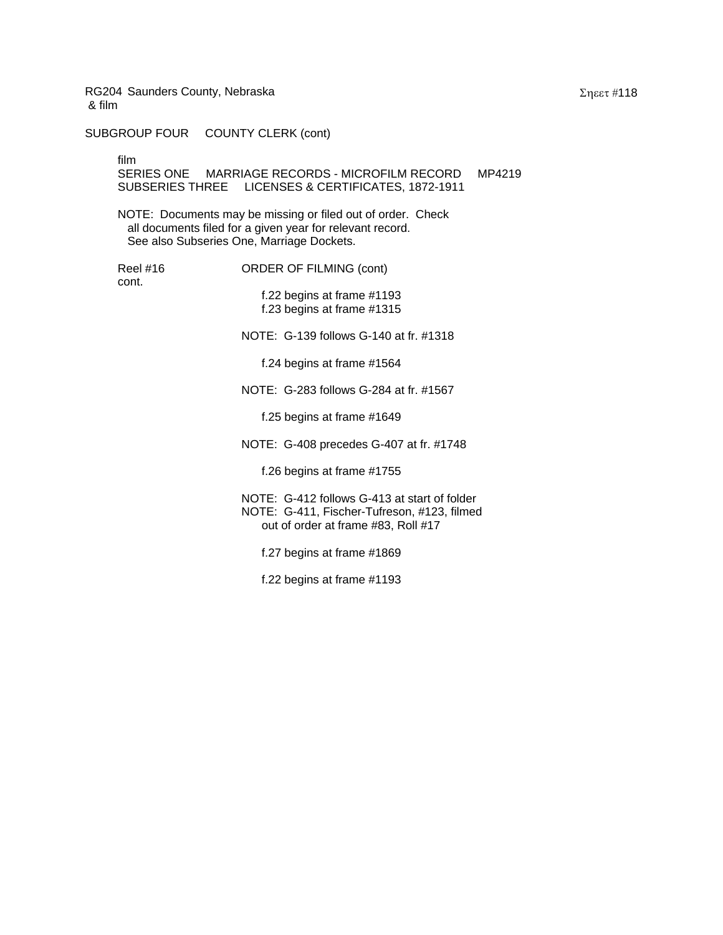SUBGROUP FOUR COUNTY CLERK (cont)

film

SERIES ONE MARRIAGE RECORDS - MICROFILM RECORD MP4219 SUBSERIES THREE LICENSES & CERTIFICATES, 1872-1911

NOTE: Documents may be missing or filed out of order. Check all documents filed for a given year for relevant record. See also Subseries One, Marriage Dockets.

cont.

Reel #16 **ORDER OF FILMING (cont)** 

f.22 begins at frame #1193 f.23 begins at frame #1315

NOTE: G-139 follows G-140 at fr. #1318

f.24 begins at frame #1564

NOTE: G-283 follows G-284 at fr. #1567

f.25 begins at frame #1649

NOTE: G-408 precedes G-407 at fr. #1748

f.26 begins at frame #1755

NOTE: G-412 follows G-413 at start of folder NOTE: G-411, Fischer-Tufreson, #123, filmed out of order at frame #83, Roll #17

f.27 begins at frame #1869

f.22 begins at frame #1193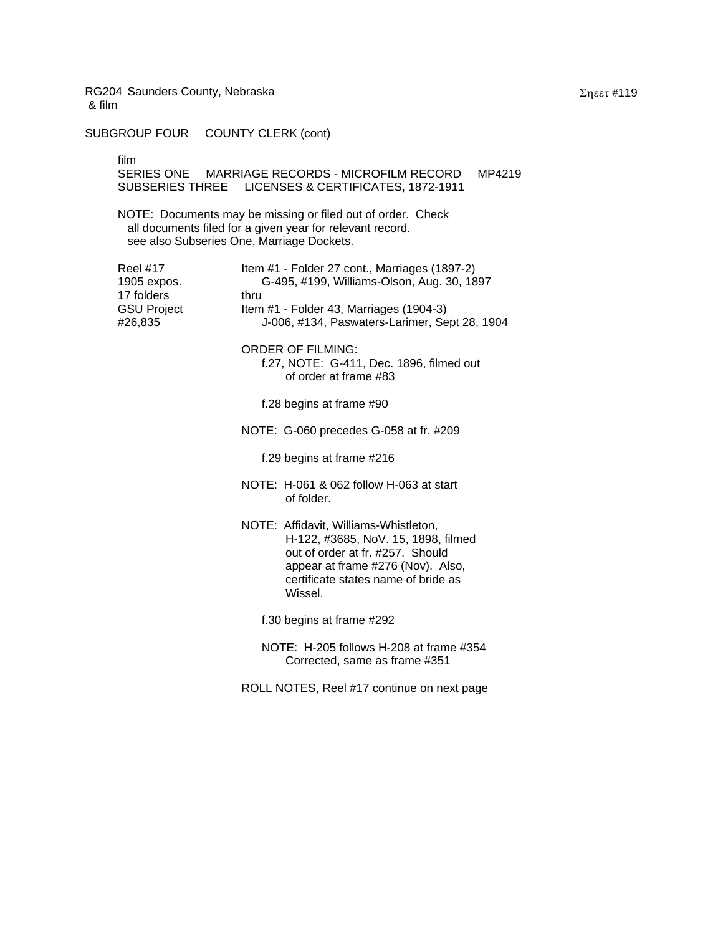SUBGROUP FOUR COUNTY CLERK (cont)

film

SERIES ONE MARRIAGE RECORDS - MICROFILM RECORD MP4219 SUBSERIES THREE LICENSES & CERTIFICATES, 1872-1911

NOTE: Documents may be missing or filed out of order. Check all documents filed for a given year for relevant record. see also Subseries One, Marriage Dockets.

| Reel #17<br>1905 expos.<br>17 folders<br><b>GSU Project</b><br>#26,835 | Item #1 - Folder 27 cont., Marriages (1897-2)<br>G-495, #199, Williams-Olson, Aug. 30, 1897<br>thru<br>Item #1 - Folder 43, Marriages (1904-3)<br>J-006, #134, Paswaters-Larimer, Sept 28, 1904         |
|------------------------------------------------------------------------|---------------------------------------------------------------------------------------------------------------------------------------------------------------------------------------------------------|
|                                                                        | <b>ORDER OF FILMING:</b><br>f.27, NOTE: G-411, Dec. 1896, filmed out<br>of order at frame #83                                                                                                           |
|                                                                        | f.28 begins at frame #90                                                                                                                                                                                |
|                                                                        | NOTE: G-060 precedes G-058 at fr. #209                                                                                                                                                                  |
|                                                                        | f.29 begins at frame #216                                                                                                                                                                               |
|                                                                        | NOTE: H-061 & 062 follow H-063 at start<br>of folder.                                                                                                                                                   |
|                                                                        | NOTE: Affidavit, Williams-Whistleton,<br>H-122, #3685, NoV. 15, 1898, filmed<br>out of order at fr. #257. Should<br>appear at frame #276 (Nov). Also,<br>certificate states name of bride as<br>Wissel. |
|                                                                        | f.30 begins at frame #292                                                                                                                                                                               |
|                                                                        | NOTE: H-205 follows H-208 at frame #354<br>Corrected, same as frame #351                                                                                                                                |
|                                                                        | ROLL NOTES, Reel #17 continue on next page                                                                                                                                                              |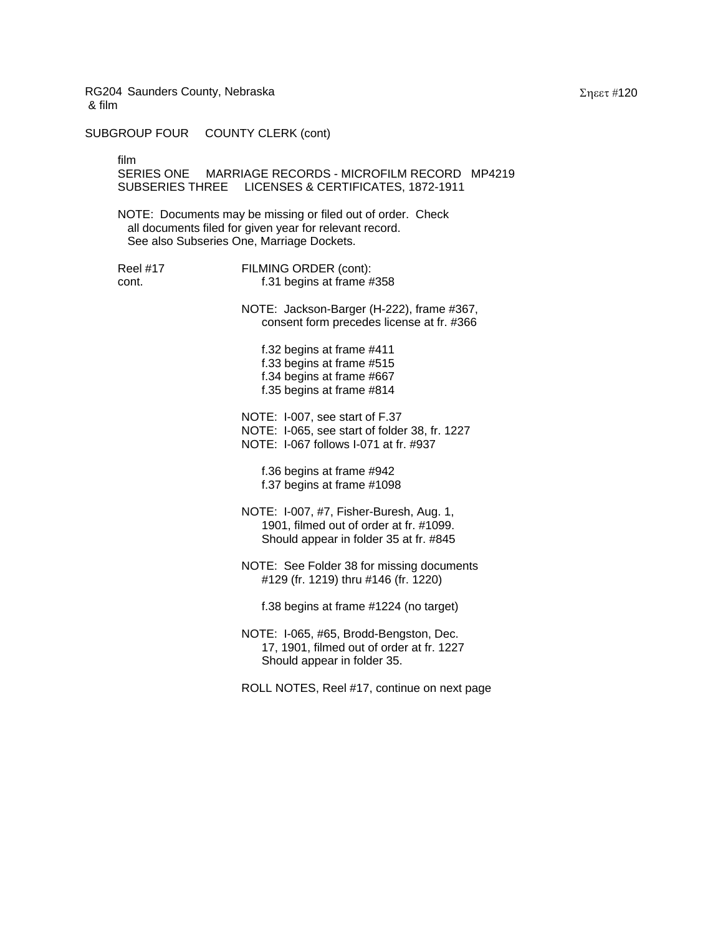SUBGROUP FOUR COUNTY CLERK (cont)

film

SERIES ONE MARRIAGE RECORDS - MICROFILM RECORD MP4219 SUBSERIES THREE LICENSES & CERTIFICATES, 1872-1911

NOTE: Documents may be missing or filed out of order. Check all documents filed for given year for relevant record. See also Subseries One, Marriage Dockets.

Reel #17 FILMING ORDER (cont): cont. f.31 begins at frame #358

> NOTE: Jackson-Barger (H-222), frame #367, consent form precedes license at fr. #366

f.32 begins at frame #411 f.33 begins at frame #515 f.34 begins at frame #667 f.35 begins at frame #814

NOTE: I-007, see start of F.37 NOTE: I-065, see start of folder 38, fr. 1227 NOTE: I-067 follows I-071 at fr. #937

f.36 begins at frame #942 f.37 begins at frame #1098

- NOTE: I-007, #7, Fisher-Buresh, Aug. 1, 1901, filmed out of order at fr. #1099. Should appear in folder 35 at fr. #845
- NOTE: See Folder 38 for missing documents #129 (fr. 1219) thru #146 (fr. 1220)

f.38 begins at frame #1224 (no target)

NOTE: I-065, #65, Brodd-Bengston, Dec. 17, 1901, filmed out of order at fr. 1227 Should appear in folder 35.

ROLL NOTES, Reel #17, continue on next page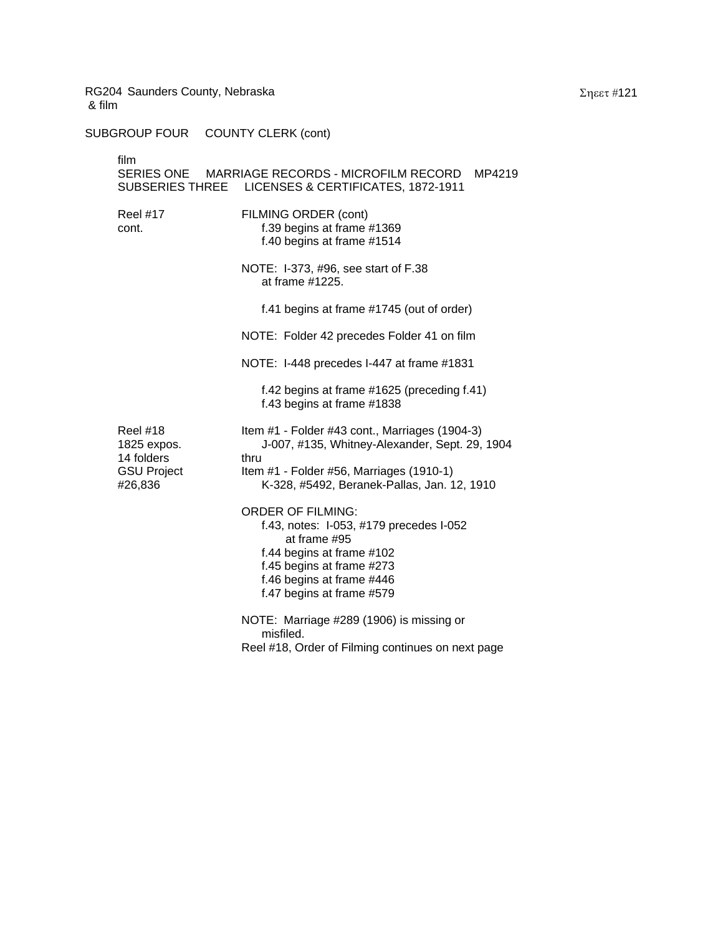SUBGROUP FOUR COUNTY CLERK (cont)

| film                                         | SERIES ONE MARRIAGE RECORDS - MICROFILM RECORD MP4219<br>SUBSERIES THREE LICENSES & CERTIFICATES, 1872-1911                                                                                             |
|----------------------------------------------|---------------------------------------------------------------------------------------------------------------------------------------------------------------------------------------------------------|
| <b>Reel #17</b><br>cont.                     | FILMING ORDER (cont)<br>f.39 begins at frame #1369<br>f.40 begins at frame #1514                                                                                                                        |
|                                              | NOTE: I-373, #96, see start of F.38<br>at frame #1225.                                                                                                                                                  |
|                                              | f.41 begins at frame #1745 (out of order)                                                                                                                                                               |
|                                              | NOTE: Folder 42 precedes Folder 41 on film                                                                                                                                                              |
|                                              | NOTE: I-448 precedes I-447 at frame #1831                                                                                                                                                               |
|                                              | f.42 begins at frame #1625 (preceding f.41)<br>f.43 begins at frame #1838                                                                                                                               |
| <b>Reel #18</b><br>1825 expos.<br>14 folders | Item #1 - Folder #43 cont., Marriages (1904-3)<br>J-007, #135, Whitney-Alexander, Sept. 29, 1904<br>thru                                                                                                |
| <b>GSU Project</b><br>#26,836                | Item #1 - Folder #56, Marriages (1910-1)<br>K-328, #5492, Beranek-Pallas, Jan. 12, 1910                                                                                                                 |
|                                              | <b>ORDER OF FILMING:</b><br>f.43, notes: I-053, #179 precedes I-052<br>at frame #95<br>f.44 begins at frame #102<br>f.45 begins at frame #273<br>f.46 begins at frame #446<br>f.47 begins at frame #579 |
|                                              | NOTE: Marriage #289 (1906) is missing or<br>misfiled.<br>Reel #18, Order of Filming continues on next page                                                                                              |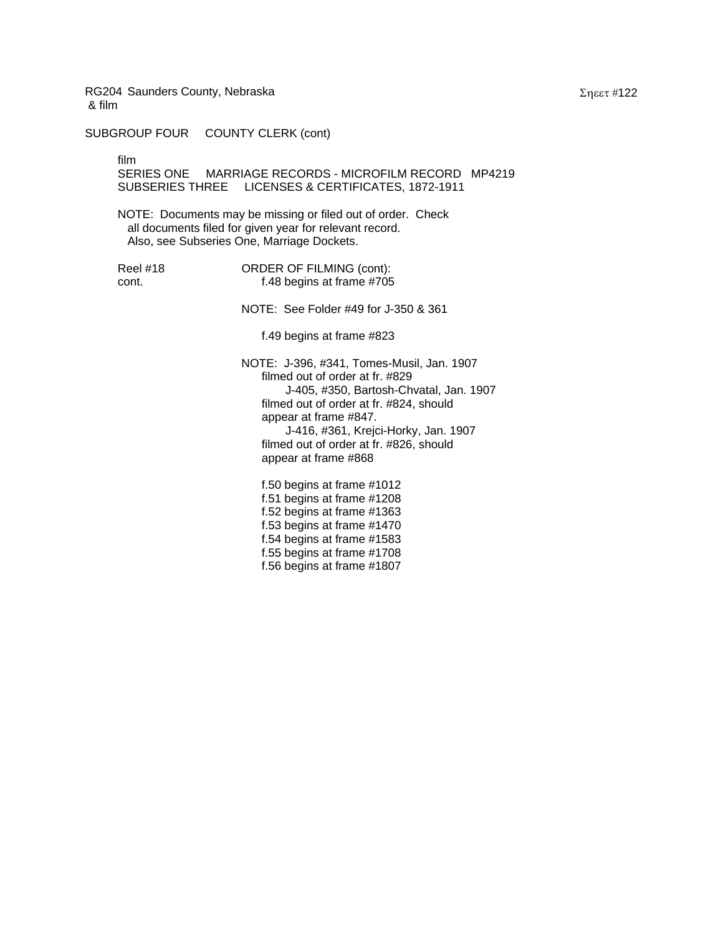SUBGROUP FOUR COUNTY CLERK (cont)

film

SERIES ONE MARRIAGE RECORDS - MICROFILM RECORD MP4219 SUBSERIES THREE LICENSES & CERTIFICATES, 1872-1911

NOTE: Documents may be missing or filed out of order. Check all documents filed for given year for relevant record. Also, see Subseries One, Marriage Dockets.

| Reel #18 | ORDER OF FILMING (cont):  |
|----------|---------------------------|
| .cont.   | f.48 begins at frame #705 |

NOTE: See Folder #49 for J-350 & 361

f.49 begins at frame #823

NOTE: J-396, #341, Tomes-Musil, Jan. 1907 filmed out of order at fr. #829 J-405, #350, Bartosh-Chvatal, Jan. 1907 filmed out of order at fr. #824, should appear at frame #847. J-416, #361, Krejci-Horky, Jan. 1907 filmed out of order at fr. #826, should appear at frame #868

f.50 begins at frame #1012 f.51 begins at frame #1208 f.52 begins at frame #1363 f.53 begins at frame #1470 f.54 begins at frame #1583 f.55 begins at frame #1708 f.56 begins at frame #1807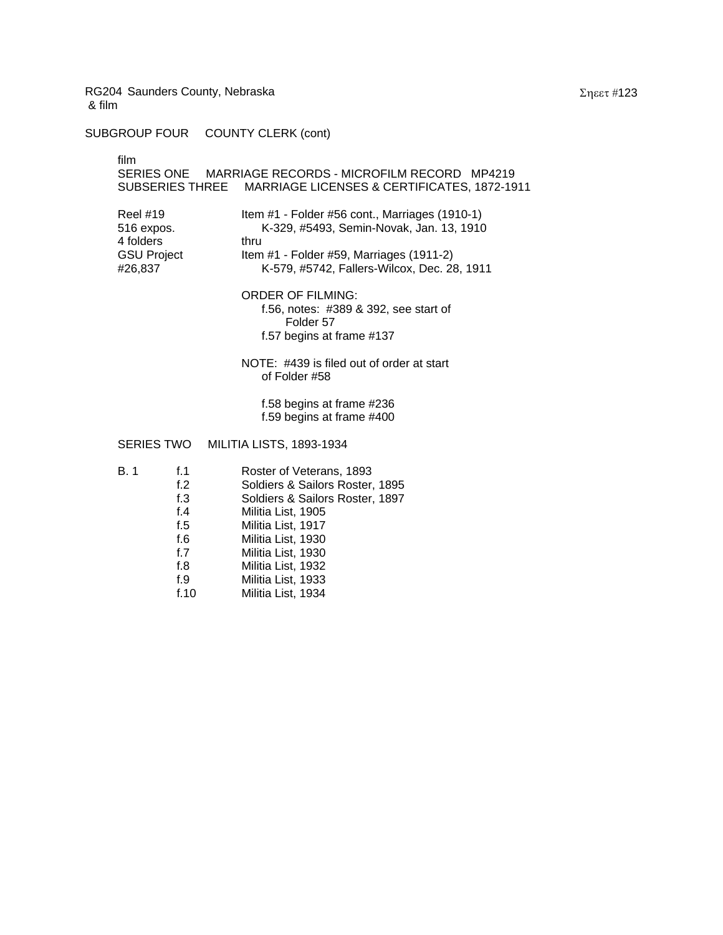SUBGROUP FOUR COUNTY CLERK (cont)

| film                                                                        |            | SERIES ONE MARRIAGE RECORDS - MICROFILM RECORD MP4219<br>SUBSERIES THREE    MARRIAGE LICENSES & CERTIFICATES, 1872-1911                                                                       |
|-----------------------------------------------------------------------------|------------|-----------------------------------------------------------------------------------------------------------------------------------------------------------------------------------------------|
| <b>Reel #19</b><br>516 expos.<br>4 folders<br><b>GSU Project</b><br>#26,837 |            | Item #1 - Folder #56 cont., Marriages (1910-1)<br>K-329, #5493, Semin-Novak, Jan. 13, 1910<br>thru<br>Item #1 - Folder #59, Marriages (1911-2)<br>K-579, #5742, Fallers-Wilcox, Dec. 28, 1911 |
|                                                                             |            | <b>ORDER OF FILMING:</b><br>f.56, notes: #389 & 392, see start of<br>Folder 57<br>f.57 begins at frame #137                                                                                   |
|                                                                             |            | NOTE: #439 is filed out of order at start<br>of Folder #58                                                                                                                                    |
|                                                                             |            | f.58 begins at frame #236<br>f.59 begins at frame #400                                                                                                                                        |
|                                                                             |            | SERIES TWO MILITIA LISTS, 1893-1934                                                                                                                                                           |
| B. 1                                                                        | f.1<br>f.2 | Roster of Veterans, 1893<br>Soldiers & Sailors Roster, 1895                                                                                                                                   |

f.3 Soldiers & Sailors Roster, 1897

Militia List, 1917

Militia List, 1933

f.4 Militia List, 1905

f.6 Militia List, 1930 f.7 Militia List, 1930 f.8 Militia List, 1932

f.10 Militia List, 1934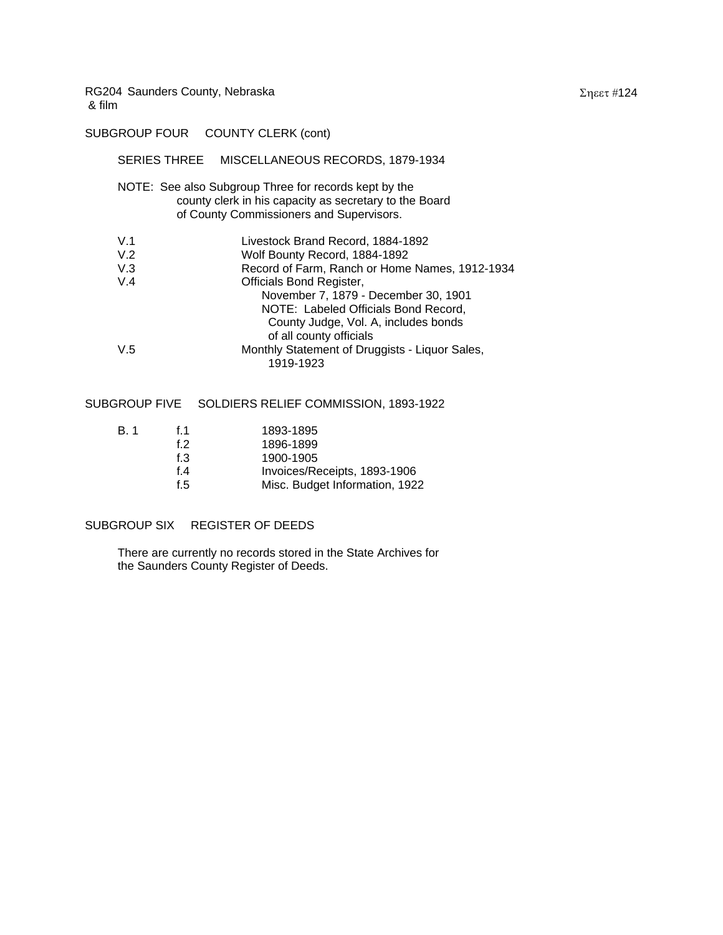SUBGROUP FOUR COUNTY CLERK (cont)

|     | SERIES THREE MISCELLANEOUS RECORDS, 1879-1934                                                                                                               |
|-----|-------------------------------------------------------------------------------------------------------------------------------------------------------------|
|     | NOTE: See also Subgroup Three for records kept by the<br>county clerk in his capacity as secretary to the Board<br>of County Commissioners and Supervisors. |
| V.1 | Livestock Brand Record, 1884-1892                                                                                                                           |
| V.2 | Wolf Bounty Record, 1884-1892                                                                                                                               |
| V.3 | Record of Farm, Ranch or Home Names, 1912-1934                                                                                                              |
| V.4 | Officials Bond Register,                                                                                                                                    |
|     | November 7, 1879 - December 30, 1901                                                                                                                        |
|     | NOTE: Labeled Officials Bond Record,                                                                                                                        |
|     | County Judge, Vol. A, includes bonds                                                                                                                        |
|     | of all county officials                                                                                                                                     |
| V.5 | Monthly Statement of Druggists - Liquor Sales,                                                                                                              |
|     | 1919-1923                                                                                                                                                   |
|     |                                                                                                                                                             |

## SUBGROUP FIVE SOLDIERS RELIEF COMMISSION, 1893-1922

| B. 1 | f 1    | 1893-1895                      |
|------|--------|--------------------------------|
|      | f 2    | 1896-1899                      |
|      | f. $3$ | 1900-1905                      |
|      | f 4    | Invoices/Receipts, 1893-1906   |
|      | f.5    | Misc. Budget Information, 1922 |
|      |        |                                |

## SUBGROUP SIX REGISTER OF DEEDS

There are currently no records stored in the State Archives for the Saunders County Register of Deeds.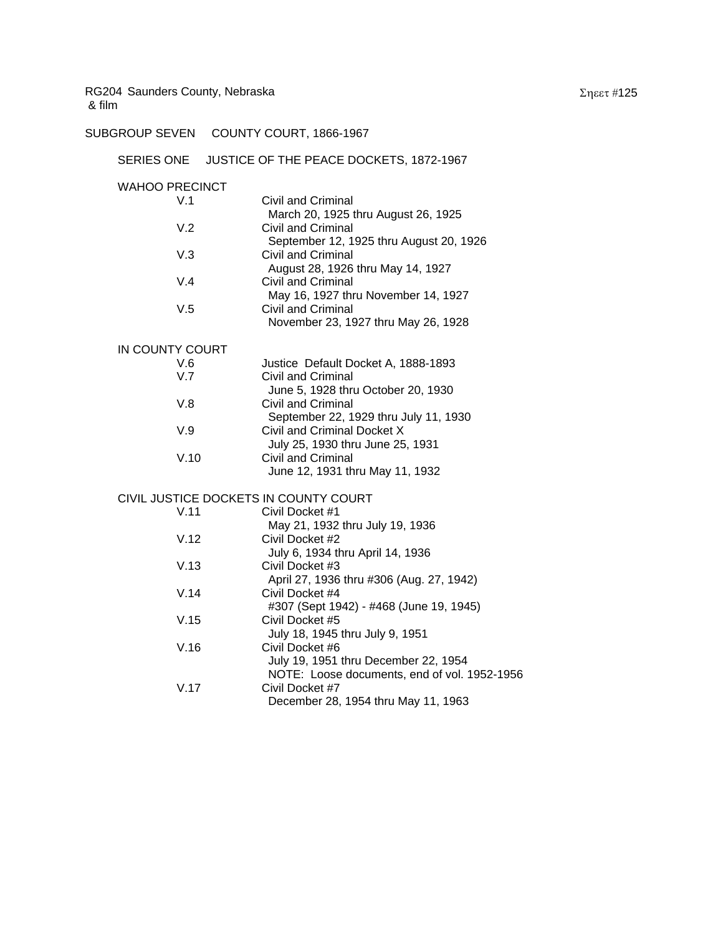SUBGROUP SEVEN COUNTY COURT, 1866-1967

### SERIES ONE JUSTICE OF THE PEACE DOCKETS, 1872-1967

| <b>WAHOO PRECINCT</b>                 |                                          |
|---------------------------------------|------------------------------------------|
| V.1                                   | Civil and Criminal                       |
|                                       | March 20, 1925 thru August 26, 1925      |
| V.2                                   | Civil and Criminal                       |
|                                       | September 12, 1925 thru August 20, 1926  |
| V.3                                   | Civil and Criminal                       |
|                                       | August 28, 1926 thru May 14, 1927        |
| V.4                                   | Civil and Criminal                       |
|                                       | May 16, 1927 thru November 14, 1927      |
| V.5                                   | Civil and Criminal                       |
|                                       | November 23, 1927 thru May 26, 1928      |
| IN COUNTY COURT                       |                                          |
| V.6                                   | Justice Default Docket A, 1888-1893      |
| V.7                                   | Civil and Criminal                       |
|                                       | June 5, 1928 thru October 20, 1930       |
| V.8                                   | Civil and Criminal                       |
|                                       | September 22, 1929 thru July 11, 1930    |
| V.9                                   | Civil and Criminal Docket X              |
|                                       | July 25, 1930 thru June 25, 1931         |
| V.10                                  | Civil and Criminal                       |
|                                       | June 12, 1931 thru May 11, 1932          |
| CIVIL JUSTICE DOCKETS IN COUNTY COURT |                                          |
| V.11                                  | Civil Docket #1                          |
|                                       | May 21, 1932 thru July 19, 1936          |
| V.12                                  | Civil Docket #2                          |
|                                       | July 6, 1934 thru April 14, 1936         |
| V.13                                  | Civil Docket #3                          |
|                                       | April 27, 1936 thru #306 (Aug. 27, 1942) |
| V.14                                  | Civil Docket #4                          |
|                                       | #307 (Sept 1942) - #468 (June 19, 1945)  |
| V.15                                  | Civil Docket #5                          |
|                                       | July 18, 1945 thru July 9, 1951          |
| V.16                                  | Civil Docket #6                          |
|                                       | July 19, 1951 thru December 22, 1954     |
|                                       |                                          |

 NOTE: Loose documents, end of vol. 1952-1956 V.17 Civil Docket #7

December 28, 1954 thru May 11, 1963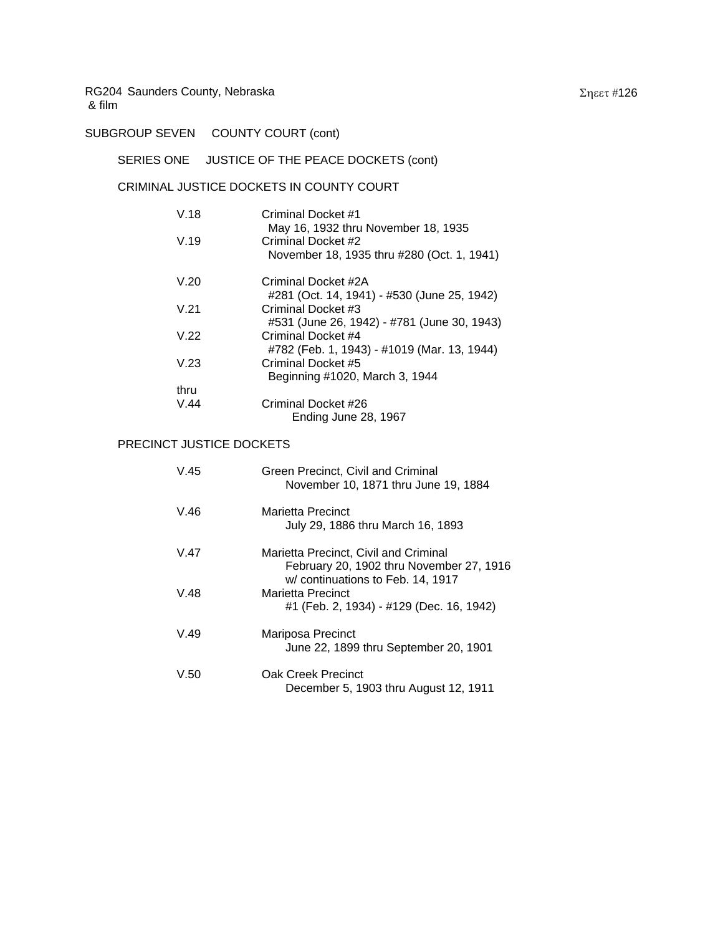SUBGROUP SEVEN COUNTY COURT (cont)

# SERIES ONE JUSTICE OF THE PEACE DOCKETS (cont)

## CRIMINAL JUSTICE DOCKETS IN COUNTY COURT

| V.18 | Criminal Docket #1<br>May 16, 1932 thru November 18, 1935 |
|------|-----------------------------------------------------------|
| V.19 | Criminal Docket #2                                        |
|      | November 18, 1935 thru #280 (Oct. 1, 1941)                |
| V.20 | Criminal Docket #2A                                       |
|      | #281 (Oct. 14, 1941) - #530 (June 25, 1942)               |
| V.21 | Criminal Docket #3                                        |
|      | #531 (June 26, 1942) - #781 (June 30, 1943)               |
| V.22 | Criminal Docket #4                                        |
|      | #782 (Feb. 1, 1943) - #1019 (Mar. 13, 1944)               |
| V.23 | Criminal Docket #5                                        |
|      | Beginning #1020, March 3, 1944                            |
| thru |                                                           |
| V.44 | Criminal Docket #26                                       |
|      | Ending June 28, 1967                                      |

## PRECINCT JUSTICE DOCKETS

| V.45 | Green Precinct, Civil and Criminal<br>November 10, 1871 thru June 19, 1884                                             |
|------|------------------------------------------------------------------------------------------------------------------------|
| V.46 | Marietta Precinct<br>July 29, 1886 thru March 16, 1893                                                                 |
| V.47 | Marietta Precinct, Civil and Criminal<br>February 20, 1902 thru November 27, 1916<br>w/ continuations to Feb. 14, 1917 |
| V.48 | Marietta Precinct<br>#1 (Feb. 2, 1934) - #129 (Dec. 16, 1942)                                                          |
| V.49 | Mariposa Precinct<br>June 22, 1899 thru September 20, 1901                                                             |
| V.50 | Oak Creek Precinct<br>December 5, 1903 thru August 12, 1911                                                            |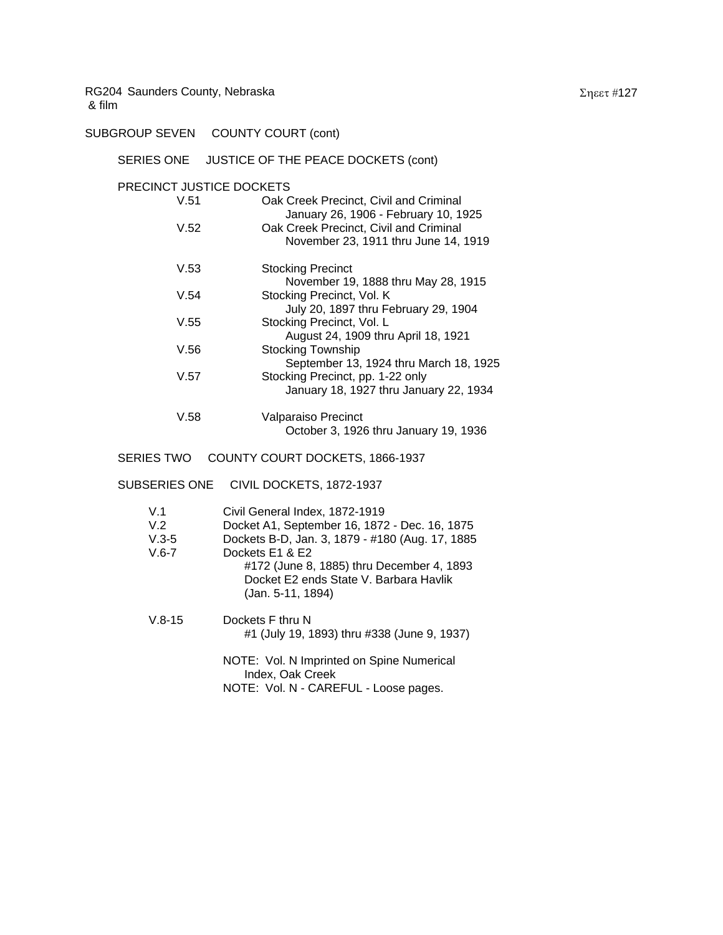SUBGROUP SEVEN COUNTY COURT (cont)

### SERIES ONE JUSTICE OF THE PEACE DOCKETS (cont)

#### PRECINCT JUSTICE DOCKETS

| V.51 | Oak Creek Precinct, Civil and Criminal<br>January 26, 1906 - February 10, 1925 |
|------|--------------------------------------------------------------------------------|
| V.52 | Oak Creek Precinct, Civil and Criminal<br>November 23, 1911 thru June 14, 1919 |
| V.53 | <b>Stocking Precinct</b>                                                       |
|      | November 19, 1888 thru May 28, 1915                                            |
| V.54 | Stocking Precinct, Vol. K                                                      |
|      | July 20, 1897 thru February 29, 1904                                           |
| V.55 | Stocking Precinct, Vol. L                                                      |
|      | August 24, 1909 thru April 18, 1921                                            |
| V.56 | Stocking Township                                                              |
|      | September 13, 1924 thru March 18, 1925                                         |
| V.57 | Stocking Precinct, pp. 1-22 only                                               |
|      | January 18, 1927 thru January 22, 1934                                         |
| V.58 | Valparaiso Precinct                                                            |

October 3, 1926 thru January 19, 1936

### SERIES TWO COUNTY COURT DOCKETS, 1866-1937

### SUBSERIES ONE CIVIL DOCKETS, 1872-1937

| V.1<br>V.2<br>$V.3-5$<br>$V.6 - 7$ | Civil General Index, 1872-1919<br>Docket A1, September 16, 1872 - Dec. 16, 1875<br>Dockets B-D, Jan. 3, 1879 - #180 (Aug. 17, 1885<br>Dockets E1 & E2<br>#172 (June 8, 1885) thru December 4, 1893<br>Docket E2 ends State V. Barbara Havlik<br>(Jan. 5-11, 1894) |
|------------------------------------|-------------------------------------------------------------------------------------------------------------------------------------------------------------------------------------------------------------------------------------------------------------------|
| $V.8 - 15$                         | Dockets F thru N<br>#1 (July 19, 1893) thru #338 (June 9, 1937)                                                                                                                                                                                                   |
|                                    | NOTE: Vol. N Imprinted on Spine Numerical<br>Index, Oak Creek                                                                                                                                                                                                     |

NOTE: Vol. N - CAREFUL - Loose pages.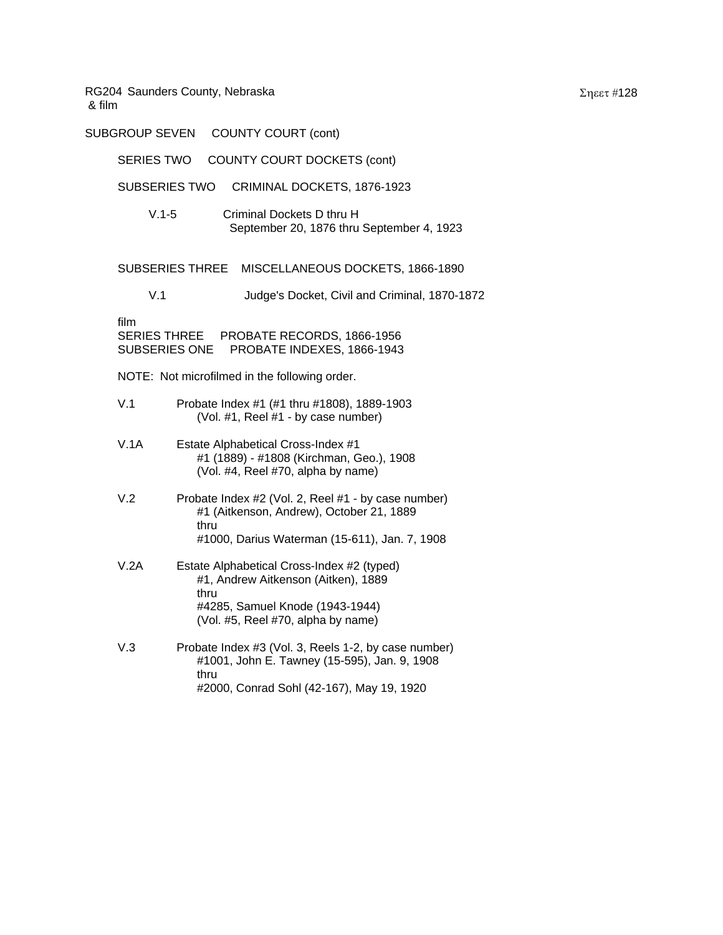| <b>SUBGROUP SEVEN</b>                               | <b>COUNTY COURT (cont)</b>                                                                                                                                         |
|-----------------------------------------------------|--------------------------------------------------------------------------------------------------------------------------------------------------------------------|
| <b>SERIES TWO</b>                                   | COUNTY COURT DOCKETS (cont)                                                                                                                                        |
| <b>SUBSERIES TWO</b>                                | CRIMINAL DOCKETS, 1876-1923                                                                                                                                        |
| $V.1 - 5$                                           | Criminal Dockets D thru H<br>September 20, 1876 thru September 4, 1923                                                                                             |
|                                                     | SUBSERIES THREE MISCELLANEOUS DOCKETS, 1866-1890                                                                                                                   |
| V.1                                                 | Judge's Docket, Civil and Criminal, 1870-1872                                                                                                                      |
| film<br><b>SERIES THREE</b><br><b>SUBSERIES ONE</b> | PROBATE RECORDS, 1866-1956<br>PROBATE INDEXES, 1866-1943                                                                                                           |
|                                                     | NOTE: Not microfilmed in the following order.                                                                                                                      |
| V.1                                                 | Probate Index #1 (#1 thru #1808), 1889-1903<br>(Vol. #1, Reel #1 - by case number)                                                                                 |
| V.1A                                                | Estate Alphabetical Cross-Index #1<br>#1 (1889) - #1808 (Kirchman, Geo.), 1908<br>(Vol. #4, Reel #70, alpha by name)                                               |
| V.2                                                 | Probate Index #2 (Vol. 2, Reel #1 - by case number)<br>#1 (Aitkenson, Andrew), October 21, 1889<br>thru<br>#1000, Darius Waterman (15-611), Jan. 7, 1908           |
| V.2A                                                | Estate Alphabetical Cross-Index #2 (typed)<br>#1, Andrew Aitkenson (Aitken), 1889<br>thru<br>#4285, Samuel Knode (1943-1944)<br>(Vol. #5, Reel #70, alpha by name) |
| V.3                                                 | Probate Index #3 (Vol. 3, Reels 1-2, by case number)<br>#1001, John E. Tawney (15-595), Jan. 9, 1908<br>thru<br>#2000, Conrad Sohl (42-167), May 19, 1920          |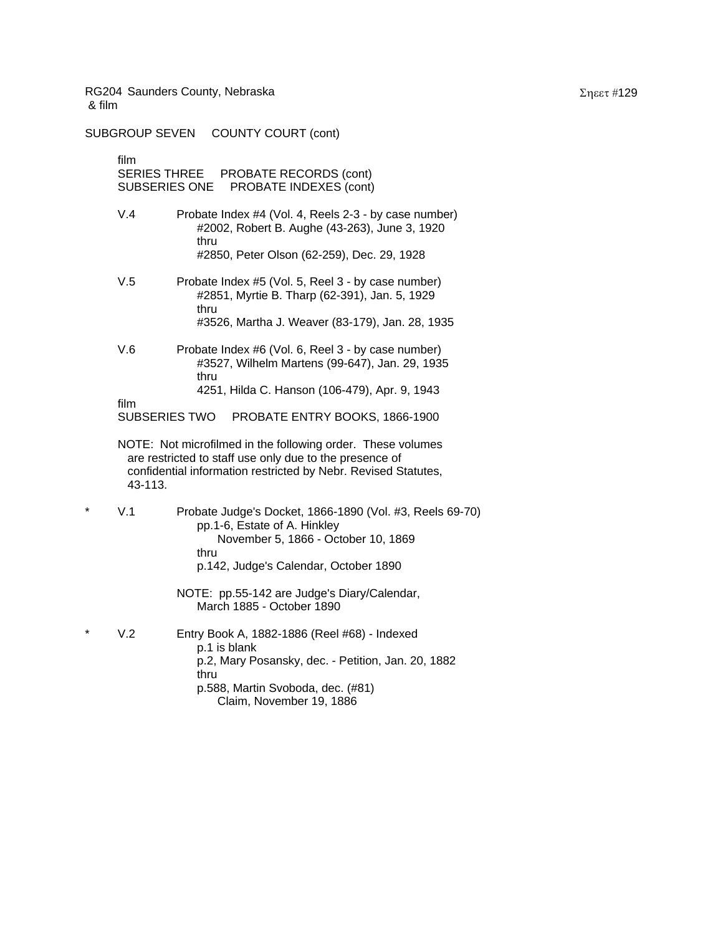SUBGROUP SEVEN COUNTY COURT (cont)

film

SERIES THREE PROBATE RECORDS (cont) SUBSERIES ONE PROBATE INDEXES (cont)

- V.4 Probate Index #4 (Vol. 4, Reels 2-3 by case number) #2002, Robert B. Aughe (43-263), June 3, 1920 thru #2850, Peter Olson (62-259), Dec. 29, 1928
- V.5 Probate Index #5 (Vol. 5, Reel 3 by case number) #2851, Myrtie B. Tharp (62-391), Jan. 5, 1929 thru #3526, Martha J. Weaver (83-179), Jan. 28, 1935
- V.6 Probate Index #6 (Vol. 6, Reel 3 by case number) #3527, Wilhelm Martens (99-647), Jan. 29, 1935 thru 4251, Hilda C. Hanson (106-479), Apr. 9, 1943

film SUBSERIES TWO PROBATE ENTRY BOOKS, 1866-1900

- NOTE: Not microfilmed in the following order. These volumes are restricted to staff use only due to the presence of confidential information restricted by Nebr. Revised Statutes, 43-113.
- \* V.1 Probate Judge's Docket, 1866-1890 (Vol. #3, Reels 69-70) pp.1-6, Estate of A. Hinkley November 5, 1866 - October 10, 1869 thru p.142, Judge's Calendar, October 1890
	- NOTE: pp.55-142 are Judge's Diary/Calendar, March 1885 - October 1890
- V.2 Entry Book A, 1882-1886 (Reel #68) Indexed p.1 is blank p.2, Mary Posansky, dec. - Petition, Jan. 20, 1882 thru p.588, Martin Svoboda, dec. (#81) Claim, November 19, 1886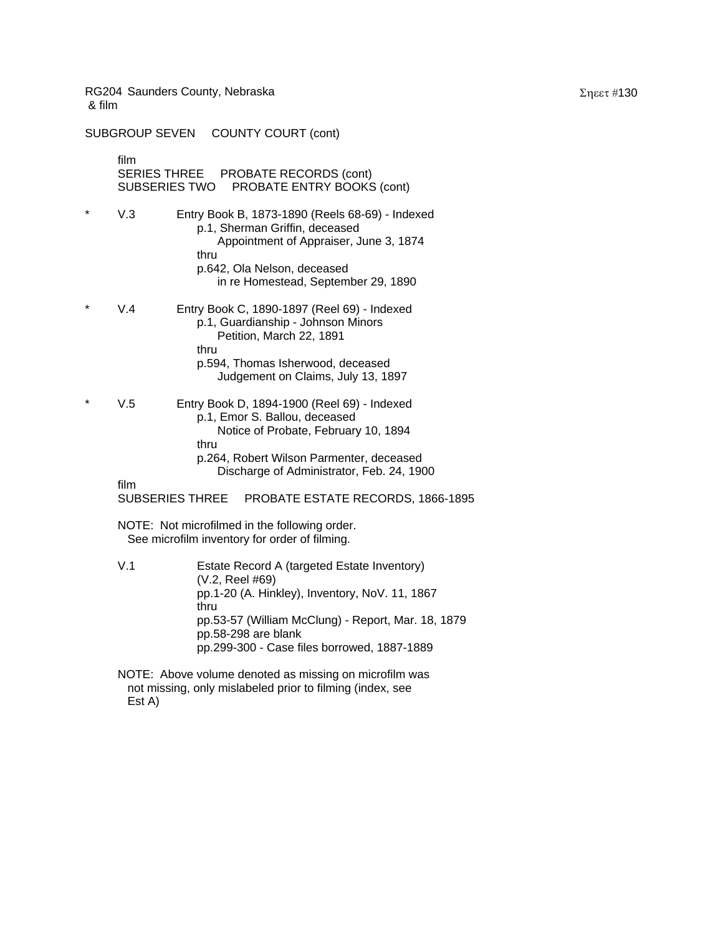SUBGROUP SEVEN COUNTY COURT (cont)

film SERIES THREE PROBATE RECORDS (cont) SUBSERIES TWO PROBATE ENTRY BOOKS (cont)

- V.3 Entry Book B, 1873-1890 (Reels 68-69) Indexed p.1, Sherman Griffin, deceased Appointment of Appraiser, June 3, 1874 thru p.642, Ola Nelson, deceased in re Homestead, September 29, 1890
- V.4 Entry Book C, 1890-1897 (Reel 69) Indexed p.1, Guardianship - Johnson Minors Petition, March 22, 1891 thru p.594, Thomas Isherwood, deceased Judgement on Claims, July 13, 1897
- V.5 Entry Book D, 1894-1900 (Reel 69) Indexed p.1, Emor S. Ballou, deceased Notice of Probate, February 10, 1894 thru p.264, Robert Wilson Parmenter, deceased
	- Discharge of Administrator, Feb. 24, 1900

film

SUBSERIES THREE PROBATE ESTATE RECORDS, 1866-1895

NOTE: Not microfilmed in the following order. See microfilm inventory for order of filming.

V.1 Estate Record A (targeted Estate Inventory) (V.2, Reel #69) pp.1-20 (A. Hinkley), Inventory, NoV. 11, 1867 thru pp.53-57 (William McClung) - Report, Mar. 18, 1879 pp.58-298 are blank pp.299-300 - Case files borrowed, 1887-1889

NOTE: Above volume denoted as missing on microfilm was not missing, only mislabeled prior to filming (index, see Est A)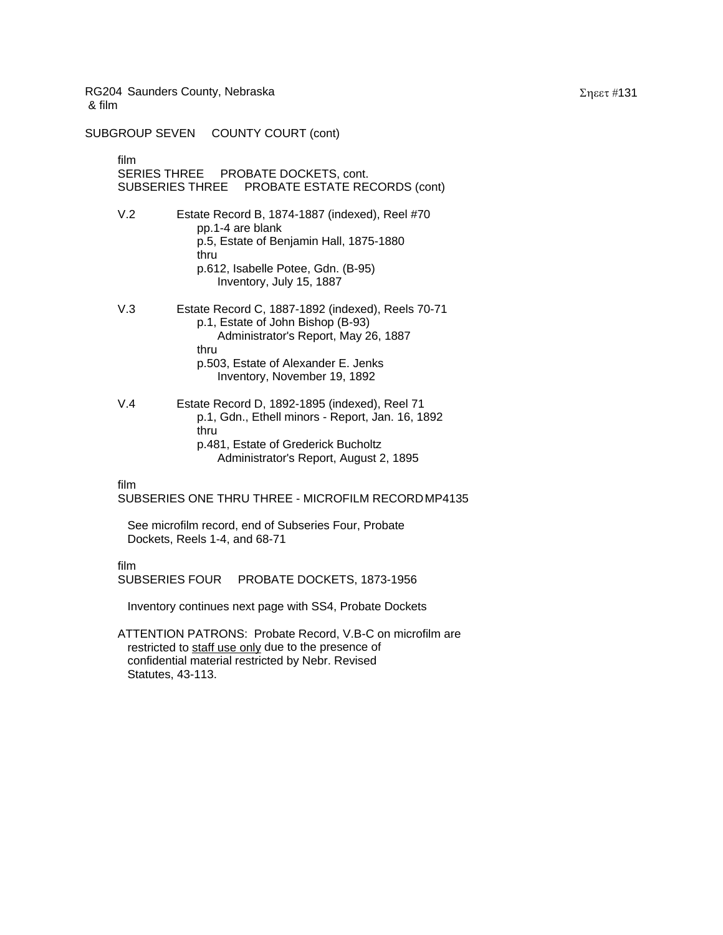SUBGROUP SEVEN COUNTY COURT (cont)

film SERIES THREE PROBATE DOCKETS, cont. SUBSERIES THREE PROBATE ESTATE RECORDS (cont)

- V.2 Estate Record B, 1874-1887 (indexed), Reel #70 pp.1-4 are blank p.5, Estate of Benjamin Hall, 1875-1880 thru p.612, Isabelle Potee, Gdn. (B-95) Inventory, July 15, 1887
- V.3 Estate Record C, 1887-1892 (indexed), Reels 70-71 p.1, Estate of John Bishop (B-93) Administrator's Report, May 26, 1887 thru p.503, Estate of Alexander E. Jenks Inventory, November 19, 1892
- V.4 Estate Record D, 1892-1895 (indexed), Reel 71 p.1, Gdn., Ethell minors - Report, Jan. 16, 1892 thru p.481, Estate of Grederick Bucholtz Administrator's Report, August 2, 1895

film

SUBSERIES ONE THRU THREE - MICROFILM RECORD MP4135

 See microfilm record, end of Subseries Four, Probate Dockets, Reels 1-4, and 68-71

film

SUBSERIES FOUR PROBATE DOCKETS, 1873-1956

Inventory continues next page with SS4, Probate Dockets

ATTENTION PATRONS: Probate Record, V.B-C on microfilm are restricted to staff use only due to the presence of confidential material restricted by Nebr. Revised Statutes, 43-113.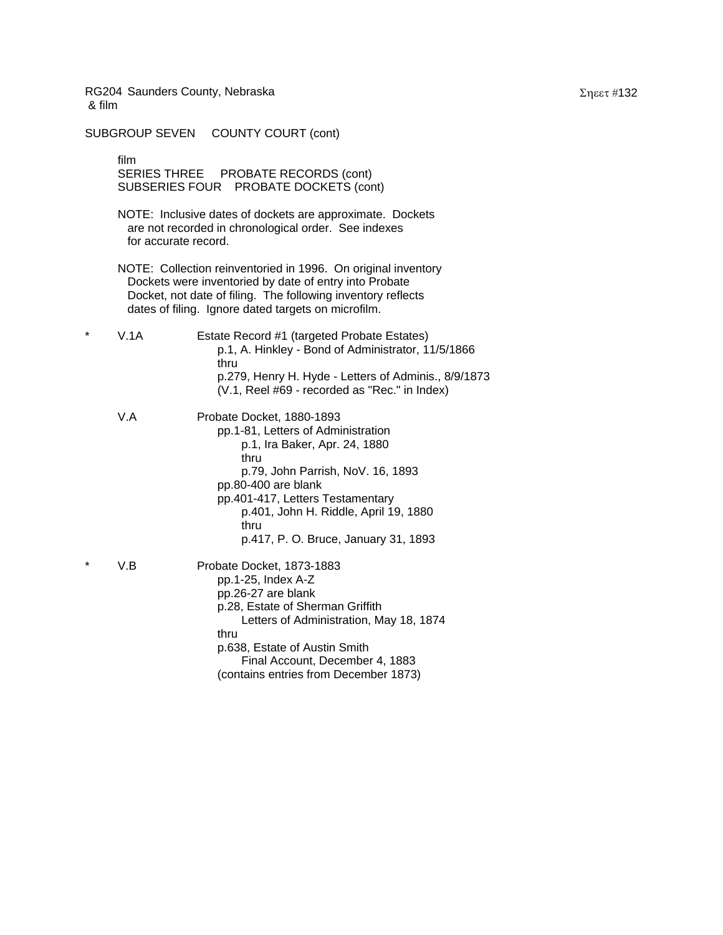SUBGROUP SEVEN COUNTY COURT (cont)

film SERIES THREE PROBATE RECORDS (cont) SUBSERIES FOUR PROBATE DOCKETS (cont)

NOTE: Inclusive dates of dockets are approximate. Dockets are not recorded in chronological order. See indexes for accurate record.

NOTE: Collection reinventoried in 1996. On original inventory Dockets were inventoried by date of entry into Probate Docket, not date of filing. The following inventory reflects dates of filing. Ignore dated targets on microfilm.

\* V.1A Estate Record #1 (targeted Probate Estates) p.1, A. Hinkley - Bond of Administrator, 11/5/1866 thru p.279, Henry H. Hyde - Letters of Adminis., 8/9/1873 (V.1, Reel #69 - recorded as "Rec." in Index)

V.A Probate Docket, 1880-1893 pp.1-81, Letters of Administration p.1, Ira Baker, Apr. 24, 1880 thru p.79, John Parrish, NoV. 16, 1893 pp.80-400 are blank pp.401-417, Letters Testamentary p.401, John H. Riddle, April 19, 1880 thru p.417, P. O. Bruce, January 31, 1893 V.B Probate Docket, 1873-1883 pp.1-25, Index A-Z

pp.26-27 are blank p.28, Estate of Sherman Griffith Letters of Administration, May 18, 1874 thru p.638, Estate of Austin Smith Final Account, December 4, 1883 (contains entries from December 1873)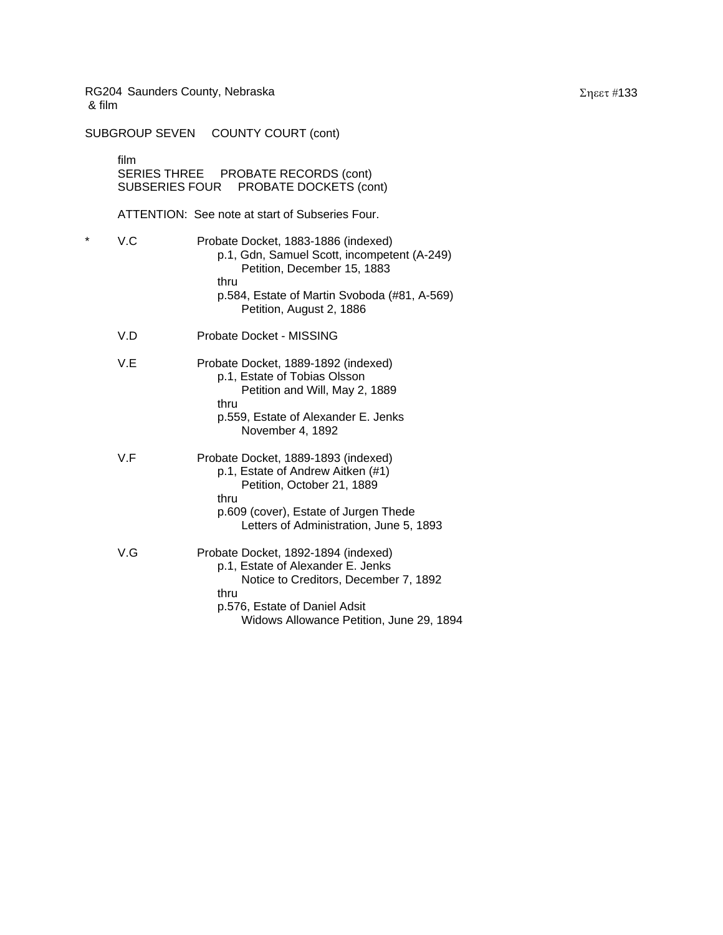SUBGROUP SEVEN COUNTY COURT (cont) film SERIES THREE PROBATE RECORDS (cont) SUBSERIES FOUR PROBATE DOCKETS (cont) ATTENTION: See note at start of Subseries Four. \* V.C Probate Docket, 1883-1886 (indexed) p.1, Gdn, Samuel Scott, incompetent (A-249) Petition, December 15, 1883 thru p.584, Estate of Martin Svoboda (#81, A-569) Petition, August 2, 1886 V.D Probate Docket - MISSING V.E Probate Docket, 1889-1892 (indexed) p.1, Estate of Tobias Olsson Petition and Will, May 2, 1889 thru p.559, Estate of Alexander E. Jenks November 4, 1892 V.F Probate Docket, 1889-1893 (indexed) p.1, Estate of Andrew Aitken (#1) Petition, October 21, 1889 thru p.609 (cover), Estate of Jurgen Thede Letters of Administration, June 5, 1893 V.G Probate Docket, 1892-1894 (indexed) p.1, Estate of Alexander E. Jenks Notice to Creditors, December 7, 1892 thru p.576, Estate of Daniel Adsit Widows Allowance Petition, June 29, 1894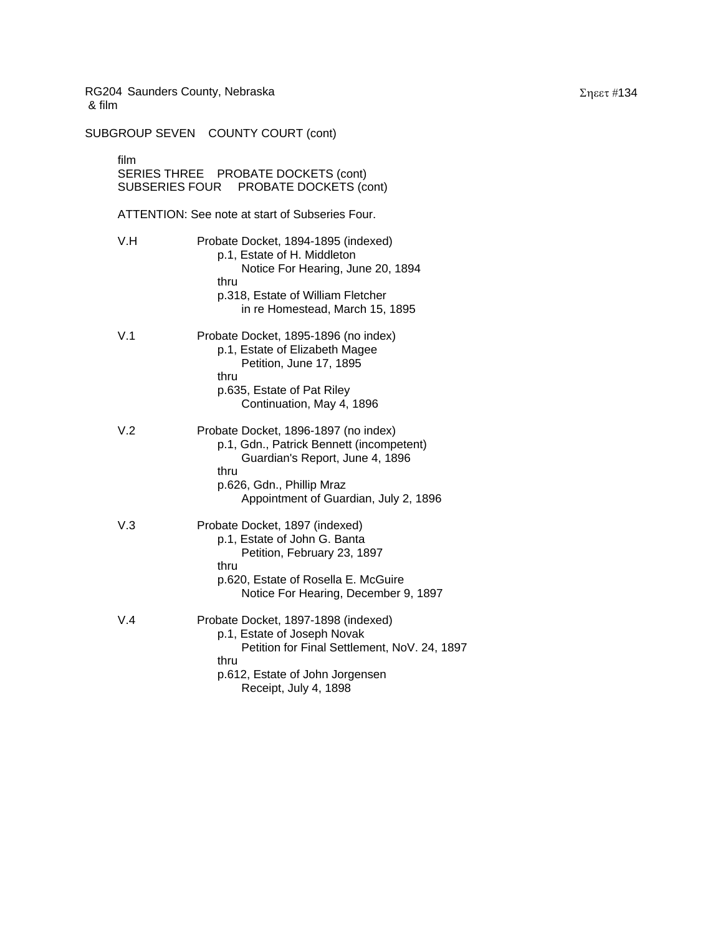SUBGROUP SEVEN COUNTY COURT (cont) film SERIES THREE PROBATE DOCKETS (cont)

SUBSERIES FOUR PROBATE DOCKETS (cont) ATTENTION: See note at start of Subseries Four. V.H Probate Docket, 1894-1895 (indexed) p.1, Estate of H. Middleton Notice For Hearing, June 20, 1894 thru p.318, Estate of William Fletcher in re Homestead, March 15, 1895 V.1 Probate Docket, 1895-1896 (no index) p.1, Estate of Elizabeth Magee Petition, June 17, 1895 thru p.635, Estate of Pat Riley Continuation, May 4, 1896 V.2 Probate Docket, 1896-1897 (no index) p.1, Gdn., Patrick Bennett (incompetent) Guardian's Report, June 4, 1896 thru p.626, Gdn., Phillip Mraz Appointment of Guardian, July 2, 1896 V.3 Probate Docket, 1897 (indexed) p.1, Estate of John G. Banta Petition, February 23, 1897 thru p.620, Estate of Rosella E. McGuire Notice For Hearing, December 9, 1897 V.4 Probate Docket, 1897-1898 (indexed) p.1, Estate of Joseph Novak Petition for Final Settlement, NoV. 24, 1897 thru p.612, Estate of John Jorgensen Receipt, July 4, 1898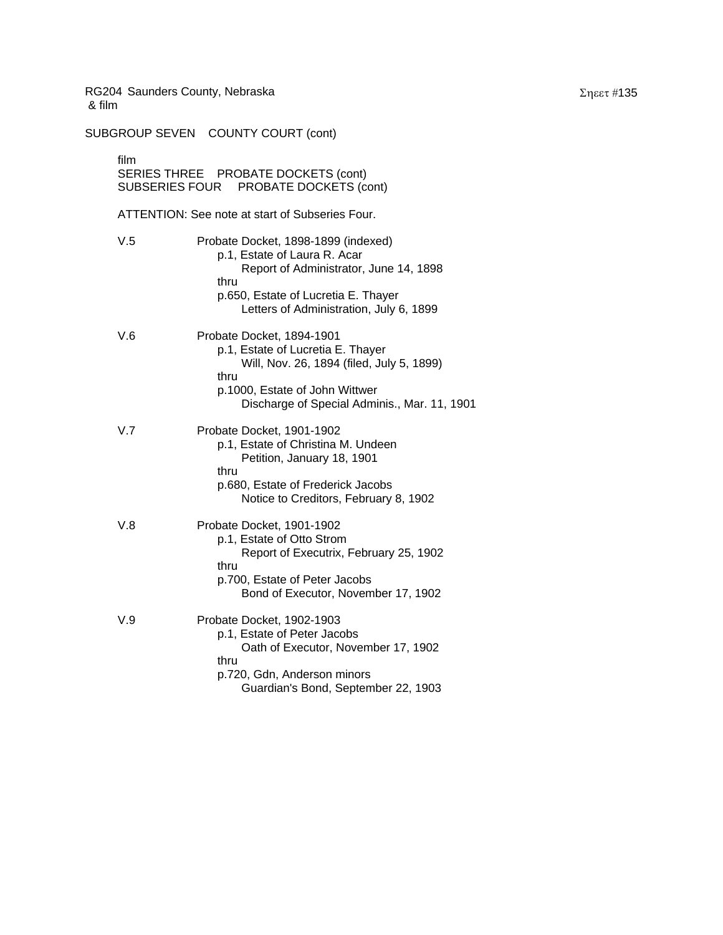SUBGROUP SEVEN COUNTY COURT (cont)

film SERIES THREE PROBATE DOCKETS (cont) SUBSERIES FOUR PROBATE DOCKETS (cont) ATTENTION: See note at start of Subseries Four. V.5 Probate Docket, 1898-1899 (indexed) p.1, Estate of Laura R. Acar Report of Administrator, June 14, 1898 thru p.650, Estate of Lucretia E. Thayer Letters of Administration, July 6, 1899 V.6 Probate Docket, 1894-1901 p.1, Estate of Lucretia E. Thayer Will, Nov. 26, 1894 (filed, July 5, 1899) thru p.1000, Estate of John Wittwer Discharge of Special Adminis., Mar. 11, 1901 V.7 Probate Docket, 1901-1902 p.1, Estate of Christina M. Undeen Petition, January 18, 1901 thru p.680, Estate of Frederick Jacobs Notice to Creditors, February 8, 1902 V.8 Probate Docket, 1901-1902 p.1, Estate of Otto Strom Report of Executrix, February 25, 1902 thru p.700, Estate of Peter Jacobs Bond of Executor, November 17, 1902 V.9 Probate Docket, 1902-1903 p.1, Estate of Peter Jacobs Oath of Executor, November 17, 1902 thru p.720, Gdn, Anderson minors Guardian's Bond, September 22, 1903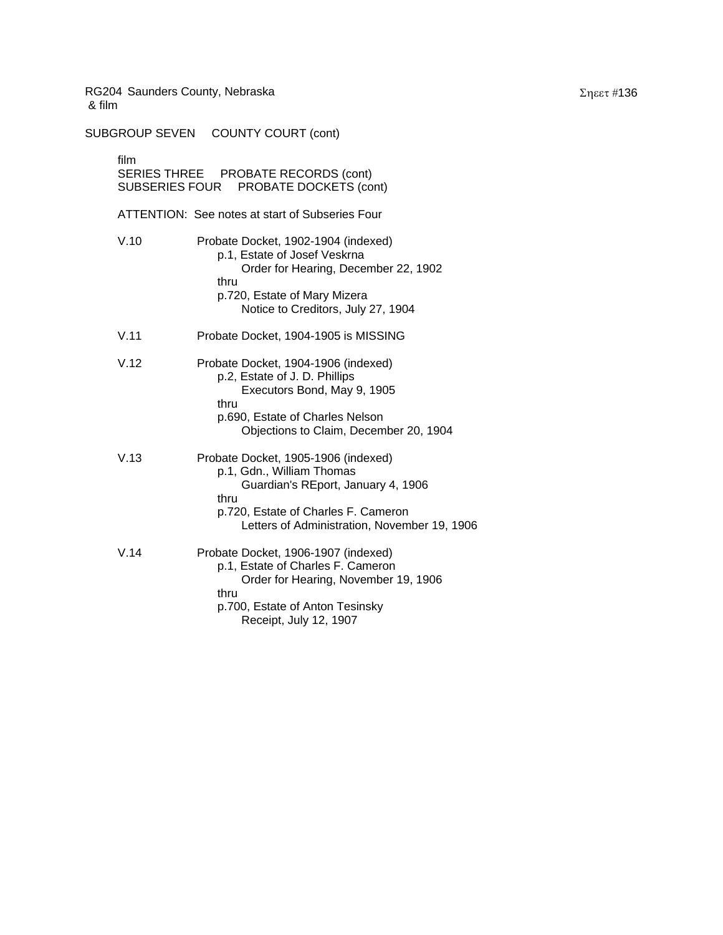SUBGROUP SEVEN COUNTY COURT (cont) film SERIES THREE PROBATE RECORDS (cont) SUBSERIES FOUR PROBATE DOCKETS (cont) ATTENTION: See notes at start of Subseries Four V.10 Probate Docket, 1902-1904 (indexed) p.1, Estate of Josef Veskrna Order for Hearing, December 22, 1902 thru p.720, Estate of Mary Mizera Notice to Creditors, July 27, 1904 V.11 Probate Docket, 1904-1905 is MISSING V.12 Probate Docket, 1904-1906 (indexed) p.2, Estate of J. D. Phillips Executors Bond, May 9, 1905 thru p.690, Estate of Charles Nelson Objections to Claim, December 20, 1904 V.13 Probate Docket, 1905-1906 (indexed) p.1, Gdn., William Thomas Guardian's REport, January 4, 1906 thru p.720, Estate of Charles F. Cameron Letters of Administration, November 19, 1906

V.14 Probate Docket, 1906-1907 (indexed) p.1, Estate of Charles F. Cameron Order for Hearing, November 19, 1906 thru p.700, Estate of Anton Tesinsky Receipt, July 12, 1907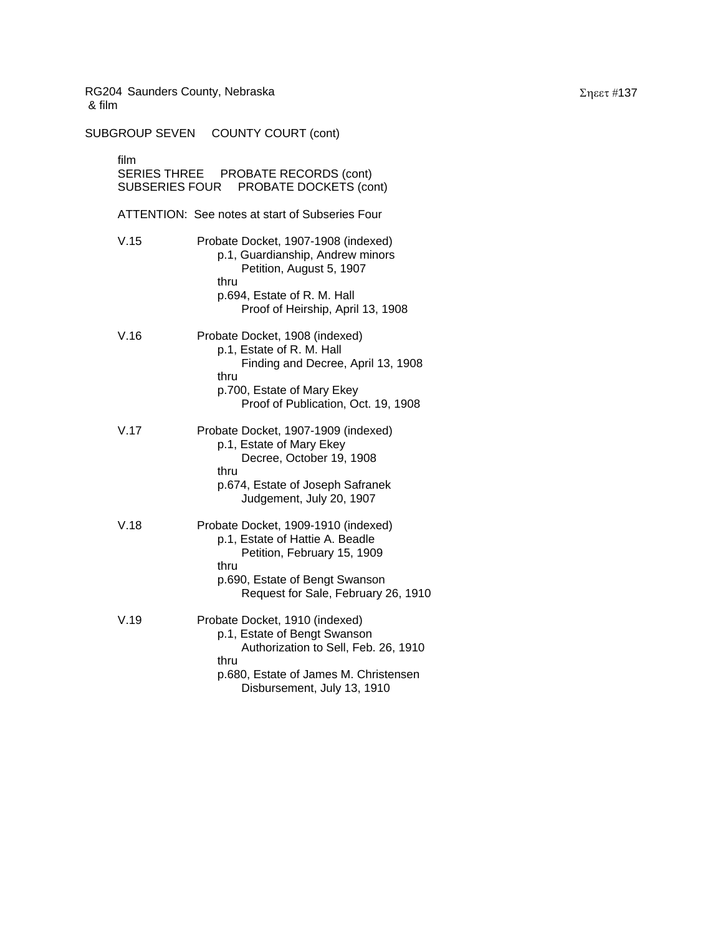SUBGROUP SEVEN COUNTY COURT (cont) film SERIES THREE PROBATE RECORDS (cont) SUBSERIES FOUR PROBATE DOCKETS (cont) ATTENTION: See notes at start of Subseries Four V.15 Probate Docket, 1907-1908 (indexed) p.1, Guardianship, Andrew minors Petition, August 5, 1907 thru p.694, Estate of R. M. Hall Proof of Heirship, April 13, 1908 V.16 Probate Docket, 1908 (indexed) p.1, Estate of R. M. Hall Finding and Decree, April 13, 1908 thru p.700, Estate of Mary Ekey Proof of Publication, Oct. 19, 1908 V.17 Probate Docket, 1907-1909 (indexed) p.1, Estate of Mary Ekey Decree, October 19, 1908 thru p.674, Estate of Joseph Safranek Judgement, July 20, 1907 V.18 Probate Docket, 1909-1910 (indexed) p.1, Estate of Hattie A. Beadle Petition, February 15, 1909 thru p.690, Estate of Bengt Swanson Request for Sale, February 26, 1910 V.19 Probate Docket, 1910 (indexed) p.1, Estate of Bengt Swanson Authorization to Sell, Feb. 26, 1910 thru p.680, Estate of James M. Christensen Disbursement, July 13, 1910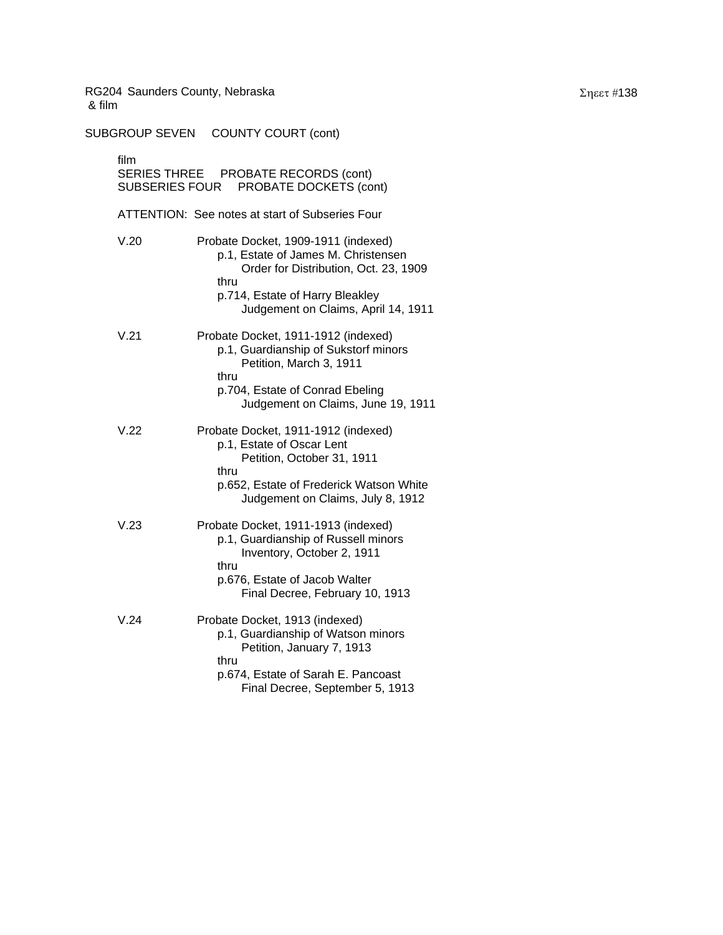SUBGROUP SEVEN COUNTY COURT (cont) film SERIES THREE PROBATE RECORDS (cont) SUBSERIES FOUR PROBATE DOCKETS (cont) ATTENTION: See notes at start of Subseries Four V.20 Probate Docket, 1909-1911 (indexed) p.1, Estate of James M. Christensen Order for Distribution, Oct. 23, 1909 thru p.714, Estate of Harry Bleakley Judgement on Claims, April 14, 1911 V.21 Probate Docket, 1911-1912 (indexed) p.1, Guardianship of Sukstorf minors Petition, March 3, 1911 thru p.704, Estate of Conrad Ebeling Judgement on Claims, June 19, 1911 V.22 Probate Docket, 1911-1912 (indexed) p.1, Estate of Oscar Lent Petition, October 31, 1911 thru p.652, Estate of Frederick Watson White Judgement on Claims, July 8, 1912 V.23 Probate Docket, 1911-1913 (indexed) p.1, Guardianship of Russell minors Inventory, October 2, 1911 thru p.676, Estate of Jacob Walter Final Decree, February 10, 1913 V.24 Probate Docket, 1913 (indexed) p.1, Guardianship of Watson minors Petition, January 7, 1913 thru p.674, Estate of Sarah E. Pancoast Final Decree, September 5, 1913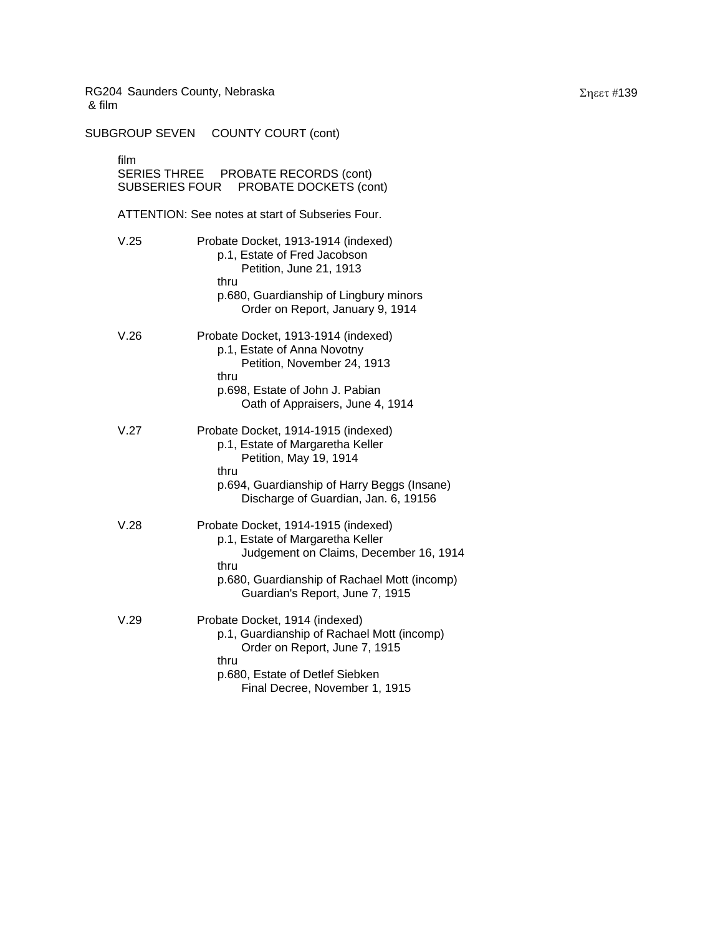SUBGROUP SEVEN COUNTY COURT (cont) film SERIES THREE PROBATE RECORDS (cont) SUBSERIES FOUR PROBATE DOCKETS (cont) ATTENTION: See notes at start of Subseries Four. V.25 Probate Docket, 1913-1914 (indexed) p.1, Estate of Fred Jacobson Petition, June 21, 1913 thru p.680, Guardianship of Lingbury minors Order on Report, January 9, 1914 V.26 Probate Docket, 1913-1914 (indexed) p.1, Estate of Anna Novotny Petition, November 24, 1913 thru p.698, Estate of John J. Pabian Oath of Appraisers, June 4, 1914 V.27 Probate Docket, 1914-1915 (indexed) p.1, Estate of Margaretha Keller Petition, May 19, 1914 thru p.694, Guardianship of Harry Beggs (Insane) Discharge of Guardian, Jan. 6, 19156 V.28 Probate Docket, 1914-1915 (indexed) p.1, Estate of Margaretha Keller Judgement on Claims, December 16, 1914 thru p.680, Guardianship of Rachael Mott (incomp) Guardian's Report, June 7, 1915 V.29 Probate Docket, 1914 (indexed) p.1, Guardianship of Rachael Mott (incomp) Order on Report, June 7, 1915 thru p.680, Estate of Detlef Siebken Final Decree, November 1, 1915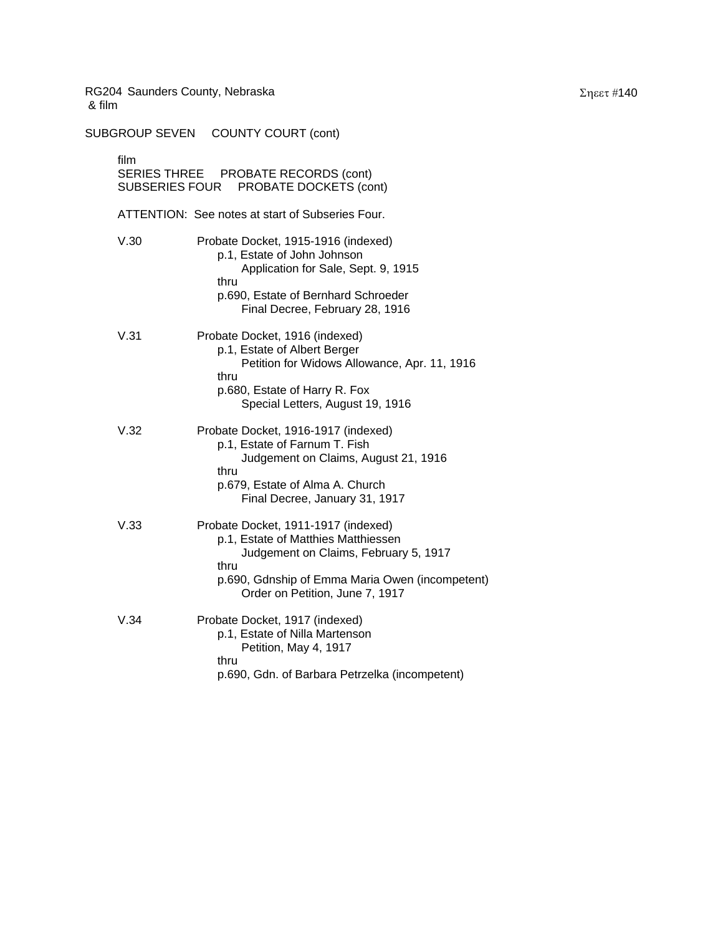SUBGROUP SEVEN COUNTY COURT (cont) film SERIES THREE PROBATE RECORDS (cont) SUBSERIES FOUR PROBATE DOCKETS (cont) ATTENTION: See notes at start of Subseries Four. V.30 Probate Docket, 1915-1916 (indexed) p.1, Estate of John Johnson Application for Sale, Sept. 9, 1915 thru p.690, Estate of Bernhard Schroeder Final Decree, February 28, 1916 V.31 Probate Docket, 1916 (indexed) p.1, Estate of Albert Berger Petition for Widows Allowance, Apr. 11, 1916 thru p.680, Estate of Harry R. Fox Special Letters, August 19, 1916 V.32 Probate Docket, 1916-1917 (indexed) p.1, Estate of Farnum T. Fish Judgement on Claims, August 21, 1916 thru p.679, Estate of Alma A. Church Final Decree, January 31, 1917 V.33 Probate Docket, 1911-1917 (indexed) p.1, Estate of Matthies Matthiessen Judgement on Claims, February 5, 1917 thru p.690, Gdnship of Emma Maria Owen (incompetent) Order on Petition, June 7, 1917 V.34 Probate Docket, 1917 (indexed) p.1, Estate of Nilla Martenson Petition, May 4, 1917 thru p.690, Gdn. of Barbara Petrzelka (incompetent)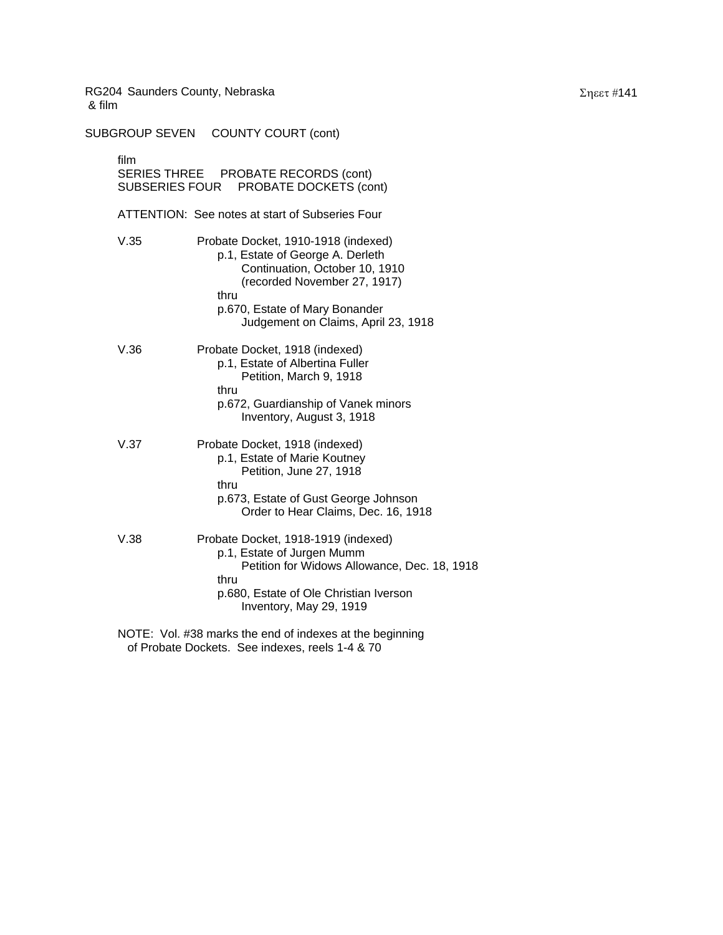SUBGROUP SEVEN COUNTY COURT (cont) film SERIES THREE PROBATE RECORDS (cont) SUBSERIES FOUR PROBATE DOCKETS (cont) ATTENTION: See notes at start of Subseries Four V.35 Probate Docket, 1910-1918 (indexed) p.1, Estate of George A. Derleth Continuation, October 10, 1910 (recorded November 27, 1917) thru p.670, Estate of Mary Bonander Judgement on Claims, April 23, 1918 V.36 Probate Docket, 1918 (indexed) p.1, Estate of Albertina Fuller Petition, March 9, 1918 thru p.672, Guardianship of Vanek minors Inventory, August 3, 1918 V.37 Probate Docket, 1918 (indexed) p.1, Estate of Marie Koutney Petition, June 27, 1918 thru p.673, Estate of Gust George Johnson Order to Hear Claims, Dec. 16, 1918 V.38 Probate Docket, 1918-1919 (indexed) p.1, Estate of Jurgen Mumm Petition for Widows Allowance, Dec. 18, 1918 thru p.680, Estate of Ole Christian Iverson Inventory, May 29, 1919

NOTE: Vol. #38 marks the end of indexes at the beginning of Probate Dockets. See indexes, reels 1-4 & 70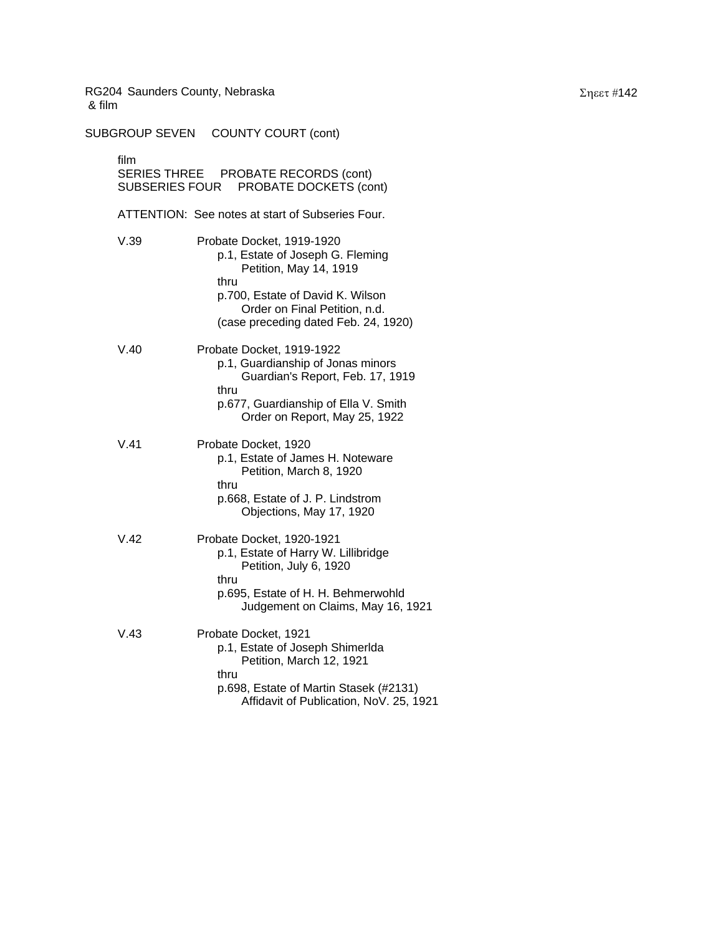SUBGROUP SEVEN COUNTY COURT (cont) film SERIES THREE PROBATE RECORDS (cont) SUBSERIES FOUR PROBATE DOCKETS (cont) ATTENTION: See notes at start of Subseries Four. V.39 Probate Docket, 1919-1920 p.1, Estate of Joseph G. Fleming Petition, May 14, 1919 thru p.700, Estate of David K. Wilson Order on Final Petition, n.d. (case preceding dated Feb. 24, 1920) V.40 Probate Docket, 1919-1922 p.1, Guardianship of Jonas minors Guardian's Report, Feb. 17, 1919 thru p.677, Guardianship of Ella V. Smith Order on Report, May 25, 1922 V.41 Probate Docket, 1920 p.1, Estate of James H. Noteware Petition, March 8, 1920 thru p.668, Estate of J. P. Lindstrom Objections, May 17, 1920 V.42 Probate Docket, 1920-1921 p.1, Estate of Harry W. Lillibridge Petition, July 6, 1920 thru p.695, Estate of H. H. Behmerwohld Judgement on Claims, May 16, 1921 V.43 Probate Docket, 1921 p.1, Estate of Joseph Shimerlda Petition, March 12, 1921 thru p.698, Estate of Martin Stasek (#2131) Affidavit of Publication, NoV. 25, 1921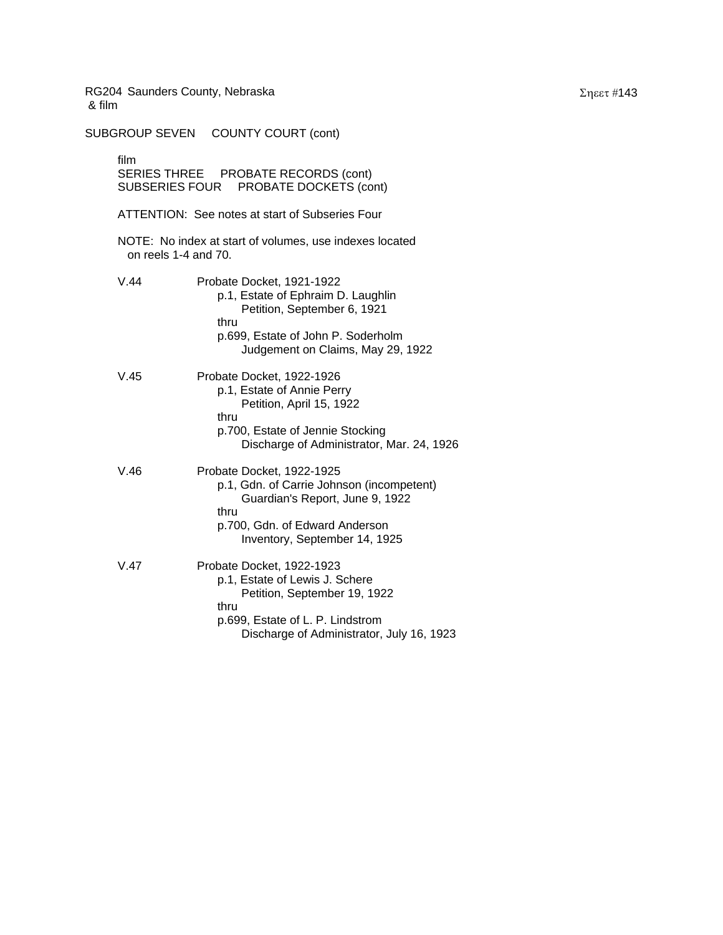SUBGROUP SEVEN COUNTY COURT (cont) film SERIES THREE PROBATE RECORDS (cont) SUBSERIES FOUR PROBATE DOCKETS (cont) ATTENTION: See notes at start of Subseries Four NOTE: No index at start of volumes, use indexes located on reels 1-4 and 70. V.44 Probate Docket, 1921-1922 p.1, Estate of Ephraim D. Laughlin Petition, September 6, 1921 thru p.699, Estate of John P. Soderholm Judgement on Claims, May 29, 1922 V.45 Probate Docket, 1922-1926 p.1, Estate of Annie Perry Petition, April 15, 1922 thru p.700, Estate of Jennie Stocking Discharge of Administrator, Mar. 24, 1926 V.46 Probate Docket, 1922-1925 p.1, Gdn. of Carrie Johnson (incompetent) Guardian's Report, June 9, 1922 thru p.700, Gdn. of Edward Anderson Inventory, September 14, 1925 V.47 Probate Docket, 1922-1923 p.1, Estate of Lewis J. Schere Petition, September 19, 1922 thru p.699, Estate of L. P. Lindstrom Discharge of Administrator, July 16, 1923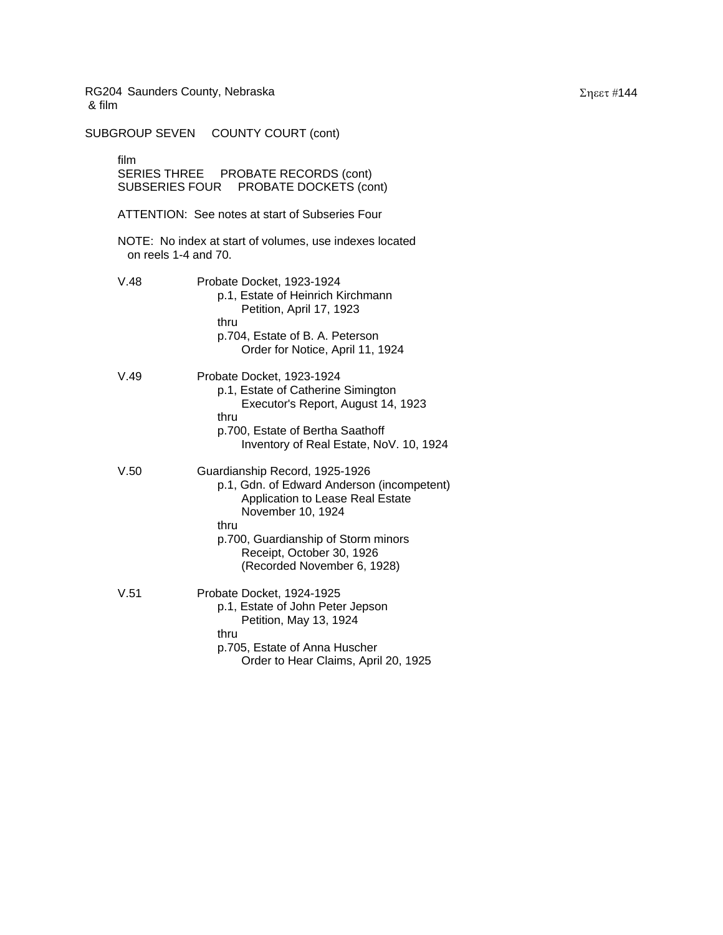SUBGROUP SEVEN COUNTY COURT (cont) film SERIES THREE PROBATE RECORDS (cont) SUBSERIES FOUR PROBATE DOCKETS (cont) ATTENTION: See notes at start of Subseries Four NOTE: No index at start of volumes, use indexes located on reels 1-4 and 70. V.48 Probate Docket, 1923-1924 p.1, Estate of Heinrich Kirchmann Petition, April 17, 1923 thru p.704, Estate of B. A. Peterson Order for Notice, April 11, 1924 V.49 Probate Docket, 1923-1924 p.1, Estate of Catherine Simington Executor's Report, August 14, 1923 thru p.700, Estate of Bertha Saathoff Inventory of Real Estate, NoV. 10, 1924 V.50 Guardianship Record, 1925-1926 p.1, Gdn. of Edward Anderson (incompetent) Application to Lease Real Estate November 10, 1924 thru p.700, Guardianship of Storm minors Receipt, October 30, 1926 (Recorded November 6, 1928) V.51 Probate Docket, 1924-1925 p.1, Estate of John Peter Jepson Petition, May 13, 1924 thru p.705, Estate of Anna Huscher Order to Hear Claims, April 20, 1925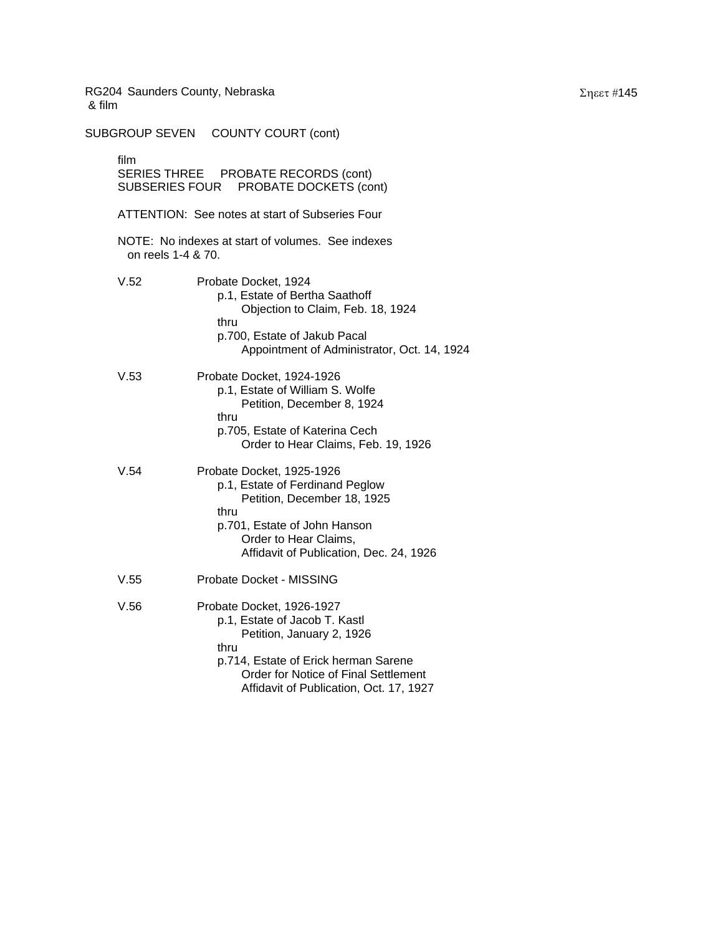SUBGROUP SEVEN COUNTY COURT (cont) film SERIES THREE PROBATE RECORDS (cont) SUBSERIES FOUR PROBATE DOCKETS (cont) ATTENTION: See notes at start of Subseries Four NOTE: No indexes at start of volumes. See indexes on reels 1-4 & 70. V.52 Probate Docket, 1924 p.1, Estate of Bertha Saathoff Objection to Claim, Feb. 18, 1924 thru p.700, Estate of Jakub Pacal Appointment of Administrator, Oct. 14, 1924 V.53 Probate Docket, 1924-1926 p.1, Estate of William S. Wolfe Petition, December 8, 1924 thru p.705, Estate of Katerina Cech Order to Hear Claims, Feb. 19, 1926 V.54 Probate Docket, 1925-1926 p.1, Estate of Ferdinand Peglow Petition, December 18, 1925 thru p.701, Estate of John Hanson Order to Hear Claims, Affidavit of Publication, Dec. 24, 1926 V.55 Probate Docket - MISSING V.56 Probate Docket, 1926-1927 p.1, Estate of Jacob T. Kastl Petition, January 2, 1926 thru p.714, Estate of Erick herman Sarene Order for Notice of Final Settlement Affidavit of Publication, Oct. 17, 1927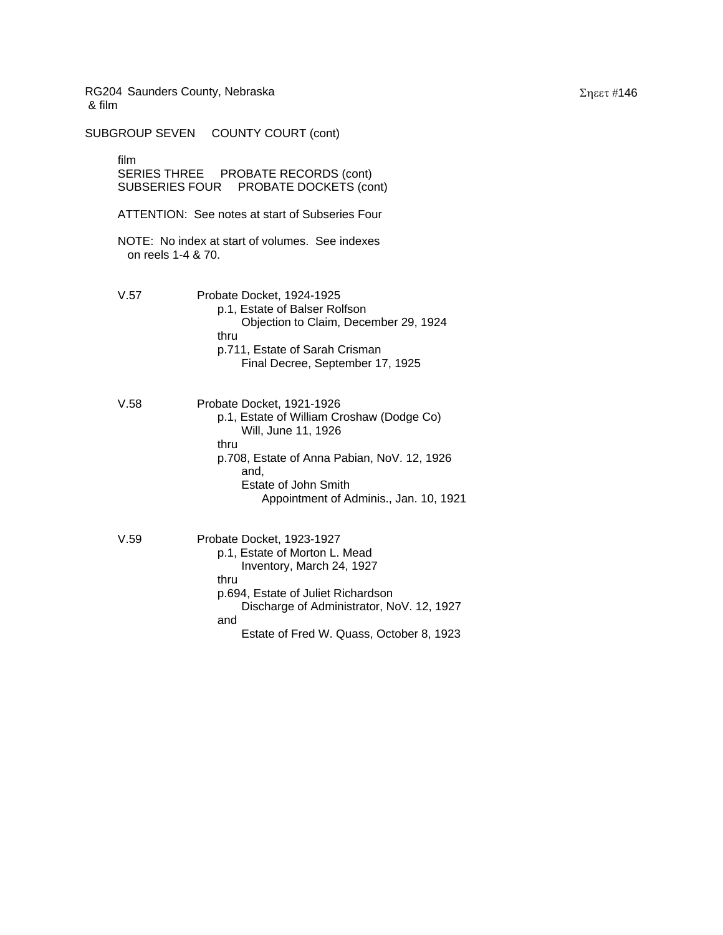SUBGROUP SEVEN COUNTY COURT (cont) film SERIES THREE PROBATE RECORDS (cont) SUBSERIES FOUR PROBATE DOCKETS (cont) ATTENTION: See notes at start of Subseries Four NOTE: No index at start of volumes. See indexes on reels 1-4 & 70. V.57 Probate Docket, 1924-1925 p.1, Estate of Balser Rolfson Objection to Claim, December 29, 1924 thru p.711, Estate of Sarah Crisman Final Decree, September 17, 1925 V.58 Probate Docket, 1921-1926 p.1, Estate of William Croshaw (Dodge Co) Will, June 11, 1926 thru p.708, Estate of Anna Pabian, NoV. 12, 1926 and, Estate of John Smith Appointment of Adminis., Jan. 10, 1921 V.59 Probate Docket, 1923-1927 p.1, Estate of Morton L. Mead Inventory, March 24, 1927 thru p.694, Estate of Juliet Richardson Discharge of Administrator, NoV. 12, 1927 and Estate of Fred W. Quass, October 8, 1923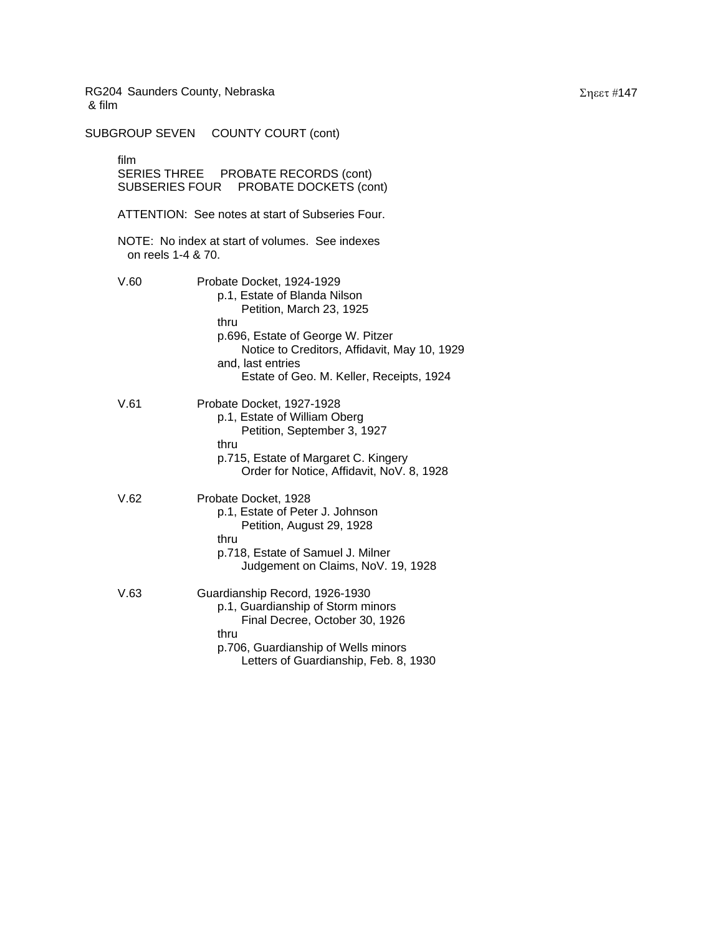SUBGROUP SEVEN COUNTY COURT (cont) film SERIES THREE PROBATE RECORDS (cont) SUBSERIES FOUR PROBATE DOCKETS (cont) ATTENTION: See notes at start of Subseries Four. NOTE: No index at start of volumes. See indexes on reels 1-4 & 70. V.60 Probate Docket, 1924-1929 p.1, Estate of Blanda Nilson Petition, March 23, 1925 thru p.696, Estate of George W. Pitzer Notice to Creditors, Affidavit, May 10, 1929 and, last entries Estate of Geo. M. Keller, Receipts, 1924 V.61 Probate Docket, 1927-1928 p.1, Estate of William Oberg Petition, September 3, 1927 thru p.715, Estate of Margaret C. Kingery Order for Notice, Affidavit, NoV. 8, 1928 V.62 Probate Docket, 1928 p.1, Estate of Peter J. Johnson Petition, August 29, 1928 thru p.718, Estate of Samuel J. Milner Judgement on Claims, NoV. 19, 1928 V.63 Guardianship Record, 1926-1930 p.1, Guardianship of Storm minors Final Decree, October 30, 1926 thru p.706, Guardianship of Wells minors Letters of Guardianship, Feb. 8, 1930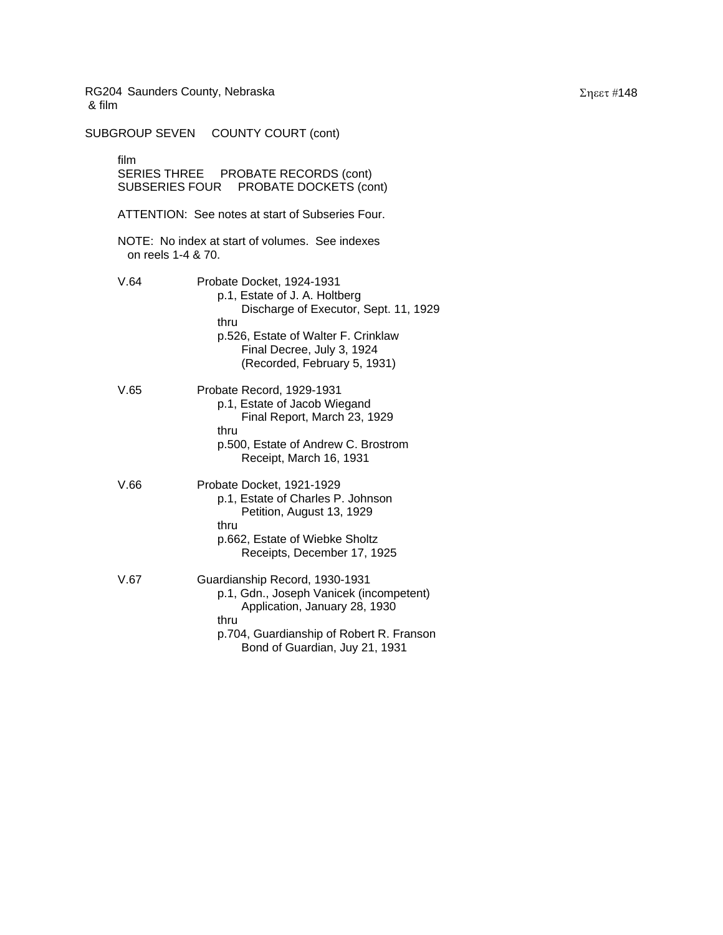SUBGROUP SEVEN COUNTY COURT (cont) film SERIES THREE PROBATE RECORDS (cont) SUBSERIES FOUR PROBATE DOCKETS (cont) ATTENTION: See notes at start of Subseries Four. NOTE: No index at start of volumes. See indexes on reels 1-4 & 70. V.64 Probate Docket, 1924-1931 p.1, Estate of J. A. Holtberg Discharge of Executor, Sept. 11, 1929 thru p.526, Estate of Walter F. Crinklaw Final Decree, July 3, 1924 (Recorded, February 5, 1931) V.65 Probate Record, 1929-1931 p.1, Estate of Jacob Wiegand Final Report, March 23, 1929 thru p.500, Estate of Andrew C. Brostrom Receipt, March 16, 1931 V.66 Probate Docket, 1921-1929 p.1, Estate of Charles P. Johnson Petition, August 13, 1929 thru p.662, Estate of Wiebke Sholtz Receipts, December 17, 1925 V.67 Guardianship Record, 1930-1931 p.1, Gdn., Joseph Vanicek (incompetent) Application, January 28, 1930 thru p.704, Guardianship of Robert R. Franson Bond of Guardian, Juy 21, 1931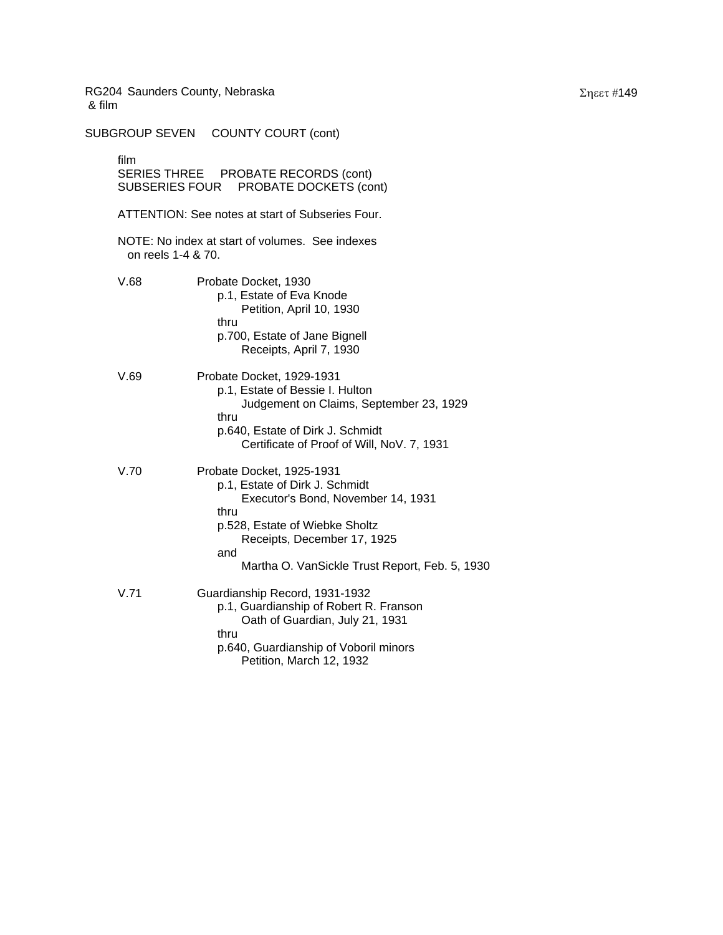SUBGROUP SEVEN COUNTY COURT (cont) film SERIES THREE PROBATE RECORDS (cont) SUBSERIES FOUR PROBATE DOCKETS (cont) ATTENTION: See notes at start of Subseries Four. NOTE: No index at start of volumes. See indexes on reels 1-4 & 70. V.68 Probate Docket, 1930 p.1, Estate of Eva Knode Petition, April 10, 1930 thru p.700, Estate of Jane Bignell Receipts, April 7, 1930 V.69 Probate Docket, 1929-1931 p.1, Estate of Bessie I. Hulton Judgement on Claims, September 23, 1929 thru p.640, Estate of Dirk J. Schmidt Certificate of Proof of Will, NoV. 7, 1931 V.70 Probate Docket, 1925-1931 p.1, Estate of Dirk J. Schmidt Executor's Bond, November 14, 1931 thru p.528, Estate of Wiebke Sholtz Receipts, December 17, 1925 and Martha O. VanSickle Trust Report, Feb. 5, 1930 V.71 Guardianship Record, 1931-1932 p.1, Guardianship of Robert R. Franson Oath of Guardian, July 21, 1931 thru p.640, Guardianship of Voboril minors Petition, March 12, 1932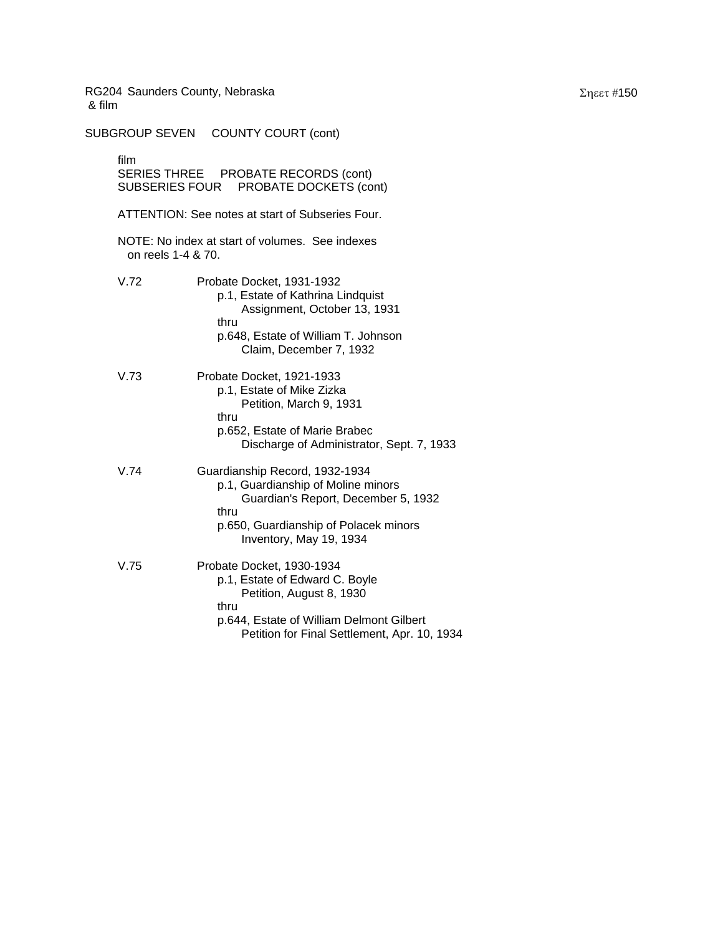SUBGROUP SEVEN COUNTY COURT (cont) film SERIES THREE PROBATE RECORDS (cont) SUBSERIES FOUR PROBATE DOCKETS (cont) ATTENTION: See notes at start of Subseries Four. NOTE: No index at start of volumes. See indexes on reels 1-4 & 70. V.72 Probate Docket, 1931-1932 p.1, Estate of Kathrina Lindquist Assignment, October 13, 1931 thru p.648, Estate of William T. Johnson Claim, December 7, 1932 V.73 Probate Docket, 1921-1933 p.1, Estate of Mike Zizka Petition, March 9, 1931 thru p.652, Estate of Marie Brabec Discharge of Administrator, Sept. 7, 1933 V.74 Guardianship Record, 1932-1934 p.1, Guardianship of Moline minors Guardian's Report, December 5, 1932 thru p.650, Guardianship of Polacek minors Inventory, May 19, 1934 V.75 Probate Docket, 1930-1934 p.1, Estate of Edward C. Boyle Petition, August 8, 1930 thru p.644, Estate of William Delmont Gilbert Petition for Final Settlement, Apr. 10, 1934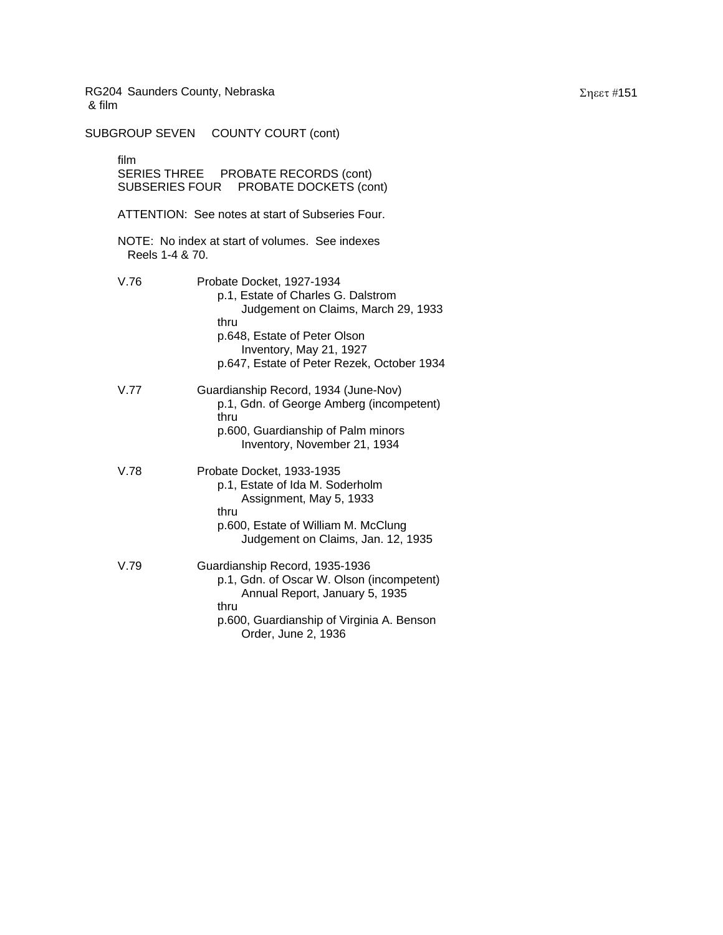SUBGROUP SEVEN COUNTY COURT (cont) film SERIES THREE PROBATE RECORDS (cont) SUBSERIES FOUR PROBATE DOCKETS (cont) ATTENTION: See notes at start of Subseries Four. NOTE: No index at start of volumes. See indexes Reels 1-4 & 70. V.76 Probate Docket, 1927-1934 p.1, Estate of Charles G. Dalstrom Judgement on Claims, March 29, 1933 thru p.648, Estate of Peter Olson Inventory, May 21, 1927 p.647, Estate of Peter Rezek, October 1934 V.77 Guardianship Record, 1934 (June-Nov) p.1, Gdn. of George Amberg (incompetent) thru p.600, Guardianship of Palm minors Inventory, November 21, 1934 V.78 Probate Docket, 1933-1935 p.1, Estate of Ida M. Soderholm Assignment, May 5, 1933 thru p.600, Estate of William M. McClung Judgement on Claims, Jan. 12, 1935 V.79 Guardianship Record, 1935-1936 p.1, Gdn. of Oscar W. Olson (incompetent) Annual Report, January 5, 1935 thru p.600, Guardianship of Virginia A. Benson Order, June 2, 1936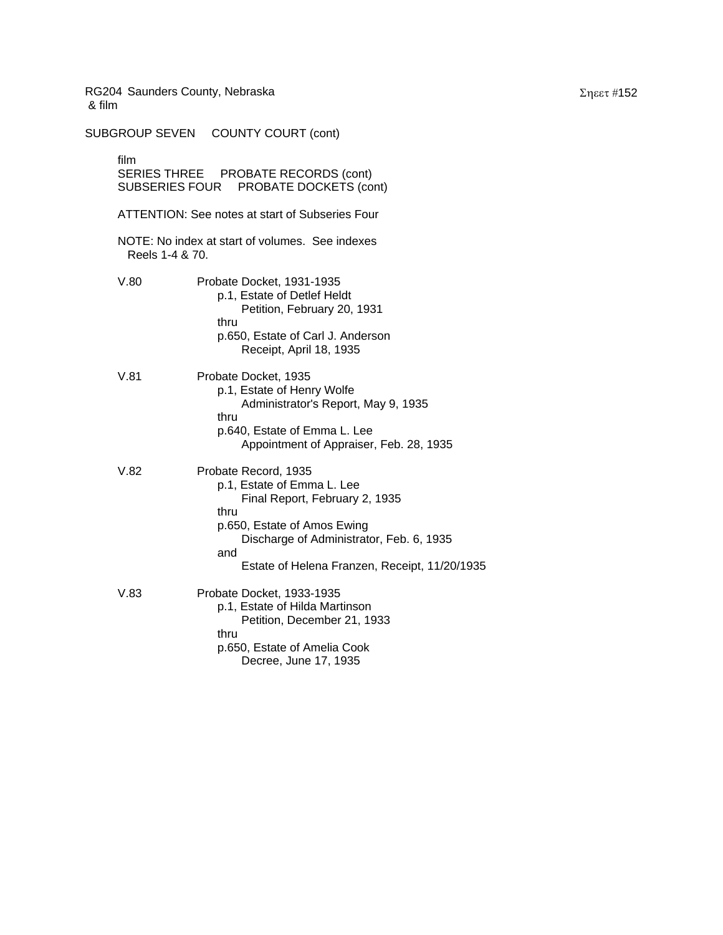SUBGROUP SEVEN COUNTY COURT (cont) film SERIES THREE PROBATE RECORDS (cont) SUBSERIES FOUR PROBATE DOCKETS (cont) ATTENTION: See notes at start of Subseries Four NOTE: No index at start of volumes. See indexes Reels 1-4 & 70. V.80 Probate Docket, 1931-1935 p.1, Estate of Detlef Heldt Petition, February 20, 1931 thru p.650, Estate of Carl J. Anderson Receipt, April 18, 1935 V.81 Probate Docket, 1935 p.1, Estate of Henry Wolfe Administrator's Report, May 9, 1935 thru p.640, Estate of Emma L. Lee Appointment of Appraiser, Feb. 28, 1935 V.82 Probate Record, 1935 p.1, Estate of Emma L. Lee Final Report, February 2, 1935 thru p.650, Estate of Amos Ewing Discharge of Administrator, Feb. 6, 1935 and Estate of Helena Franzen, Receipt, 11/20/1935 V.83 Probate Docket, 1933-1935 p.1, Estate of Hilda Martinson Petition, December 21, 1933 thru p.650, Estate of Amelia Cook Decree, June 17, 1935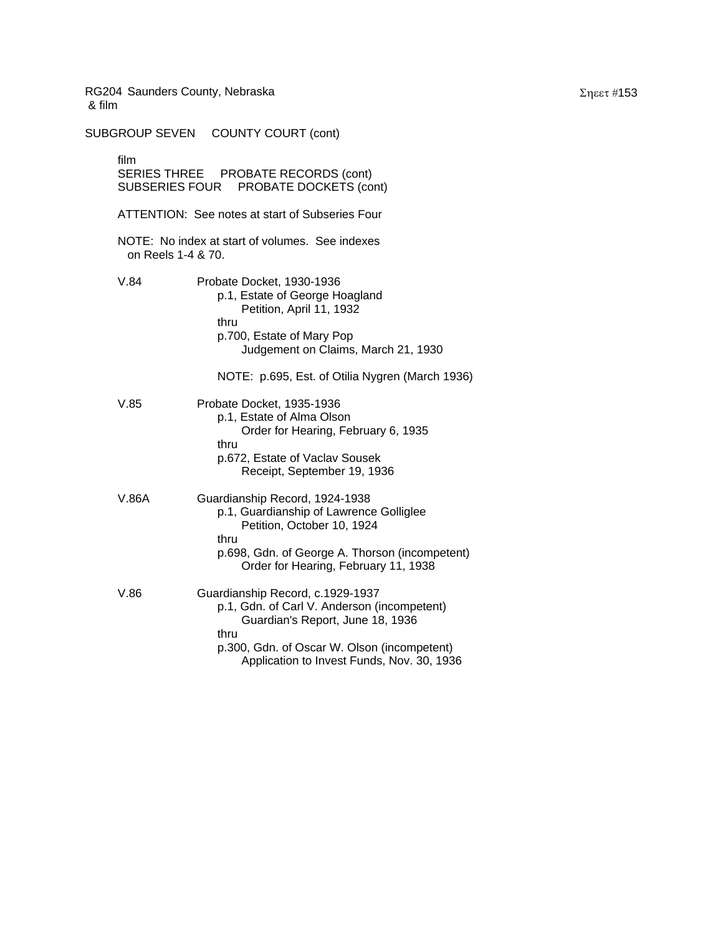SUBGROUP SEVEN COUNTY COURT (cont) film SERIES THREE PROBATE RECORDS (cont) SUBSERIES FOUR PROBATE DOCKETS (cont) ATTENTION: See notes at start of Subseries Four NOTE: No index at start of volumes. See indexes on Reels 1-4 & 70. V.84 Probate Docket, 1930-1936 p.1, Estate of George Hoagland Petition, April 11, 1932 thru p.700, Estate of Mary Pop Judgement on Claims, March 21, 1930 NOTE: p.695, Est. of Otilia Nygren (March 1936) V.85 Probate Docket, 1935-1936 p.1, Estate of Alma Olson Order for Hearing, February 6, 1935 thru p.672, Estate of Vaclav Sousek Receipt, September 19, 1936 V.86A Guardianship Record, 1924-1938 p.1, Guardianship of Lawrence Golliglee Petition, October 10, 1924 thru p.698, Gdn. of George A. Thorson (incompetent) Order for Hearing, February 11, 1938 V.86 Guardianship Record, c.1929-1937 p.1, Gdn. of Carl V. Anderson (incompetent) Guardian's Report, June 18, 1936 thru p.300, Gdn. of Oscar W. Olson (incompetent) Application to Invest Funds, Nov. 30, 1936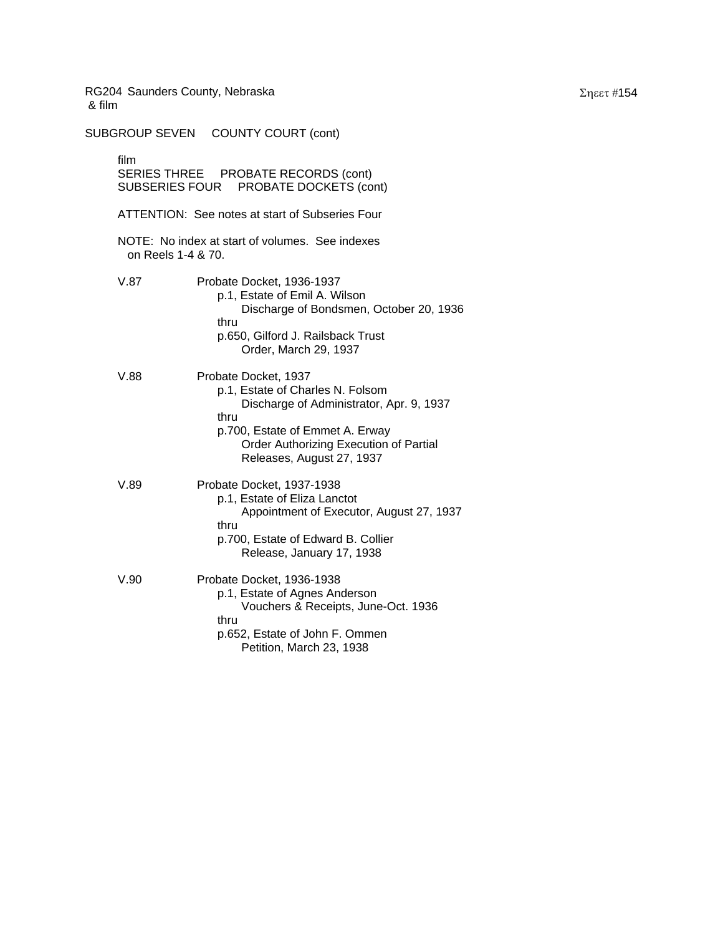SUBGROUP SEVEN COUNTY COURT (cont) film SERIES THREE PROBATE RECORDS (cont) SUBSERIES FOUR PROBATE DOCKETS (cont) ATTENTION: See notes at start of Subseries Four NOTE: No index at start of volumes. See indexes on Reels 1-4 & 70. V.87 Probate Docket, 1936-1937 p.1, Estate of Emil A. Wilson Discharge of Bondsmen, October 20, 1936 thru p.650, Gilford J. Railsback Trust Order, March 29, 1937 V.88 Probate Docket, 1937 p.1, Estate of Charles N. Folsom Discharge of Administrator, Apr. 9, 1937 thru p.700, Estate of Emmet A. Erway Order Authorizing Execution of Partial Releases, August 27, 1937 V.89 Probate Docket, 1937-1938 p.1, Estate of Eliza Lanctot Appointment of Executor, August 27, 1937 thru p.700, Estate of Edward B. Collier Release, January 17, 1938 V.90 Probate Docket, 1936-1938 p.1, Estate of Agnes Anderson Vouchers & Receipts, June-Oct. 1936 thru p.652, Estate of John F. Ommen Petition, March 23, 1938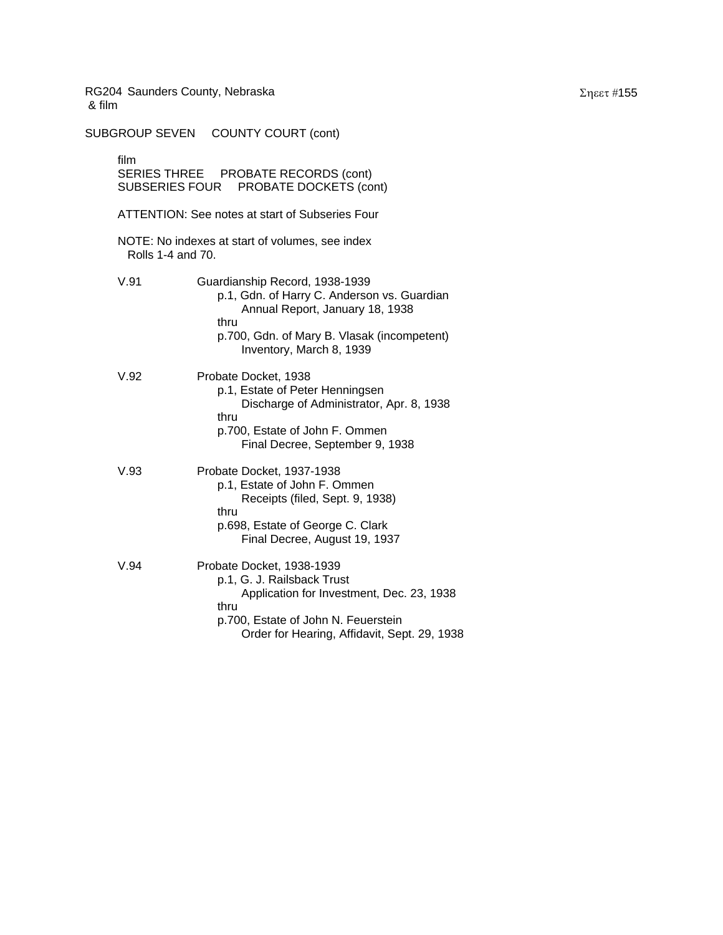SUBGROUP SEVEN COUNTY COURT (cont) film SERIES THREE PROBATE RECORDS (cont) SUBSERIES FOUR PROBATE DOCKETS (cont) ATTENTION: See notes at start of Subseries Four NOTE: No indexes at start of volumes, see index Rolls 1-4 and 70. V.91 Guardianship Record, 1938-1939 p.1, Gdn. of Harry C. Anderson vs. Guardian Annual Report, January 18, 1938 thru p.700, Gdn. of Mary B. Vlasak (incompetent) Inventory, March 8, 1939 V.92 Probate Docket, 1938 p.1, Estate of Peter Henningsen Discharge of Administrator, Apr. 8, 1938 thru p.700, Estate of John F. Ommen Final Decree, September 9, 1938 V.93 Probate Docket, 1937-1938 p.1, Estate of John F. Ommen Receipts (filed, Sept. 9, 1938) thru p.698, Estate of George C. Clark Final Decree, August 19, 1937 V.94 Probate Docket, 1938-1939 p.1, G. J. Railsback Trust Application for Investment, Dec. 23, 1938 thru p.700, Estate of John N. Feuerstein Order for Hearing, Affidavit, Sept. 29, 1938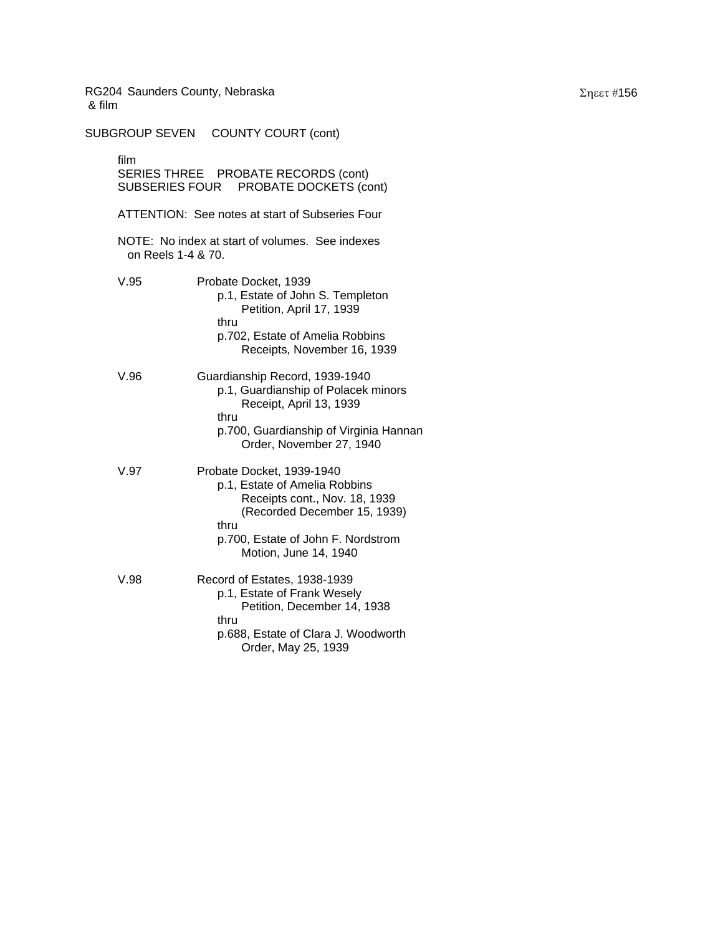SUBGROUP SEVEN COUNTY COURT (cont) film SERIES THREE PROBATE RECORDS (cont) SUBSERIES FOUR PROBATE DOCKETS (cont) ATTENTION: See notes at start of Subseries Four NOTE: No index at start of volumes. See indexes on Reels 1-4 & 70. V.95 Probate Docket, 1939 p.1, Estate of John S. Templeton Petition, April 17, 1939 thru p.702, Estate of Amelia Robbins Receipts, November 16, 1939 V.96 Guardianship Record, 1939-1940 p.1, Guardianship of Polacek minors Receipt, April 13, 1939 thru p.700, Guardianship of Virginia Hannan Order, November 27, 1940 V.97 Probate Docket, 1939-1940 p.1, Estate of Amelia Robbins Receipts cont., Nov. 18, 1939 (Recorded December 15, 1939) thru p.700, Estate of John F. Nordstrom Motion, June 14, 1940 V.98 Record of Estates, 1938-1939 p.1, Estate of Frank Wesely Petition, December 14, 1938 thru p.688, Estate of Clara J. Woodworth Order, May 25, 1939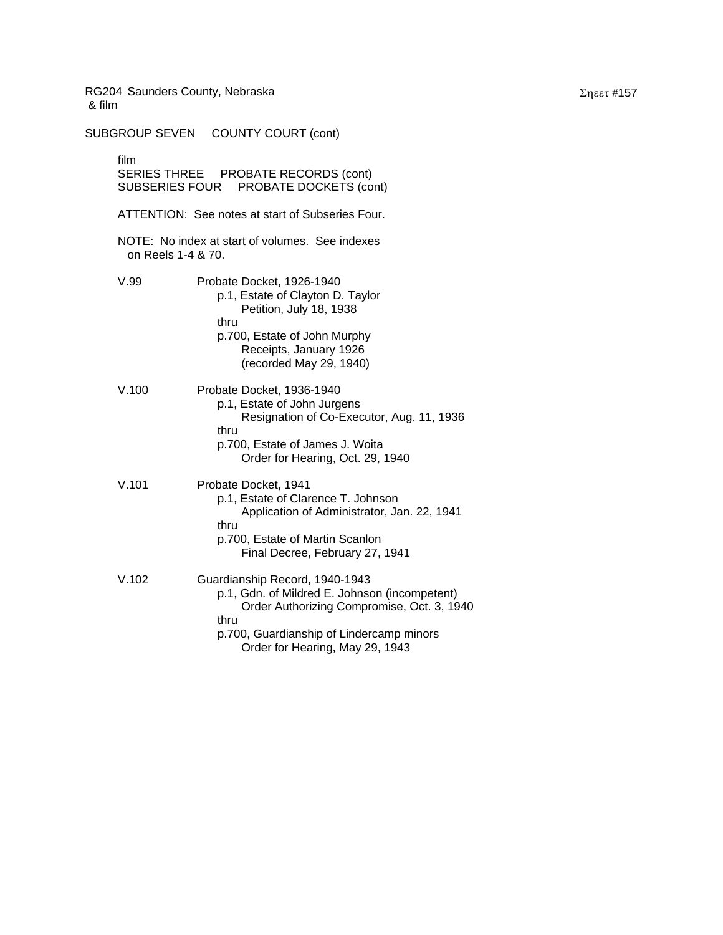SUBGROUP SEVEN COUNTY COURT (cont) film SERIES THREE PROBATE RECORDS (cont) SUBSERIES FOUR PROBATE DOCKETS (cont) ATTENTION: See notes at start of Subseries Four. NOTE: No index at start of volumes. See indexes on Reels 1-4 & 70. V.99 Probate Docket, 1926-1940 p.1, Estate of Clayton D. Taylor Petition, July 18, 1938 thru p.700, Estate of John Murphy Receipts, January 1926 (recorded May 29, 1940) V.100 Probate Docket, 1936-1940 p.1, Estate of John Jurgens Resignation of Co-Executor, Aug. 11, 1936 thru p.700, Estate of James J. Woita Order for Hearing, Oct. 29, 1940 V.101 Probate Docket, 1941 p.1, Estate of Clarence T. Johnson Application of Administrator, Jan. 22, 1941 thru p.700, Estate of Martin Scanlon Final Decree, February 27, 1941 V.102 Guardianship Record, 1940-1943 p.1, Gdn. of Mildred E. Johnson (incompetent) Order Authorizing Compromise, Oct. 3, 1940 thru p.700, Guardianship of Lindercamp minors Order for Hearing, May 29, 1943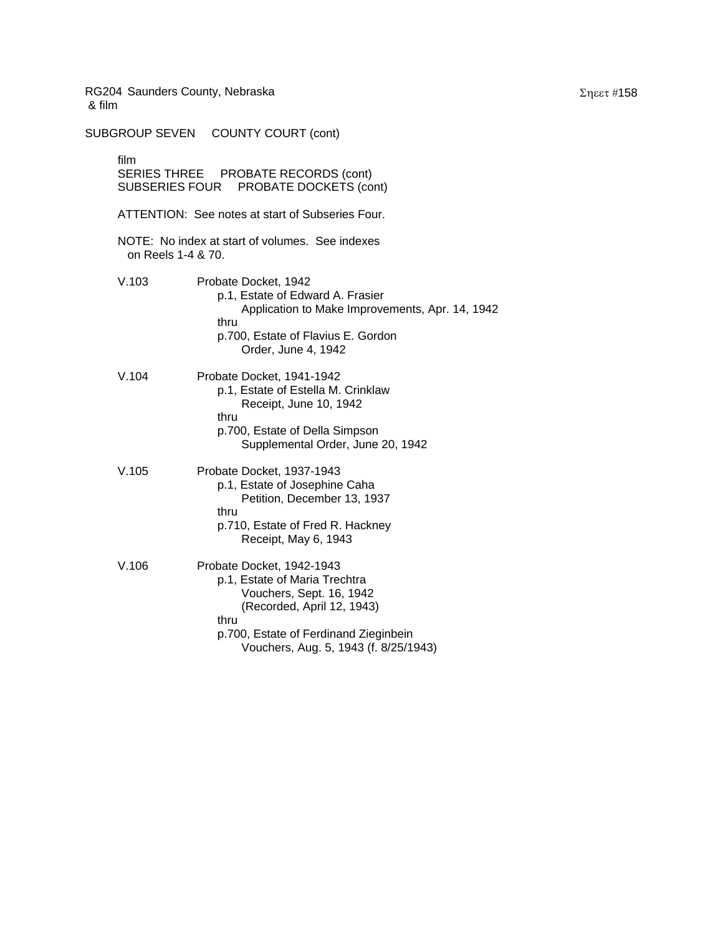SUBGROUP SEVEN COUNTY COURT (cont) film SERIES THREE PROBATE RECORDS (cont) SUBSERIES FOUR PROBATE DOCKETS (cont) ATTENTION: See notes at start of Subseries Four. NOTE: No index at start of volumes. See indexes on Reels 1-4 & 70. V.103 Probate Docket, 1942 p.1, Estate of Edward A. Frasier Application to Make Improvements, Apr. 14, 1942 thru p.700, Estate of Flavius E. Gordon Order, June 4, 1942 V.104 Probate Docket, 1941-1942 p.1, Estate of Estella M. Crinklaw Receipt, June 10, 1942 thru p.700, Estate of Della Simpson Supplemental Order, June 20, 1942 V.105 Probate Docket, 1937-1943 p.1, Estate of Josephine Caha Petition, December 13, 1937 thru p.710, Estate of Fred R. Hackney Receipt, May 6, 1943 V.106 Probate Docket, 1942-1943 p.1, Estate of Maria Trechtra Vouchers, Sept. 16, 1942 (Recorded, April 12, 1943) thru p.700, Estate of Ferdinand Zieginbein Vouchers, Aug. 5, 1943 (f. 8/25/1943)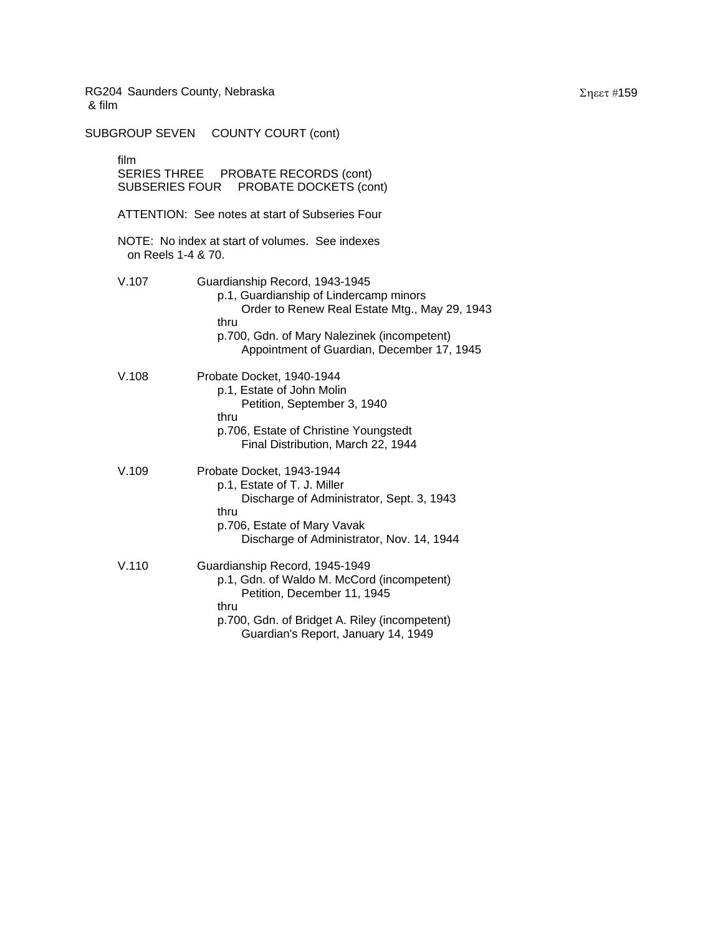SUBGROUP SEVEN COUNTY COURT (cont) film SERIES THREE PROBATE RECORDS (cont) SUBSERIES FOUR PROBATE DOCKETS (cont) ATTENTION: See notes at start of Subseries Four NOTE: No index at start of volumes. See indexes on Reels 1-4 & 70. V.107 Guardianship Record, 1943-1945 p.1, Guardianship of Lindercamp minors Order to Renew Real Estate Mtg., May 29, 1943 thru p.700, Gdn. of Mary Nalezinek (incompetent) Appointment of Guardian, December 17, 1945 V.108 Probate Docket, 1940-1944 p.1, Estate of John Molin Petition, September 3, 1940 thru p.706, Estate of Christine Youngstedt Final Distribution, March 22, 1944 V.109 Probate Docket, 1943-1944 p.1, Estate of T. J. Miller Discharge of Administrator, Sept. 3, 1943 thru p.706, Estate of Mary Vavak Discharge of Administrator, Nov. 14, 1944 V.110 Guardianship Record, 1945-1949 p.1, Gdn. of Waldo M. McCord (incompetent) Petition, December 11, 1945 thru p.700, Gdn. of Bridget A. Riley (incompetent) Guardian's Report, January 14, 1949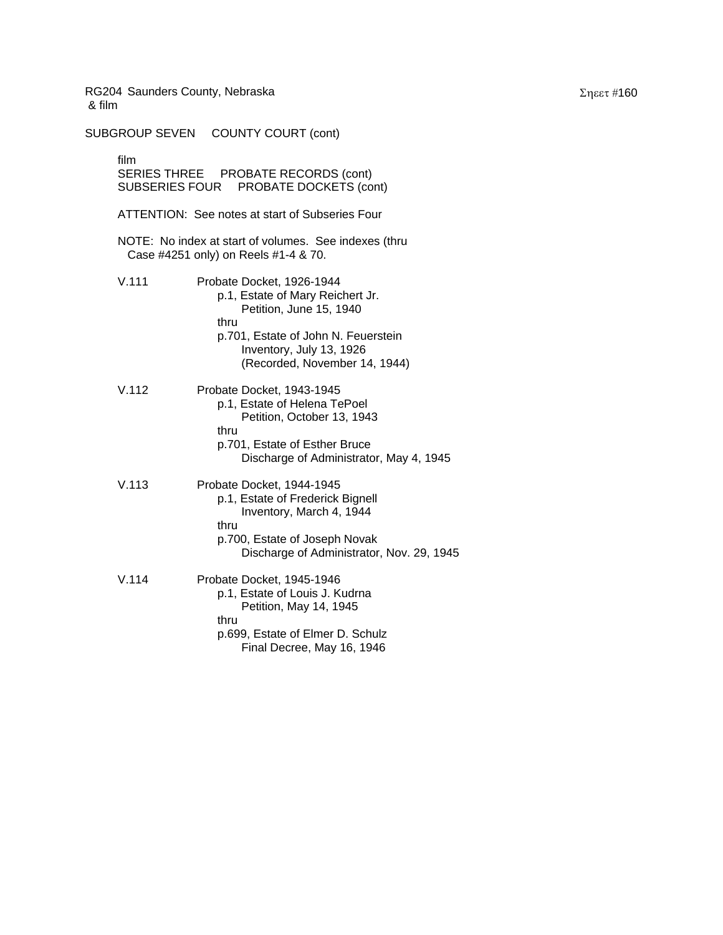SUBGROUP SEVEN COUNTY COURT (cont) film SERIES THREE PROBATE RECORDS (cont) SUBSERIES FOUR PROBATE DOCKETS (cont) ATTENTION: See notes at start of Subseries Four NOTE: No index at start of volumes. See indexes (thru Case #4251 only) on Reels #1-4 & 70. V.111 Probate Docket, 1926-1944 p.1, Estate of Mary Reichert Jr. Petition, June 15, 1940 thru p.701, Estate of John N. Feuerstein Inventory, July 13, 1926 (Recorded, November 14, 1944) V.112 Probate Docket, 1943-1945 p.1, Estate of Helena TePoel Petition, October 13, 1943 thru p.701, Estate of Esther Bruce Discharge of Administrator, May 4, 1945 V.113 Probate Docket, 1944-1945 p.1, Estate of Frederick Bignell Inventory, March 4, 1944 thru p.700, Estate of Joseph Novak Discharge of Administrator, Nov. 29, 1945 V.114 Probate Docket, 1945-1946 p.1, Estate of Louis J. Kudrna Petition, May 14, 1945 thru p.699, Estate of Elmer D. Schulz Final Decree, May 16, 1946

Σηεετ #160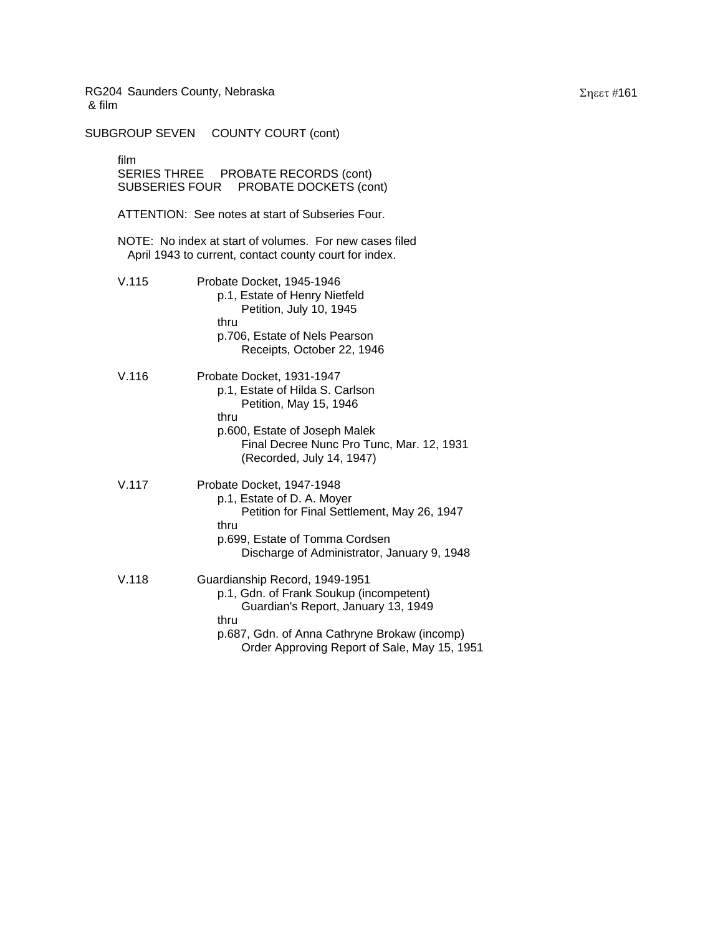SUBGROUP SEVEN COUNTY COURT (cont) film SERIES THREE PROBATE RECORDS (cont) SUBSERIES FOUR PROBATE DOCKETS (cont) ATTENTION: See notes at start of Subseries Four. NOTE: No index at start of volumes. For new cases filed April 1943 to current, contact county court for index. V.115 Probate Docket, 1945-1946 p.1, Estate of Henry Nietfeld Petition, July 10, 1945 thru p.706, Estate of Nels Pearson Receipts, October 22, 1946 V.116 Probate Docket, 1931-1947 p.1, Estate of Hilda S. Carlson Petition, May 15, 1946 thru p.600, Estate of Joseph Malek Final Decree Nunc Pro Tunc, Mar. 12, 1931 (Recorded, July 14, 1947) V.117 Probate Docket, 1947-1948 p.1, Estate of D. A. Moyer Petition for Final Settlement, May 26, 1947 thru p.699, Estate of Tomma Cordsen Discharge of Administrator, January 9, 1948 V.118 Guardianship Record, 1949-1951 p.1, Gdn. of Frank Soukup (incompetent) Guardian's Report, January 13, 1949 thru p.687, Gdn. of Anna Cathryne Brokaw (incomp) Order Approving Report of Sale, May 15, 1951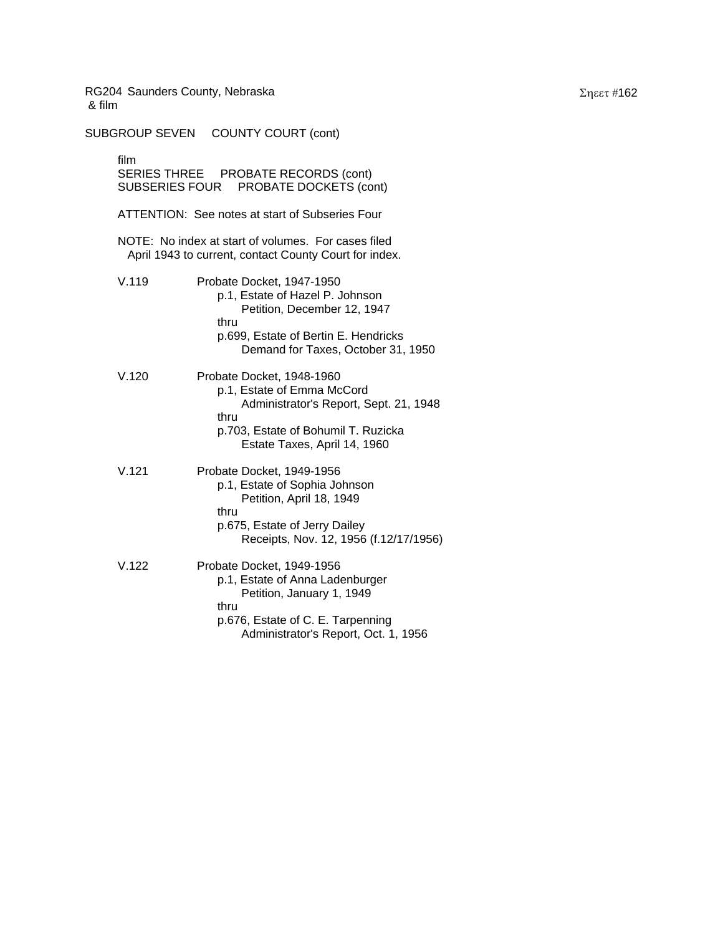SUBGROUP SEVEN COUNTY COURT (cont) film SERIES THREE PROBATE RECORDS (cont) SUBSERIES FOUR PROBATE DOCKETS (cont) ATTENTION: See notes at start of Subseries Four NOTE: No index at start of volumes. For cases filed April 1943 to current, contact County Court for index. V.119 Probate Docket, 1947-1950 p.1, Estate of Hazel P. Johnson Petition, December 12, 1947 thru p.699, Estate of Bertin E. Hendricks Demand for Taxes, October 31, 1950 V.120 Probate Docket, 1948-1960 p.1, Estate of Emma McCord Administrator's Report, Sept. 21, 1948 thru p.703, Estate of Bohumil T. Ruzicka Estate Taxes, April 14, 1960 V.121 Probate Docket, 1949-1956 p.1, Estate of Sophia Johnson Petition, April 18, 1949 thru p.675, Estate of Jerry Dailey Receipts, Nov. 12, 1956 (f.12/17/1956) V.122 Probate Docket, 1949-1956 p.1, Estate of Anna Ladenburger Petition, January 1, 1949 thru p.676, Estate of C. E. Tarpenning Administrator's Report, Oct. 1, 1956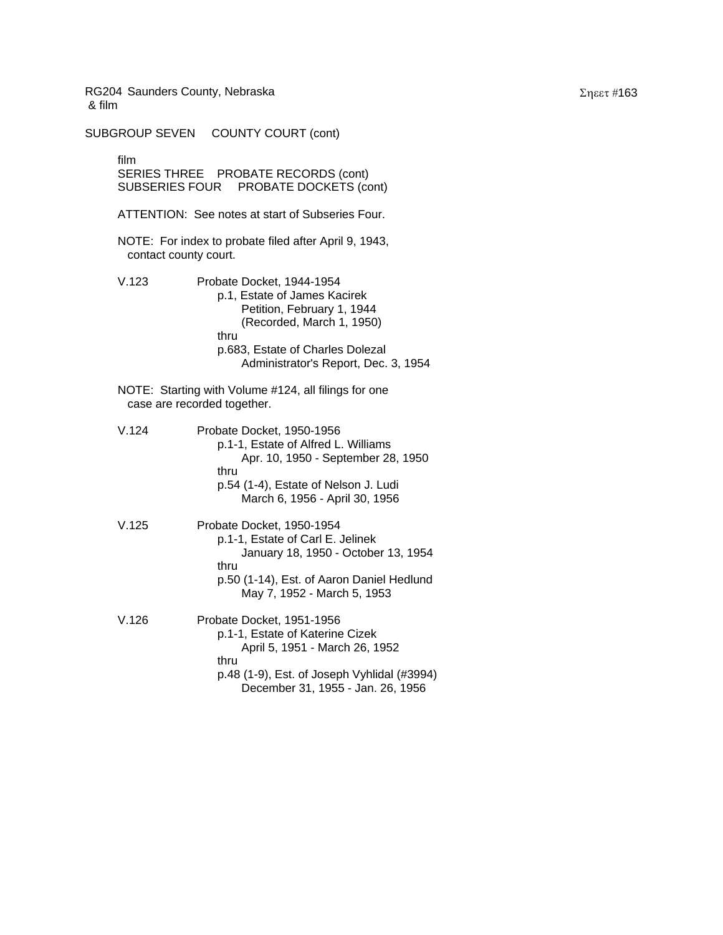SUBGROUP SEVEN COUNTY COURT (cont) film SERIES THREE PROBATE RECORDS (cont) SUBSERIES FOUR PROBATE DOCKETS (cont) ATTENTION: See notes at start of Subseries Four. NOTE: For index to probate filed after April 9, 1943, contact county court. V.123 Probate Docket, 1944-1954 p.1, Estate of James Kacirek Petition, February 1, 1944 (Recorded, March 1, 1950) thru p.683, Estate of Charles Dolezal Administrator's Report, Dec. 3, 1954 NOTE: Starting with Volume #124, all filings for one case are recorded together. V.124 Probate Docket, 1950-1956 p.1-1, Estate of Alfred L. Williams Apr. 10, 1950 - September 28, 1950 thru p.54 (1-4), Estate of Nelson J. Ludi March 6, 1956 - April 30, 1956 V.125 Probate Docket, 1950-1954 p.1-1, Estate of Carl E. Jelinek January 18, 1950 - October 13, 1954 thru p.50 (1-14), Est. of Aaron Daniel Hedlund May 7, 1952 - March 5, 1953 V.126 Probate Docket, 1951-1956 p.1-1, Estate of Katerine Cizek April 5, 1951 - March 26, 1952 thru p.48 (1-9), Est. of Joseph Vyhlidal (#3994) December 31, 1955 - Jan. 26, 1956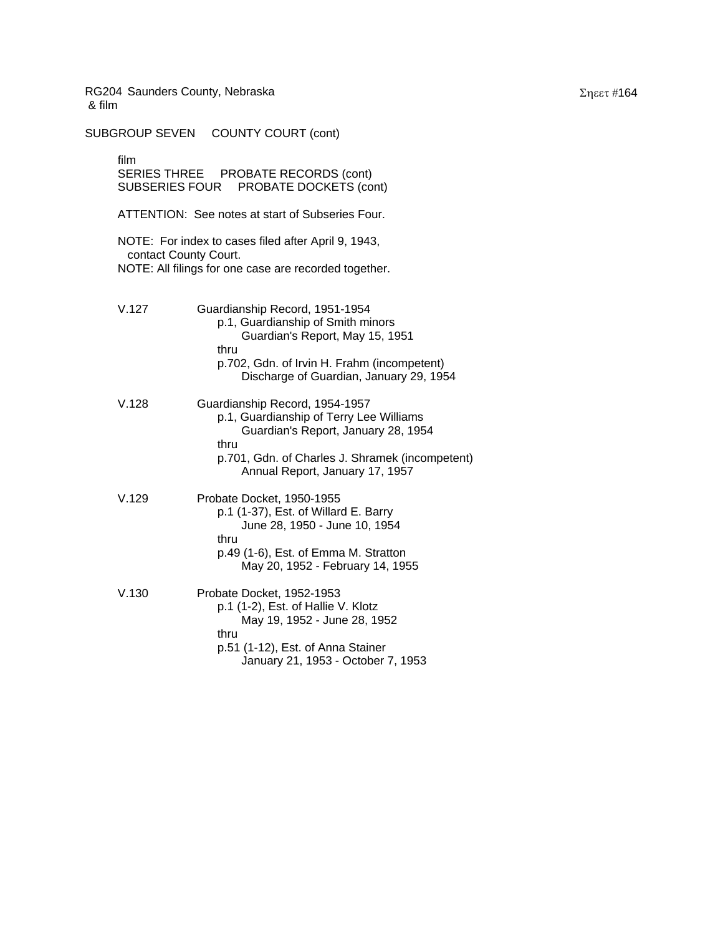SUBGROUP SEVEN COUNTY COURT (cont) film SERIES THREE PROBATE RECORDS (cont) SUBSERIES FOUR PROBATE DOCKETS (cont) ATTENTION: See notes at start of Subseries Four. NOTE: For index to cases filed after April 9, 1943, contact County Court. NOTE: All filings for one case are recorded together. V.127 Guardianship Record, 1951-1954 p.1, Guardianship of Smith minors Guardian's Report, May 15, 1951 thru p.702, Gdn. of Irvin H. Frahm (incompetent) Discharge of Guardian, January 29, 1954 V.128 Guardianship Record, 1954-1957 p.1, Guardianship of Terry Lee Williams Guardian's Report, January 28, 1954 thru p.701, Gdn. of Charles J. Shramek (incompetent) Annual Report, January 17, 1957 V.129 Probate Docket, 1950-1955 p.1 (1-37), Est. of Willard E. Barry June 28, 1950 - June 10, 1954 thru p.49 (1-6), Est. of Emma M. Stratton May 20, 1952 - February 14, 1955 V.130 Probate Docket, 1952-1953 p.1 (1-2), Est. of Hallie V. Klotz May 19, 1952 - June 28, 1952 thru p.51 (1-12), Est. of Anna Stainer January 21, 1953 - October 7, 1953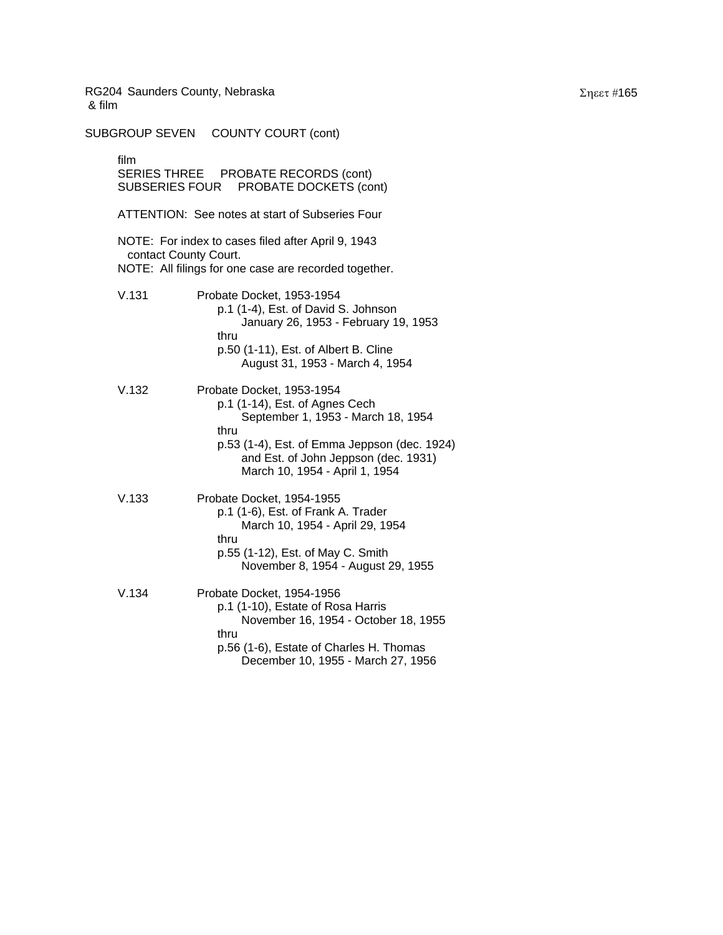SUBGROUP SEVEN COUNTY COURT (cont) film SERIES THREE PROBATE RECORDS (cont) SUBSERIES FOUR PROBATE DOCKETS (cont) ATTENTION: See notes at start of Subseries Four NOTE: For index to cases filed after April 9, 1943 contact County Court. NOTE: All filings for one case are recorded together. V.131 Probate Docket, 1953-1954 p.1 (1-4), Est. of David S. Johnson January 26, 1953 - February 19, 1953 thru p.50 (1-11), Est. of Albert B. Cline August 31, 1953 - March 4, 1954 V.132 Probate Docket, 1953-1954 p.1 (1-14), Est. of Agnes Cech September 1, 1953 - March 18, 1954 thru p.53 (1-4), Est. of Emma Jeppson (dec. 1924) and Est. of John Jeppson (dec. 1931) March 10, 1954 - April 1, 1954 V.133 Probate Docket, 1954-1955 p.1 (1-6), Est. of Frank A. Trader March 10, 1954 - April 29, 1954 thru p.55 (1-12), Est. of May C. Smith November 8, 1954 - August 29, 1955 V.134 Probate Docket, 1954-1956 p.1 (1-10), Estate of Rosa Harris November 16, 1954 - October 18, 1955 thru p.56 (1-6), Estate of Charles H. Thomas December 10, 1955 - March 27, 1956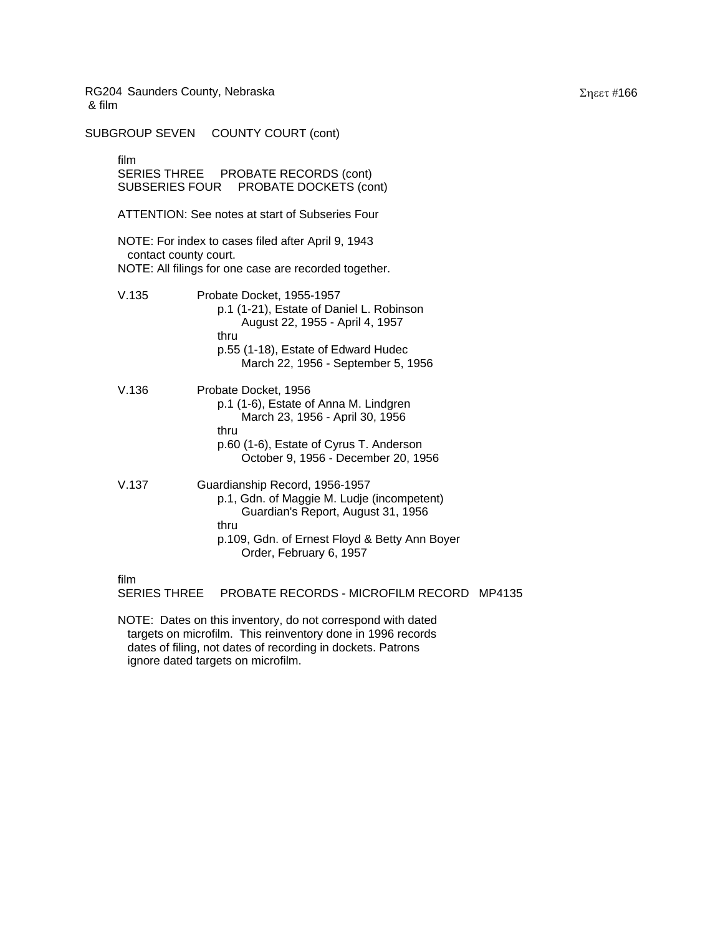SUBGROUP SEVEN COUNTY COURT (cont) film SERIES THREE PROBATE RECORDS (cont) SUBSERIES FOUR PROBATE DOCKETS (cont) ATTENTION: See notes at start of Subseries Four NOTE: For index to cases filed after April 9, 1943 contact county court. NOTE: All filings for one case are recorded together. V.135 Probate Docket, 1955-1957 p.1 (1-21), Estate of Daniel L. Robinson August 22, 1955 - April 4, 1957 thru p.55 (1-18), Estate of Edward Hudec March 22, 1956 - September 5, 1956 V.136 Probate Docket, 1956 p.1 (1-6), Estate of Anna M. Lindgren March 23, 1956 - April 30, 1956 thru p.60 (1-6), Estate of Cyrus T. Anderson October 9, 1956 - December 20, 1956 V.137 Guardianship Record, 1956-1957 p.1, Gdn. of Maggie M. Ludje (incompetent) Guardian's Report, August 31, 1956 thru p.109, Gdn. of Ernest Floyd & Betty Ann Boyer Order, February 6, 1957

film

SERIES THREE PROBATE RECORDS - MICROFILM RECORD MP4135

NOTE: Dates on this inventory, do not correspond with dated targets on microfilm. This reinventory done in 1996 records dates of filing, not dates of recording in dockets. Patrons ignore dated targets on microfilm.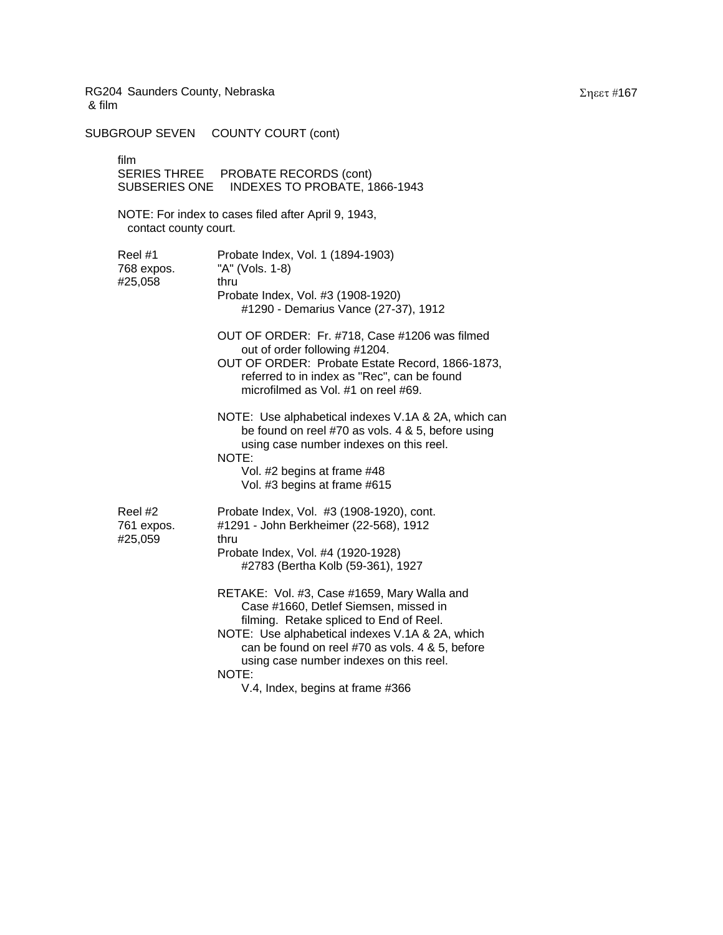SUBGROUP SEVEN COUNTY COURT (cont)

film SERIES THREE PROBATE RECORDS (cont) SUBSERIES ONE INDEXES TO PROBATE, 1866-1943 NOTE: For index to cases filed after April 9, 1943, contact county court. Reel #1 Probate Index, Vol. 1 (1894-1903) 768 expos. "A" (Vols. 1-8) #25,058 thru Probate Index, Vol. #3 (1908-1920) #1290 - Demarius Vance (27-37), 1912 OUT OF ORDER: Fr. #718, Case #1206 was filmed out of order following #1204. OUT OF ORDER: Probate Estate Record, 1866-1873, referred to in index as "Rec", can be found microfilmed as Vol. #1 on reel #69. NOTE: Use alphabetical indexes V.1A & 2A, which can be found on reel #70 as vols. 4 & 5, before using using case number indexes on this reel. NOTE: Vol. #2 begins at frame #48 Vol. #3 begins at frame #615 Reel #2 Probate Index, Vol. #3 (1908-1920), cont. 761 expos. #1291 - John Berkheimer (22-568), 1912 #25,059 thru Probate Index, Vol. #4 (1920-1928) #2783 (Bertha Kolb (59-361), 1927 RETAKE: Vol. #3, Case #1659, Mary Walla and Case #1660, Detlef Siemsen, missed in filming. Retake spliced to End of Reel. NOTE: Use alphabetical indexes V.1A & 2A, which can be found on reel #70 as vols. 4 & 5, before using case number indexes on this reel. NOTE: V.4, Index, begins at frame #366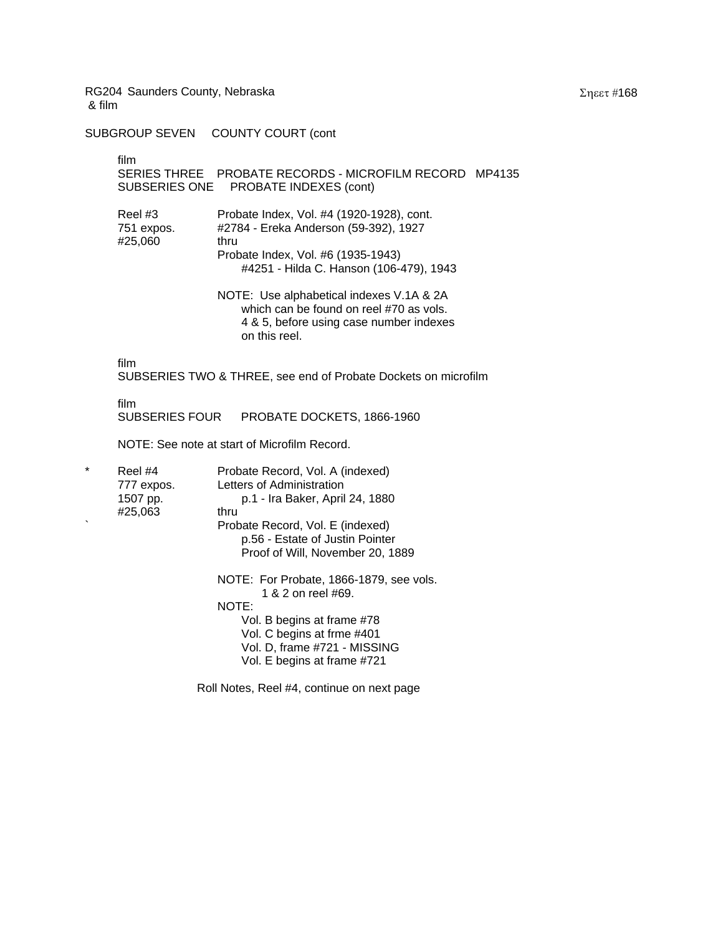SUBGROUP SEVEN COUNTY COURT (cont

film

## SERIES THREE PROBATE RECORDS - MICROFILM RECORD MP4135 SUBSERIES ONE PROBATE INDEXES (cont)

| Reel #3    | Probate Index, Vol. #4 (1920-1928), cont. |
|------------|-------------------------------------------|
| 751 expos. | #2784 - Ereka Anderson (59-392), 1927     |
| #25.060    | thru                                      |
|            | Probate Index, Vol. #6 (1935-1943)        |
|            | #4251 - Hilda C. Hanson (106-479), 1943   |

NOTE: Use alphabetical indexes V.1A & 2A which can be found on reel #70 as vols. 4 & 5, before using case number indexes on this reel.

film

SUBSERIES TWO & THREE, see end of Probate Dockets on microfilm

film<br>SUBSERIES FOUR PROBATE DOCKETS, 1866-1960

NOTE: See note at start of Microfilm Record.

| $\star$ | Reel #4    | Probate Record, Vol. A (indexed)                              |
|---------|------------|---------------------------------------------------------------|
|         | 777 expos. | Letters of Administration                                     |
|         | 1507 pp.   | p.1 - Ira Baker, April 24, 1880                               |
|         | #25,063    | thru                                                          |
|         |            | Probate Record, Vol. E (indexed)                              |
|         |            | p.56 - Estate of Justin Pointer                               |
|         |            | Proof of Will, November 20, 1889                              |
|         |            | NOTE: For Probate, 1866-1879, see vols.<br>1 & 2 on reel #69. |
|         |            | NOTE:                                                         |
|         |            | Vol. B begins at frame #78                                    |
|         |            | Vol. C begins at frme #401                                    |
|         |            | Vol. D, frame #721 - MISSING                                  |
|         |            | Vol. E begins at frame #721                                   |
|         |            |                                                               |

Roll Notes, Reel #4, continue on next page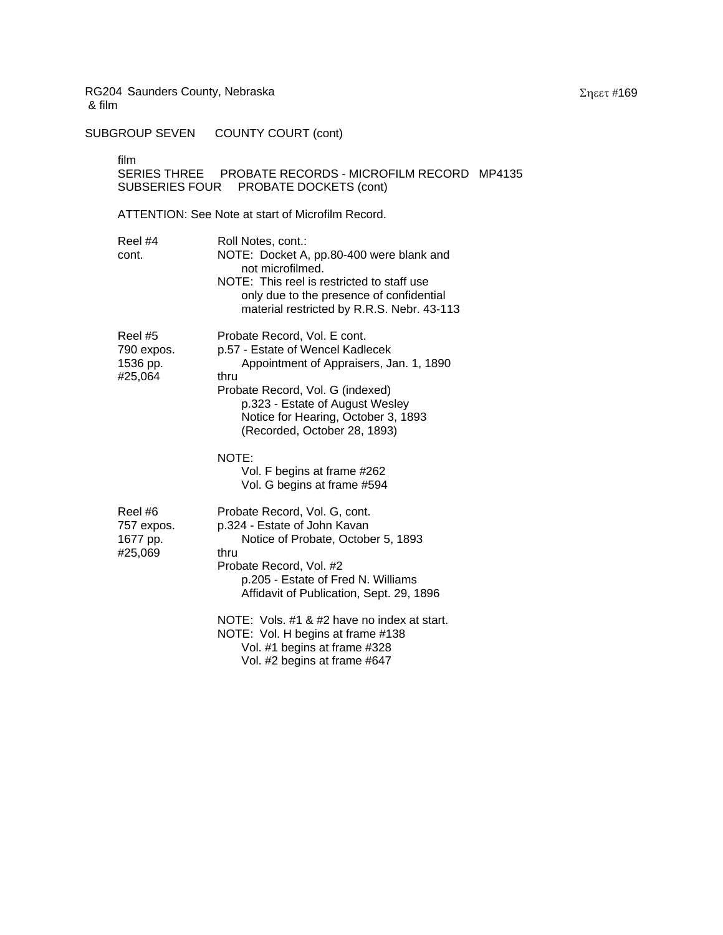SUBGROUP SEVEN COUNTY COURT (cont)

film

# SERIES THREE PROBATE RECORDS - MICROFILM RECORD MP4135 SUBSERIES FOUR PROBATE DOCKETS (cont)

# ATTENTION: See Note at start of Microfilm Record.

| Reel #4<br>cont.                             | Roll Notes, cont.:<br>NOTE: Docket A, pp.80-400 were blank and<br>not microfilmed.<br>NOTE: This reel is restricted to staff use<br>only due to the presence of confidential<br>material restricted by R.R.S. Nebr. 43-113                                        |
|----------------------------------------------|-------------------------------------------------------------------------------------------------------------------------------------------------------------------------------------------------------------------------------------------------------------------|
| Reel #5<br>790 expos.<br>1536 pp.<br>#25,064 | Probate Record, Vol. E cont.<br>p.57 - Estate of Wencel Kadlecek<br>Appointment of Appraisers, Jan. 1, 1890<br>thru<br>Probate Record, Vol. G (indexed)<br>p.323 - Estate of August Wesley<br>Notice for Hearing, October 3, 1893<br>(Recorded, October 28, 1893) |
|                                              | NOTE:<br>Vol. F begins at frame #262<br>Vol. G begins at frame #594                                                                                                                                                                                               |
| Reel #6<br>757 expos.<br>1677 pp.<br>#25,069 | Probate Record, Vol. G, cont.<br>p.324 - Estate of John Kavan<br>Notice of Probate, October 5, 1893<br>thru<br>Probate Record, Vol. #2<br>p.205 - Estate of Fred N. Williams<br>Affidavit of Publication, Sept. 29, 1896                                          |
|                                              | NOTE: Vols. #1 & #2 have no index at start.<br>NOTE: Vol. H begins at frame #138<br>Vol. #1 begins at frame #328<br>Vol. #2 begins at frame #647                                                                                                                  |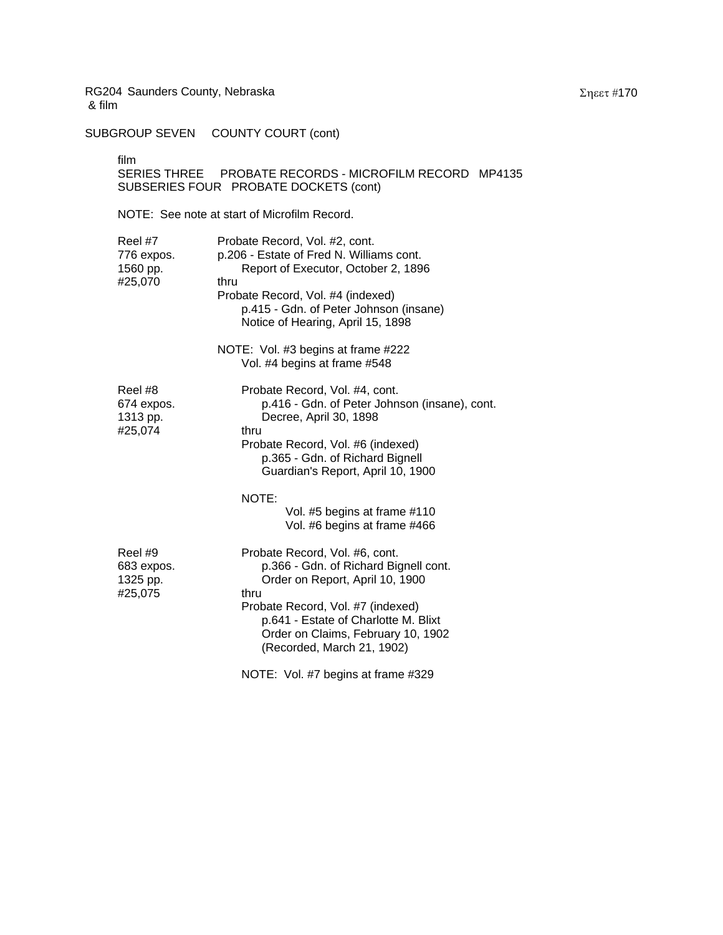SUBGROUP SEVEN COUNTY COURT (cont)

film

SERIES THREE PROBATE RECORDS - MICROFILM RECORD MP4135 SUBSERIES FOUR PROBATE DOCKETS (cont)

NOTE: See note at start of Microfilm Record.

| Reel #7<br>776 expos.<br>1560 pp.<br>#25,070 | Probate Record, Vol. #2, cont.<br>p.206 - Estate of Fred N. Williams cont.<br>Report of Executor, October 2, 1896<br>thru<br>Probate Record, Vol. #4 (indexed)<br>p.415 - Gdn. of Peter Johnson (insane)<br>Notice of Hearing, April 15, 1898<br>NOTE: Vol. #3 begins at frame #222<br>Vol. #4 begins at frame #548 |
|----------------------------------------------|---------------------------------------------------------------------------------------------------------------------------------------------------------------------------------------------------------------------------------------------------------------------------------------------------------------------|
| Reel #8<br>674 expos.<br>1313 pp.<br>#25,074 | Probate Record, Vol. #4, cont.<br>p.416 - Gdn. of Peter Johnson (insane), cont.<br>Decree, April 30, 1898<br>thru<br>Probate Record, Vol. #6 (indexed)<br>p.365 - Gdn. of Richard Bignell<br>Guardian's Report, April 10, 1900                                                                                      |
|                                              | NOTE:<br>Vol. #5 begins at frame #110<br>Vol. #6 begins at frame #466                                                                                                                                                                                                                                               |
| Reel #9<br>683 expos.<br>1325 pp.<br>#25,075 | Probate Record, Vol. #6, cont.<br>p.366 - Gdn. of Richard Bignell cont.<br>Order on Report, April 10, 1900<br>thru<br>Probate Record, Vol. #7 (indexed)<br>p.641 - Estate of Charlotte M. Blixt<br>Order on Claims, February 10, 1902<br>(Recorded, March 21, 1902)                                                 |
|                                              | NOTE: Vol. #7 begins at frame #329                                                                                                                                                                                                                                                                                  |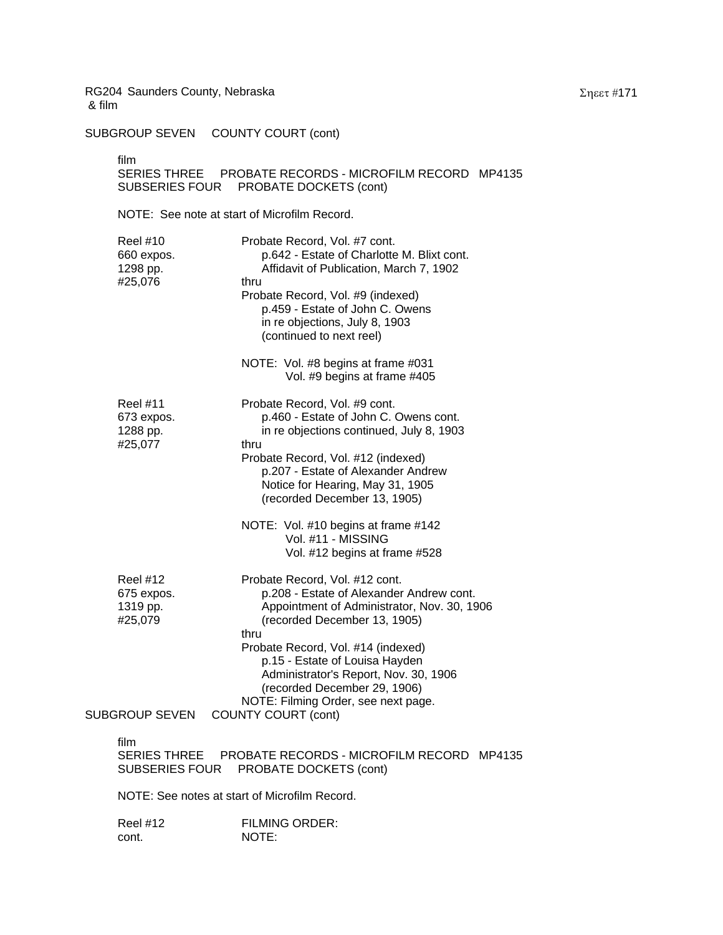SUBGROUP SEVEN COUNTY COURT (cont)

film

# SERIES THREE PROBATE RECORDS - MICROFILM RECORD MP4135 SUBSERIES FOUR PROBATE DOCKETS (cont)

NOTE: See note at start of Microfilm Record.

| <b>Reel #10</b><br>660 expos.<br>1298 pp.<br>#25,076 | Probate Record, Vol. #7 cont.<br>p.642 - Estate of Charlotte M. Blixt cont.<br>Affidavit of Publication, March 7, 1902<br>thru<br>Probate Record, Vol. #9 (indexed)<br>p.459 - Estate of John C. Owens<br>in re objections, July 8, 1903<br>(continued to next reel)       |
|------------------------------------------------------|----------------------------------------------------------------------------------------------------------------------------------------------------------------------------------------------------------------------------------------------------------------------------|
|                                                      | NOTE: Vol. #8 begins at frame #031<br>Vol. #9 begins at frame #405                                                                                                                                                                                                         |
| Reel #11<br>673 expos.<br>1288 pp.<br>#25,077        | Probate Record, Vol. #9 cont.<br>p.460 - Estate of John C. Owens cont.<br>in re objections continued, July 8, 1903<br>thru<br>Probate Record, Vol. #12 (indexed)<br>p.207 - Estate of Alexander Andrew<br>Notice for Hearing, May 31, 1905<br>(recorded December 13, 1905) |
|                                                      | NOTE: Vol. #10 begins at frame #142<br>Vol. #11 - MISSING<br>Vol. #12 begins at frame #528                                                                                                                                                                                 |
| <b>Reel #12</b><br>675 expos.<br>1319 pp.<br>#25,079 | Probate Record, Vol. #12 cont.<br>p.208 - Estate of Alexander Andrew cont.<br>Appointment of Administrator, Nov. 30, 1906<br>(recorded December 13, 1905)<br>thru<br>Probate Record, Vol. #14 (indexed)<br>p.15 - Estate of Louisa Hayden                                  |
| <b>SUBGROUP SEVEN</b>                                | Administrator's Report, Nov. 30, 1906<br>(recorded December 29, 1906)<br>NOTE: Filming Order, see next page.<br><b>COUNTY COURT (cont)</b>                                                                                                                                 |
| film<br><b>SERIES THREE</b><br>SUBSERIES FOUR        | PROBATE RECORDS - MICROFILM RECORD MP4135<br>PROBATE DOCKETS (cont)                                                                                                                                                                                                        |
|                                                      | NOTE: See notes at start of Microfilm Record.                                                                                                                                                                                                                              |

| <b>Reel #12</b> | <b>FILMING ORDER:</b> |
|-----------------|-----------------------|
| cont.           | NOTE:                 |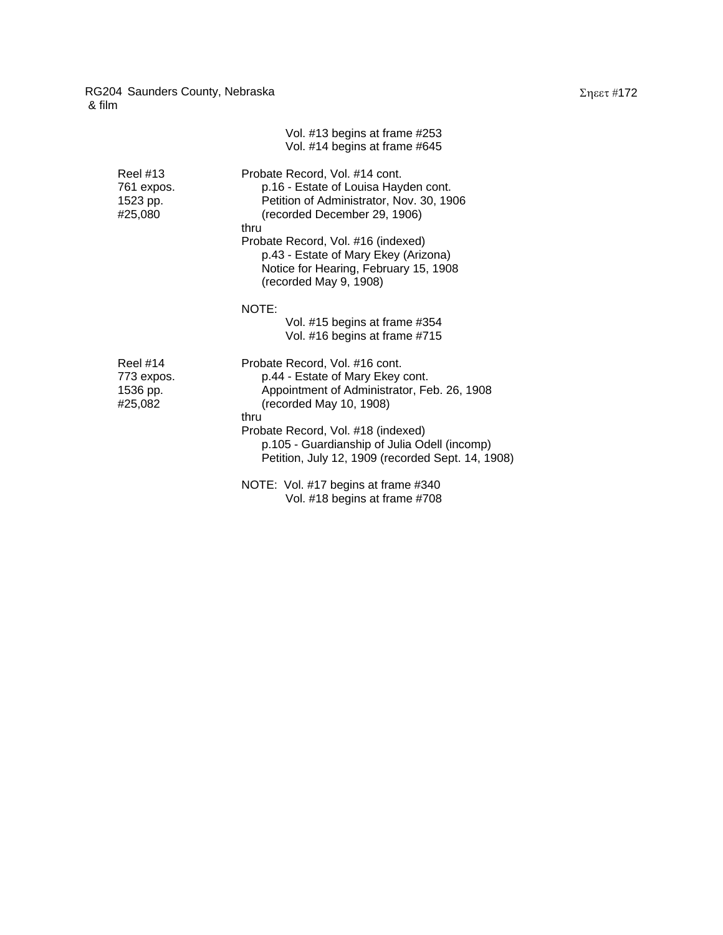|                                                      | Vol. #13 begins at frame #253<br>Vol. #14 begins at frame #645                                                                                                                                                                                                                                              |
|------------------------------------------------------|-------------------------------------------------------------------------------------------------------------------------------------------------------------------------------------------------------------------------------------------------------------------------------------------------------------|
| Reel #13<br>761 expos.<br>1523 pp.<br>#25,080        | Probate Record, Vol. #14 cont.<br>p.16 - Estate of Louisa Hayden cont.<br>Petition of Administrator, Nov. 30, 1906<br>(recorded December 29, 1906)<br>thru<br>Probate Record, Vol. #16 (indexed)<br>p.43 - Estate of Mary Ekey (Arizona)<br>Notice for Hearing, February 15, 1908<br>(recorded May 9, 1908) |
|                                                      | NOTE:<br>Vol. #15 begins at frame #354<br>Vol. #16 begins at frame #715                                                                                                                                                                                                                                     |
| <b>Reel #14</b><br>773 expos.<br>1536 pp.<br>#25,082 | Probate Record, Vol. #16 cont.<br>p.44 - Estate of Mary Ekey cont.<br>Appointment of Administrator, Feb. 26, 1908<br>(recorded May 10, 1908)<br>thru<br>Probate Record, Vol. #18 (indexed)<br>p.105 - Guardianship of Julia Odell (incomp)                                                                  |
|                                                      | Petition, July 12, 1909 (recorded Sept. 14, 1908)                                                                                                                                                                                                                                                           |
|                                                      | NOTE: Vol. #17 begins at frame #340<br>Vol. #18 begins at frame #708                                                                                                                                                                                                                                        |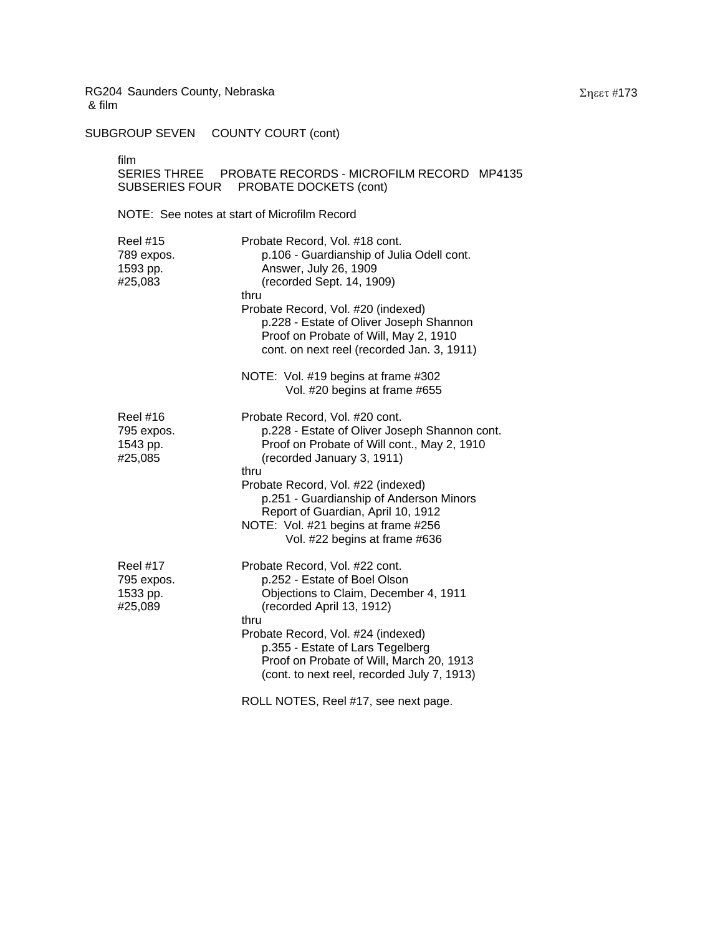SUBGROUP SEVEN COUNTY COURT (cont)

film

## SERIES THREE PROBATE RECORDS - MICROFILM RECORD MP4135 SUBSERIES FOUR PROBATE DOCKETS (cont)

NOTE: See notes at start of Microfilm Record

| <b>Reel #15</b><br>789 expos.<br>1593 pp.<br>#25,083 | Probate Record, Vol. #18 cont.<br>p.106 - Guardianship of Julia Odell cont.<br>Answer, July 26, 1909<br>(recorded Sept. 14, 1909)<br>thru<br>Probate Record, Vol. #20 (indexed)<br>p.228 - Estate of Oliver Joseph Shannon<br>Proof on Probate of Will, May 2, 1910<br>cont. on next reel (recorded Jan. 3, 1911)                                                   |
|------------------------------------------------------|---------------------------------------------------------------------------------------------------------------------------------------------------------------------------------------------------------------------------------------------------------------------------------------------------------------------------------------------------------------------|
|                                                      | NOTE: Vol. #19 begins at frame #302<br>Vol. #20 begins at frame #655                                                                                                                                                                                                                                                                                                |
| <b>Reel #16</b><br>795 expos.<br>1543 pp.<br>#25,085 | Probate Record, Vol. #20 cont.<br>p.228 - Estate of Oliver Joseph Shannon cont.<br>Proof on Probate of Will cont., May 2, 1910<br>(recorded January 3, 1911)<br>thru<br>Probate Record, Vol. #22 (indexed)<br>p.251 - Guardianship of Anderson Minors<br>Report of Guardian, April 10, 1912<br>NOTE: Vol. #21 begins at frame #256<br>Vol. #22 begins at frame #636 |
| <b>Reel #17</b><br>795 expos.<br>1533 pp.<br>#25,089 | Probate Record, Vol. #22 cont.<br>p.252 - Estate of Boel Olson<br>Objections to Claim, December 4, 1911<br>(recorded April 13, 1912)<br>thru<br>Probate Record, Vol. #24 (indexed)<br>p.355 - Estate of Lars Tegelberg<br>Proof on Probate of Will, March 20, 1913<br>(cont. to next reel, recorded July 7, 1913)                                                   |
|                                                      | ROLL NOTES, Reel #17, see next page.                                                                                                                                                                                                                                                                                                                                |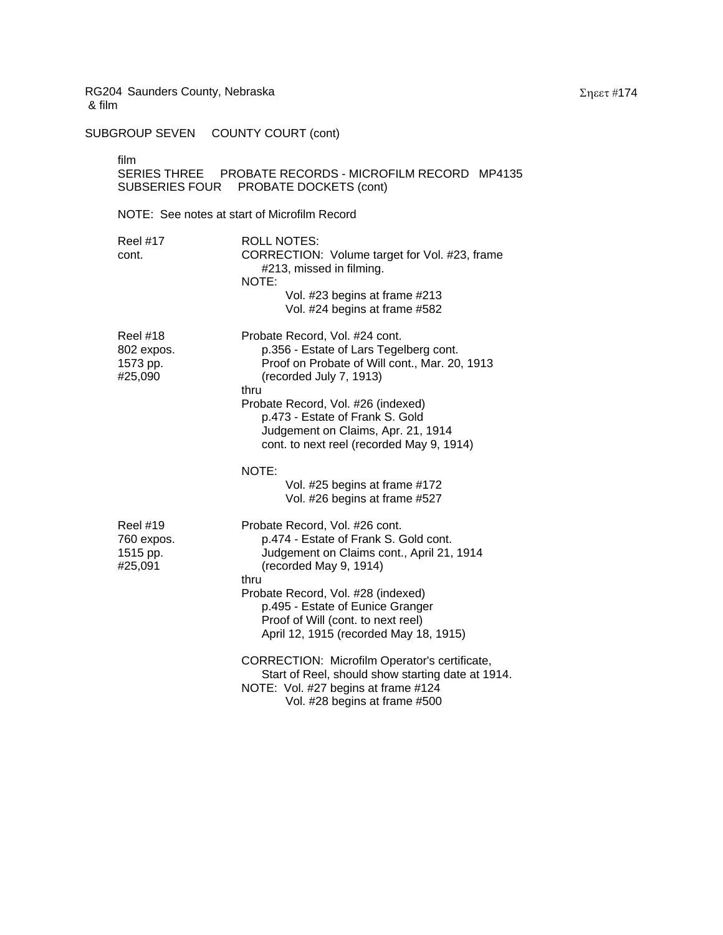SUBGROUP SEVEN COUNTY COURT (cont)

film

| film<br>SUBSERIES FOUR                               | SERIES THREE PROBATE RECORDS - MICROFILM RECORD MP4135<br>PROBATE DOCKETS (cont)                                                                                                                                                                                                                                                                                                                    |
|------------------------------------------------------|-----------------------------------------------------------------------------------------------------------------------------------------------------------------------------------------------------------------------------------------------------------------------------------------------------------------------------------------------------------------------------------------------------|
|                                                      | NOTE: See notes at start of Microfilm Record                                                                                                                                                                                                                                                                                                                                                        |
| Reel #17<br>cont.                                    | <b>ROLL NOTES:</b><br>CORRECTION: Volume target for Vol. #23, frame<br>#213, missed in filming.<br>NOTE:<br>Vol. #23 begins at frame #213<br>Vol. #24 begins at frame #582                                                                                                                                                                                                                          |
| Reel #18<br>802 expos.<br>1573 pp.<br>#25,090        | Probate Record, Vol. #24 cont.<br>p.356 - Estate of Lars Tegelberg cont.<br>Proof on Probate of Will cont., Mar. 20, 1913<br>(recorded July 7, 1913)<br>thru<br>Probate Record, Vol. #26 (indexed)<br>p.473 - Estate of Frank S. Gold<br>Judgement on Claims, Apr. 21, 1914<br>cont. to next reel (recorded May 9, 1914)<br>NOTE:<br>Vol. #25 begins at frame #172<br>Vol. #26 begins at frame #527 |
| <b>Reel #19</b><br>760 expos.<br>1515 pp.<br>#25,091 | Probate Record, Vol. #26 cont.<br>p.474 - Estate of Frank S. Gold cont.<br>Judgement on Claims cont., April 21, 1914<br>(recorded May 9, 1914)<br>thru<br>Probate Record, Vol. #28 (indexed)<br>p.495 - Estate of Eunice Granger<br>Proof of Will (cont. to next reel)<br>April 12, 1915 (recorded May 18, 1915)<br>CORRECTION: Microfilm Operator's certificate,                                   |
|                                                      | Start of Reel, should show starting date at 1914.<br>NOTE: Vol. #27 begins at frame #124<br>Vol. #28 begins at frame #500                                                                                                                                                                                                                                                                           |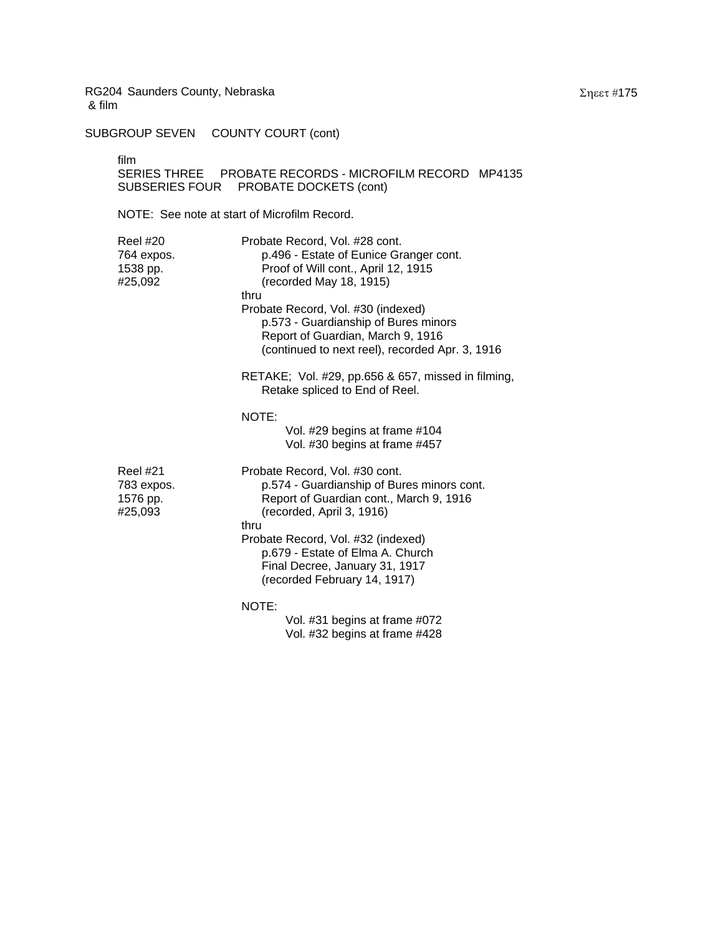SUBGROUP SEVEN COUNTY COURT (cont)

film

## SERIES THREE PROBATE RECORDS - MICROFILM RECORD MP4135 SUBSERIES FOUR PROBATE DOCKETS (cont)

NOTE: See note at start of Microfilm Record.

| <b>Reel #20</b><br>764 expos.<br>1538 pp.<br>#25,092 | Probate Record, Vol. #28 cont.<br>p.496 - Estate of Eunice Granger cont.<br>Proof of Will cont., April 12, 1915<br>(recorded May 18, 1915)<br>thru<br>Probate Record, Vol. #30 (indexed)<br>p.573 - Guardianship of Bures minors<br>Report of Guardian, March 9, 1916<br>(continued to next reel), recorded Apr. 3, 1916 |
|------------------------------------------------------|--------------------------------------------------------------------------------------------------------------------------------------------------------------------------------------------------------------------------------------------------------------------------------------------------------------------------|
|                                                      | RETAKE; Vol. #29, pp.656 & 657, missed in filming,<br>Retake spliced to End of Reel.                                                                                                                                                                                                                                     |
|                                                      | NOTE:<br>Vol. #29 begins at frame #104<br>Vol. #30 begins at frame #457                                                                                                                                                                                                                                                  |
| Reel #21<br>783 expos.<br>1576 pp.<br>#25,093        | Probate Record, Vol. #30 cont.<br>p.574 - Guardianship of Bures minors cont.<br>Report of Guardian cont., March 9, 1916<br>(recorded, April 3, 1916)<br>thru                                                                                                                                                             |
|                                                      | Probate Record, Vol. #32 (indexed)<br>p.679 - Estate of Elma A. Church<br>Final Decree, January 31, 1917<br>(recorded February 14, 1917)                                                                                                                                                                                 |
|                                                      | NOTE:<br>Vol. #31 begins at frame #072<br>Vol. #32 begins at frame #428                                                                                                                                                                                                                                                  |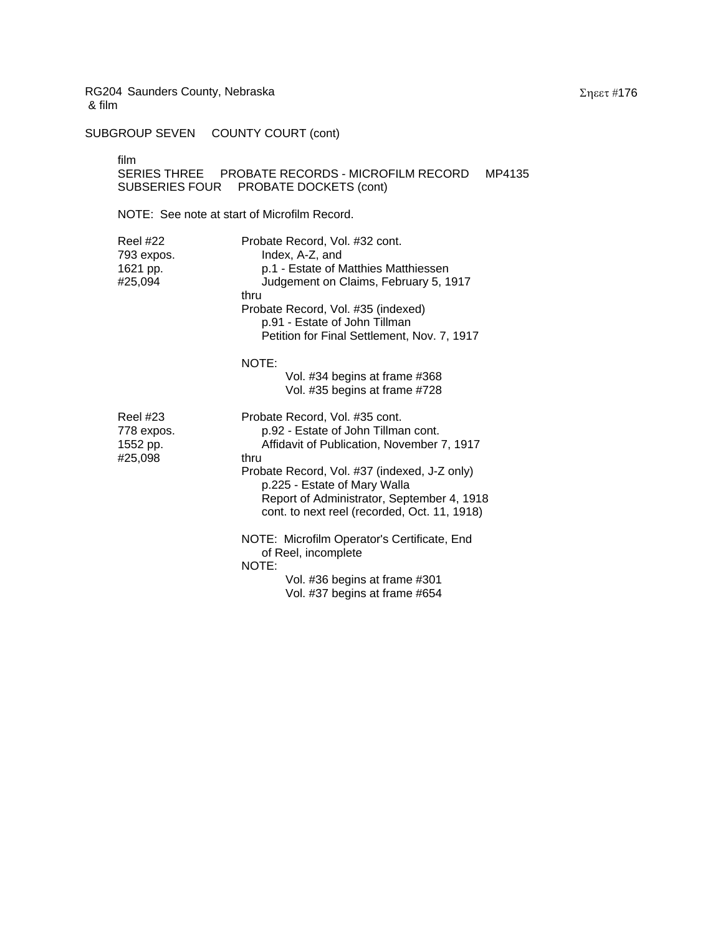SUBGROUP SEVEN COUNTY COURT (cont)

film

## SERIES THREE PROBATE RECORDS - MICROFILM RECORD MP4135 SUBSERIES FOUR PROBATE DOCKETS (cont)

NOTE: See note at start of Microfilm Record.

| <b>Reel #22</b><br>793 expos.<br>1621 pp.<br>#25,094 | Probate Record, Vol. #32 cont.<br>Index, A-Z, and<br>p.1 - Estate of Matthies Matthiessen<br>Judgement on Claims, February 5, 1917<br>thru<br>Probate Record, Vol. #35 (indexed)<br>p.91 - Estate of John Tillman<br>Petition for Final Settlement, Nov. 7, 1917                                          |
|------------------------------------------------------|-----------------------------------------------------------------------------------------------------------------------------------------------------------------------------------------------------------------------------------------------------------------------------------------------------------|
|                                                      | NOTE:<br>Vol. #34 begins at frame #368<br>Vol. #35 begins at frame #728                                                                                                                                                                                                                                   |
| <b>Reel #23</b><br>778 expos.<br>1552 pp.<br>#25,098 | Probate Record, Vol. #35 cont.<br>p.92 - Estate of John Tillman cont.<br>Affidavit of Publication, November 7, 1917<br>thru<br>Probate Record, Vol. #37 (indexed, J-Z only)<br>p.225 - Estate of Mary Walla<br>Report of Administrator, September 4, 1918<br>cont. to next reel (recorded, Oct. 11, 1918) |
|                                                      | NOTE: Microfilm Operator's Certificate, End<br>of Reel, incomplete<br>NOTE:<br>Vol. #36 begins at frame #301<br>Vol. #37 begins at frame #654                                                                                                                                                             |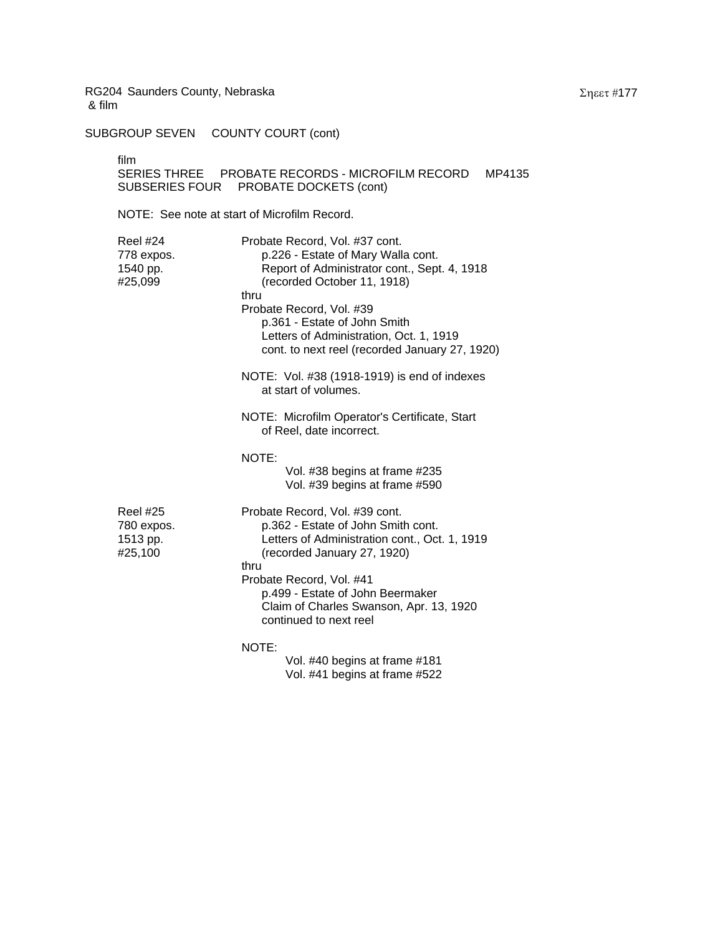SUBGROUP SEVEN COUNTY COURT (cont)

film

## SERIES THREE PROBATE RECORDS - MICROFILM RECORD MP4135 SUBSERIES FOUR PROBATE DOCKETS (cont)

NOTE: See note at start of Microfilm Record.

| <b>Reel #24</b><br>778 expos.<br>1540 pp.<br>#25,099 | Probate Record, Vol. #37 cont.<br>p.226 - Estate of Mary Walla cont.<br>Report of Administrator cont., Sept. 4, 1918<br>(recorded October 11, 1918)<br>thru<br>Probate Record, Vol. #39<br>p.361 - Estate of John Smith<br>Letters of Administration, Oct. 1, 1919<br>cont. to next reel (recorded January 27, 1920) |
|------------------------------------------------------|----------------------------------------------------------------------------------------------------------------------------------------------------------------------------------------------------------------------------------------------------------------------------------------------------------------------|
|                                                      | NOTE: Vol. #38 (1918-1919) is end of indexes<br>at start of volumes.                                                                                                                                                                                                                                                 |
|                                                      | NOTE: Microfilm Operator's Certificate, Start<br>of Reel, date incorrect.                                                                                                                                                                                                                                            |
|                                                      | NOTE:<br>Vol. #38 begins at frame #235<br>Vol. #39 begins at frame #590                                                                                                                                                                                                                                              |
| <b>Reel #25</b><br>780 expos.<br>1513 pp.<br>#25,100 | Probate Record, Vol. #39 cont.<br>p.362 - Estate of John Smith cont.<br>Letters of Administration cont., Oct. 1, 1919<br>(recorded January 27, 1920)<br>thru<br>Probate Record, Vol. #41<br>p.499 - Estate of John Beermaker<br>Claim of Charles Swanson, Apr. 13, 1920<br>continued to next reel                    |
|                                                      | NOTE:<br>Vol. #40 begins at frame #181                                                                                                                                                                                                                                                                               |

Vol. #41 begins at frame #522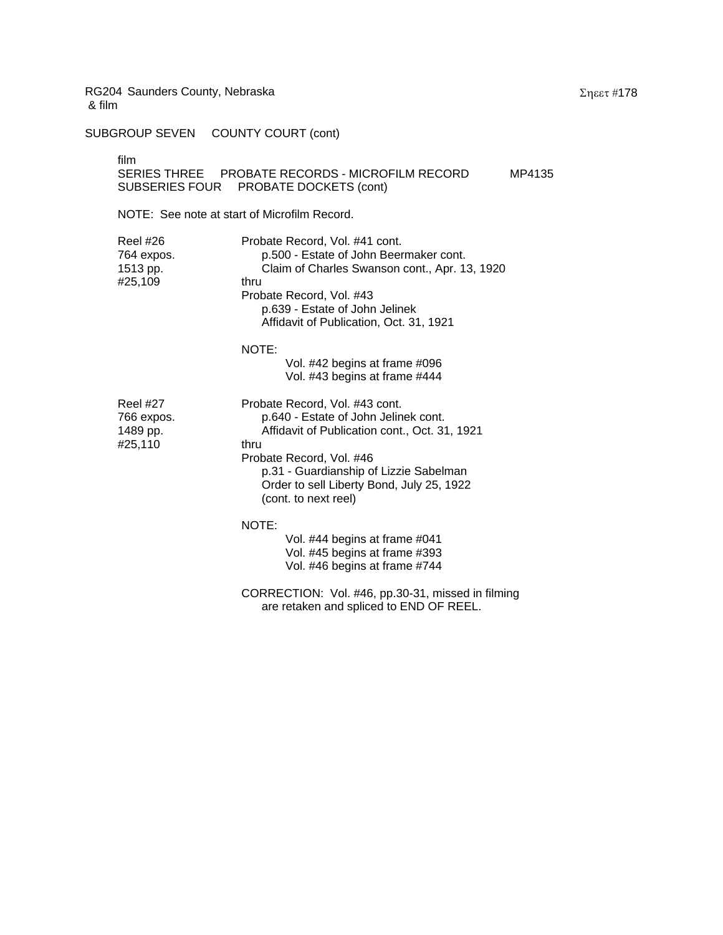SUBGROUP SEVEN COUNTY COURT (cont)

| film |                                                 |        |
|------|-------------------------------------------------|--------|
|      | SERIES THREE PROBATE RECORDS - MICROFILM RECORD | MP4135 |
|      | SUBSERIES FOUR PROBATE DOCKETS (cont)           |        |

NOTE: See note at start of Microfilm Record.

| Reel #26<br>764 expos.<br>1513 pp.<br>#25,109 | Probate Record, Vol. #41 cont.<br>p.500 - Estate of John Beermaker cont.<br>Claim of Charles Swanson cont., Apr. 13, 1920<br>thru<br>Probate Record, Vol. #43<br>p.639 - Estate of John Jelinek<br>Affidavit of Publication, Oct. 31, 1921                                 |
|-----------------------------------------------|----------------------------------------------------------------------------------------------------------------------------------------------------------------------------------------------------------------------------------------------------------------------------|
|                                               | NOTE:<br>Vol. #42 begins at frame #096<br>Vol. #43 begins at frame #444                                                                                                                                                                                                    |
| Reel #27<br>766 expos.<br>1489 pp.<br>#25,110 | Probate Record, Vol. #43 cont.<br>p.640 - Estate of John Jelinek cont.<br>Affidavit of Publication cont., Oct. 31, 1921<br>thru<br>Probate Record, Vol. #46<br>p.31 - Guardianship of Lizzie Sabelman<br>Order to sell Liberty Bond, July 25, 1922<br>(cont. to next reel) |
|                                               | NOTE:<br>Vol. #44 begins at frame #041<br>Vol. #45 begins at frame #393<br>Vol. #46 begins at frame #744                                                                                                                                                                   |
|                                               | CORRECTION: Vol. #46, pp.30-31, missed in filming<br>are retaken and spliced to END OF REEL.                                                                                                                                                                               |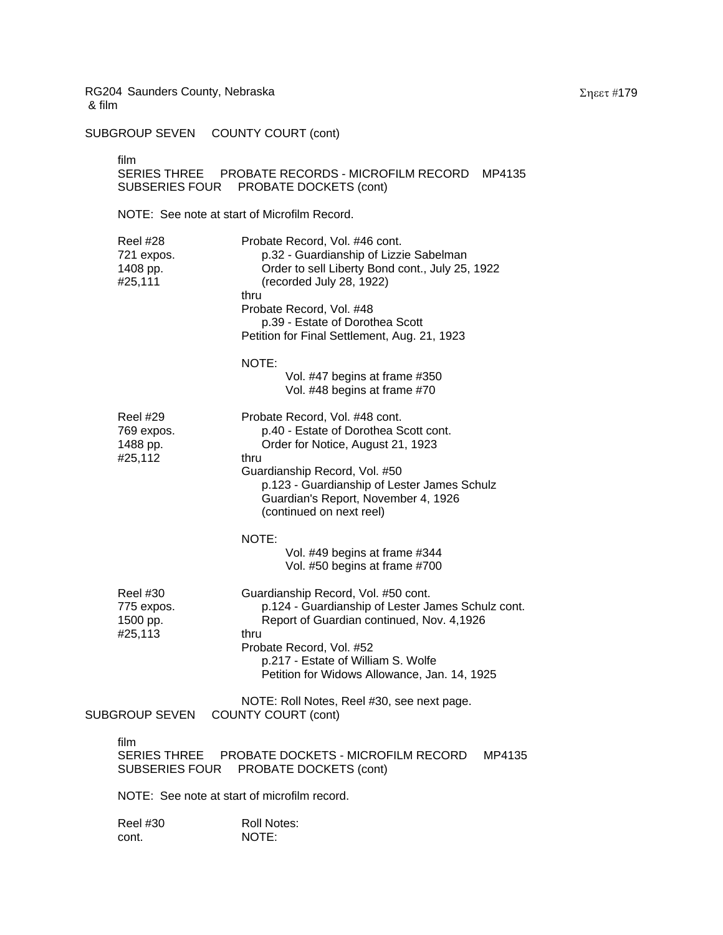SUBGROUP SEVEN COUNTY COURT (cont)

film

## SERIES THREE PROBATE RECORDS - MICROFILM RECORD MP4135 SUBSERIES FOUR PROBATE DOCKETS (cont)

|  | Reel #28<br>721 expos.<br>1408 pp.<br>#25,111 | Probate Record, Vol. #46 cont.<br>p.32 - Guardianship of Lizzie Sabelman<br>Order to sell Liberty Bond cont., July 25, 1922<br>(recorded July 28, 1922)<br>thru<br>Probate Record, Vol. #48<br>p.39 - Estate of Dorothea Scott<br>Petition for Final Settlement, Aug. 21, 1923 |
|--|-----------------------------------------------|--------------------------------------------------------------------------------------------------------------------------------------------------------------------------------------------------------------------------------------------------------------------------------|
|  |                                               | NOTE:<br>Vol. #47 begins at frame #350<br>Vol. #48 begins at frame #70                                                                                                                                                                                                         |
|  | Reel #29<br>769 expos.<br>1488 pp.<br>#25,112 | Probate Record, Vol. #48 cont.<br>p.40 - Estate of Dorothea Scott cont.<br>Order for Notice, August 21, 1923<br>thru                                                                                                                                                           |
|  |                                               | Guardianship Record, Vol. #50<br>p.123 - Guardianship of Lester James Schulz<br>Guardian's Report, November 4, 1926<br>(continued on next reel)                                                                                                                                |
|  |                                               | NOTE:<br>Vol. #49 begins at frame #344<br>Vol. #50 begins at frame #700                                                                                                                                                                                                        |
|  | Reel #30<br>775 expos.<br>1500 pp.<br>#25,113 | Guardianship Record, Vol. #50 cont.<br>p.124 - Guardianship of Lester James Schulz cont.<br>Report of Guardian continued, Nov. 4,1926<br>thru<br>Probate Record, Vol. #52<br>p.217 - Estate of William S. Wolfe                                                                |
|  |                                               | Petition for Widows Allowance, Jan. 14, 1925<br>NOTE: Roll Notes, Reel #30, see next page.                                                                                                                                                                                     |
|  | SUBGROUP SEVEN                                | <b>COUNTY COURT (cont)</b>                                                                                                                                                                                                                                                     |
|  | film<br><b>SERIES THREE</b><br>SUBSERIES FOUR | PROBATE DOCKETS - MICROFILM RECORD<br>MP4135<br>PROBATE DOCKETS (cont)                                                                                                                                                                                                         |
|  | NOTE: See note at start of microfilm record.  |                                                                                                                                                                                                                                                                                |
|  | Reel #30<br>cont.                             | Roll Notes:<br>NOTE:                                                                                                                                                                                                                                                           |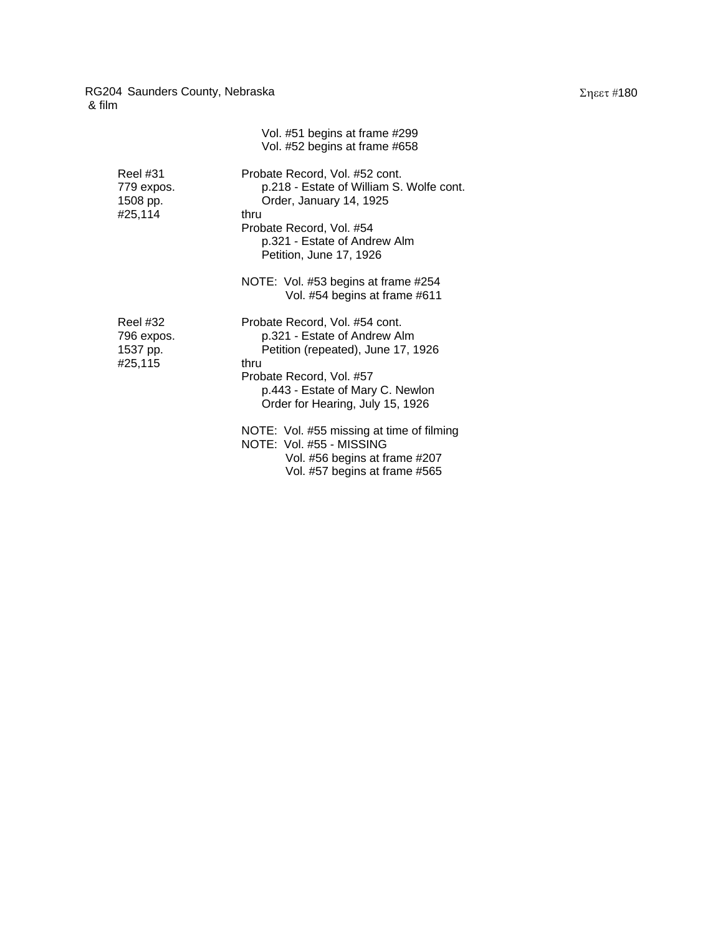|                                               | Vol. #51 begins at frame #299<br>Vol. #52 begins at frame #658                                                                                                                                                   |
|-----------------------------------------------|------------------------------------------------------------------------------------------------------------------------------------------------------------------------------------------------------------------|
| Reel #31<br>779 expos.<br>1508 pp.<br>#25,114 | Probate Record, Vol. #52 cont.<br>p.218 - Estate of William S. Wolfe cont.<br>Order, January 14, 1925<br>thru<br>Probate Record, Vol. #54<br>p.321 - Estate of Andrew Alm<br>Petition, June 17, 1926             |
|                                               | NOTE: Vol. #53 begins at frame #254<br>Vol. #54 begins at frame #611                                                                                                                                             |
| Reel #32<br>796 expos.<br>1537 pp.<br>#25,115 | Probate Record, Vol. #54 cont.<br>p.321 - Estate of Andrew Alm<br>Petition (repeated), June 17, 1926<br>thru<br>Probate Record, Vol. #57<br>p.443 - Estate of Mary C. Newlon<br>Order for Hearing, July 15, 1926 |
|                                               | NOTE: Vol. #55 missing at time of filming<br>NOTE: Vol. #55 - MISSING<br>Vol. #56 begins at frame #207<br>Vol. #57 begins at frame #565                                                                          |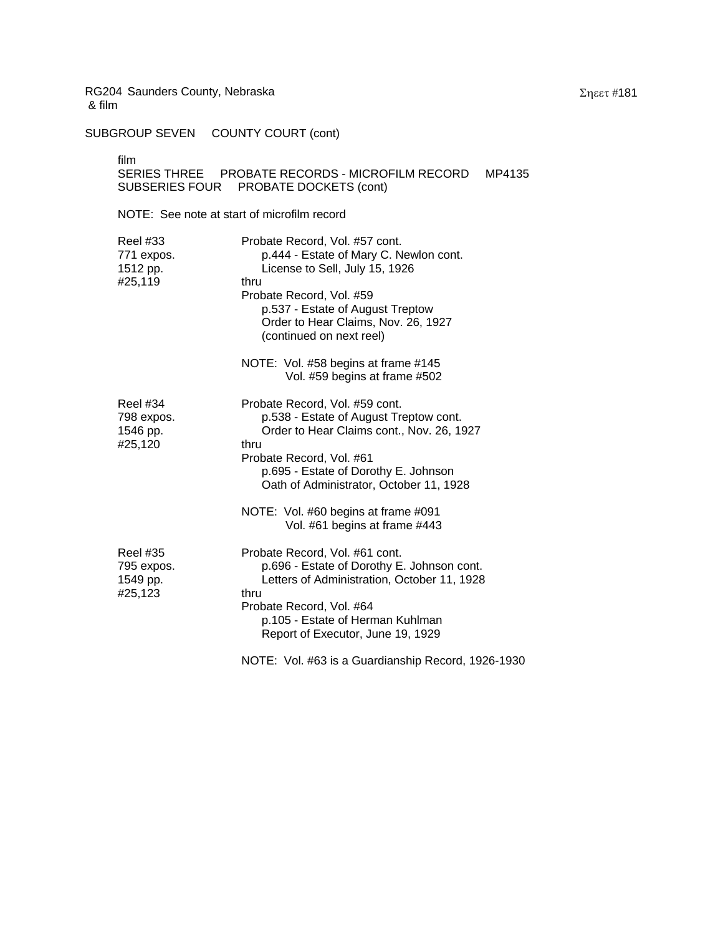SUBGROUP SEVEN COUNTY COURT (cont)

film

## SERIES THREE PROBATE RECORDS - MICROFILM RECORD MP4135 SUBSERIES FOUR PROBATE DOCKETS (cont)

| <b>Reel #33</b><br>771 expos.<br>1512 pp.<br>#25,119 | Probate Record, Vol. #57 cont.<br>p.444 - Estate of Mary C. Newlon cont.<br>License to Sell, July 15, 1926<br>thru<br>Probate Record, Vol. #59<br>p.537 - Estate of August Treptow<br>Order to Hear Claims, Nov. 26, 1927<br>(continued on next reel) |
|------------------------------------------------------|-------------------------------------------------------------------------------------------------------------------------------------------------------------------------------------------------------------------------------------------------------|
|                                                      | NOTE: Vol. #58 begins at frame #145<br>Vol. #59 begins at frame #502                                                                                                                                                                                  |
| <b>Reel #34</b><br>798 expos.<br>1546 pp.<br>#25,120 | Probate Record, Vol. #59 cont.<br>p.538 - Estate of August Treptow cont.<br>Order to Hear Claims cont., Nov. 26, 1927<br>thru<br>Probate Record, Vol. #61<br>p.695 - Estate of Dorothy E. Johnson<br>Oath of Administrator, October 11, 1928          |
|                                                      | NOTE: Vol. #60 begins at frame #091<br>Vol. #61 begins at frame #443                                                                                                                                                                                  |
| <b>Reel #35</b><br>795 expos.<br>1549 pp.<br>#25,123 | Probate Record, Vol. #61 cont.<br>p.696 - Estate of Dorothy E. Johnson cont.<br>Letters of Administration, October 11, 1928<br>thru<br>Probate Record, Vol. #64<br>p.105 - Estate of Herman Kuhlman<br>Report of Executor, June 19, 1929              |
|                                                      | NOTE: Vol. #63 is a Guardianship Record, 1926-1930                                                                                                                                                                                                    |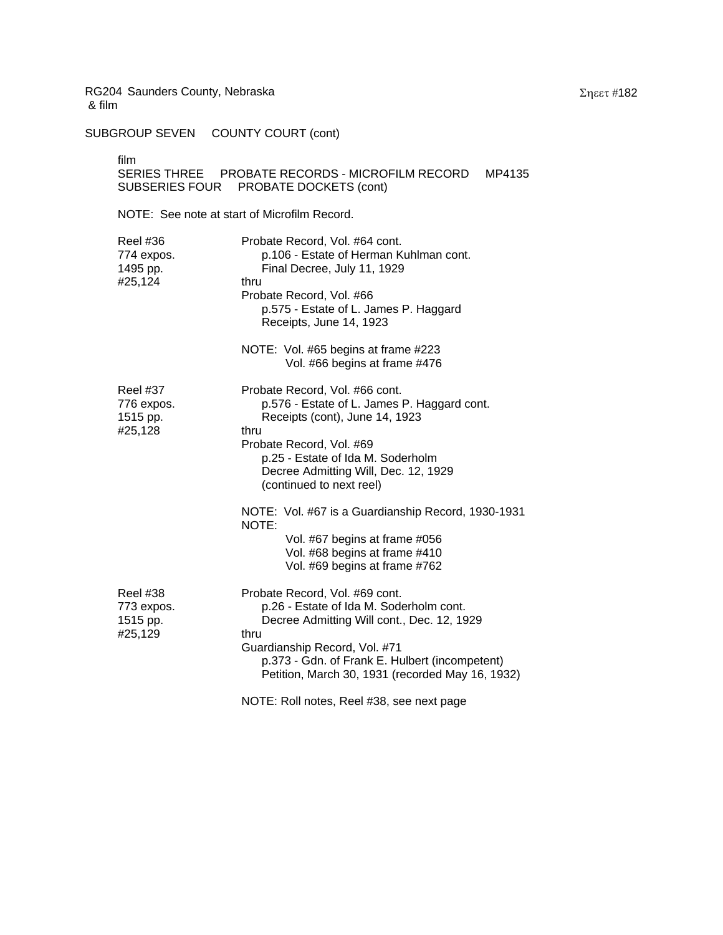SUBGROUP SEVEN COUNTY COURT (cont)

film<br>SEF

| SERIES THREE   | PROBATE RECORDS - MICROFILM RECORD | MP4135 |
|----------------|------------------------------------|--------|
| SUBSERIES FOUR | PROBATE DOCKETS (cont)             |        |

| <b>Reel #36</b><br>774 expos.<br>1495 pp.<br>#25,124 | Probate Record, Vol. #64 cont.<br>p.106 - Estate of Herman Kuhlman cont.<br>Final Decree, July 11, 1929<br>thru<br>Probate Record, Vol. #66<br>p.575 - Estate of L. James P. Haggard<br>Receipts, June 14, 1923<br>NOTE: Vol. #65 begins at frame #223<br>Vol. #66 begins at frame #476 |
|------------------------------------------------------|-----------------------------------------------------------------------------------------------------------------------------------------------------------------------------------------------------------------------------------------------------------------------------------------|
| <b>Reel #37</b><br>776 expos.<br>1515 pp.<br>#25,128 | Probate Record, Vol. #66 cont.<br>p.576 - Estate of L. James P. Haggard cont.<br>Receipts (cont), June 14, 1923<br>thru<br>Probate Record, Vol. #69<br>p.25 - Estate of Ida M. Soderholm<br>Decree Admitting Will, Dec. 12, 1929<br>(continued to next reel)                            |
|                                                      | NOTE: Vol. #67 is a Guardianship Record, 1930-1931<br>NOTE:<br>Vol. #67 begins at frame #056<br>Vol. #68 begins at frame #410<br>Vol. #69 begins at frame #762                                                                                                                          |
| <b>Reel #38</b><br>773 expos.<br>1515 pp.<br>#25,129 | Probate Record, Vol. #69 cont.<br>p.26 - Estate of Ida M. Soderholm cont.<br>Decree Admitting Will cont., Dec. 12, 1929<br>thru<br>Guardianship Record, Vol. #71<br>p.373 - Gdn. of Frank E. Hulbert (incompetent)<br>Petition, March 30, 1931 (recorded May 16, 1932)                  |
|                                                      | NOTE: Roll notes, Reel #38, see next page                                                                                                                                                                                                                                               |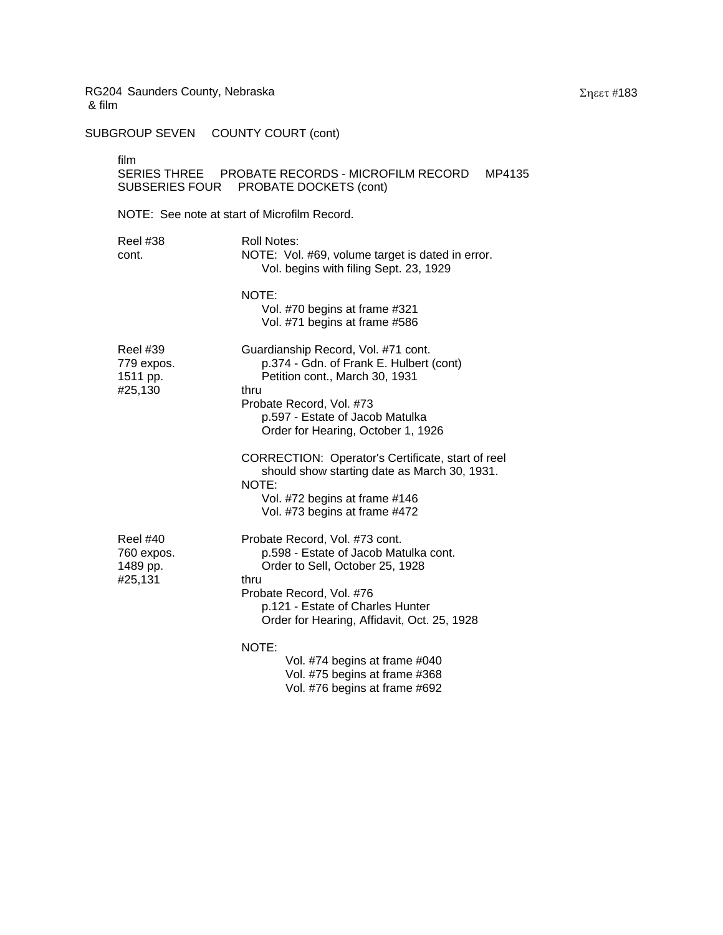SUBGROUP SEVEN COUNTY COURT (cont)

 $\mathbf{f}$ 

| film<br>SUBSERIES FOUR                               | SERIES THREE PROBATE RECORDS - MICROFILM RECORD<br>MP4135<br>PROBATE DOCKETS (cont)                                                                                                                                               |
|------------------------------------------------------|-----------------------------------------------------------------------------------------------------------------------------------------------------------------------------------------------------------------------------------|
| NOTE: See note at start of Microfilm Record.         |                                                                                                                                                                                                                                   |
| Reel #38<br>cont.                                    | Roll Notes:<br>NOTE: Vol. #69, volume target is dated in error.<br>Vol. begins with filing Sept. 23, 1929                                                                                                                         |
|                                                      | NOTE:<br>Vol. #70 begins at frame #321<br>Vol. #71 begins at frame #586                                                                                                                                                           |
| <b>Reel #39</b><br>779 expos.<br>1511 pp.<br>#25,130 | Guardianship Record, Vol. #71 cont.<br>p.374 - Gdn. of Frank E. Hulbert (cont)<br>Petition cont., March 30, 1931<br>thru<br>Probate Record, Vol. #73<br>p.597 - Estate of Jacob Matulka<br>Order for Hearing, October 1, 1926     |
|                                                      | CORRECTION: Operator's Certificate, start of reel<br>should show starting date as March 30, 1931.<br>NOTE:<br>Vol. #72 begins at frame #146<br>Vol. #73 begins at frame #472                                                      |
| <b>Reel #40</b><br>760 expos.<br>1489 pp.<br>#25,131 | Probate Record, Vol. #73 cont.<br>p.598 - Estate of Jacob Matulka cont.<br>Order to Sell, October 25, 1928<br>thru<br>Probate Record, Vol. #76<br>p.121 - Estate of Charles Hunter<br>Order for Hearing, Affidavit, Oct. 25, 1928 |
|                                                      | NOTE:<br>Vol. #74 begins at frame #040<br>フォー カラティレンジ アンファイブレン                                                                                                                                                                    |

Vol. #75 begins at frame #368 Vol. #76 begins at frame #692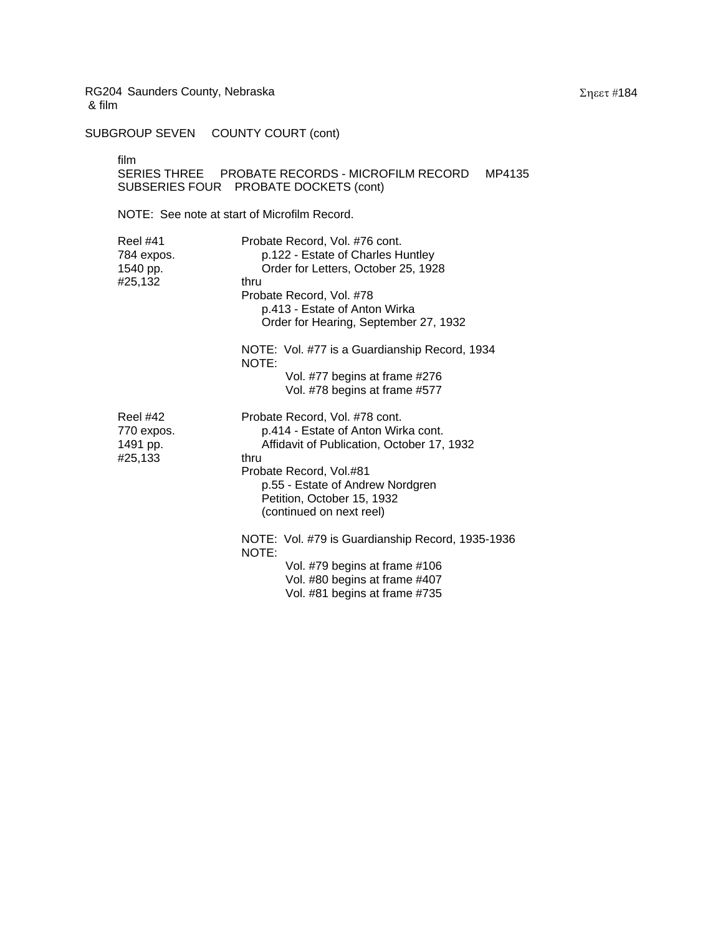SUBGROUP SEVEN COUNTY COURT (cont)

film

SERIES THREE PROBATE RECORDS - MICROFILM RECORD MP4135 SUBSERIES FOUR PROBATE DOCKETS (cont)

| Reel #41<br>784 expos.<br>1540 pp.<br>#25,132        | Probate Record, Vol. #76 cont.<br>p.122 - Estate of Charles Huntley<br>Order for Letters, October 25, 1928<br>thru<br>Probate Record, Vol. #78<br>p.413 - Estate of Anton Wirka<br>Order for Hearing, September 27, 1932<br>NOTE: Vol. #77 is a Guardianship Record, 1934<br>NOTE: |
|------------------------------------------------------|------------------------------------------------------------------------------------------------------------------------------------------------------------------------------------------------------------------------------------------------------------------------------------|
|                                                      | Vol. #77 begins at frame #276<br>Vol. #78 begins at frame #577                                                                                                                                                                                                                     |
| <b>Reel #42</b><br>770 expos.<br>1491 pp.<br>#25,133 | Probate Record, Vol. #78 cont.<br>p.414 - Estate of Anton Wirka cont.<br>Affidavit of Publication, October 17, 1932<br>thru<br>Probate Record, Vol.#81<br>p.55 - Estate of Andrew Nordgren<br>Petition, October 15, 1932<br>(continued on next reel)                               |
|                                                      | NOTE: Vol. #79 is Guardianship Record, 1935-1936<br>NOTE:<br>Vol. #79 begins at frame #106<br>Vol. #80 begins at frame #407<br>Vol. #81 begins at frame #735                                                                                                                       |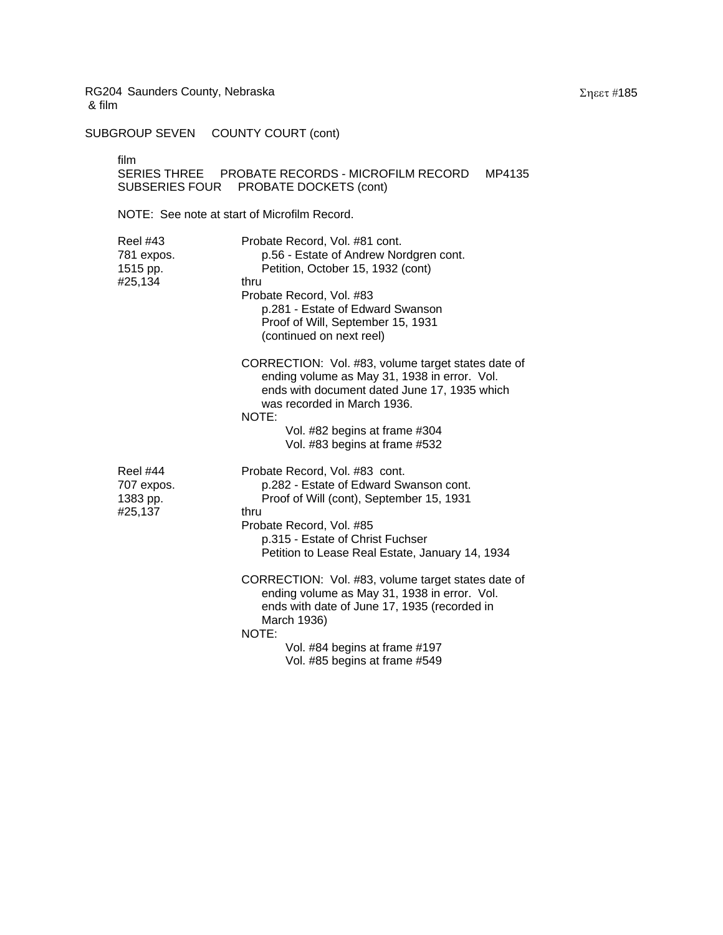SUBGROUP SEVEN COUNTY COURT (cont)

film

| SERIES THREE   | <b>PROBATE RECORDS - MICROFILM RECORD MP4135</b> |  |
|----------------|--------------------------------------------------|--|
| SUBSERIES FOUR | PROBATE DOCKETS (cont)                           |  |

| <b>Reel #43</b><br>781 expos.<br>1515 pp.<br>#25,134 | Probate Record, Vol. #81 cont.<br>p.56 - Estate of Andrew Nordgren cont.<br>Petition, October 15, 1932 (cont)<br>thru<br>Probate Record, Vol. #83<br>p.281 - Estate of Edward Swanson<br>Proof of Will, September 15, 1931<br>(continued on next reel)<br>CORRECTION: Vol. #83, volume target states date of |
|------------------------------------------------------|--------------------------------------------------------------------------------------------------------------------------------------------------------------------------------------------------------------------------------------------------------------------------------------------------------------|
|                                                      | ending volume as May 31, 1938 in error. Vol.<br>ends with document dated June 17, 1935 which<br>was recorded in March 1936.<br>NOTE:<br>Vol. #82 begins at frame #304<br>Vol. #83 begins at frame #532                                                                                                       |
|                                                      |                                                                                                                                                                                                                                                                                                              |
| <b>Reel #44</b><br>707 expos.<br>1383 pp.<br>#25,137 | Probate Record, Vol. #83 cont.<br>p.282 - Estate of Edward Swanson cont.<br>Proof of Will (cont), September 15, 1931<br>thru<br>Probate Record, Vol. #85<br>p.315 - Estate of Christ Fuchser<br>Petition to Lease Real Estate, January 14, 1934                                                              |
|                                                      | CORRECTION: Vol. #83, volume target states date of<br>ending volume as May 31, 1938 in error. Vol.<br>ends with date of June 17, 1935 (recorded in<br>March 1936)<br>NOTE:                                                                                                                                   |
|                                                      | Vol. #84 begins at frame #197<br>Vol. #85 begins at frame #549                                                                                                                                                                                                                                               |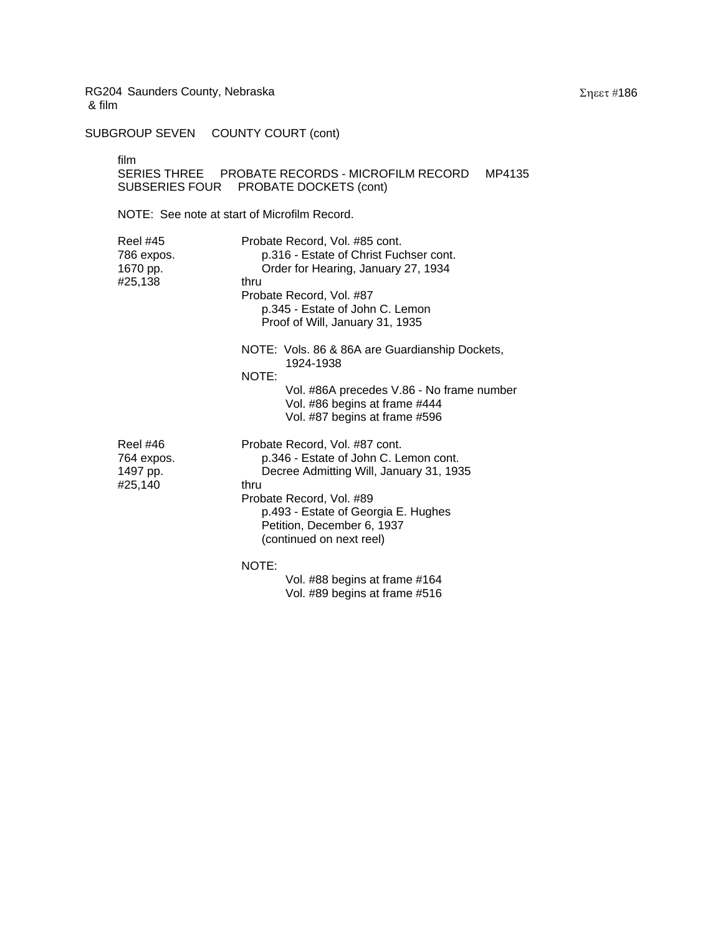SUBGROUP SEVEN COUNTY COURT (cont)

film

SERIES THREE PROBATE RECORDS - MICROFILM RECORD MP4135 SUBSERIES FOUR PROBATE DOCKETS (cont)

NOTE: See note at start of Microfilm Record.

| Reel #45<br>786 expos.<br>1670 pp.<br>#25,138        | Probate Record, Vol. #85 cont.<br>p.316 - Estate of Christ Fuchser cont.<br>Order for Hearing, January 27, 1934<br>thru<br>Probate Record, Vol. #87<br>p.345 - Estate of John C. Lemon<br>Proof of Will, January 31, 1935<br>NOTE: Vols. 86 & 86A are Guardianship Dockets, |
|------------------------------------------------------|-----------------------------------------------------------------------------------------------------------------------------------------------------------------------------------------------------------------------------------------------------------------------------|
|                                                      | 1924-1938<br>NOTE:<br>Vol. #86A precedes V.86 - No frame number<br>Vol. #86 begins at frame #444<br>Vol. #87 begins at frame #596                                                                                                                                           |
| <b>Reel #46</b><br>764 expos.<br>1497 pp.<br>#25,140 | Probate Record, Vol. #87 cont.<br>p.346 - Estate of John C. Lemon cont.<br>Decree Admitting Will, January 31, 1935<br>thru<br>Probate Record, Vol. #89<br>p.493 - Estate of Georgia E. Hughes<br>Petition, December 6, 1937<br>(continued on next reel)                     |
|                                                      | NOTE:<br>Vol. #88 begins at frame #164                                                                                                                                                                                                                                      |

Vol. #89 begins at frame #516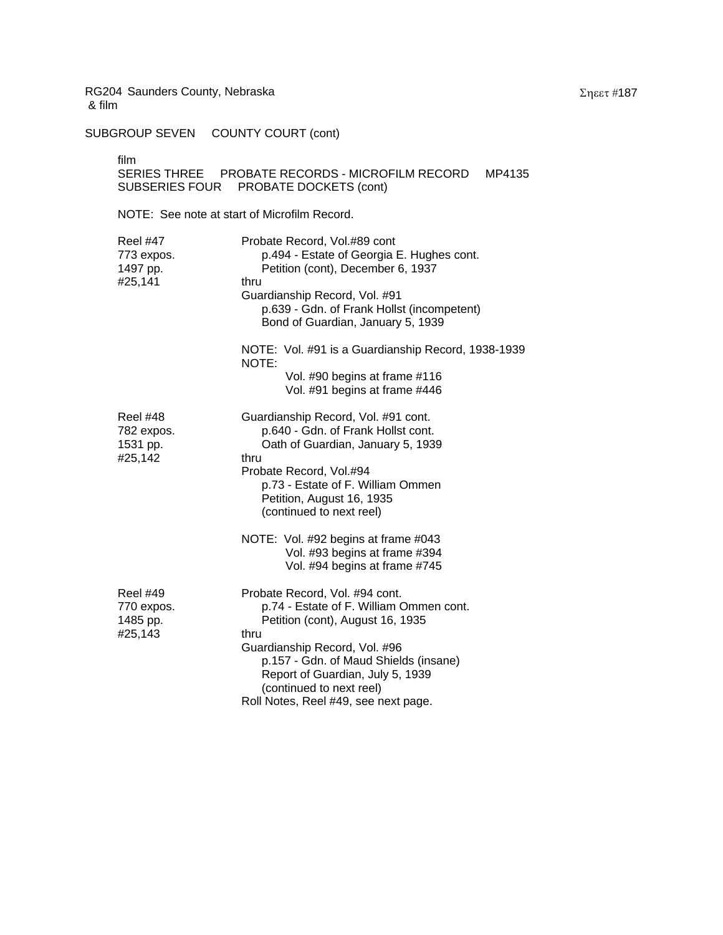SUBGROUP SEVEN COUNTY COURT (cont)

film

# SERIES THREE PROBATE RECORDS - MICROFILM RECORD MP4135 SUBSERIES FOUR PROBATE DOCKETS (cont)

| Reel #47<br>773 expos.<br>1497 pp.<br>#25,141        | Probate Record, Vol.#89 cont<br>p.494 - Estate of Georgia E. Hughes cont.<br>Petition (cont), December 6, 1937<br>thru<br>Guardianship Record, Vol. #91<br>p.639 - Gdn. of Frank Hollst (incompetent)<br>Bond of Guardian, January 5, 1939                                                              |
|------------------------------------------------------|---------------------------------------------------------------------------------------------------------------------------------------------------------------------------------------------------------------------------------------------------------------------------------------------------------|
|                                                      | NOTE: Vol. #91 is a Guardianship Record, 1938-1939<br>NOTE:<br>Vol. #90 begins at frame #116<br>Vol. #91 begins at frame #446                                                                                                                                                                           |
| <b>Reel #48</b><br>782 expos.<br>1531 pp.<br>#25,142 | Guardianship Record, Vol. #91 cont.<br>p.640 - Gdn. of Frank Hollst cont.<br>Oath of Guardian, January 5, 1939<br>thru<br>Probate Record, Vol.#94<br>p.73 - Estate of F. William Ommen<br>Petition, August 16, 1935<br>(continued to next reel)<br>NOTE: Vol. #92 begins at frame #043                  |
|                                                      | Vol. #93 begins at frame #394<br>Vol. #94 begins at frame #745                                                                                                                                                                                                                                          |
| <b>Reel #49</b><br>770 expos.<br>1485 pp.<br>#25,143 | Probate Record, Vol. #94 cont.<br>p.74 - Estate of F. William Ommen cont.<br>Petition (cont), August 16, 1935<br>thru<br>Guardianship Record, Vol. #96<br>p.157 - Gdn. of Maud Shields (insane)<br>Report of Guardian, July 5, 1939<br>(continued to next reel)<br>Roll Notes, Reel #49, see next page. |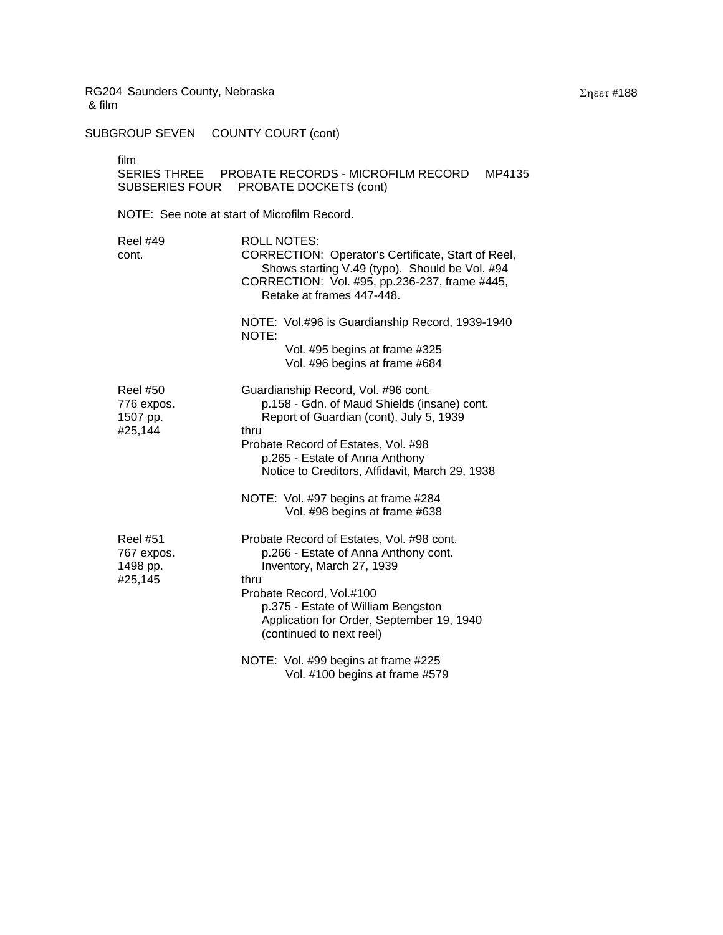SUBGROUP SEVEN COUNTY COURT (cont)

| film<br>SUBSERIES FOUR                               | MP4135<br>PROBATE DOCKETS (cont)                                                                                                                                                                                                                                  |
|------------------------------------------------------|-------------------------------------------------------------------------------------------------------------------------------------------------------------------------------------------------------------------------------------------------------------------|
| NOTE: See note at start of Microfilm Record.         |                                                                                                                                                                                                                                                                   |
| <b>Reel #49</b><br>cont.                             | <b>ROLL NOTES:</b><br>CORRECTION: Operator's Certificate, Start of Reel,<br>Shows starting V.49 (typo). Should be Vol. #94<br>CORRECTION: Vol. #95, pp.236-237, frame #445,<br>Retake at frames 447-448.                                                          |
|                                                      | NOTE: Vol.#96 is Guardianship Record, 1939-1940<br>NOTE:<br>Vol. #95 begins at frame #325<br>Vol. #96 begins at frame #684                                                                                                                                        |
| <b>Reel #50</b><br>776 expos.<br>1507 pp.<br>#25,144 | Guardianship Record, Vol. #96 cont.<br>p.158 - Gdn. of Maud Shields (insane) cont.<br>Report of Guardian (cont), July 5, 1939<br>thru<br>Probate Record of Estates, Vol. #98<br>p.265 - Estate of Anna Anthony<br>Notice to Creditors, Affidavit, March 29, 1938  |
|                                                      | NOTE: Vol. #97 begins at frame #284<br>Vol. #98 begins at frame #638                                                                                                                                                                                              |
| <b>Reel #51</b><br>767 expos.<br>1498 pp.<br>#25,145 | Probate Record of Estates, Vol. #98 cont.<br>p.266 - Estate of Anna Anthony cont.<br>Inventory, March 27, 1939<br>thru<br>Probate Record, Vol.#100<br>p.375 - Estate of William Bengston<br>Application for Order, September 19, 1940<br>(continued to next reel) |
|                                                      | NOTE: Vol. #99 begins at frame #225                                                                                                                                                                                                                               |

Vol. #100 begins at frame #579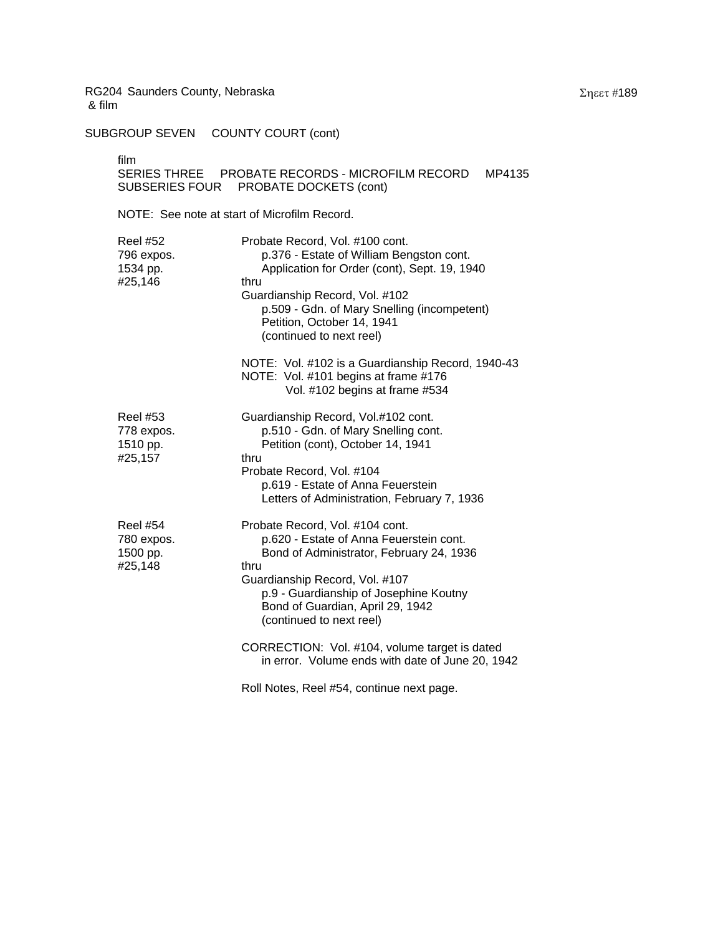SUBGROUP SEVEN COUNTY COURT (cont)

film

## SERIES THREE PROBATE RECORDS - MICROFILM RECORD MP4135 SUBSERIES FOUR PROBATE DOCKETS (cont)

| <b>Reel #52</b><br>796 expos.<br>1534 pp.<br>#25,146 | Probate Record, Vol. #100 cont.<br>p.376 - Estate of William Bengston cont.<br>Application for Order (cont), Sept. 19, 1940<br>thru<br>Guardianship Record, Vol. #102<br>p.509 - Gdn. of Mary Snelling (incompetent)<br>Petition, October 14, 1941<br>(continued to next reel) |
|------------------------------------------------------|--------------------------------------------------------------------------------------------------------------------------------------------------------------------------------------------------------------------------------------------------------------------------------|
|                                                      | NOTE: Vol. #102 is a Guardianship Record, 1940-43<br>NOTE: Vol. #101 begins at frame #176<br>Vol. #102 begins at frame #534                                                                                                                                                    |
| <b>Reel #53</b><br>778 expos.<br>1510 pp.<br>#25,157 | Guardianship Record, Vol.#102 cont.<br>p.510 - Gdn. of Mary Snelling cont.<br>Petition (cont), October 14, 1941<br>thru<br>Probate Record, Vol. #104<br>p.619 - Estate of Anna Feuerstein<br>Letters of Administration, February 7, 1936                                       |
| <b>Reel #54</b><br>780 expos.<br>1500 pp.<br>#25,148 | Probate Record, Vol. #104 cont.<br>p.620 - Estate of Anna Feuerstein cont.<br>Bond of Administrator, February 24, 1936<br>thru<br>Guardianship Record, Vol. #107<br>p.9 - Guardianship of Josephine Koutny<br>Bond of Guardian, April 29, 1942<br>(continued to next reel)     |
|                                                      | CORRECTION: Vol. #104, volume target is dated<br>in error. Volume ends with date of June 20, 1942                                                                                                                                                                              |
|                                                      | Roll Notes, Reel #54, continue next page.                                                                                                                                                                                                                                      |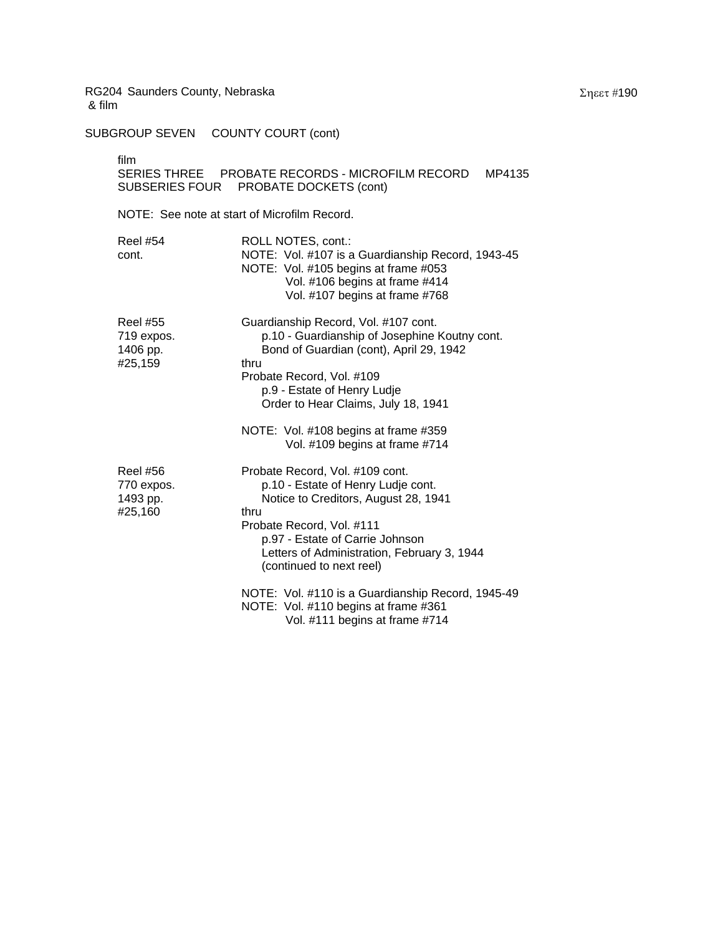SUBGROUP SEVEN COUNTY COURT (cont)

film

| SERIES THREE   | PROBATE RECORDS - MICROFILM RECORD | MP4135 |
|----------------|------------------------------------|--------|
| SUBSERIES FOUR | PROBATE DOCKETS (cont)             |        |

| <b>Reel #54</b><br>cont.                             | ROLL NOTES, cont.:<br>NOTE: Vol. #107 is a Guardianship Record, 1943-45<br>NOTE: Vol. #105 begins at frame #053<br>Vol. #106 begins at frame #414<br>Vol. #107 begins at frame #768                                                                              |
|------------------------------------------------------|------------------------------------------------------------------------------------------------------------------------------------------------------------------------------------------------------------------------------------------------------------------|
| <b>Reel #55</b><br>719 expos.<br>1406 pp.<br>#25,159 | Guardianship Record, Vol. #107 cont.<br>p.10 - Guardianship of Josephine Koutny cont.<br>Bond of Guardian (cont), April 29, 1942<br>thru<br>Probate Record, Vol. #109<br>p.9 - Estate of Henry Ludje<br>Order to Hear Claims, July 18, 1941                      |
|                                                      | NOTE: Vol. #108 begins at frame #359<br>Vol. #109 begins at frame #714                                                                                                                                                                                           |
| <b>Reel #56</b><br>770 expos.<br>1493 pp.<br>#25,160 | Probate Record, Vol. #109 cont.<br>p.10 - Estate of Henry Ludje cont.<br>Notice to Creditors, August 28, 1941<br>thru<br>Probate Record, Vol. #111<br>p.97 - Estate of Carrie Johnson<br>Letters of Administration, February 3, 1944<br>(continued to next reel) |
|                                                      | NOTE: Vol. #110 is a Guardianship Record, 1945-49<br>NOTE: Vol. #110 begins at frame #361<br>Vol. #111 begins at frame #714                                                                                                                                      |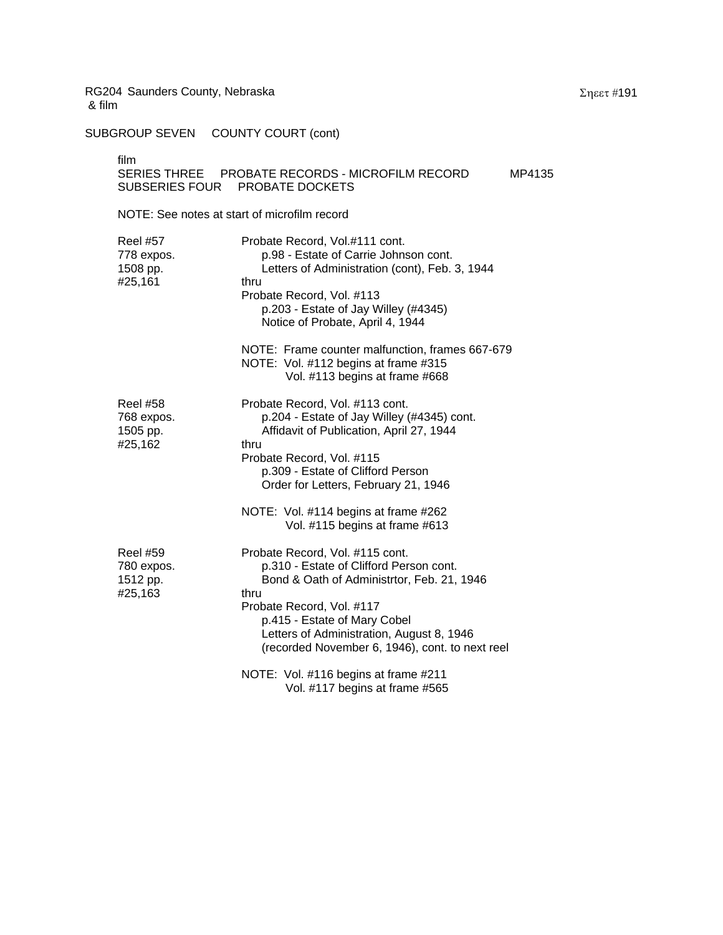SUBGROUP SEVEN COUNTY COURT (cont)

film<br>SEF

|                | SERIES THREE PROBATE RECORDS - MICROFILM RECORD | MP4135 |
|----------------|-------------------------------------------------|--------|
| SUBSERIES FOUR | PROBATE DOCKETS                                 |        |

| <b>Reel #57</b><br>778 expos.<br>1508 pp.<br>#25,161 | Probate Record, Vol.#111 cont.<br>p.98 - Estate of Carrie Johnson cont.<br>Letters of Administration (cont), Feb. 3, 1944<br>thru<br>Probate Record, Vol. #113<br>p.203 - Estate of Jay Willey (#4345)<br>Notice of Probate, April 4, 1944                                                    |
|------------------------------------------------------|-----------------------------------------------------------------------------------------------------------------------------------------------------------------------------------------------------------------------------------------------------------------------------------------------|
|                                                      | NOTE: Frame counter malfunction, frames 667-679<br>NOTE: Vol. #112 begins at frame #315<br>Vol. #113 begins at frame #668                                                                                                                                                                     |
| <b>Reel #58</b><br>768 expos.<br>1505 pp.<br>#25,162 | Probate Record, Vol. #113 cont.<br>p.204 - Estate of Jay Willey (#4345) cont.<br>Affidavit of Publication, April 27, 1944<br>thru<br>Probate Record, Vol. #115<br>p.309 - Estate of Clifford Person<br>Order for Letters, February 21, 1946<br>NOTE: Vol. #114 begins at frame #262           |
|                                                      | Vol. #115 begins at frame #613                                                                                                                                                                                                                                                                |
| <b>Reel #59</b><br>780 expos.<br>1512 pp.<br>#25,163 | Probate Record, Vol. #115 cont.<br>p.310 - Estate of Clifford Person cont.<br>Bond & Oath of Administrtor, Feb. 21, 1946<br>thru<br>Probate Record, Vol. #117<br>p.415 - Estate of Mary Cobel<br>Letters of Administration, August 8, 1946<br>(recorded November 6, 1946), cont. to next reel |
|                                                      | NOTE: Vol. #116 begins at frame #211<br>Vol. #117 begins at frame #565                                                                                                                                                                                                                        |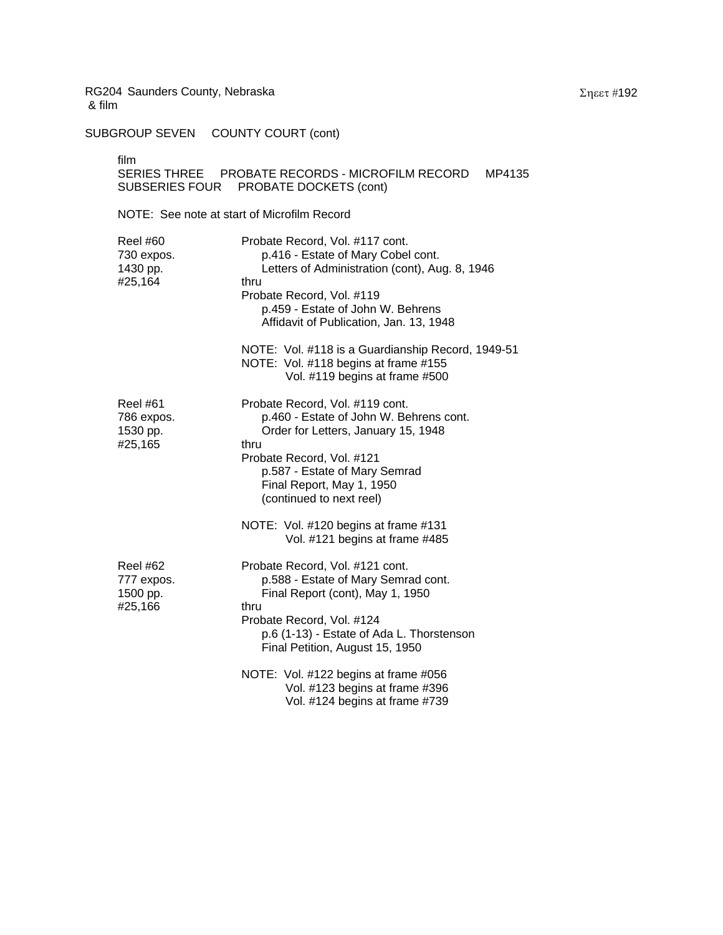SUBGROUP SEVEN COUNTY COURT (cont)

film

## SERIES THREE PROBATE RECORDS - MICROFILM RECORD MP4135 SUBSERIES FOUR PROBATE DOCKETS (cont)

| <b>Reel #60</b><br>730 expos.<br>1430 pp.<br>#25,164 | Probate Record, Vol. #117 cont.<br>p.416 - Estate of Mary Cobel cont.<br>Letters of Administration (cont), Aug. 8, 1946<br>thru<br>Probate Record, Vol. #119<br>p.459 - Estate of John W. Behrens<br>Affidavit of Publication, Jan. 13, 1948     |
|------------------------------------------------------|--------------------------------------------------------------------------------------------------------------------------------------------------------------------------------------------------------------------------------------------------|
|                                                      | NOTE: Vol. #118 is a Guardianship Record, 1949-51<br>NOTE: Vol. #118 begins at frame #155<br>Vol. #119 begins at frame #500                                                                                                                      |
| Reel #61<br>786 expos.<br>1530 pp.<br>#25,165        | Probate Record, Vol. #119 cont.<br>p.460 - Estate of John W. Behrens cont.<br>Order for Letters, January 15, 1948<br>thru<br>Probate Record, Vol. #121<br>p.587 - Estate of Mary Semrad<br>Final Report, May 1, 1950<br>(continued to next reel) |
|                                                      | NOTE: Vol. #120 begins at frame #131<br>Vol. #121 begins at frame #485                                                                                                                                                                           |
| <b>Reel #62</b><br>777 expos.<br>1500 pp.<br>#25,166 | Probate Record, Vol. #121 cont.<br>p.588 - Estate of Mary Semrad cont.<br>Final Report (cont), May 1, 1950<br>thru<br>Probate Record, Vol. #124<br>p.6 (1-13) - Estate of Ada L. Thorstenson<br>Final Petition, August 15, 1950                  |
|                                                      | NOTE: Vol. #122 begins at frame #056<br>Vol. #123 begins at frame #396<br>Vol. #124 begins at frame #739                                                                                                                                         |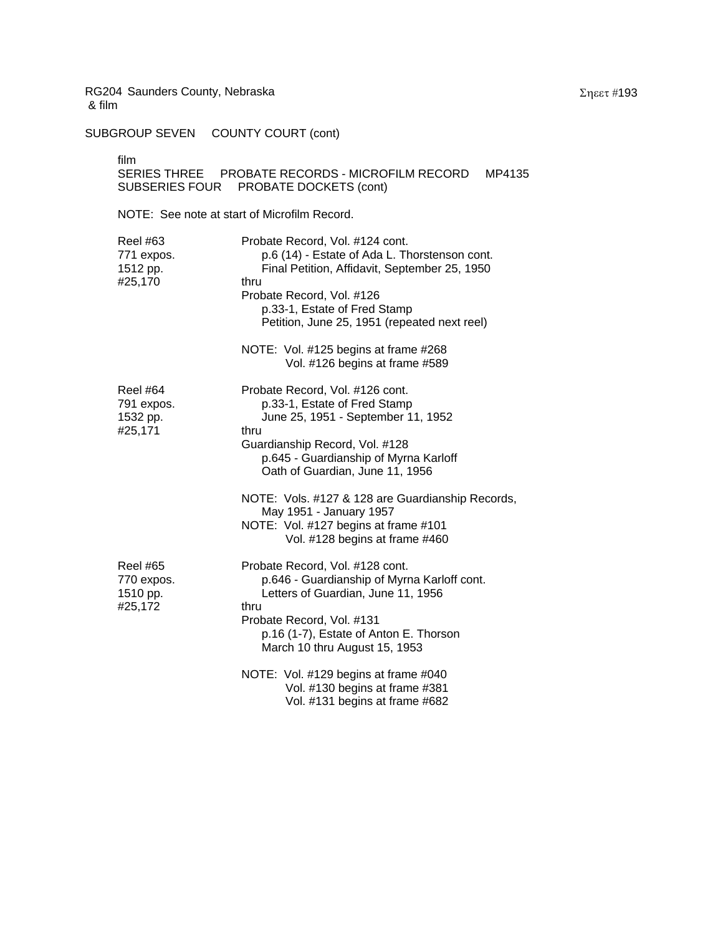SUBGROUP SEVEN COUNTY COURT (cont)

film

## SERIES THREE PROBATE RECORDS - MICROFILM RECORD MP4135 SUBSERIES FOUR PROBATE DOCKETS (cont)

| <b>Reel #63</b><br>771 expos.<br>1512 pp.<br>#25,170 | Probate Record, Vol. #124 cont.<br>p.6 (14) - Estate of Ada L. Thorstenson cont.<br>Final Petition, Affidavit, September 25, 1950<br>thru<br>Probate Record, Vol. #126<br>p.33-1, Estate of Fred Stamp<br>Petition, June 25, 1951 (repeated next reel) |
|------------------------------------------------------|--------------------------------------------------------------------------------------------------------------------------------------------------------------------------------------------------------------------------------------------------------|
|                                                      | NOTE: Vol. #125 begins at frame #268<br>Vol. #126 begins at frame #589                                                                                                                                                                                 |
| <b>Reel #64</b><br>791 expos.<br>1532 pp.<br>#25,171 | Probate Record, Vol. #126 cont.<br>p.33-1, Estate of Fred Stamp<br>June 25, 1951 - September 11, 1952<br>thru<br>Guardianship Record, Vol. #128<br>p.645 - Guardianship of Myrna Karloff<br>Oath of Guardian, June 11, 1956                            |
|                                                      | NOTE: Vols. #127 & 128 are Guardianship Records,<br>May 1951 - January 1957<br>NOTE: Vol. #127 begins at frame #101<br>Vol. #128 begins at frame #460                                                                                                  |
| <b>Reel #65</b><br>770 expos.<br>1510 pp.<br>#25,172 | Probate Record, Vol. #128 cont.<br>p.646 - Guardianship of Myrna Karloff cont.<br>Letters of Guardian, June 11, 1956<br>thru<br>Probate Record, Vol. #131<br>p.16 (1-7), Estate of Anton E. Thorson<br>March 10 thru August 15, 1953                   |
|                                                      | NOTE: Vol. #129 begins at frame #040<br>Vol. #130 begins at frame #381<br>Vol. #131 begins at frame #682                                                                                                                                               |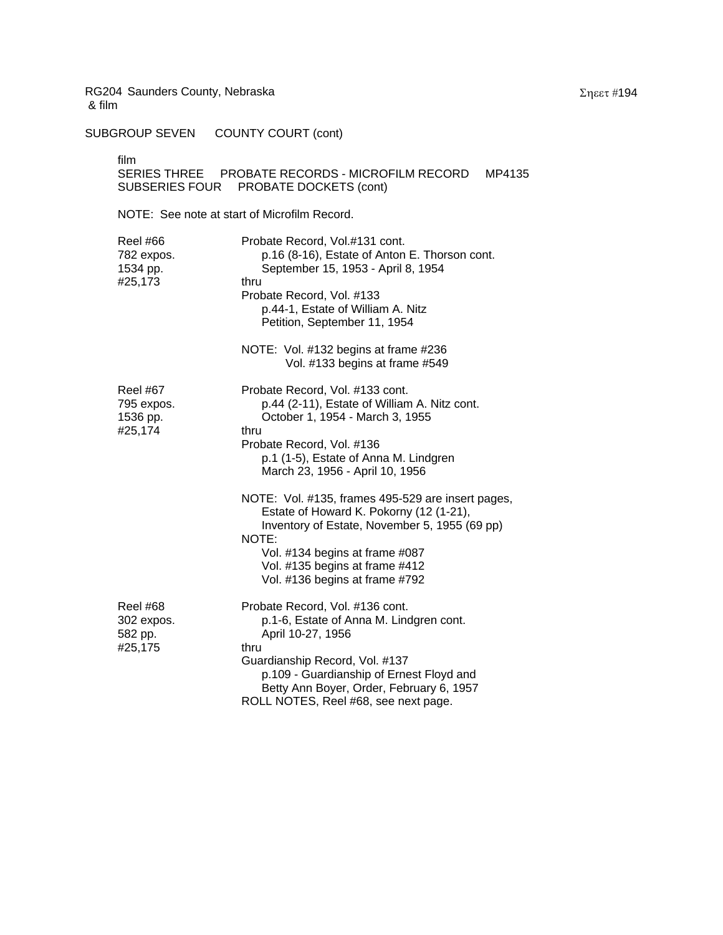SUBGROUP SEVEN COUNTY COURT (cont)

film

## SERIES THREE PROBATE RECORDS - MICROFILM RECORD MP4135 SUBSERIES FOUR PROBATE DOCKETS (cont)

| Reel #66<br>782 expos.<br>1534 pp.<br>#25,173        | Probate Record, Vol.#131 cont.<br>p.16 (8-16), Estate of Anton E. Thorson cont.<br>September 15, 1953 - April 8, 1954<br>thru<br>Probate Record, Vol. #133<br>p.44-1, Estate of William A. Nitz<br>Petition, September 11, 1954                                           |
|------------------------------------------------------|---------------------------------------------------------------------------------------------------------------------------------------------------------------------------------------------------------------------------------------------------------------------------|
|                                                      | NOTE: Vol. #132 begins at frame #236<br>Vol. #133 begins at frame #549                                                                                                                                                                                                    |
| <b>Reel #67</b><br>795 expos.<br>1536 pp.<br>#25,174 | Probate Record, Vol. #133 cont.<br>p.44 (2-11), Estate of William A. Nitz cont.<br>October 1, 1954 - March 3, 1955<br>thru<br>Probate Record, Vol. #136<br>p.1 (1-5), Estate of Anna M. Lindgren<br>March 23, 1956 - April 10, 1956                                       |
|                                                      | NOTE: Vol. #135, frames 495-529 are insert pages,<br>Estate of Howard K. Pokorny (12 (1-21),<br>Inventory of Estate, November 5, 1955 (69 pp)<br>NOTE:<br>Vol. #134 begins at frame #087<br>Vol. #135 begins at frame #412<br>Vol. #136 begins at frame #792              |
| <b>Reel #68</b><br>302 expos.<br>582 pp.<br>#25,175  | Probate Record, Vol. #136 cont.<br>p.1-6, Estate of Anna M. Lindgren cont.<br>April 10-27, 1956<br>thru<br>Guardianship Record, Vol. #137<br>p.109 - Guardianship of Ernest Floyd and<br>Betty Ann Boyer, Order, February 6, 1957<br>ROLL NOTES, Reel #68, see next page. |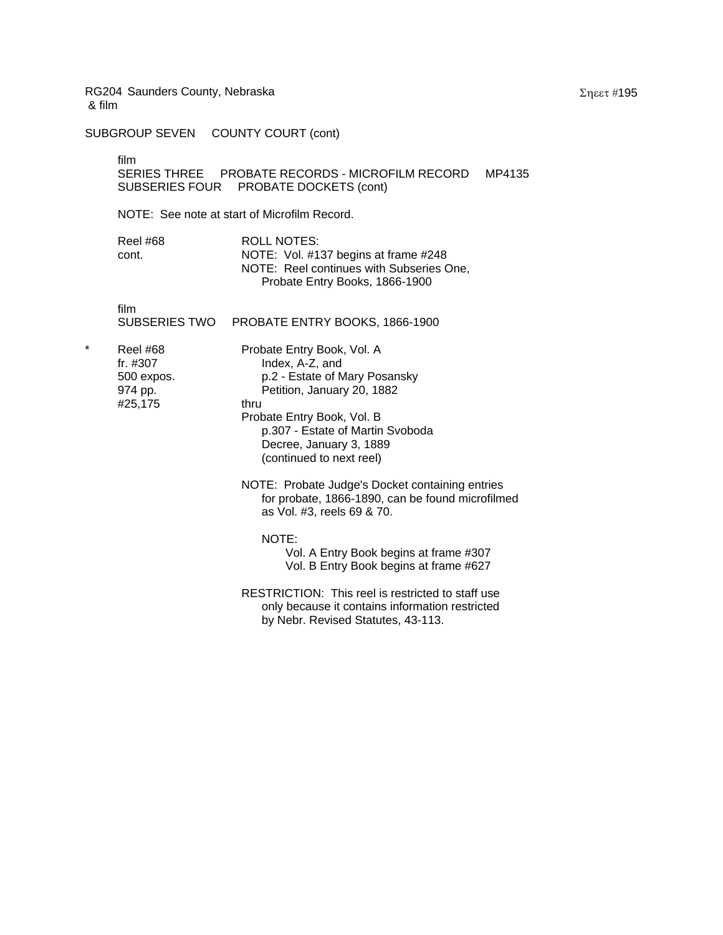SUBGROUP SEVEN COUNTY COURT (cont)

film

SERIES THREE PROBATE RECORDS - MICROFILM RECORD MP4135 SUBSERIES FOUR PROBATE DOCKETS (cont)

NOTE: See note at start of Microfilm Record.

| <b>Reel #68</b> | ROLL NOTES:                              |
|-----------------|------------------------------------------|
| cont.           | NOTE: Vol. #137 begins at frame #248     |
|                 | NOTE: Reel continues with Subseries One, |
|                 | Probate Entry Books, 1866-1900           |

film

| PROBATE ENTRY BOOKS, 1866-1900<br>SUBSERIES TWO |  |
|-------------------------------------------------|--|

- Reel #68 Probate Entry Book, Vol. A #25,175 thru
	- fr. #307 Index, A-Z, and<br>500 expos. p.2 Estate of M p.2 - Estate of Mary Posansky 974 pp. Petition, January 20, 1882 Probate Entry Book, Vol. B p.307 - Estate of Martin Svoboda Decree, January 3, 1889

(continued to next reel)

- NOTE: Probate Judge's Docket containing entries for probate, 1866-1890, can be found microfilmed as Vol. #3, reels 69 & 70.
	- NOTE:
		- Vol. A Entry Book begins at frame #307 Vol. B Entry Book begins at frame #627
- RESTRICTION: This reel is restricted to staff use only because it contains information restricted by Nebr. Revised Statutes, 43-113.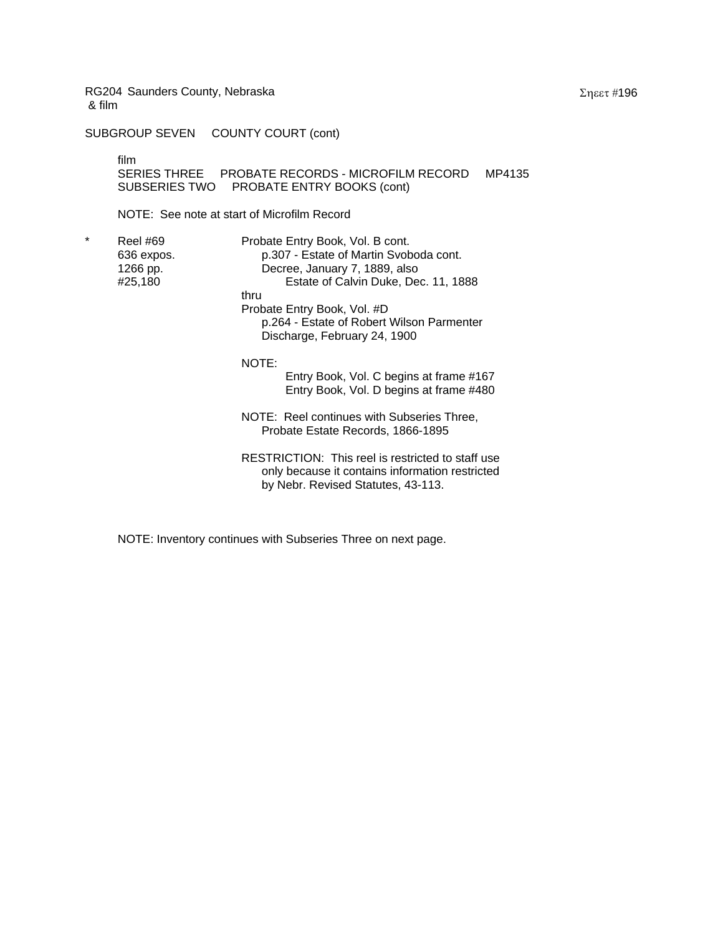SUBGROUP SEVEN COUNTY COURT (cont)

film

SERIES THREE PROBATE RECORDS - MICROFILM RECORD MP4135 SUBSERIES TWO PROBATE ENTRY BOOKS (cont)

NOTE: See note at start of Microfilm Record

\* Reel #69 Probate Entry Book, Vol. B cont. 636 expos. p.307 - Estate of Martin Svoboda cont. 1266 pp. Decree, January 7, 1889, also Estate of Calvin Duke, Dec. 11, 1888 thru Probate Entry Book, Vol. #D p.264 - Estate of Robert Wilson Parmenter Discharge, February 24, 1900

NOTE:

Entry Book, Vol. C begins at frame #167 Entry Book, Vol. D begins at frame #480

NOTE: Reel continues with Subseries Three, Probate Estate Records, 1866-1895

RESTRICTION: This reel is restricted to staff use only because it contains information restricted by Nebr. Revised Statutes, 43-113.

NOTE: Inventory continues with Subseries Three on next page.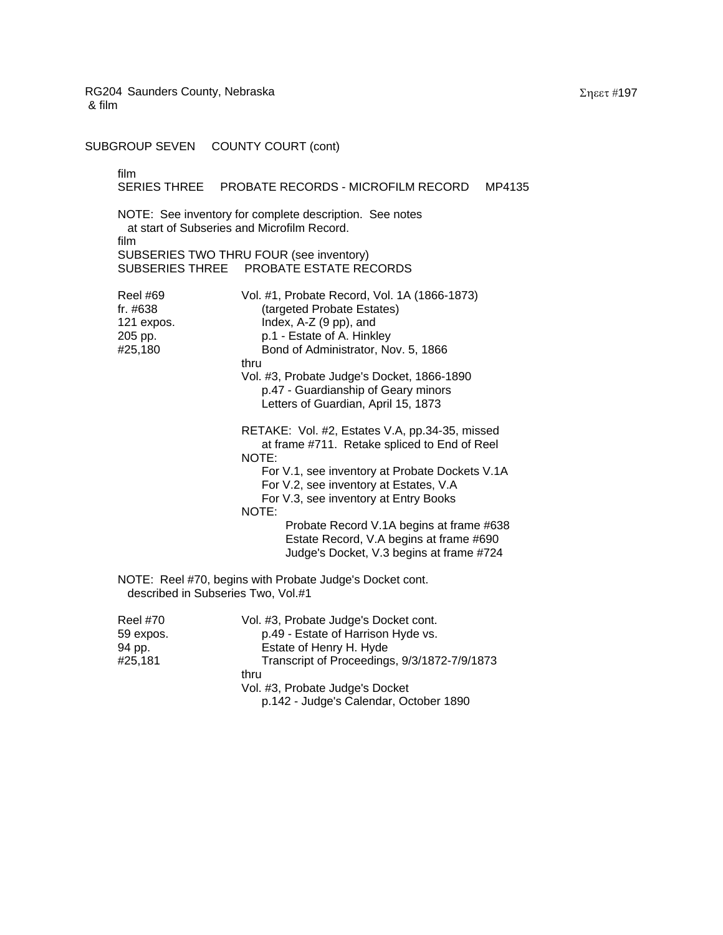SUBGROUP SEVEN COUNTY COURT (cont)

film SERIES THREE PROBATE RECORDS - MICROFILM RECORD MP4135 NOTE: See inventory for complete description. See notes at start of Subseries and Microfilm Record. film SUBSERIES TWO THRU FOUR (see inventory) SUBSERIES THREE PROBATE ESTATE RECORDS Reel #69 Vol. #1, Probate Record, Vol. 1A (1866-1873) fr. #638 (targeted Probate Estates) 121 expos. Index, A-Z (9 pp), and 205 pp. b.1 - Estate of A. Hinkley #25,180 Bond of Administrator, Nov. 5, 1866 thru Vol. #3, Probate Judge's Docket, 1866-1890 p.47 - Guardianship of Geary minors Letters of Guardian, April 15, 1873 RETAKE: Vol. #2, Estates V.A, pp.34-35, missed at frame #711. Retake spliced to End of Reel NOTE: For V.1, see inventory at Probate Dockets V.1A For V.2, see inventory at Estates, V.A For V.3, see inventory at Entry Books NOTE: Probate Record V.1A begins at frame #638 Estate Record, V.A begins at frame #690 Judge's Docket, V.3 begins at frame #724 NOTE: Reel #70, begins with Probate Judge's Docket cont. described in Subseries Two, Vol.#1 Reel #70 Vol. #3, Probate Judge's Docket cont. 59 expos. p.49 - Estate of Harrison Hyde vs. 94 pp. **Estate of Henry H. Hyde** #25,181 Transcript of Proceedings, 9/3/1872-7/9/1873 thru Vol. #3, Probate Judge's Docket p.142 - Judge's Calendar, October 1890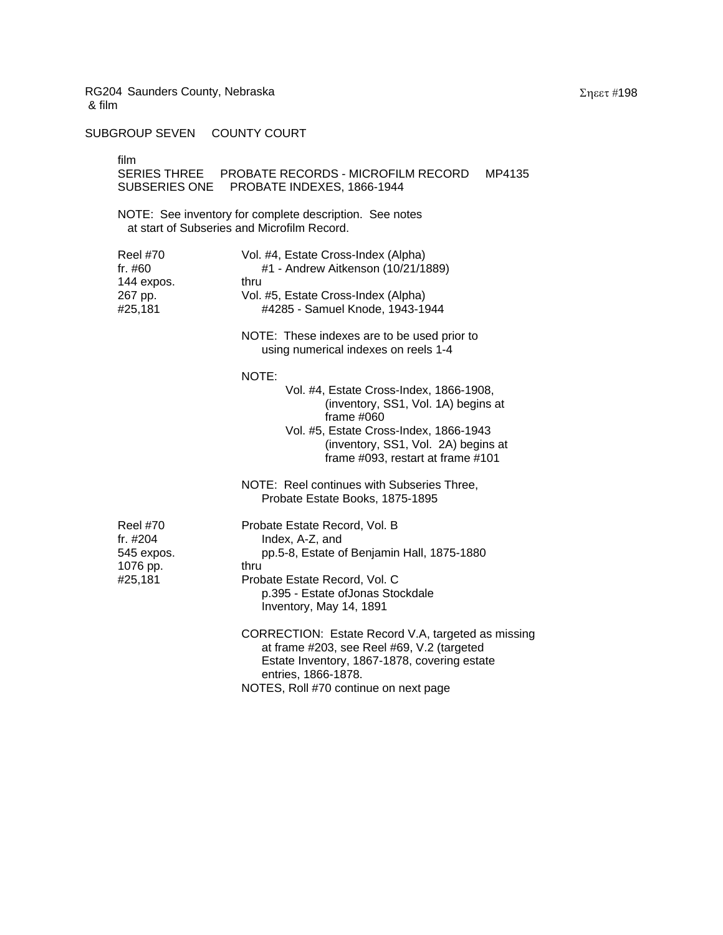SUBGROUP SEVEN COUNTY COURT

film

| TIIM<br><b>SUBSERIES ONE</b>                                     | SERIES THREE PROBATE RECORDS - MICROFILM RECORD<br>MP4135<br>PROBATE INDEXES, 1866-1944                                                                                                                                                                                                                        |
|------------------------------------------------------------------|----------------------------------------------------------------------------------------------------------------------------------------------------------------------------------------------------------------------------------------------------------------------------------------------------------------|
|                                                                  | NOTE: See inventory for complete description. See notes<br>at start of Subseries and Microfilm Record.                                                                                                                                                                                                         |
| <b>Reel #70</b><br>fr. #60<br>144 expos.<br>267 pp.<br>#25,181   | Vol. #4, Estate Cross-Index (Alpha)<br>#1 - Andrew Aitkenson (10/21/1889)<br>thru<br>Vol. #5, Estate Cross-Index (Alpha)<br>#4285 - Samuel Knode, 1943-1944<br>NOTE: These indexes are to be used prior to<br>using numerical indexes on reels 1-4                                                             |
|                                                                  | NOTE:<br>Vol. #4, Estate Cross-Index, 1866-1908,<br>(inventory, SS1, Vol. 1A) begins at<br>frame $#060$<br>Vol. #5, Estate Cross-Index, 1866-1943<br>(inventory, SS1, Vol. 2A) begins at<br>frame #093, restart at frame #101<br>NOTE: Reel continues with Subseries Three,<br>Probate Estate Books, 1875-1895 |
| <b>Reel #70</b><br>fr. #204<br>545 expos.<br>1076 pp.<br>#25,181 | Probate Estate Record, Vol. B<br>Index, A-Z, and<br>pp.5-8, Estate of Benjamin Hall, 1875-1880<br>thru<br>Probate Estate Record, Vol. C<br>p.395 - Estate ofJonas Stockdale<br>Inventory, May 14, 1891                                                                                                         |
|                                                                  | CORRECTION: Estate Record V.A, targeted as missing<br>at frame #203, see Reel #69, V.2 (targeted<br>Estate Inventory, 1867-1878, covering estate<br>entries, 1866-1878.<br>NOTES, Roll #70 continue on next page                                                                                               |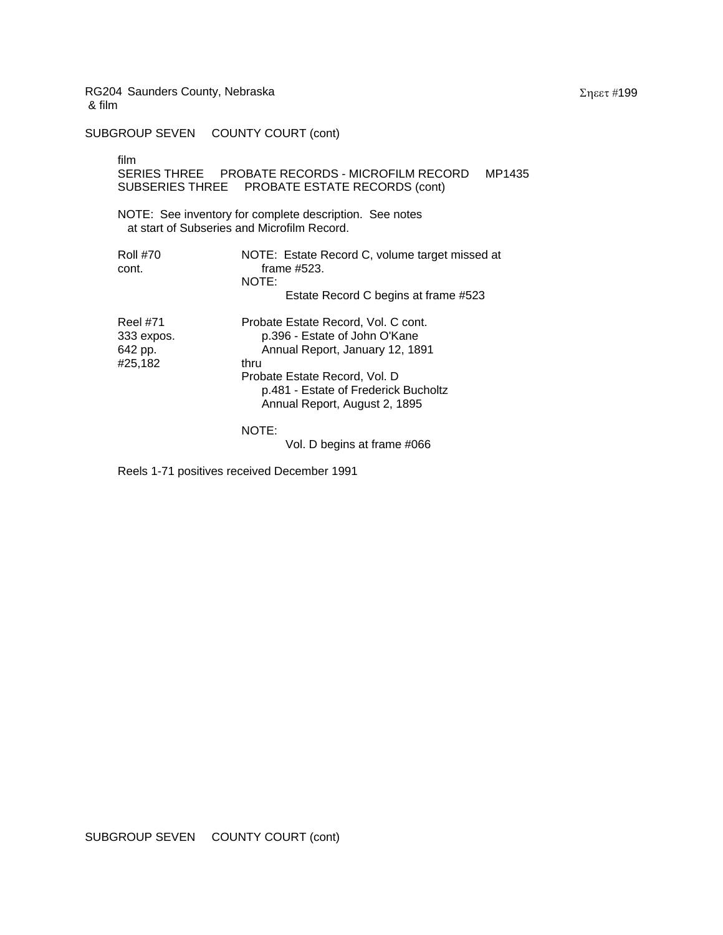SUBGROUP SEVEN COUNTY COURT (cont)

film

|                                                     | MP1435<br>SUBSERIES THREE PROBATE ESTATE RECORDS (cont)                                                                                                                                                                   |
|-----------------------------------------------------|---------------------------------------------------------------------------------------------------------------------------------------------------------------------------------------------------------------------------|
|                                                     | NOTE: See inventory for complete description. See notes<br>at start of Subseries and Microfilm Record.                                                                                                                    |
| <b>Roll #70</b><br>cont.                            | NOTE: Estate Record C, volume target missed at<br>frame #523.<br>NOTE:<br>Estate Record C begins at frame #523                                                                                                            |
| <b>Reel #71</b><br>333 expos.<br>642 pp.<br>#25,182 | Probate Estate Record, Vol. C cont.<br>p.396 - Estate of John O'Kane<br>Annual Report, January 12, 1891<br>thru<br>Probate Estate Record, Vol. D<br>p.481 - Estate of Frederick Bucholtz<br>Annual Report, August 2, 1895 |
|                                                     | NOTE:                                                                                                                                                                                                                     |

Vol. D begins at frame #066

Reels 1-71 positives received December 1991

Σηεετ #199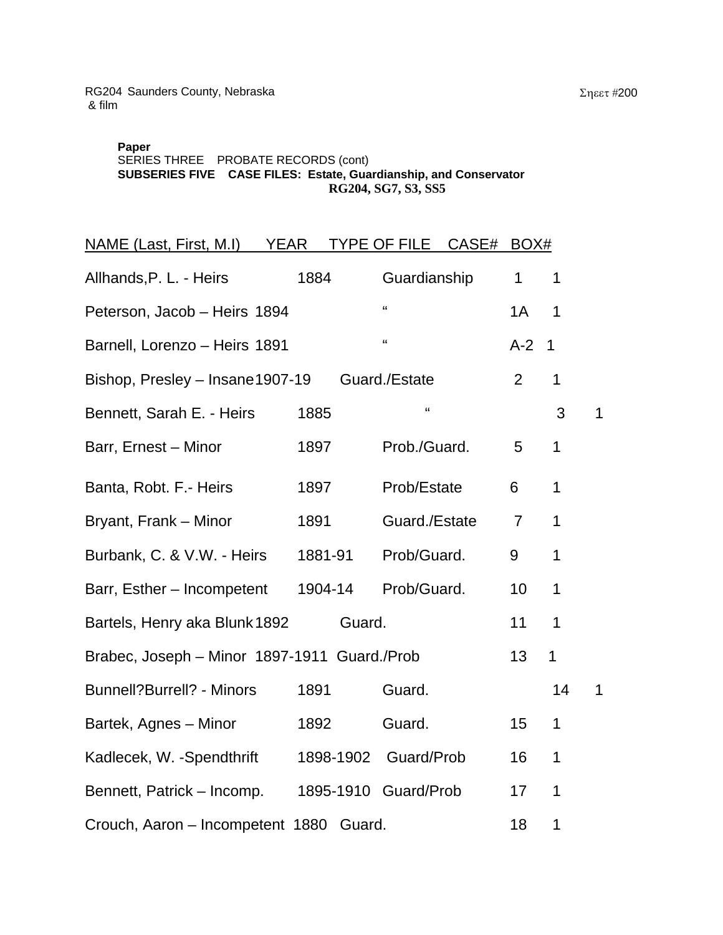# **Paper**  SERIES THREE PROBATE RECORDS (cont) **SUBSERIES FIVE CASE FILES: Esta RG204, SG7, S3, SS5 te, Guardianship, and Conservator**

| <b>NAME (Last, First, M.I)</b>               | <b>YEAR</b> |        | TYPE OF FILE CASE#   | BOX#           |              |             |
|----------------------------------------------|-------------|--------|----------------------|----------------|--------------|-------------|
| Allhands, P. L. - Heirs                      | 1884        |        | Guardianship         | 1              | 1            |             |
| Peterson, Jacob - Heirs 1894                 |             |        | $\alpha$             | 1A             | 1            |             |
| Barnell, Lorenzo - Heirs 1891                |             |        | $\mathbf{G}$         | $A-2$          | $\mathbf 1$  |             |
| Bishop, Presley - Insane1907-19              |             |        | Guard./Estate        | $\overline{2}$ | 1            |             |
| Bennett, Sarah E. - Heirs                    | 1885        |        | $\mathbf{G}$         |                | 3            | 1           |
| Barr, Ernest - Minor                         | 1897        |        | Prob./Guard.         | 5              | 1            |             |
| Banta, Robt. F.- Heirs                       | 1897        |        | Prob/Estate          | 6              | 1            |             |
| Bryant, Frank - Minor                        | 1891        |        | Guard./Estate        | $\overline{7}$ | 1            |             |
| Burbank, C. & V.W. - Heirs                   | 1881-91     |        | Prob/Guard.          | 9              | 1            |             |
| Barr, Esther - Incompetent                   | 1904-14     |        | Prob/Guard.          | 10             | 1            |             |
| Bartels, Henry aka Blunk 1892                |             | Guard. |                      | 11             | 1            |             |
| Brabec, Joseph - Minor 1897-1911 Guard./Prob |             |        |                      | 13             | $\mathbf{1}$ |             |
| <b>Bunnell?Burrell? - Minors</b>             | 1891        |        | Guard.               |                | 14           | $\mathbf 1$ |
| Bartek, Agnes - Minor                        | 1892        |        | Guard.               | 15             | 1            |             |
| Kadlecek, W. -Spendthrift                    |             |        | 1898-1902 Guard/Prob | 16             | 1            |             |
| Bennett, Patrick - Incomp.                   |             |        | 1895-1910 Guard/Prob | 17             | 1            |             |
| Crouch, Aaron - Incompetent 1880 Guard.      |             |        |                      | 18             | 1            |             |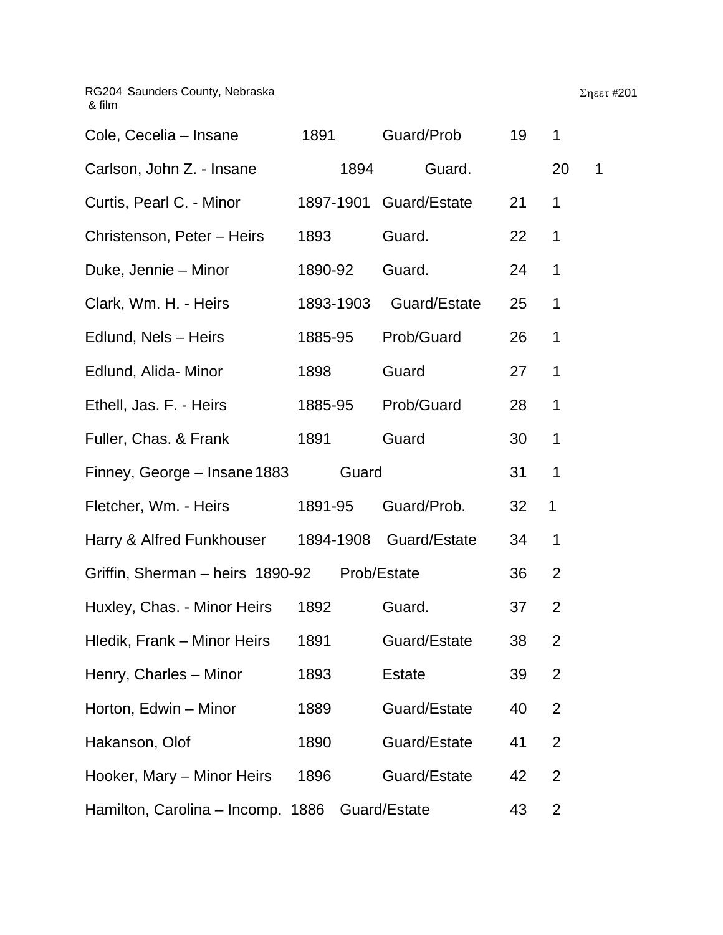| Cole, Cecelia - Insane            | 1891    |           |               | Guard/Prob             | 19 | 1              |   |
|-----------------------------------|---------|-----------|---------------|------------------------|----|----------------|---|
| Carlson, John Z. - Insane         |         | 1894      |               | Guard.                 |    | 20             | 1 |
| Curtis, Pearl C. - Minor          |         |           |               | 1897-1901 Guard/Estate | 21 | 1              |   |
| Christenson, Peter - Heirs        | 1893    |           | Guard.        |                        | 22 | 1              |   |
| Duke, Jennie – Minor              | 1890-92 |           | Guard.        |                        | 24 | 1              |   |
| Clark, Wm. H. - Heirs             |         | 1893-1903 |               | Guard/Estate           | 25 | 1              |   |
| Edlund, Nels - Heirs              | 1885-95 |           |               | Prob/Guard             | 26 | 1              |   |
| Edlund, Alida- Minor              | 1898    |           | Guard         |                        | 27 | 1              |   |
| Ethell, Jas. F. - Heirs           | 1885-95 |           |               | Prob/Guard             | 28 | 1              |   |
| Fuller, Chas. & Frank             | 1891    |           | Guard         |                        | 30 | 1              |   |
| Finney, George - Insane 1883      |         | Guard     |               |                        | 31 | 1              |   |
| Fletcher, Wm. - Heirs             | 1891-95 |           |               | Guard/Prob.            | 32 | $\mathbf 1$    |   |
| Harry & Alfred Funkhouser         |         | 1894-1908 |               | Guard/Estate           | 34 | 1              |   |
| Griffin, Sherman - heirs 1890-92  |         |           | Prob/Estate   |                        | 36 | $\overline{2}$ |   |
| Huxley, Chas. - Minor Heirs       | 1892    |           | Guard.        |                        | 37 | 2              |   |
| Hledik, Frank – Minor Heirs       | 1891    |           |               | Guard/Estate           | 38 | $\overline{2}$ |   |
| Henry, Charles - Minor            | 1893    |           | <b>Estate</b> |                        | 39 | 2              |   |
| Horton, Edwin - Minor             | 1889    |           |               | Guard/Estate           | 40 | 2              |   |
| Hakanson, Olof                    | 1890    |           |               | Guard/Estate           | 41 | $\overline{2}$ |   |
| Hooker, Mary - Minor Heirs        | 1896    |           |               | Guard/Estate           | 42 | $\overline{2}$ |   |
| Hamilton, Carolina – Incomp. 1886 |         |           | Guard/Estate  |                        | 43 | 2              |   |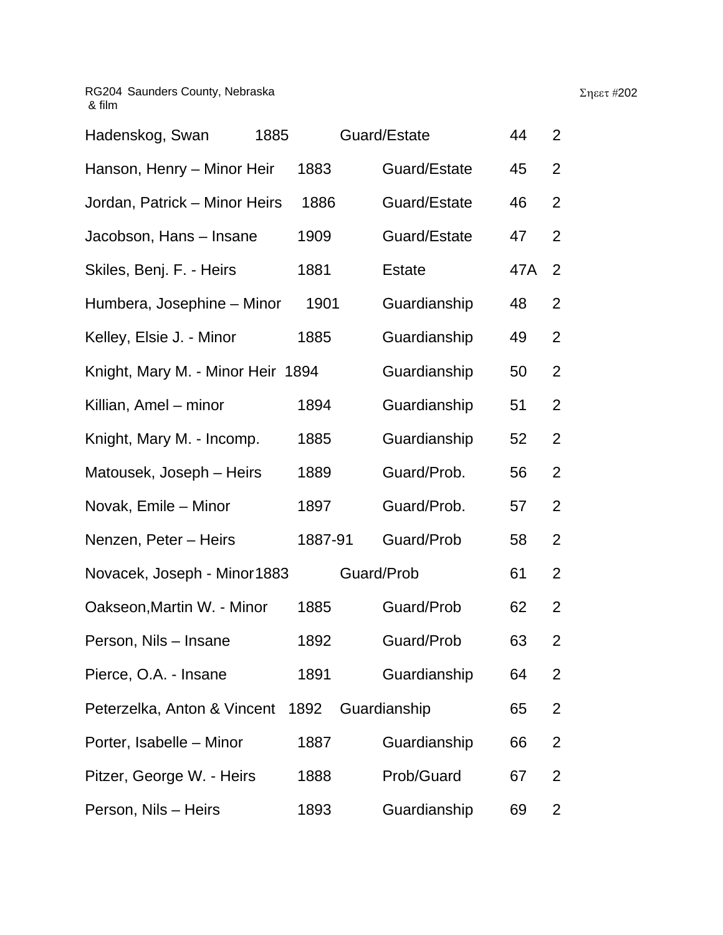| Hadenskog, Swan                   | 1885 |         | Guard/Estate  | 44  | $\overline{2}$ |  |
|-----------------------------------|------|---------|---------------|-----|----------------|--|
| Hanson, Henry - Minor Heir        |      | 1883    | Guard/Estate  | 45  | $\overline{2}$ |  |
| Jordan, Patrick – Minor Heirs     |      | 1886    | Guard/Estate  | 46  | 2              |  |
| Jacobson, Hans – Insane           |      | 1909    | Guard/Estate  | 47  | $\overline{2}$ |  |
| Skiles, Benj. F. - Heirs          |      | 1881    | <b>Estate</b> | 47A | 2              |  |
| Humbera, Josephine - Minor        |      | 1901    | Guardianship  | 48  | $\overline{2}$ |  |
| Kelley, Elsie J. - Minor          |      | 1885    | Guardianship  | 49  | 2              |  |
| Knight, Mary M. - Minor Heir 1894 |      |         | Guardianship  | 50  | 2              |  |
| Killian, Amel – minor             |      | 1894    | Guardianship  | 51  | $\overline{2}$ |  |
| Knight, Mary M. - Incomp.         |      | 1885    | Guardianship  | 52  | $\overline{2}$ |  |
| Matousek, Joseph – Heirs          |      | 1889    | Guard/Prob.   | 56  | $\overline{2}$ |  |
| Novak, Emile - Minor              |      | 1897    | Guard/Prob.   | 57  | $\overline{2}$ |  |
| Nenzen, Peter - Heirs             |      | 1887-91 | Guard/Prob    | 58  | 2              |  |
| Novacek, Joseph - Minor1883       |      |         | Guard/Prob    | 61  | $\overline{2}$ |  |
| Oakseon, Martin W. - Minor        |      | 1885    | Guard/Prob    | 62  | $\overline{2}$ |  |
| Person, Nils - Insane             |      | 1892    | Guard/Prob    | 63  | 2              |  |
| Pierce, O.A. - Insane             |      | 1891    | Guardianship  | 64  | 2              |  |
| Peterzelka, Anton & Vincent 1892  |      |         | Guardianship  | 65  | $\overline{2}$ |  |
| Porter, Isabelle - Minor          |      | 1887    | Guardianship  | 66  | $\overline{2}$ |  |
| Pitzer, George W. - Heirs         |      | 1888    | Prob/Guard    | 67  | 2              |  |
| Person, Nils - Heirs              |      | 1893    | Guardianship  | 69  | 2              |  |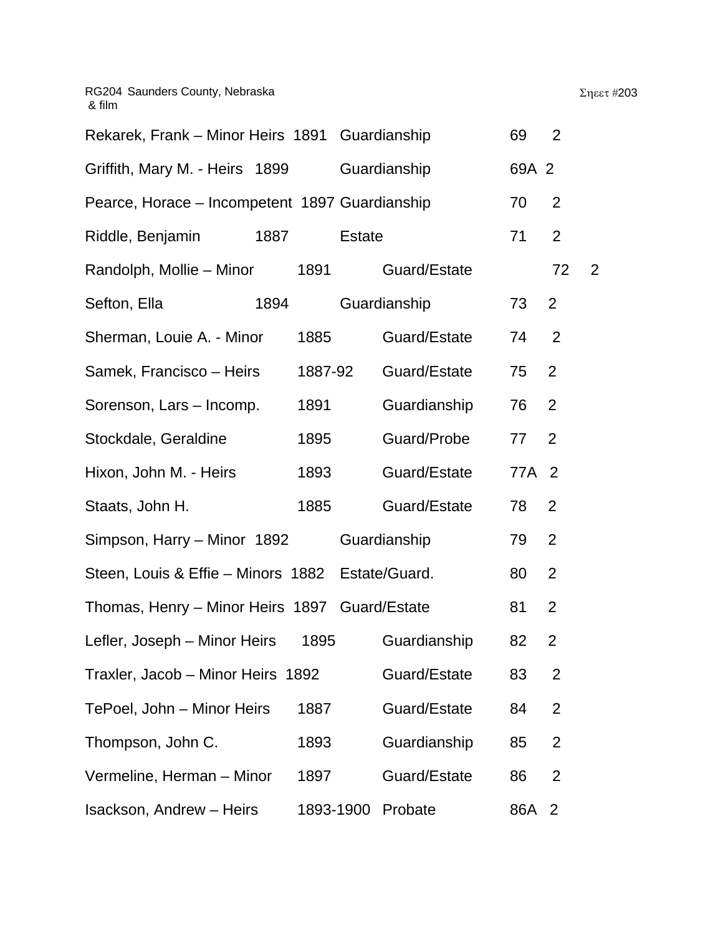| Rekarek, Frank - Minor Heirs 1891 Guardianship   |           |               |              | 69    | 2              |   |
|--------------------------------------------------|-----------|---------------|--------------|-------|----------------|---|
| Griffith, Mary M. - Heirs 1899                   |           | Guardianship  |              | 69A 2 |                |   |
| Pearce, Horace - Incompetent 1897 Guardianship   |           |               |              | 70    | $\overline{2}$ |   |
| Riddle, Benjamin                                 | 1887      | <b>Estate</b> |              | 71    | $\overline{2}$ |   |
| Randolph, Mollie - Minor                         | 1891      |               | Guard/Estate |       | 72             | 2 |
| Sefton, Ella                                     | 1894      | Guardianship  |              | 73    | $\overline{2}$ |   |
| Sherman, Louie A. - Minor                        | 1885      |               | Guard/Estate | 74    | $\overline{2}$ |   |
| Samek, Francisco - Heirs                         | 1887-92   |               | Guard/Estate | 75    | $\overline{2}$ |   |
| Sorenson, Lars - Incomp.                         | 1891      |               | Guardianship | 76    | $\overline{2}$ |   |
| Stockdale, Geraldine                             | 1895      |               | Guard/Probe  | 77    | $\overline{2}$ |   |
| Hixon, John M. - Heirs                           | 1893      |               | Guard/Estate | 77A 2 |                |   |
| Staats, John H.                                  | 1885      |               | Guard/Estate | 78    | 2              |   |
| Simpson, Harry – Minor 1892                      |           | Guardianship  |              | 79    | $\overline{2}$ |   |
| Steen, Louis & Effie - Minors 1882 Estate/Guard. |           |               |              | 80    | $\overline{2}$ |   |
| Thomas, Henry - Minor Heirs 1897 Guard/Estate    |           |               |              | 81    | $\overline{2}$ |   |
| Lefler, Joseph - Minor Heirs                     | 1895      |               | Guardianship | 82    | $\overline{2}$ |   |
| Traxler, Jacob - Minor Heirs 1892                |           |               | Guard/Estate | 83    | $\overline{2}$ |   |
| TePoel, John - Minor Heirs                       | 1887      |               | Guard/Estate | 84    | $\overline{2}$ |   |
| Thompson, John C.                                | 1893      |               | Guardianship | 85    | $\overline{2}$ |   |
| Vermeline, Herman - Minor                        | 1897      |               | Guard/Estate | 86    | $\overline{2}$ |   |
| <b>Isackson, Andrew - Heirs</b>                  | 1893-1900 | Probate       |              | 86A 2 |                |   |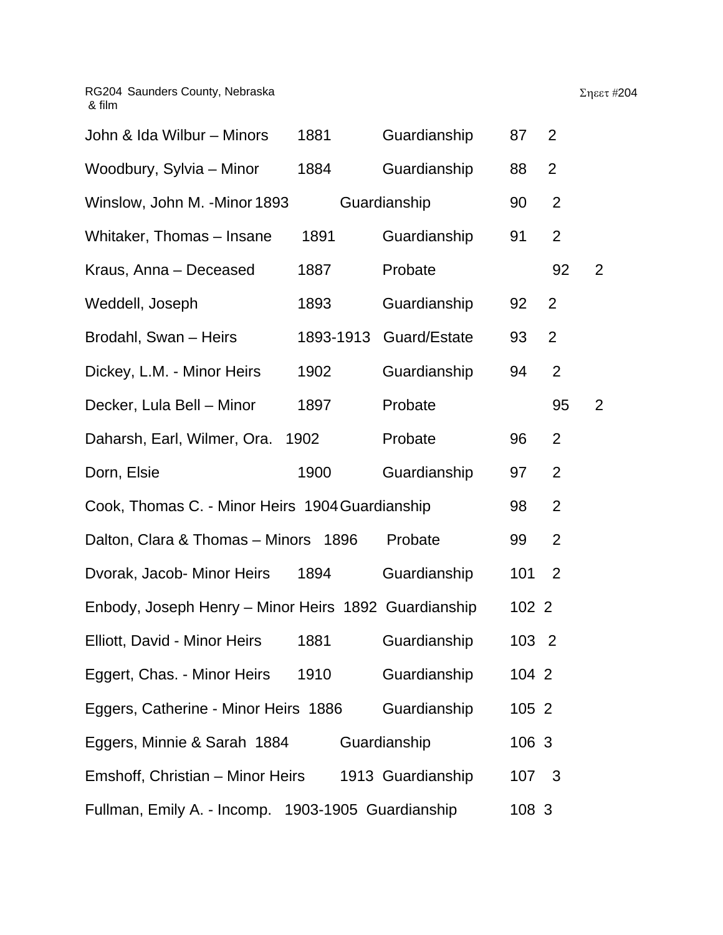| John & Ida Wilbur - Minors                           | 1881      | Guardianship      | 87    | 2              |                |
|------------------------------------------------------|-----------|-------------------|-------|----------------|----------------|
| Woodbury, Sylvia - Minor                             | 1884      | Guardianship      | 88    | $\overline{2}$ |                |
| Winslow, John M. - Minor 1893                        |           | Guardianship      | 90    | $\overline{2}$ |                |
| Whitaker, Thomas - Insane                            | 1891      | Guardianship      | 91    | 2              |                |
| Kraus, Anna - Deceased                               | 1887      | Probate           |       | 92             | $\overline{2}$ |
| Weddell, Joseph                                      | 1893      | Guardianship      | 92    | $\overline{2}$ |                |
| Brodahl, Swan - Heirs                                | 1893-1913 | Guard/Estate      | 93    | $\overline{2}$ |                |
| Dickey, L.M. - Minor Heirs                           | 1902      | Guardianship      | 94    | $\overline{2}$ |                |
| Decker, Lula Bell - Minor                            | 1897      | Probate           |       | 95             | $\overline{2}$ |
| Daharsh, Earl, Wilmer, Ora.                          | 1902      | Probate           | 96    | $\overline{2}$ |                |
| Dorn, Elsie                                          | 1900      | Guardianship      | 97    | 2              |                |
| Cook, Thomas C. - Minor Heirs 1904 Guardianship      |           |                   | 98    | $\overline{2}$ |                |
| Dalton, Clara & Thomas - Minors 1896                 |           | Probate           | 99    | $\overline{2}$ |                |
| Dvorak, Jacob- Minor Heirs                           | 1894      | Guardianship      | 101   | 2              |                |
| Enbody, Joseph Henry - Minor Heirs 1892 Guardianship |           |                   | 102 2 |                |                |
| Elliott, David - Minor Heirs                         | 1881      | Guardianship      | 103 2 |                |                |
| Eggert, Chas. - Minor Heirs                          | 1910      | Guardianship      | 104 2 |                |                |
| Eggers, Catherine - Minor Heirs 1886                 |           | Guardianship      | 105 2 |                |                |
| Eggers, Minnie & Sarah 1884                          |           | Guardianship      | 106 3 |                |                |
| Emshoff, Christian - Minor Heirs                     |           | 1913 Guardianship | 107 3 |                |                |
| Fullman, Emily A. - Incomp. 1903-1905 Guardianship   |           |                   | 108 3 |                |                |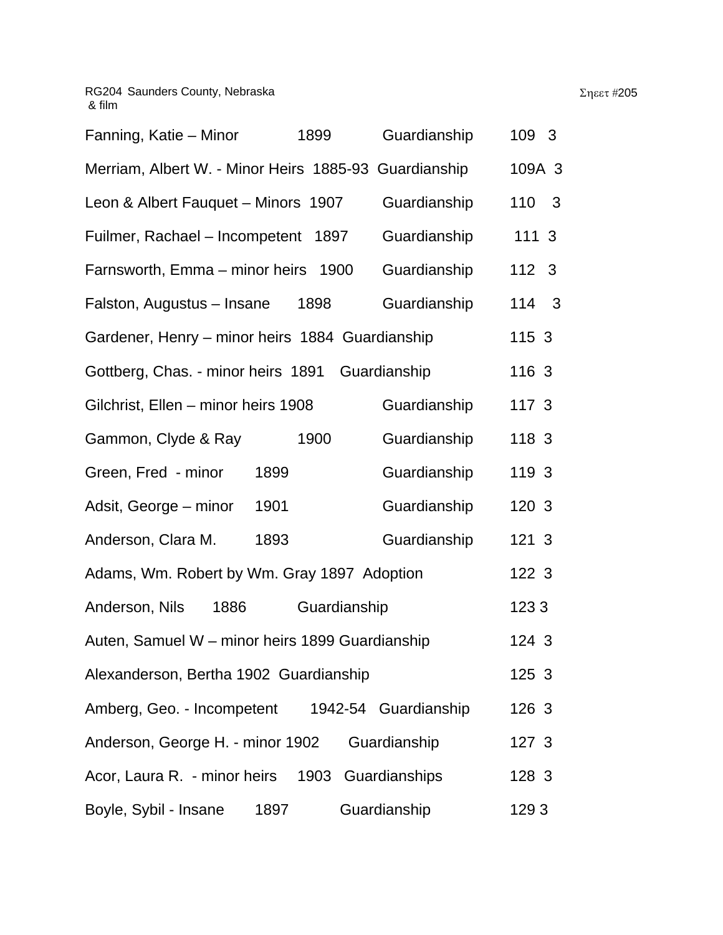| Fanning, Katie – Minor<br>1899                        | Guardianship         | 109 3            |   |
|-------------------------------------------------------|----------------------|------------------|---|
| Merriam, Albert W. - Minor Heirs 1885-93 Guardianship |                      | 109A 3           |   |
| Leon & Albert Fauquet - Minors 1907                   | Guardianship         | 110              | 3 |
| Fuilmer, Rachael - Incompetent 1897                   | Guardianship         | 1113             |   |
| Farnsworth, Emma - minor heirs 1900                   | Guardianship         | 112 <sup>3</sup> |   |
| Falston, Augustus - Insane<br>1898                    | Guardianship         | 114 3            |   |
| Gardener, Henry - minor heirs 1884 Guardianship       |                      | 115 3            |   |
| Gottberg, Chas. - minor heirs 1891                    | Guardianship         | 116 3            |   |
| Gilchrist, Ellen - minor heirs 1908                   | Guardianship         | 117 3            |   |
| Gammon, Clyde & Ray<br>1900                           | Guardianship         | 118 3            |   |
| Green, Fred - minor<br>1899                           | Guardianship         | 119 3            |   |
| 1901<br>Adsit, George – minor                         | Guardianship         | 120 3            |   |
| Anderson, Clara M.<br>1893                            | Guardianship         | 121 3            |   |
| Adams, Wm. Robert by Wm. Gray 1897 Adoption           |                      | 122 3            |   |
| Anderson, Nils<br>1886                                | Guardianship         | 1233             |   |
| Auten, Samuel W - minor heirs 1899 Guardianship       |                      | 124 3            |   |
| Alexanderson, Bertha 1902 Guardianship                |                      | 125 3            |   |
| Amberg, Geo. - Incompetent                            | 1942-54 Guardianship | 126 3            |   |
| Anderson, George H. - minor 1902                      | Guardianship         | 127 3            |   |
| 1903<br>Acor, Laura R. - minor heirs                  | Guardianships        | 128 3            |   |
| Boyle, Sybil - Insane<br>1897                         | Guardianship         | 1293             |   |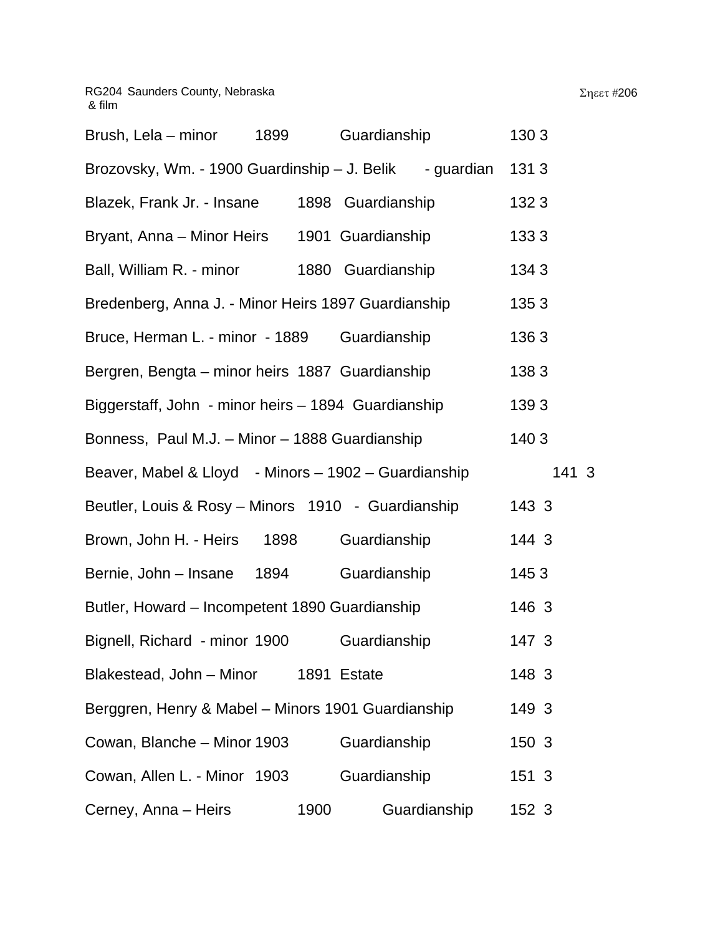| Brush, Lela – minor                          | 1899 | Guardianship      |                 | 1303           |  |
|----------------------------------------------|------|-------------------|-----------------|----------------|--|
| Brozovsky, Wm. - 1900 Guardinship - J. Belik |      |                   | - quardian 1313 |                |  |
| <b>Rlazek Frank Ir - Insane</b>              |      | 1898 Guardianshin |                 | ר 132 $\sigma$ |  |

| Blazek, Frank Jr. - Insane                           |      | 1898 Guardianship | 1323  |       |
|------------------------------------------------------|------|-------------------|-------|-------|
| Bryant, Anna – Minor Heirs                           |      | 1901 Guardianship | 1333  |       |
| Ball, William R. - minor                             |      | 1880 Guardianship | 1343  |       |
| Bredenberg, Anna J. - Minor Heirs 1897 Guardianship  |      |                   | 1353  |       |
| Bruce, Herman L. - minor - 1889                      |      | Guardianship      | 1363  |       |
| Bergren, Bengta – minor heirs 1887 Guardianship      |      |                   | 1383  |       |
| Biggerstaff, John - minor heirs - 1894 Guardianship  |      |                   | 1393  |       |
| Bonness, Paul M.J. - Minor - 1888 Guardianship       |      |                   | 1403  |       |
| Beaver, Mabel & Lloyd - Minors - 1902 - Guardianship |      |                   |       | 141 3 |
| Beutler, Louis & Rosy - Minors 1910 - Guardianship   |      |                   | 143 3 |       |
| Brown, John H. - Heirs<br>1898                       |      | Guardianship      | 144 3 |       |
| Bernie, John - Insane<br>1894                        |      | Guardianship      | 1453  |       |
| Butler, Howard - Incompetent 1890 Guardianship       |      |                   | 146 3 |       |
| Bignell, Richard - minor 1900                        |      | Guardianship      | 147 3 |       |
| Blakestead, John - Minor 1891 Estate                 |      |                   | 148 3 |       |
| Berggren, Henry & Mabel - Minors 1901 Guardianship   |      |                   | 149 3 |       |
| Cowan, Blanche - Minor 1903                          |      | Guardianship      | 150 3 |       |
| Cowan, Allen L. - Minor 1903                         |      | Guardianship      | 151 3 |       |
| Cerney, Anna - Heirs                                 | 1900 | Guardianship      | 152 3 |       |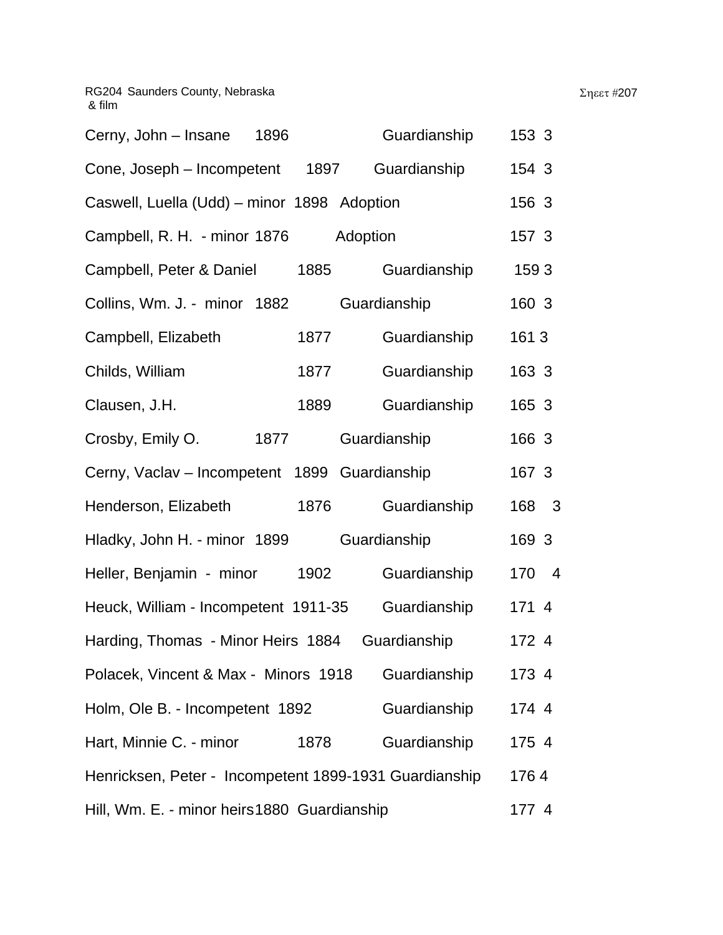| Cerny, John – Insane<br>1896                           | Guardianship | 153 3 |
|--------------------------------------------------------|--------------|-------|
| Cone, Joseph – Incompetent<br>1897                     | Guardianship | 154 3 |
| Caswell, Luella (Udd) - minor 1898 Adoption            |              | 156 3 |
| Campbell, R. H. - minor 1876                           | Adoption     | 157 3 |
| Campbell, Peter & Daniel<br>1885                       | Guardianship | 1593  |
| Collins, Wm. J. - minor 1882                           | Guardianship | 160 3 |
| Campbell, Elizabeth<br>1877                            | Guardianship | 1613  |
| Childs, William<br>1877                                | Guardianship | 163 3 |
| Clausen, J.H.<br>1889                                  | Guardianship | 165 3 |
| Crosby, Emily O.<br>1877                               | Guardianship | 166 3 |
| Cerny, Vaclav - Incompetent 1899 Guardianship          |              | 167 3 |
| 1876<br>Henderson, Elizabeth                           | Guardianship | 168 3 |
| Hladky, John H. - minor 1899                           | Guardianship | 169 3 |
| Heller, Benjamin - minor<br>1902                       | Guardianship | 170 4 |
| Heuck, William - Incompetent 1911-35                   | Guardianship | 171 4 |
| Harding, Thomas - Minor Heirs 1884                     | Guardianship | 172 4 |
| Polacek, Vincent & Max - Minors 1918                   | Guardianship | 173 4 |
| Holm, Ole B. - Incompetent 1892                        | Guardianship | 174 4 |
| Hart, Minnie C. - minor<br>1878                        | Guardianship | 175 4 |
| Henricksen, Peter - Incompetent 1899-1931 Guardianship |              | 1764  |
| Hill, Wm. E. - minor heirs 1880 Guardianship           |              | 177 4 |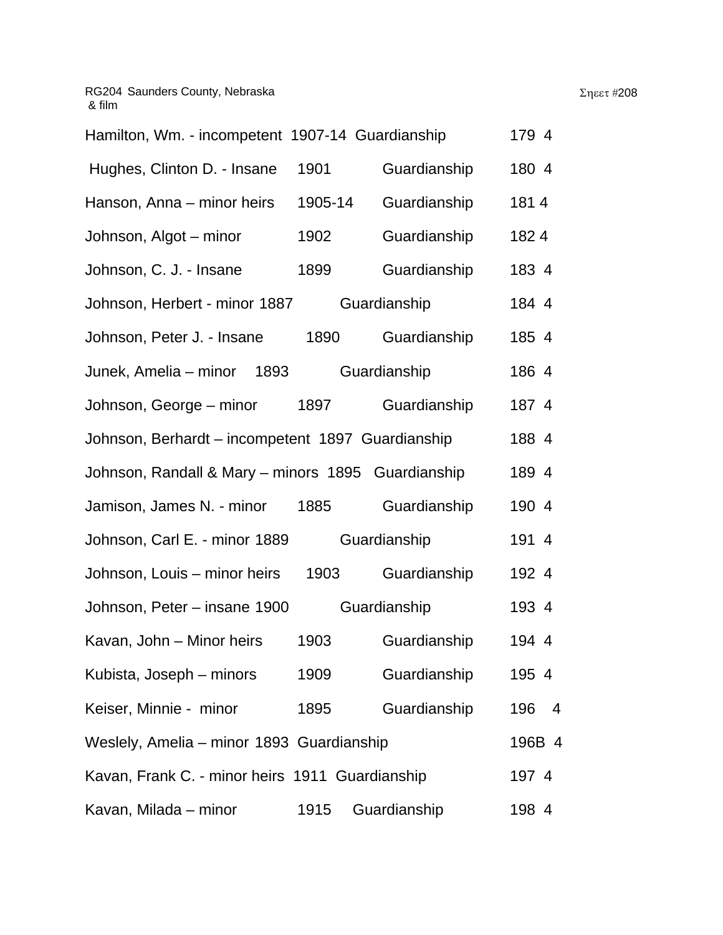| Hamilton, Wm. - incompetent 1907-14 Guardianship   |         | 179 4        |          |  |  |
|----------------------------------------------------|---------|--------------|----------|--|--|
| Hughes, Clinton D. - Insane                        | 1901    | Guardianship | 180 4    |  |  |
| Hanson, Anna – minor heirs                         | 1905-14 | Guardianship | 1814     |  |  |
| Johnson, Algot - minor                             | 1902    | Guardianship | 1824     |  |  |
| Johnson, C. J. - Insane                            | 1899    | Guardianship | 183 4    |  |  |
| Johnson, Herbert - minor 1887                      |         | Guardianship | 184 4    |  |  |
| Johnson, Peter J. - Insane                         | 1890    | Guardianship | 185 4    |  |  |
| Junek, Amelia – minor 1893                         |         | Guardianship | 186 4    |  |  |
| Johnson, George – minor 1897                       |         | Guardianship | 187 4    |  |  |
| Johnson, Berhardt - incompetent 1897 Guardianship  |         |              |          |  |  |
| Johnson, Randall & Mary - minors 1895 Guardianship |         |              | 189 4    |  |  |
| Jamison, James N. - minor                          | 1885    | Guardianship | 190 4    |  |  |
| Johnson, Carl E. - minor 1889                      |         | Guardianship | 191 4    |  |  |
| Johnson, Louis - minor heirs                       | 1903    | Guardianship | 192 4    |  |  |
| Johnson, Peter – insane 1900                       |         | Guardianship | 193 4    |  |  |
| Kavan, John - Minor heirs                          | 1903    | Guardianship | 194 4    |  |  |
| Kubista, Joseph – minors                           | 1909    | Guardianship | 195 4    |  |  |
| Keiser, Minnie - minor                             | 1895    | Guardianship | 196<br>4 |  |  |
| Weslely, Amelia - minor 1893 Guardianship          |         |              |          |  |  |
| Kavan, Frank C. - minor heirs 1911 Guardianship    |         |              | 197 4    |  |  |
| Kavan, Milada – minor                              | 1915    | Guardianship | 198 4    |  |  |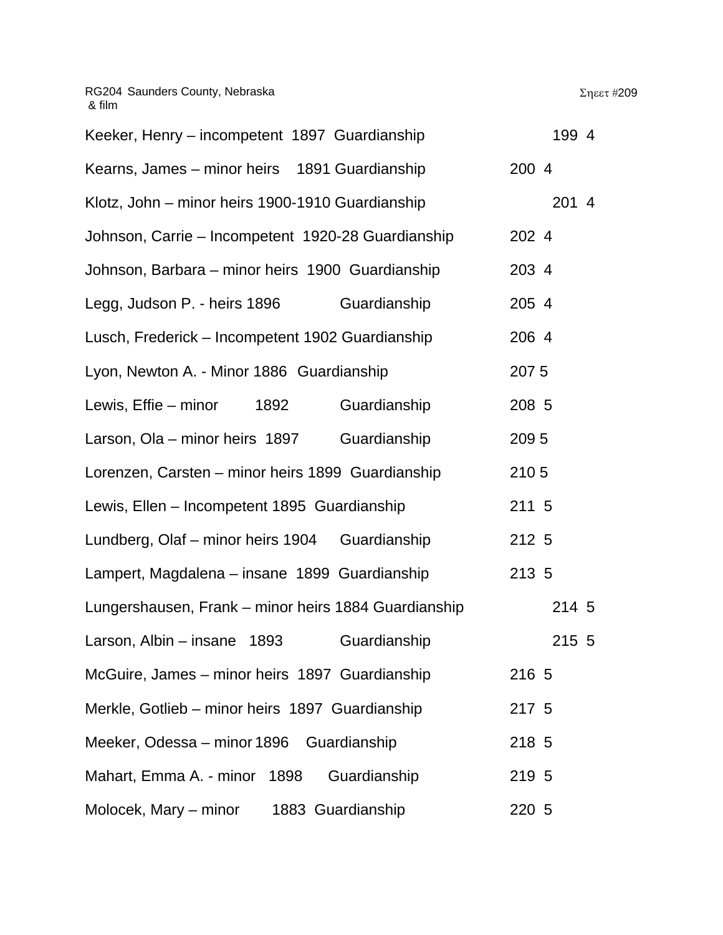| Keeker, Henry - incompetent 1897 Guardianship        | 199 4 |
|------------------------------------------------------|-------|
| Kearns, James - minor heirs 1891 Guardianship        | 200 4 |
| Klotz, John – minor heirs 1900-1910 Guardianship     | 201 4 |
| Johnson, Carrie - Incompetent 1920-28 Guardianship   | 202 4 |
| Johnson, Barbara – minor heirs 1900 Guardianship     | 203 4 |
| Legg, Judson P. - heirs 1896<br>Guardianship         | 205 4 |
| Lusch, Frederick - Incompetent 1902 Guardianship     | 206 4 |
| Lyon, Newton A. - Minor 1886 Guardianship            | 2075  |
| Guardianship<br>Lewis, Effie – minor<br>1892         | 208 5 |
| Larson, Ola – minor heirs 1897<br>Guardianship       | 2095  |
| Lorenzen, Carsten – minor heirs 1899 Guardianship    | 2105  |
| Lewis, Ellen - Incompetent 1895 Guardianship         | 211 5 |
| Lundberg, Olaf - minor heirs 1904 Guardianship       | 212 5 |
| Lampert, Magdalena - insane 1899 Guardianship        | 213 5 |
| Lungershausen, Frank – minor heirs 1884 Guardianship | 214 5 |
| Guardianship<br>Larson, Albin – insane<br>1893       | 215 5 |
| McGuire, James - minor heirs 1897 Guardianship       | 216 5 |
| Merkle, Gotlieb - minor heirs 1897 Guardianship      | 217 5 |
| Meeker, Odessa – minor 1896 Guardianship             | 218 5 |
| Guardianship<br>Mahart, Emma A. - minor 1898         | 219 5 |
| Molocek, Mary – minor<br>1883 Guardianship           | 220 5 |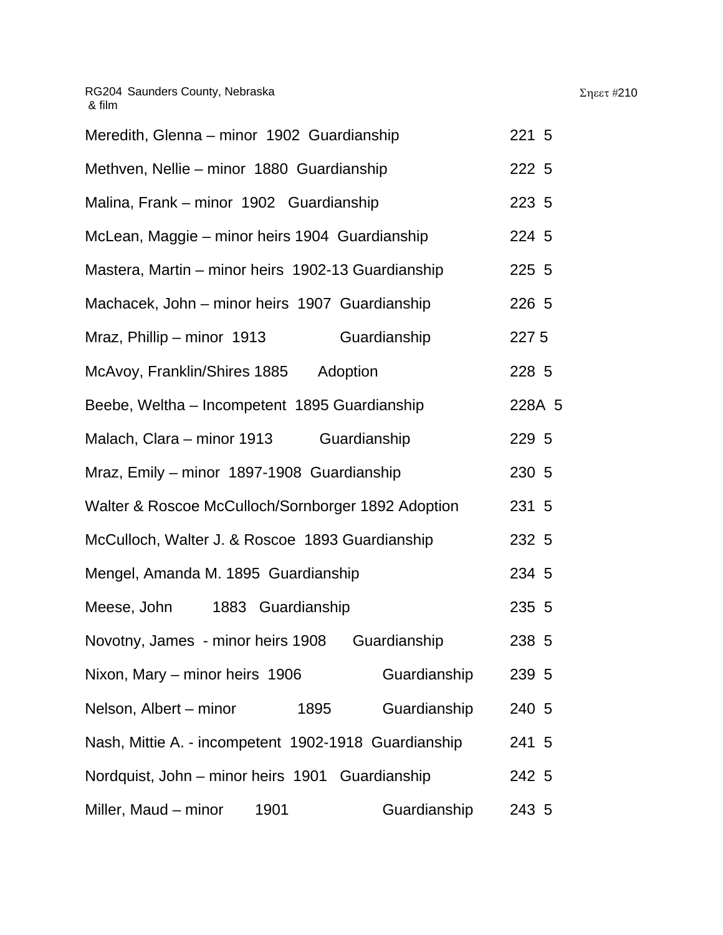| Meredith, Glenna - minor 1902 Guardianship         | 221 5  |
|----------------------------------------------------|--------|
| Methven, Nellie – minor 1880 Guardianship          | 222 5  |
| Malina, Frank – minor 1902 Guardianship            | 223 5  |
| McLean, Maggie – minor heirs 1904 Guardianship     | 224 5  |
| Mastera, Martin – minor heirs 1902-13 Guardianship | 225 5  |
| Machacek, John - minor heirs 1907 Guardianship     | 226 5  |
| Mraz, Phillip - minor 1913<br>Guardianship         | 227 5  |
| McAvoy, Franklin/Shires 1885<br>Adoption           | 228 5  |
| Beebe, Weltha – Incompetent 1895 Guardianship      | 228A 5 |

| Malach, Clara – minor 1913                           | Guardianship | 229 5 |  |
|------------------------------------------------------|--------------|-------|--|
| Mraz, Emily - minor 1897-1908 Guardianship           |              | 230 5 |  |
| Walter & Roscoe McCulloch/Sornborger 1892 Adoption   |              | 231 5 |  |
| McCulloch, Walter J. & Roscoe 1893 Guardianship      |              | 232 5 |  |
| Mengel, Amanda M. 1895 Guardianship                  |              | 234 5 |  |
| Meese, John<br>1883 Guardianship                     |              | 235 5 |  |
| Novotny, James - minor heirs 1908                    | Guardianship | 238 5 |  |
| Nixon, Mary - minor heirs 1906                       | Guardianship | 239 5 |  |
| Nelson, Albert - minor<br>1895                       | Guardianship | 240 5 |  |
| Nash, Mittie A. - incompetent 1902-1918 Guardianship |              | 241 5 |  |
| Nordquist, John - minor heirs 1901 Guardianship      |              | 242 5 |  |
| Miller, Maud - minor<br>1901                         | Guardianship | 243 5 |  |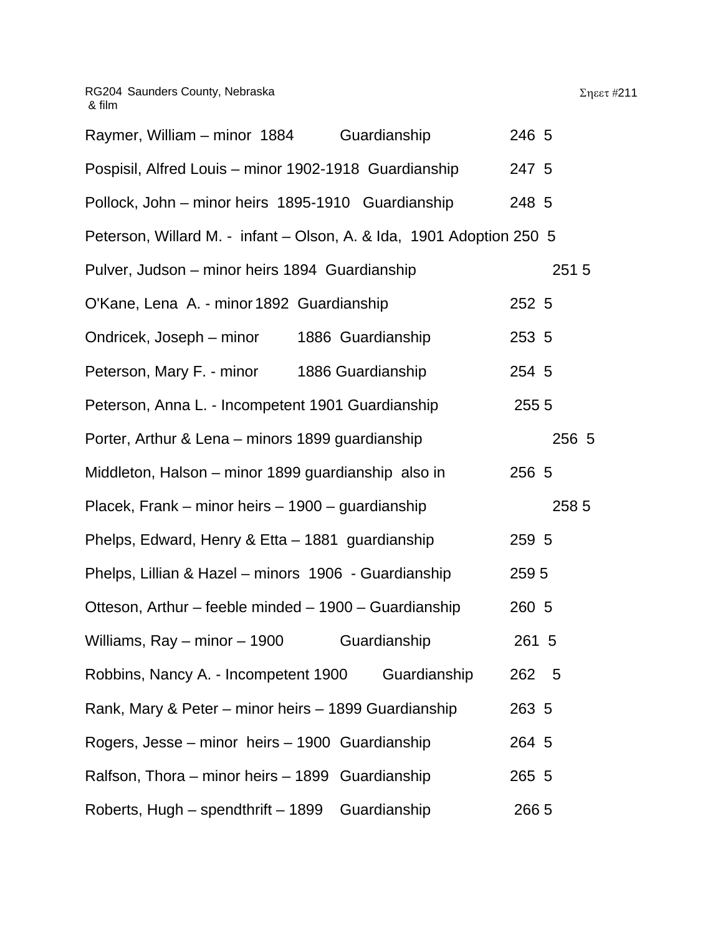| Guardianship<br>Raymer, William – minor 1884                         | 246 5 |
|----------------------------------------------------------------------|-------|
| Pospisil, Alfred Louis - minor 1902-1918 Guardianship                | 247 5 |
| Pollock, John – minor heirs 1895-1910 Guardianship                   | 248 5 |
| Peterson, Willard M. - infant - Olson, A. & Ida, 1901 Adoption 250 5 |       |
| Pulver, Judson - minor heirs 1894 Guardianship                       | 2515  |
| O'Kane, Lena A. - minor 1892 Guardianship                            | 252 5 |
| Ondricek, Joseph – minor<br>1886 Guardianship                        | 253 5 |
| Peterson, Mary F. - minor 1886 Guardianship                          | 254 5 |
| Peterson, Anna L. - Incompetent 1901 Guardianship                    | 255 5 |
| Porter, Arthur & Lena - minors 1899 guardianship                     | 256 5 |
| Middleton, Halson – minor 1899 guardianship also in                  | 256 5 |
| Placek, Frank – minor heirs – 1900 – guardianship                    | 258 5 |
| Phelps, Edward, Henry & Etta - 1881 guardianship                     | 259 5 |
| Phelps, Lillian & Hazel - minors 1906 - Guardianship                 | 2595  |
| Otteson, Arthur - feeble minded - 1900 - Guardianship                | 260 5 |
| Williams, $Ray - minor - 1900$<br>Guardianship                       | 261 5 |
| Guardianship<br>Robbins, Nancy A. - Incompetent 1900                 | 262 5 |
| Rank, Mary & Peter – minor heirs – 1899 Guardianship                 | 263 5 |
| Rogers, Jesse – minor heirs – 1900 Guardianship                      | 264 5 |
| Ralfson, Thora – minor heirs – 1899 Guardianship                     | 265 5 |
| Roberts, Hugh - spendthrift - 1899 Guardianship                      | 266 5 |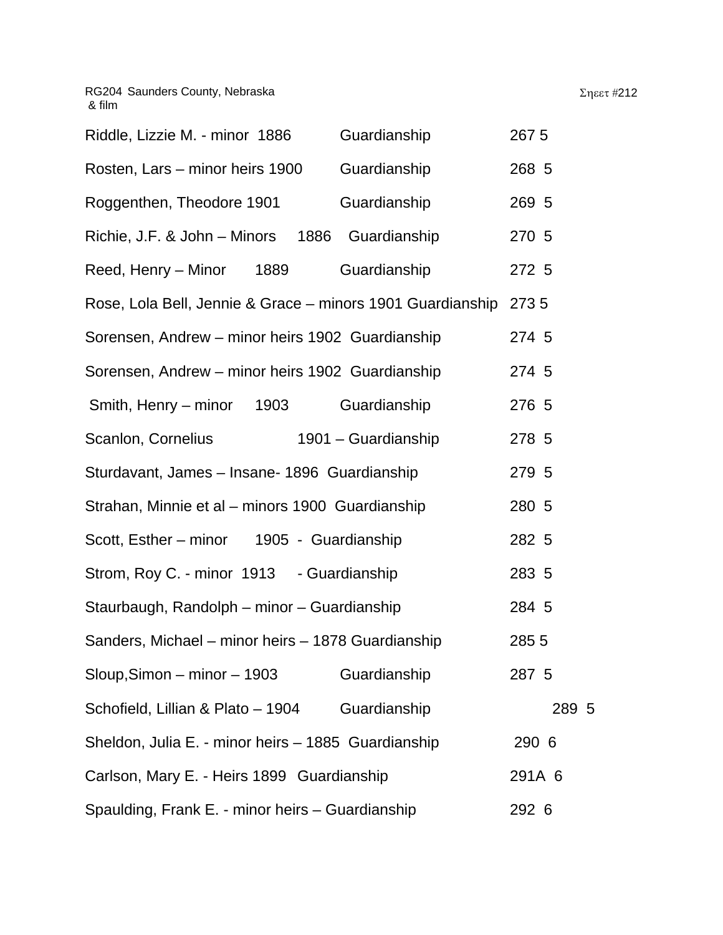| Riddle, Lizzie M. - minor 1886                                   | Guardianship        | 267 5  |
|------------------------------------------------------------------|---------------------|--------|
| Rosten, Lars - minor heirs 1900                                  | Guardianship        | 268 5  |
| Roggenthen, Theodore 1901                                        | Guardianship        | 269 5  |
| Richie, J.F. & John - Minors 1886 Guardianship                   |                     | 270 5  |
| Reed, Henry - Minor<br>1889                                      | Guardianship        | 272 5  |
| Rose, Lola Bell, Jennie & Grace - minors 1901 Guardianship 273 5 |                     |        |
| Sorensen, Andrew - minor heirs 1902 Guardianship                 |                     | 274 5  |
| Sorensen, Andrew - minor heirs 1902 Guardianship                 | 274 5               |        |
| 1903<br>Smith, Henry – minor                                     | Guardianship        | 276 5  |
| Scanlon, Cornelius                                               | 1901 - Guardianship | 278 5  |
| Sturdavant, James - Insane- 1896 Guardianship                    |                     | 279 5  |
| Strahan, Minnie et al - minors 1900 Guardianship                 |                     | 280 5  |
| Scott, Esther - minor 1905 - Guardianship                        |                     | 282 5  |
| Strom, Roy C. - minor 1913 - Guardianship                        |                     | 283 5  |
| Staurbaugh, Randolph - minor - Guardianship                      |                     | 284 5  |
| Sanders, Michael - minor heirs - 1878 Guardianship               |                     | 285 5  |
| $S$ loup, Simon – minor – 1903                                   | Guardianship        | 287 5  |
| Schofield, Lillian & Plato - 1904                                | Guardianship        | 289 5  |
| Sheldon, Julia E. - minor heirs - 1885 Guardianship              |                     | 290 6  |
| Carlson, Mary E. - Heirs 1899 Guardianship                       |                     | 291A 6 |
| Spaulding, Frank E. - minor heirs - Guardianship                 |                     | 292 6  |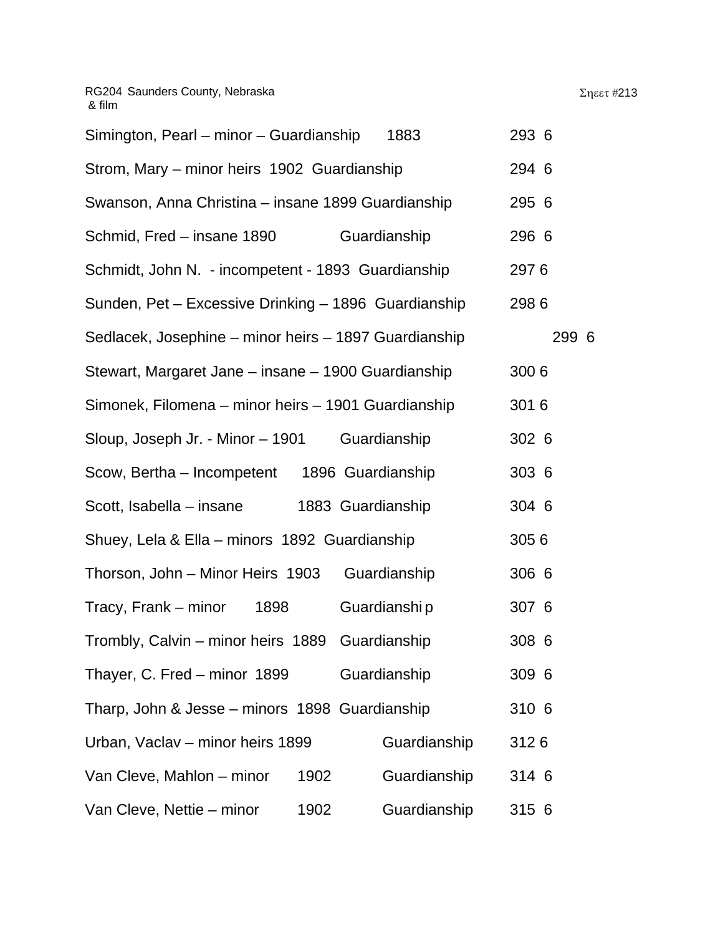| Simington, Pearl - minor - Guardianship               | 1883              | 293 6 |
|-------------------------------------------------------|-------------------|-------|
| Strom, Mary - minor heirs 1902 Guardianship           |                   | 294 6 |
| Swanson, Anna Christina – insane 1899 Guardianship    |                   | 295 6 |
| Schmid, Fred - insane 1890                            | Guardianship      | 296 6 |
| Schmidt, John N. - incompetent - 1893 Guardianship    |                   | 2976  |
| Sunden, Pet - Excessive Drinking - 1896 Guardianship  |                   | 2986  |
| Sedlacek, Josephine – minor heirs – 1897 Guardianship |                   | 299 6 |
| Stewart, Margaret Jane – insane – 1900 Guardianship   |                   | 3006  |
| Simonek, Filomena – minor heirs – 1901 Guardianship   |                   | 3016  |
| Sloup, Joseph Jr. - Minor - 1901                      | Guardianship      | 302 6 |
| Scow, Bertha - Incompetent                            | 1896 Guardianship | 303 6 |
| Scott, Isabella – insane                              | 1883 Guardianship | 304 6 |
| Shuey, Lela & Ella - minors 1892 Guardianship         |                   | 3056  |
| Thorson, John - Minor Heirs 1903                      | Guardianship      | 306 6 |
| Tracy, Frank – minor<br>1898                          | Guardianshi p     | 307 6 |
| Trombly, Calvin - minor heirs 1889 Guardianship       |                   | 308 6 |
| Thayer, C. Fred - minor 1899                          | Guardianship      | 309 6 |
| Tharp, John & Jesse - minors 1898 Guardianship        |                   | 310 6 |
| Urban, Vaclav - minor heirs 1899                      | Guardianship      | 3126  |
| Van Cleve, Mahlon - minor<br>1902                     | Guardianship      | 314 6 |
| Van Cleve, Nettie – minor<br>1902                     | Guardianship      | 315 6 |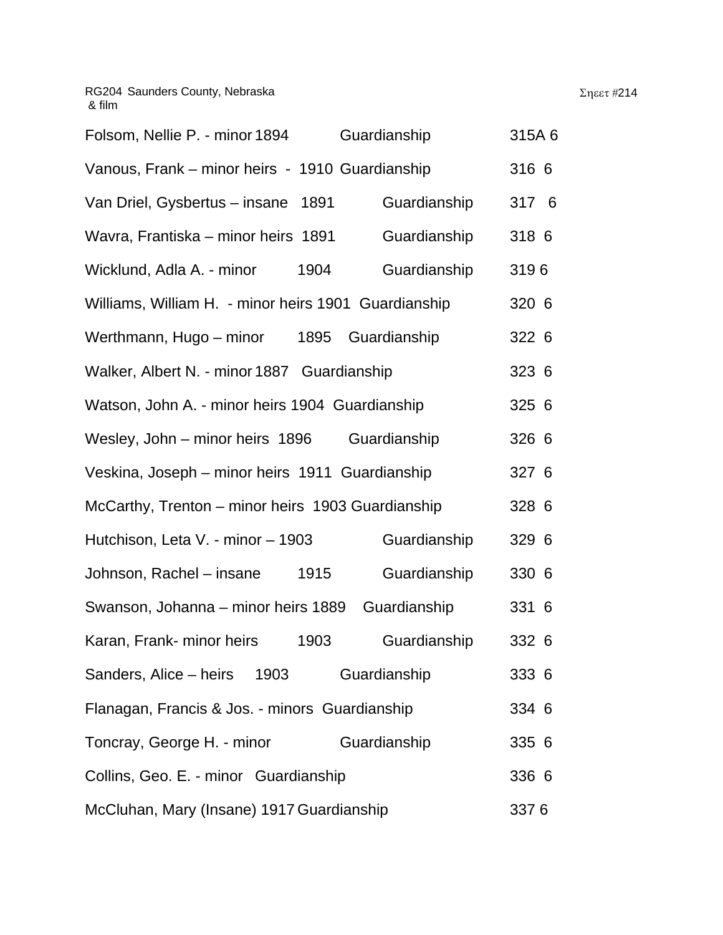| Folsom, Nellie P. - minor 1894                       | Guardianship | 315A6 |  |
|------------------------------------------------------|--------------|-------|--|
| Vanous, Frank - minor heirs - 1910 Guardianship      |              | 316 6 |  |
| Van Driel, Gysbertus - insane<br>1891                | Guardianship | 317 6 |  |
| Wavra, Frantiska – minor heirs 1891                  | Guardianship | 318 6 |  |
| Wicklund, Adla A. - minor<br>1904                    | Guardianship | 3196  |  |
| Williams, William H. - minor heirs 1901 Guardianship |              | 320 6 |  |
| Werthmann, Hugo – minor<br>1895                      | Guardianship | 322 6 |  |
| Walker, Albert N. - minor 1887 Guardianship          |              | 323 6 |  |
| Watson, John A. - minor heirs 1904 Guardianship      |              | 325 6 |  |
| Wesley, John - minor heirs 1896                      | Guardianship | 326 6 |  |
| Veskina, Joseph – minor heirs 1911 Guardianship      |              | 327 6 |  |
| McCarthy, Trenton - minor heirs 1903 Guardianship    |              | 328 6 |  |
| Hutchison, Leta V. - minor - 1903                    | Guardianship | 329 6 |  |
| Johnson, Rachel - insane<br>1915                     | Guardianship | 330 6 |  |
| Swanson, Johanna – minor heirs 1889                  | Guardianship | 331 6 |  |
| Karan, Frank- minor heirs<br>1903                    | Guardianship | 332 6 |  |
| Sanders, Alice – heirs 1903                          | Guardianship | 333 6 |  |
| Flanagan, Francis & Jos. - minors Guardianship       |              | 334 6 |  |
| Toncray, George H. - minor                           | Guardianship | 335 6 |  |
| Collins, Geo. E. - minor Guardianship                |              | 336 6 |  |
| McCluhan, Mary (Insane) 1917 Guardianship            |              | 3376  |  |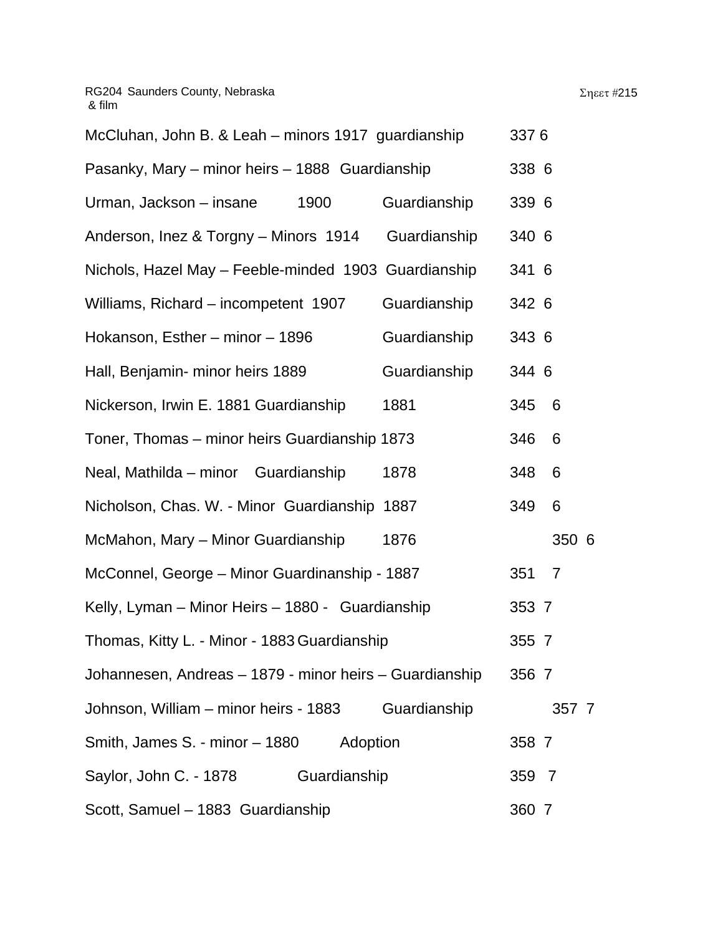| McCluhan, John B. & Leah - minors 1917 guardianship     |              | 3376  |                |  |
|---------------------------------------------------------|--------------|-------|----------------|--|
| Pasanky, Mary - minor heirs - 1888 Guardianship         |              | 338 6 |                |  |
| Urman, Jackson – insane<br>1900                         | Guardianship | 339 6 |                |  |
| Anderson, Inez & Torgny – Minors 1914                   | Guardianship | 340 6 |                |  |
| Nichols, Hazel May - Feeble-minded 1903 Guardianship    |              | 341 6 |                |  |
| Williams, Richard - incompetent 1907                    | Guardianship | 342 6 |                |  |
| Hokanson, Esther – minor – 1896                         | Guardianship | 343 6 |                |  |
| Hall, Benjamin- minor heirs 1889                        | Guardianship | 344 6 |                |  |
| Nickerson, Irwin E. 1881 Guardianship                   | 1881         | 345   | - 6            |  |
| Toner, Thomas - minor heirs Guardianship 1873           |              | 346   | 6              |  |
| Neal, Mathilda - minor Guardianship                     | 1878         | 348   | 6              |  |
| Nicholson, Chas. W. - Minor Guardianship 1887           |              | 349   | 6              |  |
| McMahon, Mary - Minor Guardianship                      | 1876         |       | 350 6          |  |
| McConnel, George – Minor Guardinanship - 1887           |              | 351   | $\overline{7}$ |  |
| Kelly, Lyman - Minor Heirs - 1880 - Guardianship        |              | 353 7 |                |  |
| Thomas, Kitty L. - Minor - 1883 Guardianship            |              | 355 7 |                |  |
| Johannesen, Andreas – 1879 - minor heirs – Guardianship |              | 356 7 |                |  |
| Johnson, William – minor heirs - 1883                   | Guardianship |       | 357 7          |  |
| Smith, James S. - minor – 1880<br>Adoption              |              | 358 7 |                |  |
| Saylor, John C. - 1878<br>Guardianship                  |              | 359 7 |                |  |
| Scott, Samuel - 1883 Guardianship                       |              | 360 7 |                |  |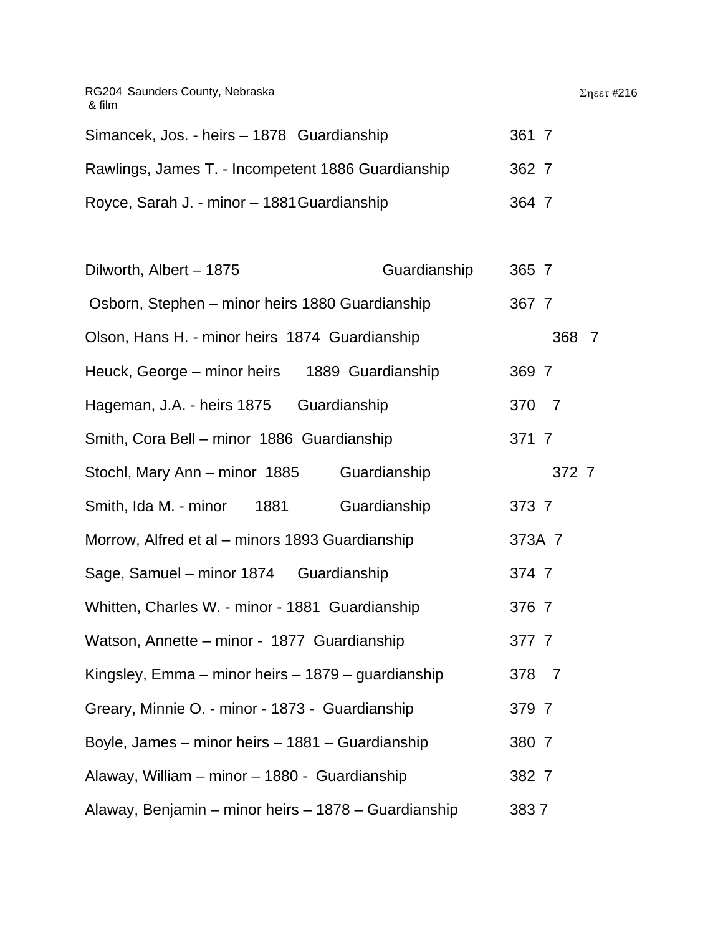| RG204 Saunders County, Nebraska<br>& film          |       | $\Sigma$ ηεετ #216 |
|----------------------------------------------------|-------|--------------------|
| Simancek, Jos. - heirs - 1878 Guardianship         | 361 7 |                    |
| Rawlings, James T. - Incompetent 1886 Guardianship | 362 7 |                    |
| Royce, Sarah J. - minor - 1881 Guardianship        | 364 7 |                    |

| Dilworth, Albert - 1875                              | Guardianship      | 365 7  |                |                |
|------------------------------------------------------|-------------------|--------|----------------|----------------|
| Osborn, Stephen - minor heirs 1880 Guardianship      |                   | 367 7  |                |                |
| Olson, Hans H. - minor heirs 1874 Guardianship       |                   |        | 368            | $\overline{7}$ |
| Heuck, George – minor heirs                          | 1889 Guardianship | 369 7  |                |                |
| Hageman, J.A. - heirs 1875 Guardianship              |                   | 370    | $\overline{7}$ |                |
| Smith, Cora Bell - minor 1886 Guardianship           |                   | 371 7  |                |                |
| Stochl, Mary Ann - minor 1885                        | Guardianship      |        | 372 7          |                |
| Smith, Ida M. - minor<br>1881                        | Guardianship      | 373 7  |                |                |
| Morrow, Alfred et al - minors 1893 Guardianship      |                   | 373A 7 |                |                |
| Sage, Samuel - minor 1874 Guardianship               |                   | 374 7  |                |                |
| Whitten, Charles W. - minor - 1881 Guardianship      |                   | 376 7  |                |                |
| Watson, Annette - minor - 1877 Guardianship          |                   | 377 7  |                |                |
| Kingsley, Emma - minor heirs - 1879 - guardianship   |                   | 378 7  |                |                |
| Greary, Minnie O. - minor - 1873 - Guardianship      |                   | 379 7  |                |                |
| Boyle, James – minor heirs – 1881 – Guardianship     |                   | 380 7  |                |                |
| Alaway, William - minor - 1880 - Guardianship        |                   | 382 7  |                |                |
| Alaway, Benjamin – minor heirs – 1878 – Guardianship |                   | 3837   |                |                |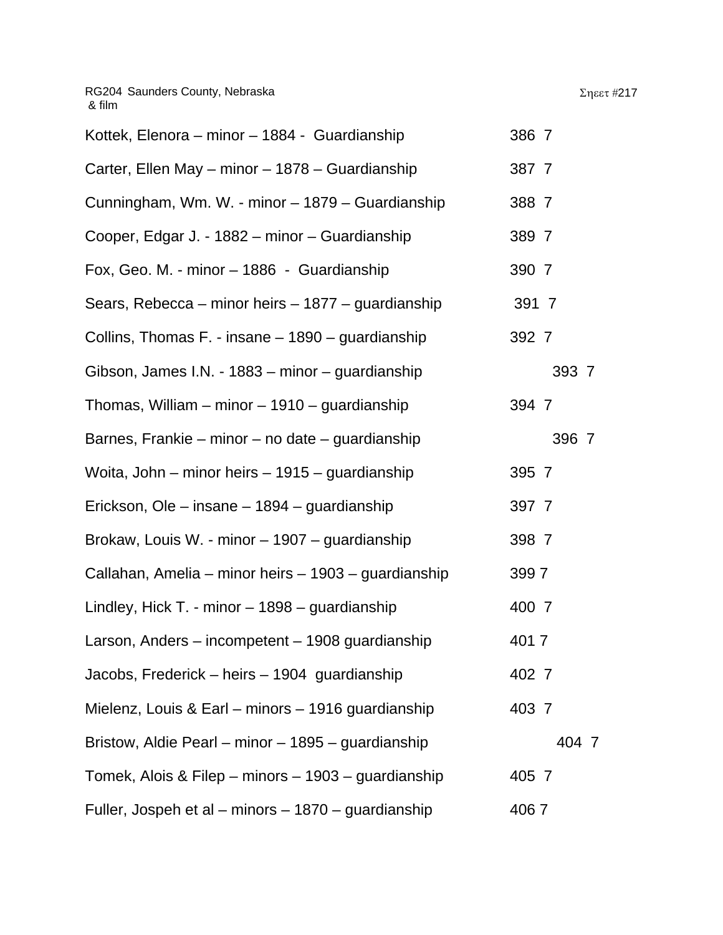| Kottek, Elenora – minor – 1884 - Guardianship        | 386 7 |
|------------------------------------------------------|-------|
| Carter, Ellen May - minor - 1878 - Guardianship      | 387 7 |
| Cunningham, Wm. W. - minor - 1879 - Guardianship     | 388 7 |
| Cooper, Edgar J. - 1882 - minor - Guardianship       | 389 7 |
| Fox, Geo. M. - minor - 1886 - Guardianship           | 390 7 |
| Sears, Rebecca – minor heirs – 1877 – guardianship   | 391 7 |
| Collins, Thomas F. - insane - 1890 - guardianship    | 392 7 |
| Gibson, James I.N. - 1883 – minor – guardianship     | 393 7 |
| Thomas, William – minor – 1910 – guardianship        | 394 7 |
| Barnes, Frankie – minor – no date – guardianship     | 396 7 |
| Woita, John – minor heirs – 1915 – guardianship      | 395 7 |
| Erickson, Ole – insane – 1894 – guardianship         | 397 7 |
| Brokaw, Louis W. - minor - 1907 - guardianship       | 398 7 |
| Callahan, Amelia – minor heirs – 1903 – guardianship | 3997  |
| Lindley, Hick T. - minor $-1898$ – guardianship      | 400 7 |
| Larson, Anders – incompetent – 1908 guardianship     | 4017  |
| Jacobs, Frederick – heirs – 1904 guardianship        | 402 7 |
| Mielenz, Louis & Earl – minors – 1916 guardianship   | 403 7 |
| Bristow, Aldie Pearl – minor – 1895 – guardianship   | 404 7 |
| Tomek, Alois & Filep – minors – 1903 – guardianship  | 405 7 |
| Fuller, Jospeh et al – minors – 1870 – guardianship  | 4067  |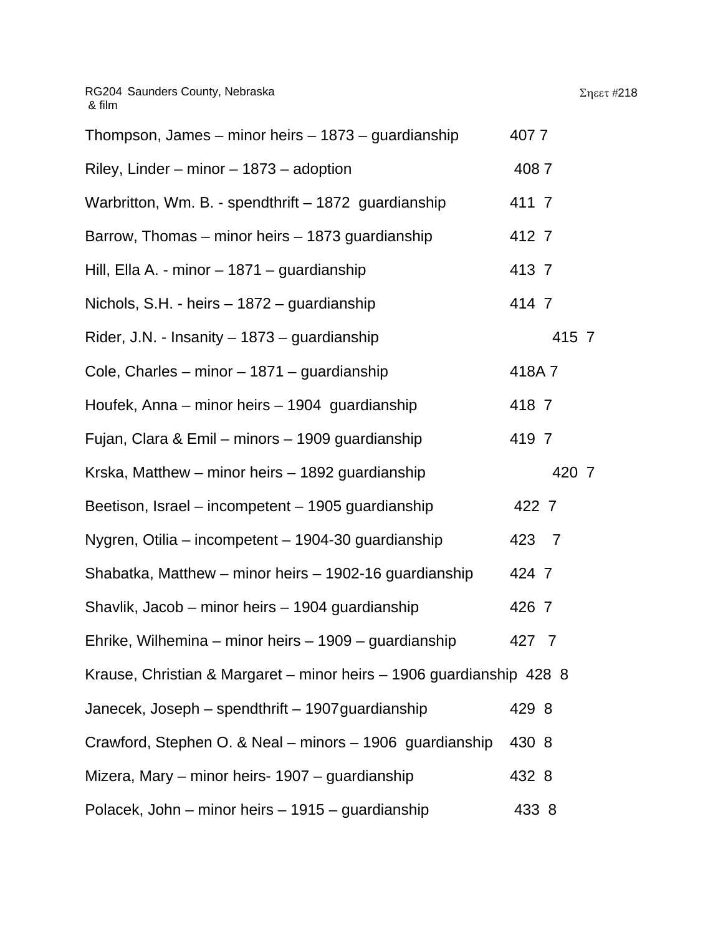| Thompson, James - minor heirs - 1873 - guardianship                  | 4077  |
|----------------------------------------------------------------------|-------|
| Riley, Linder – minor – $1873$ – adoption                            | 4087  |
| Warbritton, Wm. B. - spendthrift - 1872 guardianship                 | 411 7 |
| Barrow, Thomas – minor heirs – 1873 guardianship                     | 412 7 |
| Hill, Ella A. - minor - 1871 - guardianship                          | 413 7 |
| Nichols, S.H. - heirs - 1872 - guardianship                          | 414 7 |
| Rider, J.N. - Insanity - 1873 - guardianship                         | 415 7 |
| Cole, Charles – minor – 1871 – guardianship                          | 418A7 |
| Houfek, Anna – minor heirs – 1904 guardianship                       | 418 7 |
| Fujan, Clara & Emil – minors – 1909 guardianship                     | 419 7 |
| Krska, Matthew – minor heirs – 1892 guardianship                     | 420 7 |
| Beetison, Israel – incompetent – 1905 guardianship                   | 422 7 |
| Nygren, Otilia – incompetent – 1904-30 guardianship                  | 423 7 |
| Shabatka, Matthew – minor heirs – 1902-16 guardianship               | 424 7 |
| Shavlik, Jacob - minor heirs - 1904 guardianship                     | 426 7 |
| Ehrike, Wilhemina – minor heirs – 1909 – guardianship                | 427 7 |
| Krause, Christian & Margaret - minor heirs - 1906 guardianship 428 8 |       |
| Janecek, Joseph – spendthrift – 1907 guardianship                    | 429 8 |
| Crawford, Stephen O. & Neal - minors - 1906 guardianship             | 430 8 |
| Mizera, Mary – minor heirs- 1907 – guardianship                      | 432 8 |
| Polacek, John – minor heirs – 1915 – guardianship                    | 433 8 |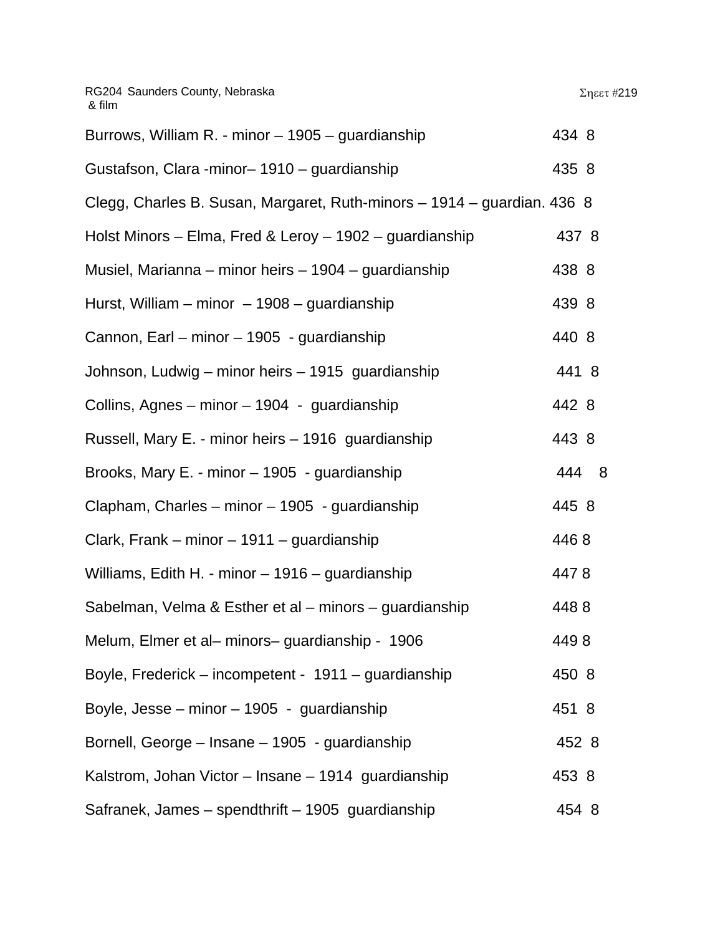| Burrows, William R. - minor - 1905 - guardianship                       | 434 8 |
|-------------------------------------------------------------------------|-------|
| Gustafson, Clara -minor- 1910 - guardianship                            | 435 8 |
| Clegg, Charles B. Susan, Margaret, Ruth-minors - 1914 - guardian. 436 8 |       |
| Holst Minors – Elma, Fred & Leroy – 1902 – guardianship                 | 437 8 |
| Musiel, Marianna – minor heirs – 1904 – guardianship                    | 438 8 |
| Hurst, William – minor – 1908 – guardianship                            | 439 8 |
| Cannon, Earl – minor – 1905 - guardianship                              | 440 8 |
| Johnson, Ludwig – minor heirs – 1915 guardianship                       | 441 8 |
| Collins, Agnes - minor - 1904 - guardianship                            | 442 8 |
| Russell, Mary E. - minor heirs - 1916 guardianship                      | 443 8 |
| Brooks, Mary E. - minor - 1905 - guardianship                           | 444 8 |
| Clapham, Charles - minor - 1905 - guardianship                          | 445 8 |
| Clark, Frank – minor – 1911 – guardianship                              | 4468  |
| Williams, Edith H. - minor - 1916 - guardianship                        | 4478  |
| Sabelman, Velma & Esther et al – minors – guardianship                  | 4488  |
| Melum, Elmer et al- minors- guardianship - 1906                         | 4498  |
| Boyle, Frederick – incompetent - 1911 – guardianship                    | 450 8 |
| Boyle, Jesse - minor - 1905 - guardianship                              | 451 8 |
| Bornell, George – Insane – 1905 - guardianship                          | 452 8 |
| Kalstrom, Johan Victor - Insane - 1914 quardianship                     | 453 8 |
| Safranek, James - spendthrift - 1905 guardianship                       | 454 8 |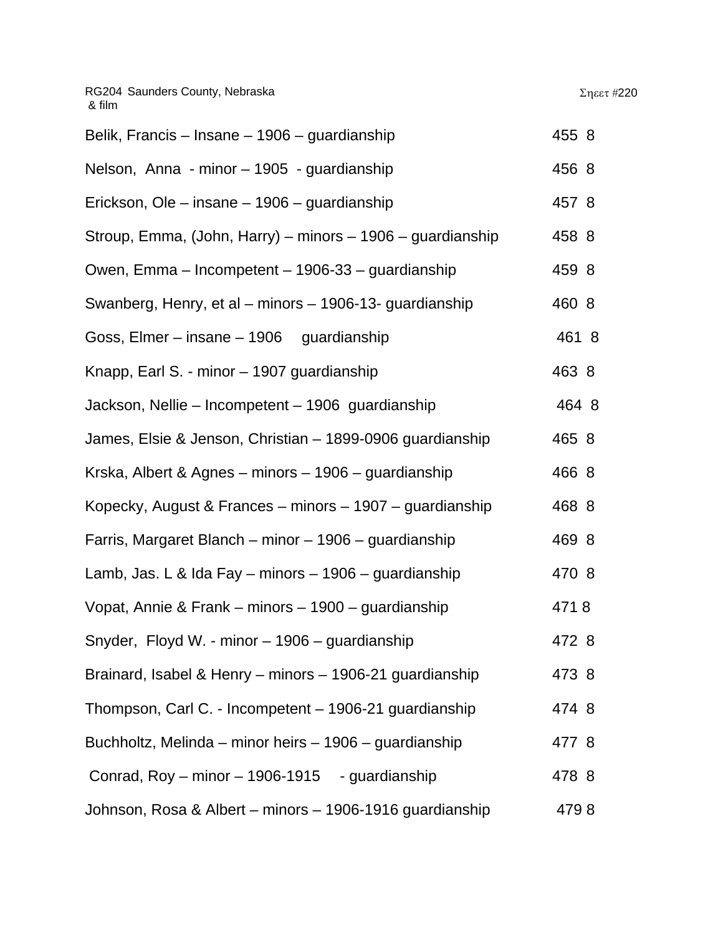| Belik, Francis – Insane – 1906 – guardianship              | 455 8 |
|------------------------------------------------------------|-------|
| Nelson, Anna - minor - 1905 - guardianship                 | 456 8 |
| Erickson, Ole - insane - 1906 - guardianship               | 457 8 |
| Stroup, Emma, (John, Harry) – minors – 1906 – guardianship | 458 8 |
| Owen, Emma – Incompetent – 1906-33 – guardianship          | 459 8 |
| Swanberg, Henry, et al – minors – 1906-13- guardianship    | 460 8 |
| Goss, Elmer - insane - 1906 guardianship                   | 461 8 |
| Knapp, Earl S. - minor - 1907 guardianship                 | 463 8 |
| Jackson, Nellie – Incompetent – 1906 guardianship          | 464 8 |
| James, Elsie & Jenson, Christian - 1899-0906 guardianship  | 465 8 |
| Krska, Albert & Agnes – minors – 1906 – guardianship       | 466 8 |
| Kopecky, August & Frances – minors – 1907 – guardianship   | 468 8 |
| Farris, Margaret Blanch – minor – 1906 – guardianship      | 469 8 |
| Lamb, Jas. L & Ida Fay – minors – 1906 – guardianship      | 470 8 |
| Vopat, Annie & Frank – minors – 1900 – guardianship        | 4718  |
| Snyder, Floyd W. - minor - 1906 - guardianship             | 472 8 |
| Brainard, Isabel & Henry - minors - 1906-21 guardianship   | 473 8 |
| Thompson, Carl C. - Incompetent - 1906-21 guardianship     | 474 8 |
| Buchholtz, Melinda – minor heirs – 1906 – guardianship     | 477 8 |
| Conrad, Roy - minor - 1906-1915 - guardianship             | 478 8 |
| Johnson, Rosa & Albert - minors - 1906-1916 guardianship   | 4798  |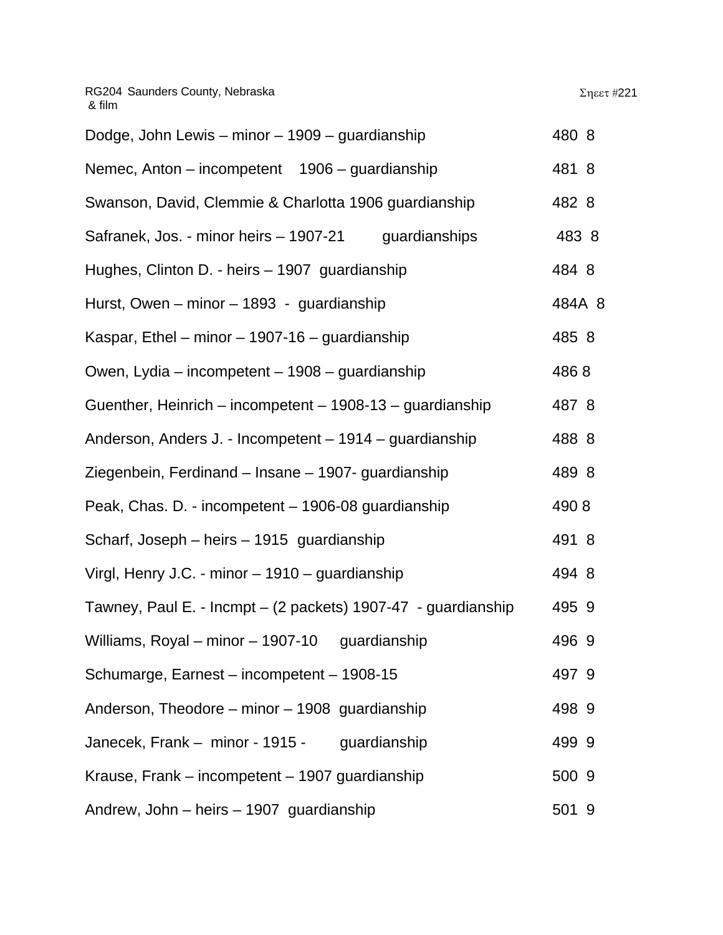| Dodge, John Lewis – minor – 1909 – guardianship               | 480 8  |
|---------------------------------------------------------------|--------|
| Nemec, Anton – incompetent 1906 – guardianship                | 481 8  |
| Swanson, David, Clemmie & Charlotta 1906 guardianship         | 482 8  |
| Safranek, Jos. - minor heirs - 1907-21<br>guardianships       | 483 8  |
| Hughes, Clinton D. - heirs - 1907 guardianship                | 484 8  |
| Hurst, Owen – minor – 1893 - guardianship                     | 484A 8 |
| Kaspar, Ethel – minor – 1907-16 – guardianship                | 485 8  |
| Owen, Lydia – incompetent – 1908 – guardianship               | 4868   |
| Guenther, Heinrich – incompetent – 1908-13 – guardianship     | 487 8  |
| Anderson, Anders J. - Incompetent - 1914 - guardianship       | 488 8  |
| Ziegenbein, Ferdinand – Insane – 1907- guardianship           | 489 8  |
| Peak, Chas. D. - incompetent - 1906-08 guardianship           | 4908   |
| Scharf, Joseph – heirs – 1915 guardianship                    | 491 8  |
| Virgl, Henry J.C. - minor - 1910 - guardianship               | 494 8  |
| Tawney, Paul E. - Incmpt - (2 packets) 1907-47 - guardianship | 495 9  |
| Williams, Royal – minor – 1907-10 guardianship                | 496 9  |
| Schumarge, Earnest – incompetent – 1908-15                    | 497 9  |
| Anderson, Theodore – minor – 1908 guardianship                | 498 9  |
| Janecek, Frank – minor - 1915 - guardianship                  | 499 9  |
| Krause, Frank – incompetent – 1907 guardianship               | 500 9  |
| Andrew, John - heirs - 1907 guardianship                      | 501 9  |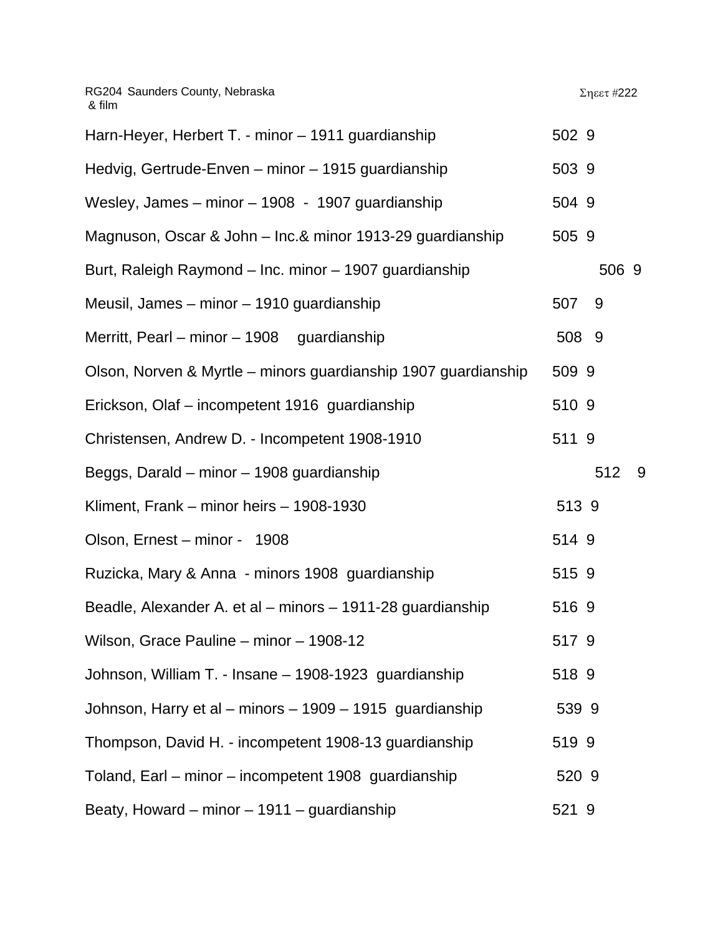| Harn-Heyer, Herbert T. - minor - 1911 guardianship             | 502 9     |
|----------------------------------------------------------------|-----------|
| Hedvig, Gertrude-Enven - minor - 1915 guardianship             | 503 9     |
| Wesley, James - minor - 1908 - 1907 guardianship               | 504 9     |
| Magnuson, Oscar & John - Inc.& minor 1913-29 guardianship      | 505 9     |
| Burt, Raleigh Raymond - Inc. minor - 1907 guardianship         | 506 9     |
| Meusil, James - minor - 1910 guardianship                      | 507<br>9  |
| Merritt, Pearl – minor – 1908 guardianship                     | 508 9     |
| Olson, Norven & Myrtle - minors guardianship 1907 guardianship | 509 9     |
| Erickson, Olaf - incompetent 1916 guardianship                 | 510 9     |
| Christensen, Andrew D. - Incompetent 1908-1910                 | 511 9     |
| Beggs, Darald – minor – 1908 guardianship                      | 512<br>-9 |
| Kliment, Frank - minor heirs - 1908-1930                       | 513 9     |
| Olson, Ernest - minor - 1908                                   | 514 9     |
| Ruzicka, Mary & Anna - minors 1908 guardianship                | 515 9     |
| Beadle, Alexander A. et al – minors – 1911-28 guardianship     | 516 9     |
| Wilson, Grace Pauline - minor - 1908-12                        | 517 9     |
| Johnson, William T. - Insane - 1908-1923 guardianship          | 518 9     |
| Johnson, Harry et al - minors - 1909 - 1915 guardianship       | 539 9     |
| Thompson, David H. - incompetent 1908-13 guardianship          | 519 9     |
| Toland, Earl – minor – incompetent 1908 guardianship           | 520 9     |
| Beaty, Howard – minor – 1911 – guardianship                    | 521 9     |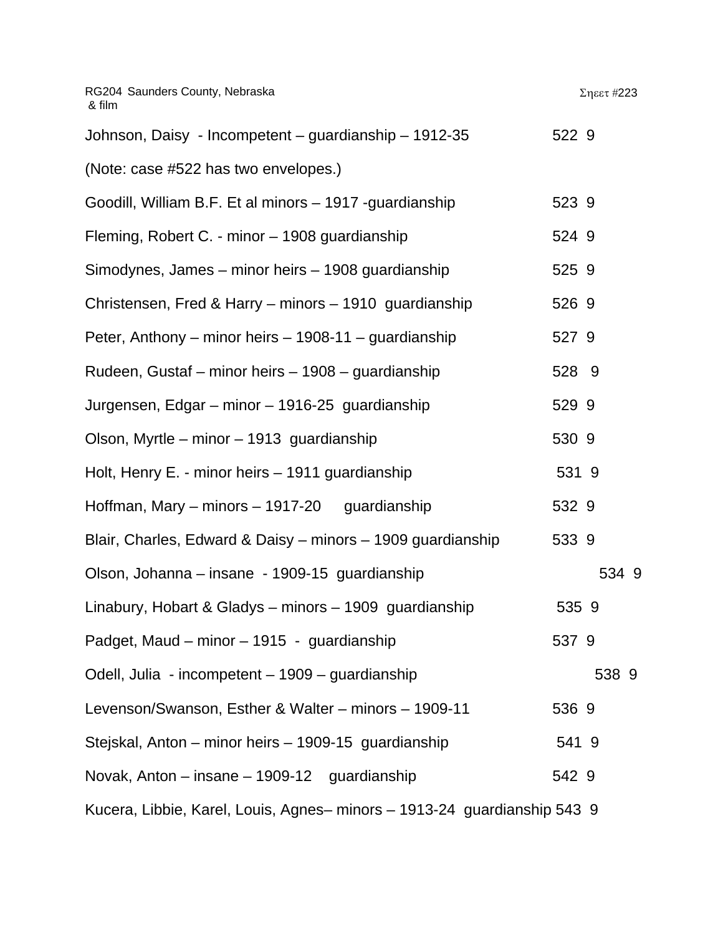| RG204 Saunders County, Nebraska<br>& film                                |       | Σηεετ #223 |
|--------------------------------------------------------------------------|-------|------------|
| Johnson, Daisy - Incompetent - guardianship - 1912-35                    | 522 9 |            |
| (Note: case #522 has two envelopes.)                                     |       |            |
| Goodill, William B.F. Et al minors - 1917 -guardianship                  | 523 9 |            |
| Fleming, Robert C. - minor - 1908 guardianship                           | 524 9 |            |
| Simodynes, James – minor heirs – 1908 guardianship                       | 525 9 |            |
| Christensen, Fred & Harry - minors - 1910 guardianship                   | 526 9 |            |
| Peter, Anthony – minor heirs – 1908-11 – guardianship                    | 527 9 |            |
| Rudeen, Gustaf – minor heirs – 1908 – guardianship                       | 528 9 |            |
| Jurgensen, Edgar – minor – 1916-25 guardianship                          | 529 9 |            |
| Olson, Myrtle – minor – 1913 guardianship                                | 530 9 |            |
| Holt, Henry E. - minor heirs - 1911 guardianship                         | 531 9 |            |
| Hoffman, Mary – minors – 1917-20 guardianship                            | 532 9 |            |
| Blair, Charles, Edward & Daisy - minors - 1909 guardianship              | 533 9 |            |
| Olson, Johanna – insane - 1909-15 guardianship                           |       | 534 9      |
| Linabury, Hobart & Gladys - minors - 1909 guardianship                   | 535 9 |            |
| Padget, Maud - minor - 1915 - guardianship                               | 537 9 |            |
| Odell, Julia - incompetent - 1909 - guardianship                         |       | 538 9      |
| Levenson/Swanson, Esther & Walter - minors - 1909-11                     | 536 9 |            |
| Stejskal, Anton – minor heirs – 1909-15 guardianship                     | 541 9 |            |
| Novak, Anton – insane – 1909-12 guardianship                             | 542 9 |            |
| Kucera, Libbie, Karel, Louis, Agnes- minors - 1913-24 guardianship 543 9 |       |            |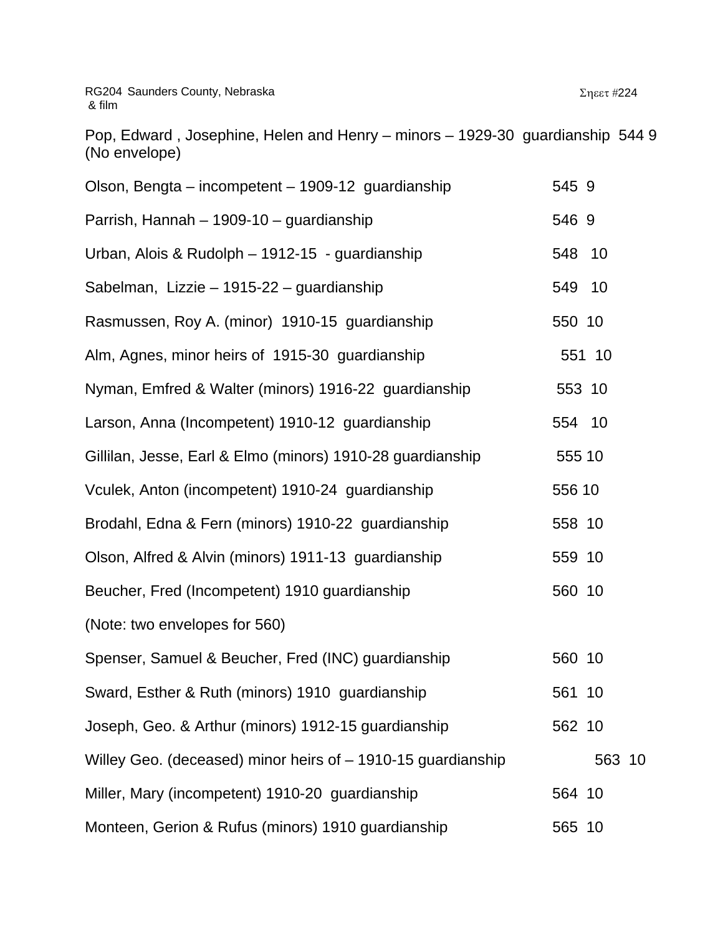Pop, Edward , Josephine, Helen and Henry – minors – 1929-30 guardianship 544 9 (No envelope)

| Olson, Bengta – incompetent – 1909-12 guardianship           | 545 9  |
|--------------------------------------------------------------|--------|
| Parrish, Hannah - 1909-10 - guardianship                     | 546 9  |
| Urban, Alois & Rudolph - 1912-15 - guardianship              | 548 10 |
| Sabelman, Lizzie - 1915-22 - guardianship                    | 549 10 |
| Rasmussen, Roy A. (minor) 1910-15 guardianship               | 550 10 |
| Alm, Agnes, minor heirs of 1915-30 guardianship              | 551 10 |
| Nyman, Emfred & Walter (minors) 1916-22 guardianship         | 553 10 |
| Larson, Anna (Incompetent) 1910-12 guardianship              | 554 10 |
| Gillilan, Jesse, Earl & Elmo (minors) 1910-28 guardianship   | 555 10 |
| Vculek, Anton (incompetent) 1910-24 guardianship             | 556 10 |
| Brodahl, Edna & Fern (minors) 1910-22 guardianship           | 558 10 |
| Olson, Alfred & Alvin (minors) 1911-13 guardianship          | 559 10 |
| Beucher, Fred (Incompetent) 1910 guardianship                | 560 10 |
| (Note: two envelopes for 560)                                |        |
| Spenser, Samuel & Beucher, Fred (INC) guardianship           | 560 10 |
| Sward, Esther & Ruth (minors) 1910 guardianship              | 561 10 |
| Joseph, Geo. & Arthur (minors) 1912-15 guardianship          | 562 10 |
| Willey Geo. (deceased) minor heirs of - 1910-15 guardianship | 563 10 |
| Miller, Mary (incompetent) 1910-20 guardianship              | 564 10 |
| Monteen, Gerion & Rufus (minors) 1910 guardianship           | 565 10 |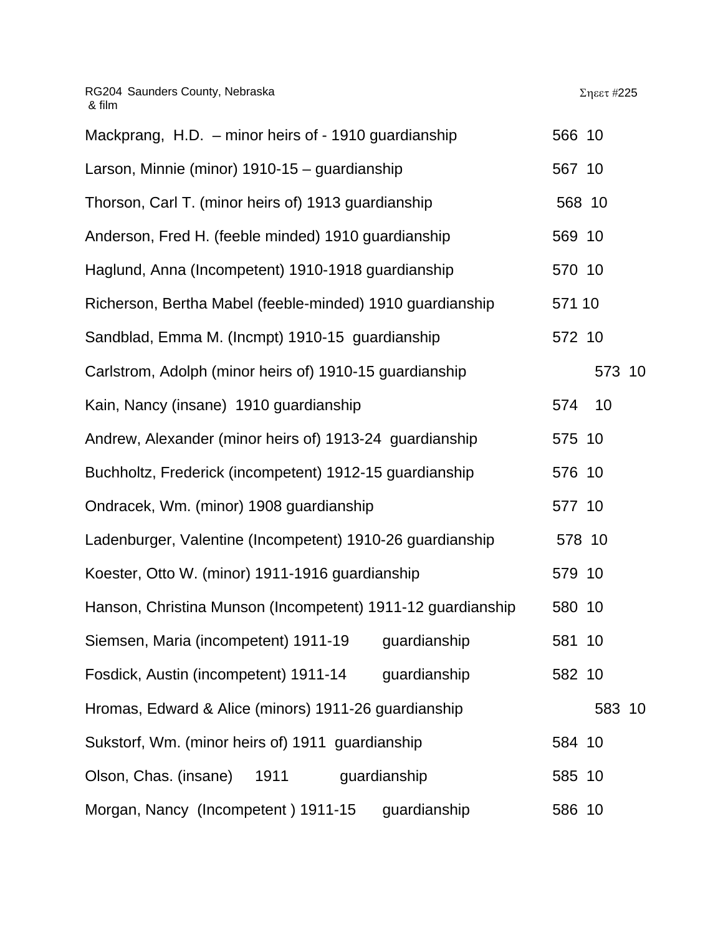| Mackprang, H.D. - minor heirs of - 1910 guardianship        | 566 10 |        |  |
|-------------------------------------------------------------|--------|--------|--|
| Larson, Minnie (minor) 1910-15 - guardianship               | 567 10 |        |  |
| Thorson, Carl T. (minor heirs of) 1913 guardianship         |        | 568 10 |  |
| Anderson, Fred H. (feeble minded) 1910 guardianship         | 569 10 |        |  |
| Haglund, Anna (Incompetent) 1910-1918 guardianship          | 570 10 |        |  |
| Richerson, Bertha Mabel (feeble-minded) 1910 guardianship   | 571 10 |        |  |
| Sandblad, Emma M. (Incmpt) 1910-15 guardianship             | 572 10 |        |  |
| Carlstrom, Adolph (minor heirs of) 1910-15 guardianship     |        | 573 10 |  |
| Kain, Nancy (insane) 1910 guardianship                      | 574    | 10     |  |
| Andrew, Alexander (minor heirs of) 1913-24 guardianship     | 575 10 |        |  |
| Buchholtz, Frederick (incompetent) 1912-15 guardianship     | 576 10 |        |  |
| Ondracek, Wm. (minor) 1908 guardianship                     | 577 10 |        |  |
| Ladenburger, Valentine (Incompetent) 1910-26 guardianship   |        | 578 10 |  |
| Koester, Otto W. (minor) 1911-1916 guardianship             | 579 10 |        |  |
| Hanson, Christina Munson (Incompetent) 1911-12 guardianship | 580 10 |        |  |
| Siemsen, Maria (incompetent) 1911-19<br>guardianship        | 581 10 |        |  |
| Fosdick, Austin (incompetent) 1911-14 guardianship          | 582 10 |        |  |
| Hromas, Edward & Alice (minors) 1911-26 guardianship        |        | 583 10 |  |
| Sukstorf, Wm. (minor heirs of) 1911 guardianship            | 584 10 |        |  |
| Olson, Chas. (insane)<br>1911<br>guardianship               | 585 10 |        |  |
| Morgan, Nancy (Incompetent) 1911-15<br>guardianship         | 586 10 |        |  |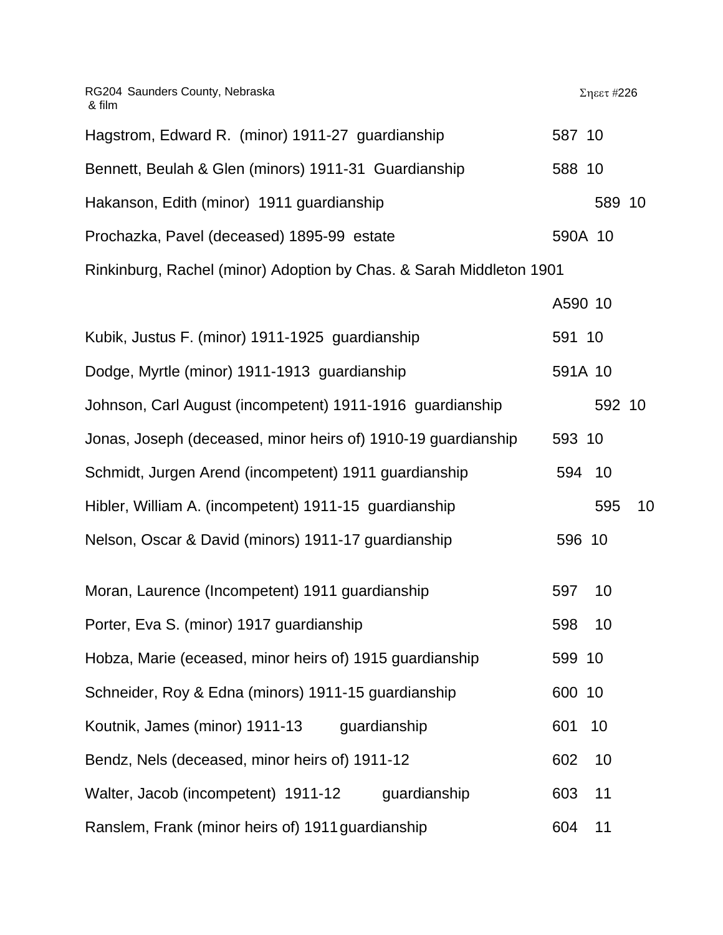| RG204 Saunders County, Nebraska<br>& film                           |         | Σηεετ #226 |    |
|---------------------------------------------------------------------|---------|------------|----|
| Hagstrom, Edward R. (minor) 1911-27 guardianship                    | 587 10  |            |    |
| Bennett, Beulah & Glen (minors) 1911-31 Guardianship                | 588 10  |            |    |
| Hakanson, Edith (minor) 1911 guardianship                           |         | 589 10     |    |
| Prochazka, Pavel (deceased) 1895-99 estate                          | 590A 10 |            |    |
| Rinkinburg, Rachel (minor) Adoption by Chas. & Sarah Middleton 1901 |         |            |    |
|                                                                     | A590 10 |            |    |
| Kubik, Justus F. (minor) 1911-1925 guardianship                     | 591 10  |            |    |
| Dodge, Myrtle (minor) 1911-1913 guardianship                        | 591A 10 |            |    |
| Johnson, Carl August (incompetent) 1911-1916 guardianship           |         | 592 10     |    |
| Jonas, Joseph (deceased, minor heirs of) 1910-19 guardianship       | 593 10  |            |    |
| Schmidt, Jurgen Arend (incompetent) 1911 guardianship               | 594     | 10         |    |
| Hibler, William A. (incompetent) 1911-15 guardianship               |         | 595        | 10 |
| Nelson, Oscar & David (minors) 1911-17 guardianship                 | 596 10  |            |    |
| Moran, Laurence (Incompetent) 1911 guardianship                     | 597     | 10         |    |
| Porter, Eva S. (minor) 1917 guardianship                            | 598     | 10         |    |
| Hobza, Marie (eceased, minor heirs of) 1915 guardianship            | 599 10  |            |    |
| Schneider, Roy & Edna (minors) 1911-15 guardianship                 | 600 10  |            |    |
| Koutnik, James (minor) 1911-13<br>guardianship                      | 601     | 10         |    |

Bendz, Nels (deceased, minor heirs of) 1911-12 602 10 Walter, Jacob (incompetent) 1911-12 guardianship 603 11 Ranslem, Frank (minor heirs of) 1911 guardianship 604 11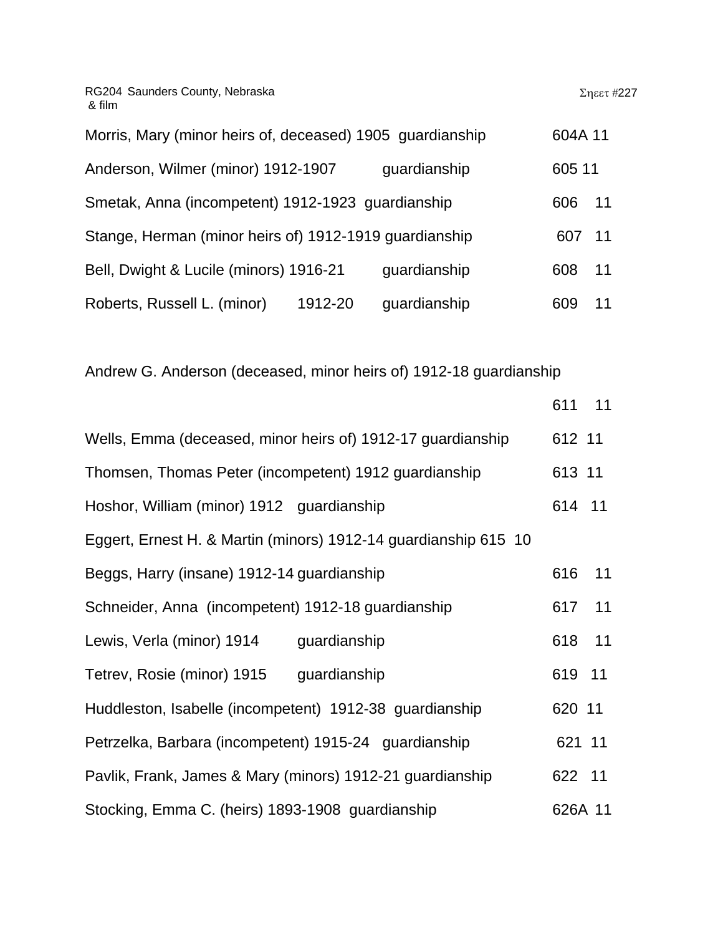| Morris, Mary (minor heirs of, deceased) 1905 guardianship |         |              | 604A 11 |    |
|-----------------------------------------------------------|---------|--------------|---------|----|
| Anderson, Wilmer (minor) 1912-1907                        |         | guardianship | 605 11  |    |
| Smetak, Anna (incompetent) 1912-1923 guardianship         |         |              | 606 11  |    |
| Stange, Herman (minor heirs of) 1912-1919 guardianship    |         |              | 607 11  |    |
| Bell, Dwight & Lucile (minors) 1916-21                    |         | quardianship | 608     | 11 |
| Roberts, Russell L. (minor)                               | 1912-20 | guardianship | 609     | 11 |

Andrew G. Anderson (deceased, minor heirs of) 1912-18 guardianship

|                                                                 | 611 11  |    |
|-----------------------------------------------------------------|---------|----|
| Wells, Emma (deceased, minor heirs of) 1912-17 guardianship     | 612 11  |    |
| Thomsen, Thomas Peter (incompetent) 1912 guardianship           | 613 11  |    |
| Hoshor, William (minor) 1912 guardianship                       | 614 11  |    |
| Eggert, Ernest H. & Martin (minors) 1912-14 guardianship 615 10 |         |    |
| Beggs, Harry (insane) 1912-14 guardianship                      | 616     | 11 |
| Schneider, Anna (incompetent) 1912-18 guardianship              | 617     | 11 |
| Lewis, Verla (minor) 1914<br>guardianship                       | 618     | 11 |
| Tetrev, Rosie (minor) 1915<br>guardianship                      | 619 11  |    |
| Huddleston, Isabelle (incompetent) 1912-38 guardianship         | 620 11  |    |
| Petrzelka, Barbara (incompetent) 1915-24 guardianship           | 621 11  |    |
| Pavlik, Frank, James & Mary (minors) 1912-21 guardianship       | 622 11  |    |
| Stocking, Emma C. (heirs) 1893-1908 guardianship                | 626A 11 |    |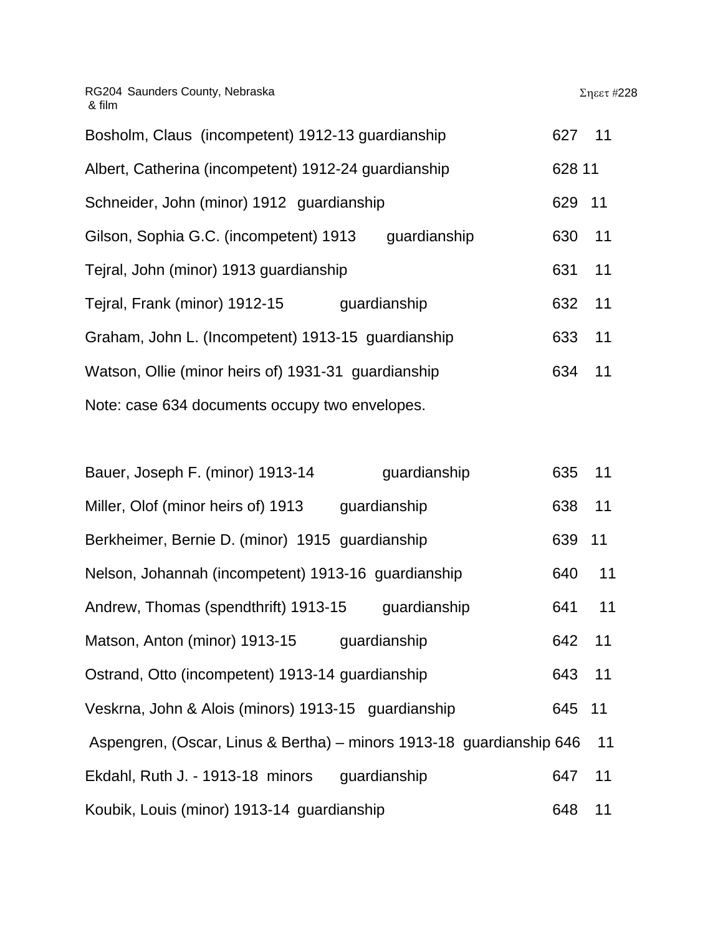| Bosholm, Claus (incompetent) 1912-13 guardianship      | 627 11 |        |
|--------------------------------------------------------|--------|--------|
| Albert, Catherina (incompetent) 1912-24 guardianship   |        | 628 11 |
| Schneider, John (minor) 1912 guardianship              | 629 11 |        |
| Gilson, Sophia G.C. (incompetent) 1913<br>guardianship | 630    | 11     |
| Tejral, John (minor) 1913 guardianship                 | 631    | 11     |
| Tejral, Frank (minor) 1912-15<br>guardianship          | 632    | 11     |
| Graham, John L. (Incompetent) 1913-15 guardianship     | 633    | 11     |
| Watson, Ollie (minor heirs of) 1931-31 guardianship    | 634    | 11     |
| Note: case 634 documents occupy two envelopes.         |        |        |

| Bauer, Joseph F. (minor) 1913-14                                     | guardianship | 635 | 11 |
|----------------------------------------------------------------------|--------------|-----|----|
| Miller, Olof (minor heirs of) 1913                                   | guardianship | 638 | 11 |
| Berkheimer, Bernie D. (minor) 1915 guardianship                      |              | 639 | 11 |
| Nelson, Johannah (incompetent) 1913-16 guardianship                  |              | 640 | 11 |
| Andrew, Thomas (spendthrift) 1913-15                                 | guardianship | 641 | 11 |
| Matson, Anton (minor) 1913-15                                        | guardianship | 642 | 11 |
| Ostrand, Otto (incompetent) 1913-14 guardianship                     |              | 643 | 11 |
| Veskrna, John & Alois (minors) 1913-15 guardianship                  |              | 645 | 11 |
| Aspengren, (Oscar, Linus & Bertha) – minors 1913-18 guardianship 646 |              |     | 11 |
| Ekdahl, Ruth J. - 1913-18 minors                                     | guardianship | 647 | 11 |
| Koubik, Louis (minor) 1913-14 guardianship                           |              | 648 | 11 |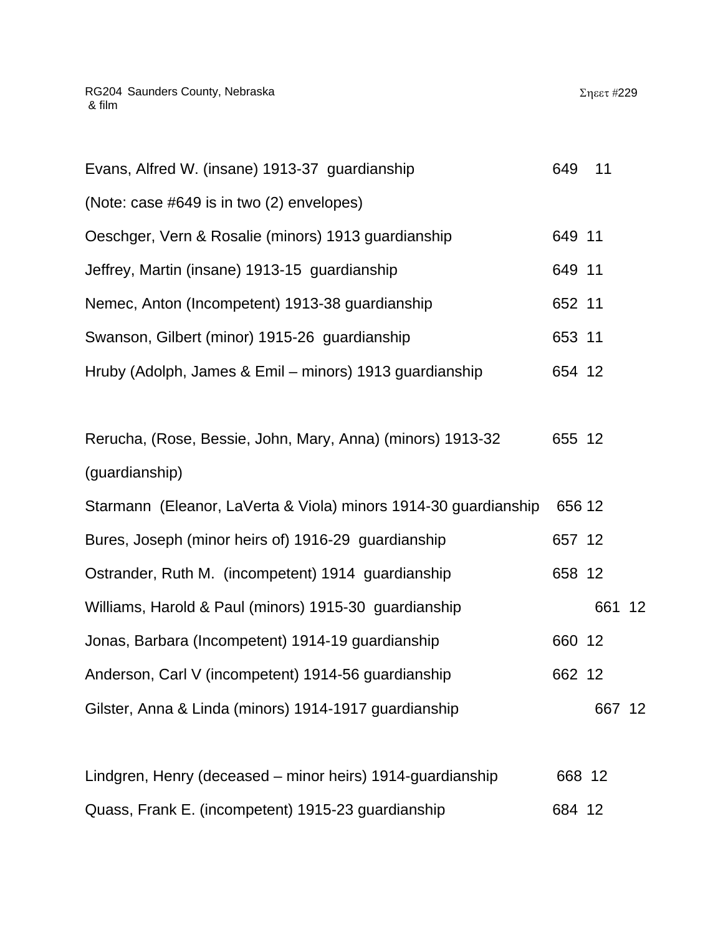| Evans, Alfred W. (insane) 1913-37 guardianship                  | 649    | 11     |  |
|-----------------------------------------------------------------|--------|--------|--|
| (Note: case #649 is in two (2) envelopes)                       |        |        |  |
| Oeschger, Vern & Rosalie (minors) 1913 guardianship             | 649 11 |        |  |
| Jeffrey, Martin (insane) 1913-15 guardianship                   | 649 11 |        |  |
| Nemec, Anton (Incompetent) 1913-38 guardianship                 | 652 11 |        |  |
| Swanson, Gilbert (minor) 1915-26 guardianship                   | 653 11 |        |  |
| Hruby (Adolph, James & Emil – minors) 1913 guardianship         | 654 12 |        |  |
|                                                                 |        |        |  |
| Rerucha, (Rose, Bessie, John, Mary, Anna) (minors) 1913-32      | 655 12 |        |  |
| (guardianship)                                                  |        |        |  |
| Starmann (Eleanor, LaVerta & Viola) minors 1914-30 guardianship | 656 12 |        |  |
| Bures, Joseph (minor heirs of) 1916-29 guardianship             | 657 12 |        |  |
| Ostrander, Ruth M. (incompetent) 1914 guardianship              | 658 12 |        |  |
| Williams, Harold & Paul (minors) 1915-30 guardianship           |        | 661 12 |  |
| Jonas, Barbara (Incompetent) 1914-19 guardianship               | 660 12 |        |  |
| Anderson, Carl V (incompetent) 1914-56 guardianship             | 662 12 |        |  |
| Gilster, Anna & Linda (minors) 1914-1917 guardianship           |        | 667 12 |  |
|                                                                 |        |        |  |

|  |  | Quass, Frank E. (incompetent) 1915-23 guardianship | 684 12 |  |
|--|--|----------------------------------------------------|--------|--|

Lindgren, Henry (deceased – minor heirs) 1914-guardianship 668 12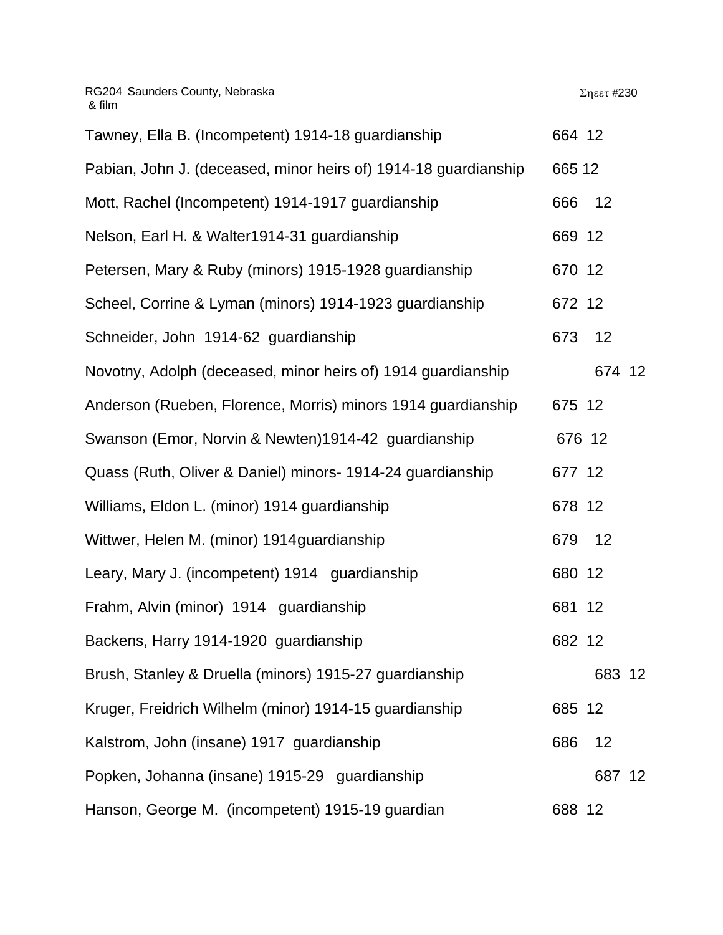| Tawney, Ella B. (Incompetent) 1914-18 guardianship              | 664 12 |        |                 |
|-----------------------------------------------------------------|--------|--------|-----------------|
| Pabian, John J. (deceased, minor heirs of) 1914-18 guardianship | 665 12 |        |                 |
| Mott, Rachel (Incompetent) 1914-1917 guardianship               | 666    | 12     |                 |
| Nelson, Earl H. & Walter1914-31 guardianship                    | 669 12 |        |                 |
| Petersen, Mary & Ruby (minors) 1915-1928 guardianship           | 670 12 |        |                 |
| Scheel, Corrine & Lyman (minors) 1914-1923 guardianship         | 672 12 |        |                 |
| Schneider, John 1914-62 guardianship                            | 673    | 12     |                 |
| Novotny, Adolph (deceased, minor heirs of) 1914 guardianship    |        | 674 12 |                 |
| Anderson (Rueben, Florence, Morris) minors 1914 guardianship    | 675 12 |        |                 |
| Swanson (Emor, Norvin & Newten)1914-42 guardianship             | 676 12 |        |                 |
| Quass (Ruth, Oliver & Daniel) minors- 1914-24 guardianship      | 677 12 |        |                 |
| Williams, Eldon L. (minor) 1914 guardianship                    | 678 12 |        |                 |
| Wittwer, Helen M. (minor) 1914 guardianship                     | 679    | 12     |                 |
| Leary, Mary J. (incompetent) 1914 guardianship                  | 680 12 |        |                 |
| Frahm, Alvin (minor) 1914 guardianship                          | 681 12 |        |                 |
| Backens, Harry 1914-1920 guardianship                           | 682 12 |        |                 |
| Brush, Stanley & Druella (minors) 1915-27 guardianship          |        | 683 12 |                 |
| Kruger, Freidrich Wilhelm (minor) 1914-15 guardianship          | 685 12 |        |                 |
| Kalstrom, John (insane) 1917 guardianship                       | 686    | 12     |                 |
| Popken, Johanna (insane) 1915-29 guardianship                   |        | 687    | 12 <sup>°</sup> |
| Hanson, George M. (incompetent) 1915-19 guardian                | 688 12 |        |                 |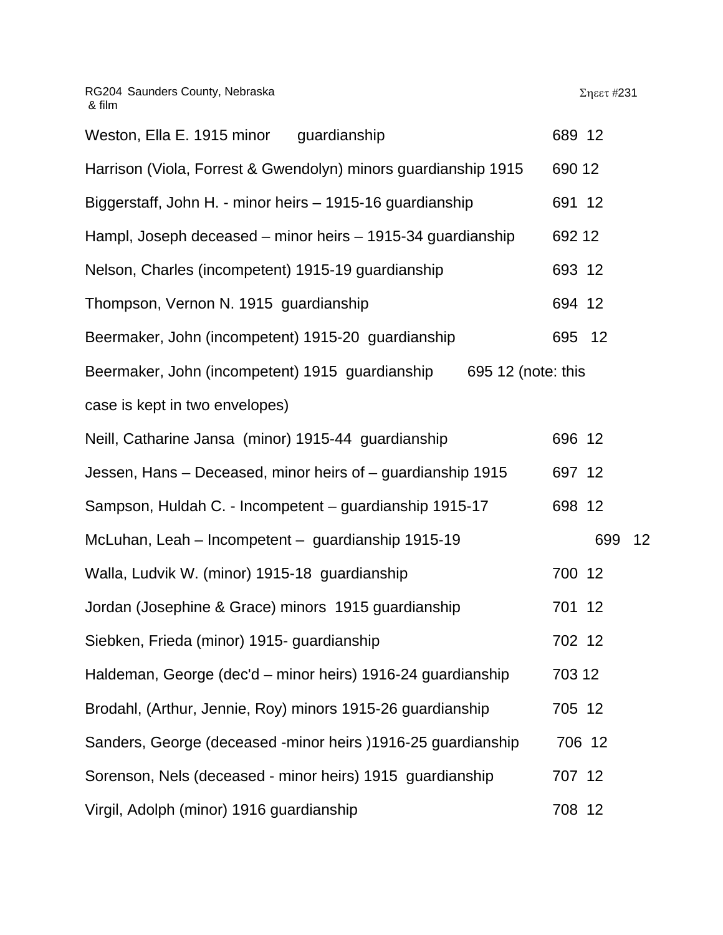| Weston, Ella E. 1915 minor<br>guardianship                            | 689 12 |     |    |
|-----------------------------------------------------------------------|--------|-----|----|
| Harrison (Viola, Forrest & Gwendolyn) minors guardianship 1915        | 690 12 |     |    |
| Biggerstaff, John H. - minor heirs - 1915-16 guardianship             | 691 12 |     |    |
| Hampl, Joseph deceased – minor heirs – 1915-34 guardianship           | 692 12 |     |    |
| Nelson, Charles (incompetent) 1915-19 guardianship                    | 693 12 |     |    |
| Thompson, Vernon N. 1915 guardianship                                 | 694 12 |     |    |
| Beermaker, John (incompetent) 1915-20 guardianship                    | 695 12 |     |    |
| Beermaker, John (incompetent) 1915 guardianship<br>695 12 (note: this |        |     |    |
| case is kept in two envelopes)                                        |        |     |    |
| Neill, Catharine Jansa (minor) 1915-44 guardianship                   | 696 12 |     |    |
| Jessen, Hans - Deceased, minor heirs of - guardianship 1915           | 697 12 |     |    |
| Sampson, Huldah C. - Incompetent - guardianship 1915-17               | 698 12 |     |    |
| McLuhan, Leah - Incompetent - guardianship 1915-19                    |        | 699 | 12 |
| Walla, Ludvik W. (minor) 1915-18 guardianship                         | 700 12 |     |    |
| Jordan (Josephine & Grace) minors 1915 guardianship                   | 701 12 |     |    |
| Siebken, Frieda (minor) 1915- guardianship                            | 702 12 |     |    |
| Haldeman, George (dec'd – minor heirs) 1916-24 guardianship           | 703 12 |     |    |
| Brodahl, (Arthur, Jennie, Roy) minors 1915-26 guardianship            | 705 12 |     |    |
| Sanders, George (deceased -minor heirs) 1916-25 guardianship          | 706 12 |     |    |
| Sorenson, Nels (deceased - minor heirs) 1915 guardianship             | 707 12 |     |    |
| Virgil, Adolph (minor) 1916 guardianship                              | 708 12 |     |    |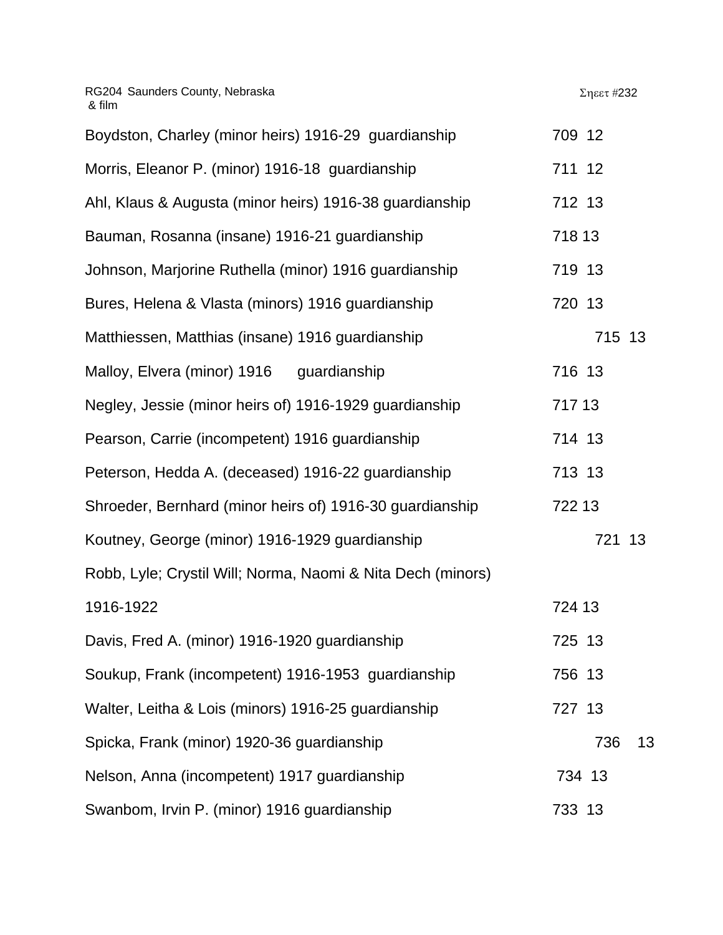| Boydston, Charley (minor heirs) 1916-29 guardianship        | 709 12    |
|-------------------------------------------------------------|-----------|
| Morris, Eleanor P. (minor) 1916-18 guardianship             | 711 12    |
| Ahl, Klaus & Augusta (minor heirs) 1916-38 guardianship     | 712 13    |
| Bauman, Rosanna (insane) 1916-21 guardianship               | 718 13    |
| Johnson, Marjorine Ruthella (minor) 1916 guardianship       | 719 13    |
| Bures, Helena & Vlasta (minors) 1916 guardianship           | 720 13    |
| Matthiessen, Matthias (insane) 1916 guardianship            | 715 13    |
| Malloy, Elvera (minor) 1916 guardianship                    | 716 13    |
| Negley, Jessie (minor heirs of) 1916-1929 guardianship      | 717 13    |
| Pearson, Carrie (incompetent) 1916 guardianship             | 714 13    |
| Peterson, Hedda A. (deceased) 1916-22 guardianship          | 713 13    |
| Shroeder, Bernhard (minor heirs of) 1916-30 guardianship    | 722 13    |
| Koutney, George (minor) 1916-1929 guardianship              | 721 13    |
| Robb, Lyle; Crystil Will; Norma, Naomi & Nita Dech (minors) |           |
| 1916-1922                                                   | 724 13    |
| Davis, Fred A. (minor) 1916-1920 guardianship               | 725 13    |
| Soukup, Frank (incompetent) 1916-1953 guardianship          | 756 13    |
| Walter, Leitha & Lois (minors) 1916-25 guardianship         | 727 13    |
| Spicka, Frank (minor) 1920-36 guardianship                  | 736<br>13 |
| Nelson, Anna (incompetent) 1917 guardianship                | 734 13    |
| Swanbom, Irvin P. (minor) 1916 guardianship                 | 733 13    |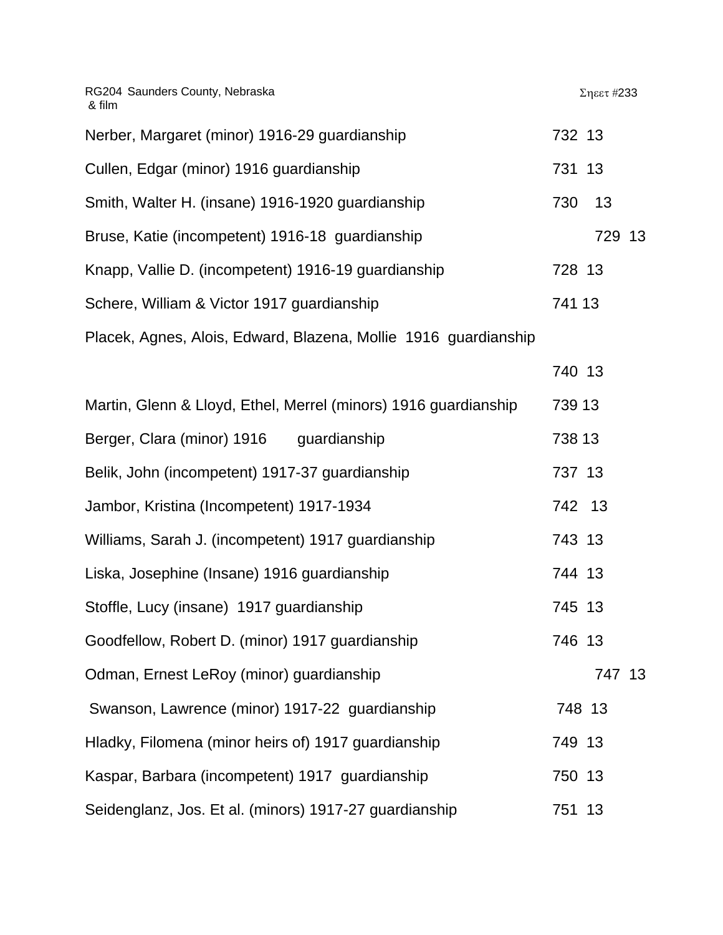RG204 Saunders County, Nebraska & film Σηεετ #233 Nerber, Margaret (minor) 1916-29 guardianship 732 13 Cullen, Edgar (minor) 1916 guardianship 731 13 Smith, Walter H. (insane) 1916-1920 quardianship 730 13 Bruse, Katie (incompetent) 1916-18 guardianship 729 13 Knapp, Vallie D. (incompetent) 1916-19 quardianship 728 13 Schere, William & Victor 1917 guardianship 741 13 Placek, Agnes, Alois, Edward, Blazena, Mollie 1916 guardianship 740 13 Martin, Glenn & Lloyd, Ethel, Merrel (minors) 1916 guardianship 739 13 Berger, Clara (minor) 1916 guardianship 738 13 Belik, John (incompetent) 1917-37 guardianship 737 13 Jambor, Kristina (Incompetent) 1917-1934 742 13 Williams, Sarah J. (incompetent) 1917 guardianship 743 13 Liska, Josephine (Insane) 1916 guardianship 744 13 Stoffle, Lucy (insane) 1917 guardianship 745 13 Goodfellow, Robert D. (minor) 1917 guardianship 746 13 Odman, Ernest LeRoy (minor) guardianship 747 13 Swanson, Lawrence (minor) 1917-22 quardianship 748 13 Hladky, Filomena (minor heirs of) 1917 guardianship 749 13 Kaspar, Barbara (incompetent) 1917 quardianship 750 13 Seidenglanz, Jos. Et al. (minors) 1917-27 guardianship 751 13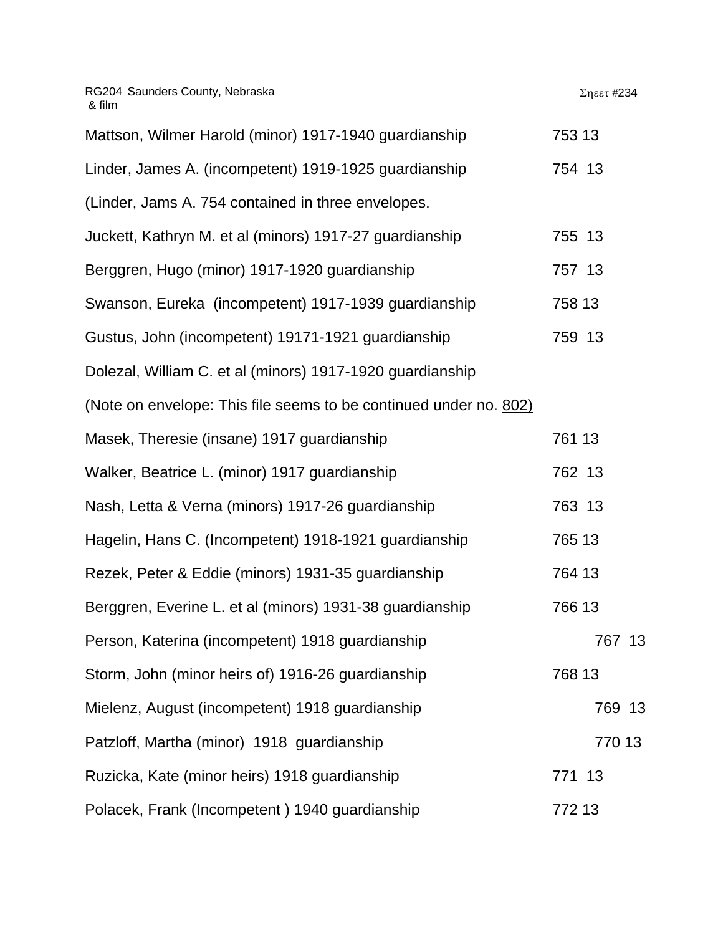| Mattson, Wilmer Harold (minor) 1917-1940 guardianship             | 753 13 |
|-------------------------------------------------------------------|--------|
| Linder, James A. (incompetent) 1919-1925 guardianship             | 754 13 |
| (Linder, Jams A. 754 contained in three envelopes.                |        |
| Juckett, Kathryn M. et al (minors) 1917-27 guardianship           | 755 13 |
| Berggren, Hugo (minor) 1917-1920 guardianship                     | 757 13 |
| Swanson, Eureka (incompetent) 1917-1939 guardianship              | 758 13 |
| Gustus, John (incompetent) 19171-1921 guardianship                | 759 13 |
| Dolezal, William C. et al (minors) 1917-1920 guardianship         |        |
| (Note on envelope: This file seems to be continued under no. 802) |        |
| Masek, Theresie (insane) 1917 guardianship                        | 761 13 |
| Walker, Beatrice L. (minor) 1917 guardianship                     | 762 13 |
| Nash, Letta & Verna (minors) 1917-26 guardianship                 | 763 13 |
| Hagelin, Hans C. (Incompetent) 1918-1921 guardianship             | 765 13 |
| Rezek, Peter & Eddie (minors) 1931-35 guardianship                | 764 13 |
| Berggren, Everine L. et al (minors) 1931-38 guardianship          | 766 13 |
| Person, Katerina (incompetent) 1918 guardianship                  | 767 13 |
| Storm, John (minor heirs of) 1916-26 guardianship                 | 768 13 |
| Mielenz, August (incompetent) 1918 guardianship                   | 769 13 |
| Patzloff, Martha (minor) 1918 guardianship                        | 770 13 |
| Ruzicka, Kate (minor heirs) 1918 guardianship                     | 771 13 |
| Polacek, Frank (Incompetent) 1940 guardianship                    | 772 13 |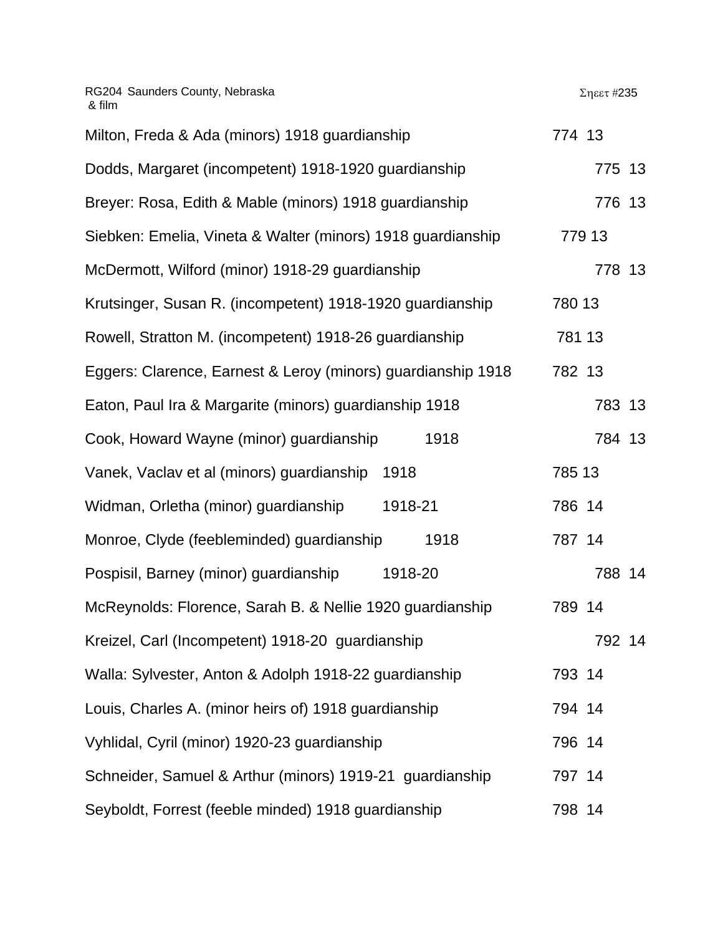Σηεετ #235

| Milton, Freda & Ada (minors) 1918 guardianship               | 774 13 |
|--------------------------------------------------------------|--------|
| Dodds, Margaret (incompetent) 1918-1920 guardianship         | 775 13 |
| Breyer: Rosa, Edith & Mable (minors) 1918 guardianship       | 776 13 |
| Siebken: Emelia, Vineta & Walter (minors) 1918 guardianship  | 779 13 |
| McDermott, Wilford (minor) 1918-29 guardianship              | 778 13 |
| Krutsinger, Susan R. (incompetent) 1918-1920 guardianship    | 780 13 |
| Rowell, Stratton M. (incompetent) 1918-26 guardianship       | 781 13 |
| Eggers: Clarence, Earnest & Leroy (minors) guardianship 1918 | 782 13 |
| Eaton, Paul Ira & Margarite (minors) guardianship 1918       | 783 13 |
| Cook, Howard Wayne (minor) guardianship<br>1918              | 784 13 |
| Vanek, Vaclav et al (minors) guardianship<br>1918            | 785 13 |
| Widman, Orletha (minor) guardianship<br>1918-21              | 786 14 |
| Monroe, Clyde (feebleminded) guardianship<br>1918            | 787 14 |
| 1918-20<br>Pospisil, Barney (minor) guardianship             | 788 14 |
| McReynolds: Florence, Sarah B. & Nellie 1920 guardianship    | 789 14 |
| Kreizel, Carl (Incompetent) 1918-20 guardianship             | 792 14 |
| Walla: Sylvester, Anton & Adolph 1918-22 guardianship        | 793 14 |
| Louis, Charles A. (minor heirs of) 1918 guardianship         | 794 14 |
| Vyhlidal, Cyril (minor) 1920-23 guardianship                 | 796 14 |
| Schneider, Samuel & Arthur (minors) 1919-21 guardianship     | 797 14 |
| Seyboldt, Forrest (feeble minded) 1918 guardianship          | 798 14 |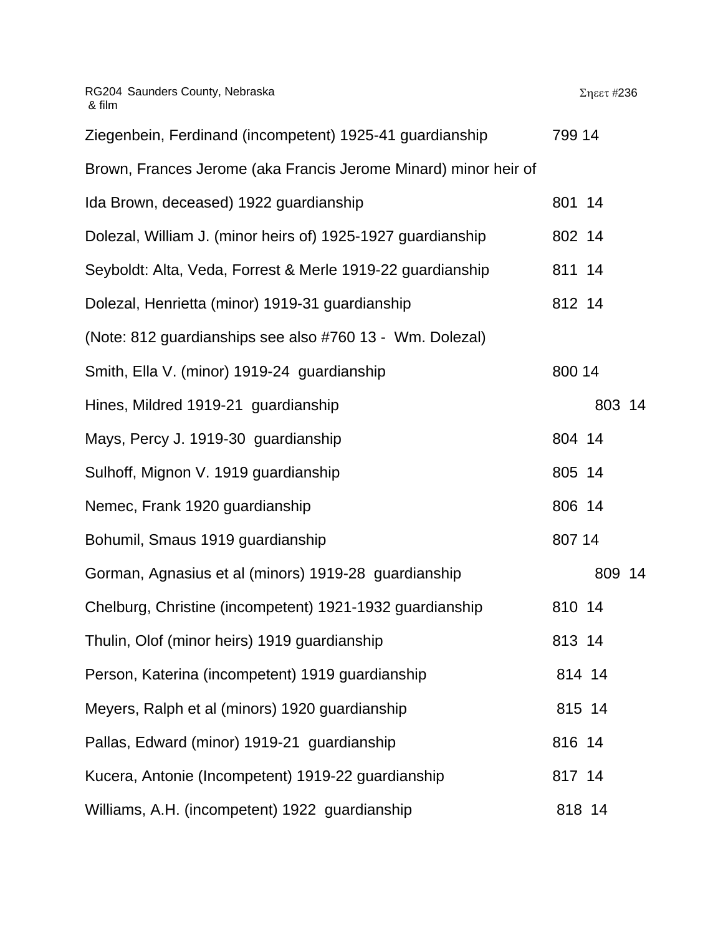| RG204 Saunders County, Nebraska<br>& film                       | Σηεετ #236 |
|-----------------------------------------------------------------|------------|
| Ziegenbein, Ferdinand (incompetent) 1925-41 guardianship        | 799 14     |
| Brown, Frances Jerome (aka Francis Jerome Minard) minor heir of |            |
| Ida Brown, deceased) 1922 guardianship                          | 801 14     |
| Dolezal, William J. (minor heirs of) 1925-1927 guardianship     | 802 14     |
| Seyboldt: Alta, Veda, Forrest & Merle 1919-22 guardianship      | 811 14     |
| Dolezal, Henrietta (minor) 1919-31 guardianship                 | 812 14     |
| (Note: 812 guardianships see also #760 13 - Wm. Dolezal)        |            |
| Smith, Ella V. (minor) 1919-24 guardianship                     | 800 14     |
| Hines, Mildred 1919-21 guardianship                             | 803 14     |
| Mays, Percy J. 1919-30 guardianship                             | 804 14     |
| Sulhoff, Mignon V. 1919 guardianship                            | 805 14     |
| Nemec, Frank 1920 guardianship                                  | 806 14     |
| Bohumil, Smaus 1919 guardianship                                | 807 14     |
| Gorman, Agnasius et al (minors) 1919-28 guardianship            | 809 14     |
| Chelburg, Christine (incompetent) 1921-1932 guardianship        | 810 14     |
| Thulin, Olof (minor heirs) 1919 guardianship                    | 813 14     |
| Person, Katerina (incompetent) 1919 guardianship                | 814 14     |
| Meyers, Ralph et al (minors) 1920 guardianship                  | 815 14     |
| Pallas, Edward (minor) 1919-21 guardianship                     | 816 14     |
| Kucera, Antonie (Incompetent) 1919-22 guardianship              | 817 14     |
| Williams, A.H. (incompetent) 1922 guardianship                  | 818 14     |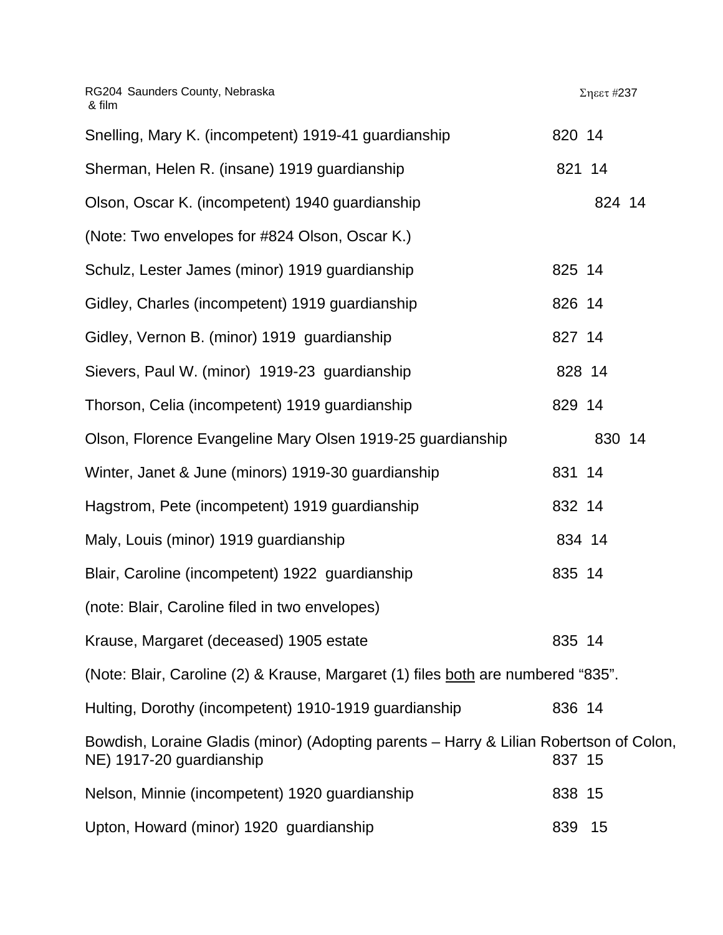| Snelling, Mary K. (incompetent) 1919-41 guardianship                                                               | 820 14 |        |  |
|--------------------------------------------------------------------------------------------------------------------|--------|--------|--|
| Sherman, Helen R. (insane) 1919 guardianship                                                                       | 821 14 |        |  |
| Olson, Oscar K. (incompetent) 1940 guardianship                                                                    |        | 824 14 |  |
| (Note: Two envelopes for #824 Olson, Oscar K.)                                                                     |        |        |  |
| Schulz, Lester James (minor) 1919 guardianship                                                                     | 825 14 |        |  |
| Gidley, Charles (incompetent) 1919 guardianship                                                                    | 826 14 |        |  |
| Gidley, Vernon B. (minor) 1919 guardianship                                                                        | 827 14 |        |  |
| Sievers, Paul W. (minor) 1919-23 guardianship                                                                      | 828 14 |        |  |
| Thorson, Celia (incompetent) 1919 guardianship                                                                     | 829 14 |        |  |
| Olson, Florence Evangeline Mary Olsen 1919-25 guardianship                                                         |        | 830 14 |  |
| Winter, Janet & June (minors) 1919-30 guardianship                                                                 | 831 14 |        |  |
| Hagstrom, Pete (incompetent) 1919 guardianship                                                                     | 832 14 |        |  |
| Maly, Louis (minor) 1919 guardianship                                                                              | 834 14 |        |  |
| Blair, Caroline (incompetent) 1922 guardianship                                                                    | 835 14 |        |  |
| (note: Blair, Caroline filed in two envelopes)                                                                     |        |        |  |
| Krause, Margaret (deceased) 1905 estate                                                                            | 835 14 |        |  |
| (Note: Blair, Caroline (2) & Krause, Margaret (1) files both are numbered "835".                                   |        |        |  |
| Hulting, Dorothy (incompetent) 1910-1919 guardianship                                                              | 836 14 |        |  |
| Bowdish, Loraine Gladis (minor) (Adopting parents – Harry & Lilian Robertson of Colon,<br>NE) 1917-20 guardianship | 837 15 |        |  |
| Nelson, Minnie (incompetent) 1920 guardianship                                                                     | 838 15 |        |  |
| Upton, Howard (minor) 1920 guardianship                                                                            | 839    | 15     |  |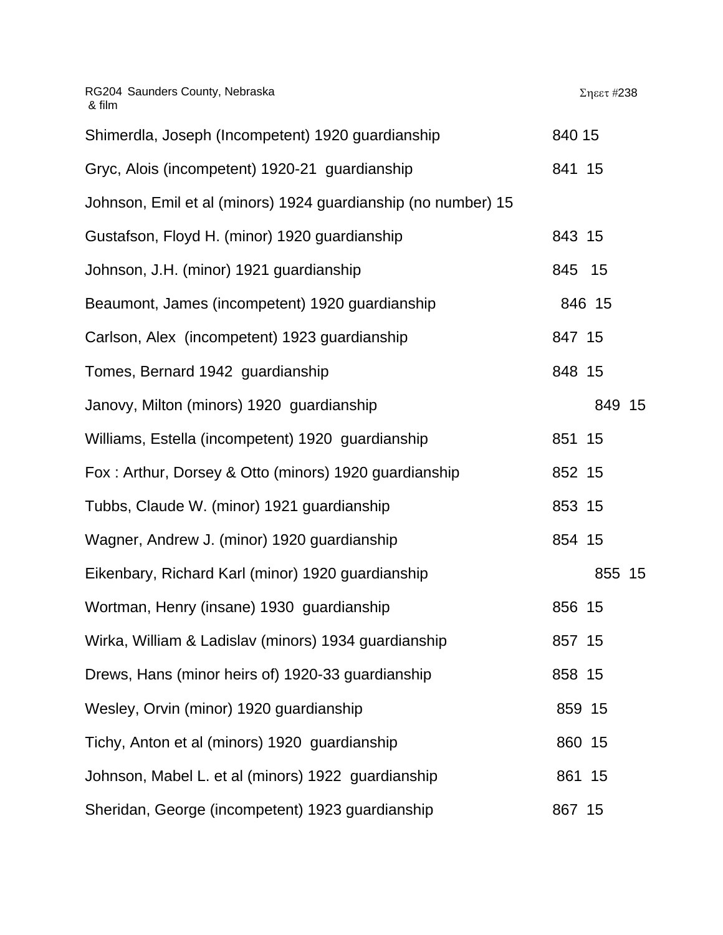| RG204 Saunders County, Nebraska<br>& film                     | Σηεετ #238 |
|---------------------------------------------------------------|------------|
| Shimerdla, Joseph (Incompetent) 1920 guardianship             | 840 15     |
| Gryc, Alois (incompetent) 1920-21 guardianship                | 841 15     |
| Johnson, Emil et al (minors) 1924 guardianship (no number) 15 |            |
| Gustafson, Floyd H. (minor) 1920 guardianship                 | 843 15     |
| Johnson, J.H. (minor) 1921 guardianship                       | 845 15     |
| Beaumont, James (incompetent) 1920 guardianship               | 846 15     |
| Carlson, Alex (incompetent) 1923 guardianship                 | 847 15     |
| Tomes, Bernard 1942 guardianship                              | 848 15     |
| Janovy, Milton (minors) 1920 guardianship                     | 849 15     |
| Williams, Estella (incompetent) 1920 guardianship             | 851 15     |
| Fox: Arthur, Dorsey & Otto (minors) 1920 guardianship         | 852 15     |
| Tubbs, Claude W. (minor) 1921 guardianship                    | 853 15     |
| Wagner, Andrew J. (minor) 1920 guardianship                   | 854 15     |
| Eikenbary, Richard Karl (minor) 1920 guardianship             | 855 15     |
| Wortman, Henry (insane) 1930 guardianship                     | 856 15     |
| Wirka, William & Ladislav (minors) 1934 guardianship          | 857 15     |
| Drews, Hans (minor heirs of) 1920-33 guardianship             | 858 15     |
| Wesley, Orvin (minor) 1920 guardianship                       | 859 15     |
| Tichy, Anton et al (minors) 1920 guardianship                 | 860 15     |
| Johnson, Mabel L. et al (minors) 1922 guardianship            | 861 15     |
| Sheridan, George (incompetent) 1923 guardianship              | 867 15     |
|                                                               |            |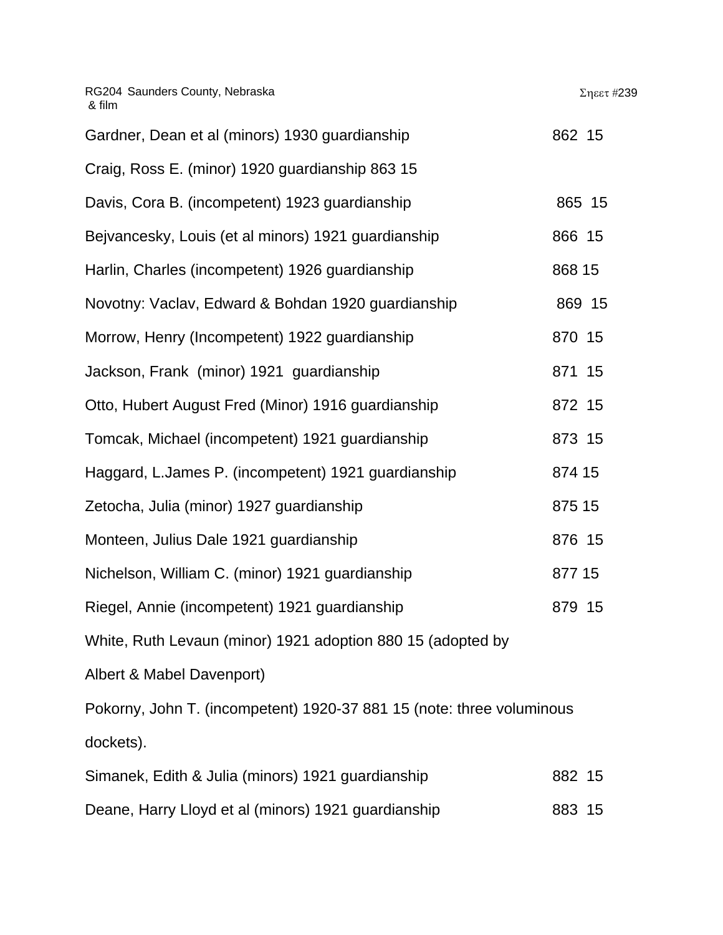| RG204 Saunders County, Nebraska<br>& film                             | Σηεετ #239 |
|-----------------------------------------------------------------------|------------|
| Gardner, Dean et al (minors) 1930 guardianship                        | 862 15     |
| Craig, Ross E. (minor) 1920 guardianship 863 15                       |            |
| Davis, Cora B. (incompetent) 1923 guardianship                        | 865 15     |
| Bejvancesky, Louis (et al minors) 1921 guardianship                   | 866 15     |
| Harlin, Charles (incompetent) 1926 guardianship                       | 868 15     |
| Novotny: Vaclav, Edward & Bohdan 1920 guardianship                    | 869 15     |
| Morrow, Henry (Incompetent) 1922 guardianship                         | 870 15     |
| Jackson, Frank (minor) 1921 guardianship                              | 871 15     |
| Otto, Hubert August Fred (Minor) 1916 guardianship                    | 872 15     |
| Tomcak, Michael (incompetent) 1921 guardianship                       | 873 15     |
| Haggard, L.James P. (incompetent) 1921 guardianship                   | 874 15     |
| Zetocha, Julia (minor) 1927 guardianship                              | 875 15     |
| Monteen, Julius Dale 1921 guardianship                                | 876 15     |
| Nichelson, William C. (minor) 1921 guardianship                       | 877 15     |
| Riegel, Annie (incompetent) 1921 guardianship                         | 879 15     |
| White, Ruth Levaun (minor) 1921 adoption 880 15 (adopted by           |            |
| Albert & Mabel Davenport)                                             |            |
| Pokorny, John T. (incompetent) 1920-37 881 15 (note: three voluminous |            |
| dockets).                                                             |            |
| Simanek, Edith & Julia (minors) 1921 guardianship                     | 882 15     |
| Deane, Harry Lloyd et al (minors) 1921 guardianship                   | 883 15     |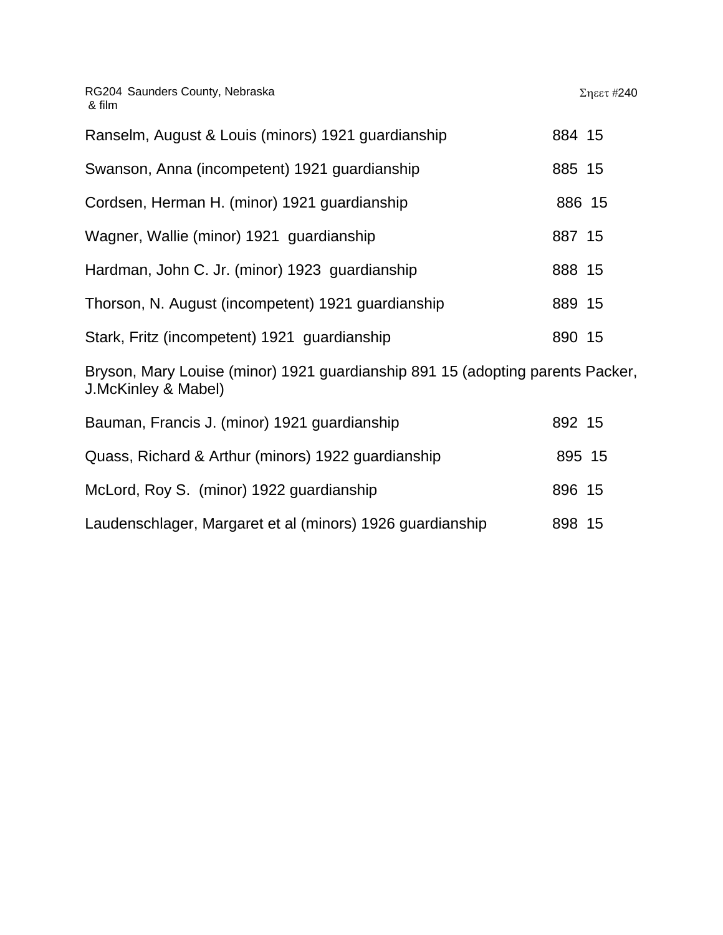| Ranselm, August & Louis (minors) 1921 guardianship | 884 15 |  |
|----------------------------------------------------|--------|--|
| Swanson, Anna (incompetent) 1921 guardianship      | 885 15 |  |
| Cordsen, Herman H. (minor) 1921 guardianship       | 886 15 |  |
| Wagner, Wallie (minor) 1921 guardianship           | 887 15 |  |
| Hardman, John C. Jr. (minor) 1923 guardianship     | 888 15 |  |
| Thorson, N. August (incompetent) 1921 guardianship | 889 15 |  |
| Stark, Fritz (incompetent) 1921 guardianship       | 890 15 |  |

Bryson, Mary Louise (minor) 1921 guardianship 891 15 (adopting parents Packer, J.McKinley & Mabel)

| Bauman, Francis J. (minor) 1921 guardianship              | 892 15 |  |
|-----------------------------------------------------------|--------|--|
| Quass, Richard & Arthur (minors) 1922 guardianship        | 895 15 |  |
| McLord, Roy S. (minor) 1922 guardianship                  | 896 15 |  |
| Laudenschlager, Margaret et al (minors) 1926 guardianship | 898 15 |  |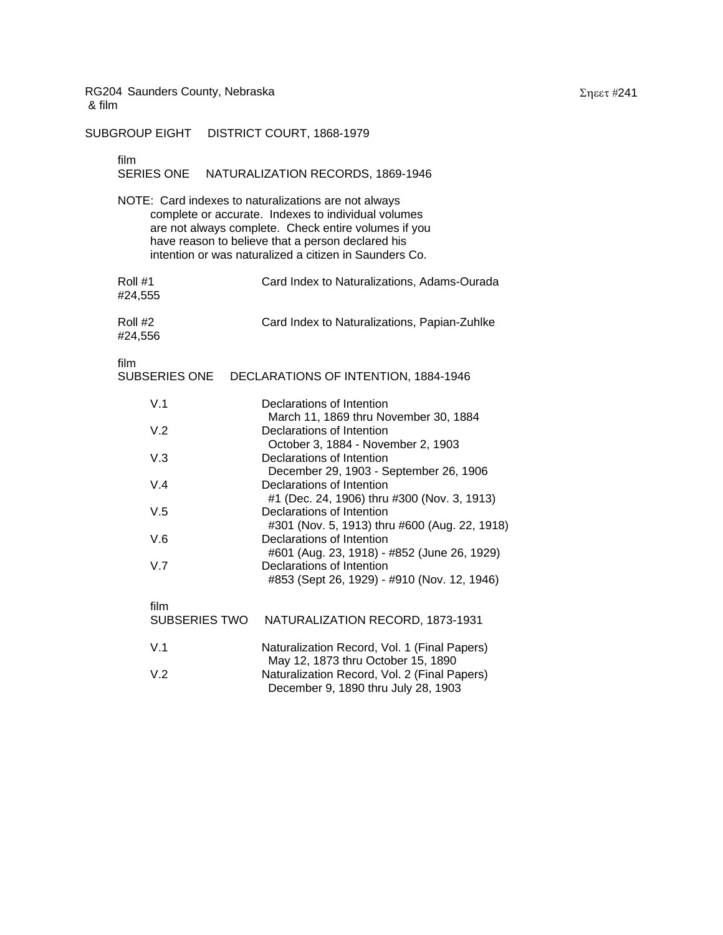SUBGROUP EIGHT DISTRICT COURT, 1868-1979

# film<br>SER

|                              | SERIES ONE NATURALIZATION RECORDS, 1869-1946                                                                                                                                                                                                                                       |
|------------------------------|------------------------------------------------------------------------------------------------------------------------------------------------------------------------------------------------------------------------------------------------------------------------------------|
|                              | NOTE: Card indexes to naturalizations are not always<br>complete or accurate. Indexes to individual volumes<br>are not always complete. Check entire volumes if you<br>have reason to believe that a person declared his<br>intention or was naturalized a citizen in Saunders Co. |
| Roll #1<br>#24,555           | Card Index to Naturalizations, Adams-Ourada                                                                                                                                                                                                                                        |
| Roll #2<br>#24,556           | Card Index to Naturalizations, Papian-Zuhlke                                                                                                                                                                                                                                       |
| film<br><b>SUBSERIES ONE</b> | DECLARATIONS OF INTENTION, 1884-1946                                                                                                                                                                                                                                               |
| V.1                          | Declarations of Intention                                                                                                                                                                                                                                                          |
| V.2                          | March 11, 1869 thru November 30, 1884<br>Declarations of Intention                                                                                                                                                                                                                 |
| V.3                          | October 3, 1884 - November 2, 1903<br>Declarations of Intention                                                                                                                                                                                                                    |
| V.4                          | December 29, 1903 - September 26, 1906<br>Declarations of Intention                                                                                                                                                                                                                |
| V.5                          | #1 (Dec. 24, 1906) thru #300 (Nov. 3, 1913)<br>Declarations of Intention                                                                                                                                                                                                           |
| V.6                          | #301 (Nov. 5, 1913) thru #600 (Aug. 22, 1918)<br>Declarations of Intention                                                                                                                                                                                                         |
| V.7                          | #601 (Aug. 23, 1918) - #852 (June 26, 1929)<br>Declarations of Intention<br>#853 (Sept 26, 1929) - #910 (Nov. 12, 1946)                                                                                                                                                            |
| film                         | SUBSERIES TWO<br>NATURALIZATION RECORD, 1873-1931                                                                                                                                                                                                                                  |
| V.1                          | Naturalization Record, Vol. 1 (Final Papers)                                                                                                                                                                                                                                       |
| V.2                          | May 12, 1873 thru October 15, 1890<br>Naturalization Record, Vol. 2 (Final Papers)<br>December 9, 1890 thru July 28, 1903                                                                                                                                                          |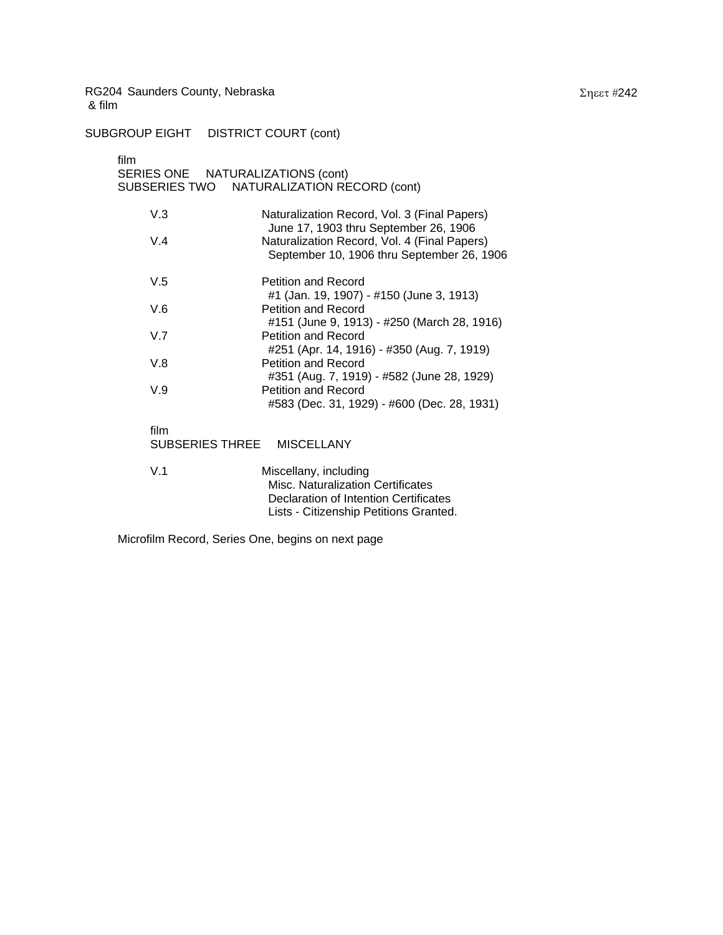SUBGROUP EIGHT DISTRICT COURT (cont)

| film<br>SERIES ONE NATURALIZATIONS (cont) | SUBSERIES TWO NATURALIZATION RECORD (cont)                                                                                                           |
|-------------------------------------------|------------------------------------------------------------------------------------------------------------------------------------------------------|
| V.3                                       | Naturalization Record, Vol. 3 (Final Papers)<br>June 17, 1903 thru September 26, 1906                                                                |
| V.4                                       | Naturalization Record, Vol. 4 (Final Papers)<br>September 10, 1906 thru September 26, 1906                                                           |
| V.5                                       | Petition and Record<br>#1 (Jan. 19, 1907) - #150 (June 3, 1913)                                                                                      |
| V.6                                       | Petition and Record                                                                                                                                  |
| V.7                                       | #151 (June 9, 1913) - #250 (March 28, 1916)<br>Petition and Record                                                                                   |
| V.8                                       | #251 (Apr. 14, 1916) - #350 (Aug. 7, 1919)<br>Petition and Record<br>#351 (Aug. 7, 1919) - #582 (June 28, 1929)                                      |
| V.9                                       | Petition and Record<br>#583 (Dec. 31, 1929) - #600 (Dec. 28, 1931)                                                                                   |
| film<br>SUBSERIES THREE                   | <b>MISCELLANY</b>                                                                                                                                    |
| V.1                                       | Miscellany, including<br><b>Misc. Naturalization Certificates</b><br>Declaration of Intention Certificates<br>Lists - Citizenship Petitions Granted. |

Microfilm Record, Series One, begins on next page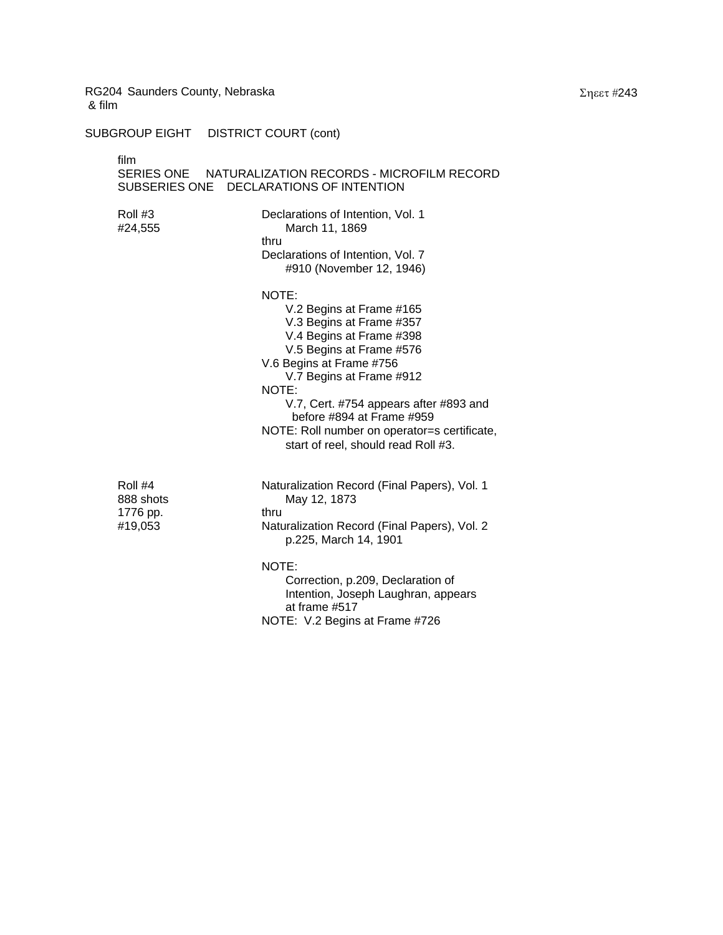SUBGROUP EIGHT DISTRICT COURT (cont)

film SERIES ONE NATURALIZATION RECORDS - MICROFILM RECORD SUBSERIES ONE DECLARATIONS OF INTENTION Roll #3 Declarations of Intention, Vol. 1 #24,555 March 11, 1869 thru Declarations of Intention, Vol. 7 #910 (November 12, 1946) NOTE: V.2 Begins at Frame #165 V.3 Begins at Frame #357 V.4 Begins at Frame #398 V.5 Begins at Frame #576 V.6 Begins at Frame #756 V.7 Begins at Frame #912 NOTE: V.7, Cert. #754 appears after #893 and before #894 at Frame #959 NOTE: Roll number on operator=s certificate, start of reel, should read Roll #3. Roll #4 **Naturalization Record (Final Papers)**, Vol. 1 888 shots May 12, 1873 1776 pp. thru #19,053 Naturalization Record (Final Papers), Vol. 2 p.225, March 14, 1901 NOTE: Correction, p.209, Declaration of Intention, Joseph Laughran, appears at frame #517 NOTE: V.2 Begins at Frame #726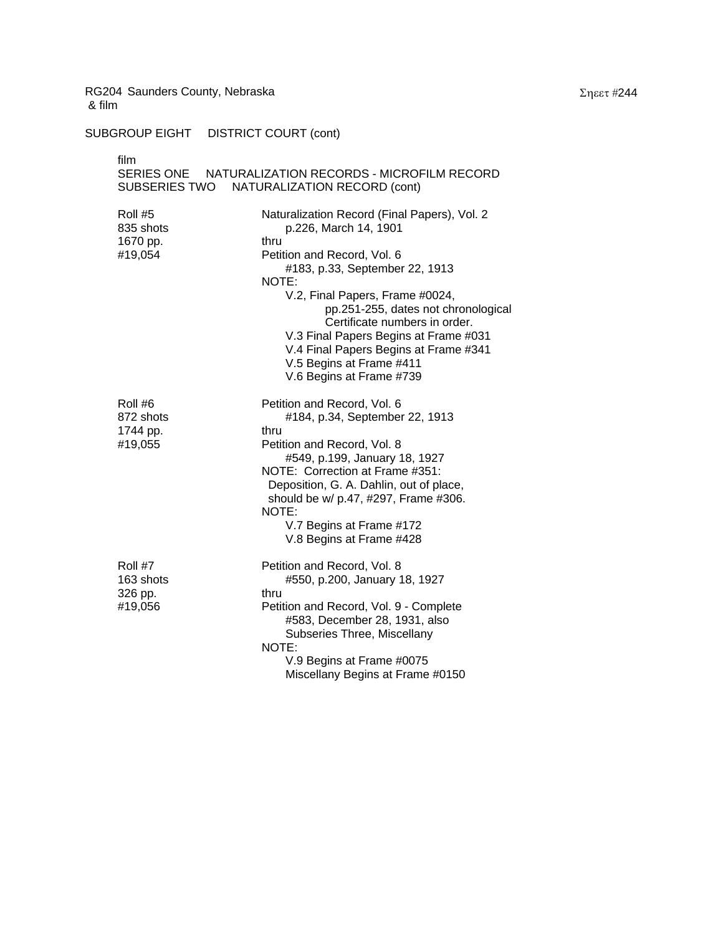SUBGROUP EIGHT DISTRICT COURT (cont)

| film<br>SUBSERIES TWO                       | SERIES ONE NATURALIZATION RECORDS - MICROFILM RECORD<br>NATURALIZATION RECORD (cont)                                                                                                                                                              |
|---------------------------------------------|---------------------------------------------------------------------------------------------------------------------------------------------------------------------------------------------------------------------------------------------------|
|                                             |                                                                                                                                                                                                                                                   |
| Roll #5<br>835 shots                        | Naturalization Record (Final Papers), Vol. 2<br>p.226, March 14, 1901                                                                                                                                                                             |
| 1670 pp.<br>#19,054                         | thru<br>Petition and Record, Vol. 6<br>#183, p.33, September 22, 1913<br>NOTE:                                                                                                                                                                    |
|                                             | V.2, Final Papers, Frame #0024,<br>pp.251-255, dates not chronological<br>Certificate numbers in order.<br>V.3 Final Papers Begins at Frame #031<br>V.4 Final Papers Begins at Frame #341<br>V.5 Begins at Frame #411<br>V.6 Begins at Frame #739 |
| Roll #6<br>872 shots<br>1744 pp.<br>#19,055 | Petition and Record, Vol. 6<br>#184, p.34, September 22, 1913<br>thru<br>Petition and Record, Vol. 8                                                                                                                                              |
|                                             | #549, p.199, January 18, 1927<br>NOTE: Correction at Frame #351:<br>Deposition, G. A. Dahlin, out of place,<br>should be w/ p.47, #297, Frame #306.<br>NOTE:                                                                                      |
|                                             | V.7 Begins at Frame #172<br>V.8 Begins at Frame #428                                                                                                                                                                                              |
| Roll #7<br>163 shots<br>326 pp.<br>#19,056  | Petition and Record, Vol. 8<br>#550, p.200, January 18, 1927<br>thru<br>Petition and Record, Vol. 9 - Complete<br>#583, December 28, 1931, also                                                                                                   |
|                                             | Subseries Three, Miscellany<br>NOTE:                                                                                                                                                                                                              |
|                                             | V.9 Begins at Frame #0075<br>Miscellany Begins at Frame #0150                                                                                                                                                                                     |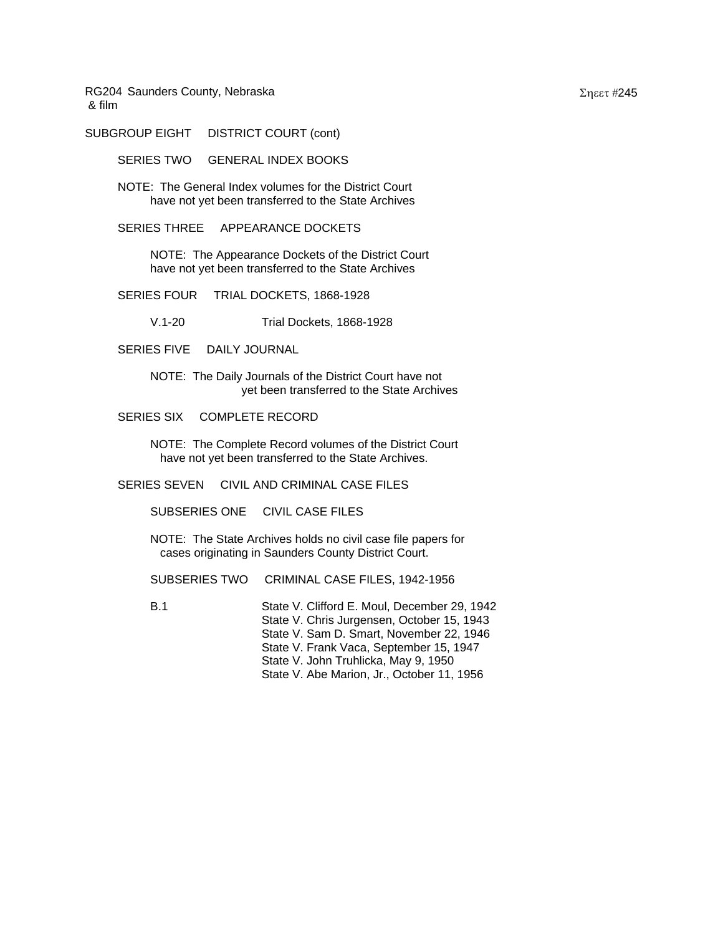SUBGROUP EIGHT DISTRICT COURT (cont)

SERIES TWO GENERAL INDEX BOOKS

NOTE: The General Index volumes for the District Court have not yet been transferred to the State Archives

SERIES THREE APPEARANCE DOCKETS

NOTE: The Appearance Dockets of the District Court have not yet been transferred to the State Archives

SERIES FOUR TRIAL DOCKETS, 1868-1928

V.1-20 Trial Dockets, 1868-1928

SERIES FIVE DAILY JOURNAL

NOTE: The Daily Journals of the District Court have not yet been transferred to the State Archives

SERIES SIX COMPLETE RECORD

NOTE: The Complete Record volumes of the District Court have not yet been transferred to the State Archives.

SERIES SEVEN CIVIL AND CRIMINAL CASE FILES

SUBSERIES ONE CIVIL CASE FILES

NOTE: The State Archives holds no civil case file papers for cases originating in Saunders County District Court.

SUBSERIES TWO CRIMINAL CASE FILES, 1942-1956

B.1 State V. Clifford E. Moul, December 29, 1942 State V. Chris Jurgensen, October 15, 1943 State V. Sam D. Smart, November 22, 1946 State V. Frank Vaca, September 15, 1947 State V. John Truhlicka, May 9, 1950 State V. Abe Marion, Jr., October 11, 1956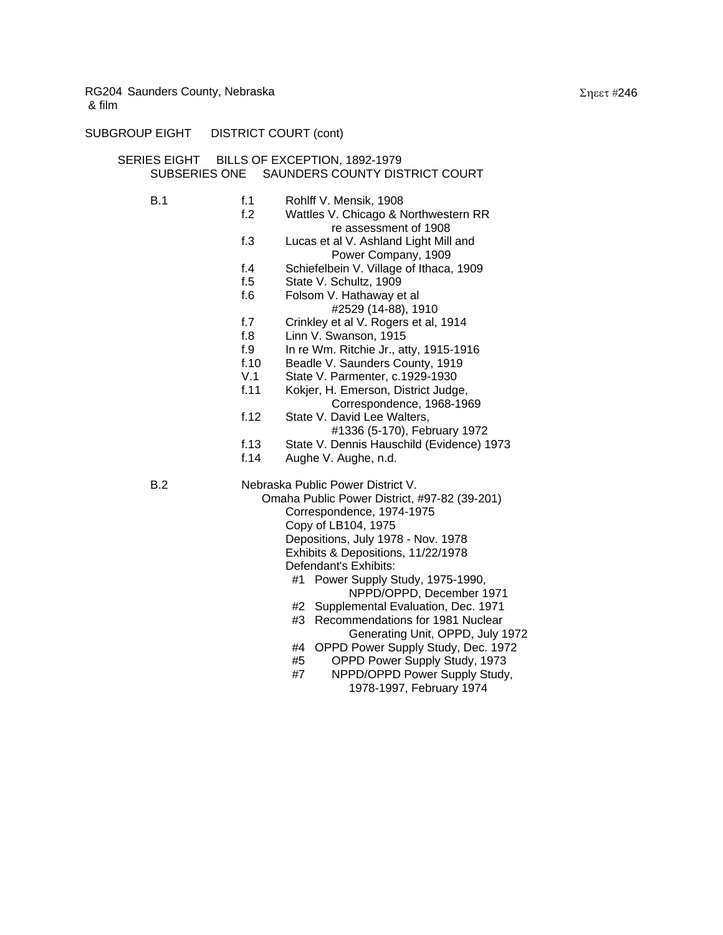# SUBGROUP EIGHT DISTRICT COURT (cont)

## SERIES EIGHT BILLS OF EXCEPTION, 1892-1979 SUBSERIES ONE SAUNDERS COUNTY DISTRICT COURT

| B.1 | f.1  | Rohlff V. Mensik, 1908                       |
|-----|------|----------------------------------------------|
|     | f.2  | Wattles V. Chicago & Northwestern RR         |
|     |      | re assessment of 1908                        |
|     | f.3  | Lucas et al V. Ashland Light Mill and        |
|     |      | Power Company, 1909                          |
|     | f.4  | Schiefelbein V. Village of Ithaca, 1909      |
|     | f.5  | State V. Schultz, 1909                       |
|     | f.6  | Folsom V. Hathaway et al                     |
|     |      | #2529 (14-88), 1910                          |
|     | f.7  | Crinkley et al V. Rogers et al, 1914         |
|     | f.8  | Linn V. Swanson, 1915                        |
|     | f.9  | In re Wm. Ritchie Jr., atty, 1915-1916       |
|     | f.10 | Beadle V. Saunders County, 1919              |
|     | V.1  | State V. Parmenter, c.1929-1930              |
|     | f.11 | Kokjer, H. Emerson, District Judge,          |
|     |      | Correspondence, 1968-1969                    |
|     | f.12 | State V. David Lee Walters,                  |
|     |      | #1336 (5-170), February 1972                 |
|     | f.13 | State V. Dennis Hauschild (Evidence) 1973    |
|     | f.14 | Aughe V. Aughe, n.d.                         |
| B.2 |      | Nebraska Public Power District V.            |
|     |      | Omaha Public Power District, #97-82 (39-201) |
|     |      | Correspondence, 1974-1975                    |
|     |      | Copy of LB104, 1975                          |
|     |      | Depositions, July 1978 - Nov. 1978           |
|     |      | Exhibits & Depositions, 11/22/1978           |
|     |      | Defendant's Exhibits:                        |
|     |      | #1 Power Supply Study, 1975-1990,            |
|     |      | NPPD/OPPD, December 1971                     |
|     |      | Supplemental Evaluation, Dec. 1971<br>#2     |
|     |      | Recommendations for 1981 Nuclear<br>#3       |
|     |      | Generating Unit, OPPD, July 1972             |

- #4 OPPD Power Supply Study, Dec. 1972
- #5 OPPD Power Supply Study, 1973
- #7 NPPD/OPPD Power Supply Study, 1978-1997, February 1974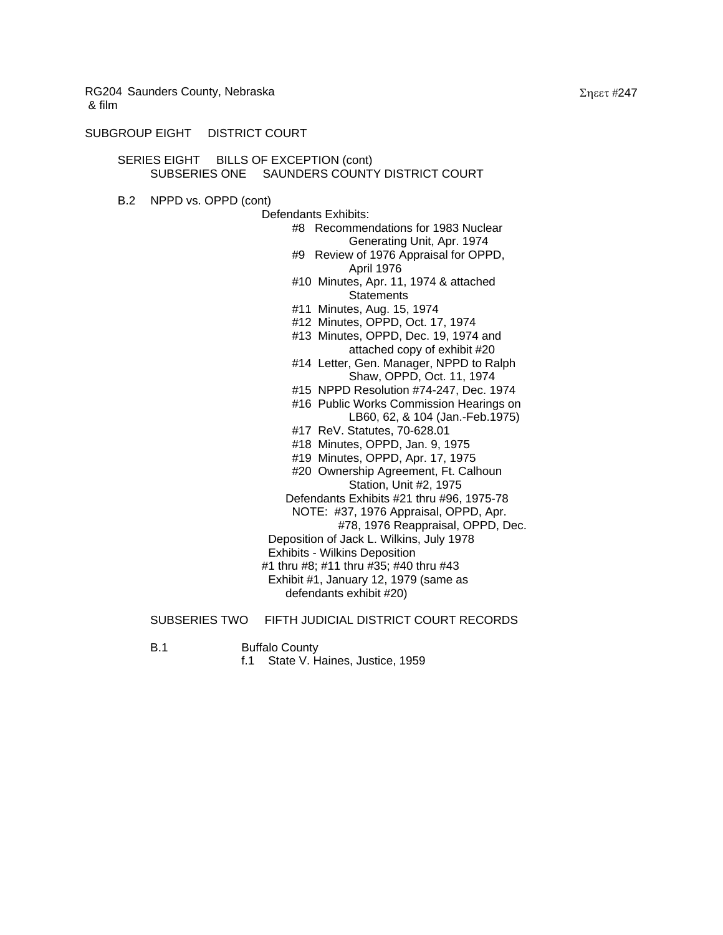#### SUBGROUP EIGHT DISTRICT COURT

#### SERIES EIGHT BILLS OF EXCEPTION (cont) SUBSERIES ONE SAUNDERS COUNTY DISTRICT COURT

B.2 NPPD vs. OPPD (cont)

Defendants Exhibits: #8 Recommendations for 1983 Nuclear Generating Unit, Apr. 1974 #9 Review of 1976 Appraisal for OPPD, April 1976 #10 Minutes, Apr. 11, 1974 & attached **Statements**  #11 Minutes, Aug. 15, 1974 #12 Minutes, OPPD, Oct. 17, 1974 #13 Minutes, OPPD, Dec. 19, 1974 and attached copy of exhibit #20 #14 Letter, Gen. Manager, NPPD to Ralph Shaw, OPPD, Oct. 11, 1974 #15 NPPD Resolution #74-247, Dec. 1974 #16 Public Works Commission Hearings on LB60, 62, & 104 (Jan.-Feb.1975) #17 ReV. Statutes, 70-628.01 #18 Minutes, OPPD, Jan. 9, 1975 #19 Minutes, OPPD, Apr. 17, 1975 #20 Ownership Agreement, Ft. Calhoun Station, Unit #2, 1975 Defendants Exhibits #21 thru #96, 1975-78 NOTE: #37, 1976 Appraisal, OPPD, Apr. #78, 1976 Reappraisal, OPPD, Dec. Deposition of Jack L. Wilkins, July 1978 Exhibits - Wilkins Deposition #1 thru #8; #11 thru #35; #40 thru #43 Exhibit #1, January 12, 1979 (same as defendants exhibit #20)

## SUBSERIES TWO FIFTH JUDICIAL DISTRICT COURT RECORDS

- B.1 Buffalo County
	- f.1 State V. Haines, Justice, 1959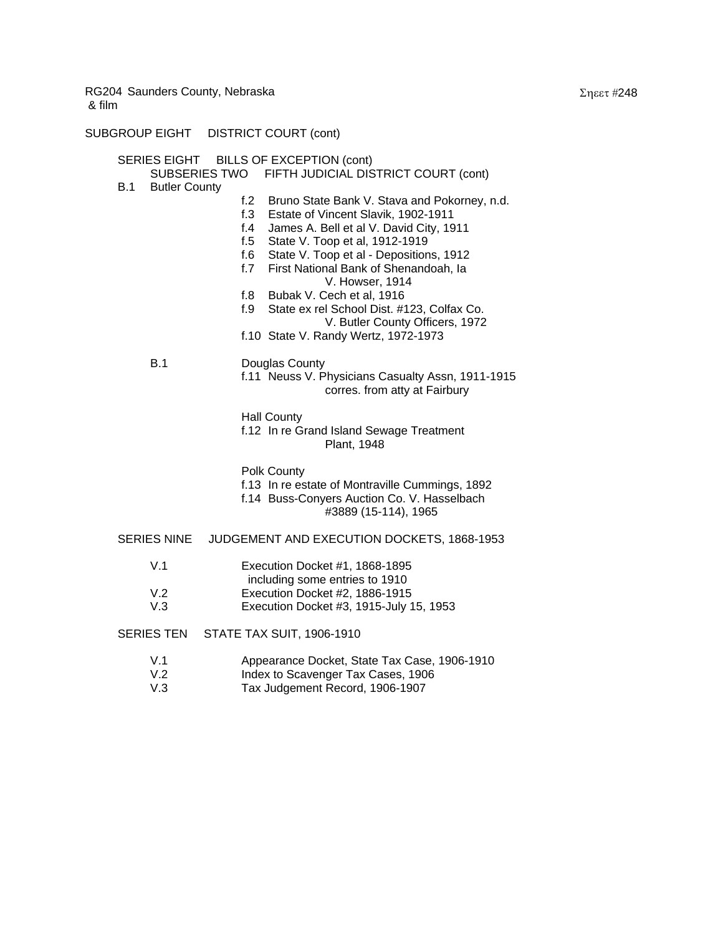SUBGROUP EIGHT DISTRICT COURT (cont)

| SERIES EIGHT BILLS OF EXCEPTION (cont)<br>SUBSERIES TWO FIFTH JUDICIAL DISTRICT COURT (cont) |                                                                                                                                                                                                                                                                                                                                                                                                                                                                                                               |  |  |
|----------------------------------------------------------------------------------------------|---------------------------------------------------------------------------------------------------------------------------------------------------------------------------------------------------------------------------------------------------------------------------------------------------------------------------------------------------------------------------------------------------------------------------------------------------------------------------------------------------------------|--|--|
| B.1<br><b>Butler County</b><br>B.1                                                           | Bruno State Bank V. Stava and Pokorney, n.d.<br>f.2<br>f.3<br>Estate of Vincent Slavik, 1902-1911<br>James A. Bell et al V. David City, 1911<br>f. $4$<br>State V. Toop et al, 1912-1919<br>f. $5$<br>f.6<br>State V. Toop et al - Depositions, 1912<br>f.7<br>First National Bank of Shenandoah, la<br>V. Howser, 1914<br>f.8<br>Bubak V. Cech et al, 1916<br>f.9<br>State ex rel School Dist. #123, Colfax Co.<br>V. Butler County Officers, 1972<br>f.10 State V. Randy Wertz, 1972-1973<br>Douglas County |  |  |
|                                                                                              | f.11 Neuss V. Physicians Casualty Assn, 1911-1915<br>corres. from atty at Fairbury<br><b>Hall County</b><br>f.12 In re Grand Island Sewage Treatment<br>Plant, 1948                                                                                                                                                                                                                                                                                                                                           |  |  |
|                                                                                              | Polk County<br>f.13 In re estate of Montraville Cummings, 1892<br>f.14 Buss-Conyers Auction Co. V. Hasselbach<br>#3889 (15-114), 1965                                                                                                                                                                                                                                                                                                                                                                         |  |  |
| <b>SERIES NINE</b>                                                                           | JUDGEMENT AND EXECUTION DOCKETS, 1868-1953                                                                                                                                                                                                                                                                                                                                                                                                                                                                    |  |  |
| V.1                                                                                          | Execution Docket #1, 1868-1895<br>including some entries to 1910                                                                                                                                                                                                                                                                                                                                                                                                                                              |  |  |
| V.2<br>V.3                                                                                   | Execution Docket #2, 1886-1915<br>Execution Docket #3, 1915-July 15, 1953                                                                                                                                                                                                                                                                                                                                                                                                                                     |  |  |
| SERIES TEN                                                                                   | <b>STATE TAX SUIT, 1906-1910</b>                                                                                                                                                                                                                                                                                                                                                                                                                                                                              |  |  |
| V.1<br>V.2                                                                                   | Appearance Docket, State Tax Case, 1906-1910<br>Index to Scavenger Tax Cases, 1906                                                                                                                                                                                                                                                                                                                                                                                                                            |  |  |

V.3 Tax Judgement Record, 1906-1907

Σηεετ #248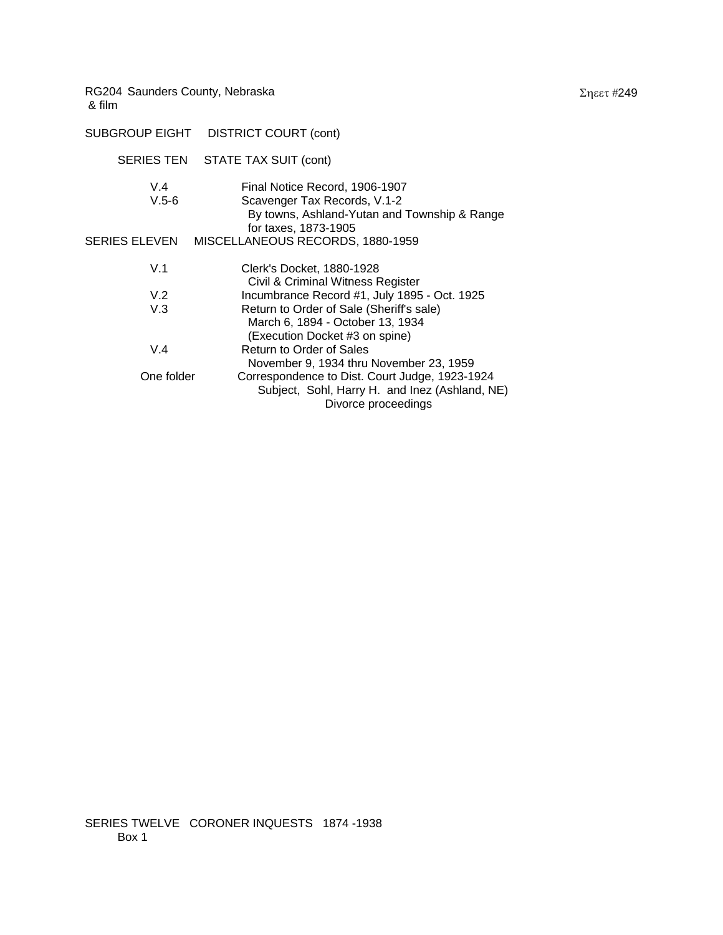| SUBGROUP EIGHT DISTRICT COURT (cont) |                                                                                                                                        |
|--------------------------------------|----------------------------------------------------------------------------------------------------------------------------------------|
| <b>SERIES TEN</b>                    | STATE TAX SUIT (cont)                                                                                                                  |
| V.4<br>$V.5-6$                       | Final Notice Record, 1906-1907<br>Scavenger Tax Records, V.1-2<br>By towns, Ashland-Yutan and Township & Range<br>for taxes, 1873-1905 |
| <b>SERIES ELEVEN</b>                 | MISCELLANEOUS RECORDS, 1880-1959                                                                                                       |
| V.1                                  | Clerk's Docket, 1880-1928<br>Civil & Criminal Witness Register                                                                         |
| V.2                                  | Incumbrance Record #1, July 1895 - Oct. 1925                                                                                           |
| V.3                                  | Return to Order of Sale (Sheriff's sale)<br>March 6, 1894 - October 13, 1934<br>(Execution Docket #3 on spine)                         |
| V.4                                  | Return to Order of Sales<br>November 9, 1934 thru November 23, 1959                                                                    |
| One folder                           | Correspondence to Dist. Court Judge, 1923-1924<br>Subject, Sohl, Harry H. and Inez (Ashland, NE)<br>Divorce proceedings                |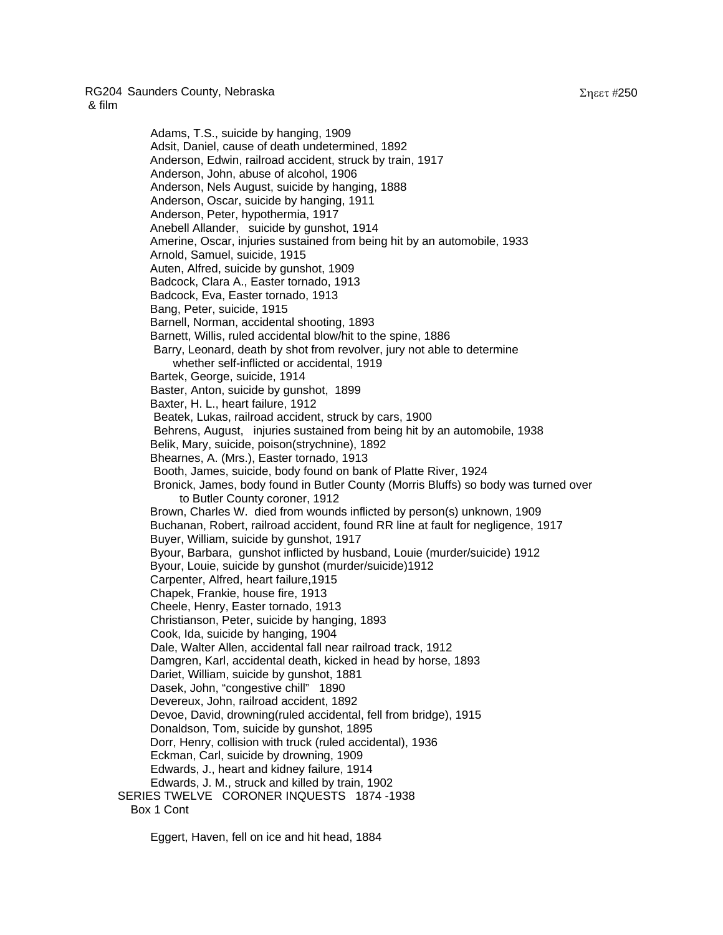## RG204 Saunders County, Nebraska

& film

 Adams, T.S., suicide by hanging, 1909 Adsit, Daniel, cause of death undetermined, 1892 Anderson, Edwin, railroad accident, struck by train, 1917 Anderson, John, abuse of alcohol, 1906 Anderson, Nels August, suicide by hanging, 1888 Anderson, Oscar, suicide by hanging, 1911 Anderson, Peter, hypothermia, 1917 Anebell Allander, suicide by gunshot, 1914 Amerine, Oscar, injuries sustained from being hit by an automobile, 1933 Arnold, Samuel, suicide, 1915 Auten, Alfred, suicide by gunshot, 1909 Badcock, Clara A., Easter tornado, 1913 Badcock, Eva, Easter tornado, 1913 Bang, Peter, suicide, 1915 Barnell, Norman, accidental shooting, 1893 Barnett, Willis, ruled accidental blow/hit to the spine, 1886 Barry, Leonard, death by shot from revolver, jury not able to determine whether self-inflicted or accidental, 1919 Bartek, George, suicide, 1914 Baster, Anton, suicide by gunshot, 1899 Baxter, H. L., heart failure, 1912 Beatek, Lukas, railroad accident, struck by cars, 1900 Behrens, August, injuries sustained from being hit by an automobile, 1938 Belik, Mary, suicide, poison(strychnine), 1892 Bhearnes, A. (Mrs.), Easter tornado, 1913 Booth, James, suicide, body found on bank of Platte River, 1924 Bronick, James, body found in Butler County (Morris Bluffs) so body was turned over to Butler County coroner, 1912 Brown, Charles W. died from wounds inflicted by person(s) unknown, 1909 Buchanan, Robert, railroad accident, found RR line at fault for negligence, 1917 Buyer, William, suicide by gunshot, 1917 Byour, Barbara, gunshot inflicted by husband, Louie (murder/suicide) 1912 Byour, Louie, suicide by gunshot (murder/suicide)1912 Carpenter, Alfred, heart failure,1915 Chapek, Frankie, house fire, 1913 Cheele, Henry, Easter tornado, 1913 Christianson, Peter, suicide by hanging, 1893 Cook, Ida, suicide by hanging, 1904 Dale, Walter Allen, accidental fall near railroad track, 1912 Damgren, Karl, accidental death, kicked in head by horse, 1893 Dariet, William, suicide by gunshot, 1881 Dasek, John, "congestive chill" 1890 Devereux, John, railroad accident, 1892 Devoe, David, drowning(ruled accidental, fell from bridge), 1915 Donaldson, Tom, suicide by gunshot, 1895 Dorr, Henry, collision with truck (ruled accidental), 1936 Eckman, Carl, suicide by drowning, 1909 Edwards, J., heart and kidney failure, 1914 Edwards, J. M., struck and killed by train, 1902 SERIES TWELVE CORONER INQUESTS 1874 -1938 Box 1 Cont

Eggert, Haven, fell on ice and hit head, 1884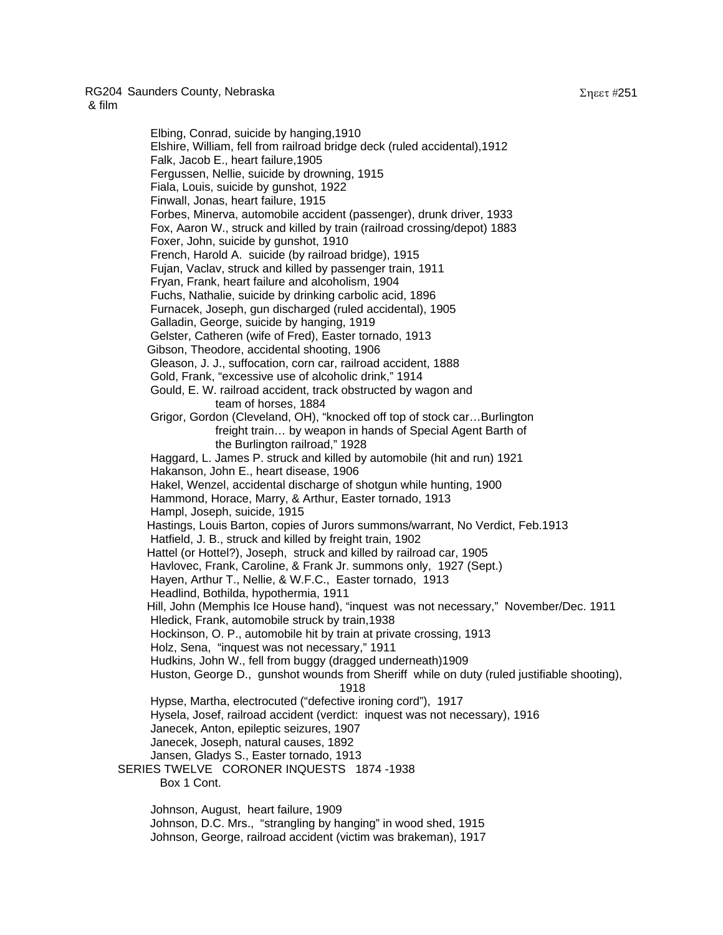RG204 Saunders County, Nebraska

 Elbing, Conrad, suicide by hanging,1910 Elshire, William, fell from railroad bridge deck (ruled accidental),1912 Falk, Jacob E., heart failure,1905 Fergussen, Nellie, suicide by drowning, 1915 Fiala, Louis, suicide by gunshot, 1922 Finwall, Jonas, heart failure, 1915 Forbes, Minerva, automobile accident (passenger), drunk driver, 1933 Fox, Aaron W., struck and killed by train (railroad crossing/depot) 1883 Foxer, John, suicide by gunshot, 1910 French, Harold A. suicide (by railroad bridge), 1915 Fujan, Vaclav, struck and killed by passenger train, 1911 Fryan, Frank, heart failure and alcoholism, 1904 Fuchs, Nathalie, suicide by drinking carbolic acid, 1896 Furnacek, Joseph, gun discharged (ruled accidental), 1905 Galladin, George, suicide by hanging, 1919 Gelster, Catheren (wife of Fred), Easter tornado, 1913 Gibson, Theodore, accidental shooting, 1906 Gleason, J. J., suffocation, corn car, railroad accident, 1888 Gold, Frank, "excessive use of alcoholic drink," 1914 Gould, E. W. railroad accident, track obstructed by wagon and team of horses, 1884 Grigor, Gordon (Cleveland, OH), "knocked off top of stock car…Burlington freight train… by weapon in hands of Special Agent Barth of the Burlington railroad," 1928 Haggard, L. James P. struck and killed by automobile (hit and run) 1921 Hakanson, John E., heart disease, 1906 Hakel, Wenzel, accidental discharge of shotgun while hunting, 1900 Hammond, Horace, Marry, & Arthur, Easter tornado, 1913 Hampl, Joseph, suicide, 1915 Hastings, Louis Barton, copies of Jurors summons/warrant, No Verdict, Feb.1913 Hatfield, J. B., struck and killed by freight train, 1902 Hattel (or Hottel?), Joseph, struck and killed by railroad car, 1905 Havlovec, Frank, Caroline, & Frank Jr. summons only, 1927 (Sept.) Hayen, Arthur T., Nellie, & W.F.C., Easter tornado, 1913 Headlind, Bothilda, hypothermia, 1911 Hill, John (Memphis Ice House hand), "inquest was not necessary," November/Dec. 1911 Hledick, Frank, automobile struck by train,1938 Hockinson, O. P., automobile hit by train at private crossing, 1913 Holz, Sena, "inquest was not necessary," 1911 Hudkins, John W., fell from buggy (dragged underneath)1909 Huston, George D., gunshot wounds from Sheriff while on duty (ruled justifiable shooting), <u>1918 - Andrea Statist Statist Statist Statist Statist Statist Statist Statist Statist Statist Statist Statist</u> Hypse, Martha, electrocuted ("defective ironing cord"), 1917 Hysela, Josef, railroad accident (verdict: inquest was not necessary), 1916 Janecek, Anton, epileptic seizures, 1907 Janecek, Joseph, natural causes, 1892 Jansen, Gladys S., Easter tornado, 1913 SERIES TWELVE CORONER INQUESTS 1874 -1938 Box 1 Cont. Johnson, August, heart failure, 1909 Johnson, D.C. Mrs., "strangling by hanging" in wood shed, 1915

Johnson, George, railroad accident (victim was brakeman), 1917

Σηεετ #251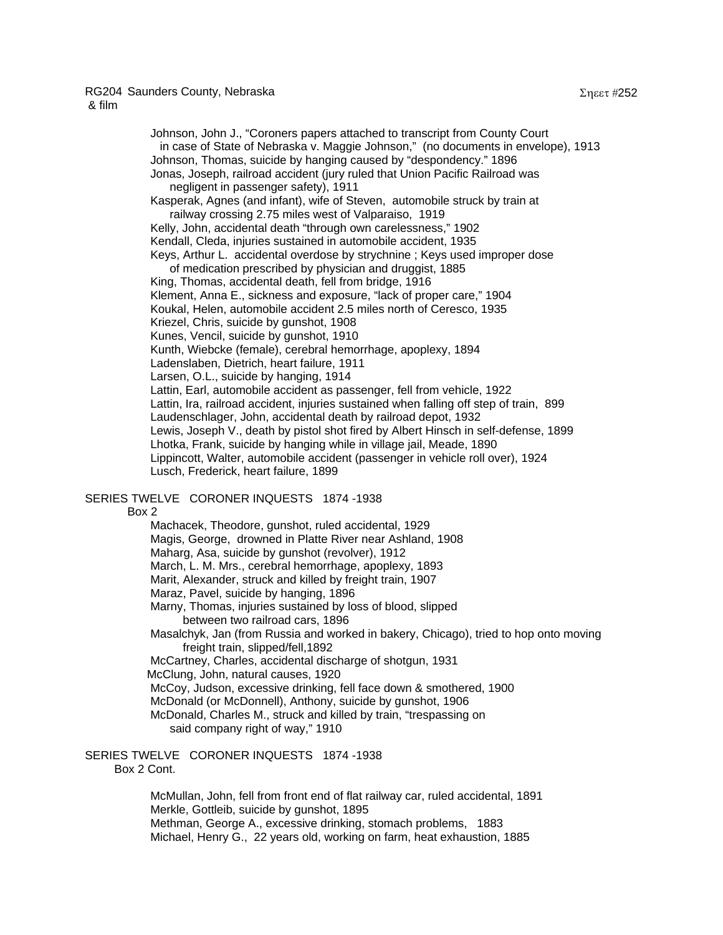Johnson, John J., "Coroners papers attached to transcript from County Court in case of State of Nebraska v. Maggie Johnson," (no documents in envelope), 1913 Johnson, Thomas, suicide by hanging caused by "despondency." 1896 Jonas, Joseph, railroad accident (jury ruled that Union Pacific Railroad was negligent in passenger safety), 1911 Kasperak, Agnes (and infant), wife of Steven, automobile struck by train at railway crossing 2.75 miles west of Valparaiso, 1919 Kelly, John, accidental death "through own carelessness," 1902 Kendall, Cleda, injuries sustained in automobile accident, 1935 Keys, Arthur L. accidental overdose by strychnine ; Keys used improper dose of medication prescribed by physician and druggist, 1885 King, Thomas, accidental death, fell from bridge, 1916 Klement, Anna E., sickness and exposure, "lack of proper care," 1904 Koukal, Helen, automobile accident 2.5 miles north of Ceresco, 1935 Kriezel, Chris, suicide by gunshot, 1908

Kunes, Vencil, suicide by gunshot, 1910

Kunth, Wiebcke (female), cerebral hemorrhage, apoplexy, 1894

Ladenslaben, Dietrich, heart failure, 1911

Larsen, O.L., suicide by hanging, 1914

 Lattin, Earl, automobile accident as passenger, fell from vehicle, 1922 Lattin, Ira, railroad accident, injuries sustained when falling off step of train, 899 Laudenschlager, John, accidental death by railroad depot, 1932 Lewis, Joseph V., death by pistol shot fired by Albert Hinsch in self-defense, 1899 Lhotka, Frank, suicide by hanging while in village jail, Meade, 1890 Lippincott, Walter, automobile accident (passenger in vehicle roll over), 1924 Lusch, Frederick, heart failure, 1899

# SERIES TWELVE CORONER INQUESTS 1874 -1938

Box 2

 Machacek, Theodore, gunshot, ruled accidental, 1929 Magis, George, drowned in Platte River near Ashland, 1908 Maharg, Asa, suicide by gunshot (revolver), 1912 March, L. M. Mrs., cerebral hemorrhage, apoplexy, 1893 Marit, Alexander, struck and killed by freight train, 1907 Maraz, Pavel, suicide by hanging, 1896 Marny, Thomas, injuries sustained by loss of blood, slipped between two railroad cars, 1896 Masalchyk, Jan (from Russia and worked in bakery, Chicago), tried to hop onto moving freight train, slipped/fell,1892 McCartney, Charles, accidental discharge of shotgun, 1931 McClung, John, natural causes, 1920 McCoy, Judson, excessive drinking, fell face down & smothered, 1900 McDonald (or McDonnell), Anthony, suicide by gunshot, 1906 McDonald, Charles M., struck and killed by train, "trespassing on said company right of way," 1910

## SERIES TWELVE CORONER INQUESTS 1874 -1938 Box 2 Cont.

 McMullan, John, fell from front end of flat railway car, ruled accidental, 1891 Merkle, Gottleib, suicide by gunshot, 1895 Methman, George A., excessive drinking, stomach problems, 1883 Michael, Henry G., 22 years old, working on farm, heat exhaustion, 1885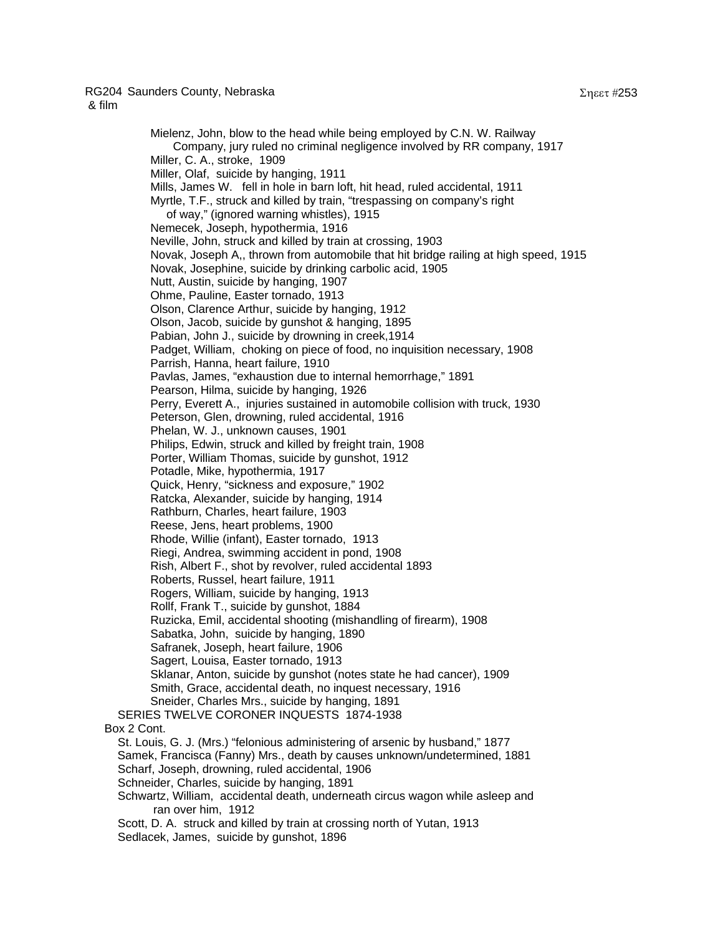Mielenz, John, blow to the head while being employed by C.N. W. Railway Company, jury ruled no criminal negligence involved by RR company, 1917 Miller, C. A., stroke, 1909 Miller, Olaf, suicide by hanging, 1911 Mills, James W. fell in hole in barn loft, hit head, ruled accidental, 1911 Myrtle, T.F., struck and killed by train, "trespassing on company's right of way," (ignored warning whistles), 1915 Nemecek, Joseph, hypothermia, 1916 Neville, John, struck and killed by train at crossing, 1903 Novak, Joseph A,, thrown from automobile that hit bridge railing at high speed, 1915 Novak, Josephine, suicide by drinking carbolic acid, 1905 Nutt, Austin, suicide by hanging, 1907 Ohme, Pauline, Easter tornado, 1913 Olson, Clarence Arthur, suicide by hanging, 1912 Olson, Jacob, suicide by gunshot & hanging, 1895 Pabian, John J., suicide by drowning in creek,1914 Padget, William, choking on piece of food, no inquisition necessary, 1908 Parrish, Hanna, heart failure, 1910 Pavlas, James, "exhaustion due to internal hemorrhage," 1891 Pearson, Hilma, suicide by hanging, 1926 Perry, Everett A., injuries sustained in automobile collision with truck, 1930 Peterson, Glen, drowning, ruled accidental, 1916 Phelan, W. J., unknown causes, 1901 Philips, Edwin, struck and killed by freight train, 1908 Porter, William Thomas, suicide by gunshot, 1912 Potadle, Mike, hypothermia, 1917 Quick, Henry, "sickness and exposure," 1902

 Ratcka, Alexander, suicide by hanging, 1914 Rathburn, Charles, heart failure, 1903 Reese, Jens, heart problems, 1900 Rhode, Willie (infant), Easter tornado, 1913 Riegi, Andrea, swimming accident in pond, 1908 Rish, Albert F., shot by revolver, ruled accidental 1893 Roberts, Russel, heart failure, 1911 Rogers, William, suicide by hanging, 1913 Rollf, Frank T., suicide by gunshot, 1884 Ruzicka, Emil, accidental shooting (mishandling of firearm), 1908 Sabatka, John, suicide by hanging, 1890 Safranek, Joseph, heart failure, 1906 Sagert, Louisa, Easter tornado, 1913 Sklanar, Anton, suicide by gunshot (notes state he had cancer), 1909

Smith, Grace, accidental death, no inquest necessary, 1916

 Sneider, Charles Mrs., suicide by hanging, 1891 SERIES TWELVE CORONER INQUESTS 1874-1938 Box 2 Cont. St. Louis, G. J. (Mrs.) "felonious administering of arsenic by husband," 1877 Samek, Francisca (Fanny) Mrs., death by causes unknown/undetermined, 1881 Scharf, Joseph, drowning, ruled accidental, 1906 Schneider, Charles, suicide by hanging, 1891 Schwartz, William, accidental death, underneath circus wagon while asleep and ran over him, 1912

 Scott, D. A. struck and killed by train at crossing north of Yutan, 1913 Sedlacek, James, suicide by gunshot, 1896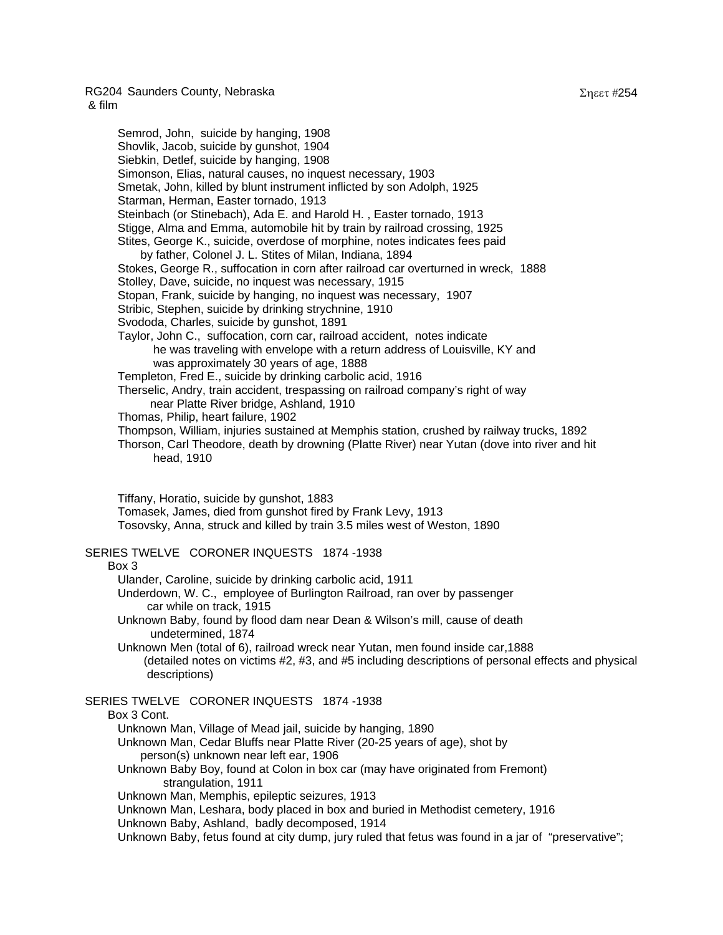Semrod, John, suicide by hanging, 1908 Shovlik, Jacob, suicide by gunshot, 1904 Siebkin, Detlef, suicide by hanging, 1908 Simonson, Elias, natural causes, no inquest necessary, 1903 Smetak, John, killed by blunt instrument inflicted by son Adolph, 1925 Starman, Herman, Easter tornado, 1913 Steinbach (or Stinebach), Ada E. and Harold H. , Easter tornado, 1913 Stigge, Alma and Emma, automobile hit by train by railroad crossing, 1925 Stites, George K., suicide, overdose of morphine, notes indicates fees paid by father, Colonel J. L. Stites of Milan, Indiana, 1894 Stokes, George R., suffocation in corn after railroad car overturned in wreck, 1888 Stolley, Dave, suicide, no inquest was necessary, 1915 Stopan, Frank, suicide by hanging, no inquest was necessary, 1907 Stribic, Stephen, suicide by drinking strychnine, 1910 Svododa, Charles, suicide by gunshot, 1891 Taylor, John C., suffocation, corn car, railroad accident, notes indicate he was traveling with envelope with a return address of Louisville, KY and was approximately 30 years of age, 1888 Templeton, Fred E., suicide by drinking carbolic acid, 1916 Therselic, Andry, train accident, trespassing on railroad company's right of way near Platte River bridge, Ashland, 1910 Thomas, Philip, heart failure, 1902 Thompson, William, injuries sustained at Memphis station, crushed by railway trucks, 1892 Thorson, Carl Theodore, death by drowning (Platte River) near Yutan (dove into river and hit head, 1910 Tiffany, Horatio, suicide by gunshot, 1883 Tomasek, James, died from gunshot fired by Frank Levy, 1913 Tosovsky, Anna, struck and killed by train 3.5 miles west of Weston, 1890 SERIES TWELVE CORONER INQUESTS 1874 -1938 Box 3 Ulander, Caroline, suicide by drinking carbolic acid, 1911 Underdown, W. C., employee of Burlington Railroad, ran over by passenger car while on track, 1915 Unknown Baby, found by flood dam near Dean & Wilson's mill, cause of death undetermined, 1874 Unknown Men (total of 6), railroad wreck near Yutan, men found inside car,1888

 (detailed notes on victims #2, #3, and #5 including descriptions of personal effects and physical descriptions)

# SERIES TWELVE CORONER INQUESTS 1874 -1938

## Box 3 Cont.

- Unknown Man, Village of Mead jail, suicide by hanging, 1890
- Unknown Man, Cedar Bluffs near Platte River (20-25 years of age), shot by person(s) unknown near left ear, 1906
- Unknown Baby Boy, found at Colon in box car (may have originated from Fremont) strangulation, 1911
- Unknown Man, Memphis, epileptic seizures, 1913
- Unknown Man, Leshara, body placed in box and buried in Methodist cemetery, 1916
- Unknown Baby, Ashland, badly decomposed, 1914
- Unknown Baby, fetus found at city dump, jury ruled that fetus was found in a jar of "preservative";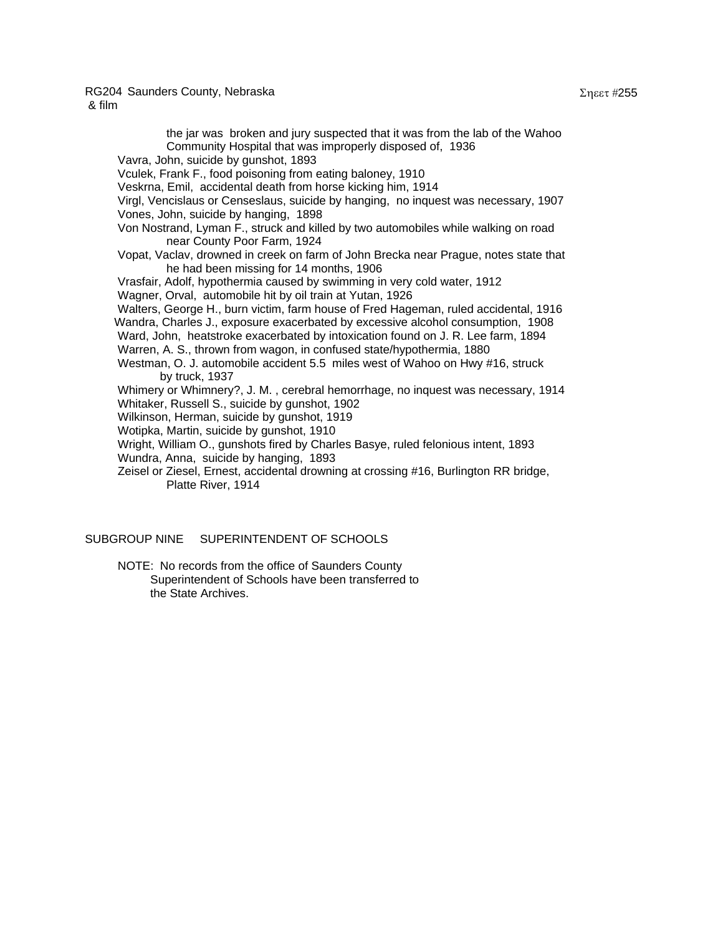the jar was broken and jury suspected that it was from the lab of the Wahoo Community Hospital that was improperly disposed of, 1936 Vavra, John, suicide by gunshot, 1893 Vculek, Frank F., food poisoning from eating baloney, 1910 Veskrna, Emil, accidental death from horse kicking him, 1914 Virgl, Vencislaus or Censeslaus, suicide by hanging, no inquest was necessary, 1907 Vones, John, suicide by hanging, 1898 Von Nostrand, Lyman F., struck and killed by two automobiles while walking on road near County Poor Farm, 1924 Vopat, Vaclav, drowned in creek on farm of John Brecka near Prague, notes state that he had been missing for 14 months, 1906 Vrasfair, Adolf, hypothermia caused by swimming in very cold water, 1912 Wagner, Orval, automobile hit by oil train at Yutan, 1926 Walters, George H., burn victim, farm house of Fred Hageman, ruled accidental, 1916 Wandra, Charles J., exposure exacerbated by excessive alcohol consumption, 1908 Ward, John, heatstroke exacerbated by intoxication found on J. R. Lee farm, 1894 Warren, A. S., thrown from wagon, in confused state/hypothermia, 1880 Westman, O. J. automobile accident 5.5 miles west of Wahoo on Hwy #16, struck by truck, 1937 Whimery or Whimnery?, J. M. , cerebral hemorrhage, no inquest was necessary, 1914 Whitaker, Russell S., suicide by gunshot, 1902 Wilkinson, Herman, suicide by gunshot, 1919 Wotipka, Martin, suicide by gunshot, 1910 Wright, William O., gunshots fired by Charles Basye, ruled felonious intent, 1893 Wundra, Anna, suicide by hanging, 1893 Zeisel or Ziesel, Ernest, accidental drowning at crossing #16, Burlington RR bridge,

Platte River, 1914

SUBGROUP NINE SUPERINTENDENT OF SCHOOLS

NOTE: No records from the office of Saunders County Superintendent of Schools have been transferred to the State Archives.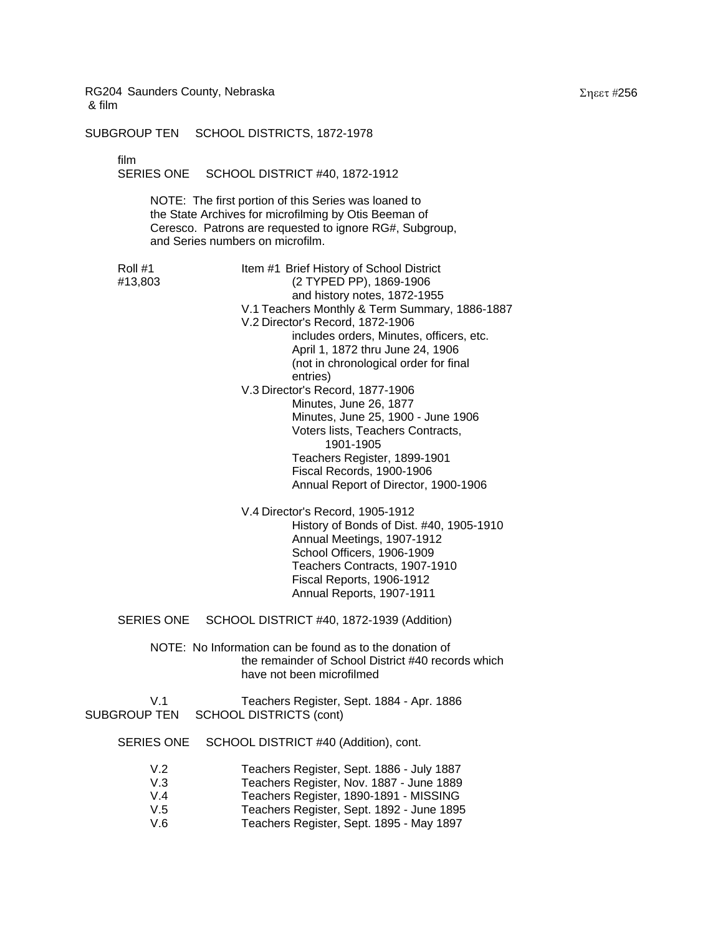SUBGROUP TEN SCHOOL DISTRICTS, 1872-1978

film

SERIES ONE SCHOOL DISTRICT #40, 1872-1912

NOTE: The first portion of this Series was loaned to the State Archives for microfilming by Otis Beeman of Ceresco. Patrons are requested to ignore RG#, Subgroup, and Series numbers on microfilm.

Roll #1 Item #1 Brief History of School District #13,803 (2 TYPED PP), 1869-1906 and history notes, 1872-1955 V.1 Teachers Monthly & Term Summary, 1886-1887 V.2 Director's Record, 1872-1906 includes orders, Minutes, officers, etc. April 1, 1872 thru June 24, 1906 (not in chronological order for final entries) V.3 Director's Record, 1877-1906 Minutes, June 26, 1877 Minutes, June 25, 1900 - June 1906 Voters lists, Teachers Contracts, 1901-1905 Teachers Register, 1899-1901 Fiscal Records, 1900-1906 Annual Report of Director, 1900-1906

> V.4 Director's Record, 1905-1912 History of Bonds of Dist. #40, 1905-1910 Annual Meetings, 1907-1912 School Officers, 1906-1909 Teachers Contracts, 1907-1910 Fiscal Reports, 1906-1912 Annual Reports, 1907-1911

SERIES ONE SCHOOL DISTRICT #40, 1872-1939 (Addition)

NOTE: No Information can be found as to the donation of the remainder of School District #40 records which have not been microfilmed

V.1 Teachers Register, Sept. 1884 - Apr. 1886<br>SUBGROUP TEN SCHOOL DISTRICTS (cont) SCHOOL DISTRICTS (cont)

SERIES ONE SCHOOL DISTRICT #40 (Addition), cont.

| V <sub>2</sub> | Teachers Register, Sept. 1886 - July 1887 |
|----------------|-------------------------------------------|
| V.3            | Teachers Register, Nov. 1887 - June 1889  |
| $V_4$          | Teachers Register, 1890-1891 - MISSING    |
| V.5            | Teachers Register, Sept. 1892 - June 1895 |
| V.6            | Teachers Register, Sept. 1895 - May 1897  |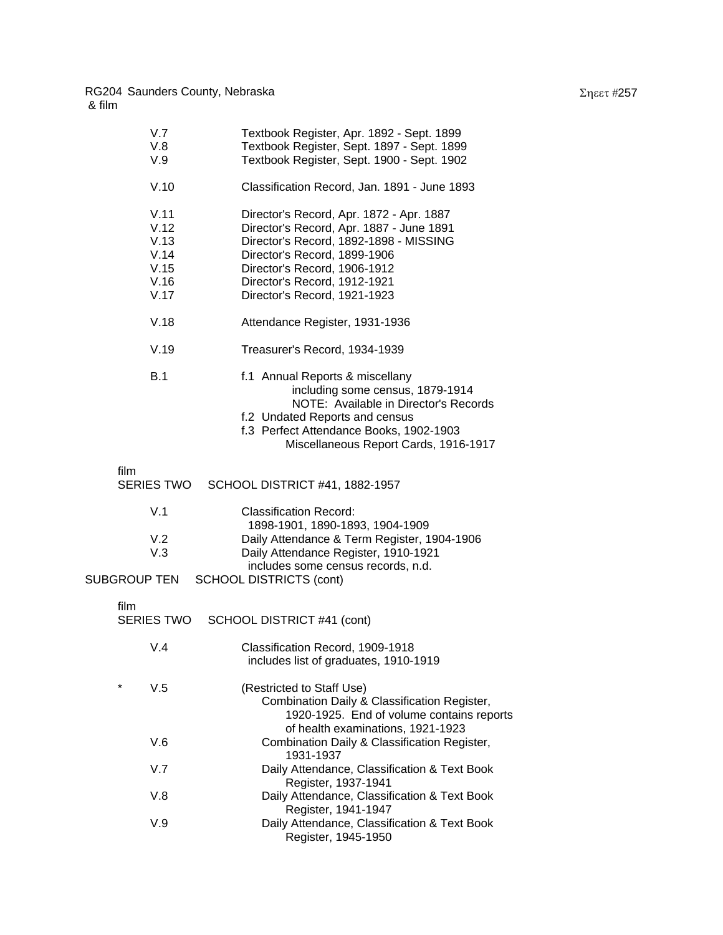| V.7<br>V.8<br>V.9                                    | Textbook Register, Apr. 1892 - Sept. 1899<br>Textbook Register, Sept. 1897 - Sept. 1899<br>Textbook Register, Sept. 1900 - Sept. 1902                                                                                                                          |
|------------------------------------------------------|----------------------------------------------------------------------------------------------------------------------------------------------------------------------------------------------------------------------------------------------------------------|
| V.10                                                 | Classification Record, Jan. 1891 - June 1893                                                                                                                                                                                                                   |
| V.11<br>V.12<br>V.13<br>V.14<br>V.15<br>V.16<br>V.17 | Director's Record, Apr. 1872 - Apr. 1887<br>Director's Record, Apr. 1887 - June 1891<br>Director's Record, 1892-1898 - MISSING<br>Director's Record, 1899-1906<br>Director's Record, 1906-1912<br>Director's Record, 1912-1921<br>Director's Record, 1921-1923 |
| V.18                                                 | Attendance Register, 1931-1936                                                                                                                                                                                                                                 |
| V.19                                                 | Treasurer's Record, 1934-1939                                                                                                                                                                                                                                  |
| B.1                                                  | f.1 Annual Reports & miscellany<br>including some census, 1879-1914<br>NOTE: Available in Director's Records<br>f.2 Undated Reports and census<br>f.3 Perfect Attendance Books, 1902-1903<br>Miscellaneous Report Cards, 1916-1917                             |
| film                                                 | SERIES TWO SCHOOL DISTRICT #41, 1882-1957                                                                                                                                                                                                                      |
| V.1                                                  | <b>Classification Record:</b><br>1898-1901, 1890-1893, 1904-1909                                                                                                                                                                                               |
| V.2<br>V.3                                           | Daily Attendance & Term Register, 1904-1906<br>Daily Attendance Register, 1910-1921                                                                                                                                                                            |
| SUBGROUP TEN                                         | includes some census records, n.d.<br><b>SCHOOL DISTRICTS (cont)</b>                                                                                                                                                                                           |
| film<br><b>SERIES TWO</b>                            | SCHOOL DISTRICT #41 (cont)                                                                                                                                                                                                                                     |
| V.4                                                  | Classification Record, 1909-1918<br>includes list of graduates, 1910-1919                                                                                                                                                                                      |
| *<br>V.5                                             | (Restricted to Staff Use)<br>Combination Daily & Classification Register,<br>1920-1925. End of volume contains reports<br>of health examinations, 1921-1923                                                                                                    |
| V.6                                                  | Combination Daily & Classification Register,<br>1931-1937                                                                                                                                                                                                      |
| V.7                                                  | Daily Attendance, Classification & Text Book<br>Register, 1937-1941                                                                                                                                                                                            |
| V.8                                                  | Daily Attendance, Classification & Text Book<br>Register, 1941-1947                                                                                                                                                                                            |
| V.9                                                  | Daily Attendance, Classification & Text Book<br>Register, 1945-1950                                                                                                                                                                                            |
|                                                      |                                                                                                                                                                                                                                                                |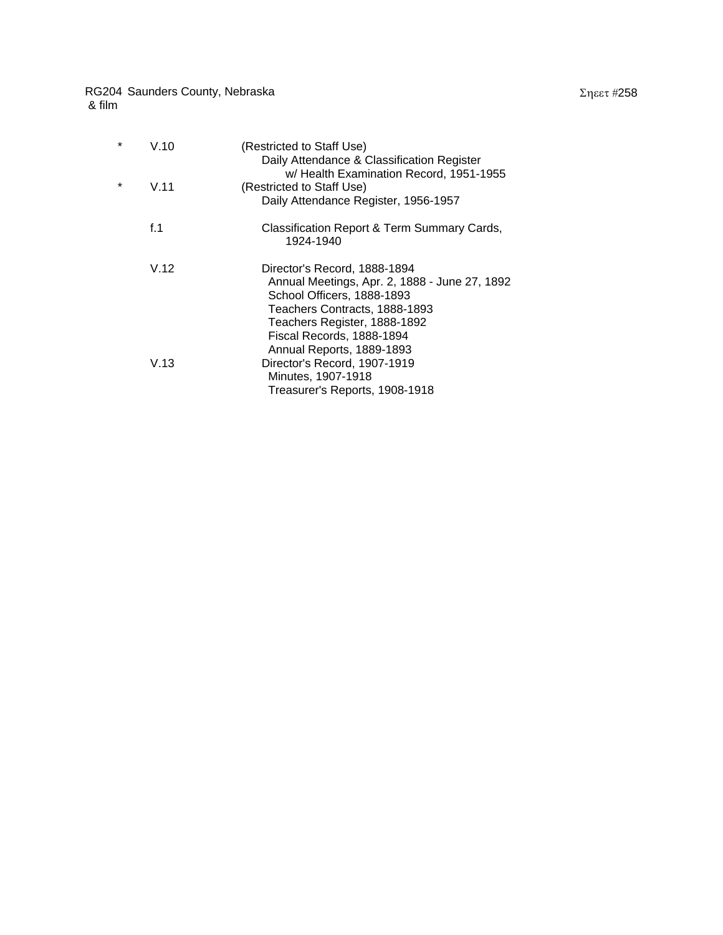| * | V.10 | (Restricted to Staff Use)<br>Daily Attendance & Classification Register |
|---|------|-------------------------------------------------------------------------|
|   |      | w/ Health Examination Record, 1951-1955                                 |
| * | V.11 | (Restricted to Staff Use)                                               |
|   |      | Daily Attendance Register, 1956-1957                                    |
|   | f.1  | Classification Report & Term Summary Cards,<br>1924-1940                |
|   | V.12 | Director's Record, 1888-1894                                            |
|   |      | Annual Meetings, Apr. 2, 1888 - June 27, 1892                           |
|   |      | School Officers, 1888-1893                                              |
|   |      | Teachers Contracts, 1888-1893                                           |
|   |      | Teachers Register, 1888-1892                                            |
|   |      | Fiscal Records, 1888-1894                                               |
|   |      | Annual Reports, 1889-1893                                               |
|   | V.13 | Director's Record, 1907-1919                                            |
|   |      | Minutes, 1907-1918                                                      |
|   |      | Treasurer's Reports, 1908-1918                                          |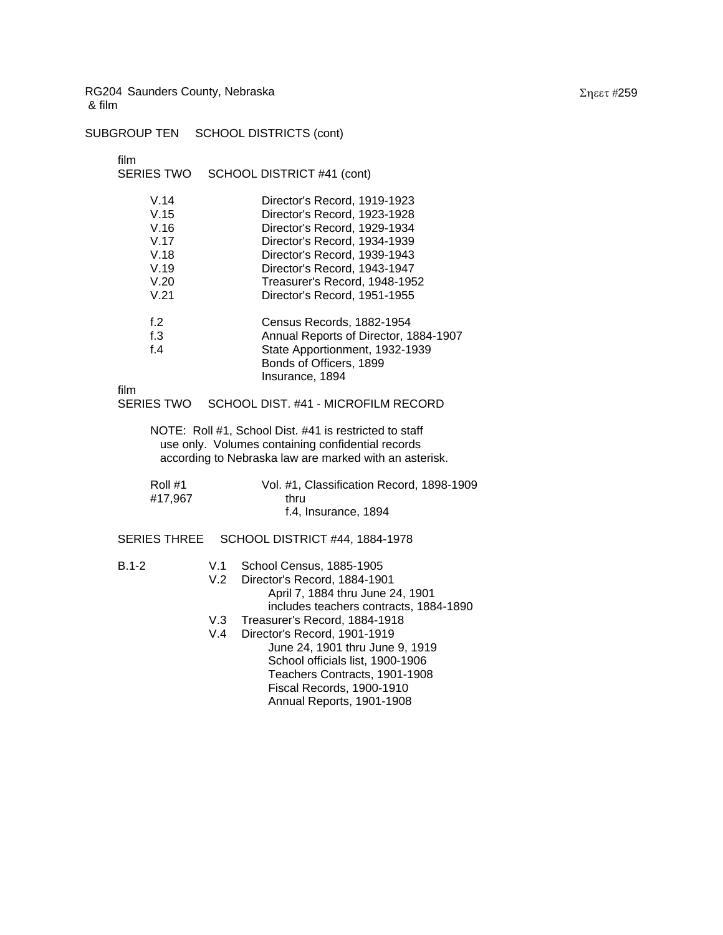SUBGROUP TEN SCHOOL DISTRICTS (cont)

film<br>SER

| SERIES TWO                                                   | SCHOOL DISTRICT #41 (cont)                                                                                                                                            |                                                                                                                                                                                                                                                                                |  |  |  |
|--------------------------------------------------------------|-----------------------------------------------------------------------------------------------------------------------------------------------------------------------|--------------------------------------------------------------------------------------------------------------------------------------------------------------------------------------------------------------------------------------------------------------------------------|--|--|--|
| V.14<br>V.15<br>V.16<br>V.17<br>V.18<br>V.19<br>V.20<br>V.21 |                                                                                                                                                                       | Director's Record, 1919-1923<br>Director's Record, 1923-1928<br>Director's Record, 1929-1934<br>Director's Record, 1934-1939<br>Director's Record, 1939-1943<br>Director's Record, 1943-1947<br>Treasurer's Record, 1948-1952<br>Director's Record, 1951-1955                  |  |  |  |
| f.2<br>f.3<br>f.4                                            |                                                                                                                                                                       | Census Records, 1882-1954<br>Annual Reports of Director, 1884-1907<br>State Apportionment, 1932-1939<br>Bonds of Officers, 1899<br>Insurance, 1894                                                                                                                             |  |  |  |
| film<br><b>SERIES TWO</b>                                    |                                                                                                                                                                       | SCHOOL DIST. #41 - MICROFILM RECORD                                                                                                                                                                                                                                            |  |  |  |
|                                                              | NOTE: Roll #1, School Dist. #41 is restricted to staff<br>use only. Volumes containing confidential records<br>according to Nebraska law are marked with an asterisk. |                                                                                                                                                                                                                                                                                |  |  |  |
| Roll #1<br>#17,967                                           |                                                                                                                                                                       | Vol. #1, Classification Record, 1898-1909<br>thru<br>f.4, Insurance, 1894                                                                                                                                                                                                      |  |  |  |
| <b>SERIES THREE</b>                                          |                                                                                                                                                                       | <b>SCHOOL DISTRICT #44, 1884-1978</b>                                                                                                                                                                                                                                          |  |  |  |
| $B.1-2$                                                      | V.1<br>V.2<br>V.3<br>V.4                                                                                                                                              | School Census, 1885-1905<br>Director's Record, 1884-1901<br>April 7, 1884 thru June 24, 1901<br>includes teachers contracts, 1884-1890<br>Treasurer's Record, 1884-1918<br>Director's Record, 1901-1919<br>June 24, 1901 thru June 9, 1919<br>School officials list, 1900-1906 |  |  |  |
|                                                              |                                                                                                                                                                       | Teachers Contracts, 1901-1908                                                                                                                                                                                                                                                  |  |  |  |

 Fiscal Records, 1900-1910 Annual Reports, 1901-1908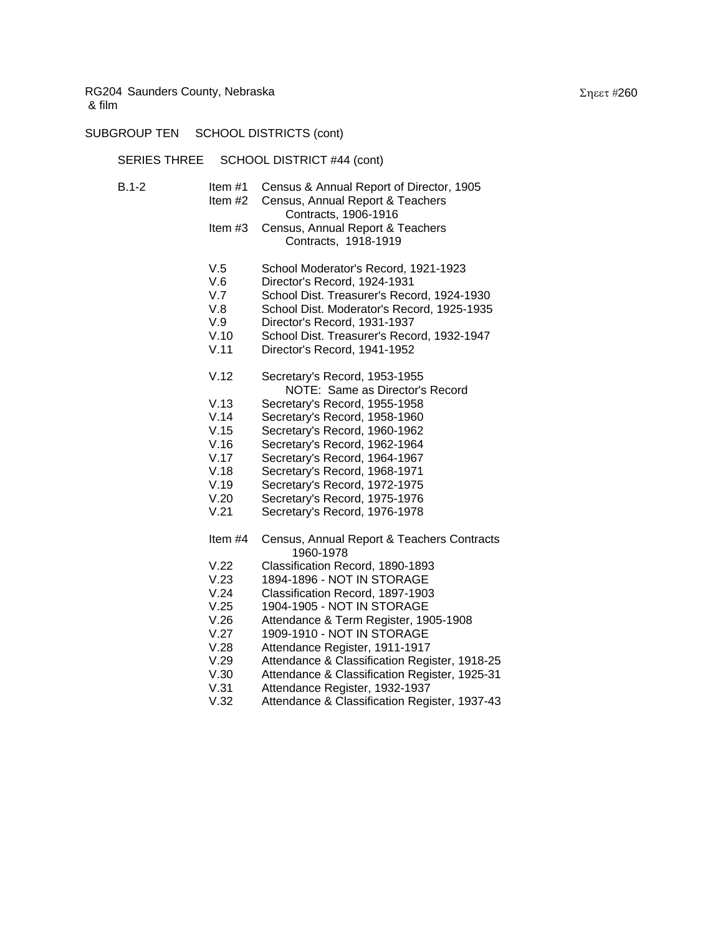SUBGROUP TEN SCHOOL DISTRICTS (cont)

SERIES THREE SCHOOL DISTRICT #44 (cont)

| B.1-2 | Item #1 Census & Annual Report of Director, 1905                 |
|-------|------------------------------------------------------------------|
|       | Item #2 Census, Annual Report & Teachers                         |
|       | Contracts, 1906-1916                                             |
|       | Item #3 Census, Annual Report & Teachers<br>Contracts, 1918-1919 |
|       |                                                                  |

- V.5 School Moderator's Record, 1921-1923
- V.6 Director's Record, 1924-1931
- V.7 School Dist. Treasurer's Record, 1924-1930
- V.8 School Dist. Moderator's Record, 1925-1935
- V.9 Director's Record, 1931-1937
- V.10 School Dist. Treasurer's Record, 1932-1947
- V.11 Director's Record, 1941-1952
- V.12 Secretary's Record, 1953-1955 NOTE: Same as Director's Record
- V.13 Secretary's Record, 1955-1958
- V.14 Secretary's Record, 1958-1960
- V.15 Secretary's Record, 1960-1962
- V.16 Secretary's Record, 1962-1964
- V.17 Secretary's Record, 1964-1967
- V.18 Secretary's Record, 1968-1971
- V.19 Secretary's Record, 1972-1975
- V.20 Secretary's Record, 1975-1976
- V.21 Secretary's Record, 1976-1978
- Item #4 Census, Annual Report & Teachers Contracts 1960-1978
- V.22 Classification Record, 1890-1893
- V.23 1894-1896 NOT IN STORAGE
- V.24 Classification Record, 1897-1903
- V.25 1904-1905 NOT IN STORAGE
- V.26 Attendance & Term Register, 1905-1908
- V.27 1909-1910 NOT IN STORAGE
- V.28 Attendance Register, 1911-1917
- V.29 Attendance & Classification Register, 1918-25
- V.30 Attendance & Classification Register, 1925-31
- V.31 Attendance Register, 1932-1937
- V.32 Attendance & Classification Register, 1937-43